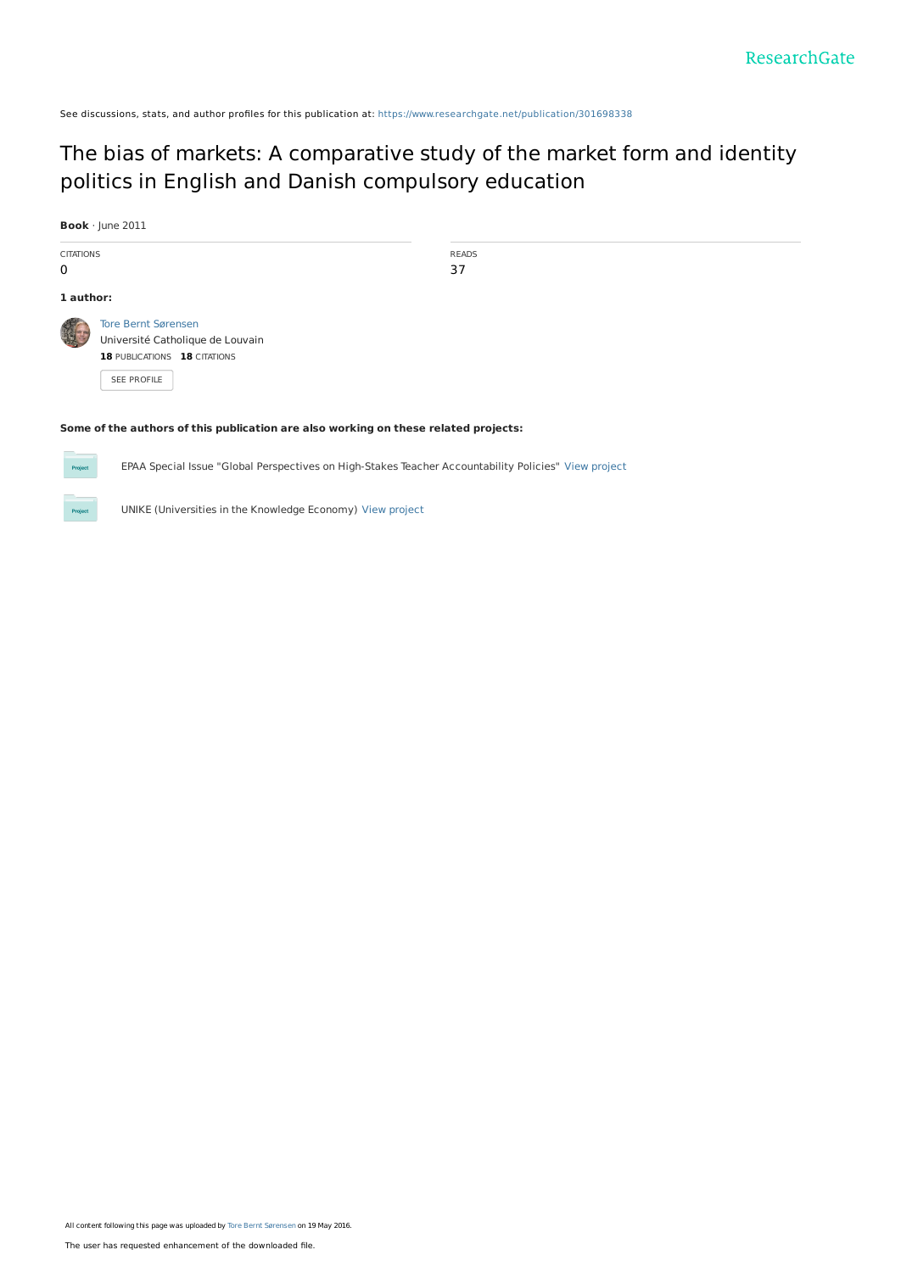See discussions, stats, and author profiles for this publication at: [https://www.researchgate.net/publication/301698338](https://www.researchgate.net/publication/301698338_The_bias_of_markets_A_comparative_study_of_the_market_form_and_identity_politics_in_English_and_Danish_compulsory_education?enrichId=rgreq-c183a7c83a9e3c6ef062768a5c559730-XXX&enrichSource=Y292ZXJQYWdlOzMwMTY5ODMzODtBUzozNjMzODM2MDI4NjAwMzZAMTQ2MzY0ODgxMDc3Ng%3D%3D&el=1_x_2&_esc=publicationCoverPdf)

# The bias of markets: A [comparative](https://www.researchgate.net/publication/301698338_The_bias_of_markets_A_comparative_study_of_the_market_form_and_identity_politics_in_English_and_Danish_compulsory_education?enrichId=rgreq-c183a7c83a9e3c6ef062768a5c559730-XXX&enrichSource=Y292ZXJQYWdlOzMwMTY5ODMzODtBUzozNjMzODM2MDI4NjAwMzZAMTQ2MzY0ODgxMDc3Ng%3D%3D&el=1_x_3&_esc=publicationCoverPdf) study of the market form and identity politics in English and Danish compulsory education

|                                            | Book · June 2011                                                          |                                  |                                                                                     |  |
|--------------------------------------------|---------------------------------------------------------------------------|----------------------------------|-------------------------------------------------------------------------------------|--|
| <b>CITATIONS</b>                           |                                                                           |                                  | <b>READS</b>                                                                        |  |
| 0                                          |                                                                           |                                  | 37                                                                                  |  |
| 1 author:                                  |                                                                           |                                  |                                                                                     |  |
|                                            | <b>Tore Bernt Sørensen</b><br>18 PUBLICATIONS 18 CITATIONS<br>SEE PROFILE | Université Catholique de Louvain |                                                                                     |  |
| <b>Contract Contract Contract Contract</b> |                                                                           |                                  | Some of the authors of this publication are also working on these related projects: |  |

EPAA Special Issue "Global Perspectives on High-Stakes Teacher Accountability Policies" View [project](https://www.researchgate.net/project/EPAA-Special-Issue-Global-Perspectives-on-High-Stakes-Teacher-Accountability-Policies?enrichId=rgreq-c183a7c83a9e3c6ef062768a5c559730-XXX&enrichSource=Y292ZXJQYWdlOzMwMTY5ODMzODtBUzozNjMzODM2MDI4NjAwMzZAMTQ2MzY0ODgxMDc3Ng%3D%3D&el=1_x_9&_esc=publicationCoverPdf)



Project

UNIKE (Universities in the Knowledge Economy) View [project](https://www.researchgate.net/project/UNIKE-Universities-in-the-Knowledge-Economy-2?enrichId=rgreq-c183a7c83a9e3c6ef062768a5c559730-XXX&enrichSource=Y292ZXJQYWdlOzMwMTY5ODMzODtBUzozNjMzODM2MDI4NjAwMzZAMTQ2MzY0ODgxMDc3Ng%3D%3D&el=1_x_9&_esc=publicationCoverPdf)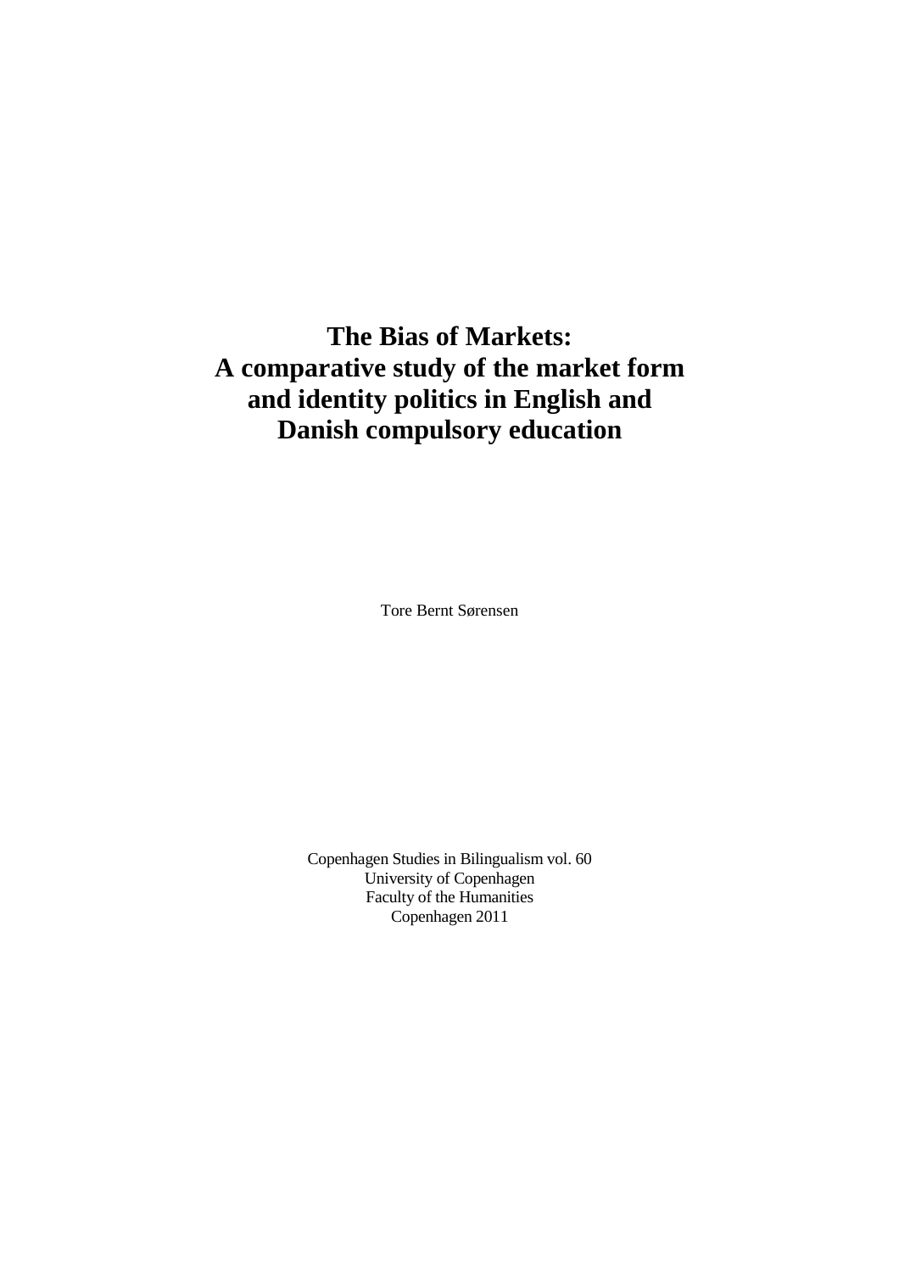# **The Bias of Markets: A comparative study of the market form and identity politics in English and Danish compulsory education**

Tore Bernt Sørensen

Copenhagen Studies in Bilingualism vol. 60 University of Copenhagen Faculty of the Humanities Copenhagen 2011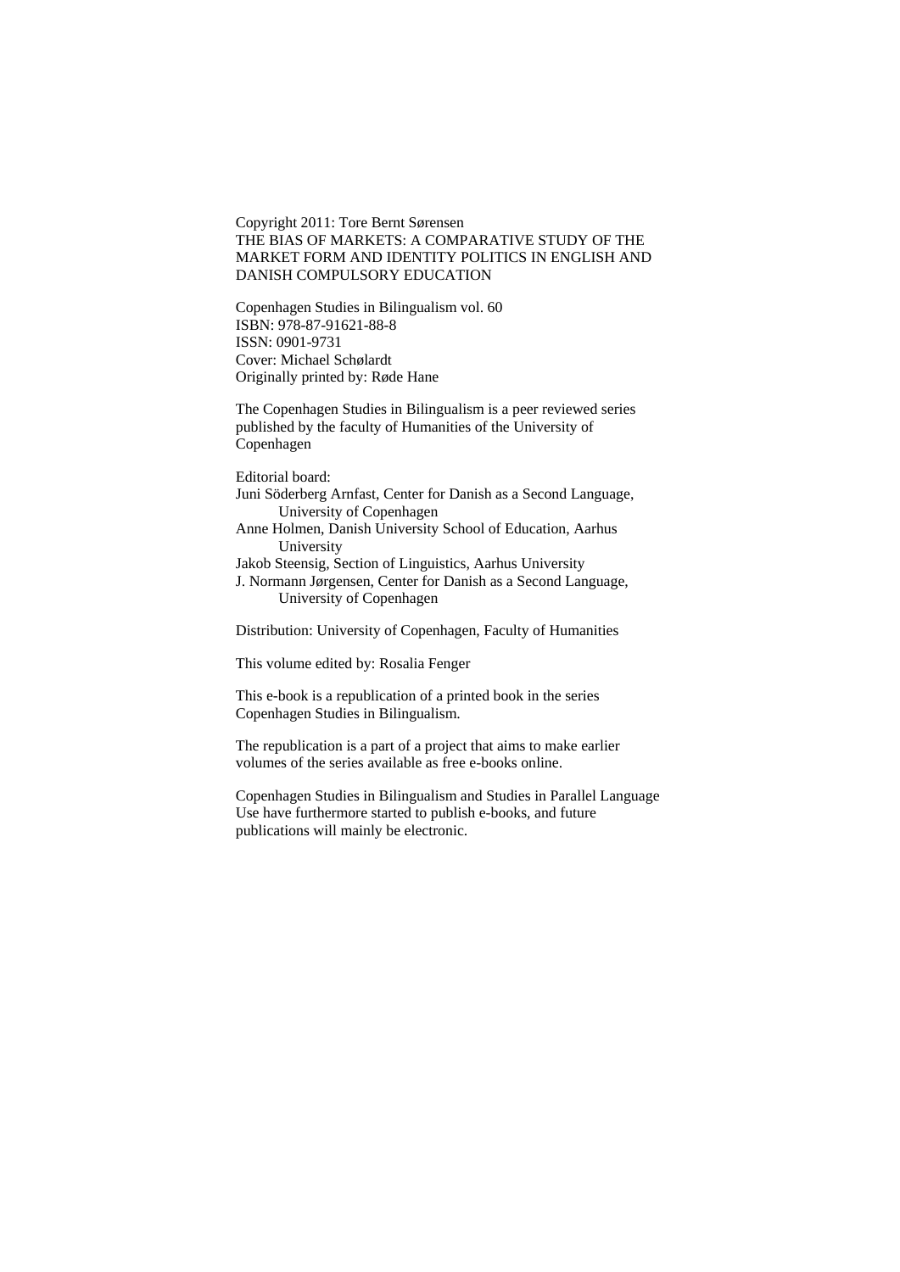Copyright 2011: Tore Bernt Sørensen THE BIAS OF MARKETS: A COMPARATIVE STUDY OF THE MARKET FORM AND IDENTITY POLITICS IN ENGLISH AND DANISH COMPULSORY EDUCATION

Copenhagen Studies in Bilingualism vol. 60 ISBN: 978-87-91621-88-8 ISSN: 0901-9731 Cover: Michael Schølardt Originally printed by: Røde Hane

The Copenhagen Studies in Bilingualism is a peer reviewed series published by the faculty of Humanities of the University of Copenhagen

Editorial board:

- Juni Söderberg Arnfast, Center for Danish as a Second Language, University of Copenhagen
- Anne Holmen, Danish University School of Education, Aarhus University
- Jakob Steensig, Section of Linguistics, Aarhus University J. Normann Jørgensen, Center for Danish as a Second Language, University of Copenhagen

Distribution: University of Copenhagen, Faculty of Humanities

This volume edited by: Rosalia Fenger

This e-book is a republication of a printed book in the series Copenhagen Studies in Bilingualism.

The republication is a part of a project that aims to make earlier volumes of the series available as free e-books online.

Copenhagen Studies in Bilingualism and Studies in Parallel Language Use have furthermore started to publish e-books, and future publications will mainly be electronic.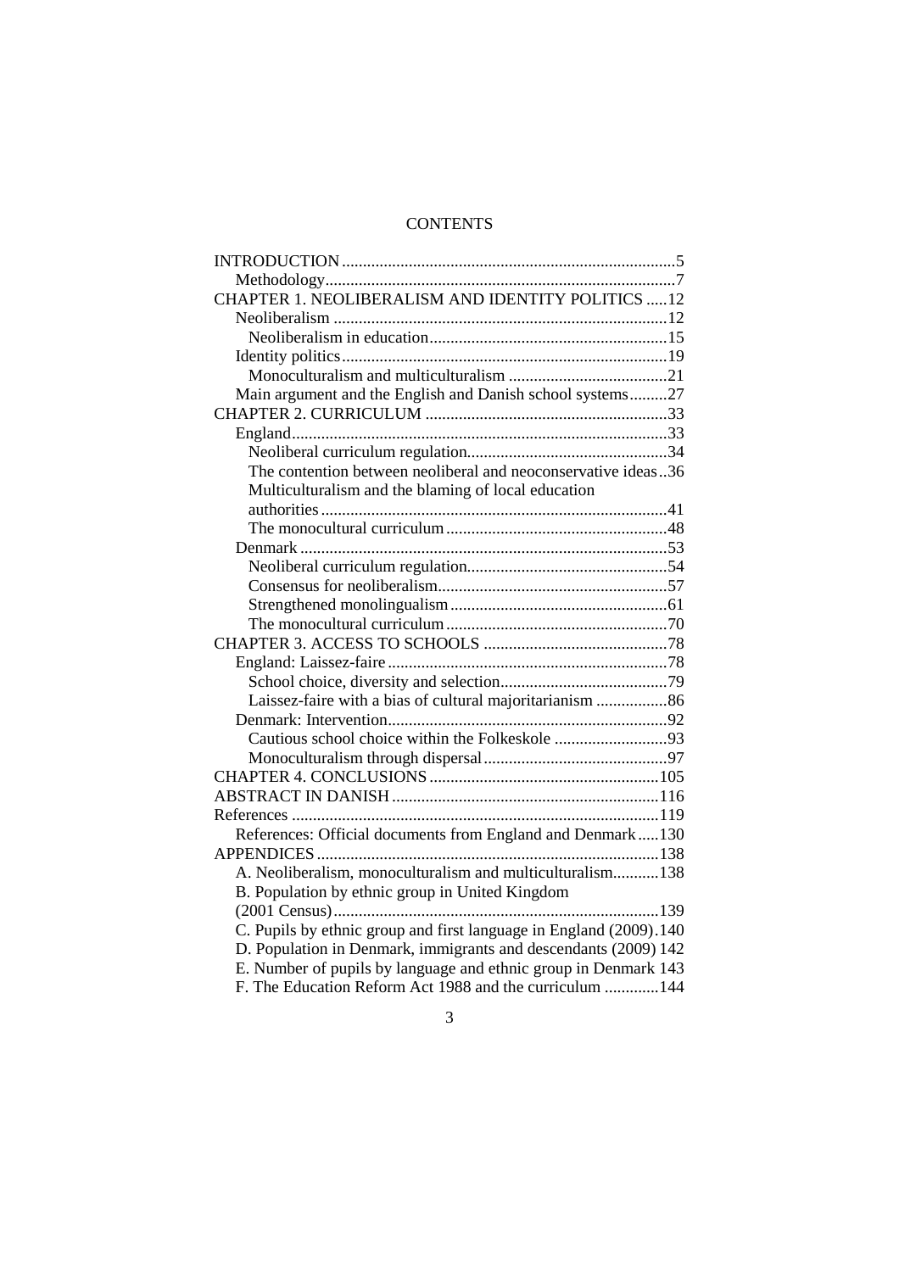# **CONTENTS**

| CHAPTER 1. NEOLIBERALISM AND IDENTITY POLITICS 12                  |  |  |  |  |  |
|--------------------------------------------------------------------|--|--|--|--|--|
|                                                                    |  |  |  |  |  |
|                                                                    |  |  |  |  |  |
|                                                                    |  |  |  |  |  |
|                                                                    |  |  |  |  |  |
| Main argument and the English and Danish school systems27          |  |  |  |  |  |
|                                                                    |  |  |  |  |  |
|                                                                    |  |  |  |  |  |
|                                                                    |  |  |  |  |  |
| The contention between neoliberal and neoconservative ideas36      |  |  |  |  |  |
| Multiculturalism and the blaming of local education                |  |  |  |  |  |
|                                                                    |  |  |  |  |  |
|                                                                    |  |  |  |  |  |
|                                                                    |  |  |  |  |  |
|                                                                    |  |  |  |  |  |
|                                                                    |  |  |  |  |  |
|                                                                    |  |  |  |  |  |
|                                                                    |  |  |  |  |  |
|                                                                    |  |  |  |  |  |
|                                                                    |  |  |  |  |  |
|                                                                    |  |  |  |  |  |
|                                                                    |  |  |  |  |  |
|                                                                    |  |  |  |  |  |
|                                                                    |  |  |  |  |  |
|                                                                    |  |  |  |  |  |
|                                                                    |  |  |  |  |  |
|                                                                    |  |  |  |  |  |
|                                                                    |  |  |  |  |  |
| References: Official documents from England and Denmark130         |  |  |  |  |  |
|                                                                    |  |  |  |  |  |
| A. Neoliberalism, monoculturalism and multiculturalism138          |  |  |  |  |  |
| B. Population by ethnic group in United Kingdom                    |  |  |  |  |  |
|                                                                    |  |  |  |  |  |
| C. Pupils by ethnic group and first language in England (2009).140 |  |  |  |  |  |
| D. Population in Denmark, immigrants and descendants (2009) 142    |  |  |  |  |  |
| E. Number of pupils by language and ethnic group in Denmark 143    |  |  |  |  |  |
| F. The Education Reform Act 1988 and the curriculum  144           |  |  |  |  |  |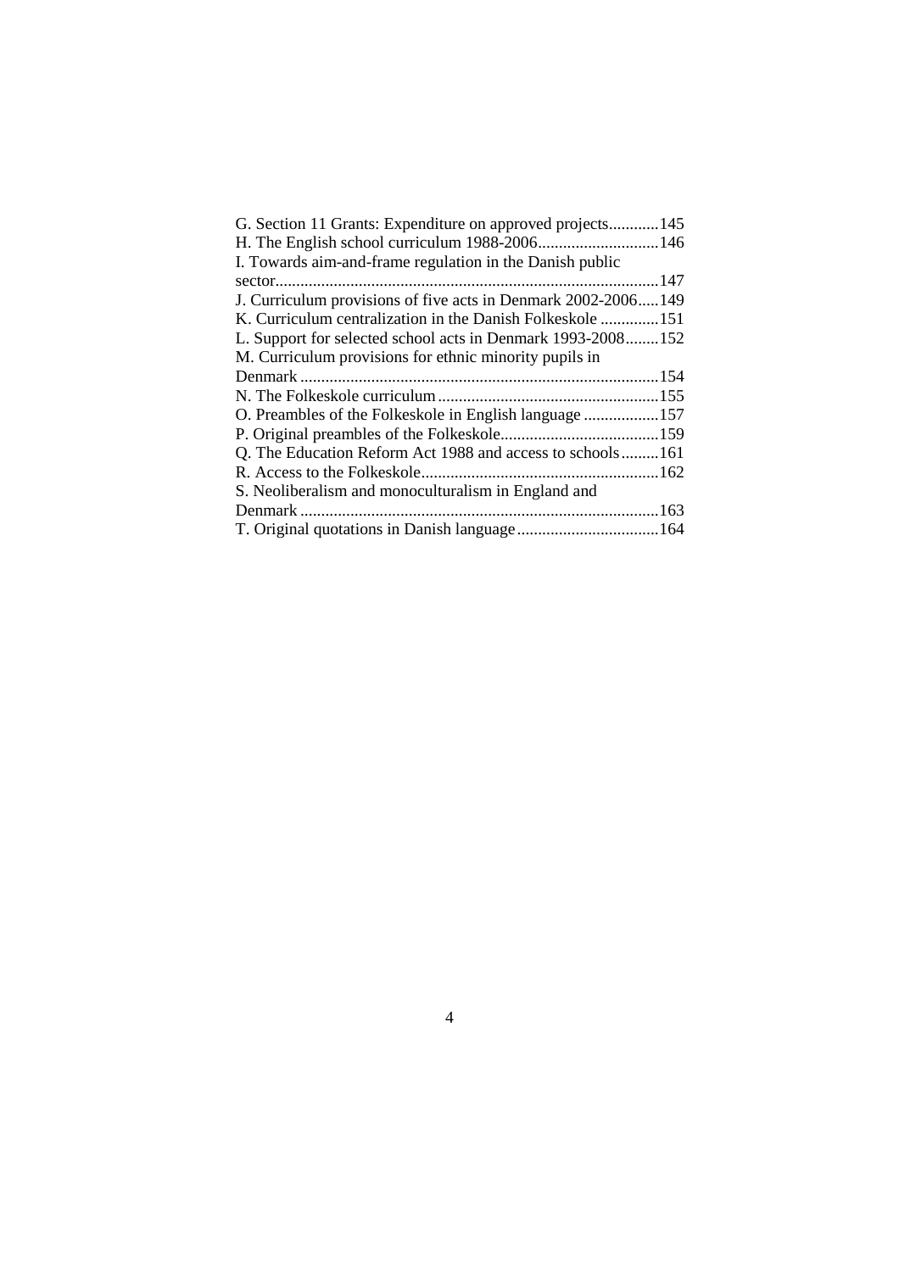| G. Section 11 Grants: Expenditure on approved projects145     |  |
|---------------------------------------------------------------|--|
|                                                               |  |
| I. Towards aim-and-frame regulation in the Danish public      |  |
|                                                               |  |
| J. Curriculum provisions of five acts in Denmark 2002-2006149 |  |
| K. Curriculum centralization in the Danish Folkeskole 151     |  |
| L. Support for selected school acts in Denmark 1993-2008152   |  |
| M. Curriculum provisions for ethnic minority pupils in        |  |
|                                                               |  |
|                                                               |  |
| O. Preambles of the Folkeskole in English language 157        |  |
|                                                               |  |
| Q. The Education Reform Act 1988 and access to schools161     |  |
|                                                               |  |
| S. Neoliberalism and monoculturalism in England and           |  |
|                                                               |  |
|                                                               |  |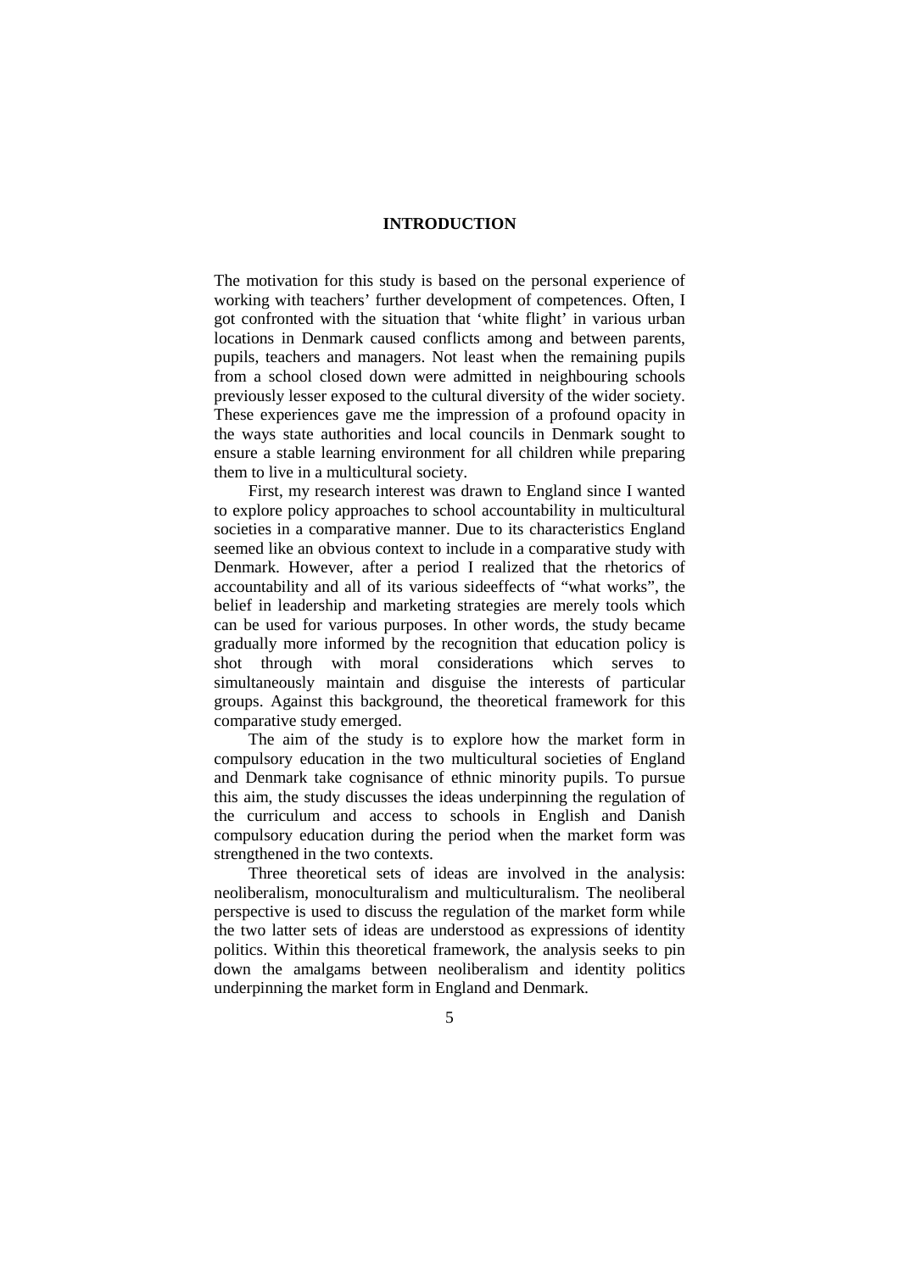#### **INTRODUCTION**

The motivation for this study is based on the personal experience of working with teachers' further development of competences. Often, I got confronted with the situation that 'white flight' in various urban locations in Denmark caused conflicts among and between parents, pupils, teachers and managers. Not least when the remaining pupils from a school closed down were admitted in neighbouring schools previously lesser exposed to the cultural diversity of the wider society. These experiences gave me the impression of a profound opacity in the ways state authorities and local councils in Denmark sought to ensure a stable learning environment for all children while preparing them to live in a multicultural society.

First, my research interest was drawn to England since I wanted to explore policy approaches to school accountability in multicultural societies in a comparative manner. Due to its characteristics England seemed like an obvious context to include in a comparative study with Denmark. However, after a period I realized that the rhetorics of accountability and all of its various sideeffects of "what works", the belief in leadership and marketing strategies are merely tools which can be used for various purposes. In other words, the study became gradually more informed by the recognition that education policy is shot through with moral considerations which serves to simultaneously maintain and disguise the interests of particular groups. Against this background, the theoretical framework for this comparative study emerged.

The aim of the study is to explore how the market form in compulsory education in the two multicultural societies of England and Denmark take cognisance of ethnic minority pupils. To pursue this aim, the study discusses the ideas underpinning the regulation of the curriculum and access to schools in English and Danish compulsory education during the period when the market form was strengthened in the two contexts.

Three theoretical sets of ideas are involved in the analysis: neoliberalism, monoculturalism and multiculturalism. The neoliberal perspective is used to discuss the regulation of the market form while the two latter sets of ideas are understood as expressions of identity politics. Within this theoretical framework, the analysis seeks to pin down the amalgams between neoliberalism and identity politics underpinning the market form in England and Denmark.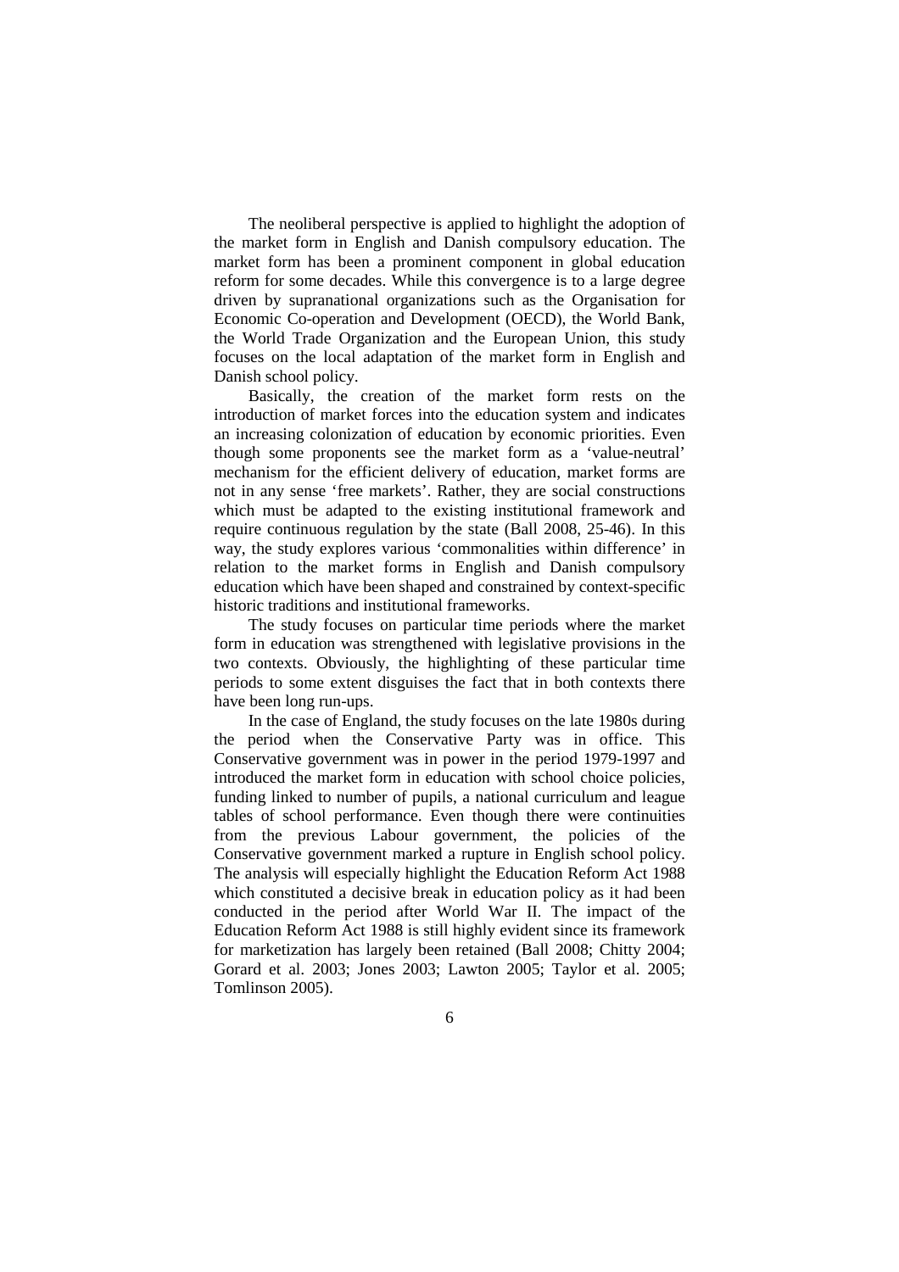The neoliberal perspective is applied to highlight the adoption of the market form in English and Danish compulsory education. The market form has been a prominent component in global education reform for some decades. While this convergence is to a large degree driven by supranational organizations such as the Organisation for Economic Co-operation and Development (OECD), the World Bank, the World Trade Organization and the European Union, this study focuses on the local adaptation of the market form in English and Danish school policy.

Basically, the creation of the market form rests on the introduction of market forces into the education system and indicates an increasing colonization of education by economic priorities. Even though some proponents see the market form as a 'value-neutral' mechanism for the efficient delivery of education, market forms are not in any sense 'free markets'. Rather, they are social constructions which must be adapted to the existing institutional framework and require continuous regulation by the state (Ball 2008, 25-46). In this way, the study explores various 'commonalities within difference' in relation to the market forms in English and Danish compulsory education which have been shaped and constrained by context-specific historic traditions and institutional frameworks.

The study focuses on particular time periods where the market form in education was strengthened with legislative provisions in the two contexts. Obviously, the highlighting of these particular time periods to some extent disguises the fact that in both contexts there have been long run-ups.

In the case of England, the study focuses on the late 1980s during the period when the Conservative Party was in office. This Conservative government was in power in the period 1979-1997 and introduced the market form in education with school choice policies, funding linked to number of pupils, a national curriculum and league tables of school performance. Even though there were continuities from the previous Labour government, the policies of the Conservative government marked a rupture in English school policy. The analysis will especially highlight the Education Reform Act 1988 which constituted a decisive break in education policy as it had been conducted in the period after World War II. The impact of the Education Reform Act 1988 is still highly evident since its framework for marketization has largely been retained (Ball 2008; Chitty 2004; Gorard et al. 2003; Jones 2003; Lawton 2005; Taylor et al. 2005; Tomlinson 2005).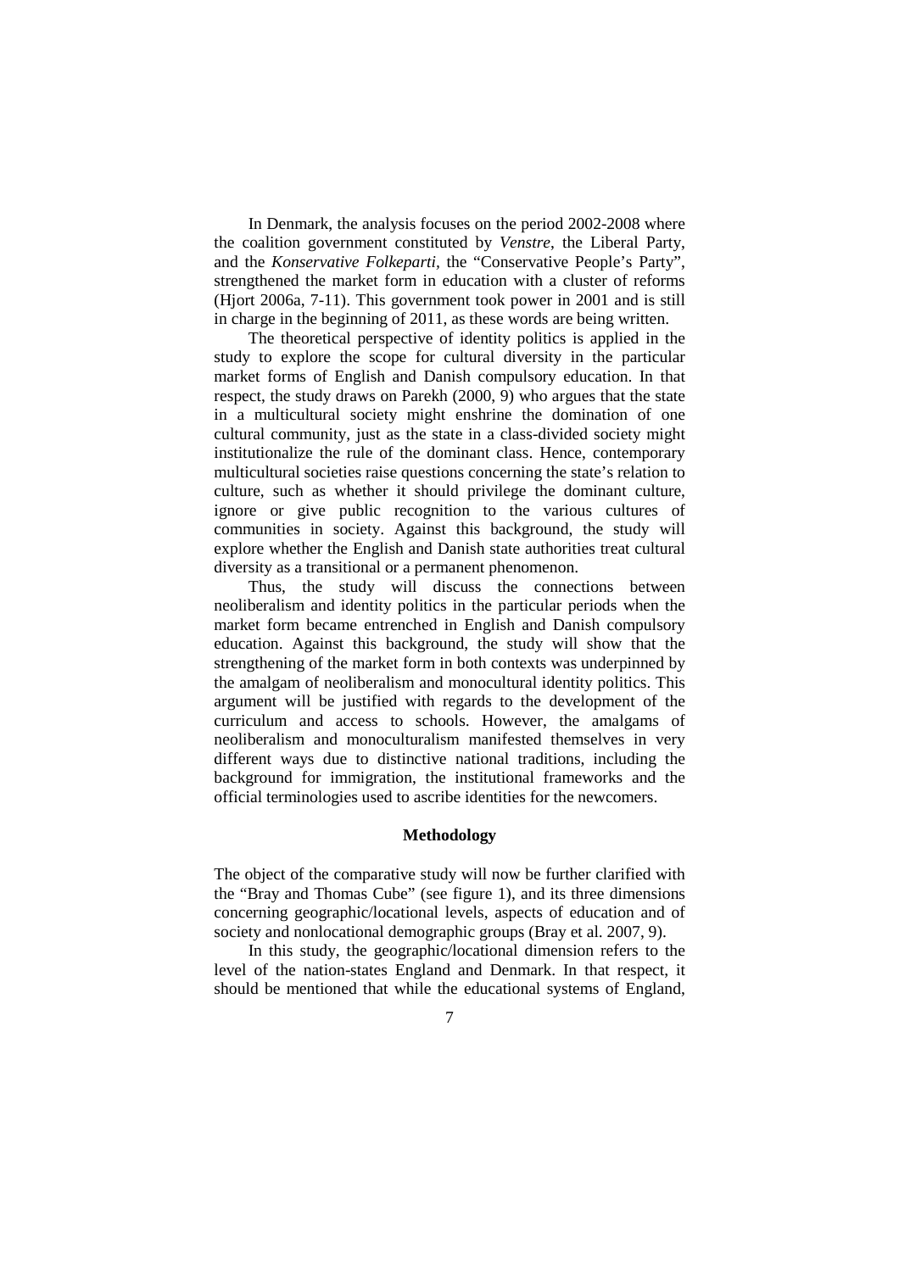In Denmark, the analysis focuses on the period 2002-2008 where the coalition government constituted by *Venstre*, the Liberal Party, and the *Konservative Folkeparti,* the "Conservative People's Party", strengthened the market form in education with a cluster of reforms (Hjort 2006a, 7-11). This government took power in 2001 and is still in charge in the beginning of 2011, as these words are being written.

The theoretical perspective of identity politics is applied in the study to explore the scope for cultural diversity in the particular market forms of English and Danish compulsory education. In that respect, the study draws on Parekh (2000, 9) who argues that the state in a multicultural society might enshrine the domination of one cultural community, just as the state in a class-divided society might institutionalize the rule of the dominant class. Hence, contemporary multicultural societies raise questions concerning the state's relation to culture, such as whether it should privilege the dominant culture, ignore or give public recognition to the various cultures of communities in society. Against this background, the study will explore whether the English and Danish state authorities treat cultural diversity as a transitional or a permanent phenomenon.

Thus, the study will discuss the connections between neoliberalism and identity politics in the particular periods when the market form became entrenched in English and Danish compulsory education. Against this background, the study will show that the strengthening of the market form in both contexts was underpinned by the amalgam of neoliberalism and monocultural identity politics. This argument will be justified with regards to the development of the curriculum and access to schools. However, the amalgams of neoliberalism and monoculturalism manifested themselves in very different ways due to distinctive national traditions, including the background for immigration, the institutional frameworks and the official terminologies used to ascribe identities for the newcomers.

## **Methodology**

The object of the comparative study will now be further clarified with the "Bray and Thomas Cube" (see figure 1), and its three dimensions concerning geographic/locational levels, aspects of education and of society and nonlocational demographic groups (Bray et al. 2007, 9).

In this study, the geographic/locational dimension refers to the level of the nation-states England and Denmark. In that respect, it should be mentioned that while the educational systems of England,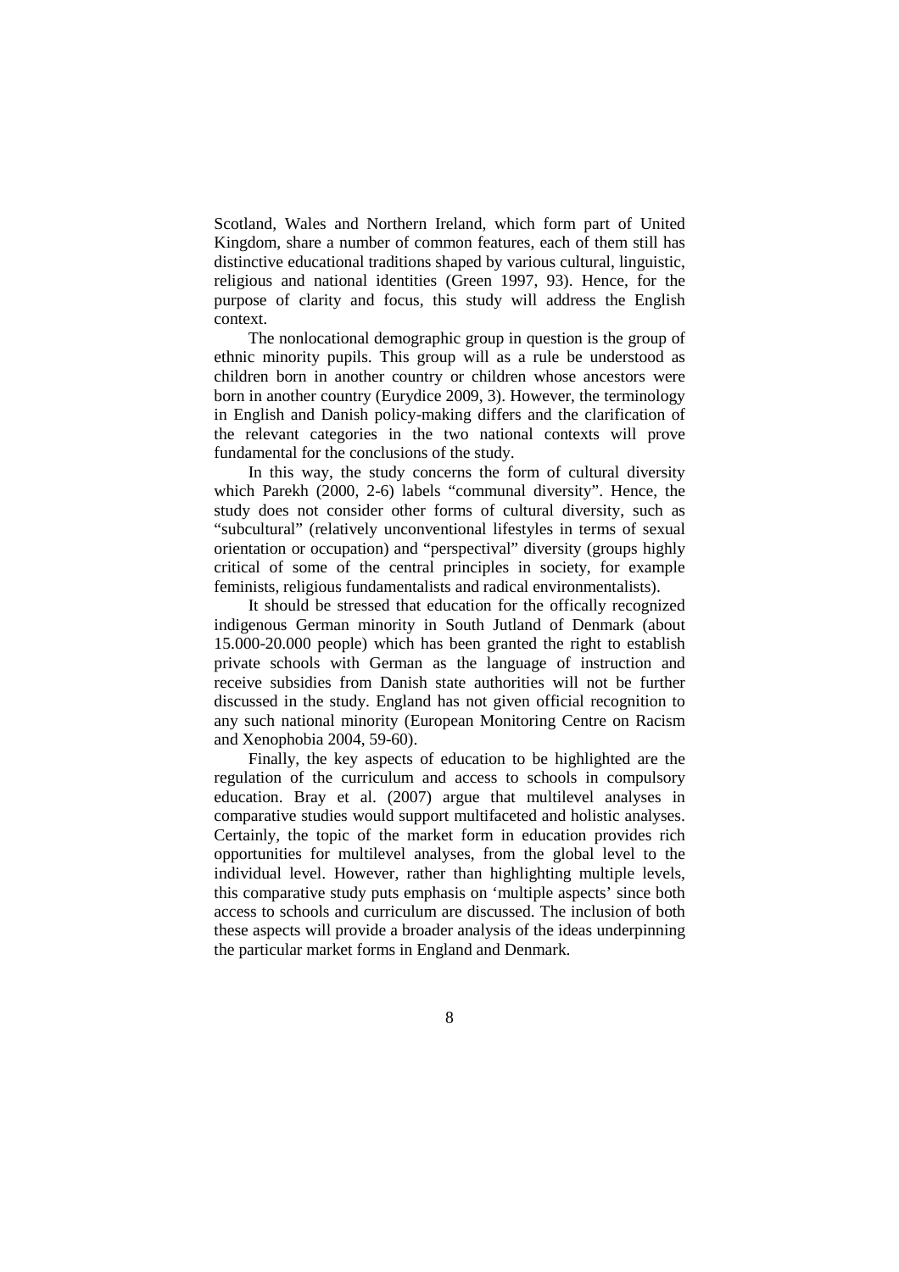Scotland, Wales and Northern Ireland, which form part of United Kingdom, share a number of common features, each of them still has distinctive educational traditions shaped by various cultural, linguistic, religious and national identities (Green 1997, 93). Hence, for the purpose of clarity and focus, this study will address the English context.

The nonlocational demographic group in question is the group of ethnic minority pupils. This group will as a rule be understood as children born in another country or children whose ancestors were born in another country (Eurydice 2009, 3). However, the terminology in English and Danish policy-making differs and the clarification of the relevant categories in the two national contexts will prove fundamental for the conclusions of the study.

In this way, the study concerns the form of cultural diversity which Parekh (2000, 2-6) labels "communal diversity". Hence, the study does not consider other forms of cultural diversity, such as "subcultural" (relatively unconventional lifestyles in terms of sexual orientation or occupation) and "perspectival" diversity (groups highly critical of some of the central principles in society, for example feminists, religious fundamentalists and radical environmentalists).

It should be stressed that education for the offically recognized indigenous German minority in South Jutland of Denmark (about 15.000-20.000 people) which has been granted the right to establish private schools with German as the language of instruction and receive subsidies from Danish state authorities will not be further discussed in the study. England has not given official recognition to any such national minority (European Monitoring Centre on Racism and Xenophobia 2004, 59-60).

Finally, the key aspects of education to be highlighted are the regulation of the curriculum and access to schools in compulsory education. Bray et al. (2007) argue that multilevel analyses in comparative studies would support multifaceted and holistic analyses. Certainly, the topic of the market form in education provides rich opportunities for multilevel analyses, from the global level to the individual level. However, rather than highlighting multiple levels, this comparative study puts emphasis on 'multiple aspects' since both access to schools and curriculum are discussed. The inclusion of both these aspects will provide a broader analysis of the ideas underpinning the particular market forms in England and Denmark.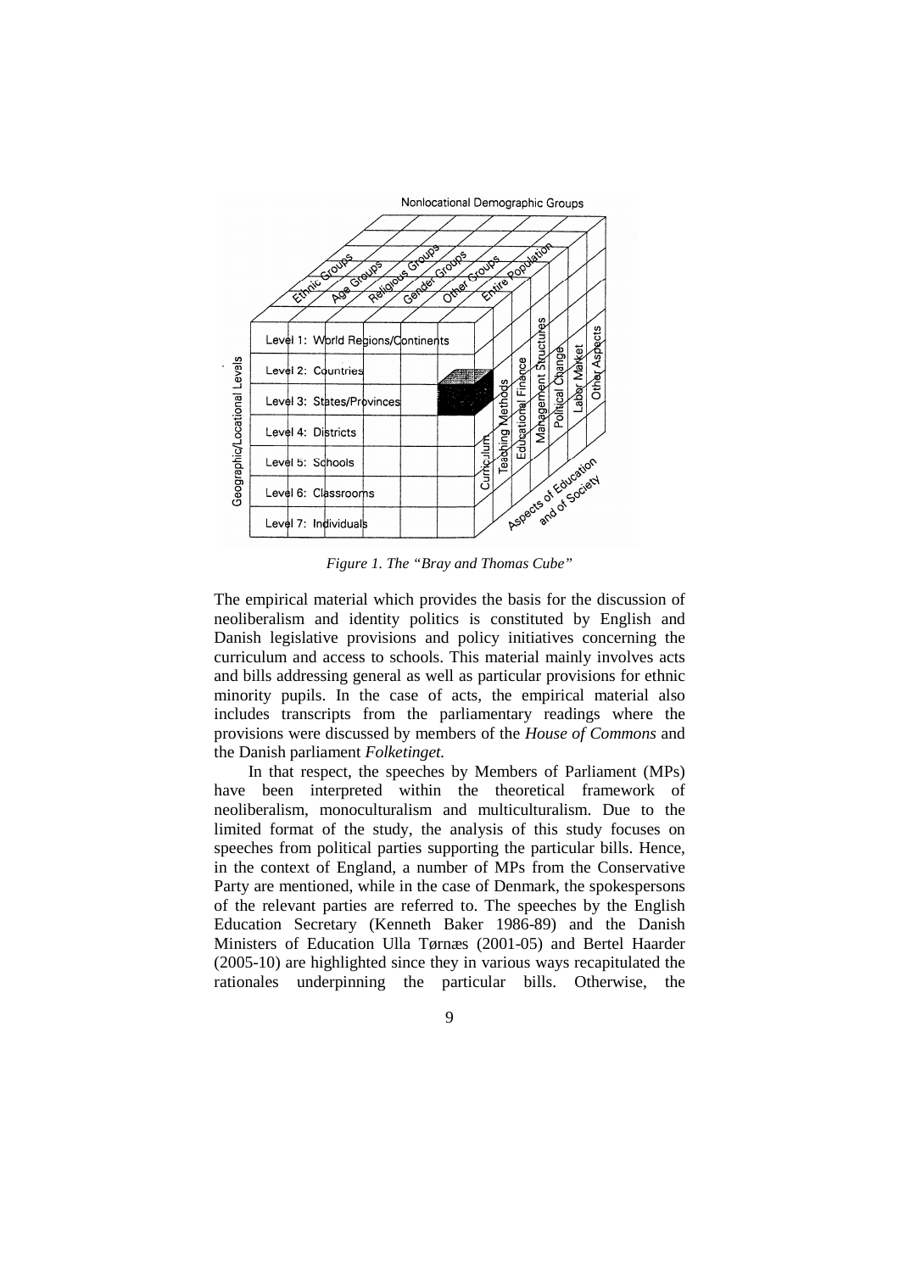

*Figure 1. The "Bray and Thomas Cube"* 

The empirical material which provides the basis for the discussion of neoliberalism and identity politics is constituted by English and Danish legislative provisions and policy initiatives concerning the curriculum and access to schools. This material mainly involves acts and bills addressing general as well as particular provisions for ethnic minority pupils. In the case of acts, the empirical material also includes transcripts from the parliamentary readings where the provisions were discussed by members of the *House of Commons* and the Danish parliament *Folketinget.*

In that respect, the speeches by Members of Parliament (MPs) have been interpreted within the theoretical framework of neoliberalism, monoculturalism and multiculturalism. Due to the limited format of the study, the analysis of this study focuses on speeches from political parties supporting the particular bills. Hence, in the context of England, a number of MPs from the Conservative Party are mentioned, while in the case of Denmark, the spokespersons of the relevant parties are referred to. The speeches by the English Education Secretary (Kenneth Baker 1986-89) and the Danish Ministers of Education Ulla Tørnæs (2001-05) and Bertel Haarder (2005-10) are highlighted since they in various ways recapitulated the rationales underpinning the particular bills. Otherwise, the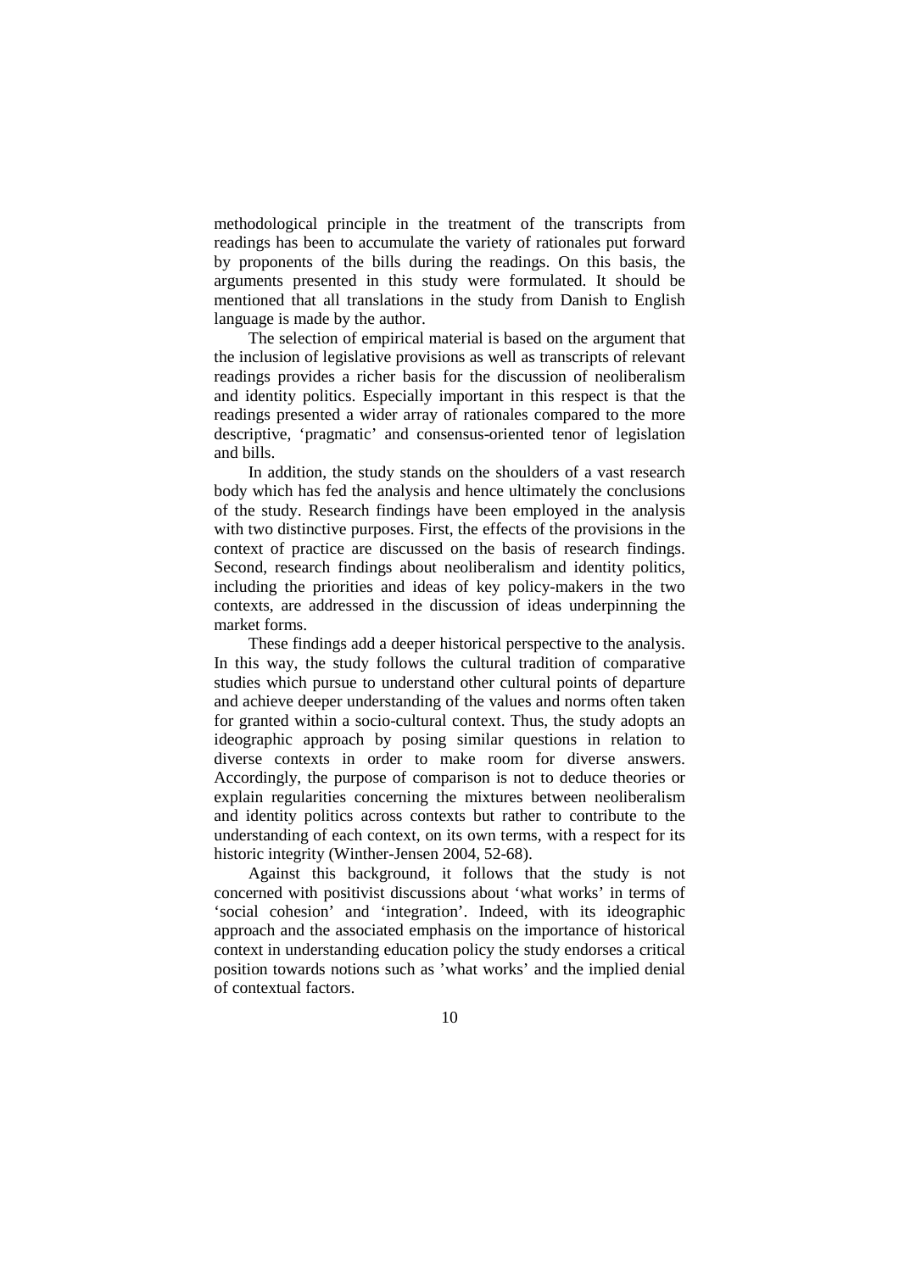methodological principle in the treatment of the transcripts from readings has been to accumulate the variety of rationales put forward by proponents of the bills during the readings. On this basis, the arguments presented in this study were formulated. It should be mentioned that all translations in the study from Danish to English language is made by the author.

The selection of empirical material is based on the argument that the inclusion of legislative provisions as well as transcripts of relevant readings provides a richer basis for the discussion of neoliberalism and identity politics. Especially important in this respect is that the readings presented a wider array of rationales compared to the more descriptive, 'pragmatic' and consensus-oriented tenor of legislation and bills.

In addition, the study stands on the shoulders of a vast research body which has fed the analysis and hence ultimately the conclusions of the study. Research findings have been employed in the analysis with two distinctive purposes. First, the effects of the provisions in the context of practice are discussed on the basis of research findings. Second, research findings about neoliberalism and identity politics, including the priorities and ideas of key policy-makers in the two contexts, are addressed in the discussion of ideas underpinning the market forms.

These findings add a deeper historical perspective to the analysis. In this way, the study follows the cultural tradition of comparative studies which pursue to understand other cultural points of departure and achieve deeper understanding of the values and norms often taken for granted within a socio-cultural context. Thus, the study adopts an ideographic approach by posing similar questions in relation to diverse contexts in order to make room for diverse answers. Accordingly, the purpose of comparison is not to deduce theories or explain regularities concerning the mixtures between neoliberalism and identity politics across contexts but rather to contribute to the understanding of each context, on its own terms, with a respect for its historic integrity (Winther-Jensen 2004, 52-68).

Against this background, it follows that the study is not concerned with positivist discussions about 'what works' in terms of 'social cohesion' and 'integration'. Indeed, with its ideographic approach and the associated emphasis on the importance of historical context in understanding education policy the study endorses a critical position towards notions such as 'what works' and the implied denial of contextual factors.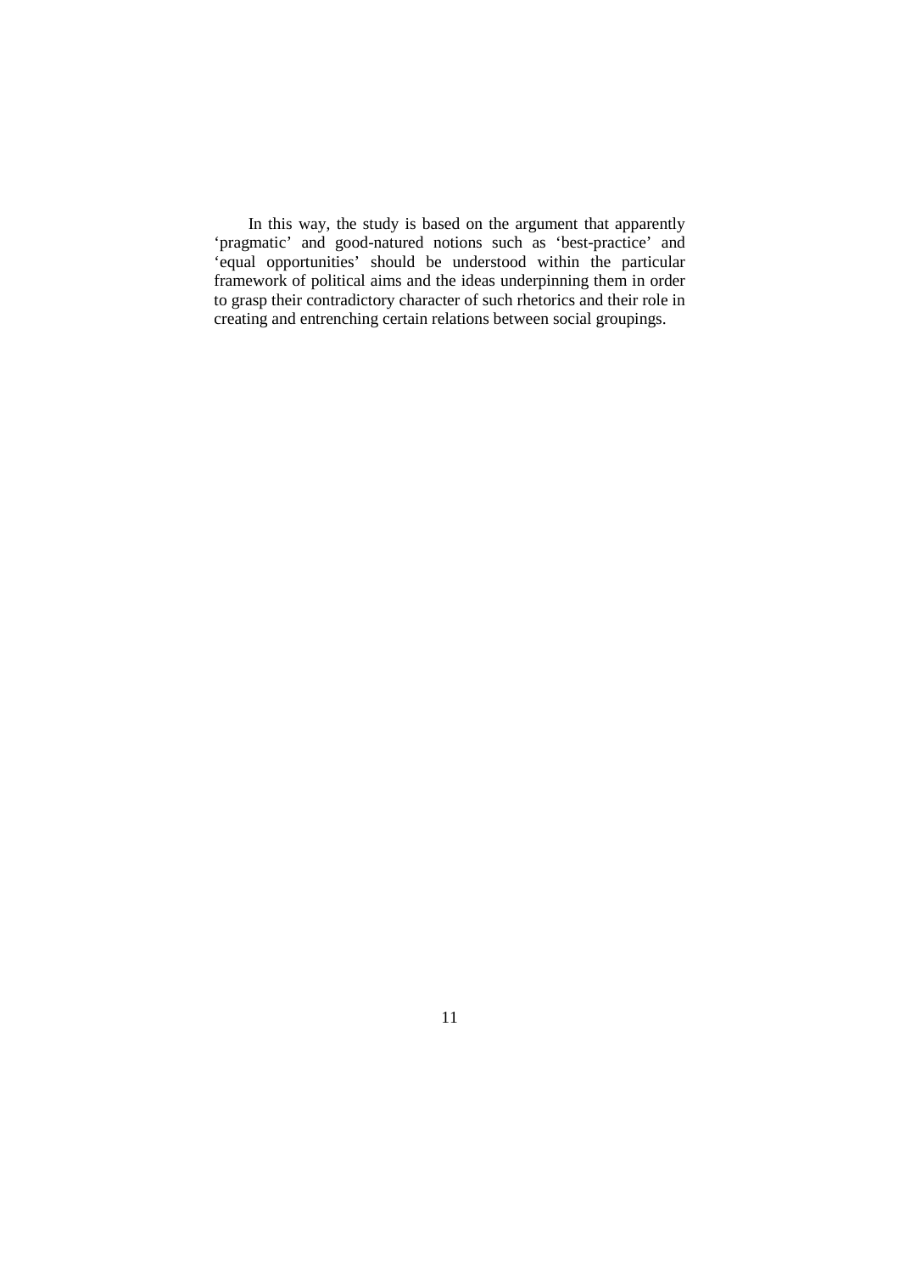In this way, the study is based on the argument that apparently 'pragmatic' and good-natured notions such as 'best-practice' and 'equal opportunities' should be understood within the particular framework of political aims and the ideas underpinning them in order to grasp their contradictory character of such rhetorics and their role in creating and entrenching certain relations between social groupings.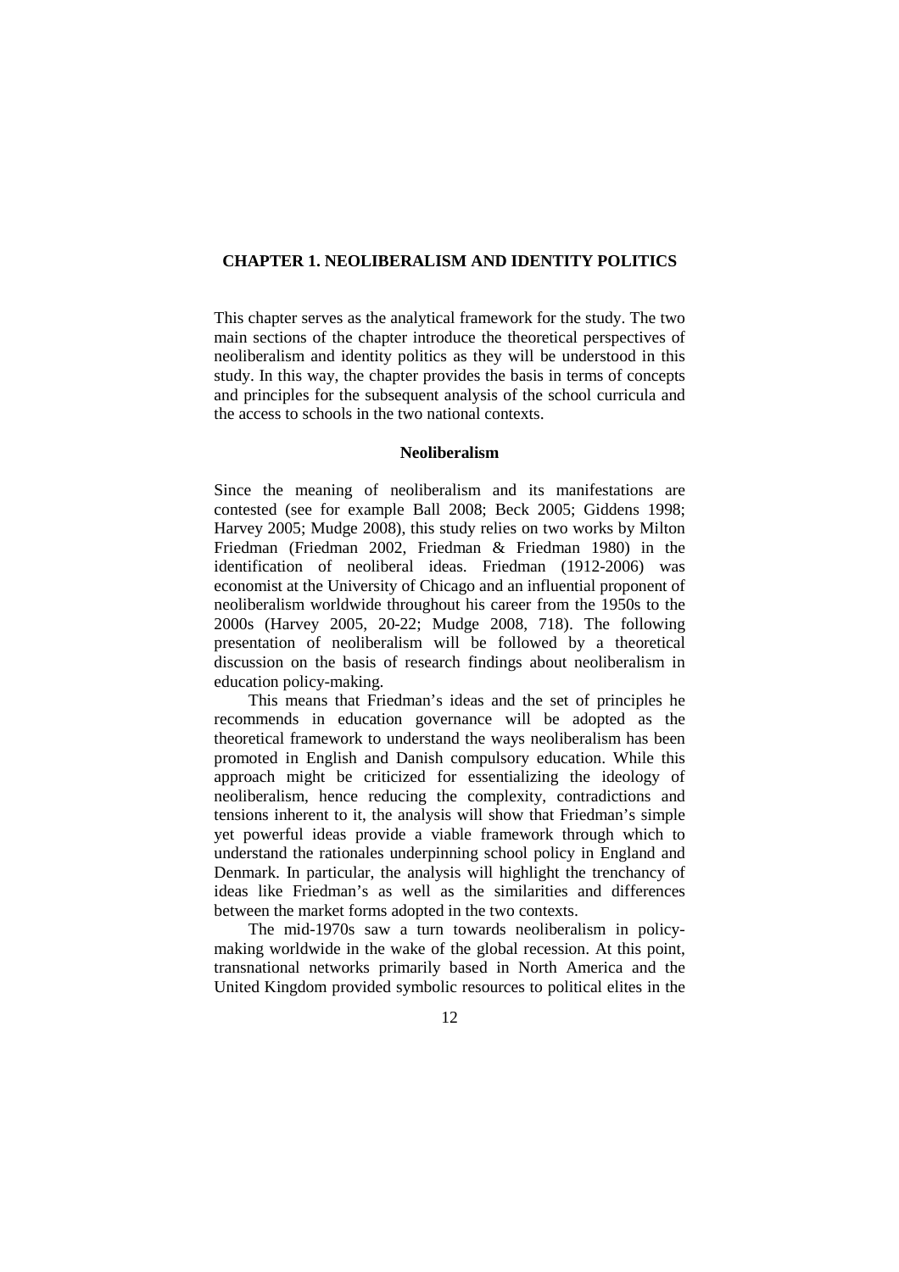# **CHAPTER 1. NEOLIBERALISM AND IDENTITY POLITICS**

This chapter serves as the analytical framework for the study. The two main sections of the chapter introduce the theoretical perspectives of neoliberalism and identity politics as they will be understood in this study. In this way, the chapter provides the basis in terms of concepts and principles for the subsequent analysis of the school curricula and the access to schools in the two national contexts.

#### **Neoliberalism**

Since the meaning of neoliberalism and its manifestations are contested (see for example Ball 2008; Beck 2005; Giddens 1998; Harvey 2005; Mudge 2008), this study relies on two works by Milton Friedman (Friedman 2002, Friedman & Friedman 1980) in the identification of neoliberal ideas. Friedman (1912-2006) was economist at the University of Chicago and an influential proponent of neoliberalism worldwide throughout his career from the 1950s to the 2000s (Harvey 2005, 20-22; Mudge 2008, 718). The following presentation of neoliberalism will be followed by a theoretical discussion on the basis of research findings about neoliberalism in education policy-making.

This means that Friedman's ideas and the set of principles he recommends in education governance will be adopted as the theoretical framework to understand the ways neoliberalism has been promoted in English and Danish compulsory education. While this approach might be criticized for essentializing the ideology of neoliberalism, hence reducing the complexity, contradictions and tensions inherent to it, the analysis will show that Friedman's simple yet powerful ideas provide a viable framework through which to understand the rationales underpinning school policy in England and Denmark. In particular, the analysis will highlight the trenchancy of ideas like Friedman's as well as the similarities and differences between the market forms adopted in the two contexts.

The mid-1970s saw a turn towards neoliberalism in policymaking worldwide in the wake of the global recession. At this point, transnational networks primarily based in North America and the United Kingdom provided symbolic resources to political elites in the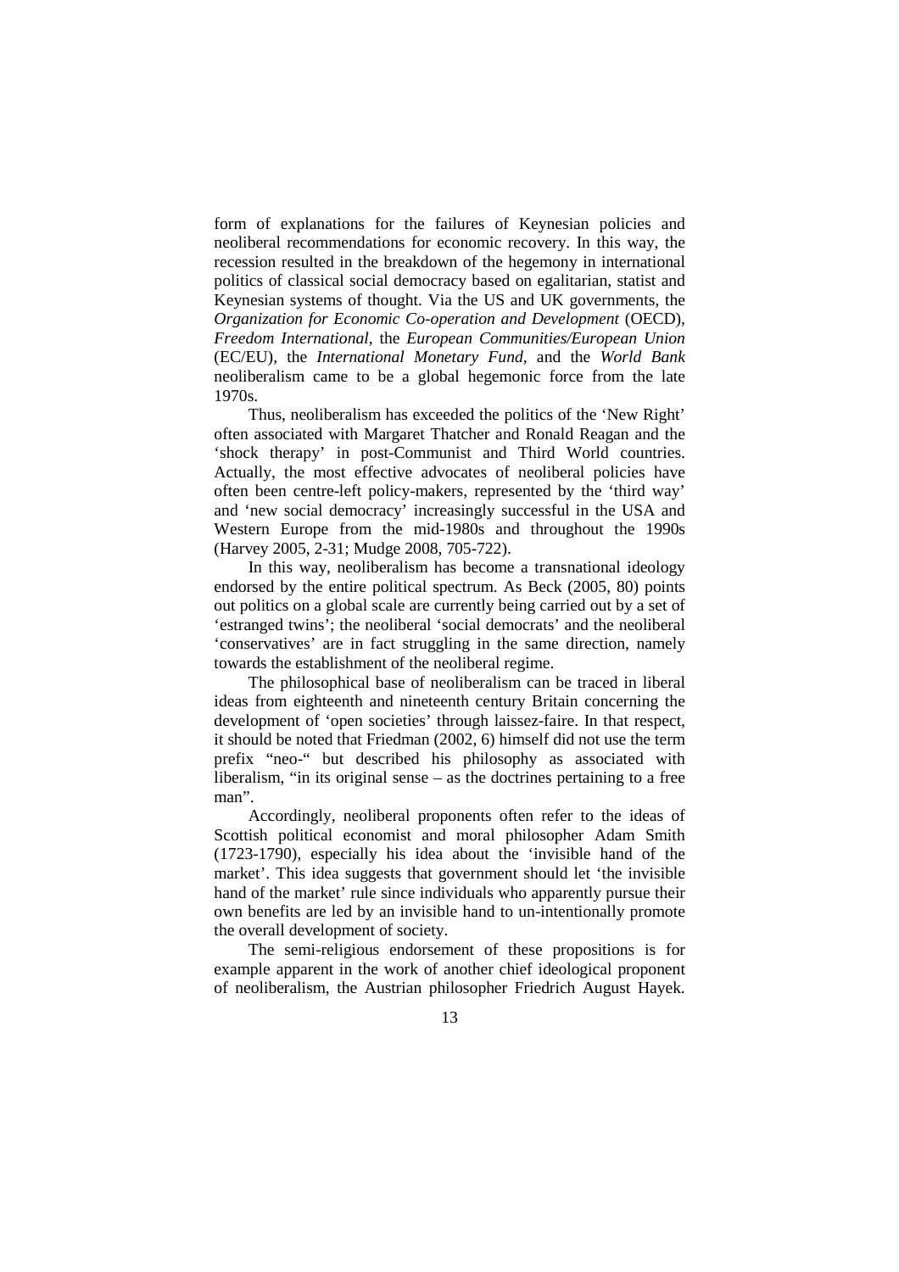form of explanations for the failures of Keynesian policies and neoliberal recommendations for economic recovery. In this way, the recession resulted in the breakdown of the hegemony in international politics of classical social democracy based on egalitarian, statist and Keynesian systems of thought. Via the US and UK governments, the *Organization for Economic Co-operation and Development* (OECD), *Freedom International*, the *European Communities/European Union* (EC/EU), the *International Monetary Fund*, and the *World Bank* neoliberalism came to be a global hegemonic force from the late 1970s.

Thus, neoliberalism has exceeded the politics of the 'New Right' often associated with Margaret Thatcher and Ronald Reagan and the 'shock therapy' in post-Communist and Third World countries. Actually, the most effective advocates of neoliberal policies have often been centre-left policy-makers, represented by the 'third way' and 'new social democracy' increasingly successful in the USA and Western Europe from the mid-1980s and throughout the 1990s (Harvey 2005, 2-31; Mudge 2008, 705-722).

In this way, neoliberalism has become a transnational ideology endorsed by the entire political spectrum. As Beck (2005, 80) points out politics on a global scale are currently being carried out by a set of 'estranged twins'; the neoliberal 'social democrats' and the neoliberal 'conservatives' are in fact struggling in the same direction, namely towards the establishment of the neoliberal regime.

The philosophical base of neoliberalism can be traced in liberal ideas from eighteenth and nineteenth century Britain concerning the development of 'open societies' through laissez-faire. In that respect, it should be noted that Friedman (2002, 6) himself did not use the term prefix "neo-" but described his philosophy as associated with liberalism, "in its original sense – as the doctrines pertaining to a free man".

Accordingly, neoliberal proponents often refer to the ideas of Scottish political economist and moral philosopher Adam Smith (1723-1790), especially his idea about the 'invisible hand of the market'. This idea suggests that government should let 'the invisible hand of the market' rule since individuals who apparently pursue their own benefits are led by an invisible hand to un-intentionally promote the overall development of society.

The semi-religious endorsement of these propositions is for example apparent in the work of another chief ideological proponent of neoliberalism, the Austrian philosopher Friedrich August Hayek.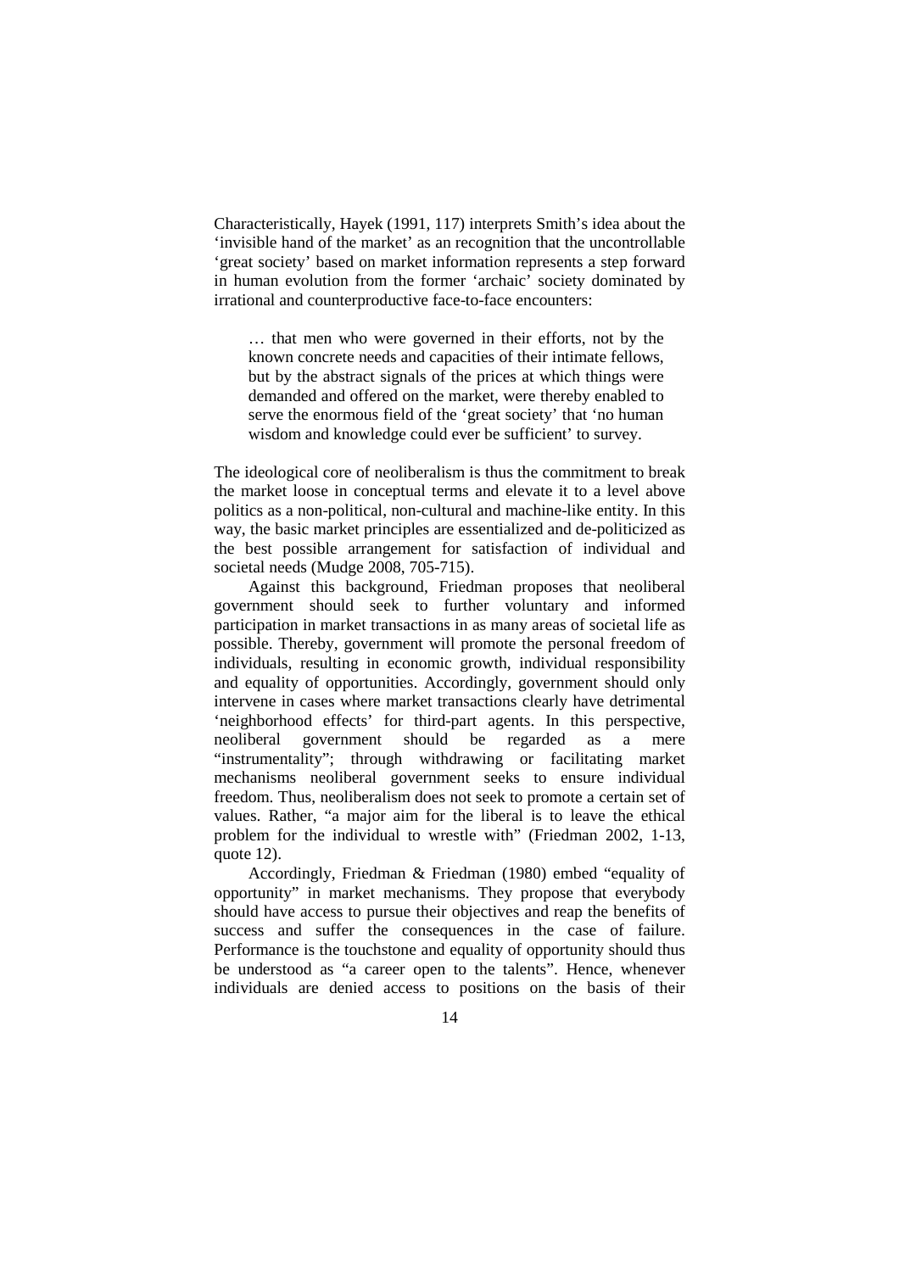Characteristically, Hayek (1991, 117) interprets Smith's idea about the 'invisible hand of the market' as an recognition that the uncontrollable 'great society' based on market information represents a step forward in human evolution from the former 'archaic' society dominated by irrational and counterproductive face-to-face encounters:

… that men who were governed in their efforts, not by the known concrete needs and capacities of their intimate fellows, but by the abstract signals of the prices at which things were demanded and offered on the market, were thereby enabled to serve the enormous field of the 'great society' that 'no human wisdom and knowledge could ever be sufficient' to survey.

The ideological core of neoliberalism is thus the commitment to break the market loose in conceptual terms and elevate it to a level above politics as a non-political, non-cultural and machine-like entity. In this way, the basic market principles are essentialized and de-politicized as the best possible arrangement for satisfaction of individual and societal needs (Mudge 2008, 705-715).

Against this background, Friedman proposes that neoliberal government should seek to further voluntary and informed participation in market transactions in as many areas of societal life as possible. Thereby, government will promote the personal freedom of individuals, resulting in economic growth, individual responsibility and equality of opportunities. Accordingly, government should only intervene in cases where market transactions clearly have detrimental 'neighborhood effects' for third-part agents. In this perspective, neoliberal government should be regarded as a mere "instrumentality"; through withdrawing or facilitating market mechanisms neoliberal government seeks to ensure individual freedom. Thus, neoliberalism does not seek to promote a certain set of values. Rather, "a major aim for the liberal is to leave the ethical problem for the individual to wrestle with" (Friedman 2002, 1-13, quote 12).

Accordingly, Friedman & Friedman (1980) embed "equality of opportunity" in market mechanisms. They propose that everybody should have access to pursue their objectives and reap the benefits of success and suffer the consequences in the case of failure. Performance is the touchstone and equality of opportunity should thus be understood as "a career open to the talents". Hence, whenever individuals are denied access to positions on the basis of their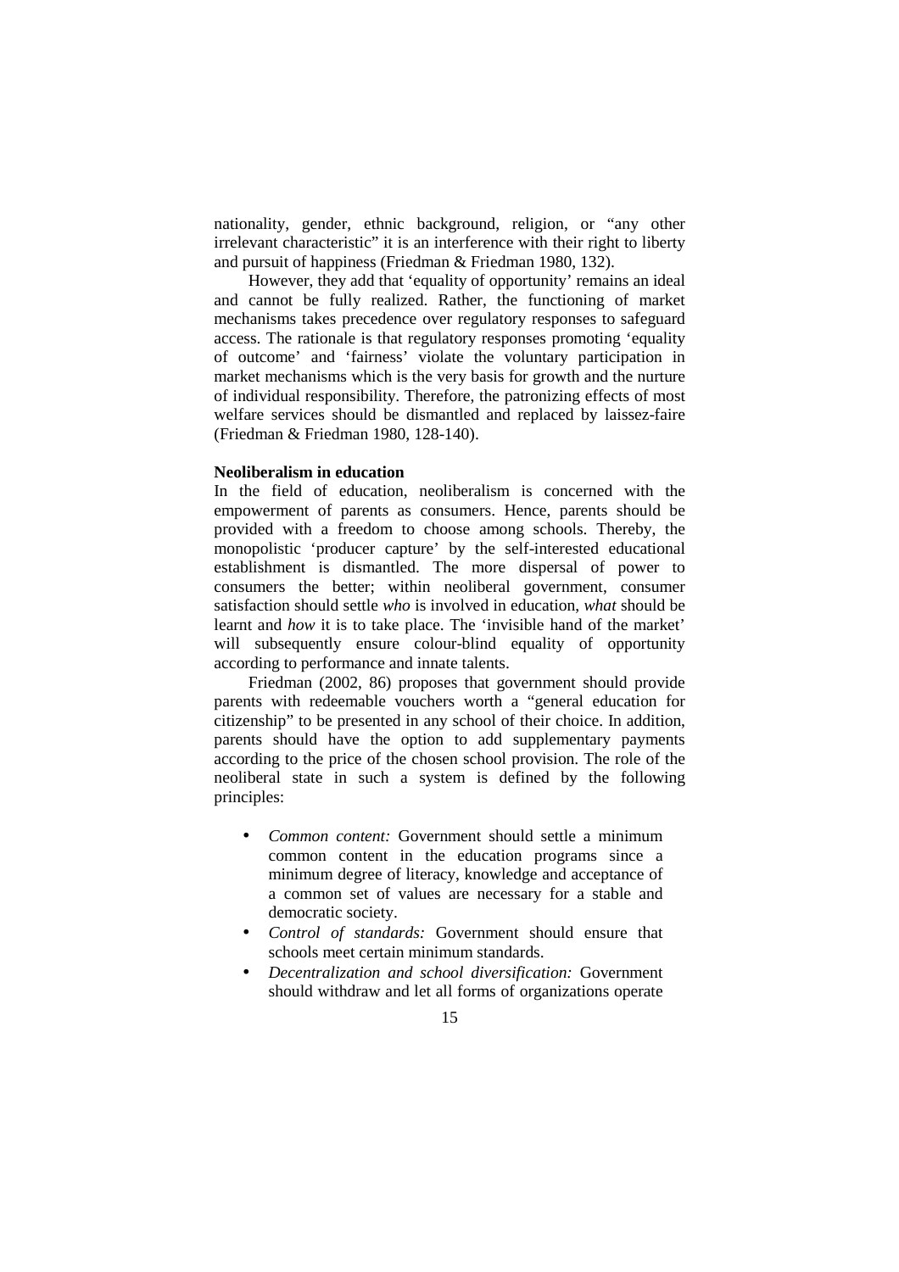nationality, gender, ethnic background, religion, or "any other irrelevant characteristic" it is an interference with their right to liberty and pursuit of happiness (Friedman & Friedman 1980, 132).

However, they add that 'equality of opportunity' remains an ideal and cannot be fully realized. Rather, the functioning of market mechanisms takes precedence over regulatory responses to safeguard access. The rationale is that regulatory responses promoting 'equality of outcome' and 'fairness' violate the voluntary participation in market mechanisms which is the very basis for growth and the nurture of individual responsibility. Therefore, the patronizing effects of most welfare services should be dismantled and replaced by laissez-faire (Friedman & Friedman 1980, 128-140).

## **Neoliberalism in education**

In the field of education, neoliberalism is concerned with the empowerment of parents as consumers. Hence, parents should be provided with a freedom to choose among schools. Thereby, the monopolistic 'producer capture' by the self-interested educational establishment is dismantled. The more dispersal of power to consumers the better; within neoliberal government, consumer satisfaction should settle *who* is involved in education, *what* should be learnt and *how* it is to take place. The 'invisible hand of the market' will subsequently ensure colour-blind equality of opportunity according to performance and innate talents.

Friedman (2002, 86) proposes that government should provide parents with redeemable vouchers worth a "general education for citizenship" to be presented in any school of their choice. In addition, parents should have the option to add supplementary payments according to the price of the chosen school provision. The role of the neoliberal state in such a system is defined by the following principles:

- *Common content:* Government should settle a minimum common content in the education programs since a minimum degree of literacy, knowledge and acceptance of a common set of values are necessary for a stable and democratic society.
- *Control of standards:* Government should ensure that schools meet certain minimum standards.
- *Decentralization and school diversification:* Government should withdraw and let all forms of organizations operate
	- 15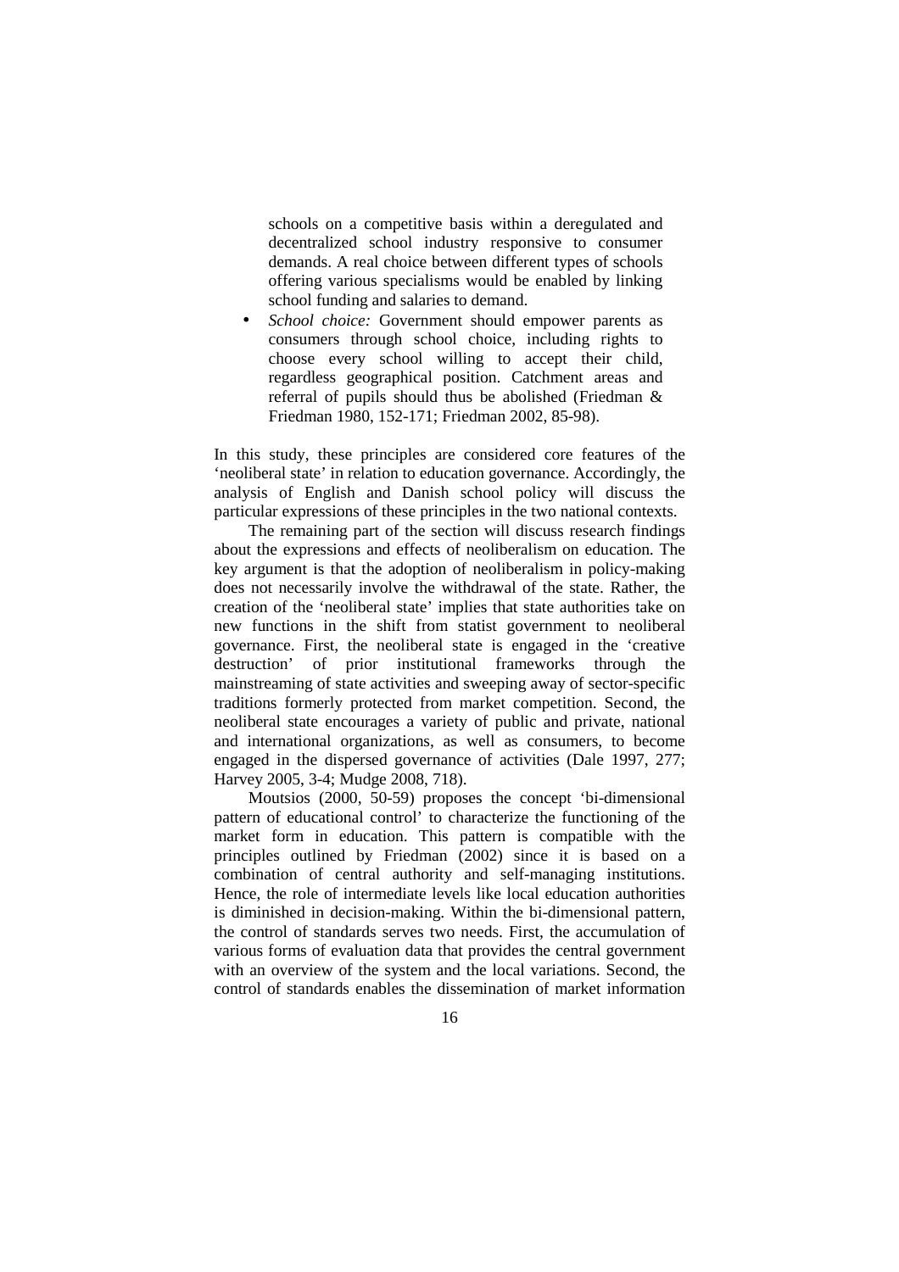schools on a competitive basis within a deregulated and decentralized school industry responsive to consumer demands. A real choice between different types of schools offering various specialisms would be enabled by linking school funding and salaries to demand.

School choice: Government should empower parents as consumers through school choice, including rights to choose every school willing to accept their child, regardless geographical position. Catchment areas and referral of pupils should thus be abolished (Friedman & Friedman 1980, 152-171; Friedman 2002, 85-98).

In this study, these principles are considered core features of the 'neoliberal state' in relation to education governance. Accordingly, the analysis of English and Danish school policy will discuss the particular expressions of these principles in the two national contexts.

The remaining part of the section will discuss research findings about the expressions and effects of neoliberalism on education. The key argument is that the adoption of neoliberalism in policy-making does not necessarily involve the withdrawal of the state. Rather, the creation of the 'neoliberal state' implies that state authorities take on new functions in the shift from statist government to neoliberal governance. First, the neoliberal state is engaged in the 'creative destruction' of prior institutional frameworks through the mainstreaming of state activities and sweeping away of sector-specific traditions formerly protected from market competition. Second, the neoliberal state encourages a variety of public and private, national and international organizations, as well as consumers, to become engaged in the dispersed governance of activities (Dale 1997, 277; Harvey 2005, 3-4; Mudge 2008, 718).

Moutsios (2000, 50-59) proposes the concept 'bi-dimensional pattern of educational control' to characterize the functioning of the market form in education. This pattern is compatible with the principles outlined by Friedman (2002) since it is based on a combination of central authority and self-managing institutions. Hence, the role of intermediate levels like local education authorities is diminished in decision-making. Within the bi-dimensional pattern, the control of standards serves two needs. First, the accumulation of various forms of evaluation data that provides the central government with an overview of the system and the local variations. Second, the control of standards enables the dissemination of market information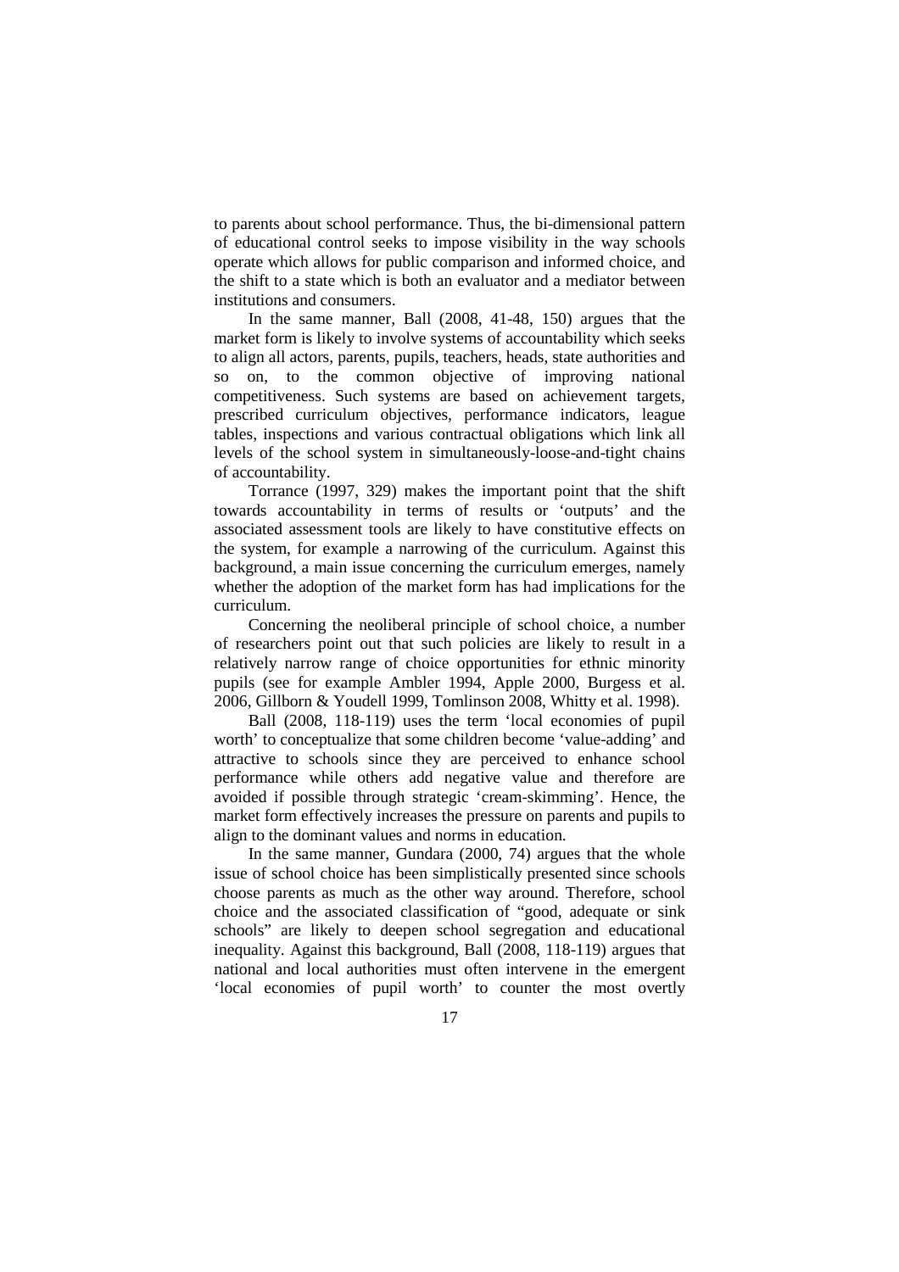to parents about school performance. Thus, the bi-dimensional pattern of educational control seeks to impose visibility in the way schools operate which allows for public comparison and informed choice, and the shift to a state which is both an evaluator and a mediator between institutions and consumers.

In the same manner, Ball (2008, 41-48, 150) argues that the market form is likely to involve systems of accountability which seeks to align all actors, parents, pupils, teachers, heads, state authorities and on, to the common objective of improving national competitiveness. Such systems are based on achievement targets, prescribed curriculum objectives, performance indicators, league tables, inspections and various contractual obligations which link all levels of the school system in simultaneously-loose-and-tight chains of accountability.

Torrance (1997, 329) makes the important point that the shift towards accountability in terms of results or 'outputs' and the associated assessment tools are likely to have constitutive effects on the system, for example a narrowing of the curriculum. Against this background, a main issue concerning the curriculum emerges, namely whether the adoption of the market form has had implications for the curriculum.

Concerning the neoliberal principle of school choice, a number of researchers point out that such policies are likely to result in a relatively narrow range of choice opportunities for ethnic minority pupils (see for example Ambler 1994, Apple 2000, Burgess et al. 2006, Gillborn & Youdell 1999, Tomlinson 2008, Whitty et al. 1998).

Ball (2008, 118-119) uses the term 'local economies of pupil worth' to conceptualize that some children become 'value-adding' and attractive to schools since they are perceived to enhance school performance while others add negative value and therefore are avoided if possible through strategic 'cream-skimming'. Hence, the market form effectively increases the pressure on parents and pupils to align to the dominant values and norms in education.

In the same manner, Gundara (2000, 74) argues that the whole issue of school choice has been simplistically presented since schools choose parents as much as the other way around. Therefore, school choice and the associated classification of "good, adequate or sink schools" are likely to deepen school segregation and educational inequality. Against this background, Ball (2008, 118-119) argues that national and local authorities must often intervene in the emergent 'local economies of pupil worth' to counter the most overtly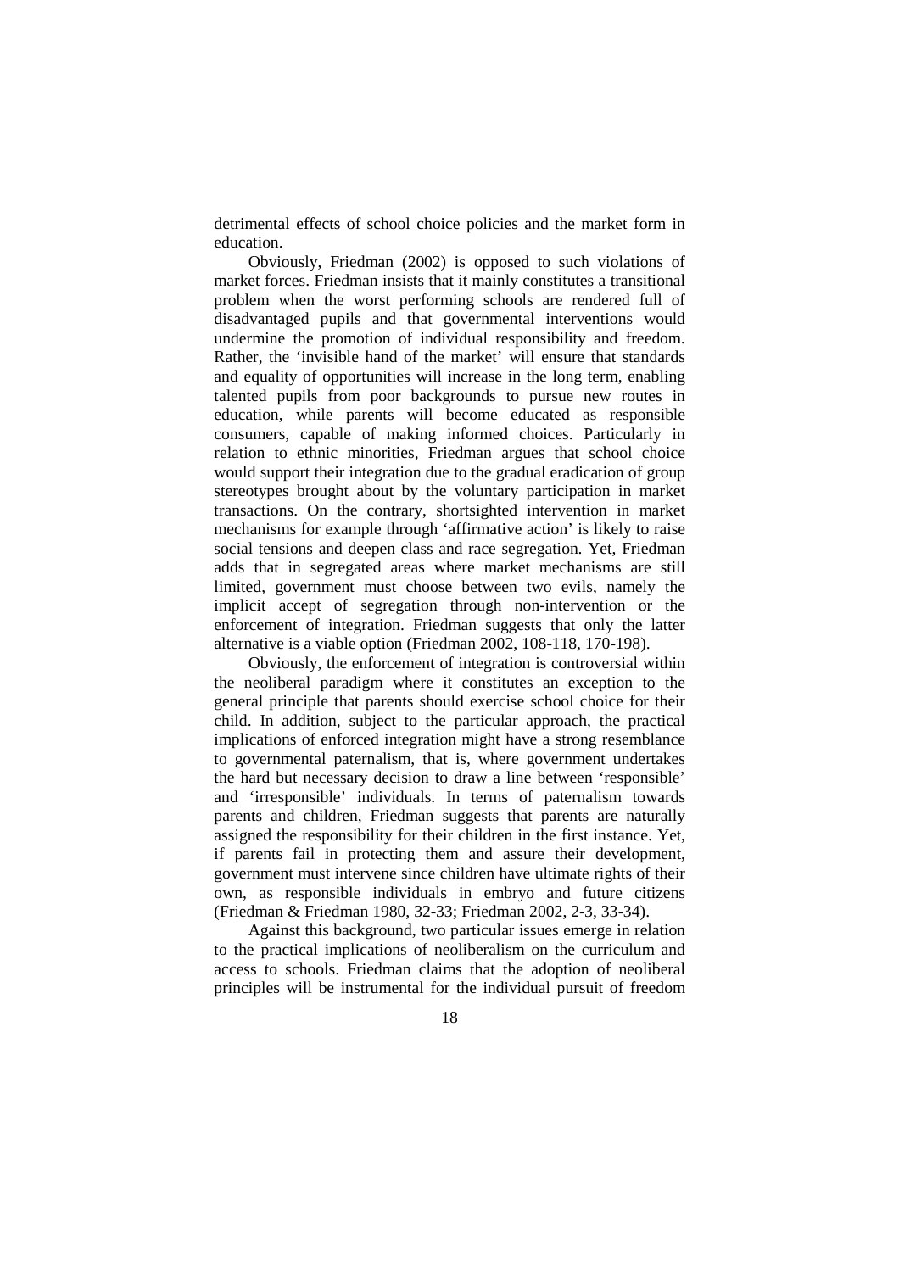detrimental effects of school choice policies and the market form in education.

Obviously, Friedman (2002) is opposed to such violations of market forces. Friedman insists that it mainly constitutes a transitional problem when the worst performing schools are rendered full of disadvantaged pupils and that governmental interventions would undermine the promotion of individual responsibility and freedom. Rather, the 'invisible hand of the market' will ensure that standards and equality of opportunities will increase in the long term, enabling talented pupils from poor backgrounds to pursue new routes in education, while parents will become educated as responsible consumers, capable of making informed choices. Particularly in relation to ethnic minorities, Friedman argues that school choice would support their integration due to the gradual eradication of group stereotypes brought about by the voluntary participation in market transactions. On the contrary, shortsighted intervention in market mechanisms for example through 'affirmative action' is likely to raise social tensions and deepen class and race segregation. Yet, Friedman adds that in segregated areas where market mechanisms are still limited, government must choose between two evils, namely the implicit accept of segregation through non-intervention or the enforcement of integration. Friedman suggests that only the latter alternative is a viable option (Friedman 2002, 108-118, 170-198).

Obviously, the enforcement of integration is controversial within the neoliberal paradigm where it constitutes an exception to the general principle that parents should exercise school choice for their child. In addition, subject to the particular approach, the practical implications of enforced integration might have a strong resemblance to governmental paternalism, that is, where government undertakes the hard but necessary decision to draw a line between 'responsible' and 'irresponsible' individuals. In terms of paternalism towards parents and children, Friedman suggests that parents are naturally assigned the responsibility for their children in the first instance. Yet, if parents fail in protecting them and assure their development, government must intervene since children have ultimate rights of their own, as responsible individuals in embryo and future citizens (Friedman & Friedman 1980, 32-33; Friedman 2002, 2-3, 33-34).

Against this background, two particular issues emerge in relation to the practical implications of neoliberalism on the curriculum and access to schools. Friedman claims that the adoption of neoliberal principles will be instrumental for the individual pursuit of freedom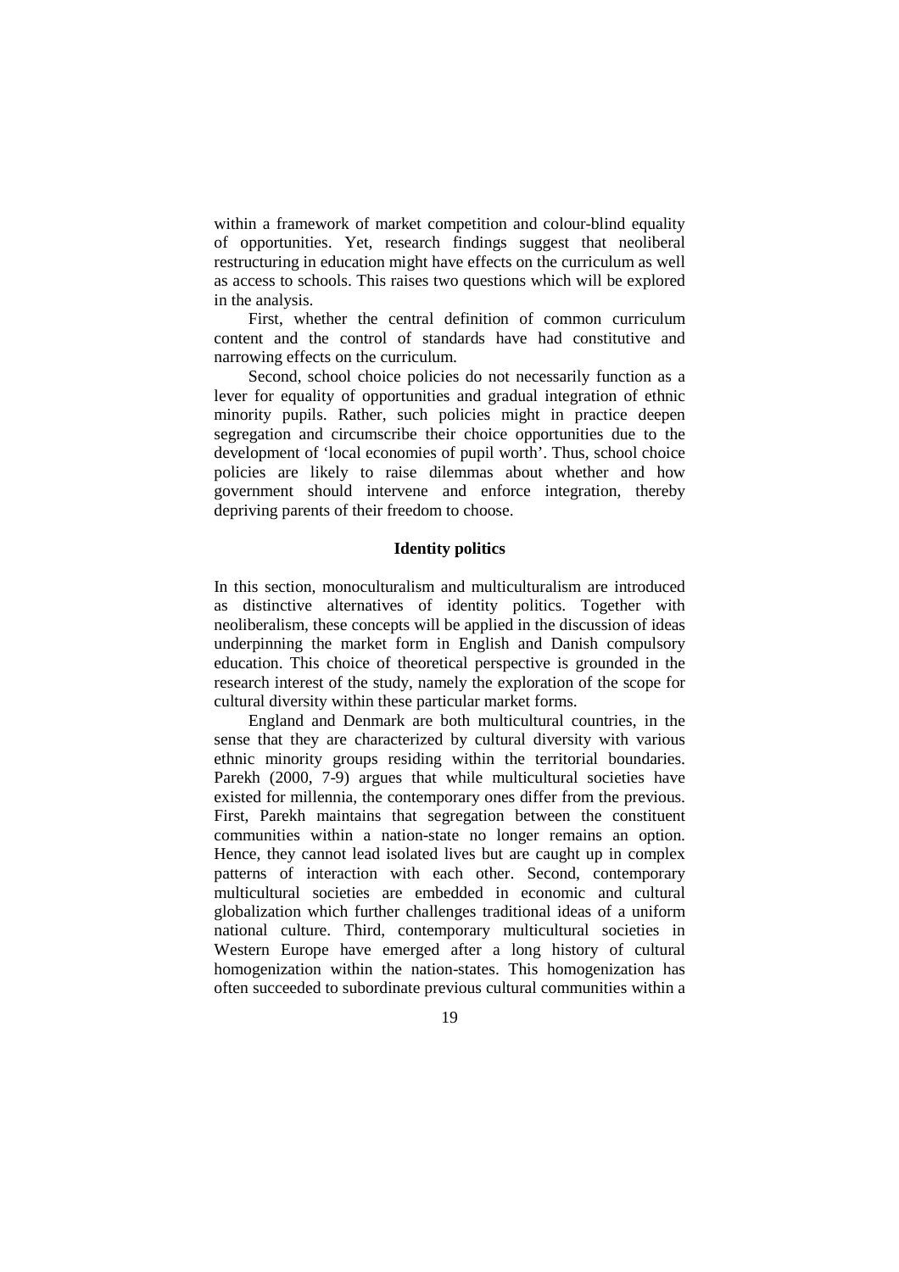within a framework of market competition and colour-blind equality of opportunities. Yet, research findings suggest that neoliberal restructuring in education might have effects on the curriculum as well as access to schools. This raises two questions which will be explored in the analysis.

First, whether the central definition of common curriculum content and the control of standards have had constitutive and narrowing effects on the curriculum.

Second, school choice policies do not necessarily function as a lever for equality of opportunities and gradual integration of ethnic minority pupils. Rather, such policies might in practice deepen segregation and circumscribe their choice opportunities due to the development of 'local economies of pupil worth'. Thus, school choice policies are likely to raise dilemmas about whether and how government should intervene and enforce integration, thereby depriving parents of their freedom to choose.

#### **Identity politics**

In this section, monoculturalism and multiculturalism are introduced as distinctive alternatives of identity politics. Together with neoliberalism, these concepts will be applied in the discussion of ideas underpinning the market form in English and Danish compulsory education. This choice of theoretical perspective is grounded in the research interest of the study, namely the exploration of the scope for cultural diversity within these particular market forms.

England and Denmark are both multicultural countries, in the sense that they are characterized by cultural diversity with various ethnic minority groups residing within the territorial boundaries. Parekh (2000, 7-9) argues that while multicultural societies have existed for millennia, the contemporary ones differ from the previous. First, Parekh maintains that segregation between the constituent communities within a nation-state no longer remains an option. Hence, they cannot lead isolated lives but are caught up in complex patterns of interaction with each other. Second, contemporary multicultural societies are embedded in economic and cultural globalization which further challenges traditional ideas of a uniform national culture. Third, contemporary multicultural societies in Western Europe have emerged after a long history of cultural homogenization within the nation-states. This homogenization has often succeeded to subordinate previous cultural communities within a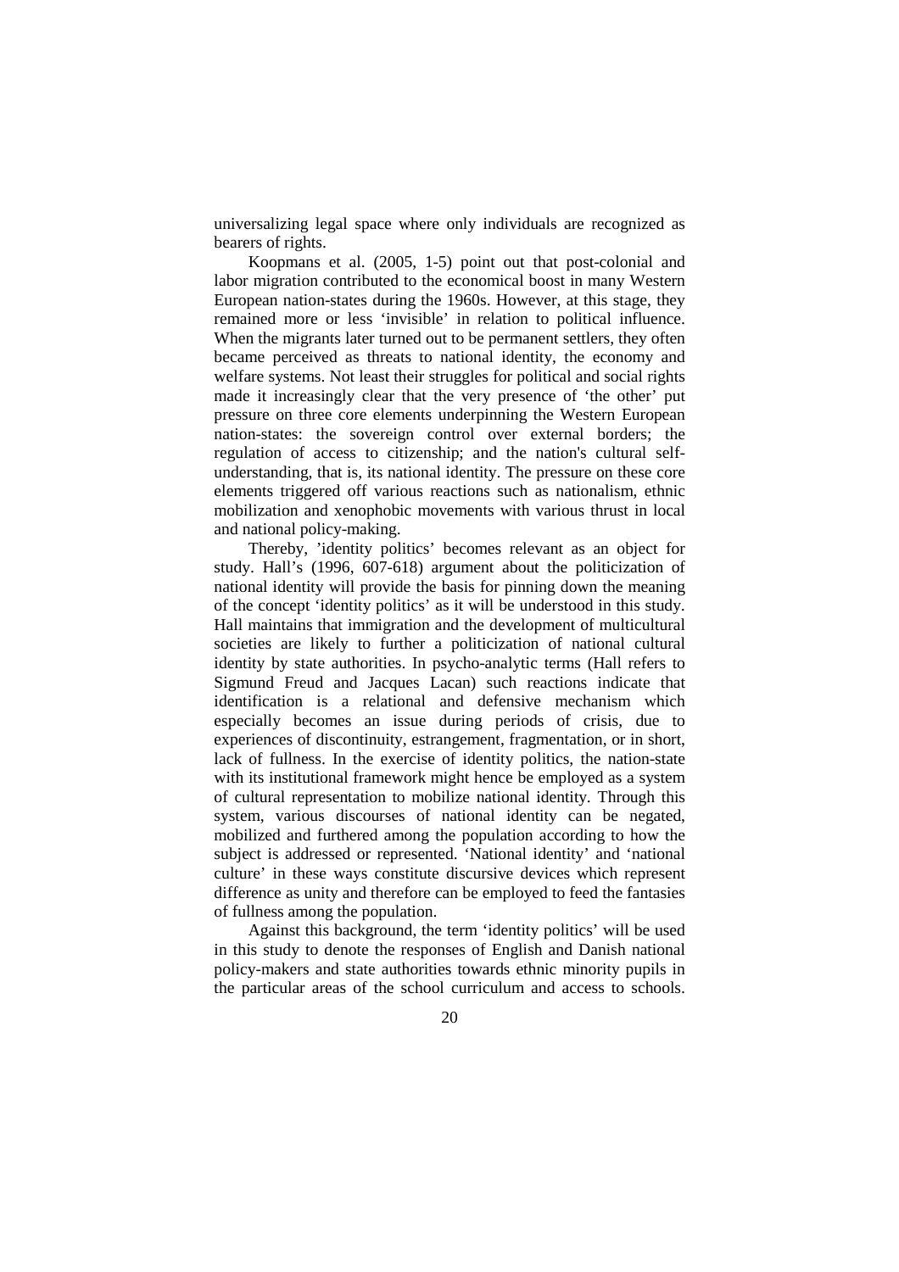universalizing legal space where only individuals are recognized as bearers of rights.

Koopmans et al. (2005, 1-5) point out that post-colonial and labor migration contributed to the economical boost in many Western European nation-states during the 1960s. However, at this stage, they remained more or less 'invisible' in relation to political influence. When the migrants later turned out to be permanent settlers, they often became perceived as threats to national identity, the economy and welfare systems. Not least their struggles for political and social rights made it increasingly clear that the very presence of 'the other' put pressure on three core elements underpinning the Western European nation-states: the sovereign control over external borders; the regulation of access to citizenship; and the nation's cultural selfunderstanding, that is, its national identity. The pressure on these core elements triggered off various reactions such as nationalism, ethnic mobilization and xenophobic movements with various thrust in local and national policy-making.

Thereby, 'identity politics' becomes relevant as an object for study. Hall's (1996, 607-618) argument about the politicization of national identity will provide the basis for pinning down the meaning of the concept 'identity politics' as it will be understood in this study. Hall maintains that immigration and the development of multicultural societies are likely to further a politicization of national cultural identity by state authorities. In psycho-analytic terms (Hall refers to Sigmund Freud and Jacques Lacan) such reactions indicate that identification is a relational and defensive mechanism which especially becomes an issue during periods of crisis, due to experiences of discontinuity, estrangement, fragmentation, or in short, lack of fullness. In the exercise of identity politics, the nation-state with its institutional framework might hence be employed as a system of cultural representation to mobilize national identity. Through this system, various discourses of national identity can be negated, mobilized and furthered among the population according to how the subject is addressed or represented. 'National identity' and 'national culture' in these ways constitute discursive devices which represent difference as unity and therefore can be employed to feed the fantasies of fullness among the population.

Against this background, the term 'identity politics' will be used in this study to denote the responses of English and Danish national policy-makers and state authorities towards ethnic minority pupils in the particular areas of the school curriculum and access to schools.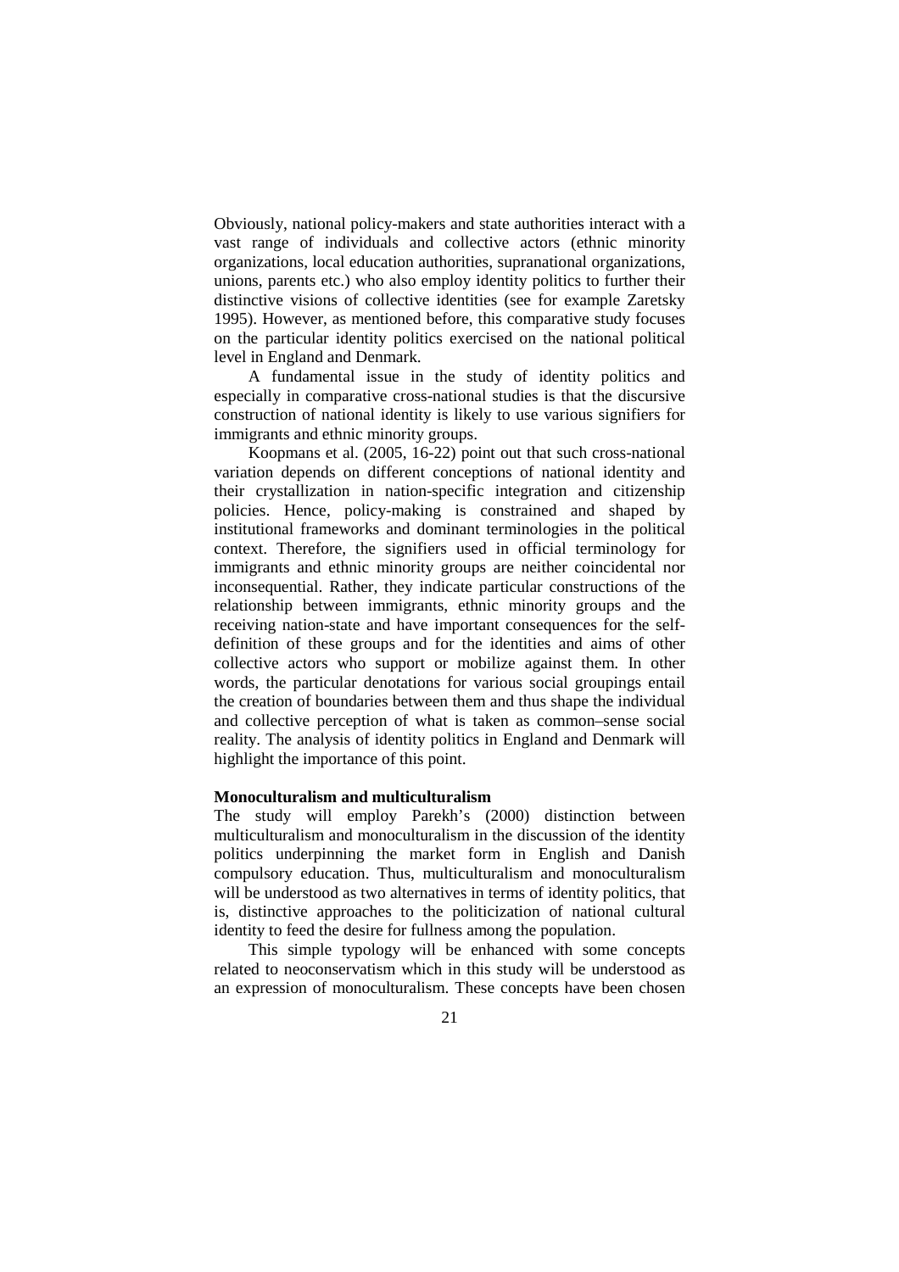Obviously, national policy-makers and state authorities interact with a vast range of individuals and collective actors (ethnic minority organizations, local education authorities, supranational organizations, unions, parents etc.) who also employ identity politics to further their distinctive visions of collective identities (see for example Zaretsky 1995). However, as mentioned before, this comparative study focuses on the particular identity politics exercised on the national political level in England and Denmark.

A fundamental issue in the study of identity politics and especially in comparative cross-national studies is that the discursive construction of national identity is likely to use various signifiers for immigrants and ethnic minority groups.

Koopmans et al. (2005, 16-22) point out that such cross-national variation depends on different conceptions of national identity and their crystallization in nation-specific integration and citizenship policies. Hence, policy-making is constrained and shaped by institutional frameworks and dominant terminologies in the political context. Therefore, the signifiers used in official terminology for immigrants and ethnic minority groups are neither coincidental nor inconsequential. Rather, they indicate particular constructions of the relationship between immigrants, ethnic minority groups and the receiving nation-state and have important consequences for the selfdefinition of these groups and for the identities and aims of other collective actors who support or mobilize against them. In other words, the particular denotations for various social groupings entail the creation of boundaries between them and thus shape the individual and collective perception of what is taken as common–sense social reality. The analysis of identity politics in England and Denmark will highlight the importance of this point.

#### **Monoculturalism and multiculturalism**

The study will employ Parekh's (2000) distinction between multiculturalism and monoculturalism in the discussion of the identity politics underpinning the market form in English and Danish compulsory education. Thus, multiculturalism and monoculturalism will be understood as two alternatives in terms of identity politics, that is, distinctive approaches to the politicization of national cultural identity to feed the desire for fullness among the population.

This simple typology will be enhanced with some concepts related to neoconservatism which in this study will be understood as an expression of monoculturalism. These concepts have been chosen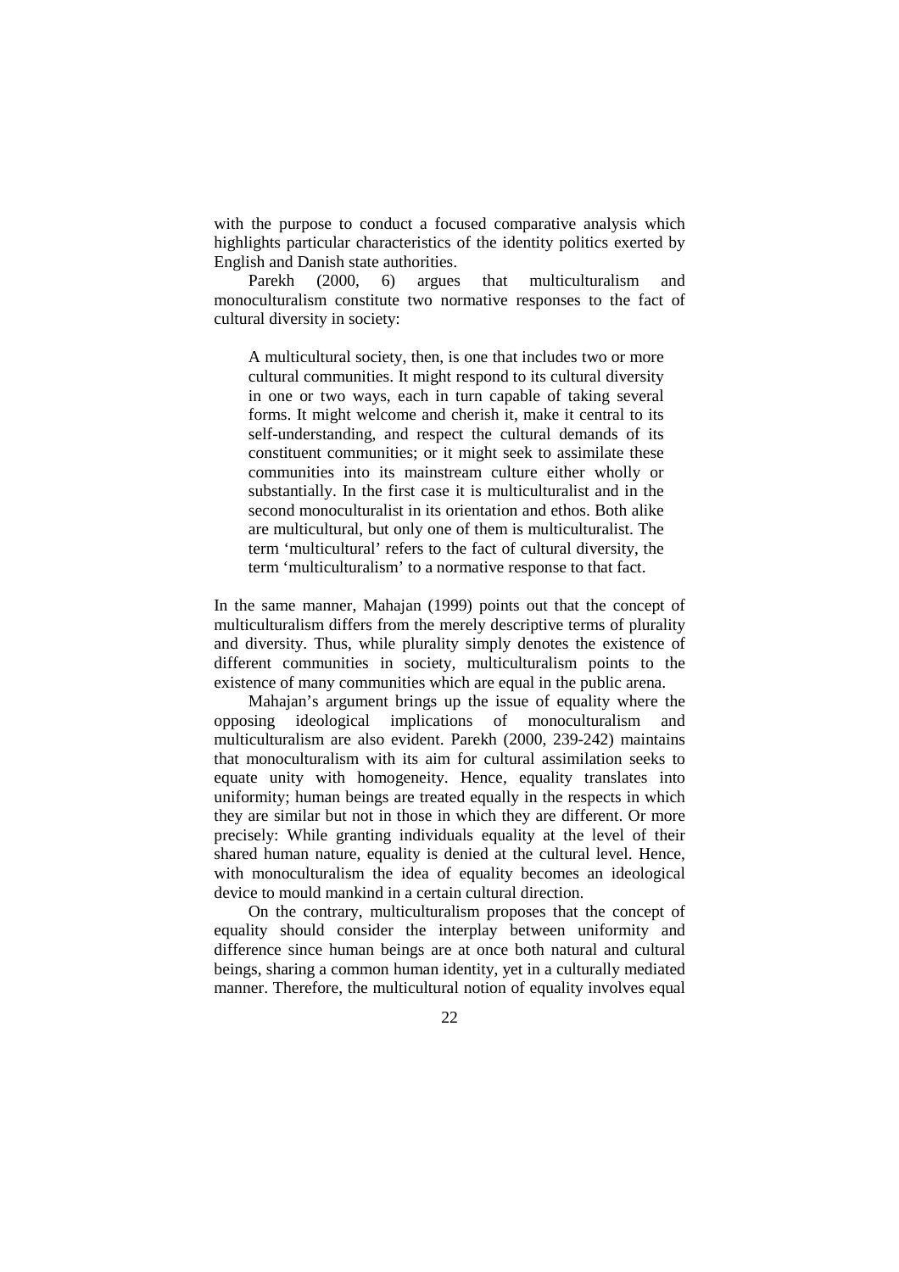with the purpose to conduct a focused comparative analysis which highlights particular characteristics of the identity politics exerted by English and Danish state authorities.

Parekh (2000, 6) argues that multiculturalism and monoculturalism constitute two normative responses to the fact of cultural diversity in society:

A multicultural society, then, is one that includes two or more cultural communities. It might respond to its cultural diversity in one or two ways, each in turn capable of taking several forms. It might welcome and cherish it, make it central to its self-understanding, and respect the cultural demands of its constituent communities; or it might seek to assimilate these communities into its mainstream culture either wholly or substantially. In the first case it is multiculturalist and in the second monoculturalist in its orientation and ethos. Both alike are multicultural, but only one of them is multiculturalist. The term 'multicultural' refers to the fact of cultural diversity, the term 'multiculturalism' to a normative response to that fact.

In the same manner, Mahajan (1999) points out that the concept of multiculturalism differs from the merely descriptive terms of plurality and diversity. Thus, while plurality simply denotes the existence of different communities in society, multiculturalism points to the existence of many communities which are equal in the public arena.

Mahajan's argument brings up the issue of equality where the opposing ideological implications of monoculturalism and multiculturalism are also evident. Parekh (2000, 239-242) maintains that monoculturalism with its aim for cultural assimilation seeks to equate unity with homogeneity. Hence, equality translates into uniformity; human beings are treated equally in the respects in which they are similar but not in those in which they are different. Or more precisely: While granting individuals equality at the level of their shared human nature, equality is denied at the cultural level. Hence, with monoculturalism the idea of equality becomes an ideological device to mould mankind in a certain cultural direction.

On the contrary, multiculturalism proposes that the concept of equality should consider the interplay between uniformity and difference since human beings are at once both natural and cultural beings, sharing a common human identity, yet in a culturally mediated manner. Therefore, the multicultural notion of equality involves equal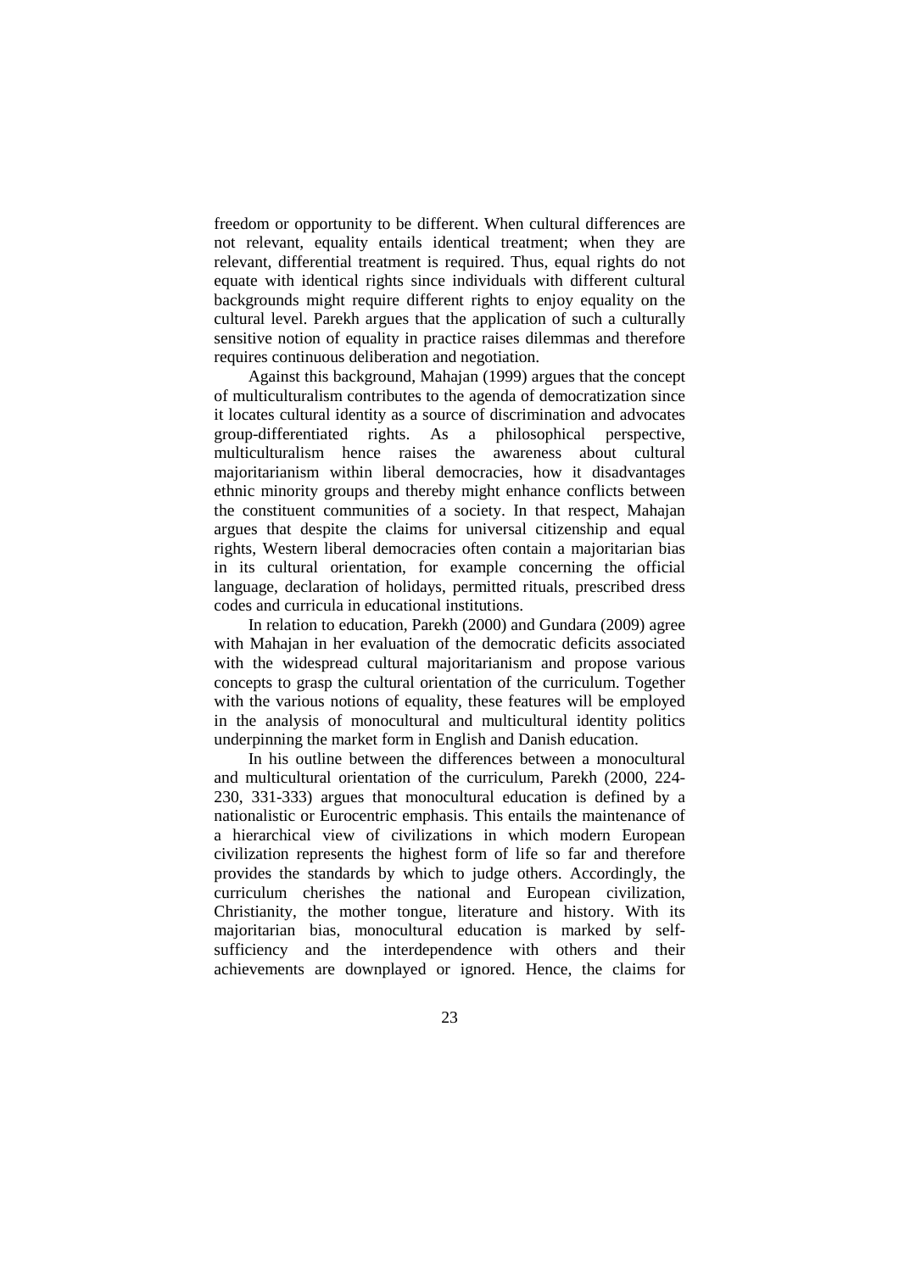freedom or opportunity to be different. When cultural differences are not relevant, equality entails identical treatment; when they are relevant, differential treatment is required. Thus, equal rights do not equate with identical rights since individuals with different cultural backgrounds might require different rights to enjoy equality on the cultural level. Parekh argues that the application of such a culturally sensitive notion of equality in practice raises dilemmas and therefore requires continuous deliberation and negotiation.

Against this background, Mahajan (1999) argues that the concept of multiculturalism contributes to the agenda of democratization since it locates cultural identity as a source of discrimination and advocates group-differentiated rights. As a philosophical perspective, multiculturalism hence raises the awareness about cultural majoritarianism within liberal democracies, how it disadvantages ethnic minority groups and thereby might enhance conflicts between the constituent communities of a society. In that respect, Mahajan argues that despite the claims for universal citizenship and equal rights, Western liberal democracies often contain a majoritarian bias in its cultural orientation, for example concerning the official language, declaration of holidays, permitted rituals, prescribed dress codes and curricula in educational institutions.

In relation to education, Parekh (2000) and Gundara (2009) agree with Mahajan in her evaluation of the democratic deficits associated with the widespread cultural majoritarianism and propose various concepts to grasp the cultural orientation of the curriculum. Together with the various notions of equality, these features will be employed in the analysis of monocultural and multicultural identity politics underpinning the market form in English and Danish education.

In his outline between the differences between a monocultural and multicultural orientation of the curriculum, Parekh (2000, 224- 230, 331-333) argues that monocultural education is defined by a nationalistic or Eurocentric emphasis. This entails the maintenance of a hierarchical view of civilizations in which modern European civilization represents the highest form of life so far and therefore provides the standards by which to judge others. Accordingly, the curriculum cherishes the national and European civilization, Christianity, the mother tongue, literature and history. With its majoritarian bias, monocultural education is marked by selfsufficiency and the interdependence with others and their achievements are downplayed or ignored. Hence, the claims for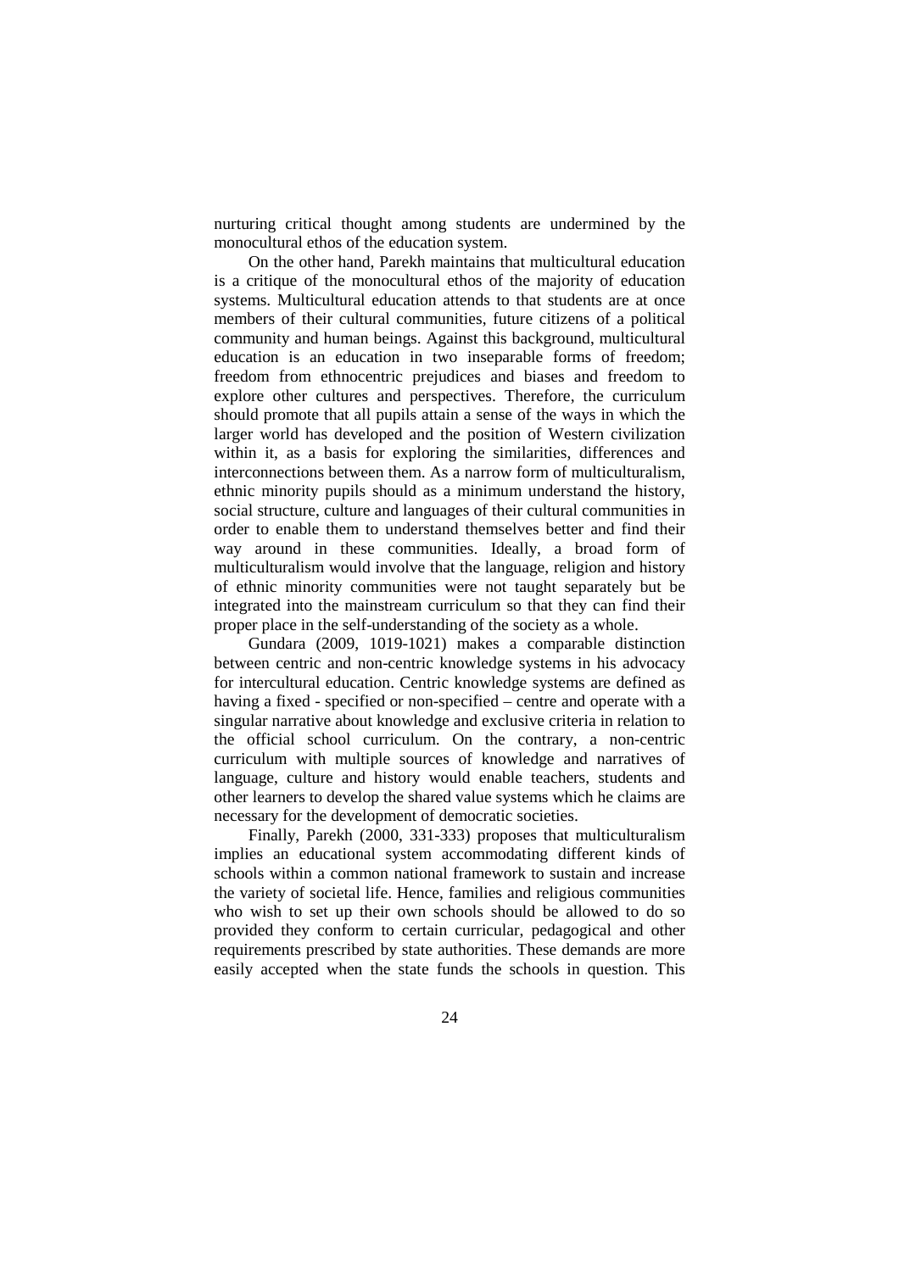nurturing critical thought among students are undermined by the monocultural ethos of the education system.

On the other hand, Parekh maintains that multicultural education is a critique of the monocultural ethos of the majority of education systems. Multicultural education attends to that students are at once members of their cultural communities, future citizens of a political community and human beings. Against this background, multicultural education is an education in two inseparable forms of freedom; freedom from ethnocentric prejudices and biases and freedom to explore other cultures and perspectives. Therefore, the curriculum should promote that all pupils attain a sense of the ways in which the larger world has developed and the position of Western civilization within it, as a basis for exploring the similarities, differences and interconnections between them. As a narrow form of multiculturalism, ethnic minority pupils should as a minimum understand the history, social structure, culture and languages of their cultural communities in order to enable them to understand themselves better and find their way around in these communities. Ideally, a broad form of multiculturalism would involve that the language, religion and history of ethnic minority communities were not taught separately but be integrated into the mainstream curriculum so that they can find their proper place in the self-understanding of the society as a whole.

Gundara (2009, 1019-1021) makes a comparable distinction between centric and non-centric knowledge systems in his advocacy for intercultural education. Centric knowledge systems are defined as having a fixed - specified or non-specified – centre and operate with a singular narrative about knowledge and exclusive criteria in relation to the official school curriculum. On the contrary, a non-centric curriculum with multiple sources of knowledge and narratives of language, culture and history would enable teachers, students and other learners to develop the shared value systems which he claims are necessary for the development of democratic societies.

Finally, Parekh (2000, 331-333) proposes that multiculturalism implies an educational system accommodating different kinds of schools within a common national framework to sustain and increase the variety of societal life. Hence, families and religious communities who wish to set up their own schools should be allowed to do so provided they conform to certain curricular, pedagogical and other requirements prescribed by state authorities. These demands are more easily accepted when the state funds the schools in question. This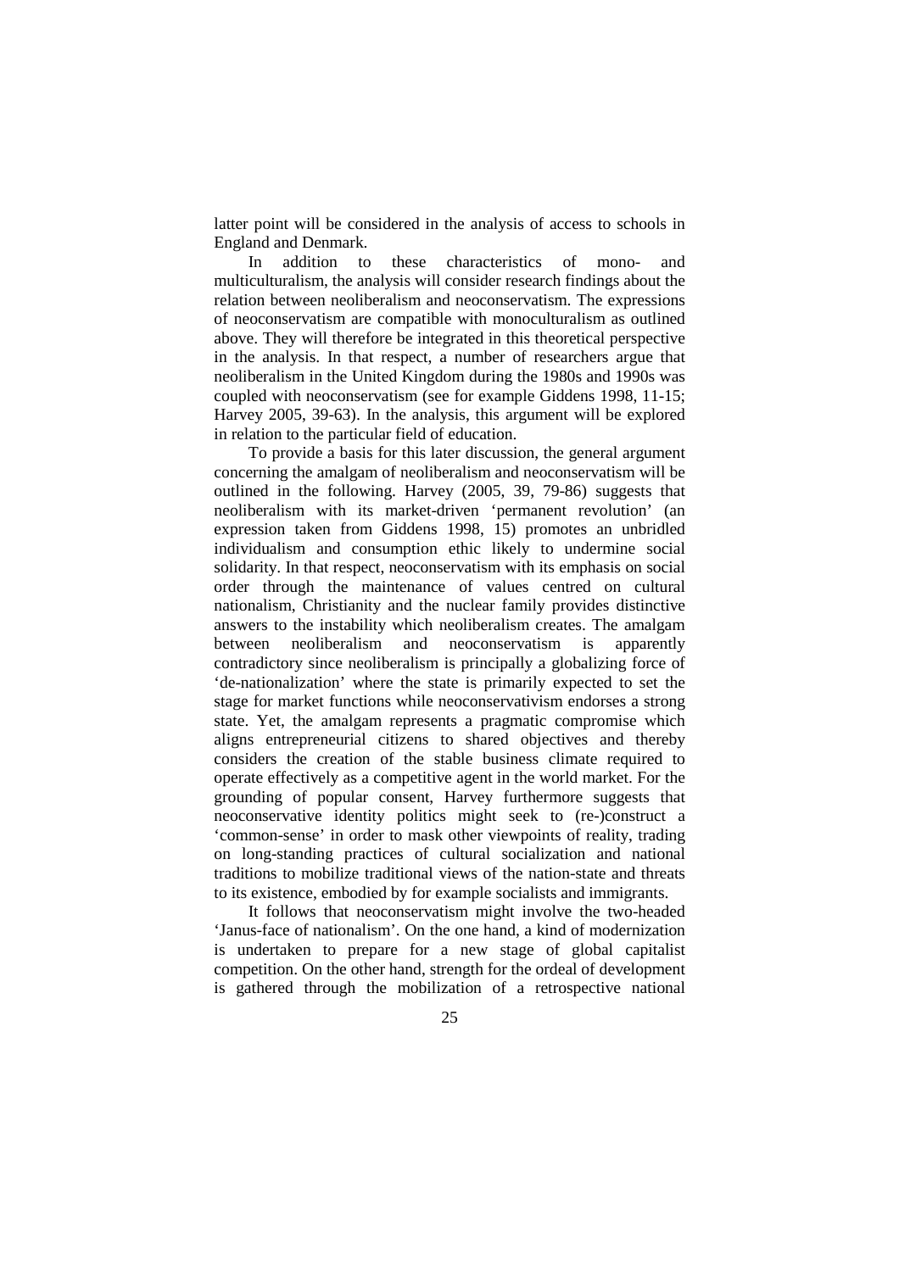latter point will be considered in the analysis of access to schools in England and Denmark.

In addition to these characteristics of mono- and multiculturalism, the analysis will consider research findings about the relation between neoliberalism and neoconservatism. The expressions of neoconservatism are compatible with monoculturalism as outlined above. They will therefore be integrated in this theoretical perspective in the analysis. In that respect, a number of researchers argue that neoliberalism in the United Kingdom during the 1980s and 1990s was coupled with neoconservatism (see for example Giddens 1998, 11-15; Harvey 2005, 39-63). In the analysis, this argument will be explored in relation to the particular field of education.

To provide a basis for this later discussion, the general argument concerning the amalgam of neoliberalism and neoconservatism will be outlined in the following. Harvey (2005, 39, 79-86) suggests that neoliberalism with its market-driven 'permanent revolution' (an expression taken from Giddens 1998, 15) promotes an unbridled individualism and consumption ethic likely to undermine social solidarity. In that respect, neoconservatism with its emphasis on social order through the maintenance of values centred on cultural nationalism, Christianity and the nuclear family provides distinctive answers to the instability which neoliberalism creates. The amalgam between neoliberalism and neoconservatism is apparently contradictory since neoliberalism is principally a globalizing force of 'de-nationalization' where the state is primarily expected to set the stage for market functions while neoconservativism endorses a strong state. Yet, the amalgam represents a pragmatic compromise which aligns entrepreneurial citizens to shared objectives and thereby considers the creation of the stable business climate required to operate effectively as a competitive agent in the world market. For the grounding of popular consent, Harvey furthermore suggests that neoconservative identity politics might seek to (re-)construct a 'common-sense' in order to mask other viewpoints of reality, trading on long-standing practices of cultural socialization and national traditions to mobilize traditional views of the nation-state and threats to its existence, embodied by for example socialists and immigrants.

It follows that neoconservatism might involve the two-headed 'Janus-face of nationalism'. On the one hand, a kind of modernization is undertaken to prepare for a new stage of global capitalist competition. On the other hand, strength for the ordeal of development is gathered through the mobilization of a retrospective national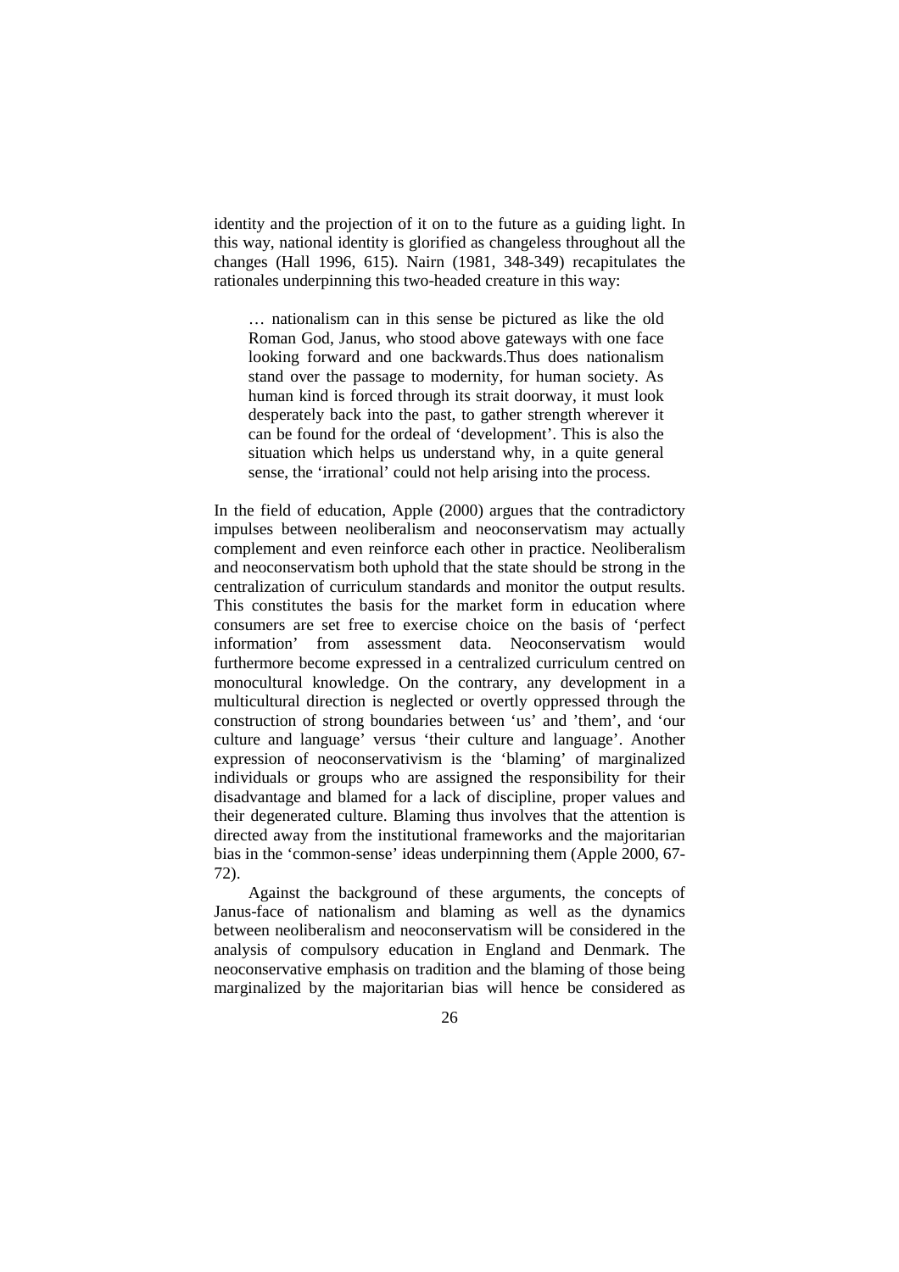identity and the projection of it on to the future as a guiding light. In this way, national identity is glorified as changeless throughout all the changes (Hall 1996, 615). Nairn (1981, 348-349) recapitulates the rationales underpinning this two-headed creature in this way:

… nationalism can in this sense be pictured as like the old Roman God, Janus, who stood above gateways with one face looking forward and one backwards.Thus does nationalism stand over the passage to modernity, for human society. As human kind is forced through its strait doorway, it must look desperately back into the past, to gather strength wherever it can be found for the ordeal of 'development'. This is also the situation which helps us understand why, in a quite general sense, the 'irrational' could not help arising into the process.

In the field of education, Apple (2000) argues that the contradictory impulses between neoliberalism and neoconservatism may actually complement and even reinforce each other in practice. Neoliberalism and neoconservatism both uphold that the state should be strong in the centralization of curriculum standards and monitor the output results. This constitutes the basis for the market form in education where consumers are set free to exercise choice on the basis of 'perfect information' from assessment data. Neoconservatism would furthermore become expressed in a centralized curriculum centred on monocultural knowledge. On the contrary, any development in a multicultural direction is neglected or overtly oppressed through the construction of strong boundaries between 'us' and 'them', and 'our culture and language' versus 'their culture and language'. Another expression of neoconservativism is the 'blaming' of marginalized individuals or groups who are assigned the responsibility for their disadvantage and blamed for a lack of discipline, proper values and their degenerated culture. Blaming thus involves that the attention is directed away from the institutional frameworks and the majoritarian bias in the 'common-sense' ideas underpinning them (Apple 2000, 67- 72).

Against the background of these arguments, the concepts of Janus-face of nationalism and blaming as well as the dynamics between neoliberalism and neoconservatism will be considered in the analysis of compulsory education in England and Denmark. The neoconservative emphasis on tradition and the blaming of those being marginalized by the majoritarian bias will hence be considered as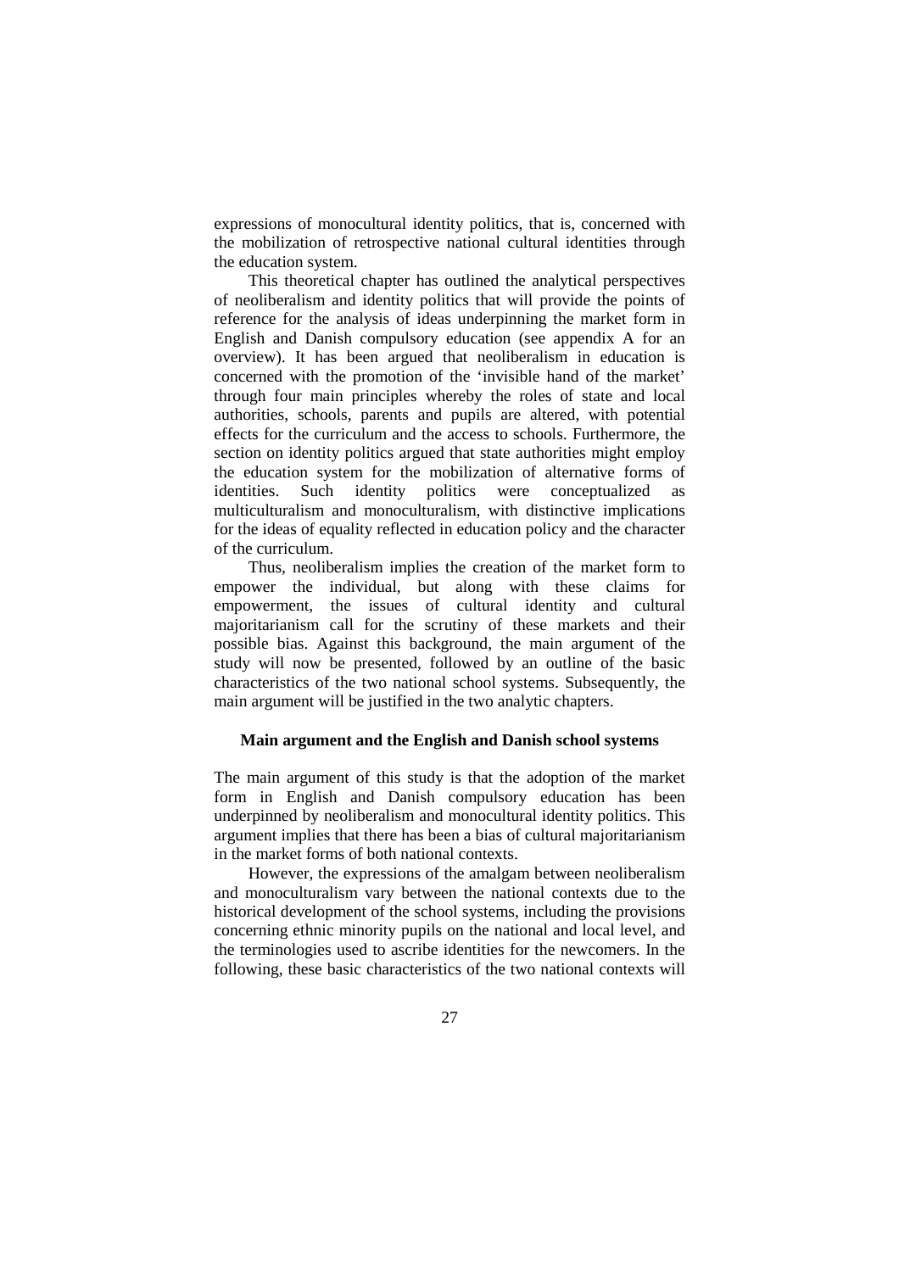expressions of monocultural identity politics, that is, concerned with the mobilization of retrospective national cultural identities through the education system.

This theoretical chapter has outlined the analytical perspectives of neoliberalism and identity politics that will provide the points of reference for the analysis of ideas underpinning the market form in English and Danish compulsory education (see appendix A for an overview). It has been argued that neoliberalism in education is concerned with the promotion of the 'invisible hand of the market' through four main principles whereby the roles of state and local authorities, schools, parents and pupils are altered, with potential effects for the curriculum and the access to schools. Furthermore, the section on identity politics argued that state authorities might employ the education system for the mobilization of alternative forms of identities. Such identity politics were conceptualized as multiculturalism and monoculturalism, with distinctive implications for the ideas of equality reflected in education policy and the character of the curriculum.

Thus, neoliberalism implies the creation of the market form to empower the individual, but along with these claims for empowerment, the issues of cultural identity and cultural majoritarianism call for the scrutiny of these markets and their possible bias. Against this background, the main argument of the study will now be presented, followed by an outline of the basic characteristics of the two national school systems. Subsequently, the main argument will be justified in the two analytic chapters.

# **Main argument and the English and Danish school systems**

The main argument of this study is that the adoption of the market form in English and Danish compulsory education has been underpinned by neoliberalism and monocultural identity politics. This argument implies that there has been a bias of cultural majoritarianism in the market forms of both national contexts.

However, the expressions of the amalgam between neoliberalism and monoculturalism vary between the national contexts due to the historical development of the school systems, including the provisions concerning ethnic minority pupils on the national and local level, and the terminologies used to ascribe identities for the newcomers. In the following, these basic characteristics of the two national contexts will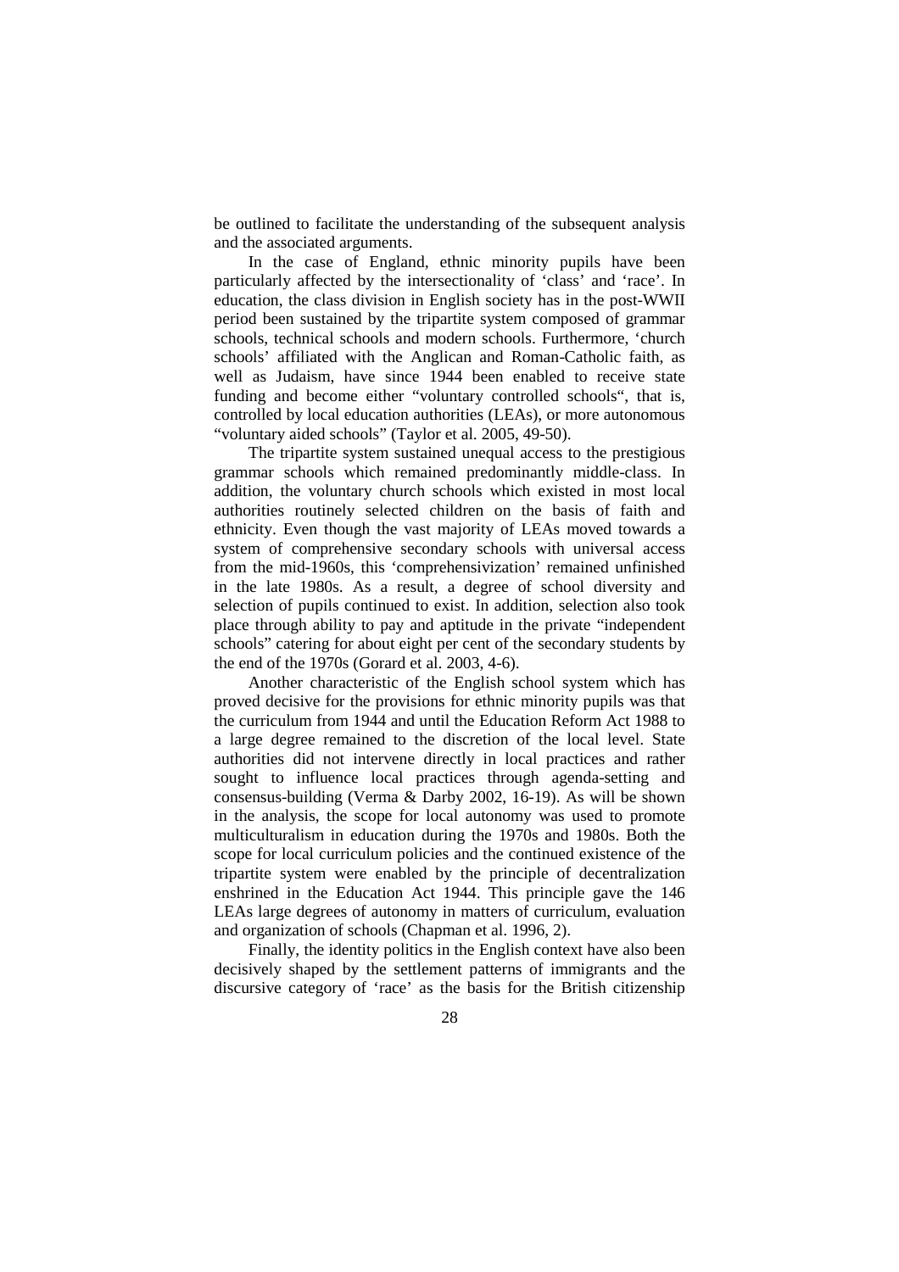be outlined to facilitate the understanding of the subsequent analysis and the associated arguments.

In the case of England, ethnic minority pupils have been particularly affected by the intersectionality of 'class' and 'race'. In education, the class division in English society has in the post-WWII period been sustained by the tripartite system composed of grammar schools, technical schools and modern schools. Furthermore, 'church schools' affiliated with the Anglican and Roman-Catholic faith, as well as Judaism, have since 1944 been enabled to receive state funding and become either "voluntary controlled schools", that is, controlled by local education authorities (LEAs), or more autonomous "voluntary aided schools" (Taylor et al. 2005, 49-50).

The tripartite system sustained unequal access to the prestigious grammar schools which remained predominantly middle-class. In addition, the voluntary church schools which existed in most local authorities routinely selected children on the basis of faith and ethnicity. Even though the vast majority of LEAs moved towards a system of comprehensive secondary schools with universal access from the mid-1960s, this 'comprehensivization' remained unfinished in the late 1980s. As a result, a degree of school diversity and selection of pupils continued to exist. In addition, selection also took place through ability to pay and aptitude in the private "independent schools" catering for about eight per cent of the secondary students by the end of the 1970s (Gorard et al. 2003, 4-6).

Another characteristic of the English school system which has proved decisive for the provisions for ethnic minority pupils was that the curriculum from 1944 and until the Education Reform Act 1988 to a large degree remained to the discretion of the local level. State authorities did not intervene directly in local practices and rather sought to influence local practices through agenda-setting and consensus-building (Verma & Darby 2002, 16-19). As will be shown in the analysis, the scope for local autonomy was used to promote multiculturalism in education during the 1970s and 1980s. Both the scope for local curriculum policies and the continued existence of the tripartite system were enabled by the principle of decentralization enshrined in the Education Act 1944. This principle gave the 146 LEAs large degrees of autonomy in matters of curriculum, evaluation and organization of schools (Chapman et al. 1996, 2).

Finally, the identity politics in the English context have also been decisively shaped by the settlement patterns of immigrants and the discursive category of 'race' as the basis for the British citizenship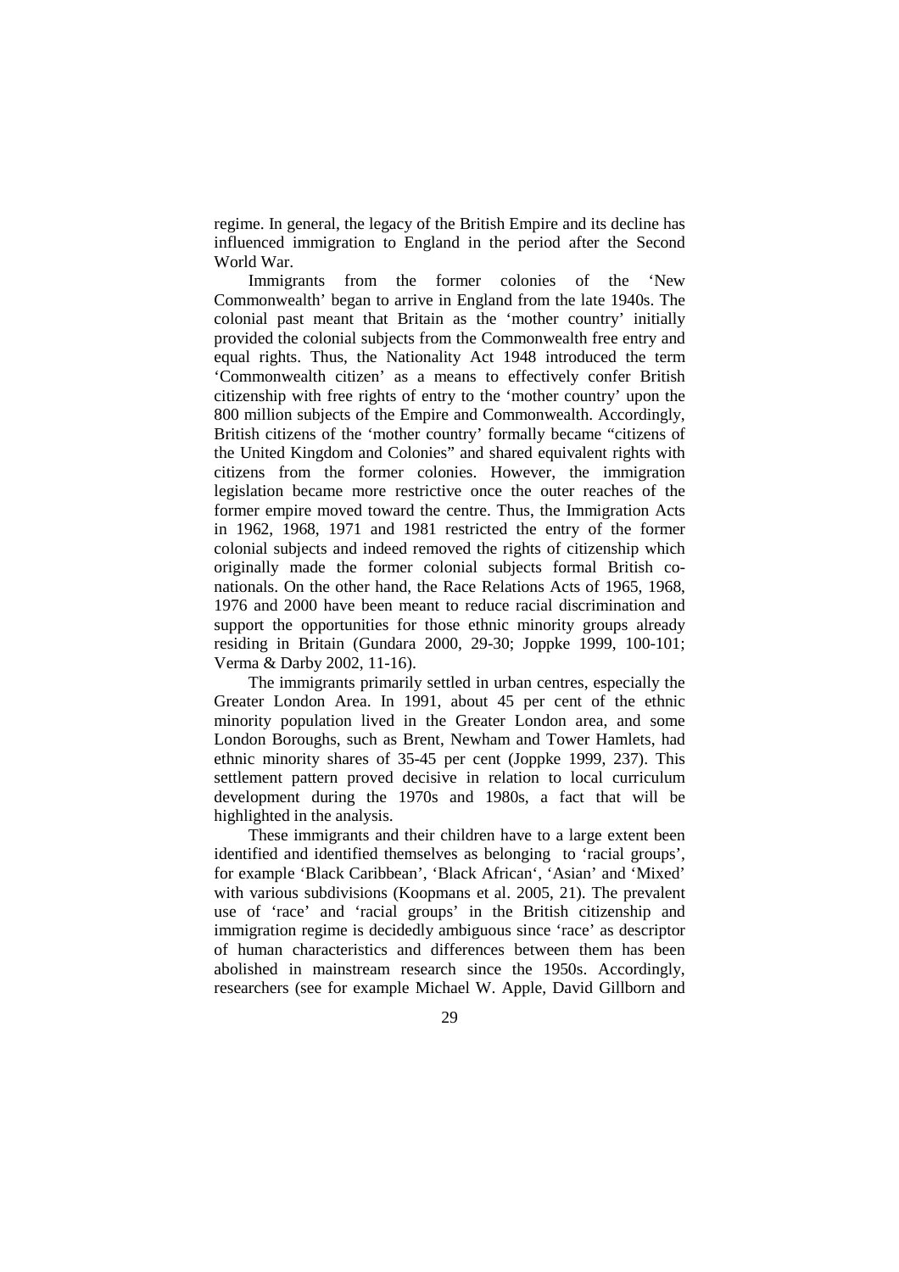regime. In general, the legacy of the British Empire and its decline has influenced immigration to England in the period after the Second World War.

Immigrants from the former colonies of the 'New Commonwealth' began to arrive in England from the late 1940s. The colonial past meant that Britain as the 'mother country' initially provided the colonial subjects from the Commonwealth free entry and equal rights. Thus, the Nationality Act 1948 introduced the term 'Commonwealth citizen' as a means to effectively confer British citizenship with free rights of entry to the 'mother country' upon the 800 million subjects of the Empire and Commonwealth. Accordingly, British citizens of the 'mother country' formally became "citizens of the United Kingdom and Colonies" and shared equivalent rights with citizens from the former colonies. However, the immigration legislation became more restrictive once the outer reaches of the former empire moved toward the centre. Thus, the Immigration Acts in 1962, 1968, 1971 and 1981 restricted the entry of the former colonial subjects and indeed removed the rights of citizenship which originally made the former colonial subjects formal British conationals. On the other hand, the Race Relations Acts of 1965, 1968, 1976 and 2000 have been meant to reduce racial discrimination and support the opportunities for those ethnic minority groups already residing in Britain (Gundara 2000, 29-30; Joppke 1999, 100-101; Verma & Darby 2002, 11-16).

The immigrants primarily settled in urban centres, especially the Greater London Area. In 1991, about 45 per cent of the ethnic minority population lived in the Greater London area, and some London Boroughs, such as Brent, Newham and Tower Hamlets, had ethnic minority shares of 35-45 per cent (Joppke 1999, 237). This settlement pattern proved decisive in relation to local curriculum development during the 1970s and 1980s, a fact that will be highlighted in the analysis.

These immigrants and their children have to a large extent been identified and identified themselves as belonging to 'racial groups', for example 'Black Caribbean', 'Black African', 'Asian' and 'Mixed' with various subdivisions (Koopmans et al. 2005, 21). The prevalent use of 'race' and 'racial groups' in the British citizenship and immigration regime is decidedly ambiguous since 'race' as descriptor of human characteristics and differences between them has been abolished in mainstream research since the 1950s. Accordingly, researchers (see for example Michael W. Apple, David Gillborn and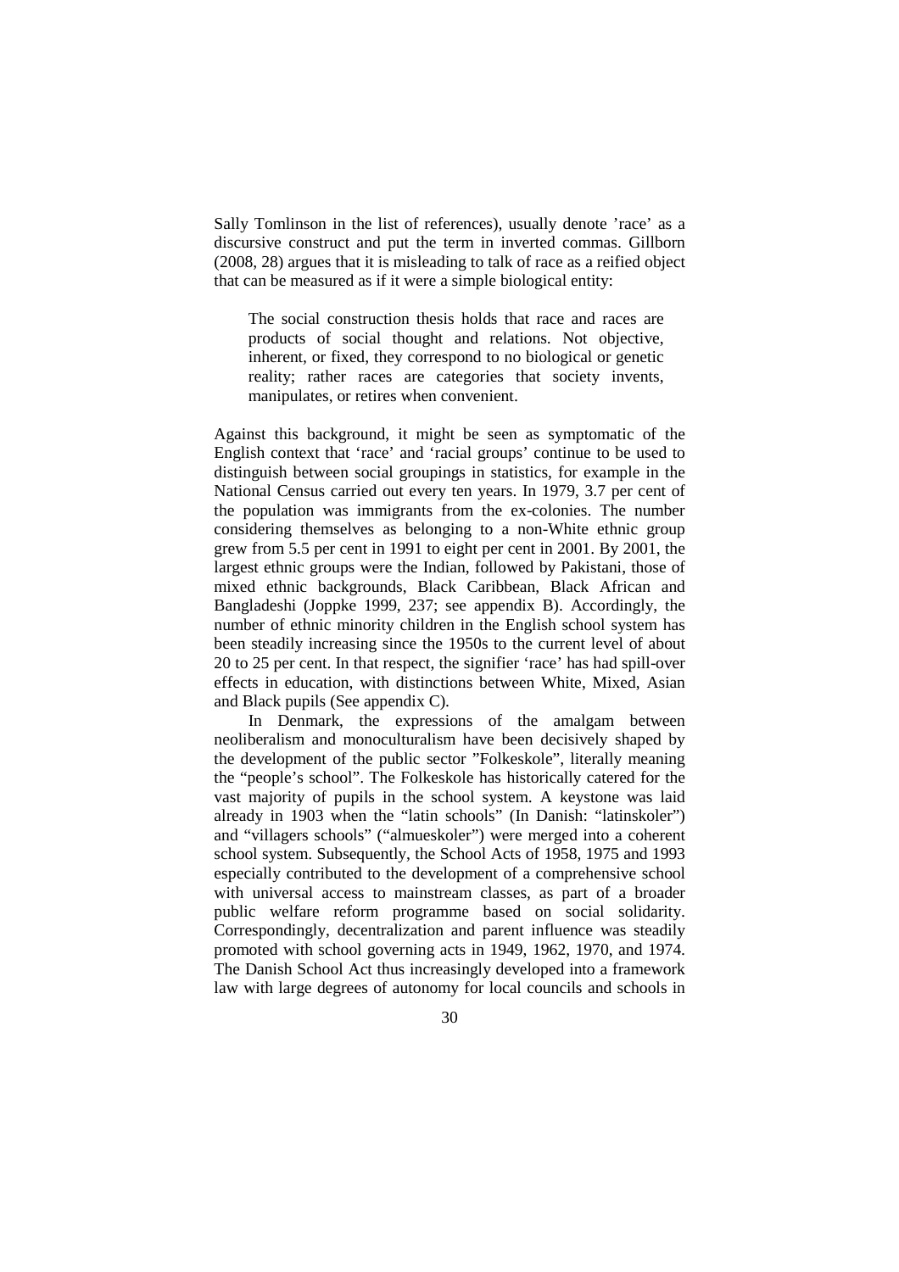Sally Tomlinson in the list of references), usually denote 'race' as a discursive construct and put the term in inverted commas. Gillborn (2008, 28) argues that it is misleading to talk of race as a reified object that can be measured as if it were a simple biological entity:

The social construction thesis holds that race and races are products of social thought and relations. Not objective, inherent, or fixed, they correspond to no biological or genetic reality; rather races are categories that society invents, manipulates, or retires when convenient.

Against this background, it might be seen as symptomatic of the English context that 'race' and 'racial groups' continue to be used to distinguish between social groupings in statistics, for example in the National Census carried out every ten years. In 1979, 3.7 per cent of the population was immigrants from the ex-colonies. The number considering themselves as belonging to a non-White ethnic group grew from 5.5 per cent in 1991 to eight per cent in 2001. By 2001, the largest ethnic groups were the Indian, followed by Pakistani, those of mixed ethnic backgrounds, Black Caribbean, Black African and Bangladeshi (Joppke 1999, 237; see appendix B). Accordingly, the number of ethnic minority children in the English school system has been steadily increasing since the 1950s to the current level of about 20 to 25 per cent. In that respect, the signifier 'race' has had spill-over effects in education, with distinctions between White, Mixed, Asian and Black pupils (See appendix C).

In Denmark, the expressions of the amalgam between neoliberalism and monoculturalism have been decisively shaped by the development of the public sector "Folkeskole", literally meaning the "people's school". The Folkeskole has historically catered for the vast majority of pupils in the school system. A keystone was laid already in 1903 when the "latin schools" (In Danish: "latinskoler") and "villagers schools" ("almueskoler") were merged into a coherent school system. Subsequently, the School Acts of 1958, 1975 and 1993 especially contributed to the development of a comprehensive school with universal access to mainstream classes, as part of a broader public welfare reform programme based on social solidarity. Correspondingly, decentralization and parent influence was steadily promoted with school governing acts in 1949, 1962, 1970, and 1974. The Danish School Act thus increasingly developed into a framework law with large degrees of autonomy for local councils and schools in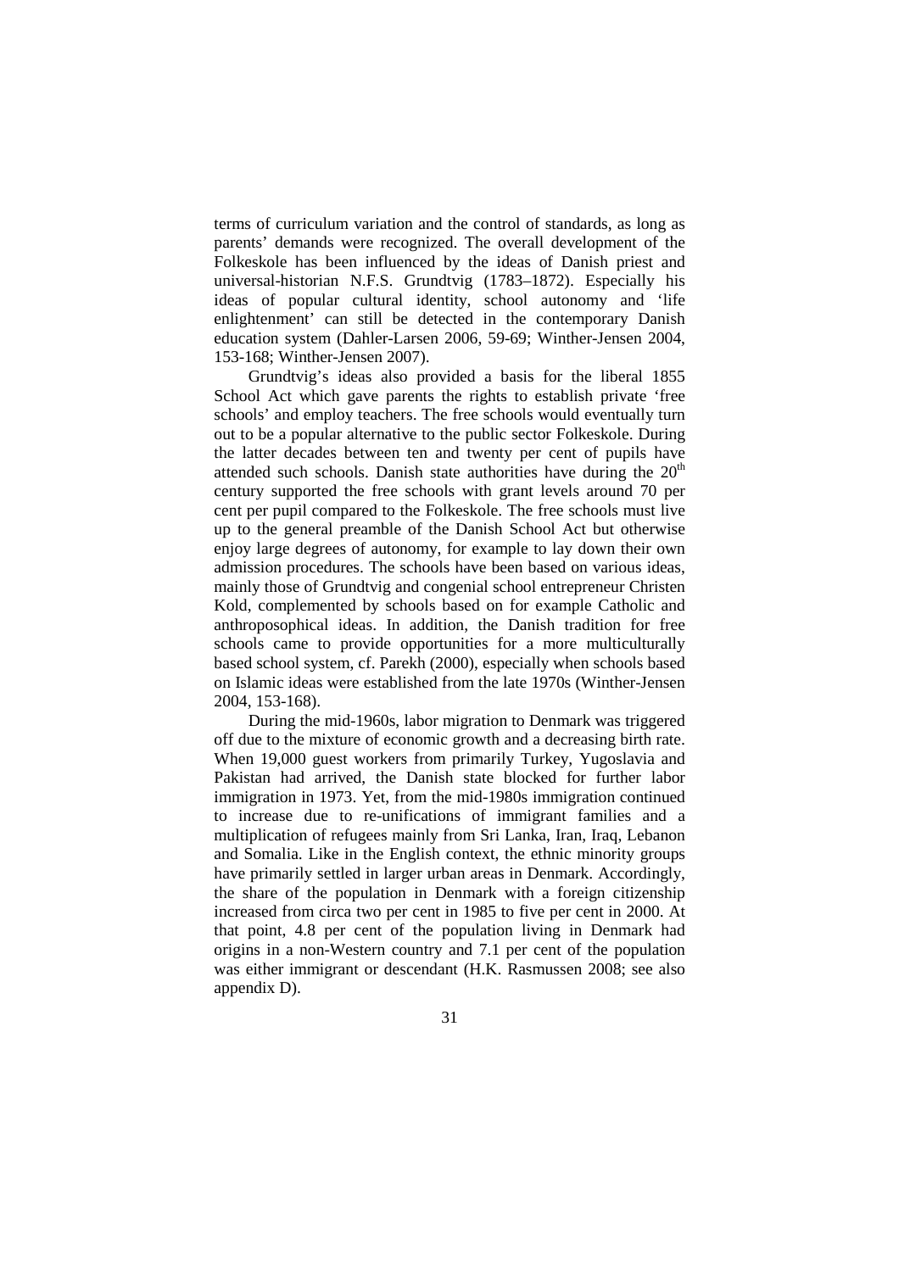terms of curriculum variation and the control of standards, as long as parents' demands were recognized. The overall development of the Folkeskole has been influenced by the ideas of Danish priest and universal-historian N.F.S. Grundtvig (1783–1872). Especially his ideas of popular cultural identity, school autonomy and 'life enlightenment' can still be detected in the contemporary Danish education system (Dahler-Larsen 2006, 59-69; Winther-Jensen 2004, 153-168; Winther-Jensen 2007).

Grundtvig's ideas also provided a basis for the liberal 1855 School Act which gave parents the rights to establish private 'free schools' and employ teachers. The free schools would eventually turn out to be a popular alternative to the public sector Folkeskole. During the latter decades between ten and twenty per cent of pupils have attended such schools. Danish state authorities have during the  $20<sup>th</sup>$ century supported the free schools with grant levels around 70 per cent per pupil compared to the Folkeskole. The free schools must live up to the general preamble of the Danish School Act but otherwise enjoy large degrees of autonomy, for example to lay down their own admission procedures. The schools have been based on various ideas, mainly those of Grundtvig and congenial school entrepreneur Christen Kold, complemented by schools based on for example Catholic and anthroposophical ideas. In addition, the Danish tradition for free schools came to provide opportunities for a more multiculturally based school system, cf. Parekh (2000), especially when schools based on Islamic ideas were established from the late 1970s (Winther-Jensen 2004, 153-168).

During the mid-1960s, labor migration to Denmark was triggered off due to the mixture of economic growth and a decreasing birth rate. When 19,000 guest workers from primarily Turkey, Yugoslavia and Pakistan had arrived, the Danish state blocked for further labor immigration in 1973. Yet, from the mid-1980s immigration continued to increase due to re-unifications of immigrant families and a multiplication of refugees mainly from Sri Lanka, Iran, Iraq, Lebanon and Somalia. Like in the English context, the ethnic minority groups have primarily settled in larger urban areas in Denmark. Accordingly, the share of the population in Denmark with a foreign citizenship increased from circa two per cent in 1985 to five per cent in 2000. At that point, 4.8 per cent of the population living in Denmark had origins in a non-Western country and 7.1 per cent of the population was either immigrant or descendant (H.K. Rasmussen 2008; see also appendix D).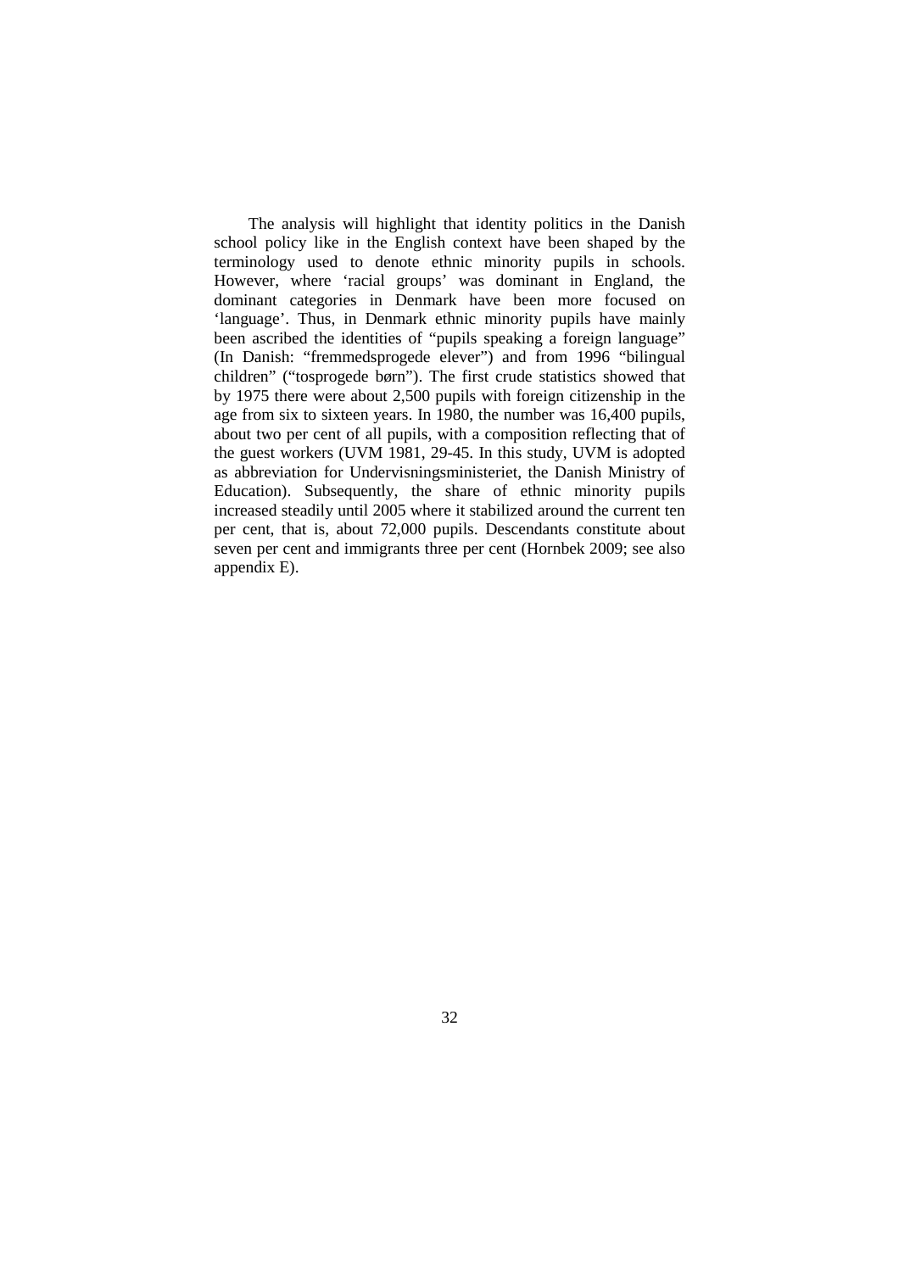The analysis will highlight that identity politics in the Danish school policy like in the English context have been shaped by the terminology used to denote ethnic minority pupils in schools. However, where 'racial groups' was dominant in England, the dominant categories in Denmark have been more focused on 'language'. Thus, in Denmark ethnic minority pupils have mainly been ascribed the identities of "pupils speaking a foreign language" (In Danish: "fremmedsprogede elever") and from 1996 "bilingual children" ("tosprogede børn"). The first crude statistics showed that by 1975 there were about 2,500 pupils with foreign citizenship in the age from six to sixteen years. In 1980, the number was 16,400 pupils, about two per cent of all pupils, with a composition reflecting that of the guest workers (UVM 1981, 29-45. In this study, UVM is adopted as abbreviation for Undervisningsministeriet, the Danish Ministry of Education). Subsequently, the share of ethnic minority pupils increased steadily until 2005 where it stabilized around the current ten per cent, that is, about 72,000 pupils. Descendants constitute about seven per cent and immigrants three per cent (Hornbek 2009; see also appendix E).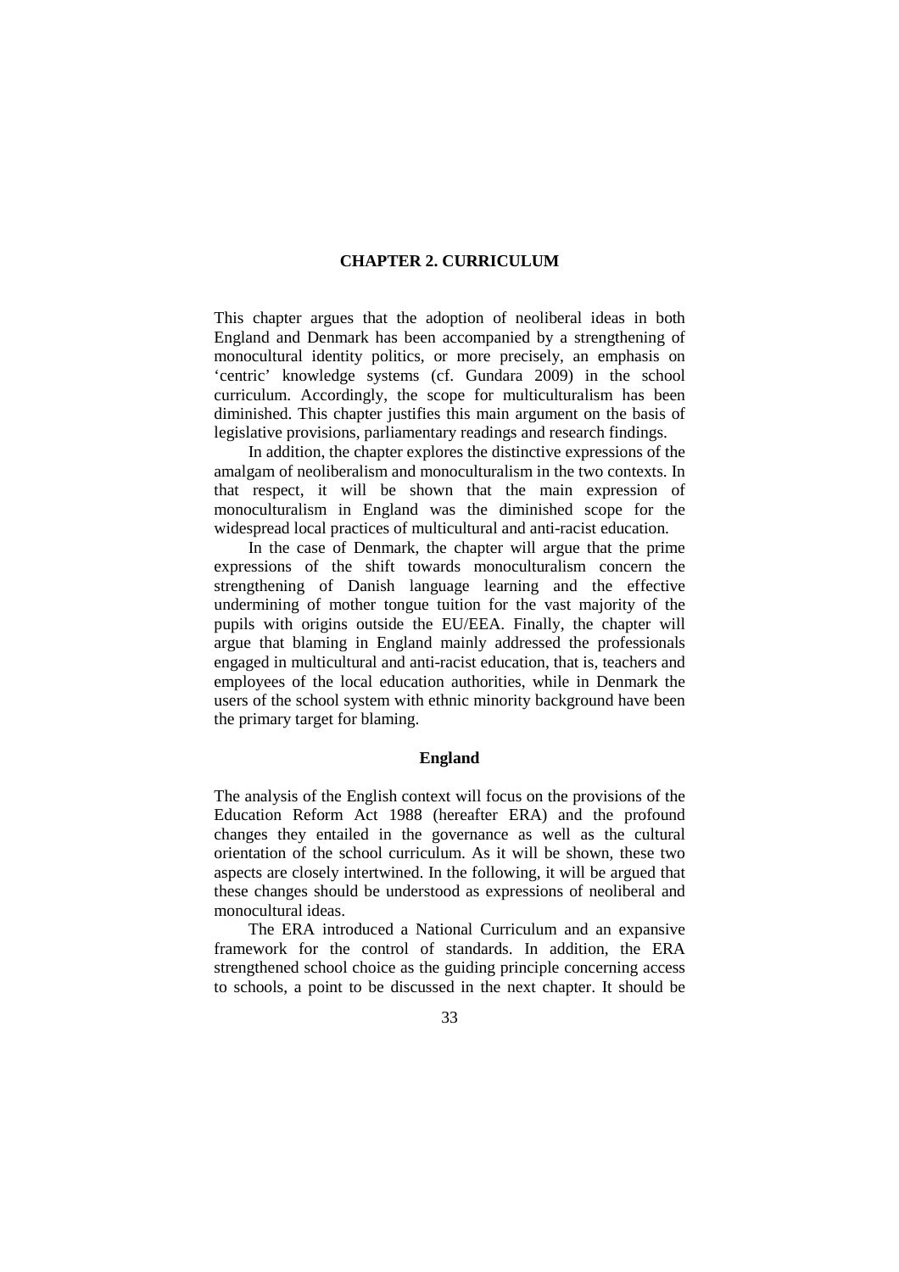# **CHAPTER 2. CURRICULUM**

This chapter argues that the adoption of neoliberal ideas in both England and Denmark has been accompanied by a strengthening of monocultural identity politics, or more precisely, an emphasis on 'centric' knowledge systems (cf. Gundara 2009) in the school curriculum. Accordingly, the scope for multiculturalism has been diminished. This chapter justifies this main argument on the basis of legislative provisions, parliamentary readings and research findings.

In addition, the chapter explores the distinctive expressions of the amalgam of neoliberalism and monoculturalism in the two contexts. In that respect, it will be shown that the main expression of monoculturalism in England was the diminished scope for the widespread local practices of multicultural and anti-racist education.

In the case of Denmark, the chapter will argue that the prime expressions of the shift towards monoculturalism concern the strengthening of Danish language learning and the effective undermining of mother tongue tuition for the vast majority of the pupils with origins outside the EU/EEA. Finally, the chapter will argue that blaming in England mainly addressed the professionals engaged in multicultural and anti-racist education, that is, teachers and employees of the local education authorities, while in Denmark the users of the school system with ethnic minority background have been the primary target for blaming.

#### **England**

The analysis of the English context will focus on the provisions of the Education Reform Act 1988 (hereafter ERA) and the profound changes they entailed in the governance as well as the cultural orientation of the school curriculum. As it will be shown, these two aspects are closely intertwined. In the following, it will be argued that these changes should be understood as expressions of neoliberal and monocultural ideas.

The ERA introduced a National Curriculum and an expansive framework for the control of standards. In addition, the ERA strengthened school choice as the guiding principle concerning access to schools, a point to be discussed in the next chapter. It should be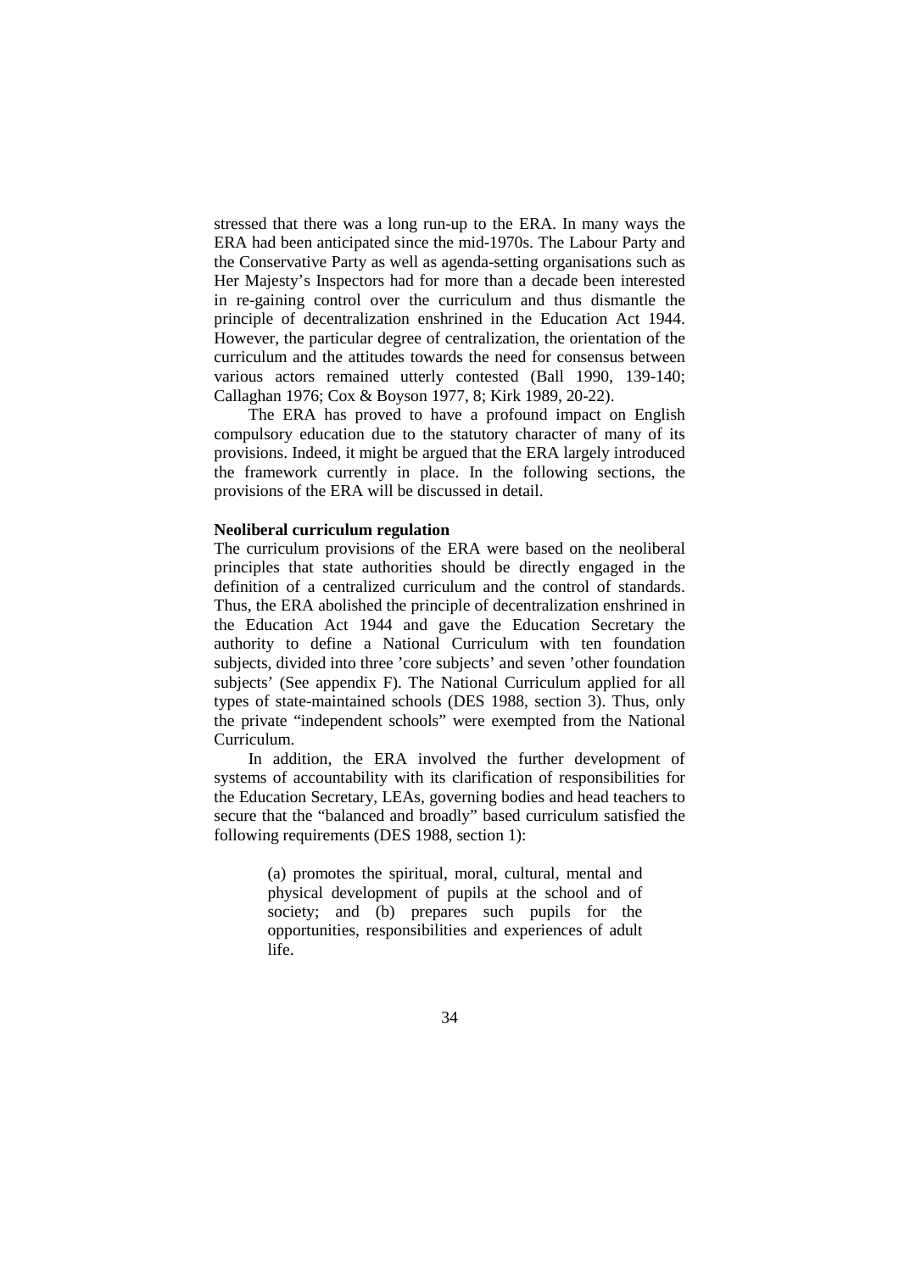stressed that there was a long run-up to the ERA. In many ways the ERA had been anticipated since the mid-1970s. The Labour Party and the Conservative Party as well as agenda-setting organisations such as Her Majesty's Inspectors had for more than a decade been interested in re-gaining control over the curriculum and thus dismantle the principle of decentralization enshrined in the Education Act 1944. However, the particular degree of centralization, the orientation of the curriculum and the attitudes towards the need for consensus between various actors remained utterly contested (Ball 1990, 139-140; Callaghan 1976; Cox & Boyson 1977, 8; Kirk 1989, 20-22).

The ERA has proved to have a profound impact on English compulsory education due to the statutory character of many of its provisions. Indeed, it might be argued that the ERA largely introduced the framework currently in place. In the following sections, the provisions of the ERA will be discussed in detail.

#### **Neoliberal curriculum regulation**

The curriculum provisions of the ERA were based on the neoliberal principles that state authorities should be directly engaged in the definition of a centralized curriculum and the control of standards. Thus, the ERA abolished the principle of decentralization enshrined in the Education Act 1944 and gave the Education Secretary the authority to define a National Curriculum with ten foundation subjects, divided into three 'core subjects' and seven 'other foundation subjects' (See appendix F). The National Curriculum applied for all types of state-maintained schools (DES 1988, section 3). Thus, only the private "independent schools" were exempted from the National Curriculum.

In addition, the ERA involved the further development of systems of accountability with its clarification of responsibilities for the Education Secretary, LEAs, governing bodies and head teachers to secure that the "balanced and broadly" based curriculum satisfied the following requirements (DES 1988, section 1):

> (a) promotes the spiritual, moral, cultural, mental and physical development of pupils at the school and of society; and (b) prepares such pupils for the opportunities, responsibilities and experiences of adult life.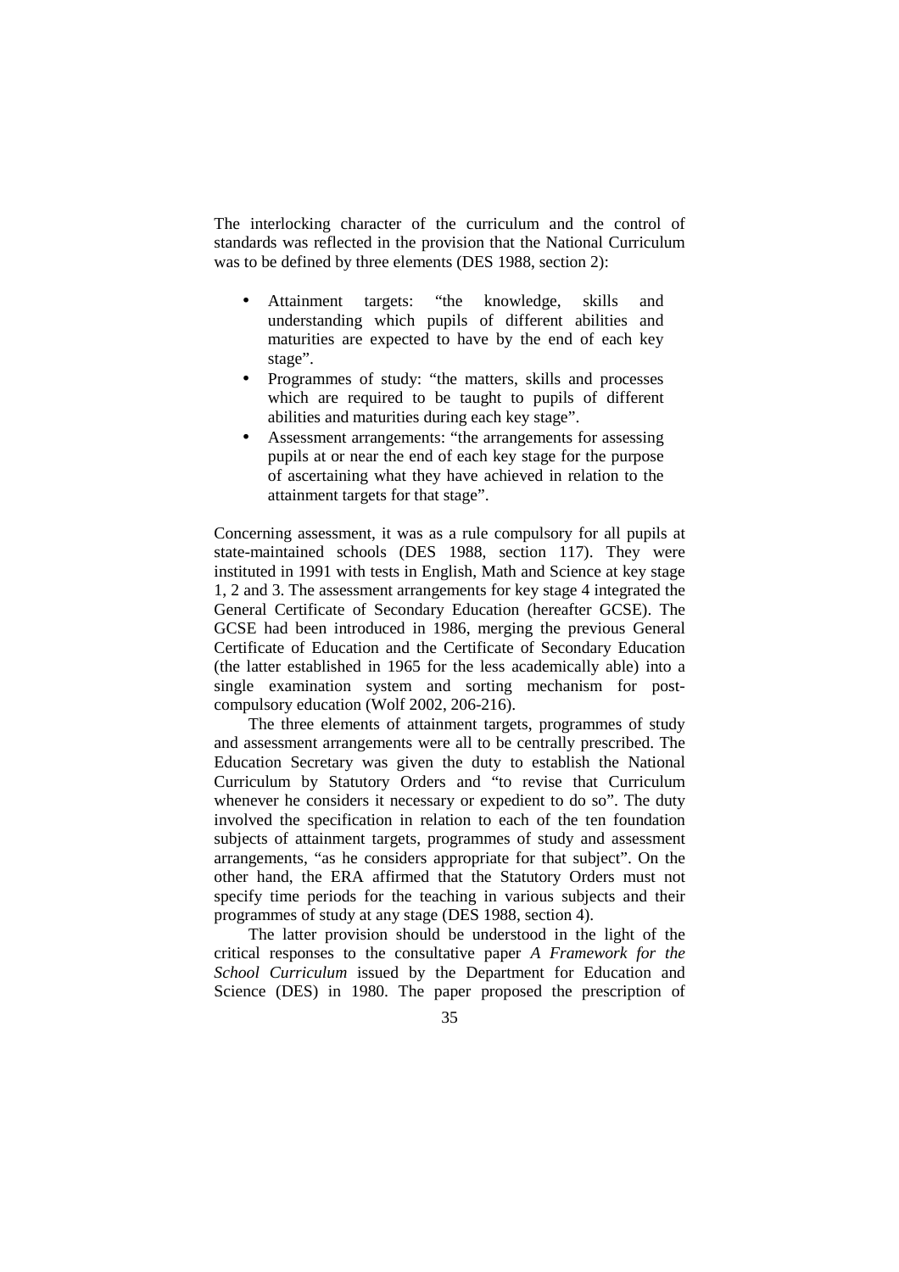The interlocking character of the curriculum and the control of standards was reflected in the provision that the National Curriculum was to be defined by three elements (DES 1988, section 2):

- Attainment targets: "the knowledge, skills and understanding which pupils of different abilities and maturities are expected to have by the end of each key stage".
- Programmes of study: "the matters, skills and processes which are required to be taught to pupils of different abilities and maturities during each key stage".
- Assessment arrangements: "the arrangements for assessing pupils at or near the end of each key stage for the purpose of ascertaining what they have achieved in relation to the attainment targets for that stage".

Concerning assessment, it was as a rule compulsory for all pupils at state-maintained schools (DES 1988, section 117). They were instituted in 1991 with tests in English, Math and Science at key stage 1, 2 and 3. The assessment arrangements for key stage 4 integrated the General Certificate of Secondary Education (hereafter GCSE). The GCSE had been introduced in 1986, merging the previous General Certificate of Education and the Certificate of Secondary Education (the latter established in 1965 for the less academically able) into a single examination system and sorting mechanism for postcompulsory education (Wolf 2002, 206-216).

The three elements of attainment targets, programmes of study and assessment arrangements were all to be centrally prescribed. The Education Secretary was given the duty to establish the National Curriculum by Statutory Orders and "to revise that Curriculum whenever he considers it necessary or expedient to do so". The duty involved the specification in relation to each of the ten foundation subjects of attainment targets, programmes of study and assessment arrangements, "as he considers appropriate for that subject". On the other hand, the ERA affirmed that the Statutory Orders must not specify time periods for the teaching in various subjects and their programmes of study at any stage (DES 1988, section 4).

The latter provision should be understood in the light of the critical responses to the consultative paper *A Framework for the School Curriculum* issued by the Department for Education and Science (DES) in 1980. The paper proposed the prescription of

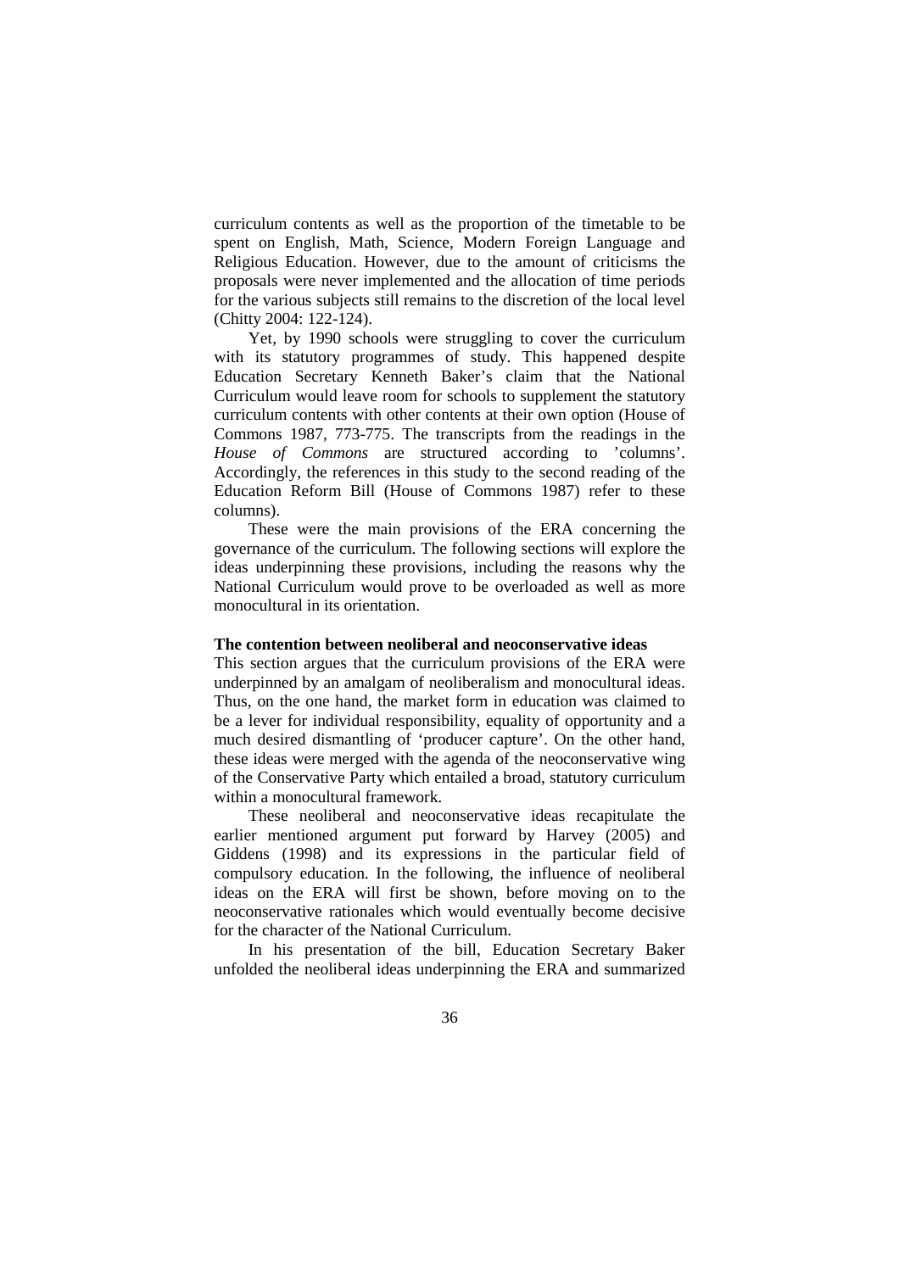curriculum contents as well as the proportion of the timetable to be spent on English, Math, Science, Modern Foreign Language and Religious Education. However, due to the amount of criticisms the proposals were never implemented and the allocation of time periods for the various subjects still remains to the discretion of the local level (Chitty 2004: 122-124).

Yet, by 1990 schools were struggling to cover the curriculum with its statutory programmes of study. This happened despite Education Secretary Kenneth Baker's claim that the National Curriculum would leave room for schools to supplement the statutory curriculum contents with other contents at their own option (House of Commons 1987, 773-775. The transcripts from the readings in the *House of Commons* are structured according to 'columns'. Accordingly, the references in this study to the second reading of the Education Reform Bill (House of Commons 1987) refer to these columns).

These were the main provisions of the ERA concerning the governance of the curriculum. The following sections will explore the ideas underpinning these provisions, including the reasons why the National Curriculum would prove to be overloaded as well as more monocultural in its orientation.

### **The contention between neoliberal and neoconservative ideas**

This section argues that the curriculum provisions of the ERA were underpinned by an amalgam of neoliberalism and monocultural ideas. Thus, on the one hand, the market form in education was claimed to be a lever for individual responsibility, equality of opportunity and a much desired dismantling of 'producer capture'. On the other hand, these ideas were merged with the agenda of the neoconservative wing of the Conservative Party which entailed a broad, statutory curriculum within a monocultural framework.

These neoliberal and neoconservative ideas recapitulate the earlier mentioned argument put forward by Harvey (2005) and Giddens (1998) and its expressions in the particular field of compulsory education. In the following, the influence of neoliberal ideas on the ERA will first be shown, before moving on to the neoconservative rationales which would eventually become decisive for the character of the National Curriculum.

In his presentation of the bill, Education Secretary Baker unfolded the neoliberal ideas underpinning the ERA and summarized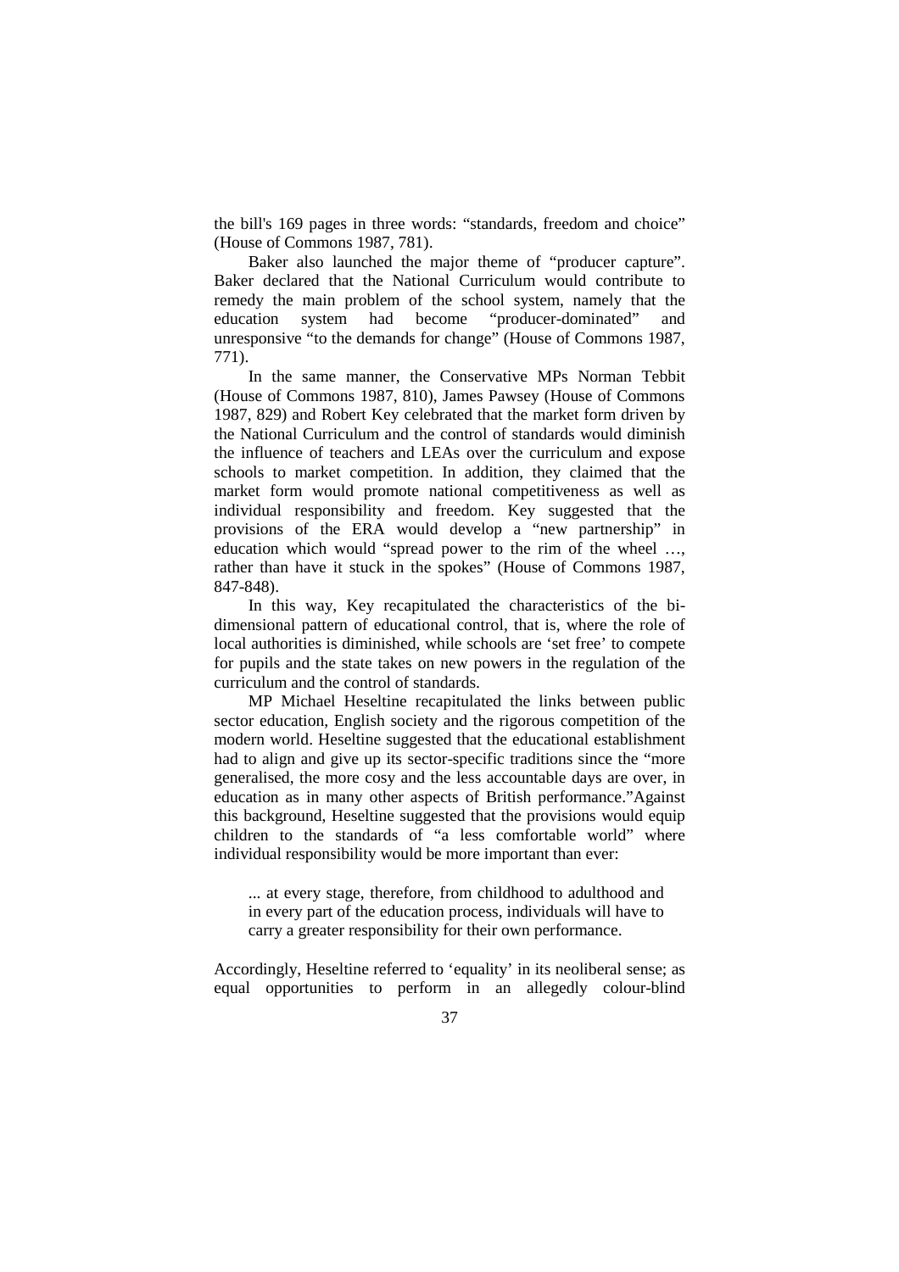the bill's 169 pages in three words: "standards, freedom and choice" (House of Commons 1987, 781).

Baker also launched the major theme of "producer capture". Baker declared that the National Curriculum would contribute to remedy the main problem of the school system, namely that the education system had become "producer-dominated" and unresponsive "to the demands for change" (House of Commons 1987, 771).

In the same manner, the Conservative MPs Norman Tebbit (House of Commons 1987, 810), James Pawsey (House of Commons 1987, 829) and Robert Key celebrated that the market form driven by the National Curriculum and the control of standards would diminish the influence of teachers and LEAs over the curriculum and expose schools to market competition. In addition, they claimed that the market form would promote national competitiveness as well as individual responsibility and freedom. Key suggested that the provisions of the ERA would develop a "new partnership" in education which would "spread power to the rim of the wheel …, rather than have it stuck in the spokes" (House of Commons 1987, 847-848).

In this way, Key recapitulated the characteristics of the bidimensional pattern of educational control, that is, where the role of local authorities is diminished, while schools are 'set free' to compete for pupils and the state takes on new powers in the regulation of the curriculum and the control of standards.

MP Michael Heseltine recapitulated the links between public sector education, English society and the rigorous competition of the modern world. Heseltine suggested that the educational establishment had to align and give up its sector-specific traditions since the "more generalised, the more cosy and the less accountable days are over, in education as in many other aspects of British performance."Against this background, Heseltine suggested that the provisions would equip children to the standards of "a less comfortable world" where individual responsibility would be more important than ever:

... at every stage, therefore, from childhood to adulthood and in every part of the education process, individuals will have to carry a greater responsibility for their own performance.

Accordingly, Heseltine referred to 'equality' in its neoliberal sense; as equal opportunities to perform in an allegedly colour-blind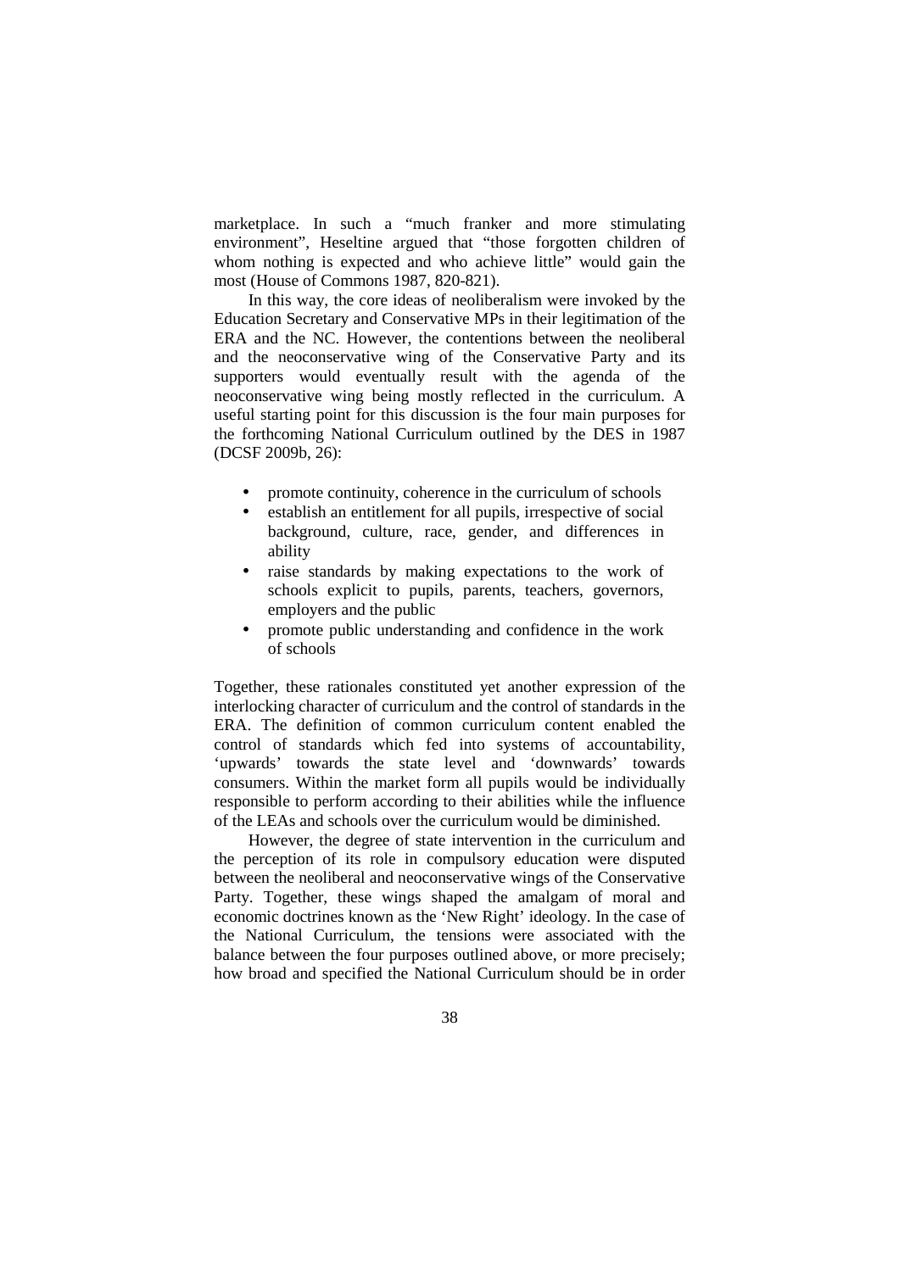marketplace. In such a "much franker and more stimulating environment", Heseltine argued that "those forgotten children of whom nothing is expected and who achieve little" would gain the most (House of Commons 1987, 820-821).

In this way, the core ideas of neoliberalism were invoked by the Education Secretary and Conservative MPs in their legitimation of the ERA and the NC. However, the contentions between the neoliberal and the neoconservative wing of the Conservative Party and its supporters would eventually result with the agenda of the neoconservative wing being mostly reflected in the curriculum. A useful starting point for this discussion is the four main purposes for the forthcoming National Curriculum outlined by the DES in 1987 (DCSF 2009b, 26):

- promote continuity, coherence in the curriculum of schools
- establish an entitlement for all pupils, irrespective of social background, culture, race, gender, and differences in ability
- raise standards by making expectations to the work of schools explicit to pupils, parents, teachers, governors, employers and the public
- promote public understanding and confidence in the work of schools

Together, these rationales constituted yet another expression of the interlocking character of curriculum and the control of standards in the ERA. The definition of common curriculum content enabled the control of standards which fed into systems of accountability, 'upwards' towards the state level and 'downwards' towards consumers. Within the market form all pupils would be individually responsible to perform according to their abilities while the influence of the LEAs and schools over the curriculum would be diminished.

However, the degree of state intervention in the curriculum and the perception of its role in compulsory education were disputed between the neoliberal and neoconservative wings of the Conservative Party. Together, these wings shaped the amalgam of moral and economic doctrines known as the 'New Right' ideology. In the case of the National Curriculum, the tensions were associated with the balance between the four purposes outlined above, or more precisely; how broad and specified the National Curriculum should be in order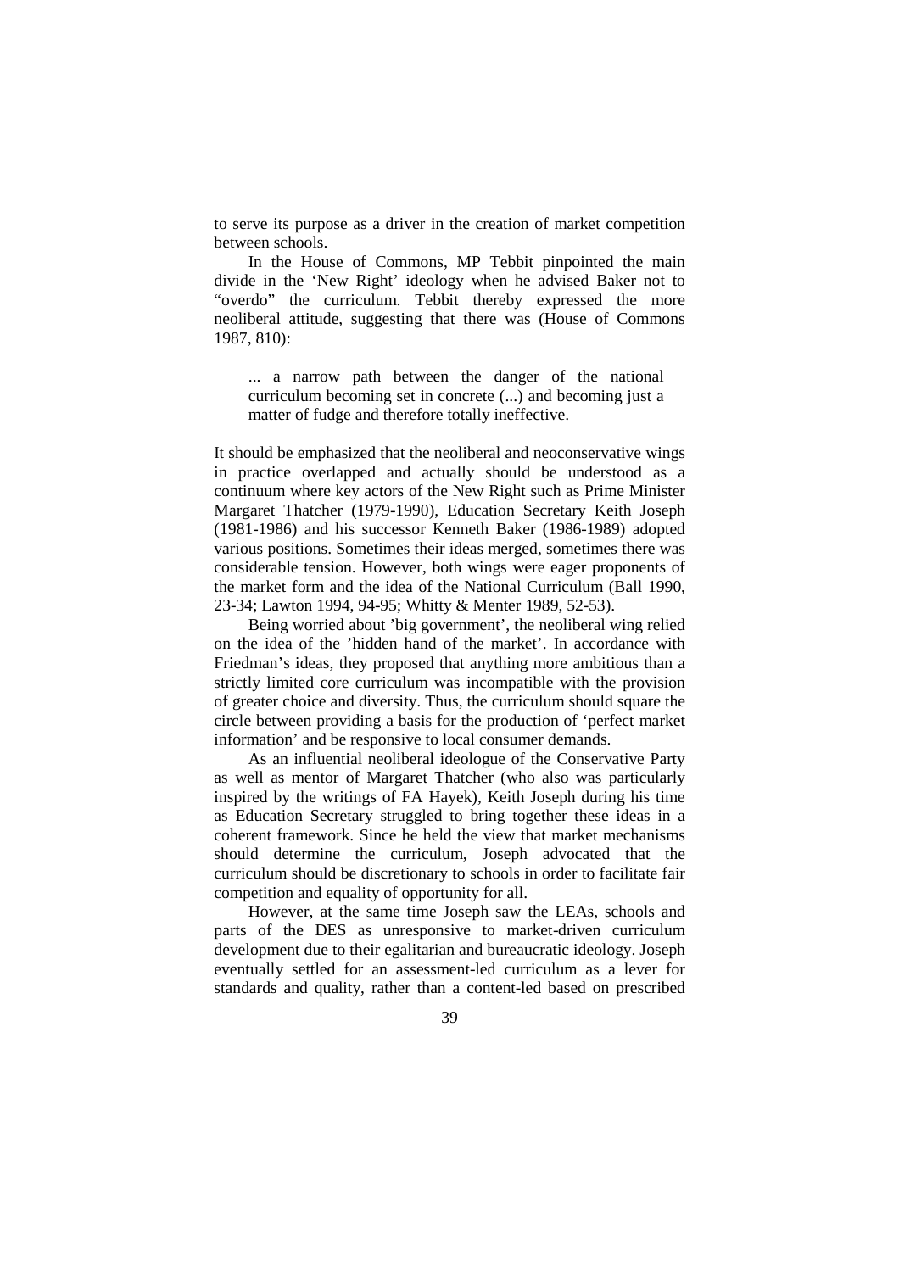to serve its purpose as a driver in the creation of market competition between schools.

In the House of Commons, MP Tebbit pinpointed the main divide in the 'New Right' ideology when he advised Baker not to "overdo" the curriculum. Tebbit thereby expressed the more neoliberal attitude, suggesting that there was (House of Commons 1987, 810):

... a narrow path between the danger of the national curriculum becoming set in concrete (...) and becoming just a matter of fudge and therefore totally ineffective.

It should be emphasized that the neoliberal and neoconservative wings in practice overlapped and actually should be understood as a continuum where key actors of the New Right such as Prime Minister Margaret Thatcher (1979-1990), Education Secretary Keith Joseph (1981-1986) and his successor Kenneth Baker (1986-1989) adopted various positions. Sometimes their ideas merged, sometimes there was considerable tension. However, both wings were eager proponents of the market form and the idea of the National Curriculum (Ball 1990, 23-34; Lawton 1994, 94-95; Whitty & Menter 1989, 52-53).

Being worried about 'big government', the neoliberal wing relied on the idea of the 'hidden hand of the market'. In accordance with Friedman's ideas, they proposed that anything more ambitious than a strictly limited core curriculum was incompatible with the provision of greater choice and diversity. Thus, the curriculum should square the circle between providing a basis for the production of 'perfect market information' and be responsive to local consumer demands.

As an influential neoliberal ideologue of the Conservative Party as well as mentor of Margaret Thatcher (who also was particularly inspired by the writings of FA Hayek), Keith Joseph during his time as Education Secretary struggled to bring together these ideas in a coherent framework. Since he held the view that market mechanisms should determine the curriculum, Joseph advocated that the curriculum should be discretionary to schools in order to facilitate fair competition and equality of opportunity for all.

However, at the same time Joseph saw the LEAs, schools and parts of the DES as unresponsive to market-driven curriculum development due to their egalitarian and bureaucratic ideology. Joseph eventually settled for an assessment-led curriculum as a lever for standards and quality, rather than a content-led based on prescribed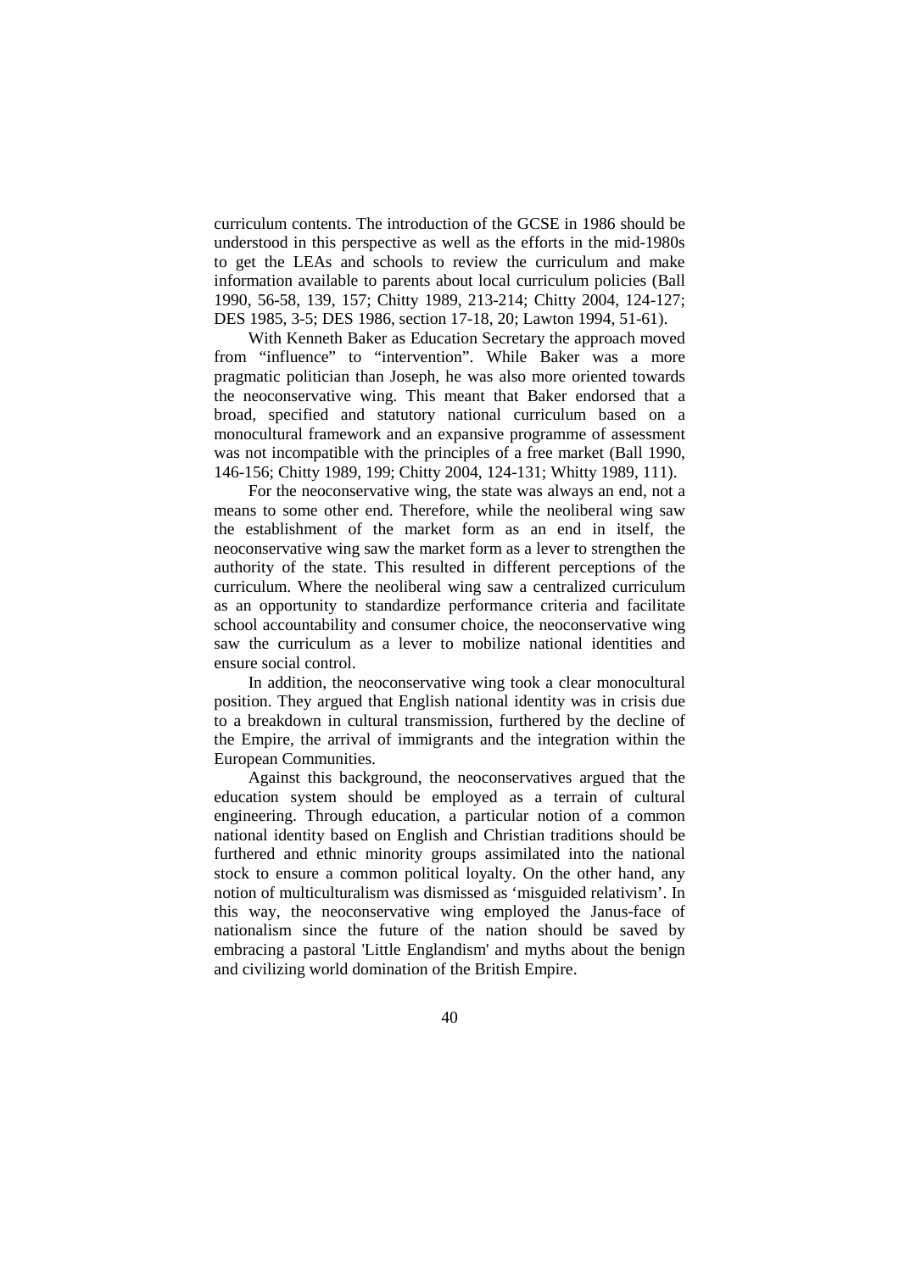curriculum contents. The introduction of the GCSE in 1986 should be understood in this perspective as well as the efforts in the mid-1980s to get the LEAs and schools to review the curriculum and make information available to parents about local curriculum policies (Ball 1990, 56-58, 139, 157; Chitty 1989, 213-214; Chitty 2004, 124-127; DES 1985, 3-5; DES 1986, section 17-18, 20; Lawton 1994, 51-61).

With Kenneth Baker as Education Secretary the approach moved from "influence" to "intervention". While Baker was a more pragmatic politician than Joseph, he was also more oriented towards the neoconservative wing. This meant that Baker endorsed that a broad, specified and statutory national curriculum based on a monocultural framework and an expansive programme of assessment was not incompatible with the principles of a free market (Ball 1990, 146-156; Chitty 1989, 199; Chitty 2004, 124-131; Whitty 1989, 111).

For the neoconservative wing, the state was always an end, not a means to some other end. Therefore, while the neoliberal wing saw the establishment of the market form as an end in itself, the neoconservative wing saw the market form as a lever to strengthen the authority of the state. This resulted in different perceptions of the curriculum. Where the neoliberal wing saw a centralized curriculum as an opportunity to standardize performance criteria and facilitate school accountability and consumer choice, the neoconservative wing saw the curriculum as a lever to mobilize national identities and ensure social control.

In addition, the neoconservative wing took a clear monocultural position. They argued that English national identity was in crisis due to a breakdown in cultural transmission, furthered by the decline of the Empire, the arrival of immigrants and the integration within the European Communities.

Against this background, the neoconservatives argued that the education system should be employed as a terrain of cultural engineering. Through education, a particular notion of a common national identity based on English and Christian traditions should be furthered and ethnic minority groups assimilated into the national stock to ensure a common political loyalty. On the other hand, any notion of multiculturalism was dismissed as 'misguided relativism'. In this way, the neoconservative wing employed the Janus-face of nationalism since the future of the nation should be saved by embracing a pastoral 'Little Englandism' and myths about the benign and civilizing world domination of the British Empire.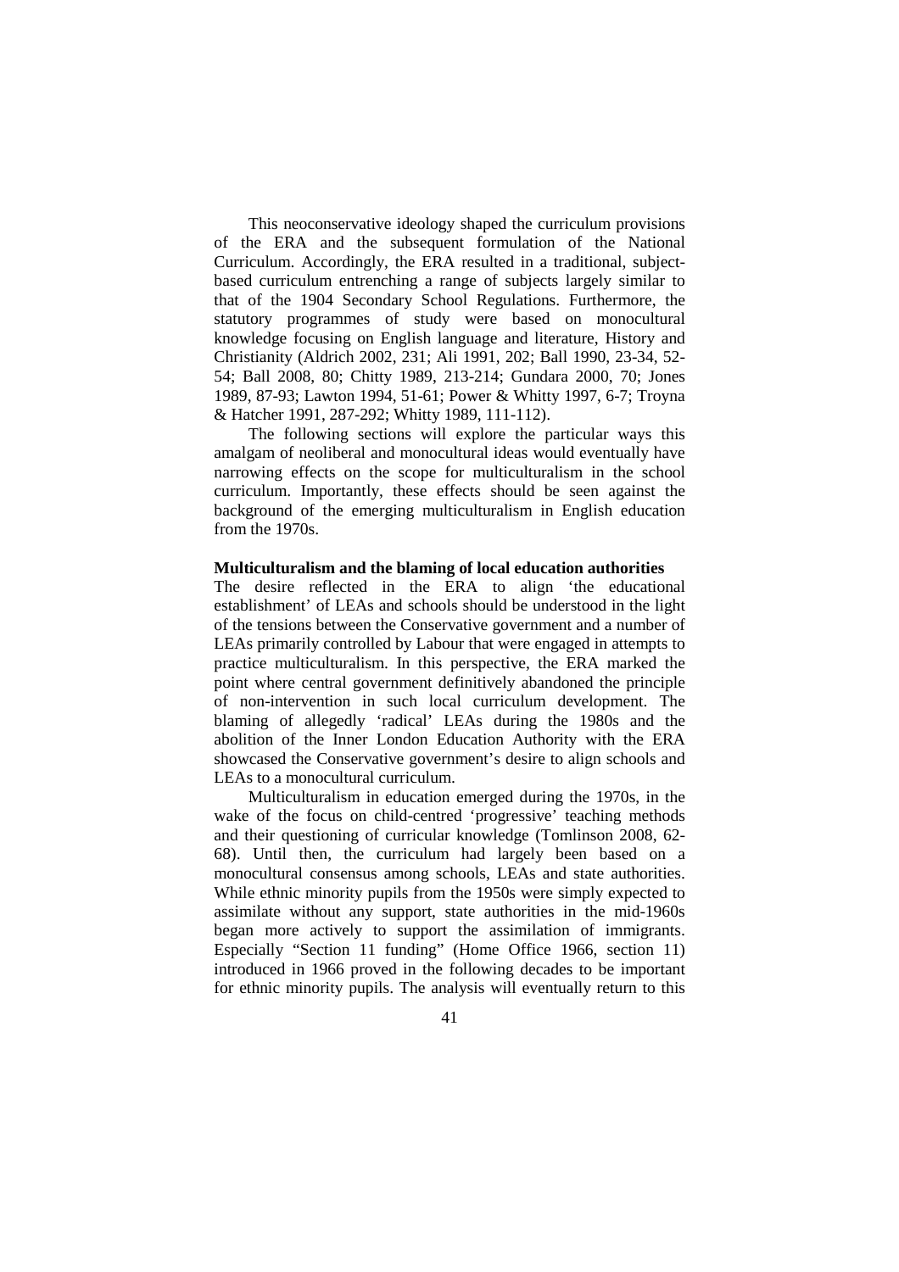This neoconservative ideology shaped the curriculum provisions of the ERA and the subsequent formulation of the National Curriculum. Accordingly, the ERA resulted in a traditional, subjectbased curriculum entrenching a range of subjects largely similar to that of the 1904 Secondary School Regulations. Furthermore, the statutory programmes of study were based on monocultural knowledge focusing on English language and literature, History and Christianity (Aldrich 2002, 231; Ali 1991, 202; Ball 1990, 23-34, 52- 54; Ball 2008, 80; Chitty 1989, 213-214; Gundara 2000, 70; Jones 1989, 87-93; Lawton 1994, 51-61; Power & Whitty 1997, 6-7; Troyna & Hatcher 1991, 287-292; Whitty 1989, 111-112).

The following sections will explore the particular ways this amalgam of neoliberal and monocultural ideas would eventually have narrowing effects on the scope for multiculturalism in the school curriculum. Importantly, these effects should be seen against the background of the emerging multiculturalism in English education from the 1970s.

### **Multiculturalism and the blaming of local education authorities**

The desire reflected in the ERA to align 'the educational establishment' of LEAs and schools should be understood in the light of the tensions between the Conservative government and a number of LEAs primarily controlled by Labour that were engaged in attempts to practice multiculturalism. In this perspective, the ERA marked the point where central government definitively abandoned the principle of non-intervention in such local curriculum development. The blaming of allegedly 'radical' LEAs during the 1980s and the abolition of the Inner London Education Authority with the ERA showcased the Conservative government's desire to align schools and LEAs to a monocultural curriculum.

Multiculturalism in education emerged during the 1970s, in the wake of the focus on child-centred 'progressive' teaching methods and their questioning of curricular knowledge (Tomlinson 2008, 62- 68). Until then, the curriculum had largely been based on a monocultural consensus among schools, LEAs and state authorities. While ethnic minority pupils from the 1950s were simply expected to assimilate without any support, state authorities in the mid-1960s began more actively to support the assimilation of immigrants. Especially "Section 11 funding" (Home Office 1966, section 11) introduced in 1966 proved in the following decades to be important for ethnic minority pupils. The analysis will eventually return to this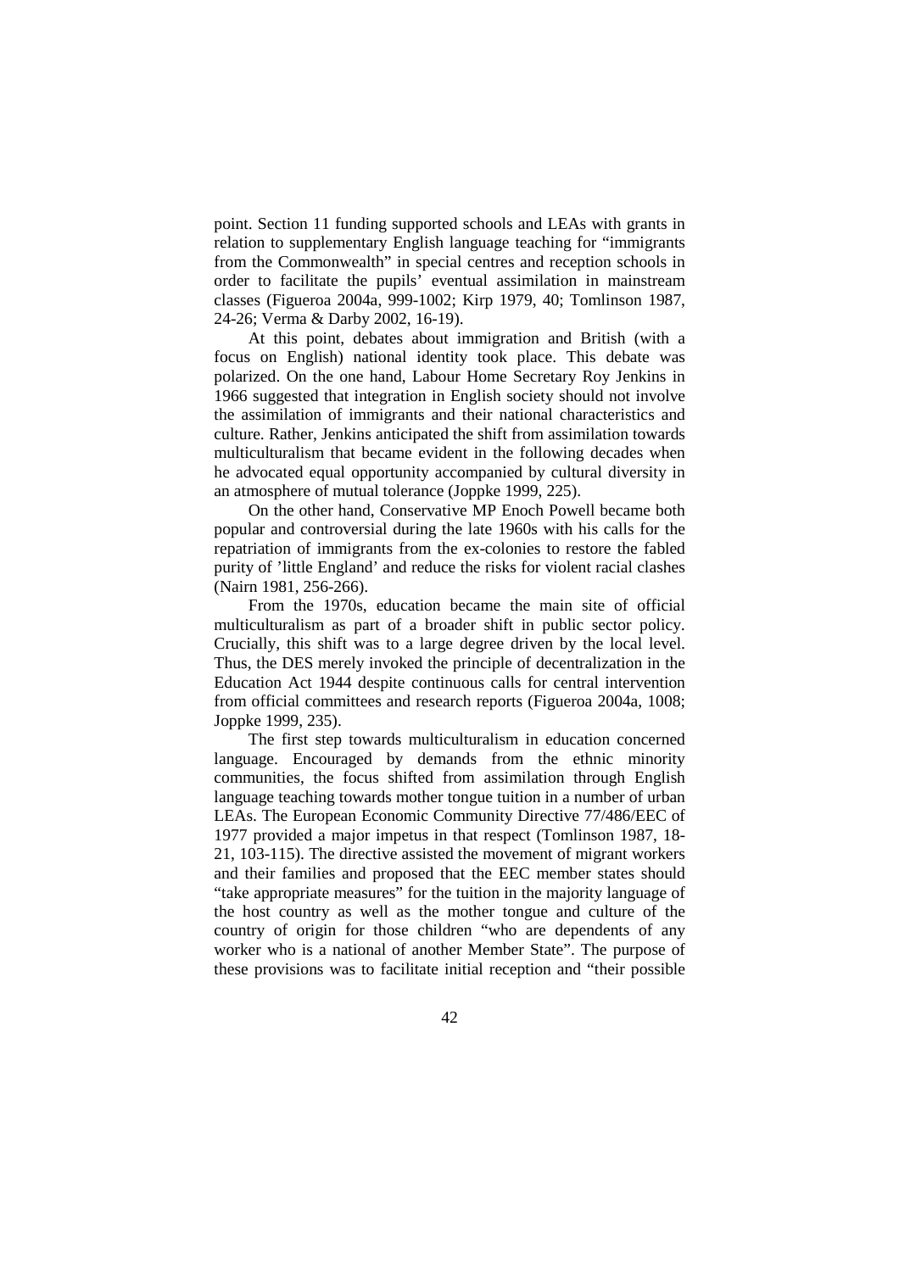point. Section 11 funding supported schools and LEAs with grants in relation to supplementary English language teaching for "immigrants from the Commonwealth" in special centres and reception schools in order to facilitate the pupils' eventual assimilation in mainstream classes (Figueroa 2004a, 999-1002; Kirp 1979, 40; Tomlinson 1987, 24-26; Verma & Darby 2002, 16-19).

At this point, debates about immigration and British (with a focus on English) national identity took place. This debate was polarized. On the one hand, Labour Home Secretary Roy Jenkins in 1966 suggested that integration in English society should not involve the assimilation of immigrants and their national characteristics and culture. Rather, Jenkins anticipated the shift from assimilation towards multiculturalism that became evident in the following decades when he advocated equal opportunity accompanied by cultural diversity in an atmosphere of mutual tolerance (Joppke 1999, 225).

On the other hand, Conservative MP Enoch Powell became both popular and controversial during the late 1960s with his calls for the repatriation of immigrants from the ex-colonies to restore the fabled purity of 'little England' and reduce the risks for violent racial clashes (Nairn 1981, 256-266).

From the 1970s, education became the main site of official multiculturalism as part of a broader shift in public sector policy. Crucially, this shift was to a large degree driven by the local level. Thus, the DES merely invoked the principle of decentralization in the Education Act 1944 despite continuous calls for central intervention from official committees and research reports (Figueroa 2004a, 1008; Joppke 1999, 235).

The first step towards multiculturalism in education concerned language. Encouraged by demands from the ethnic minority communities, the focus shifted from assimilation through English language teaching towards mother tongue tuition in a number of urban LEAs. The European Economic Community Directive 77/486/EEC of 1977 provided a major impetus in that respect (Tomlinson 1987, 18- 21, 103-115). The directive assisted the movement of migrant workers and their families and proposed that the EEC member states should "take appropriate measures" for the tuition in the majority language of the host country as well as the mother tongue and culture of the country of origin for those children "who are dependents of any worker who is a national of another Member State". The purpose of these provisions was to facilitate initial reception and "their possible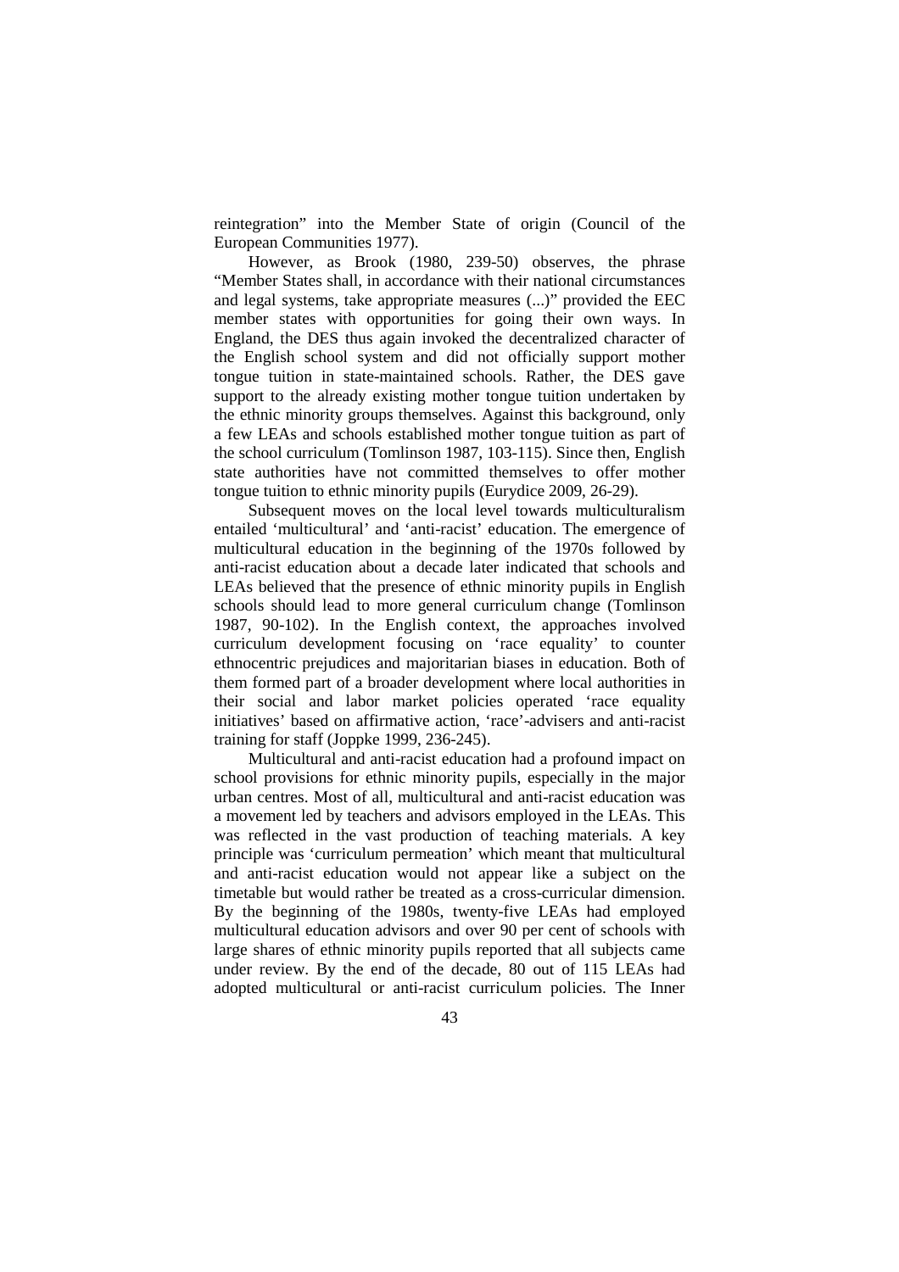reintegration" into the Member State of origin (Council of the European Communities 1977).

However, as Brook (1980, 239-50) observes, the phrase "Member States shall, in accordance with their national circumstances and legal systems, take appropriate measures (...)" provided the EEC member states with opportunities for going their own ways. In England, the DES thus again invoked the decentralized character of the English school system and did not officially support mother tongue tuition in state-maintained schools. Rather, the DES gave support to the already existing mother tongue tuition undertaken by the ethnic minority groups themselves. Against this background, only a few LEAs and schools established mother tongue tuition as part of the school curriculum (Tomlinson 1987, 103-115). Since then, English state authorities have not committed themselves to offer mother tongue tuition to ethnic minority pupils (Eurydice 2009, 26-29).

Subsequent moves on the local level towards multiculturalism entailed 'multicultural' and 'anti-racist' education. The emergence of multicultural education in the beginning of the 1970s followed by anti-racist education about a decade later indicated that schools and LEAs believed that the presence of ethnic minority pupils in English schools should lead to more general curriculum change (Tomlinson 1987, 90-102). In the English context, the approaches involved curriculum development focusing on 'race equality' to counter ethnocentric prejudices and majoritarian biases in education. Both of them formed part of a broader development where local authorities in their social and labor market policies operated 'race equality initiatives' based on affirmative action, 'race'-advisers and anti-racist training for staff (Joppke 1999, 236-245).

Multicultural and anti-racist education had a profound impact on school provisions for ethnic minority pupils, especially in the major urban centres. Most of all, multicultural and anti-racist education was a movement led by teachers and advisors employed in the LEAs. This was reflected in the vast production of teaching materials. A key principle was 'curriculum permeation' which meant that multicultural and anti-racist education would not appear like a subject on the timetable but would rather be treated as a cross-curricular dimension. By the beginning of the 1980s, twenty-five LEAs had employed multicultural education advisors and over 90 per cent of schools with large shares of ethnic minority pupils reported that all subjects came under review. By the end of the decade, 80 out of 115 LEAs had adopted multicultural or anti-racist curriculum policies. The Inner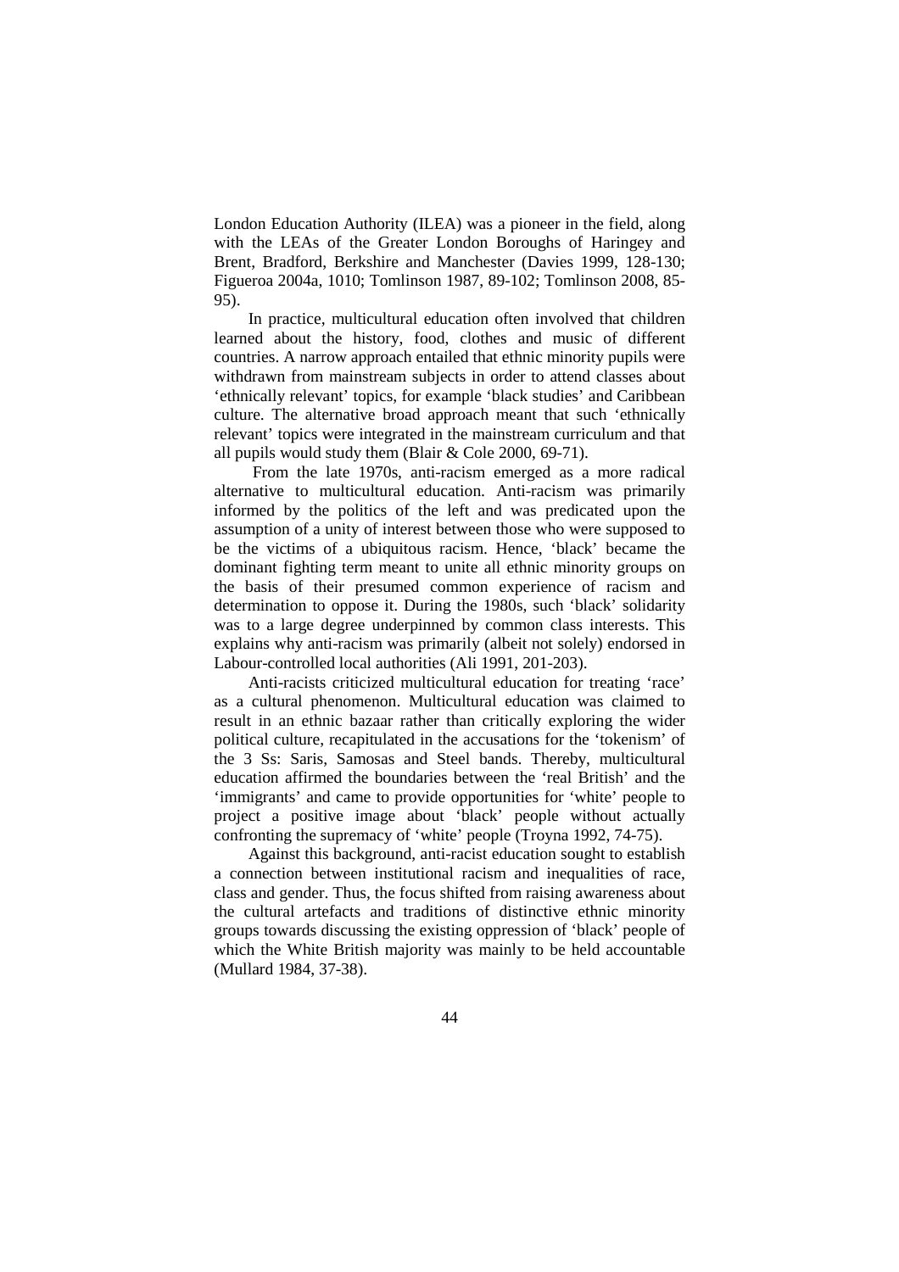London Education Authority (ILEA) was a pioneer in the field, along with the LEAs of the Greater London Boroughs of Haringey and Brent, Bradford, Berkshire and Manchester (Davies 1999, 128-130; Figueroa 2004a, 1010; Tomlinson 1987, 89-102; Tomlinson 2008, 85- 95).

In practice, multicultural education often involved that children learned about the history, food, clothes and music of different countries. A narrow approach entailed that ethnic minority pupils were withdrawn from mainstream subjects in order to attend classes about 'ethnically relevant' topics, for example 'black studies' and Caribbean culture. The alternative broad approach meant that such 'ethnically relevant' topics were integrated in the mainstream curriculum and that all pupils would study them (Blair & Cole 2000, 69-71).

 From the late 1970s, anti-racism emerged as a more radical alternative to multicultural education. Anti-racism was primarily informed by the politics of the left and was predicated upon the assumption of a unity of interest between those who were supposed to be the victims of a ubiquitous racism. Hence, 'black' became the dominant fighting term meant to unite all ethnic minority groups on the basis of their presumed common experience of racism and determination to oppose it. During the 1980s, such 'black' solidarity was to a large degree underpinned by common class interests. This explains why anti-racism was primarily (albeit not solely) endorsed in Labour-controlled local authorities (Ali 1991, 201-203).

Anti-racists criticized multicultural education for treating 'race' as a cultural phenomenon. Multicultural education was claimed to result in an ethnic bazaar rather than critically exploring the wider political culture, recapitulated in the accusations for the 'tokenism' of the 3 Ss: Saris, Samosas and Steel bands. Thereby, multicultural education affirmed the boundaries between the 'real British' and the 'immigrants' and came to provide opportunities for 'white' people to project a positive image about 'black' people without actually confronting the supremacy of 'white' people (Troyna 1992, 74-75).

Against this background, anti-racist education sought to establish a connection between institutional racism and inequalities of race, class and gender. Thus, the focus shifted from raising awareness about the cultural artefacts and traditions of distinctive ethnic minority groups towards discussing the existing oppression of 'black' people of which the White British majority was mainly to be held accountable (Mullard 1984, 37-38).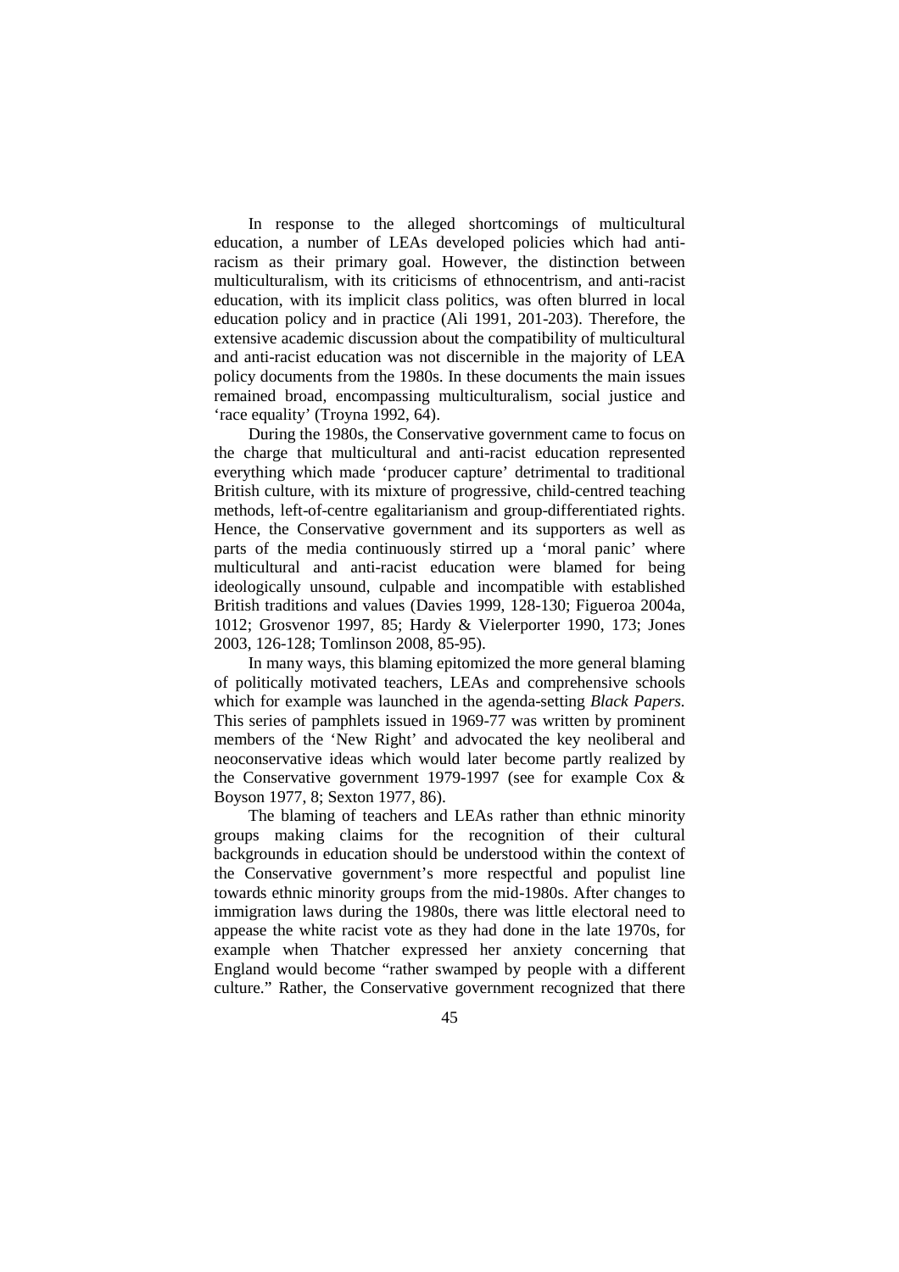In response to the alleged shortcomings of multicultural education, a number of LEAs developed policies which had antiracism as their primary goal. However, the distinction between multiculturalism, with its criticisms of ethnocentrism, and anti-racist education, with its implicit class politics, was often blurred in local education policy and in practice (Ali 1991, 201-203). Therefore, the extensive academic discussion about the compatibility of multicultural and anti-racist education was not discernible in the majority of LEA policy documents from the 1980s. In these documents the main issues remained broad, encompassing multiculturalism, social justice and 'race equality' (Troyna 1992, 64).

During the 1980s, the Conservative government came to focus on the charge that multicultural and anti-racist education represented everything which made 'producer capture' detrimental to traditional British culture, with its mixture of progressive, child-centred teaching methods, left-of-centre egalitarianism and group-differentiated rights. Hence, the Conservative government and its supporters as well as parts of the media continuously stirred up a 'moral panic' where multicultural and anti-racist education were blamed for being ideologically unsound, culpable and incompatible with established British traditions and values (Davies 1999, 128-130; Figueroa 2004a, 1012; Grosvenor 1997, 85; Hardy & Vielerporter 1990, 173; Jones 2003, 126-128; Tomlinson 2008, 85-95).

In many ways, this blaming epitomized the more general blaming of politically motivated teachers, LEAs and comprehensive schools which for example was launched in the agenda-setting *Black Papers.*  This series of pamphlets issued in 1969-77 was written by prominent members of the 'New Right' and advocated the key neoliberal and neoconservative ideas which would later become partly realized by the Conservative government 1979-1997 (see for example Cox & Boyson 1977, 8; Sexton 1977, 86).

The blaming of teachers and LEAs rather than ethnic minority groups making claims for the recognition of their cultural backgrounds in education should be understood within the context of the Conservative government's more respectful and populist line towards ethnic minority groups from the mid-1980s. After changes to immigration laws during the 1980s, there was little electoral need to appease the white racist vote as they had done in the late 1970s, for example when Thatcher expressed her anxiety concerning that England would become "rather swamped by people with a different culture." Rather, the Conservative government recognized that there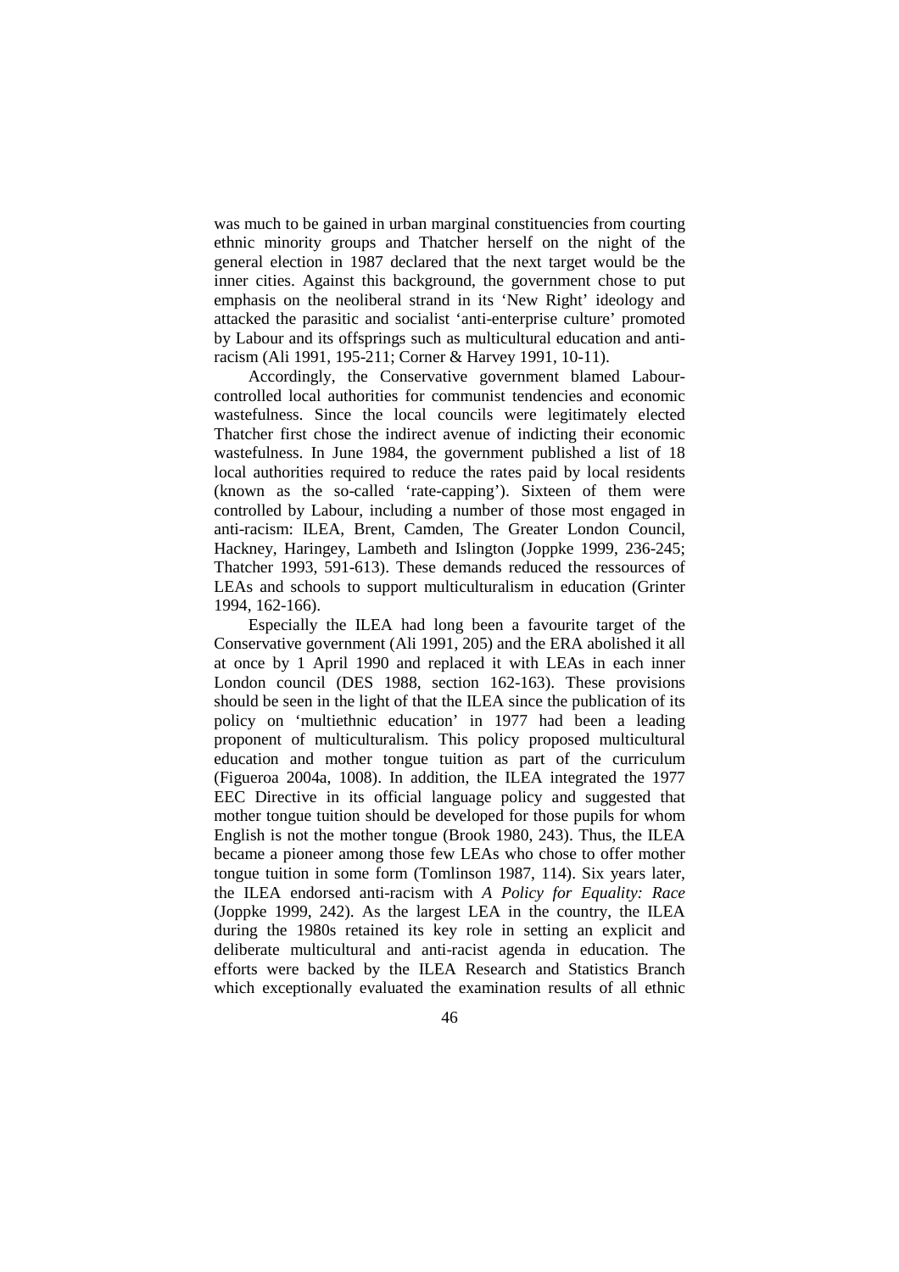was much to be gained in urban marginal constituencies from courting ethnic minority groups and Thatcher herself on the night of the general election in 1987 declared that the next target would be the inner cities. Against this background, the government chose to put emphasis on the neoliberal strand in its 'New Right' ideology and attacked the parasitic and socialist 'anti-enterprise culture' promoted by Labour and its offsprings such as multicultural education and antiracism (Ali 1991, 195-211; Corner & Harvey 1991, 10-11).

Accordingly, the Conservative government blamed Labourcontrolled local authorities for communist tendencies and economic wastefulness. Since the local councils were legitimately elected Thatcher first chose the indirect avenue of indicting their economic wastefulness. In June 1984, the government published a list of 18 local authorities required to reduce the rates paid by local residents (known as the so-called 'rate-capping'). Sixteen of them were controlled by Labour, including a number of those most engaged in anti-racism: ILEA, Brent, Camden, The Greater London Council, Hackney, Haringey, Lambeth and Islington (Joppke 1999, 236-245; Thatcher 1993, 591-613). These demands reduced the ressources of LEAs and schools to support multiculturalism in education (Grinter 1994, 162-166).

Especially the ILEA had long been a favourite target of the Conservative government (Ali 1991, 205) and the ERA abolished it all at once by 1 April 1990 and replaced it with LEAs in each inner London council (DES 1988, section 162-163). These provisions should be seen in the light of that the ILEA since the publication of its policy on 'multiethnic education' in 1977 had been a leading proponent of multiculturalism. This policy proposed multicultural education and mother tongue tuition as part of the curriculum (Figueroa 2004a, 1008). In addition, the ILEA integrated the 1977 EEC Directive in its official language policy and suggested that mother tongue tuition should be developed for those pupils for whom English is not the mother tongue (Brook 1980, 243). Thus, the ILEA became a pioneer among those few LEAs who chose to offer mother tongue tuition in some form (Tomlinson 1987, 114). Six years later, the ILEA endorsed anti-racism with *A Policy for Equality: Race*  (Joppke 1999, 242). As the largest LEA in the country, the ILEA during the 1980s retained its key role in setting an explicit and deliberate multicultural and anti-racist agenda in education. The efforts were backed by the ILEA Research and Statistics Branch which exceptionally evaluated the examination results of all ethnic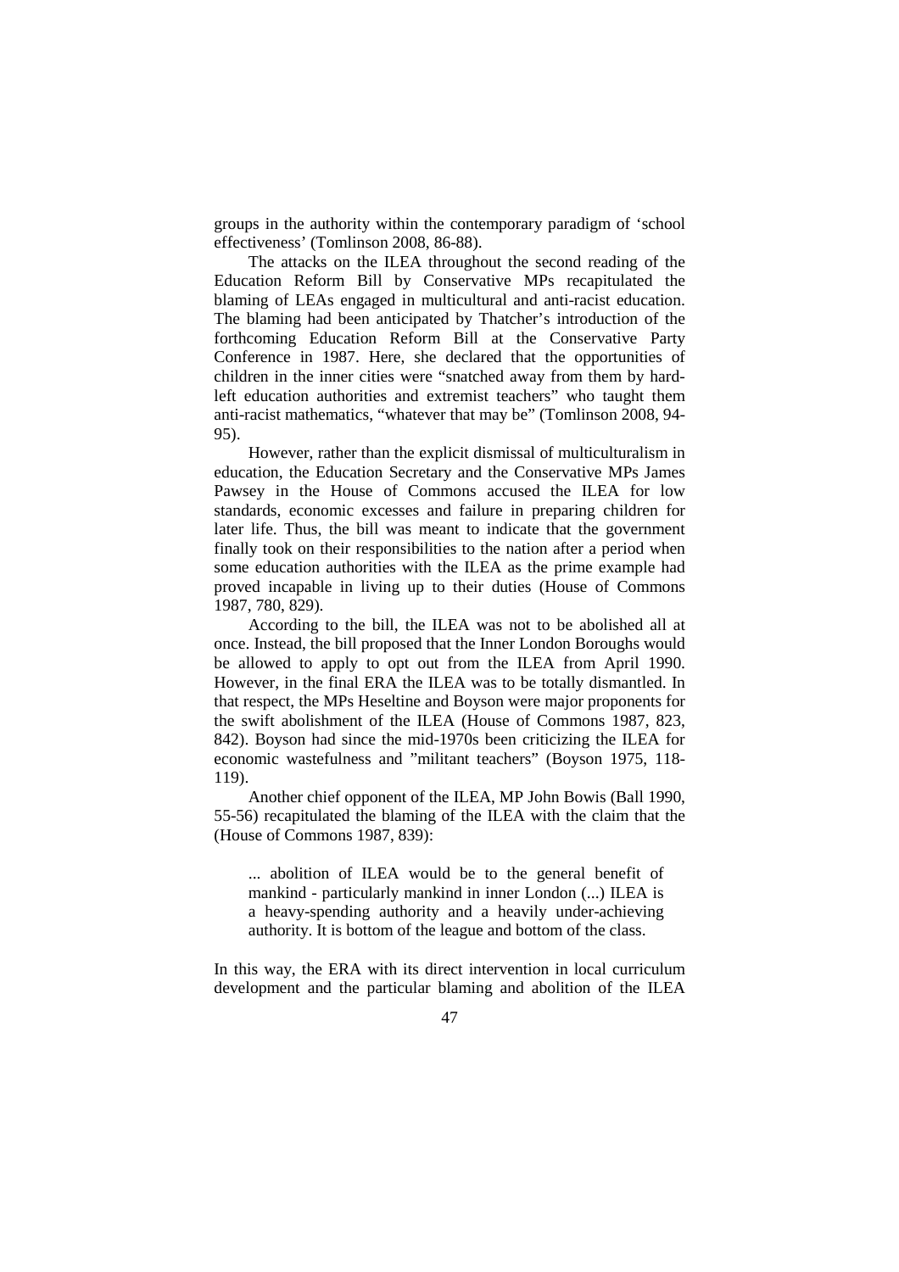groups in the authority within the contemporary paradigm of 'school effectiveness' (Tomlinson 2008, 86-88).

The attacks on the ILEA throughout the second reading of the Education Reform Bill by Conservative MPs recapitulated the blaming of LEAs engaged in multicultural and anti-racist education. The blaming had been anticipated by Thatcher's introduction of the forthcoming Education Reform Bill at the Conservative Party Conference in 1987. Here, she declared that the opportunities of children in the inner cities were "snatched away from them by hardleft education authorities and extremist teachers" who taught them anti-racist mathematics, "whatever that may be" (Tomlinson 2008, 94- 95).

However, rather than the explicit dismissal of multiculturalism in education, the Education Secretary and the Conservative MPs James Pawsey in the House of Commons accused the ILEA for low standards, economic excesses and failure in preparing children for later life. Thus, the bill was meant to indicate that the government finally took on their responsibilities to the nation after a period when some education authorities with the ILEA as the prime example had proved incapable in living up to their duties (House of Commons 1987, 780, 829).

According to the bill, the ILEA was not to be abolished all at once. Instead, the bill proposed that the Inner London Boroughs would be allowed to apply to opt out from the ILEA from April 1990. However, in the final ERA the ILEA was to be totally dismantled. In that respect, the MPs Heseltine and Boyson were major proponents for the swift abolishment of the ILEA (House of Commons 1987, 823, 842). Boyson had since the mid-1970s been criticizing the ILEA for economic wastefulness and "militant teachers" (Boyson 1975, 118- 119).

Another chief opponent of the ILEA, MP John Bowis (Ball 1990, 55-56) recapitulated the blaming of the ILEA with the claim that the (House of Commons 1987, 839):

... abolition of ILEA would be to the general benefit of mankind - particularly mankind in inner London (...) ILEA is a heavy-spending authority and a heavily under-achieving authority. It is bottom of the league and bottom of the class.

In this way, the ERA with its direct intervention in local curriculum development and the particular blaming and abolition of the ILEA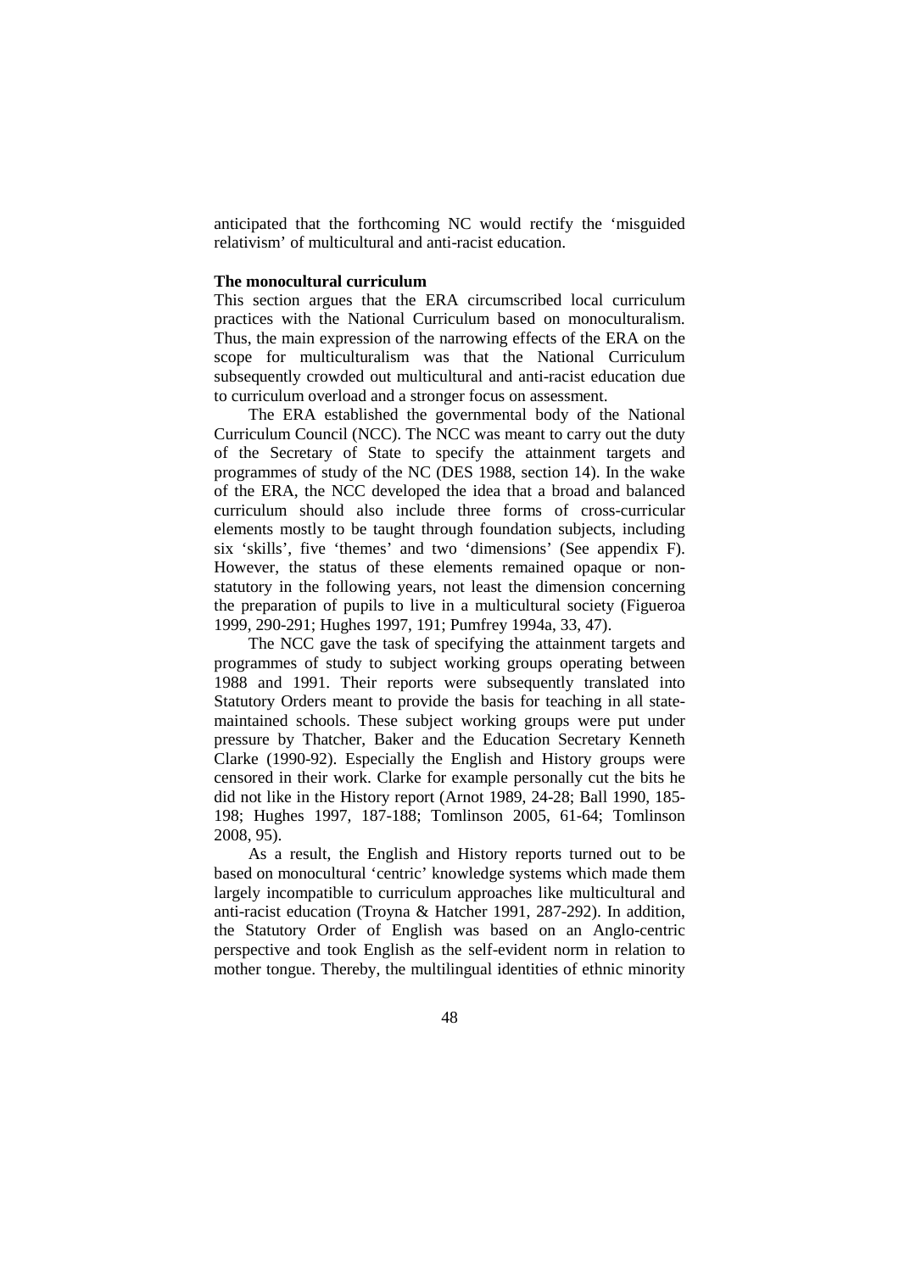anticipated that the forthcoming NC would rectify the 'misguided relativism' of multicultural and anti-racist education.

## **The monocultural curriculum**

This section argues that the ERA circumscribed local curriculum practices with the National Curriculum based on monoculturalism. Thus, the main expression of the narrowing effects of the ERA on the scope for multiculturalism was that the National Curriculum subsequently crowded out multicultural and anti-racist education due to curriculum overload and a stronger focus on assessment.

The ERA established the governmental body of the National Curriculum Council (NCC). The NCC was meant to carry out the duty of the Secretary of State to specify the attainment targets and programmes of study of the NC (DES 1988, section 14). In the wake of the ERA, the NCC developed the idea that a broad and balanced curriculum should also include three forms of cross-curricular elements mostly to be taught through foundation subjects, including six 'skills', five 'themes' and two 'dimensions' (See appendix F). However, the status of these elements remained opaque or nonstatutory in the following years, not least the dimension concerning the preparation of pupils to live in a multicultural society (Figueroa 1999, 290-291; Hughes 1997, 191; Pumfrey 1994a, 33, 47).

The NCC gave the task of specifying the attainment targets and programmes of study to subject working groups operating between 1988 and 1991. Their reports were subsequently translated into Statutory Orders meant to provide the basis for teaching in all statemaintained schools. These subject working groups were put under pressure by Thatcher, Baker and the Education Secretary Kenneth Clarke (1990-92). Especially the English and History groups were censored in their work. Clarke for example personally cut the bits he did not like in the History report (Arnot 1989, 24-28; Ball 1990, 185- 198; Hughes 1997, 187-188; Tomlinson 2005, 61-64; Tomlinson 2008, 95).

As a result, the English and History reports turned out to be based on monocultural 'centric' knowledge systems which made them largely incompatible to curriculum approaches like multicultural and anti-racist education (Troyna & Hatcher 1991, 287-292). In addition, the Statutory Order of English was based on an Anglo-centric perspective and took English as the self-evident norm in relation to mother tongue. Thereby, the multilingual identities of ethnic minority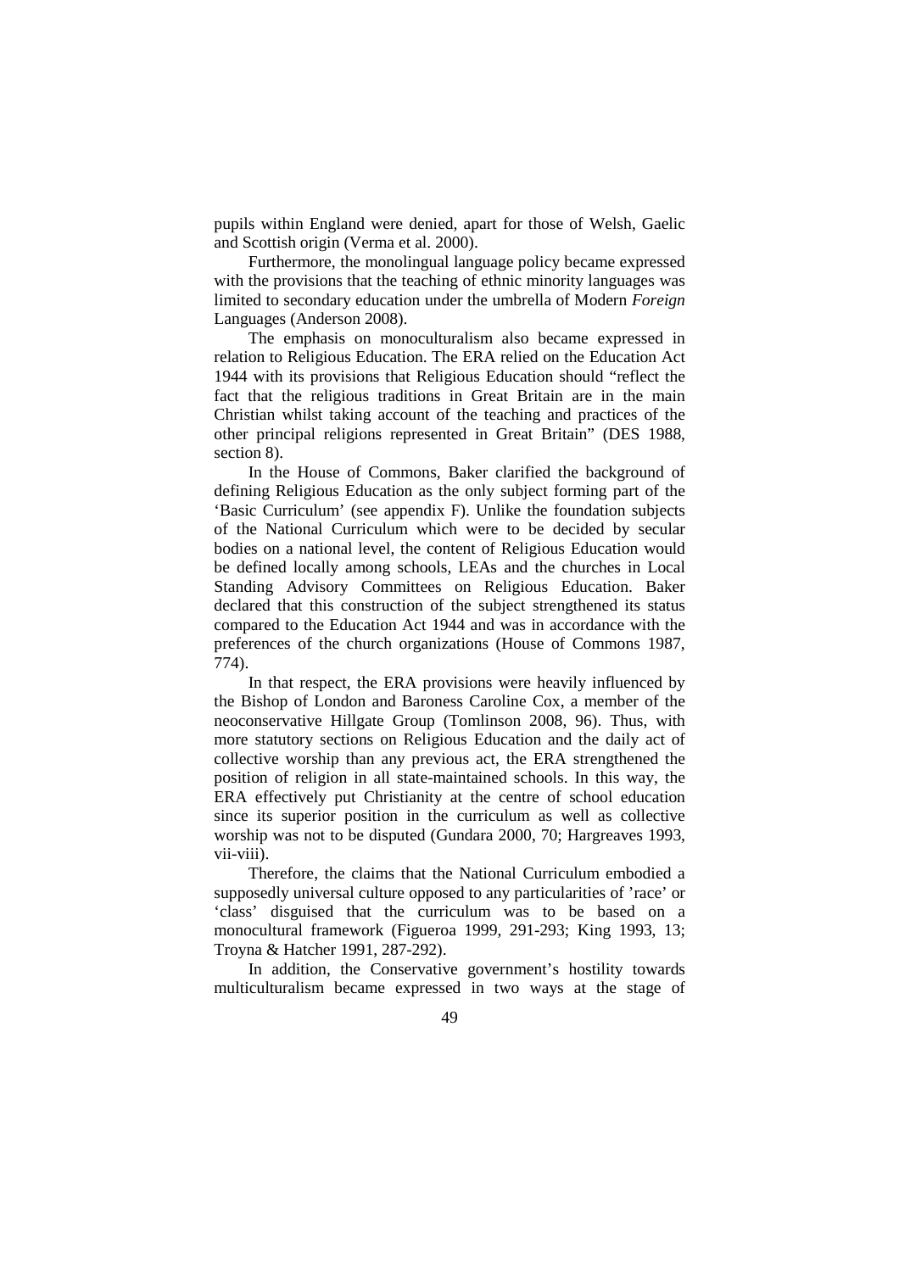pupils within England were denied, apart for those of Welsh, Gaelic and Scottish origin (Verma et al. 2000).

Furthermore, the monolingual language policy became expressed with the provisions that the teaching of ethnic minority languages was limited to secondary education under the umbrella of Modern *Foreign*  Languages (Anderson 2008).

The emphasis on monoculturalism also became expressed in relation to Religious Education. The ERA relied on the Education Act 1944 with its provisions that Religious Education should "reflect the fact that the religious traditions in Great Britain are in the main Christian whilst taking account of the teaching and practices of the other principal religions represented in Great Britain" (DES 1988, section 8).

In the House of Commons, Baker clarified the background of defining Religious Education as the only subject forming part of the 'Basic Curriculum' (see appendix F). Unlike the foundation subjects of the National Curriculum which were to be decided by secular bodies on a national level, the content of Religious Education would be defined locally among schools, LEAs and the churches in Local Standing Advisory Committees on Religious Education. Baker declared that this construction of the subject strengthened its status compared to the Education Act 1944 and was in accordance with the preferences of the church organizations (House of Commons 1987, 774).

In that respect, the ERA provisions were heavily influenced by the Bishop of London and Baroness Caroline Cox, a member of the neoconservative Hillgate Group (Tomlinson 2008, 96). Thus, with more statutory sections on Religious Education and the daily act of collective worship than any previous act, the ERA strengthened the position of religion in all state-maintained schools. In this way, the ERA effectively put Christianity at the centre of school education since its superior position in the curriculum as well as collective worship was not to be disputed (Gundara 2000, 70; Hargreaves 1993, vii-viii).

Therefore, the claims that the National Curriculum embodied a supposedly universal culture opposed to any particularities of 'race' or 'class' disguised that the curriculum was to be based on a monocultural framework (Figueroa 1999, 291-293; King 1993, 13; Troyna & Hatcher 1991, 287-292).

In addition, the Conservative government's hostility towards multiculturalism became expressed in two ways at the stage of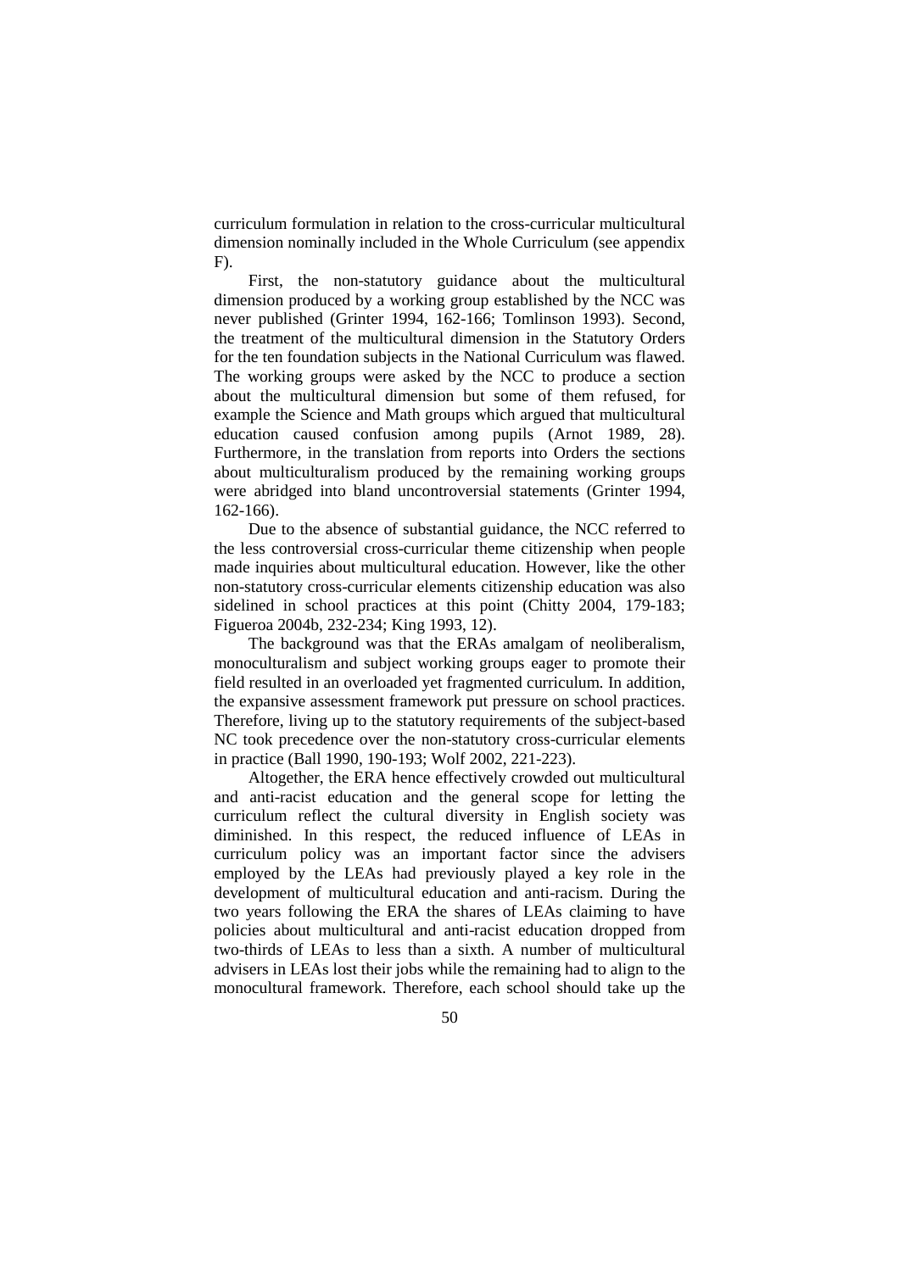curriculum formulation in relation to the cross-curricular multicultural dimension nominally included in the Whole Curriculum (see appendix  $F$ ).

First, the non-statutory guidance about the multicultural dimension produced by a working group established by the NCC was never published (Grinter 1994, 162-166; Tomlinson 1993). Second, the treatment of the multicultural dimension in the Statutory Orders for the ten foundation subjects in the National Curriculum was flawed. The working groups were asked by the NCC to produce a section about the multicultural dimension but some of them refused, for example the Science and Math groups which argued that multicultural education caused confusion among pupils (Arnot 1989, 28). Furthermore, in the translation from reports into Orders the sections about multiculturalism produced by the remaining working groups were abridged into bland uncontroversial statements (Grinter 1994, 162-166).

Due to the absence of substantial guidance, the NCC referred to the less controversial cross-curricular theme citizenship when people made inquiries about multicultural education. However, like the other non-statutory cross-curricular elements citizenship education was also sidelined in school practices at this point (Chitty 2004, 179-183; Figueroa 2004b, 232-234; King 1993, 12).

The background was that the ERAs amalgam of neoliberalism, monoculturalism and subject working groups eager to promote their field resulted in an overloaded yet fragmented curriculum. In addition, the expansive assessment framework put pressure on school practices. Therefore, living up to the statutory requirements of the subject-based NC took precedence over the non-statutory cross-curricular elements in practice (Ball 1990, 190-193; Wolf 2002, 221-223).

Altogether, the ERA hence effectively crowded out multicultural and anti-racist education and the general scope for letting the curriculum reflect the cultural diversity in English society was diminished. In this respect, the reduced influence of LEAs in curriculum policy was an important factor since the advisers employed by the LEAs had previously played a key role in the development of multicultural education and anti-racism. During the two years following the ERA the shares of LEAs claiming to have policies about multicultural and anti-racist education dropped from two-thirds of LEAs to less than a sixth. A number of multicultural advisers in LEAs lost their jobs while the remaining had to align to the monocultural framework. Therefore, each school should take up the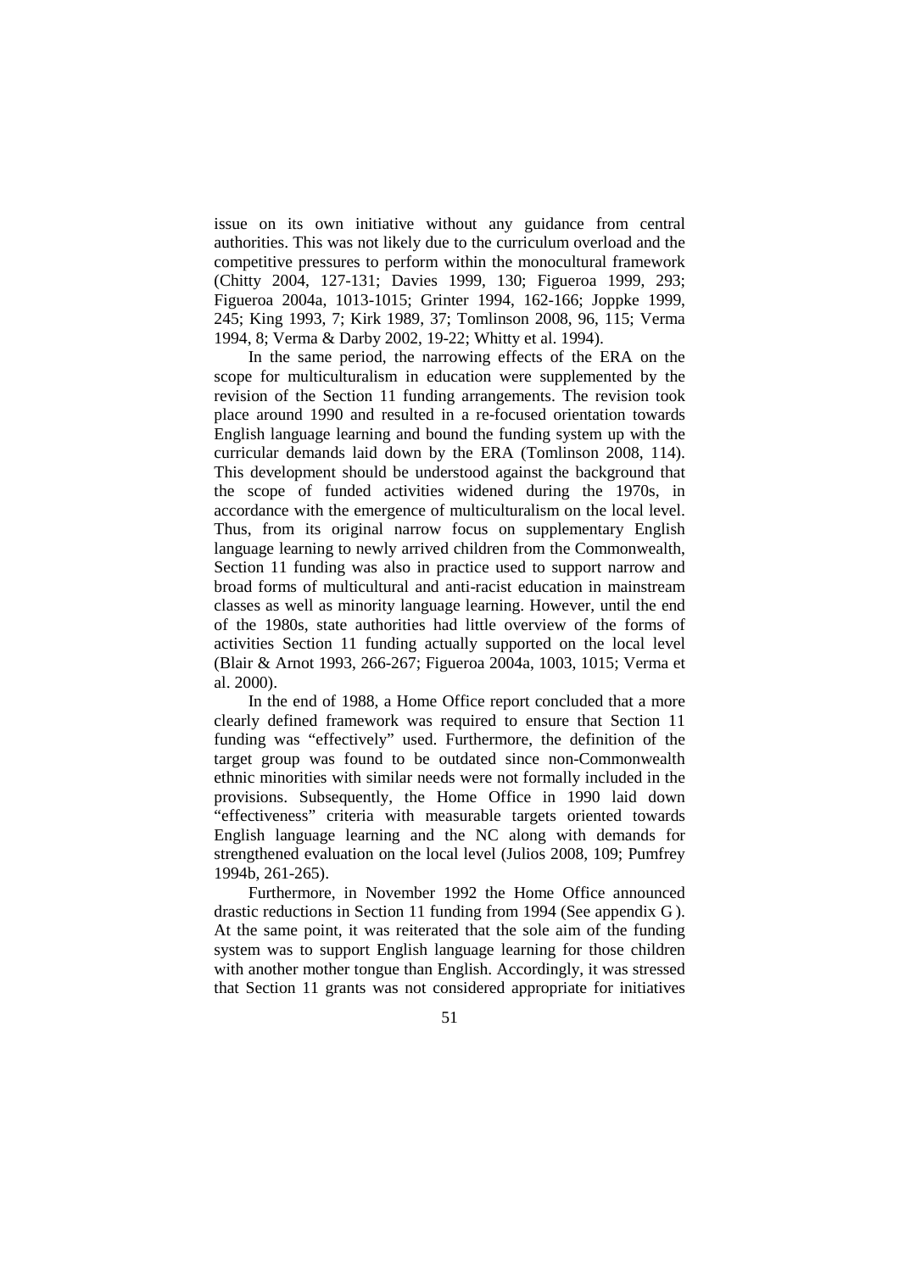issue on its own initiative without any guidance from central authorities. This was not likely due to the curriculum overload and the competitive pressures to perform within the monocultural framework (Chitty 2004, 127-131; Davies 1999, 130; Figueroa 1999, 293; Figueroa 2004a, 1013-1015; Grinter 1994, 162-166; Joppke 1999, 245; King 1993, 7; Kirk 1989, 37; Tomlinson 2008, 96, 115; Verma 1994, 8; Verma & Darby 2002, 19-22; Whitty et al. 1994).

In the same period, the narrowing effects of the ERA on the scope for multiculturalism in education were supplemented by the revision of the Section 11 funding arrangements. The revision took place around 1990 and resulted in a re-focused orientation towards English language learning and bound the funding system up with the curricular demands laid down by the ERA (Tomlinson 2008, 114). This development should be understood against the background that the scope of funded activities widened during the 1970s, in accordance with the emergence of multiculturalism on the local level. Thus, from its original narrow focus on supplementary English language learning to newly arrived children from the Commonwealth, Section 11 funding was also in practice used to support narrow and broad forms of multicultural and anti-racist education in mainstream classes as well as minority language learning. However, until the end of the 1980s, state authorities had little overview of the forms of activities Section 11 funding actually supported on the local level (Blair & Arnot 1993, 266-267; Figueroa 2004a, 1003, 1015; Verma et al. 2000).

In the end of 1988, a Home Office report concluded that a more clearly defined framework was required to ensure that Section 11 funding was "effectively" used. Furthermore, the definition of the target group was found to be outdated since non-Commonwealth ethnic minorities with similar needs were not formally included in the provisions. Subsequently, the Home Office in 1990 laid down "effectiveness" criteria with measurable targets oriented towards English language learning and the NC along with demands for strengthened evaluation on the local level (Julios 2008, 109; Pumfrey 1994b, 261-265).

Furthermore, in November 1992 the Home Office announced drastic reductions in Section 11 funding from 1994 (See appendix G ). At the same point, it was reiterated that the sole aim of the funding system was to support English language learning for those children with another mother tongue than English. Accordingly, it was stressed that Section 11 grants was not considered appropriate for initiatives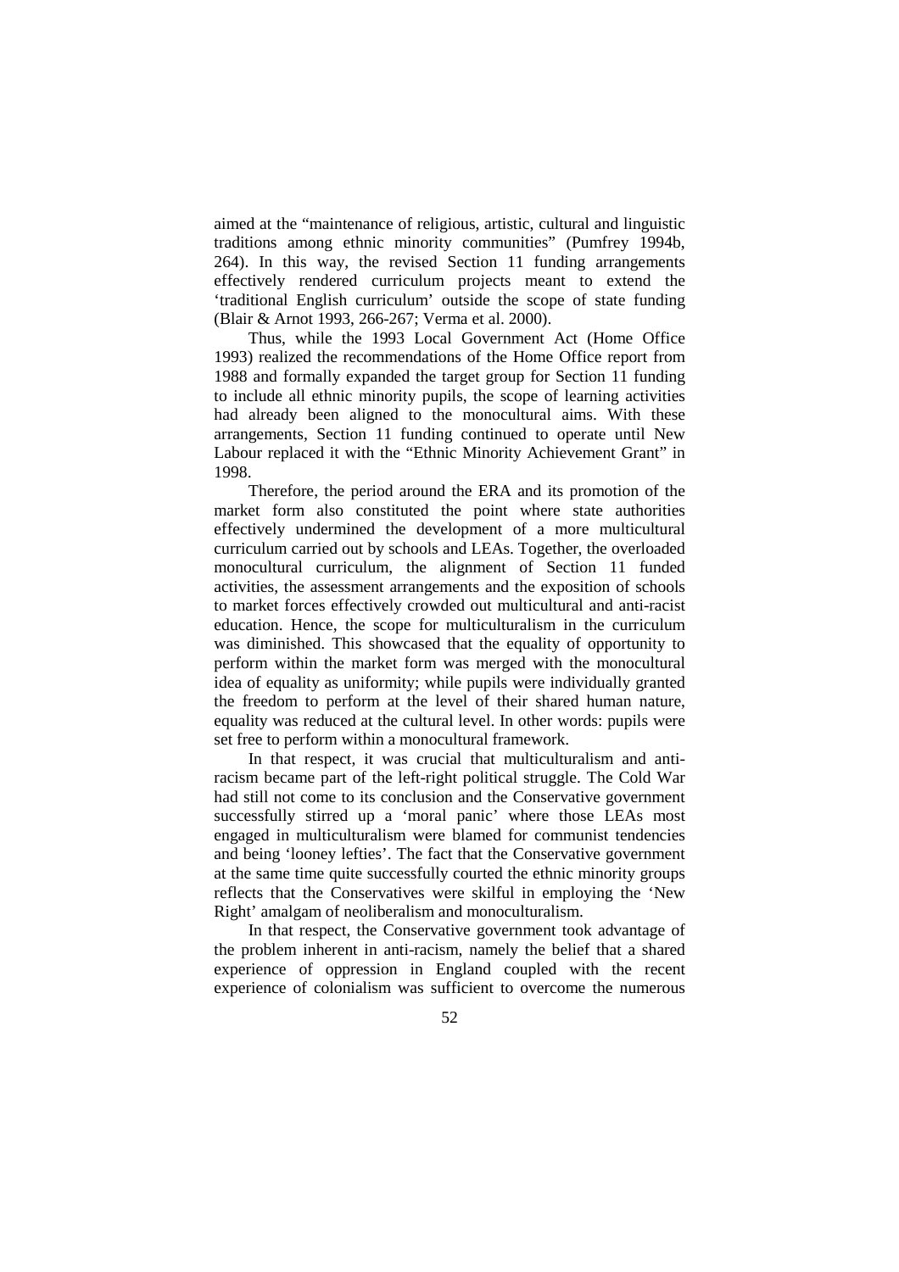aimed at the "maintenance of religious, artistic, cultural and linguistic traditions among ethnic minority communities" (Pumfrey 1994b, 264). In this way, the revised Section 11 funding arrangements effectively rendered curriculum projects meant to extend the 'traditional English curriculum' outside the scope of state funding (Blair & Arnot 1993, 266-267; Verma et al. 2000).

Thus, while the 1993 Local Government Act (Home Office 1993) realized the recommendations of the Home Office report from 1988 and formally expanded the target group for Section 11 funding to include all ethnic minority pupils, the scope of learning activities had already been aligned to the monocultural aims. With these arrangements, Section 11 funding continued to operate until New Labour replaced it with the "Ethnic Minority Achievement Grant" in 1998.

Therefore, the period around the ERA and its promotion of the market form also constituted the point where state authorities effectively undermined the development of a more multicultural curriculum carried out by schools and LEAs. Together, the overloaded monocultural curriculum, the alignment of Section 11 funded activities, the assessment arrangements and the exposition of schools to market forces effectively crowded out multicultural and anti-racist education. Hence, the scope for multiculturalism in the curriculum was diminished. This showcased that the equality of opportunity to perform within the market form was merged with the monocultural idea of equality as uniformity; while pupils were individually granted the freedom to perform at the level of their shared human nature, equality was reduced at the cultural level. In other words: pupils were set free to perform within a monocultural framework.

In that respect, it was crucial that multiculturalism and antiracism became part of the left-right political struggle. The Cold War had still not come to its conclusion and the Conservative government successfully stirred up a 'moral panic' where those LEAs most engaged in multiculturalism were blamed for communist tendencies and being 'looney lefties'. The fact that the Conservative government at the same time quite successfully courted the ethnic minority groups reflects that the Conservatives were skilful in employing the 'New Right' amalgam of neoliberalism and monoculturalism.

In that respect, the Conservative government took advantage of the problem inherent in anti-racism, namely the belief that a shared experience of oppression in England coupled with the recent experience of colonialism was sufficient to overcome the numerous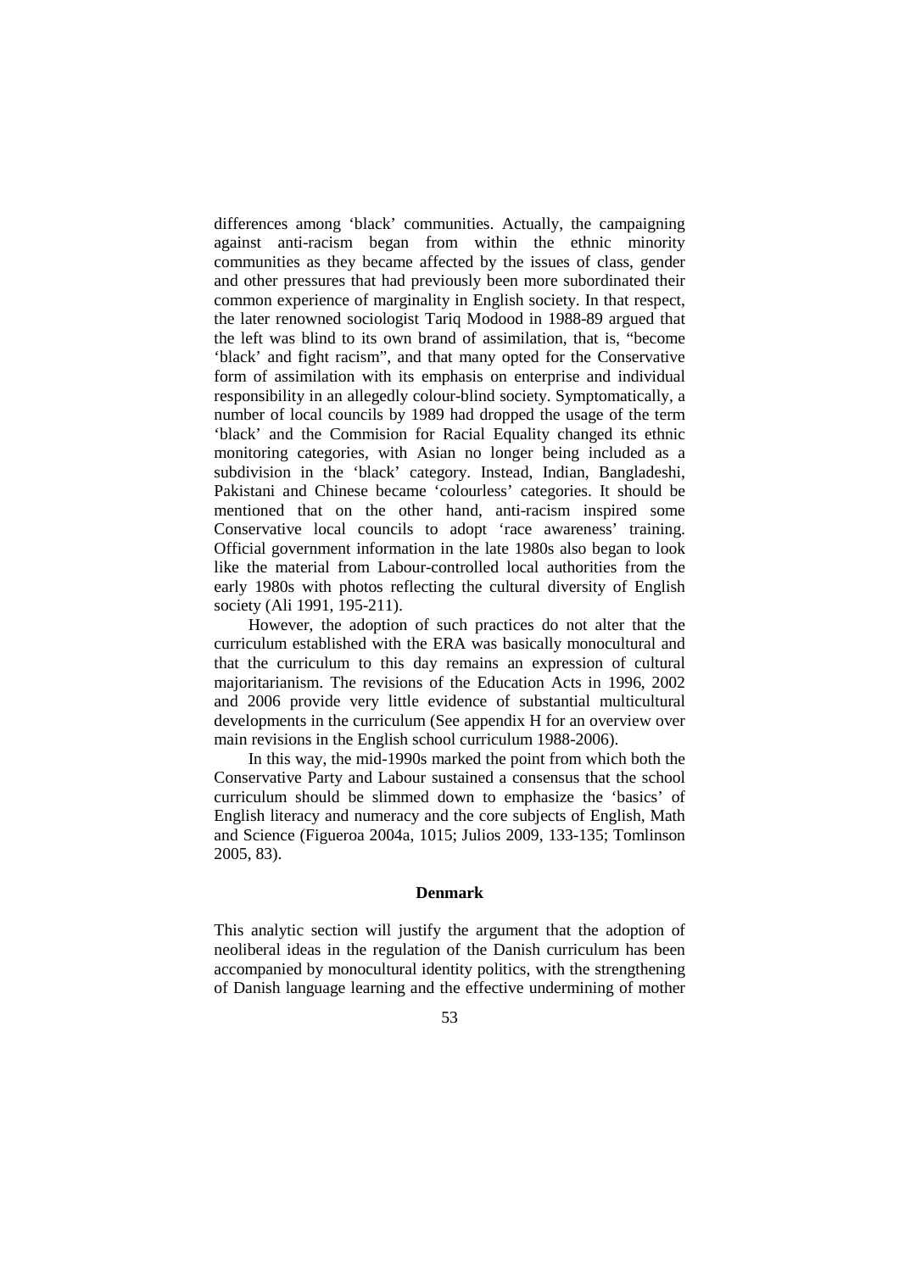differences among 'black' communities. Actually, the campaigning against anti-racism began from within the ethnic minority communities as they became affected by the issues of class, gender and other pressures that had previously been more subordinated their common experience of marginality in English society. In that respect, the later renowned sociologist Tariq Modood in 1988-89 argued that the left was blind to its own brand of assimilation, that is, "become 'black' and fight racism", and that many opted for the Conservative form of assimilation with its emphasis on enterprise and individual responsibility in an allegedly colour-blind society. Symptomatically, a number of local councils by 1989 had dropped the usage of the term 'black' and the Commision for Racial Equality changed its ethnic monitoring categories, with Asian no longer being included as a subdivision in the 'black' category. Instead, Indian, Bangladeshi, Pakistani and Chinese became 'colourless' categories. It should be mentioned that on the other hand, anti-racism inspired some Conservative local councils to adopt 'race awareness' training. Official government information in the late 1980s also began to look like the material from Labour-controlled local authorities from the early 1980s with photos reflecting the cultural diversity of English society (Ali 1991, 195-211).

However, the adoption of such practices do not alter that the curriculum established with the ERA was basically monocultural and that the curriculum to this day remains an expression of cultural majoritarianism. The revisions of the Education Acts in 1996, 2002 and 2006 provide very little evidence of substantial multicultural developments in the curriculum (See appendix H for an overview over main revisions in the English school curriculum 1988-2006).

In this way, the mid-1990s marked the point from which both the Conservative Party and Labour sustained a consensus that the school curriculum should be slimmed down to emphasize the 'basics' of English literacy and numeracy and the core subjects of English, Math and Science (Figueroa 2004a, 1015; Julios 2009, 133-135; Tomlinson 2005, 83).

#### **Denmark**

This analytic section will justify the argument that the adoption of neoliberal ideas in the regulation of the Danish curriculum has been accompanied by monocultural identity politics, with the strengthening of Danish language learning and the effective undermining of mother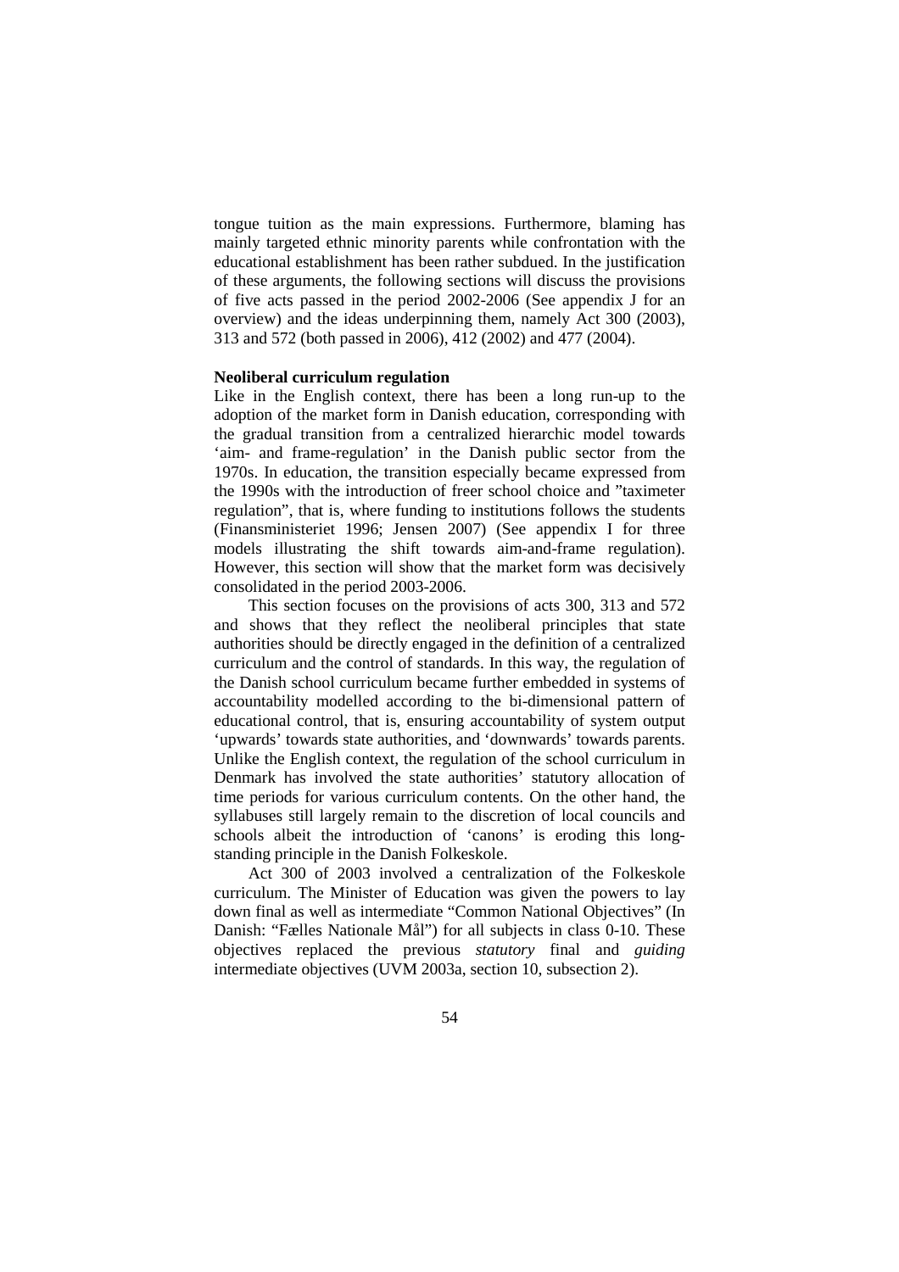tongue tuition as the main expressions. Furthermore, blaming has mainly targeted ethnic minority parents while confrontation with the educational establishment has been rather subdued. In the justification of these arguments, the following sections will discuss the provisions of five acts passed in the period 2002-2006 (See appendix J for an overview) and the ideas underpinning them, namely Act 300 (2003), 313 and 572 (both passed in 2006), 412 (2002) and 477 (2004).

### **Neoliberal curriculum regulation**

Like in the English context, there has been a long run-up to the adoption of the market form in Danish education, corresponding with the gradual transition from a centralized hierarchic model towards 'aim- and frame-regulation' in the Danish public sector from the 1970s. In education, the transition especially became expressed from the 1990s with the introduction of freer school choice and "taximeter regulation", that is, where funding to institutions follows the students (Finansministeriet 1996; Jensen 2007) (See appendix I for three models illustrating the shift towards aim-and-frame regulation). However, this section will show that the market form was decisively consolidated in the period 2003-2006.

This section focuses on the provisions of acts 300, 313 and 572 and shows that they reflect the neoliberal principles that state authorities should be directly engaged in the definition of a centralized curriculum and the control of standards. In this way, the regulation of the Danish school curriculum became further embedded in systems of accountability modelled according to the bi-dimensional pattern of educational control, that is, ensuring accountability of system output 'upwards' towards state authorities, and 'downwards' towards parents. Unlike the English context, the regulation of the school curriculum in Denmark has involved the state authorities' statutory allocation of time periods for various curriculum contents. On the other hand, the syllabuses still largely remain to the discretion of local councils and schools albeit the introduction of 'canons' is eroding this longstanding principle in the Danish Folkeskole.

Act 300 of 2003 involved a centralization of the Folkeskole curriculum. The Minister of Education was given the powers to lay down final as well as intermediate "Common National Objectives" (In Danish: "Fælles Nationale Mål") for all subjects in class 0-10. These objectives replaced the previous *statutory* final and *guiding* intermediate objectives (UVM 2003a, section 10, subsection 2).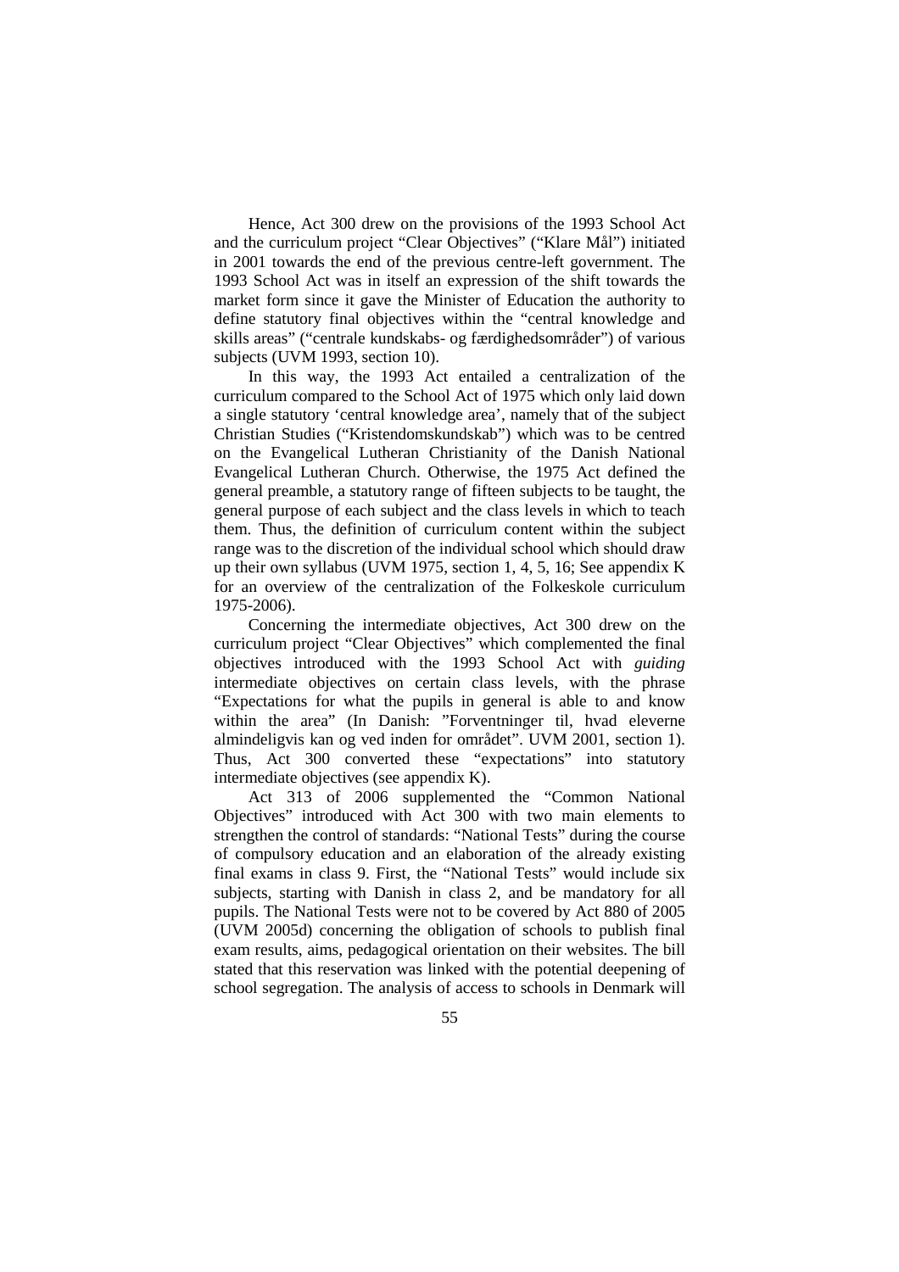Hence, Act 300 drew on the provisions of the 1993 School Act and the curriculum project "Clear Objectives" ("Klare Mål") initiated in 2001 towards the end of the previous centre-left government. The 1993 School Act was in itself an expression of the shift towards the market form since it gave the Minister of Education the authority to define statutory final objectives within the "central knowledge and skills areas" ("centrale kundskabs- og færdighedsområder") of various subjects (UVM 1993, section 10).

In this way, the 1993 Act entailed a centralization of the curriculum compared to the School Act of 1975 which only laid down a single statutory 'central knowledge area', namely that of the subject Christian Studies ("Kristendomskundskab") which was to be centred on the Evangelical Lutheran Christianity of the Danish National Evangelical Lutheran Church. Otherwise, the 1975 Act defined the general preamble, a statutory range of fifteen subjects to be taught, the general purpose of each subject and the class levels in which to teach them. Thus, the definition of curriculum content within the subject range was to the discretion of the individual school which should draw up their own syllabus (UVM 1975, section 1, 4, 5, 16; See appendix K for an overview of the centralization of the Folkeskole curriculum 1975-2006).

Concerning the intermediate objectives, Act 300 drew on the curriculum project "Clear Objectives" which complemented the final objectives introduced with the 1993 School Act with *guiding* intermediate objectives on certain class levels, with the phrase "Expectations for what the pupils in general is able to and know within the area" (In Danish: "Forventninger til, hvad eleverne almindeligvis kan og ved inden for området". UVM 2001, section 1). Thus, Act 300 converted these "expectations" into statutory intermediate objectives (see appendix K).

Act 313 of 2006 supplemented the "Common National Objectives" introduced with Act 300 with two main elements to strengthen the control of standards: "National Tests" during the course of compulsory education and an elaboration of the already existing final exams in class 9. First, the "National Tests" would include six subjects, starting with Danish in class 2, and be mandatory for all pupils. The National Tests were not to be covered by Act 880 of 2005 (UVM 2005d) concerning the obligation of schools to publish final exam results, aims, pedagogical orientation on their websites. The bill stated that this reservation was linked with the potential deepening of school segregation. The analysis of access to schools in Denmark will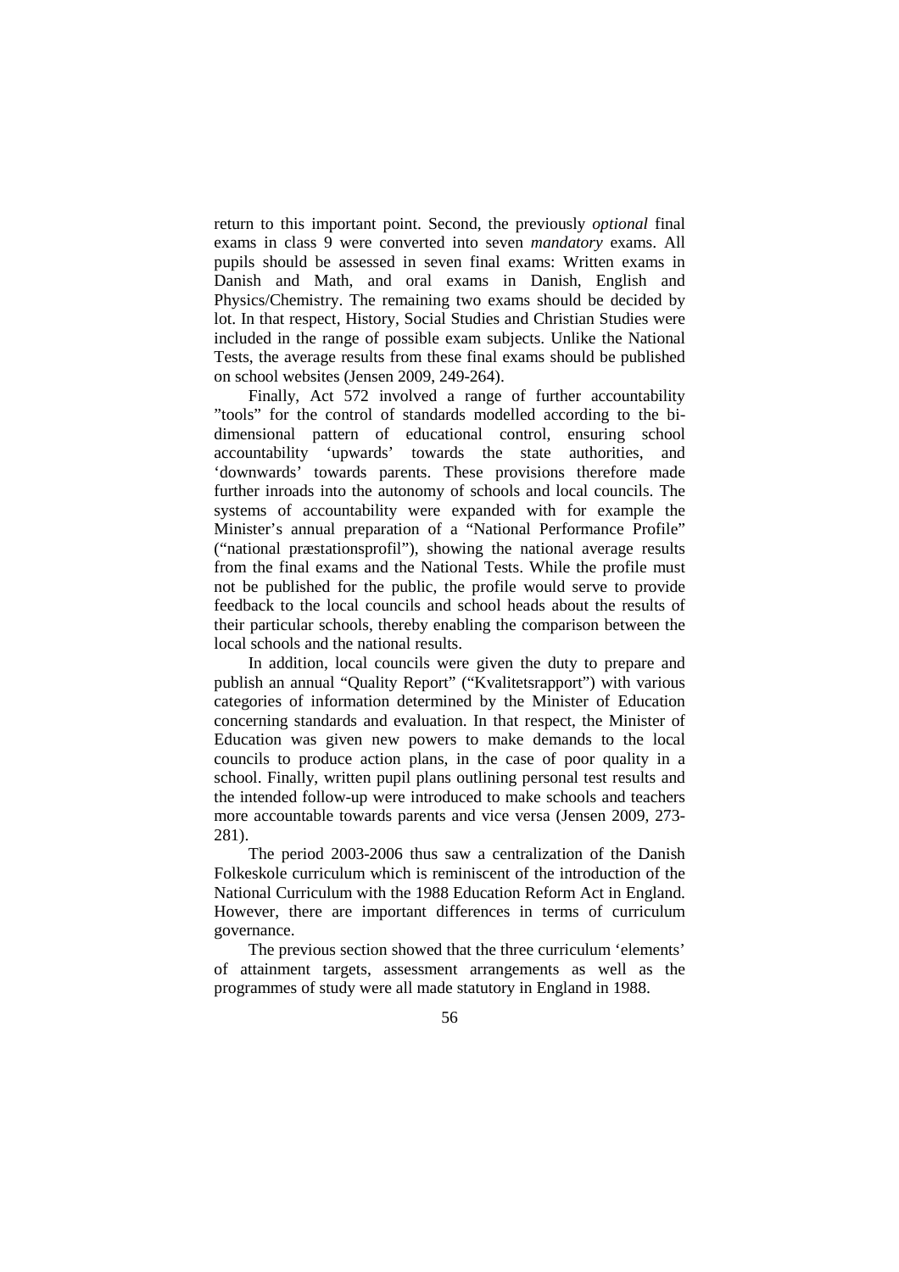return to this important point. Second, the previously *optional* final exams in class 9 were converted into seven *mandatory* exams. All pupils should be assessed in seven final exams: Written exams in Danish and Math, and oral exams in Danish, English and Physics/Chemistry. The remaining two exams should be decided by lot. In that respect, History, Social Studies and Christian Studies were included in the range of possible exam subjects. Unlike the National Tests, the average results from these final exams should be published on school websites (Jensen 2009, 249-264).

Finally, Act 572 involved a range of further accountability "tools" for the control of standards modelled according to the bidimensional pattern of educational control, ensuring school accountability 'upwards' towards the state authorities, and 'downwards' towards parents. These provisions therefore made further inroads into the autonomy of schools and local councils. The systems of accountability were expanded with for example the Minister's annual preparation of a "National Performance Profile" ("national præstationsprofil"), showing the national average results from the final exams and the National Tests. While the profile must not be published for the public, the profile would serve to provide feedback to the local councils and school heads about the results of their particular schools, thereby enabling the comparison between the local schools and the national results.

In addition, local councils were given the duty to prepare and publish an annual "Quality Report" ("Kvalitetsrapport") with various categories of information determined by the Minister of Education concerning standards and evaluation. In that respect, the Minister of Education was given new powers to make demands to the local councils to produce action plans, in the case of poor quality in a school. Finally, written pupil plans outlining personal test results and the intended follow-up were introduced to make schools and teachers more accountable towards parents and vice versa (Jensen 2009, 273- 281).

The period 2003-2006 thus saw a centralization of the Danish Folkeskole curriculum which is reminiscent of the introduction of the National Curriculum with the 1988 Education Reform Act in England. However, there are important differences in terms of curriculum governance.

The previous section showed that the three curriculum 'elements' of attainment targets, assessment arrangements as well as the programmes of study were all made statutory in England in 1988.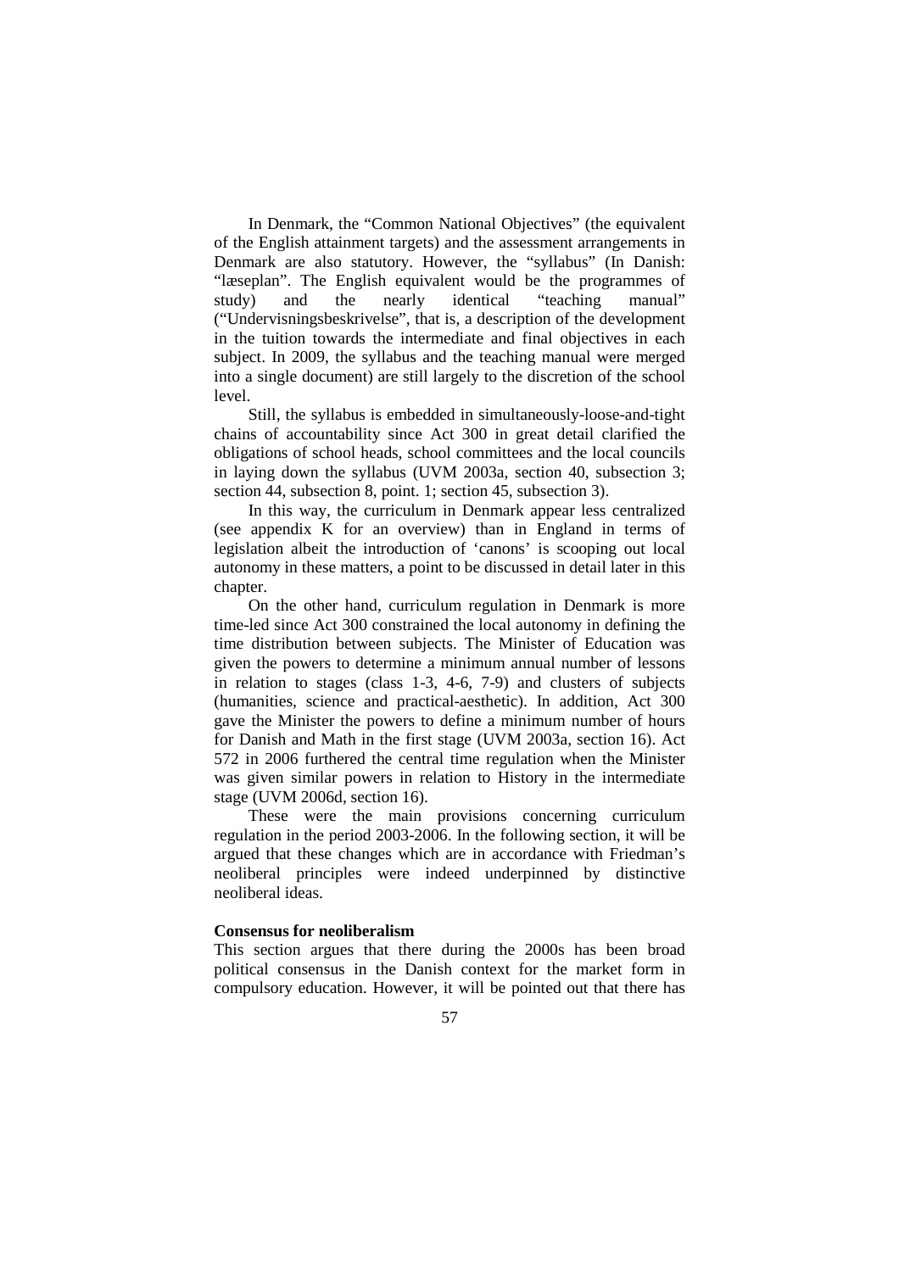In Denmark, the "Common National Objectives" (the equivalent of the English attainment targets) and the assessment arrangements in Denmark are also statutory. However, the "syllabus" (In Danish: "læseplan". The English equivalent would be the programmes of study) and the nearly identical "teaching manual" ("Undervisningsbeskrivelse", that is, a description of the development in the tuition towards the intermediate and final objectives in each subject. In 2009, the syllabus and the teaching manual were merged into a single document) are still largely to the discretion of the school level.

Still, the syllabus is embedded in simultaneously-loose-and-tight chains of accountability since Act 300 in great detail clarified the obligations of school heads, school committees and the local councils in laying down the syllabus (UVM 2003a, section 40, subsection 3; section 44, subsection 8, point. 1; section 45, subsection 3).

In this way, the curriculum in Denmark appear less centralized (see appendix K for an overview) than in England in terms of legislation albeit the introduction of 'canons' is scooping out local autonomy in these matters, a point to be discussed in detail later in this chapter.

On the other hand, curriculum regulation in Denmark is more time-led since Act 300 constrained the local autonomy in defining the time distribution between subjects. The Minister of Education was given the powers to determine a minimum annual number of lessons in relation to stages (class 1-3, 4-6, 7-9) and clusters of subjects (humanities, science and practical-aesthetic). In addition, Act 300 gave the Minister the powers to define a minimum number of hours for Danish and Math in the first stage (UVM 2003a, section 16). Act 572 in 2006 furthered the central time regulation when the Minister was given similar powers in relation to History in the intermediate stage (UVM 2006d, section 16).

These were the main provisions concerning curriculum regulation in the period 2003-2006. In the following section, it will be argued that these changes which are in accordance with Friedman's neoliberal principles were indeed underpinned by distinctive neoliberal ideas.

#### **Consensus for neoliberalism**

This section argues that there during the 2000s has been broad political consensus in the Danish context for the market form in compulsory education. However, it will be pointed out that there has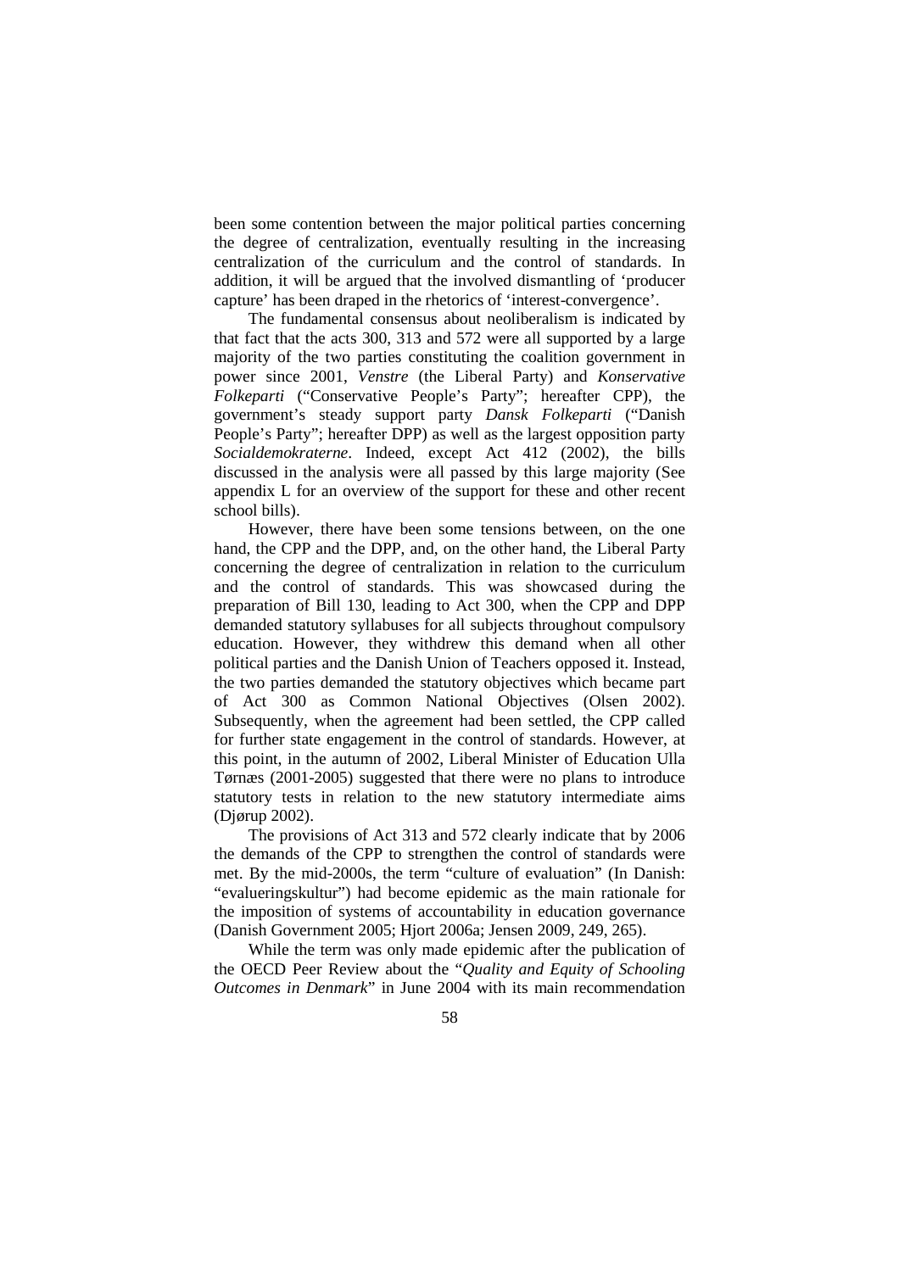been some contention between the major political parties concerning the degree of centralization, eventually resulting in the increasing centralization of the curriculum and the control of standards. In addition, it will be argued that the involved dismantling of 'producer capture' has been draped in the rhetorics of 'interest-convergence'.

The fundamental consensus about neoliberalism is indicated by that fact that the acts 300, 313 and 572 were all supported by a large majority of the two parties constituting the coalition government in power since 2001, *Venstre* (the Liberal Party) and *Konservative Folkeparti* ("Conservative People's Party"; hereafter CPP), the government's steady support party *Dansk Folkeparti* ("Danish People's Party"; hereafter DPP) as well as the largest opposition party *Socialdemokraterne*. Indeed, except Act 412 (2002), the bills discussed in the analysis were all passed by this large majority (See appendix L for an overview of the support for these and other recent school bills).

However, there have been some tensions between, on the one hand, the CPP and the DPP, and, on the other hand, the Liberal Party concerning the degree of centralization in relation to the curriculum and the control of standards. This was showcased during the preparation of Bill 130, leading to Act 300, when the CPP and DPP demanded statutory syllabuses for all subjects throughout compulsory education. However, they withdrew this demand when all other political parties and the Danish Union of Teachers opposed it. Instead, the two parties demanded the statutory objectives which became part of Act 300 as Common National Objectives (Olsen 2002). Subsequently, when the agreement had been settled, the CPP called for further state engagement in the control of standards. However, at this point, in the autumn of 2002, Liberal Minister of Education Ulla Tørnæs (2001-2005) suggested that there were no plans to introduce statutory tests in relation to the new statutory intermediate aims (Djørup 2002).

The provisions of Act 313 and 572 clearly indicate that by 2006 the demands of the CPP to strengthen the control of standards were met. By the mid-2000s, the term "culture of evaluation" (In Danish: "evalueringskultur") had become epidemic as the main rationale for the imposition of systems of accountability in education governance (Danish Government 2005; Hjort 2006a; Jensen 2009, 249, 265).

While the term was only made epidemic after the publication of the OECD Peer Review about the "*Quality and Equity of Schooling Outcomes in Denmark*" in June 2004 with its main recommendation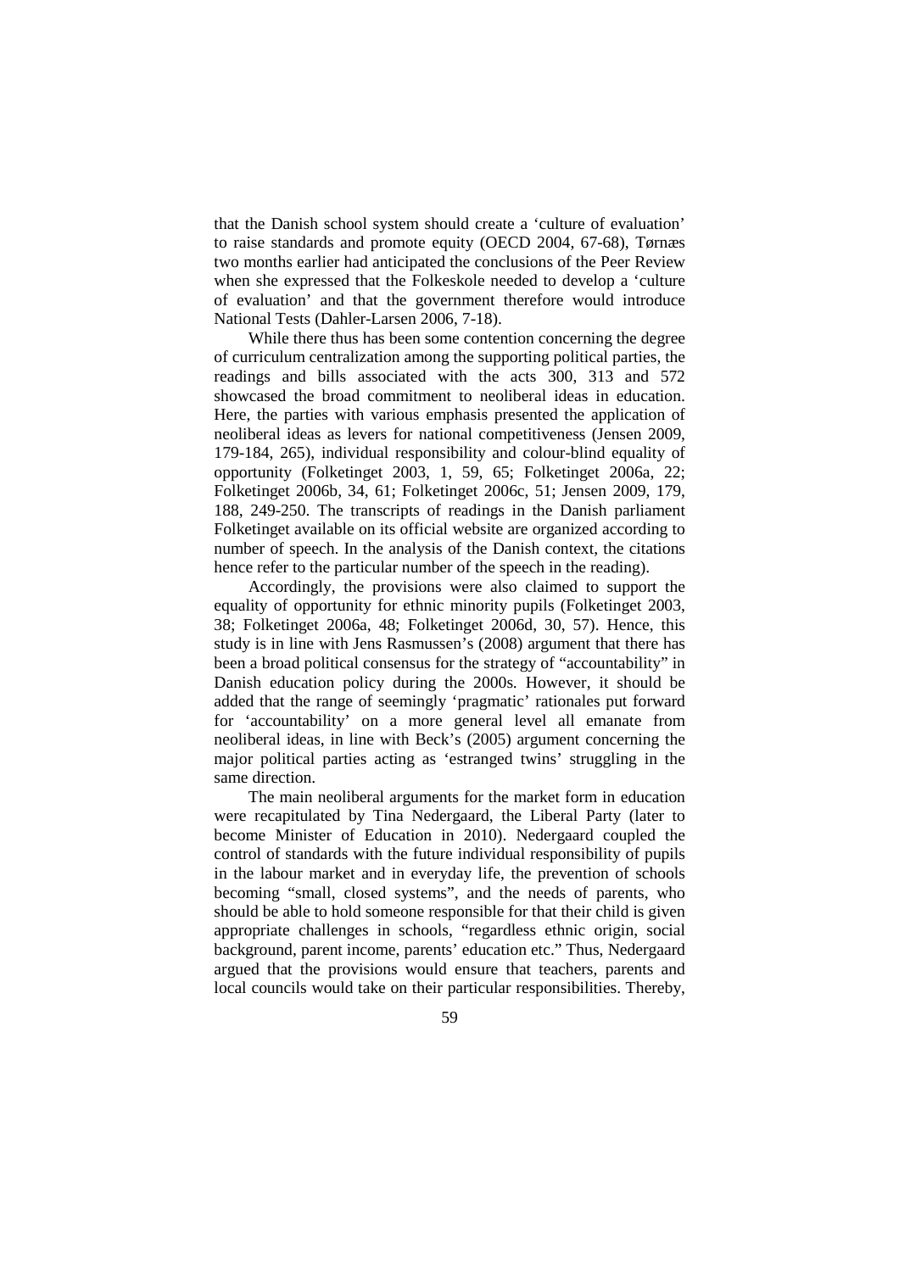that the Danish school system should create a 'culture of evaluation' to raise standards and promote equity (OECD 2004, 67-68), Tørnæs two months earlier had anticipated the conclusions of the Peer Review when she expressed that the Folkeskole needed to develop a 'culture of evaluation' and that the government therefore would introduce National Tests (Dahler-Larsen 2006, 7-18).

While there thus has been some contention concerning the degree of curriculum centralization among the supporting political parties, the readings and bills associated with the acts 300, 313 and 572 showcased the broad commitment to neoliberal ideas in education. Here, the parties with various emphasis presented the application of neoliberal ideas as levers for national competitiveness (Jensen 2009, 179-184, 265), individual responsibility and colour-blind equality of opportunity (Folketinget 2003, 1, 59, 65; Folketinget 2006a, 22; Folketinget 2006b, 34, 61; Folketinget 2006c, 51; Jensen 2009, 179, 188, 249-250. The transcripts of readings in the Danish parliament Folketinget available on its official website are organized according to number of speech. In the analysis of the Danish context, the citations hence refer to the particular number of the speech in the reading).

Accordingly, the provisions were also claimed to support the equality of opportunity for ethnic minority pupils (Folketinget 2003, 38; Folketinget 2006a, 48; Folketinget 2006d, 30, 57). Hence, this study is in line with Jens Rasmussen's (2008) argument that there has been a broad political consensus for the strategy of "accountability" in Danish education policy during the 2000s. However, it should be added that the range of seemingly 'pragmatic' rationales put forward for 'accountability' on a more general level all emanate from neoliberal ideas, in line with Beck's (2005) argument concerning the major political parties acting as 'estranged twins' struggling in the same direction.

The main neoliberal arguments for the market form in education were recapitulated by Tina Nedergaard, the Liberal Party (later to become Minister of Education in 2010). Nedergaard coupled the control of standards with the future individual responsibility of pupils in the labour market and in everyday life, the prevention of schools becoming "small, closed systems", and the needs of parents, who should be able to hold someone responsible for that their child is given appropriate challenges in schools, "regardless ethnic origin, social background, parent income, parents' education etc." Thus, Nedergaard argued that the provisions would ensure that teachers, parents and local councils would take on their particular responsibilities. Thereby,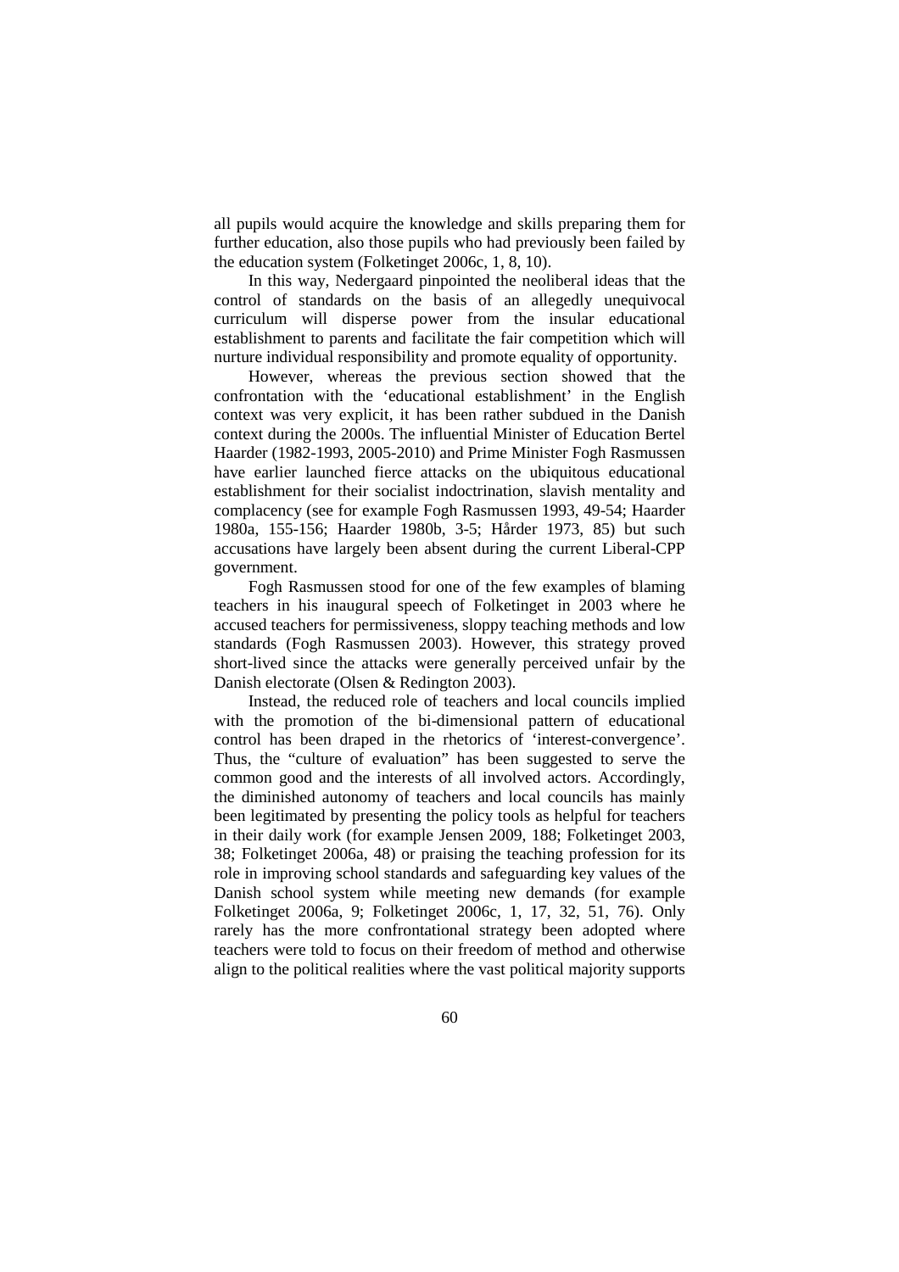all pupils would acquire the knowledge and skills preparing them for further education, also those pupils who had previously been failed by the education system (Folketinget 2006c, 1, 8, 10).

In this way, Nedergaard pinpointed the neoliberal ideas that the control of standards on the basis of an allegedly unequivocal curriculum will disperse power from the insular educational establishment to parents and facilitate the fair competition which will nurture individual responsibility and promote equality of opportunity.

However, whereas the previous section showed that the confrontation with the 'educational establishment' in the English context was very explicit, it has been rather subdued in the Danish context during the 2000s. The influential Minister of Education Bertel Haarder (1982-1993, 2005-2010) and Prime Minister Fogh Rasmussen have earlier launched fierce attacks on the ubiquitous educational establishment for their socialist indoctrination, slavish mentality and complacency (see for example Fogh Rasmussen 1993, 49-54; Haarder 1980a, 155-156; Haarder 1980b, 3-5; Hårder 1973, 85) but such accusations have largely been absent during the current Liberal-CPP government.

Fogh Rasmussen stood for one of the few examples of blaming teachers in his inaugural speech of Folketinget in 2003 where he accused teachers for permissiveness, sloppy teaching methods and low standards (Fogh Rasmussen 2003). However, this strategy proved short-lived since the attacks were generally perceived unfair by the Danish electorate (Olsen & Redington 2003).

Instead, the reduced role of teachers and local councils implied with the promotion of the bi-dimensional pattern of educational control has been draped in the rhetorics of 'interest-convergence'. Thus, the "culture of evaluation" has been suggested to serve the common good and the interests of all involved actors. Accordingly, the diminished autonomy of teachers and local councils has mainly been legitimated by presenting the policy tools as helpful for teachers in their daily work (for example Jensen 2009, 188; Folketinget 2003, 38; Folketinget 2006a, 48) or praising the teaching profession for its role in improving school standards and safeguarding key values of the Danish school system while meeting new demands (for example Folketinget 2006a, 9; Folketinget 2006c, 1, 17, 32, 51, 76). Only rarely has the more confrontational strategy been adopted where teachers were told to focus on their freedom of method and otherwise align to the political realities where the vast political majority supports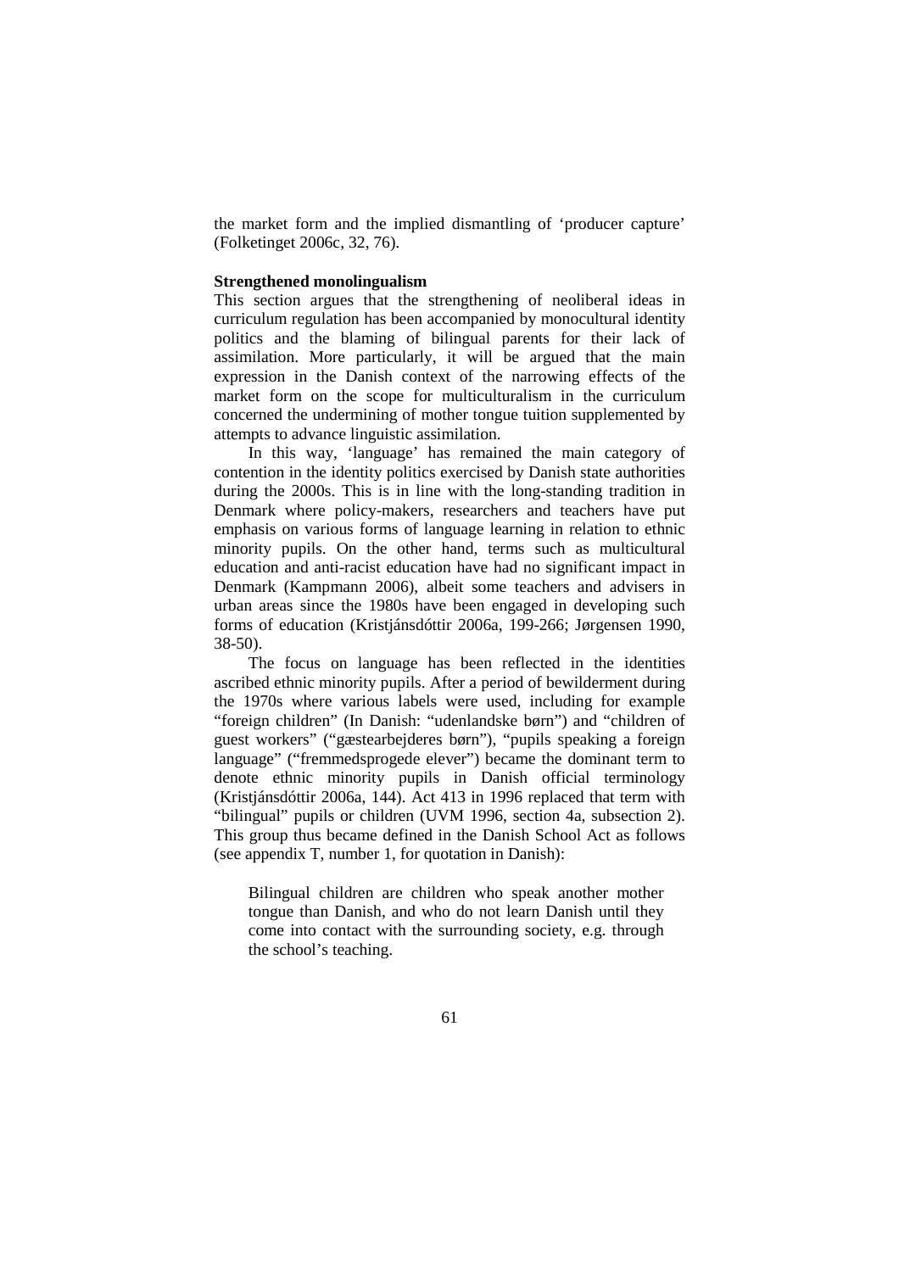the market form and the implied dismantling of 'producer capture' (Folketinget 2006c, 32, 76).

## **Strengthened monolingualism**

This section argues that the strengthening of neoliberal ideas in curriculum regulation has been accompanied by monocultural identity politics and the blaming of bilingual parents for their lack of assimilation. More particularly, it will be argued that the main expression in the Danish context of the narrowing effects of the market form on the scope for multiculturalism in the curriculum concerned the undermining of mother tongue tuition supplemented by attempts to advance linguistic assimilation.

In this way, 'language' has remained the main category of contention in the identity politics exercised by Danish state authorities during the 2000s. This is in line with the long-standing tradition in Denmark where policy-makers, researchers and teachers have put emphasis on various forms of language learning in relation to ethnic minority pupils. On the other hand, terms such as multicultural education and anti-racist education have had no significant impact in Denmark (Kampmann 2006), albeit some teachers and advisers in urban areas since the 1980s have been engaged in developing such forms of education (Kristjánsdóttir 2006a, 199-266; Jørgensen 1990, 38-50).

The focus on language has been reflected in the identities ascribed ethnic minority pupils. After a period of bewilderment during the 1970s where various labels were used, including for example "foreign children" (In Danish: "udenlandske børn") and "children of guest workers" ("gæstearbejderes børn"), "pupils speaking a foreign language" ("fremmedsprogede elever") became the dominant term to denote ethnic minority pupils in Danish official terminology (Kristjánsdóttir 2006a, 144). Act 413 in 1996 replaced that term with "bilingual" pupils or children (UVM 1996, section 4a, subsection 2). This group thus became defined in the Danish School Act as follows (see appendix T, number 1, for quotation in Danish):

Bilingual children are children who speak another mother tongue than Danish, and who do not learn Danish until they come into contact with the surrounding society, e.g. through the school's teaching.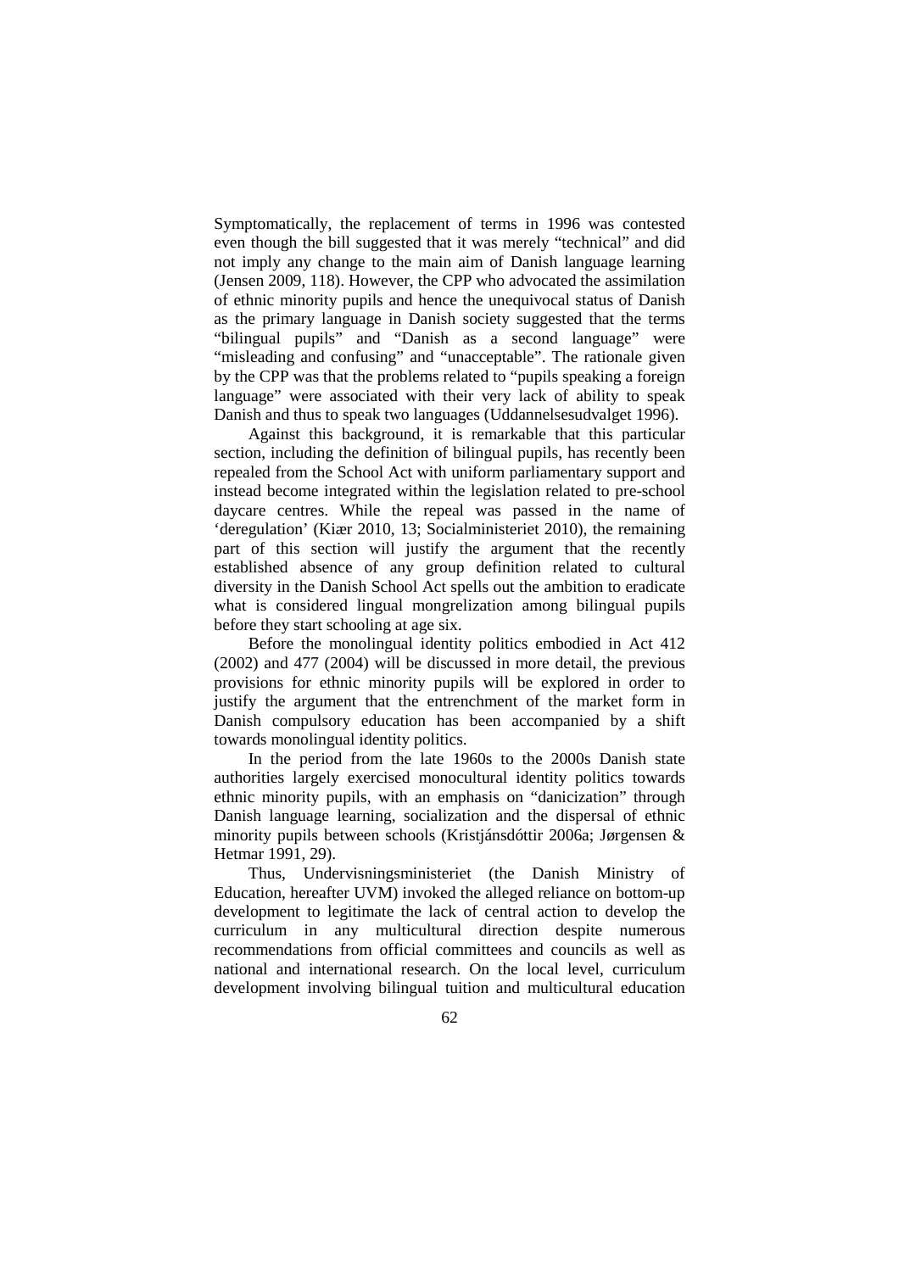Symptomatically, the replacement of terms in 1996 was contested even though the bill suggested that it was merely "technical" and did not imply any change to the main aim of Danish language learning (Jensen 2009, 118). However, the CPP who advocated the assimilation of ethnic minority pupils and hence the unequivocal status of Danish as the primary language in Danish society suggested that the terms "bilingual pupils" and "Danish as a second language" were "misleading and confusing" and "unacceptable". The rationale given by the CPP was that the problems related to "pupils speaking a foreign language" were associated with their very lack of ability to speak Danish and thus to speak two languages (Uddannelsesudvalget 1996).

Against this background, it is remarkable that this particular section, including the definition of bilingual pupils, has recently been repealed from the School Act with uniform parliamentary support and instead become integrated within the legislation related to pre-school daycare centres. While the repeal was passed in the name of 'deregulation' (Kiær 2010, 13; Socialministeriet 2010), the remaining part of this section will justify the argument that the recently established absence of any group definition related to cultural diversity in the Danish School Act spells out the ambition to eradicate what is considered lingual mongrelization among bilingual pupils before they start schooling at age six.

Before the monolingual identity politics embodied in Act 412 (2002) and 477 (2004) will be discussed in more detail, the previous provisions for ethnic minority pupils will be explored in order to justify the argument that the entrenchment of the market form in Danish compulsory education has been accompanied by a shift towards monolingual identity politics.

In the period from the late 1960s to the 2000s Danish state authorities largely exercised monocultural identity politics towards ethnic minority pupils, with an emphasis on "danicization" through Danish language learning, socialization and the dispersal of ethnic minority pupils between schools (Kristjánsdóttir 2006a; Jørgensen & Hetmar 1991, 29).

Thus, Undervisningsministeriet (the Danish Ministry of Education, hereafter UVM) invoked the alleged reliance on bottom-up development to legitimate the lack of central action to develop the curriculum in any multicultural direction despite numerous recommendations from official committees and councils as well as national and international research. On the local level, curriculum development involving bilingual tuition and multicultural education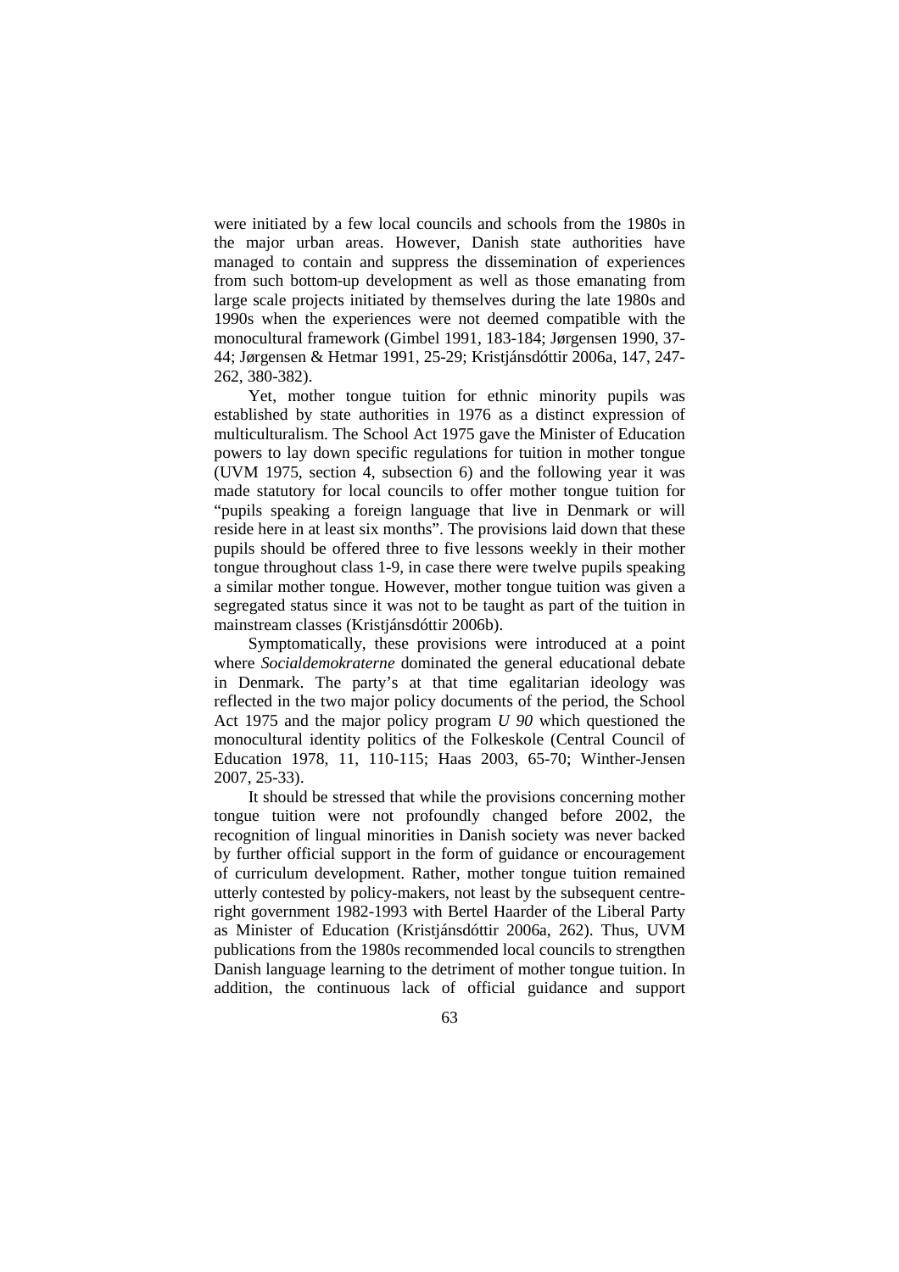were initiated by a few local councils and schools from the 1980s in the major urban areas. However, Danish state authorities have managed to contain and suppress the dissemination of experiences from such bottom-up development as well as those emanating from large scale projects initiated by themselves during the late 1980s and 1990s when the experiences were not deemed compatible with the monocultural framework (Gimbel 1991, 183-184; Jørgensen 1990, 37- 44; Jørgensen & Hetmar 1991, 25-29; Kristjánsdóttir 2006a, 147, 247- 262, 380-382).

Yet, mother tongue tuition for ethnic minority pupils was established by state authorities in 1976 as a distinct expression of multiculturalism. The School Act 1975 gave the Minister of Education powers to lay down specific regulations for tuition in mother tongue (UVM 1975, section 4, subsection 6) and the following year it was made statutory for local councils to offer mother tongue tuition for "pupils speaking a foreign language that live in Denmark or will reside here in at least six months". The provisions laid down that these pupils should be offered three to five lessons weekly in their mother tongue throughout class 1-9, in case there were twelve pupils speaking a similar mother tongue. However, mother tongue tuition was given a segregated status since it was not to be taught as part of the tuition in mainstream classes (Kristjánsdóttir 2006b).

Symptomatically, these provisions were introduced at a point where *Socialdemokraterne* dominated the general educational debate in Denmark. The party's at that time egalitarian ideology was reflected in the two major policy documents of the period, the School Act 1975 and the major policy program *U 90* which questioned the monocultural identity politics of the Folkeskole (Central Council of Education 1978, 11, 110-115; Haas 2003, 65-70; Winther-Jensen 2007, 25-33).

It should be stressed that while the provisions concerning mother tongue tuition were not profoundly changed before 2002, the recognition of lingual minorities in Danish society was never backed by further official support in the form of guidance or encouragement of curriculum development. Rather, mother tongue tuition remained utterly contested by policy-makers, not least by the subsequent centreright government 1982-1993 with Bertel Haarder of the Liberal Party as Minister of Education (Kristjánsdóttir 2006a, 262). Thus, UVM publications from the 1980s recommended local councils to strengthen Danish language learning to the detriment of mother tongue tuition. In addition, the continuous lack of official guidance and support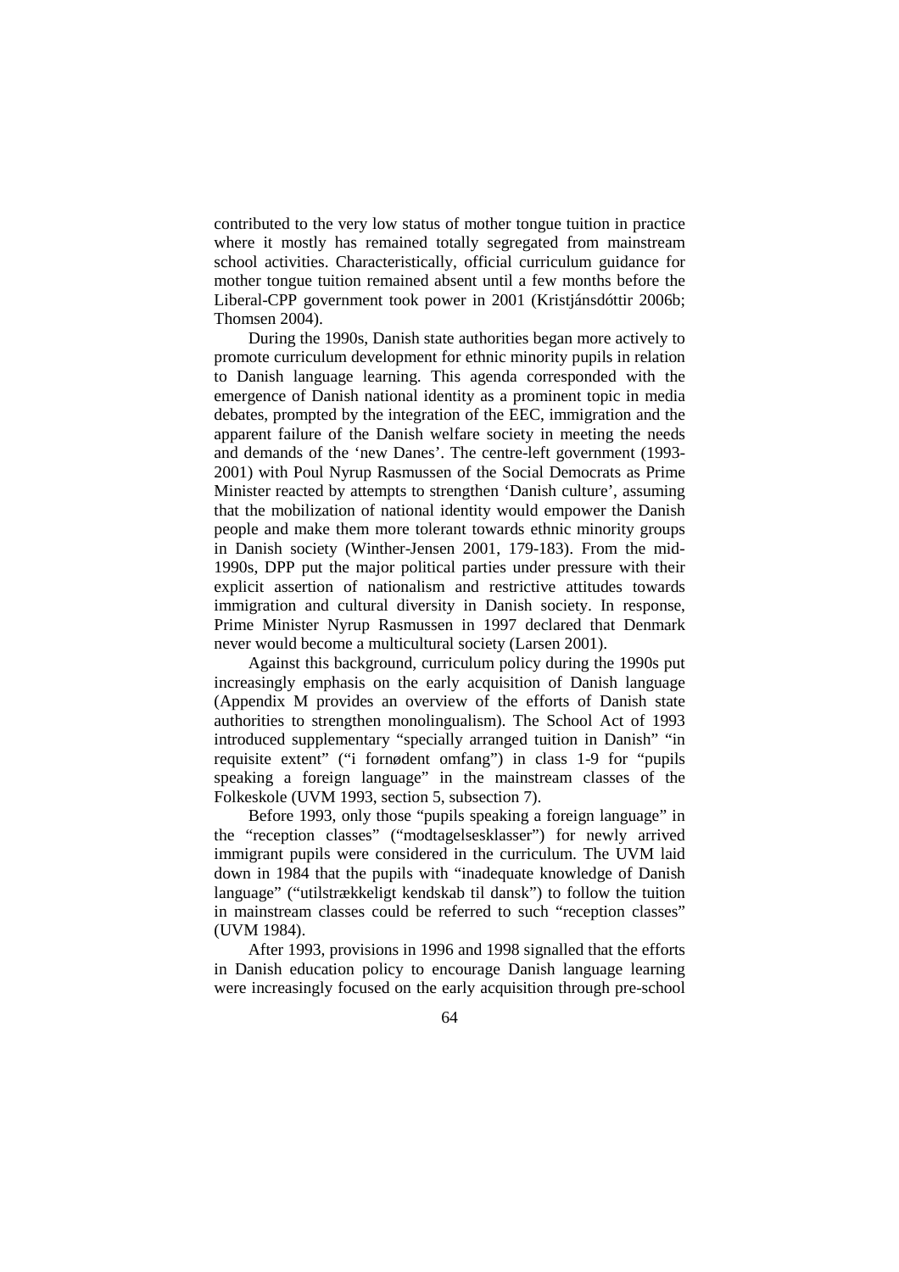contributed to the very low status of mother tongue tuition in practice where it mostly has remained totally segregated from mainstream school activities. Characteristically, official curriculum guidance for mother tongue tuition remained absent until a few months before the Liberal-CPP government took power in 2001 (Kristjánsdóttir 2006b; Thomsen 2004).

During the 1990s, Danish state authorities began more actively to promote curriculum development for ethnic minority pupils in relation to Danish language learning. This agenda corresponded with the emergence of Danish national identity as a prominent topic in media debates, prompted by the integration of the EEC, immigration and the apparent failure of the Danish welfare society in meeting the needs and demands of the 'new Danes'. The centre-left government (1993- 2001) with Poul Nyrup Rasmussen of the Social Democrats as Prime Minister reacted by attempts to strengthen 'Danish culture', assuming that the mobilization of national identity would empower the Danish people and make them more tolerant towards ethnic minority groups in Danish society (Winther-Jensen 2001, 179-183). From the mid-1990s, DPP put the major political parties under pressure with their explicit assertion of nationalism and restrictive attitudes towards immigration and cultural diversity in Danish society. In response, Prime Minister Nyrup Rasmussen in 1997 declared that Denmark never would become a multicultural society (Larsen 2001).

Against this background, curriculum policy during the 1990s put increasingly emphasis on the early acquisition of Danish language (Appendix M provides an overview of the efforts of Danish state authorities to strengthen monolingualism). The School Act of 1993 introduced supplementary "specially arranged tuition in Danish" "in requisite extent" ("i fornødent omfang") in class 1-9 for "pupils speaking a foreign language" in the mainstream classes of the Folkeskole (UVM 1993, section 5, subsection 7).

Before 1993, only those "pupils speaking a foreign language" in the "reception classes" ("modtagelsesklasser") for newly arrived immigrant pupils were considered in the curriculum. The UVM laid down in 1984 that the pupils with "inadequate knowledge of Danish language" ("utilstrækkeligt kendskab til dansk") to follow the tuition in mainstream classes could be referred to such "reception classes" (UVM 1984).

After 1993, provisions in 1996 and 1998 signalled that the efforts in Danish education policy to encourage Danish language learning were increasingly focused on the early acquisition through pre-school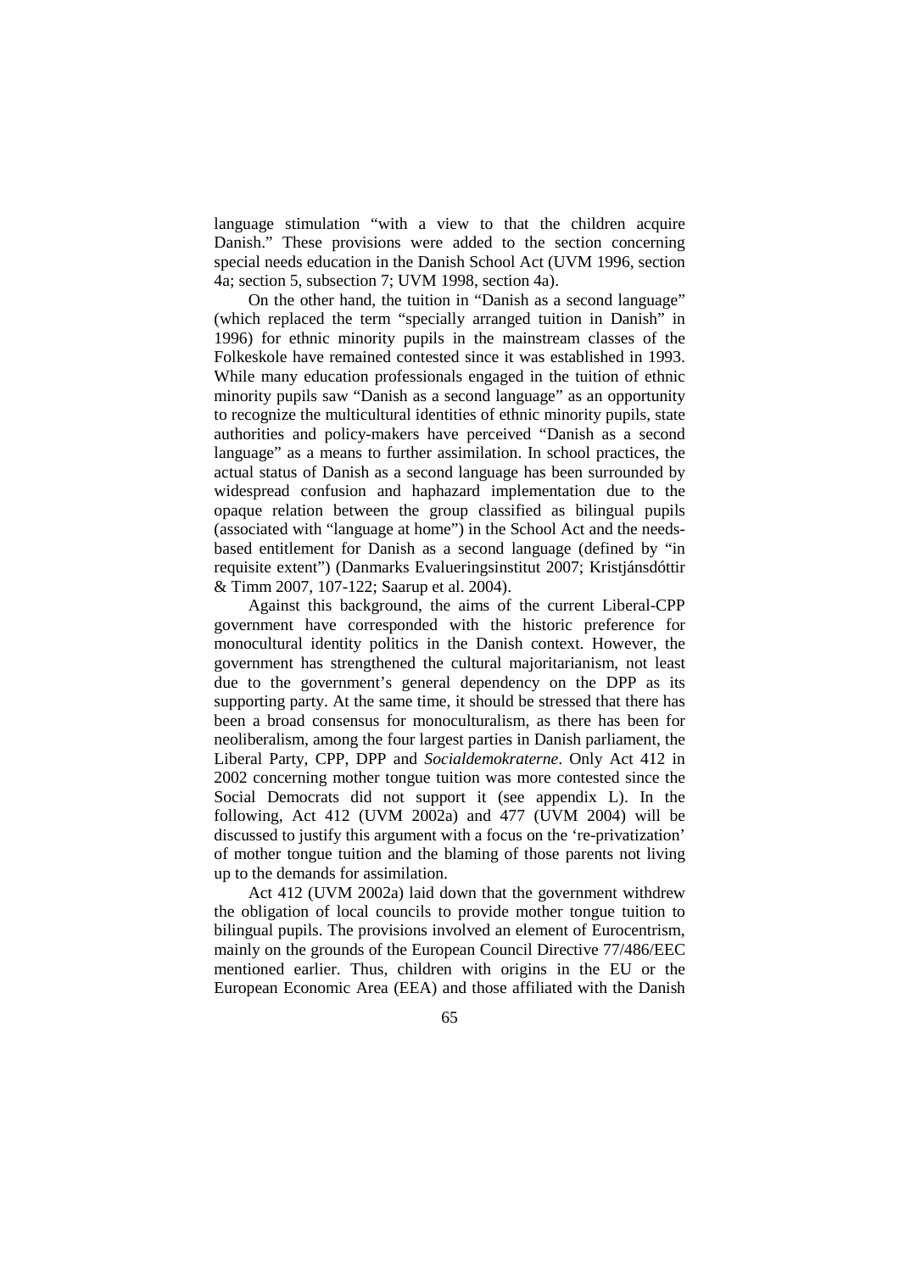language stimulation "with a view to that the children acquire Danish." These provisions were added to the section concerning special needs education in the Danish School Act (UVM 1996, section 4a; section 5, subsection 7; UVM 1998, section 4a).

On the other hand, the tuition in "Danish as a second language" (which replaced the term "specially arranged tuition in Danish" in 1996) for ethnic minority pupils in the mainstream classes of the Folkeskole have remained contested since it was established in 1993. While many education professionals engaged in the tuition of ethnic minority pupils saw "Danish as a second language" as an opportunity to recognize the multicultural identities of ethnic minority pupils, state authorities and policy-makers have perceived "Danish as a second language" as a means to further assimilation. In school practices, the actual status of Danish as a second language has been surrounded by widespread confusion and haphazard implementation due to the opaque relation between the group classified as bilingual pupils (associated with "language at home") in the School Act and the needsbased entitlement for Danish as a second language (defined by "in requisite extent") (Danmarks Evalueringsinstitut 2007; Kristjánsdóttir & Timm 2007, 107-122; Saarup et al. 2004).

Against this background, the aims of the current Liberal-CPP government have corresponded with the historic preference for monocultural identity politics in the Danish context. However, the government has strengthened the cultural majoritarianism, not least due to the government's general dependency on the DPP as its supporting party. At the same time, it should be stressed that there has been a broad consensus for monoculturalism, as there has been for neoliberalism, among the four largest parties in Danish parliament, the Liberal Party, CPP, DPP and *Socialdemokraterne*. Only Act 412 in 2002 concerning mother tongue tuition was more contested since the Social Democrats did not support it (see appendix L). In the following, Act 412 (UVM 2002a) and 477 (UVM 2004) will be discussed to justify this argument with a focus on the 're-privatization' of mother tongue tuition and the blaming of those parents not living up to the demands for assimilation.

Act 412 (UVM 2002a) laid down that the government withdrew the obligation of local councils to provide mother tongue tuition to bilingual pupils. The provisions involved an element of Eurocentrism, mainly on the grounds of the European Council Directive 77/486/EEC mentioned earlier. Thus, children with origins in the EU or the European Economic Area (EEA) and those affiliated with the Danish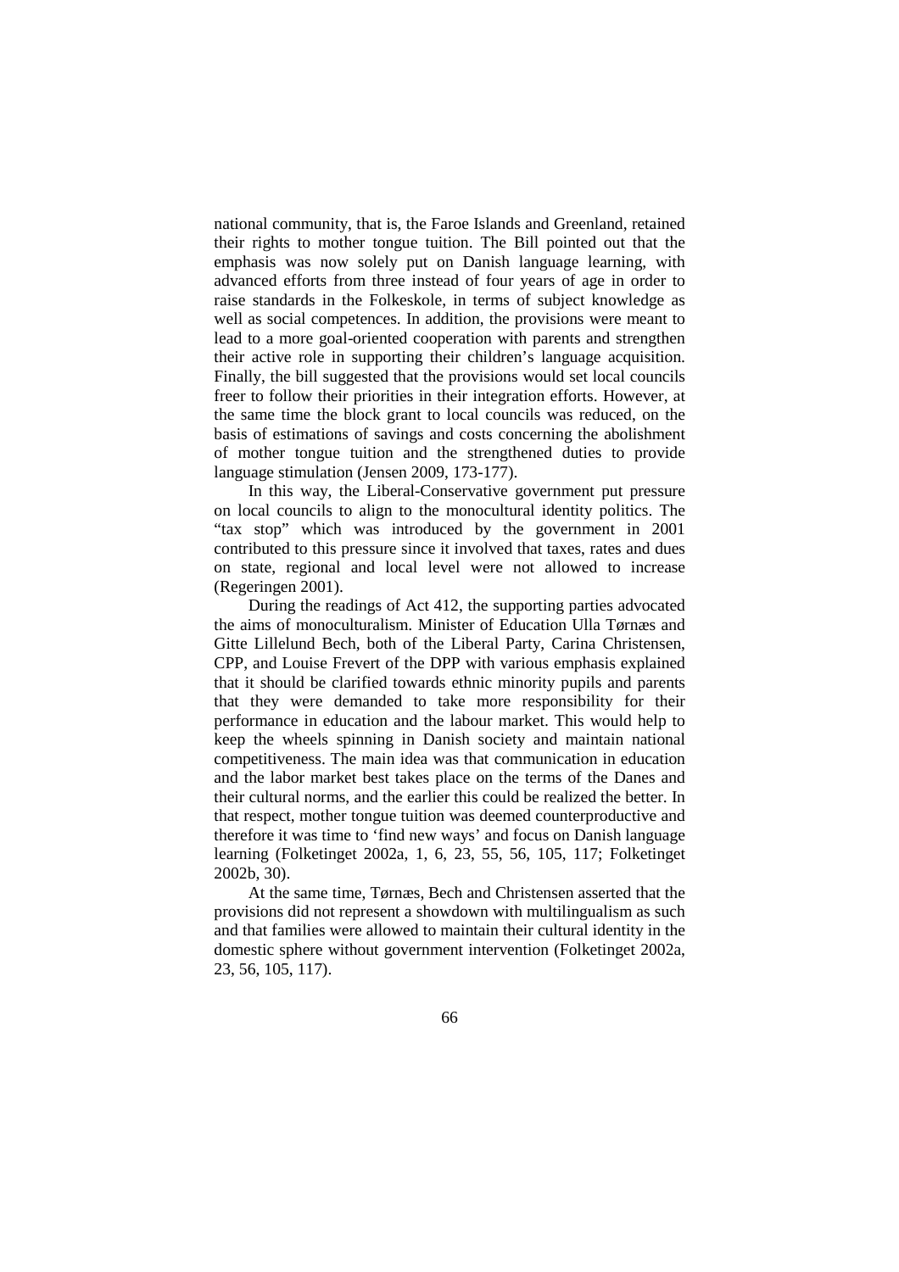national community, that is, the Faroe Islands and Greenland, retained their rights to mother tongue tuition. The Bill pointed out that the emphasis was now solely put on Danish language learning, with advanced efforts from three instead of four years of age in order to raise standards in the Folkeskole, in terms of subject knowledge as well as social competences. In addition, the provisions were meant to lead to a more goal-oriented cooperation with parents and strengthen their active role in supporting their children's language acquisition. Finally, the bill suggested that the provisions would set local councils freer to follow their priorities in their integration efforts. However, at the same time the block grant to local councils was reduced, on the basis of estimations of savings and costs concerning the abolishment of mother tongue tuition and the strengthened duties to provide language stimulation (Jensen 2009, 173-177).

In this way, the Liberal-Conservative government put pressure on local councils to align to the monocultural identity politics. The "tax stop" which was introduced by the government in 2001 contributed to this pressure since it involved that taxes, rates and dues on state, regional and local level were not allowed to increase (Regeringen 2001).

During the readings of Act 412, the supporting parties advocated the aims of monoculturalism. Minister of Education Ulla Tørnæs and Gitte Lillelund Bech, both of the Liberal Party, Carina Christensen, CPP, and Louise Frevert of the DPP with various emphasis explained that it should be clarified towards ethnic minority pupils and parents that they were demanded to take more responsibility for their performance in education and the labour market. This would help to keep the wheels spinning in Danish society and maintain national competitiveness. The main idea was that communication in education and the labor market best takes place on the terms of the Danes and their cultural norms, and the earlier this could be realized the better. In that respect, mother tongue tuition was deemed counterproductive and therefore it was time to 'find new ways' and focus on Danish language learning (Folketinget 2002a, 1, 6, 23, 55, 56, 105, 117; Folketinget 2002b, 30).

At the same time, Tørnæs, Bech and Christensen asserted that the provisions did not represent a showdown with multilingualism as such and that families were allowed to maintain their cultural identity in the domestic sphere without government intervention (Folketinget 2002a, 23, 56, 105, 117).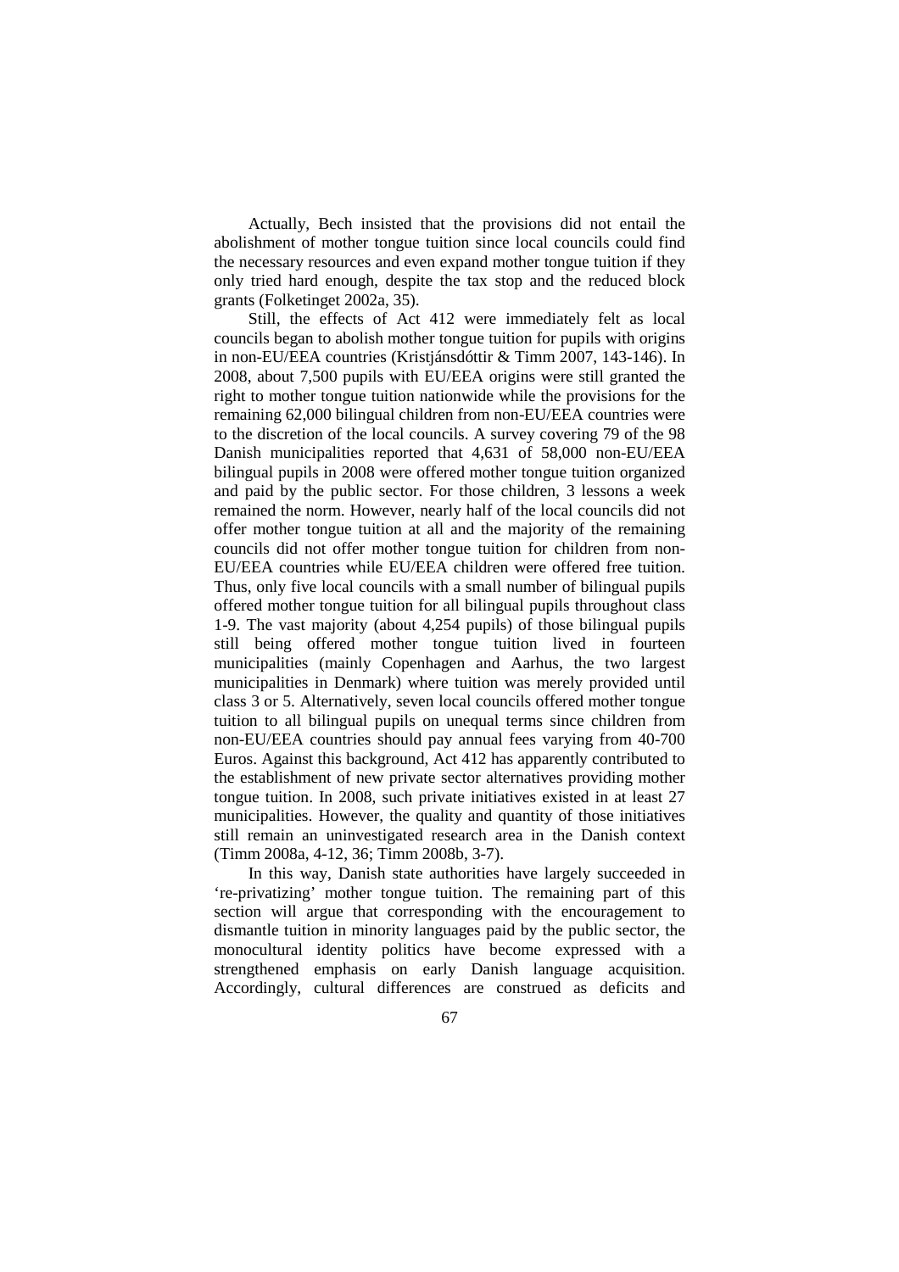Actually, Bech insisted that the provisions did not entail the abolishment of mother tongue tuition since local councils could find the necessary resources and even expand mother tongue tuition if they only tried hard enough, despite the tax stop and the reduced block grants (Folketinget 2002a, 35).

Still, the effects of Act 412 were immediately felt as local councils began to abolish mother tongue tuition for pupils with origins in non-EU/EEA countries (Kristjánsdóttir & Timm 2007, 143-146). In 2008, about 7,500 pupils with EU/EEA origins were still granted the right to mother tongue tuition nationwide while the provisions for the remaining 62,000 bilingual children from non-EU/EEA countries were to the discretion of the local councils. A survey covering 79 of the 98 Danish municipalities reported that 4,631 of 58,000 non-EU/EEA bilingual pupils in 2008 were offered mother tongue tuition organized and paid by the public sector. For those children, 3 lessons a week remained the norm. However, nearly half of the local councils did not offer mother tongue tuition at all and the majority of the remaining councils did not offer mother tongue tuition for children from non-EU/EEA countries while EU/EEA children were offered free tuition. Thus, only five local councils with a small number of bilingual pupils offered mother tongue tuition for all bilingual pupils throughout class 1-9. The vast majority (about 4,254 pupils) of those bilingual pupils still being offered mother tongue tuition lived in fourteen municipalities (mainly Copenhagen and Aarhus, the two largest municipalities in Denmark) where tuition was merely provided until class 3 or 5. Alternatively, seven local councils offered mother tongue tuition to all bilingual pupils on unequal terms since children from non-EU/EEA countries should pay annual fees varying from 40-700 Euros. Against this background, Act 412 has apparently contributed to the establishment of new private sector alternatives providing mother tongue tuition. In 2008, such private initiatives existed in at least 27 municipalities. However, the quality and quantity of those initiatives still remain an uninvestigated research area in the Danish context (Timm 2008a, 4-12, 36; Timm 2008b, 3-7).

In this way, Danish state authorities have largely succeeded in 're-privatizing' mother tongue tuition. The remaining part of this section will argue that corresponding with the encouragement to dismantle tuition in minority languages paid by the public sector, the monocultural identity politics have become expressed with a strengthened emphasis on early Danish language acquisition. Accordingly, cultural differences are construed as deficits and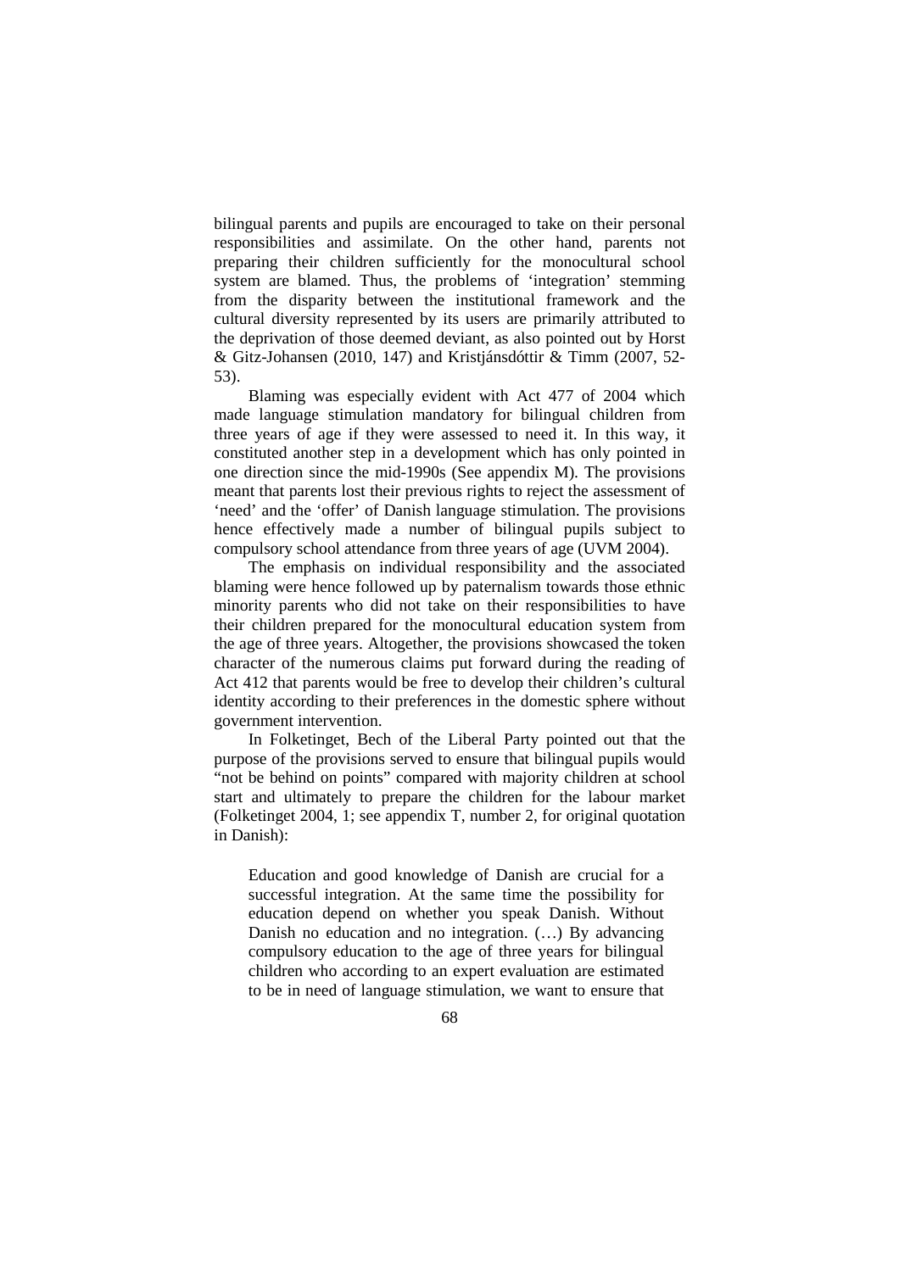bilingual parents and pupils are encouraged to take on their personal responsibilities and assimilate. On the other hand, parents not preparing their children sufficiently for the monocultural school system are blamed. Thus, the problems of 'integration' stemming from the disparity between the institutional framework and the cultural diversity represented by its users are primarily attributed to the deprivation of those deemed deviant, as also pointed out by Horst & Gitz-Johansen (2010, 147) and Kristjánsdóttir & Timm (2007, 52- 53).

Blaming was especially evident with Act 477 of 2004 which made language stimulation mandatory for bilingual children from three years of age if they were assessed to need it. In this way, it constituted another step in a development which has only pointed in one direction since the mid-1990s (See appendix M). The provisions meant that parents lost their previous rights to reject the assessment of 'need' and the 'offer' of Danish language stimulation. The provisions hence effectively made a number of bilingual pupils subject to compulsory school attendance from three years of age (UVM 2004).

The emphasis on individual responsibility and the associated blaming were hence followed up by paternalism towards those ethnic minority parents who did not take on their responsibilities to have their children prepared for the monocultural education system from the age of three years. Altogether, the provisions showcased the token character of the numerous claims put forward during the reading of Act 412 that parents would be free to develop their children's cultural identity according to their preferences in the domestic sphere without government intervention.

In Folketinget, Bech of the Liberal Party pointed out that the purpose of the provisions served to ensure that bilingual pupils would "not be behind on points" compared with majority children at school start and ultimately to prepare the children for the labour market (Folketinget 2004, 1; see appendix T, number 2, for original quotation in Danish):

Education and good knowledge of Danish are crucial for a successful integration. At the same time the possibility for education depend on whether you speak Danish. Without Danish no education and no integration. (…) By advancing compulsory education to the age of three years for bilingual children who according to an expert evaluation are estimated to be in need of language stimulation, we want to ensure that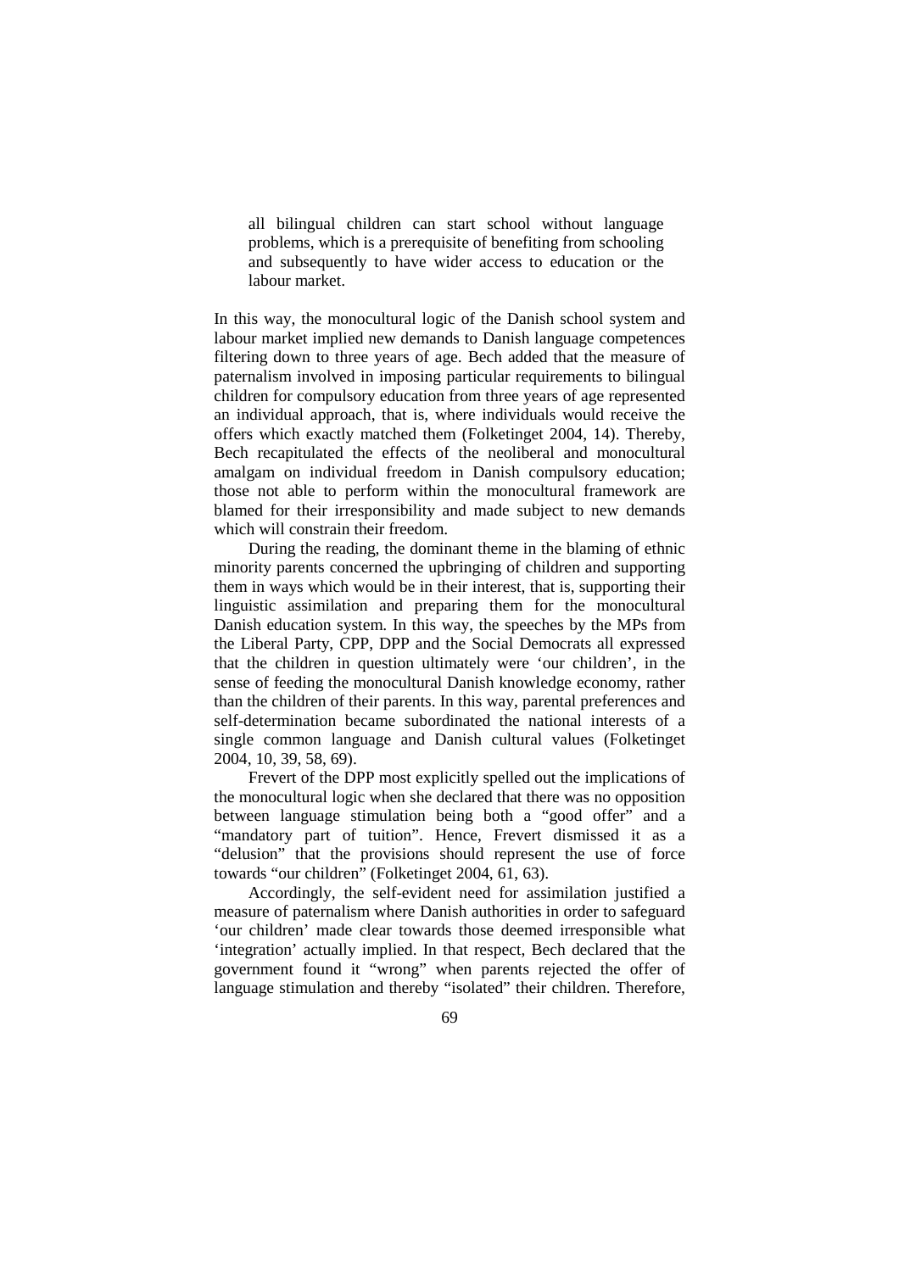all bilingual children can start school without language problems, which is a prerequisite of benefiting from schooling and subsequently to have wider access to education or the labour market.

In this way, the monocultural logic of the Danish school system and labour market implied new demands to Danish language competences filtering down to three years of age. Bech added that the measure of paternalism involved in imposing particular requirements to bilingual children for compulsory education from three years of age represented an individual approach, that is, where individuals would receive the offers which exactly matched them (Folketinget 2004, 14). Thereby, Bech recapitulated the effects of the neoliberal and monocultural amalgam on individual freedom in Danish compulsory education; those not able to perform within the monocultural framework are blamed for their irresponsibility and made subject to new demands which will constrain their freedom.

During the reading, the dominant theme in the blaming of ethnic minority parents concerned the upbringing of children and supporting them in ways which would be in their interest, that is, supporting their linguistic assimilation and preparing them for the monocultural Danish education system. In this way, the speeches by the MPs from the Liberal Party, CPP, DPP and the Social Democrats all expressed that the children in question ultimately were 'our children', in the sense of feeding the monocultural Danish knowledge economy, rather than the children of their parents. In this way, parental preferences and self-determination became subordinated the national interests of a single common language and Danish cultural values (Folketinget 2004, 10, 39, 58, 69).

Frevert of the DPP most explicitly spelled out the implications of the monocultural logic when she declared that there was no opposition between language stimulation being both a "good offer" and a "mandatory part of tuition". Hence, Frevert dismissed it as a "delusion" that the provisions should represent the use of force towards "our children" (Folketinget 2004, 61, 63).

Accordingly, the self-evident need for assimilation justified a measure of paternalism where Danish authorities in order to safeguard 'our children' made clear towards those deemed irresponsible what 'integration' actually implied. In that respect, Bech declared that the government found it "wrong" when parents rejected the offer of language stimulation and thereby "isolated" their children. Therefore,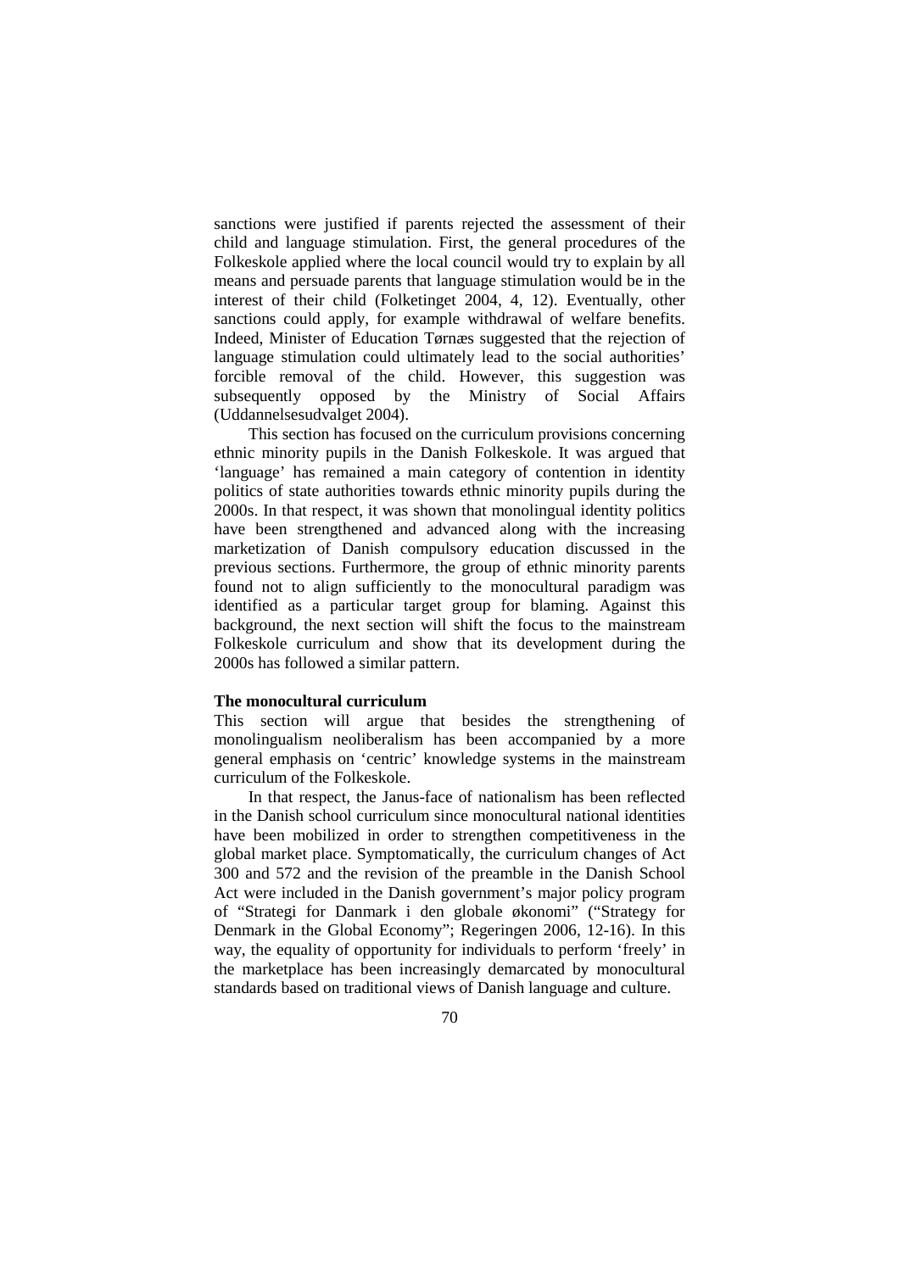sanctions were justified if parents rejected the assessment of their child and language stimulation. First, the general procedures of the Folkeskole applied where the local council would try to explain by all means and persuade parents that language stimulation would be in the interest of their child (Folketinget 2004, 4, 12). Eventually, other sanctions could apply, for example withdrawal of welfare benefits. Indeed, Minister of Education Tørnæs suggested that the rejection of language stimulation could ultimately lead to the social authorities' forcible removal of the child. However, this suggestion was subsequently opposed by the Ministry of Social Affairs (Uddannelsesudvalget 2004).

This section has focused on the curriculum provisions concerning ethnic minority pupils in the Danish Folkeskole. It was argued that 'language' has remained a main category of contention in identity politics of state authorities towards ethnic minority pupils during the 2000s. In that respect, it was shown that monolingual identity politics have been strengthened and advanced along with the increasing marketization of Danish compulsory education discussed in the previous sections. Furthermore, the group of ethnic minority parents found not to align sufficiently to the monocultural paradigm was identified as a particular target group for blaming. Against this background, the next section will shift the focus to the mainstream Folkeskole curriculum and show that its development during the 2000s has followed a similar pattern.

## **The monocultural curriculum**

This section will argue that besides the strengthening of monolingualism neoliberalism has been accompanied by a more general emphasis on 'centric' knowledge systems in the mainstream curriculum of the Folkeskole.

In that respect, the Janus-face of nationalism has been reflected in the Danish school curriculum since monocultural national identities have been mobilized in order to strengthen competitiveness in the global market place. Symptomatically, the curriculum changes of Act 300 and 572 and the revision of the preamble in the Danish School Act were included in the Danish government's major policy program of "Strategi for Danmark i den globale økonomi" ("Strategy for Denmark in the Global Economy"; Regeringen 2006, 12-16). In this way, the equality of opportunity for individuals to perform 'freely' in the marketplace has been increasingly demarcated by monocultural standards based on traditional views of Danish language and culture.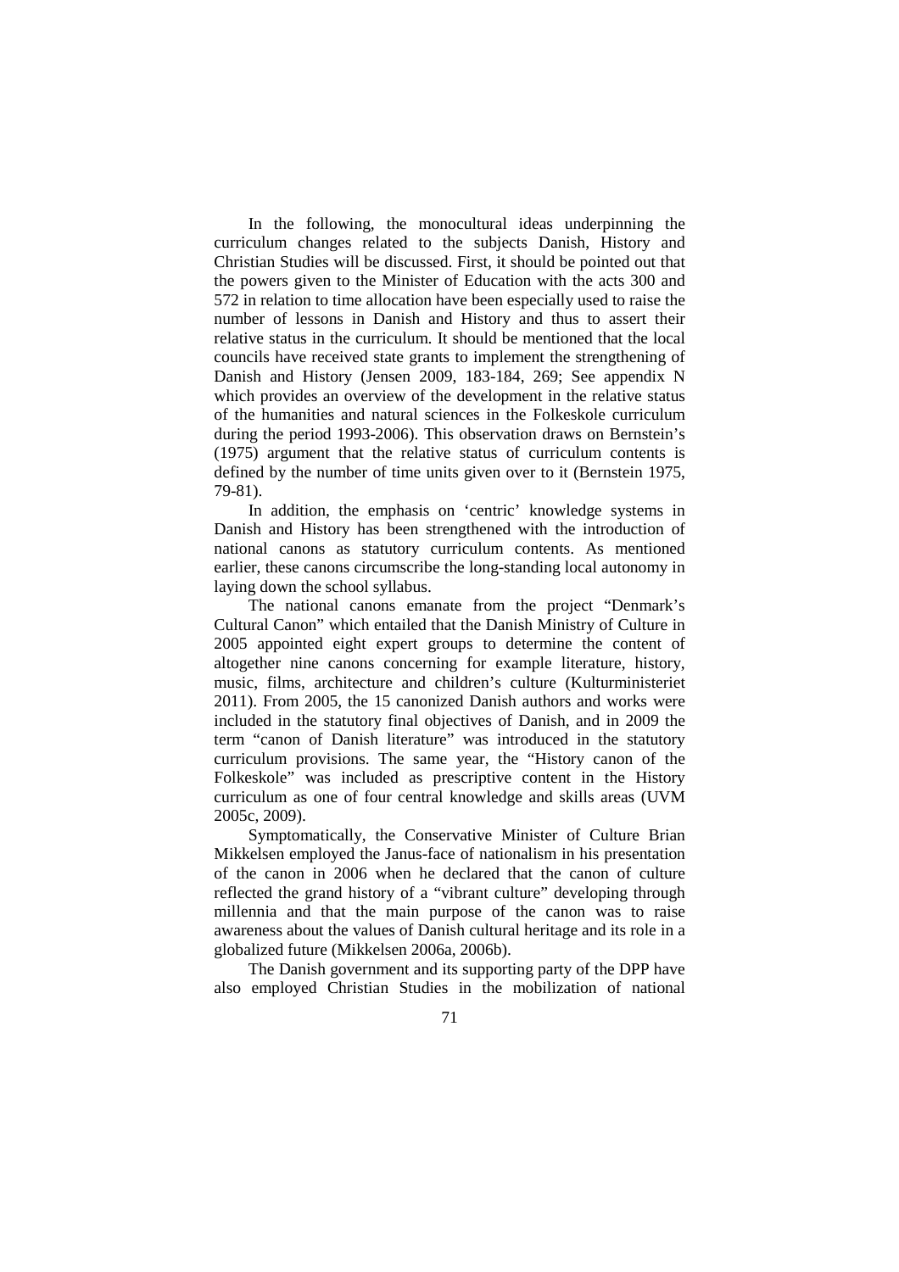In the following, the monocultural ideas underpinning the curriculum changes related to the subjects Danish, History and Christian Studies will be discussed. First, it should be pointed out that the powers given to the Minister of Education with the acts 300 and 572 in relation to time allocation have been especially used to raise the number of lessons in Danish and History and thus to assert their relative status in the curriculum. It should be mentioned that the local councils have received state grants to implement the strengthening of Danish and History (Jensen 2009, 183-184, 269; See appendix N which provides an overview of the development in the relative status of the humanities and natural sciences in the Folkeskole curriculum during the period 1993-2006). This observation draws on Bernstein's (1975) argument that the relative status of curriculum contents is defined by the number of time units given over to it (Bernstein 1975, 79-81).

In addition, the emphasis on 'centric' knowledge systems in Danish and History has been strengthened with the introduction of national canons as statutory curriculum contents. As mentioned earlier, these canons circumscribe the long-standing local autonomy in laying down the school syllabus.

The national canons emanate from the project "Denmark's Cultural Canon" which entailed that the Danish Ministry of Culture in 2005 appointed eight expert groups to determine the content of altogether nine canons concerning for example literature, history, music, films, architecture and children's culture (Kulturministeriet 2011). From 2005, the 15 canonized Danish authors and works were included in the statutory final objectives of Danish, and in 2009 the term "canon of Danish literature" was introduced in the statutory curriculum provisions. The same year, the "History canon of the Folkeskole" was included as prescriptive content in the History curriculum as one of four central knowledge and skills areas (UVM 2005c, 2009).

Symptomatically, the Conservative Minister of Culture Brian Mikkelsen employed the Janus-face of nationalism in his presentation of the canon in 2006 when he declared that the canon of culture reflected the grand history of a "vibrant culture" developing through millennia and that the main purpose of the canon was to raise awareness about the values of Danish cultural heritage and its role in a globalized future (Mikkelsen 2006a, 2006b).

The Danish government and its supporting party of the DPP have also employed Christian Studies in the mobilization of national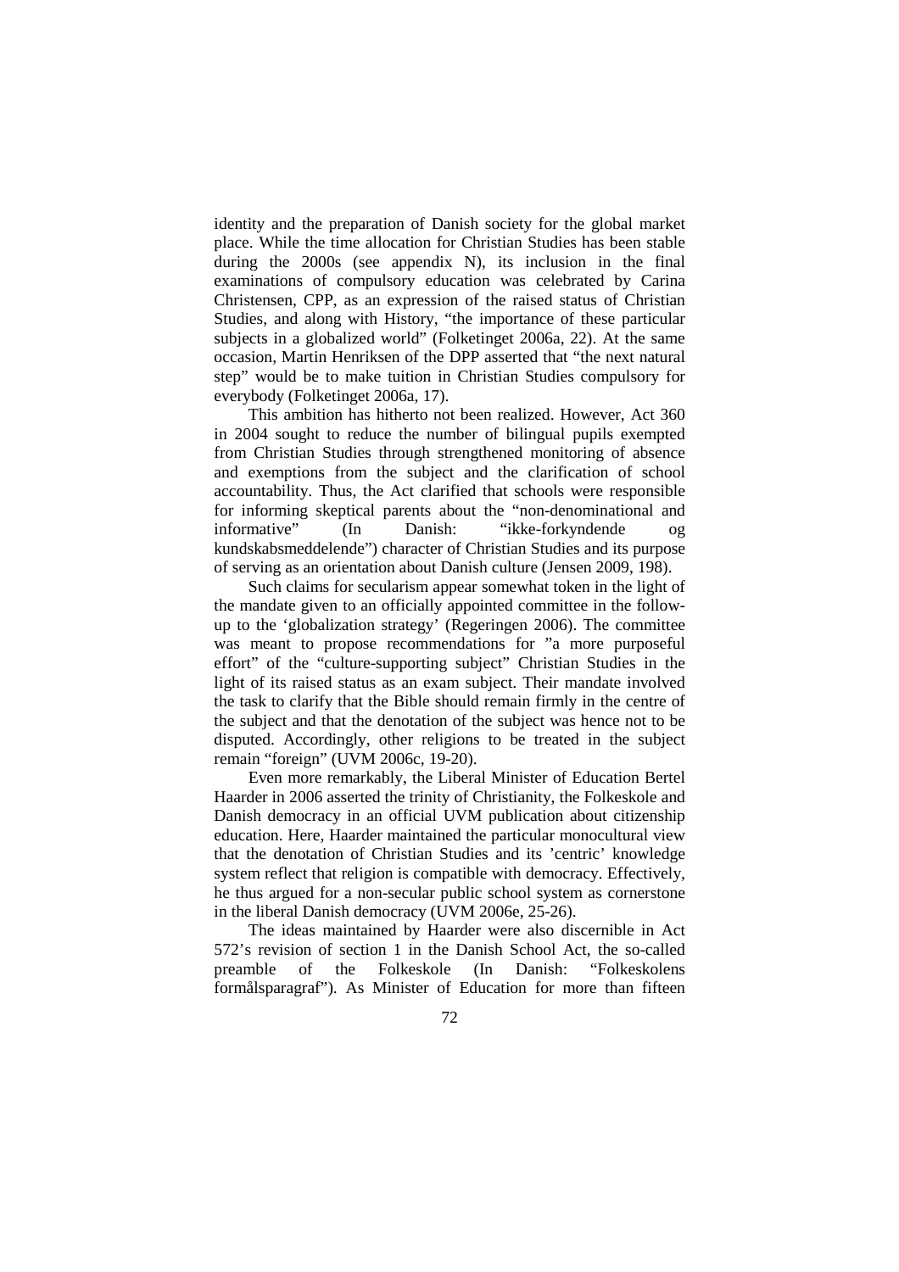identity and the preparation of Danish society for the global market place. While the time allocation for Christian Studies has been stable during the 2000s (see appendix N), its inclusion in the final examinations of compulsory education was celebrated by Carina Christensen, CPP, as an expression of the raised status of Christian Studies, and along with History, "the importance of these particular subjects in a globalized world" (Folketinget 2006a, 22). At the same occasion, Martin Henriksen of the DPP asserted that "the next natural step" would be to make tuition in Christian Studies compulsory for everybody (Folketinget 2006a, 17).

This ambition has hitherto not been realized. However, Act 360 in 2004 sought to reduce the number of bilingual pupils exempted from Christian Studies through strengthened monitoring of absence and exemptions from the subject and the clarification of school accountability. Thus, the Act clarified that schools were responsible for informing skeptical parents about the "non-denominational and informative" (In Danish: "ikke-forkyndende og kundskabsmeddelende") character of Christian Studies and its purpose of serving as an orientation about Danish culture (Jensen 2009, 198).

Such claims for secularism appear somewhat token in the light of the mandate given to an officially appointed committee in the followup to the 'globalization strategy' (Regeringen 2006). The committee was meant to propose recommendations for "a more purposeful effort" of the "culture-supporting subject" Christian Studies in the light of its raised status as an exam subject. Their mandate involved the task to clarify that the Bible should remain firmly in the centre of the subject and that the denotation of the subject was hence not to be disputed. Accordingly, other religions to be treated in the subject remain "foreign" (UVM 2006c, 19-20).

Even more remarkably, the Liberal Minister of Education Bertel Haarder in 2006 asserted the trinity of Christianity, the Folkeskole and Danish democracy in an official UVM publication about citizenship education. Here, Haarder maintained the particular monocultural view that the denotation of Christian Studies and its 'centric' knowledge system reflect that religion is compatible with democracy. Effectively, he thus argued for a non-secular public school system as cornerstone in the liberal Danish democracy (UVM 2006e, 25-26).

The ideas maintained by Haarder were also discernible in Act 572's revision of section 1 in the Danish School Act, the so-called preamble of the Folkeskole (In Danish: "Folkeskolens formålsparagraf"). As Minister of Education for more than fifteen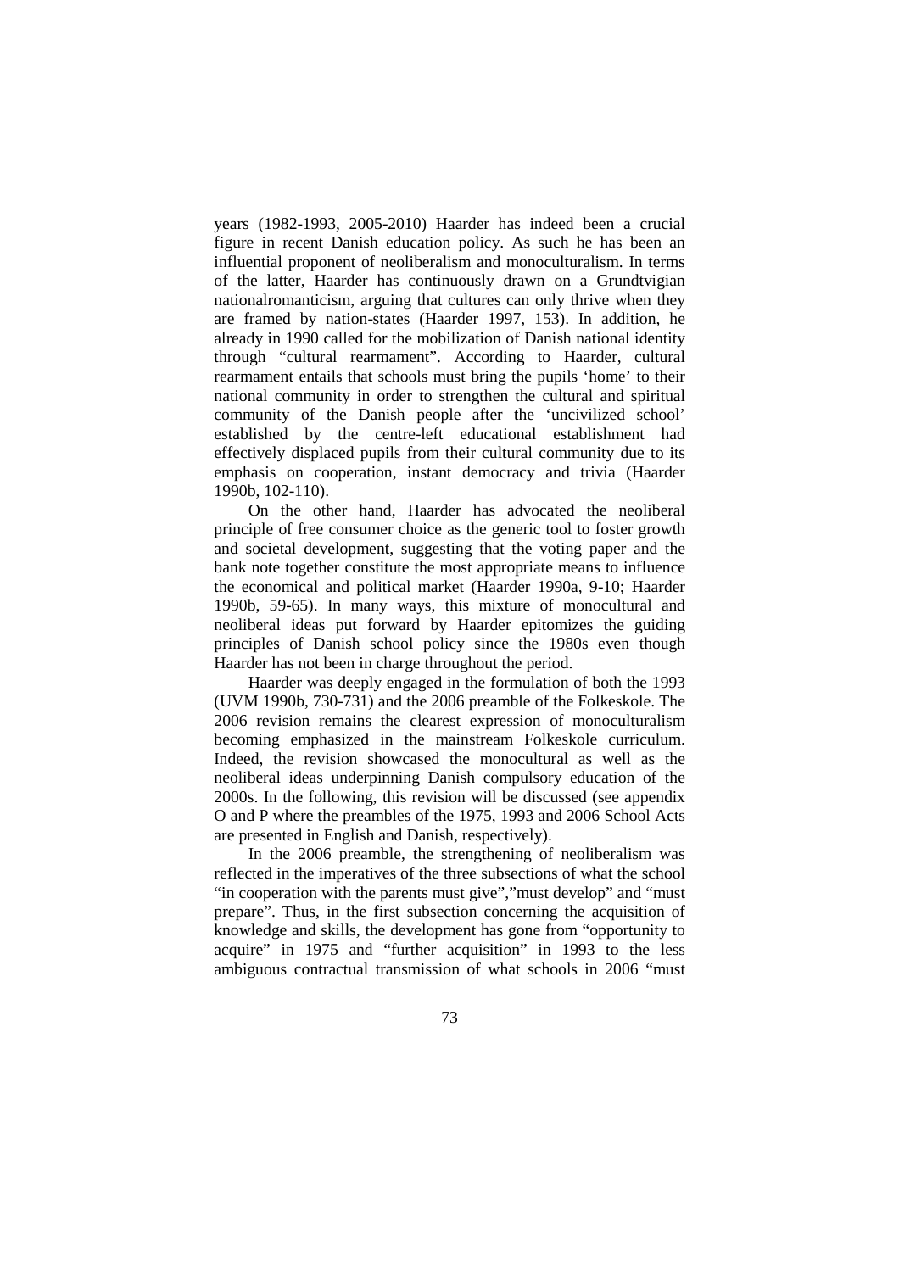years (1982-1993, 2005-2010) Haarder has indeed been a crucial figure in recent Danish education policy. As such he has been an influential proponent of neoliberalism and monoculturalism. In terms of the latter, Haarder has continuously drawn on a Grundtvigian nationalromanticism, arguing that cultures can only thrive when they are framed by nation-states (Haarder 1997, 153). In addition, he already in 1990 called for the mobilization of Danish national identity through "cultural rearmament". According to Haarder, cultural rearmament entails that schools must bring the pupils 'home' to their national community in order to strengthen the cultural and spiritual community of the Danish people after the 'uncivilized school' established by the centre-left educational establishment had effectively displaced pupils from their cultural community due to its emphasis on cooperation, instant democracy and trivia (Haarder 1990b, 102-110).

On the other hand, Haarder has advocated the neoliberal principle of free consumer choice as the generic tool to foster growth and societal development, suggesting that the voting paper and the bank note together constitute the most appropriate means to influence the economical and political market (Haarder 1990a, 9-10; Haarder 1990b, 59-65). In many ways, this mixture of monocultural and neoliberal ideas put forward by Haarder epitomizes the guiding principles of Danish school policy since the 1980s even though Haarder has not been in charge throughout the period.

Haarder was deeply engaged in the formulation of both the 1993 (UVM 1990b, 730-731) and the 2006 preamble of the Folkeskole. The 2006 revision remains the clearest expression of monoculturalism becoming emphasized in the mainstream Folkeskole curriculum. Indeed, the revision showcased the monocultural as well as the neoliberal ideas underpinning Danish compulsory education of the 2000s. In the following, this revision will be discussed (see appendix O and P where the preambles of the 1975, 1993 and 2006 School Acts are presented in English and Danish, respectively).

In the 2006 preamble, the strengthening of neoliberalism was reflected in the imperatives of the three subsections of what the school "in cooperation with the parents must give","must develop" and "must prepare". Thus, in the first subsection concerning the acquisition of knowledge and skills, the development has gone from "opportunity to acquire" in 1975 and "further acquisition" in 1993 to the less ambiguous contractual transmission of what schools in 2006 "must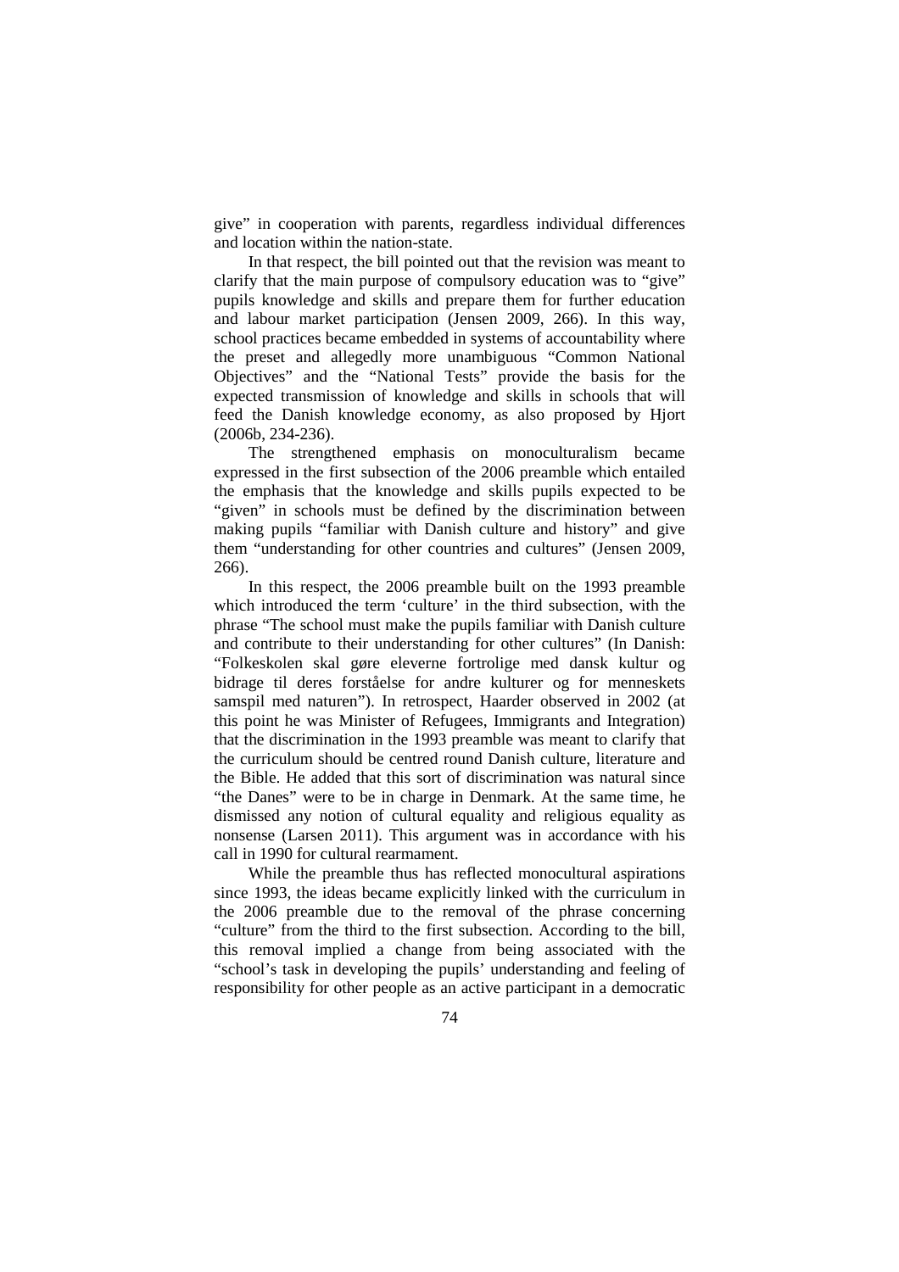give" in cooperation with parents, regardless individual differences and location within the nation-state.

In that respect, the bill pointed out that the revision was meant to clarify that the main purpose of compulsory education was to "give" pupils knowledge and skills and prepare them for further education and labour market participation (Jensen 2009, 266). In this way, school practices became embedded in systems of accountability where the preset and allegedly more unambiguous "Common National Objectives" and the "National Tests" provide the basis for the expected transmission of knowledge and skills in schools that will feed the Danish knowledge economy, as also proposed by Hjort (2006b, 234-236).

The strengthened emphasis on monoculturalism became expressed in the first subsection of the 2006 preamble which entailed the emphasis that the knowledge and skills pupils expected to be "given" in schools must be defined by the discrimination between making pupils "familiar with Danish culture and history" and give them "understanding for other countries and cultures" (Jensen 2009, 266).

In this respect, the 2006 preamble built on the 1993 preamble which introduced the term 'culture' in the third subsection, with the phrase "The school must make the pupils familiar with Danish culture and contribute to their understanding for other cultures" (In Danish: "Folkeskolen skal gøre eleverne fortrolige med dansk kultur og bidrage til deres forståelse for andre kulturer og for menneskets samspil med naturen"). In retrospect, Haarder observed in 2002 (at this point he was Minister of Refugees, Immigrants and Integration) that the discrimination in the 1993 preamble was meant to clarify that the curriculum should be centred round Danish culture, literature and the Bible. He added that this sort of discrimination was natural since "the Danes" were to be in charge in Denmark. At the same time, he dismissed any notion of cultural equality and religious equality as nonsense (Larsen 2011). This argument was in accordance with his call in 1990 for cultural rearmament.

While the preamble thus has reflected monocultural aspirations since 1993, the ideas became explicitly linked with the curriculum in the 2006 preamble due to the removal of the phrase concerning "culture" from the third to the first subsection. According to the bill, this removal implied a change from being associated with the "school's task in developing the pupils' understanding and feeling of responsibility for other people as an active participant in a democratic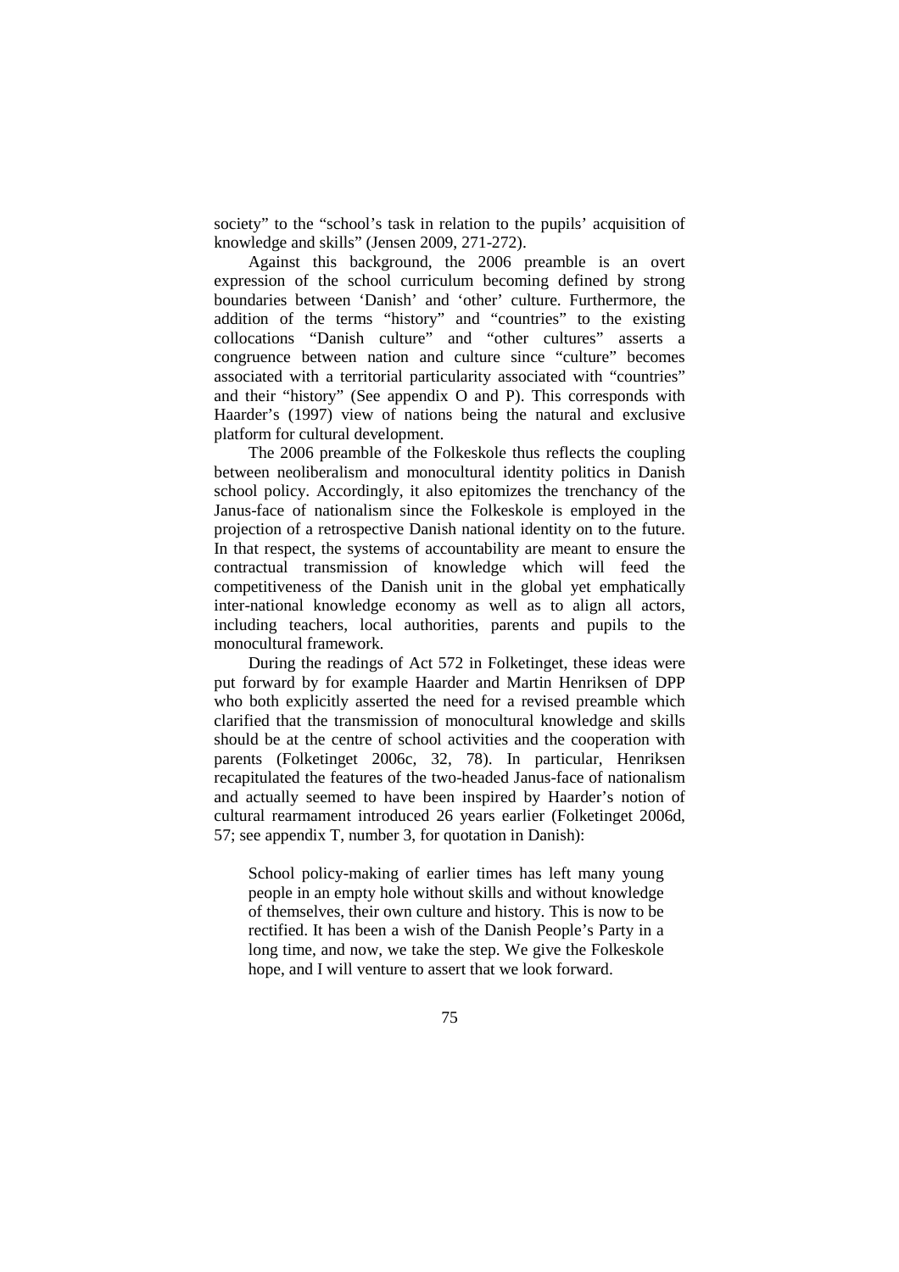society" to the "school's task in relation to the pupils' acquisition of knowledge and skills" (Jensen 2009, 271-272).

Against this background, the 2006 preamble is an overt expression of the school curriculum becoming defined by strong boundaries between 'Danish' and 'other' culture. Furthermore, the addition of the terms "history" and "countries" to the existing collocations "Danish culture" and "other cultures" asserts a congruence between nation and culture since "culture" becomes associated with a territorial particularity associated with "countries" and their "history" (See appendix O and P). This corresponds with Haarder's (1997) view of nations being the natural and exclusive platform for cultural development.

The 2006 preamble of the Folkeskole thus reflects the coupling between neoliberalism and monocultural identity politics in Danish school policy. Accordingly, it also epitomizes the trenchancy of the Janus-face of nationalism since the Folkeskole is employed in the projection of a retrospective Danish national identity on to the future. In that respect, the systems of accountability are meant to ensure the contractual transmission of knowledge which will feed the competitiveness of the Danish unit in the global yet emphatically inter-national knowledge economy as well as to align all actors, including teachers, local authorities, parents and pupils to the monocultural framework.

During the readings of Act 572 in Folketinget, these ideas were put forward by for example Haarder and Martin Henriksen of DPP who both explicitly asserted the need for a revised preamble which clarified that the transmission of monocultural knowledge and skills should be at the centre of school activities and the cooperation with parents (Folketinget 2006c, 32, 78). In particular, Henriksen recapitulated the features of the two-headed Janus-face of nationalism and actually seemed to have been inspired by Haarder's notion of cultural rearmament introduced 26 years earlier (Folketinget 2006d, 57; see appendix T, number 3, for quotation in Danish):

School policy-making of earlier times has left many young people in an empty hole without skills and without knowledge of themselves, their own culture and history. This is now to be rectified. It has been a wish of the Danish People's Party in a long time, and now, we take the step. We give the Folkeskole hope, and I will venture to assert that we look forward.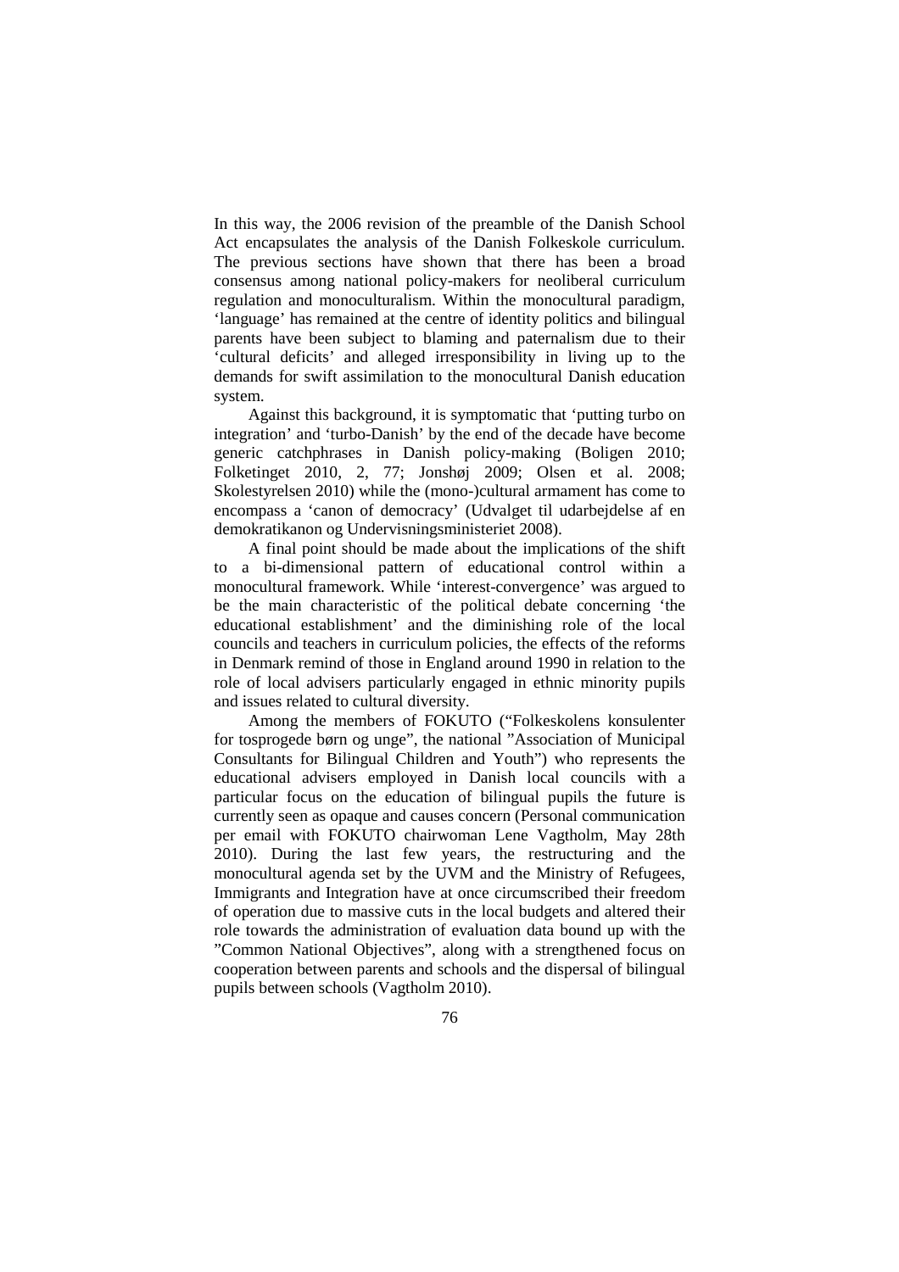In this way, the 2006 revision of the preamble of the Danish School Act encapsulates the analysis of the Danish Folkeskole curriculum. The previous sections have shown that there has been a broad consensus among national policy-makers for neoliberal curriculum regulation and monoculturalism. Within the monocultural paradigm, 'language' has remained at the centre of identity politics and bilingual parents have been subject to blaming and paternalism due to their 'cultural deficits' and alleged irresponsibility in living up to the demands for swift assimilation to the monocultural Danish education system.

Against this background, it is symptomatic that 'putting turbo on integration' and 'turbo-Danish' by the end of the decade have become generic catchphrases in Danish policy-making (Boligen 2010; Folketinget 2010, 2, 77; Jonshøj 2009; Olsen et al. 2008; Skolestyrelsen 2010) while the (mono-)cultural armament has come to encompass a 'canon of democracy' (Udvalget til udarbejdelse af en demokratikanon og Undervisningsministeriet 2008).

A final point should be made about the implications of the shift to a bi-dimensional pattern of educational control within a monocultural framework. While 'interest-convergence' was argued to be the main characteristic of the political debate concerning 'the educational establishment' and the diminishing role of the local councils and teachers in curriculum policies, the effects of the reforms in Denmark remind of those in England around 1990 in relation to the role of local advisers particularly engaged in ethnic minority pupils and issues related to cultural diversity.

Among the members of FOKUTO ("Folkeskolens konsulenter for tosprogede børn og unge", the national "Association of Municipal Consultants for Bilingual Children and Youth") who represents the educational advisers employed in Danish local councils with a particular focus on the education of bilingual pupils the future is currently seen as opaque and causes concern (Personal communication per email with FOKUTO chairwoman Lene Vagtholm, May 28th 2010). During the last few years, the restructuring and the monocultural agenda set by the UVM and the Ministry of Refugees, Immigrants and Integration have at once circumscribed their freedom of operation due to massive cuts in the local budgets and altered their role towards the administration of evaluation data bound up with the "Common National Objectives", along with a strengthened focus on cooperation between parents and schools and the dispersal of bilingual pupils between schools (Vagtholm 2010).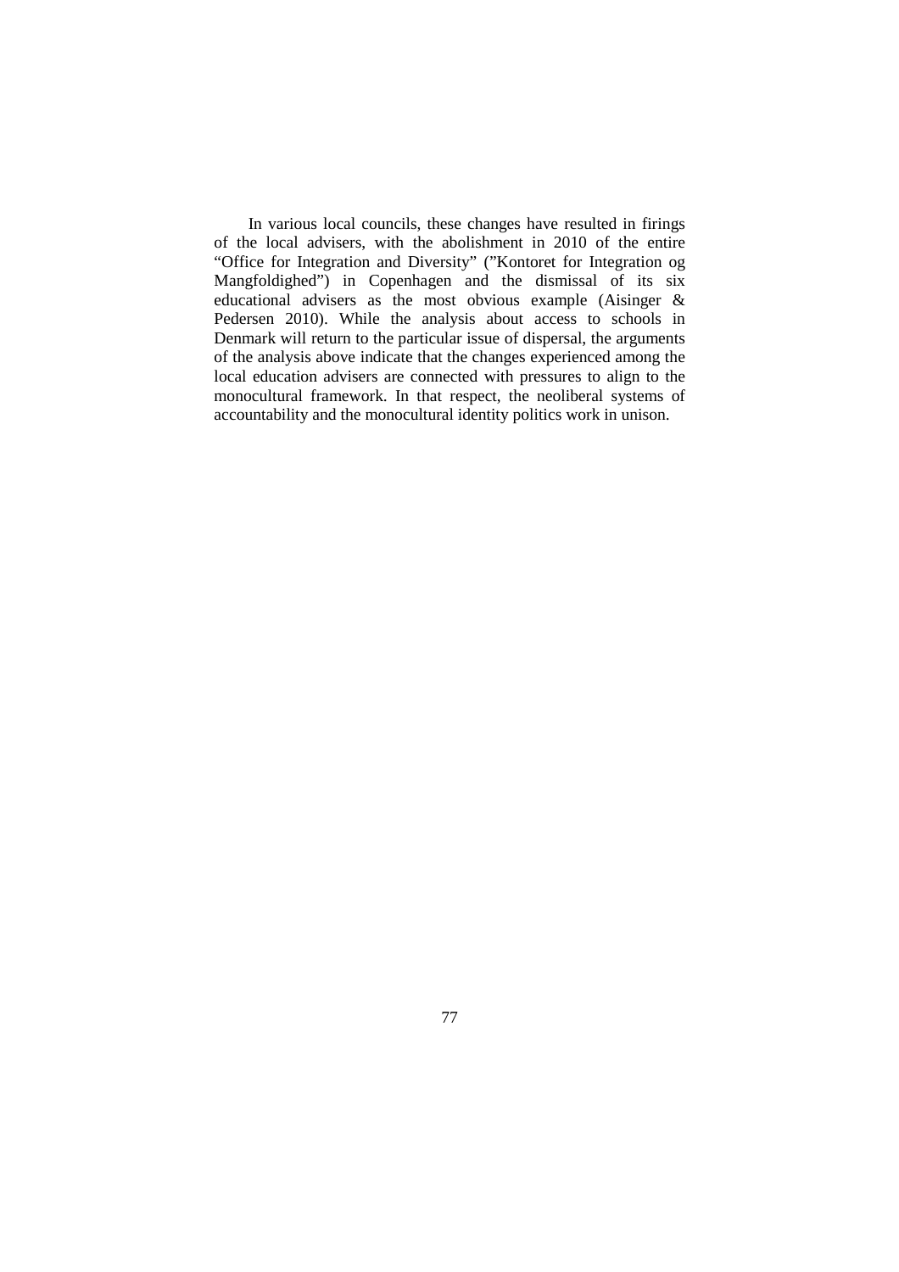In various local councils, these changes have resulted in firings of the local advisers, with the abolishment in 2010 of the entire "Office for Integration and Diversity" ("Kontoret for Integration og Mangfoldighed") in Copenhagen and the dismissal of its six educational advisers as the most obvious example (Aisinger & Pedersen 2010). While the analysis about access to schools in Denmark will return to the particular issue of dispersal, the arguments of the analysis above indicate that the changes experienced among the local education advisers are connected with pressures to align to the monocultural framework. In that respect, the neoliberal systems of accountability and the monocultural identity politics work in unison.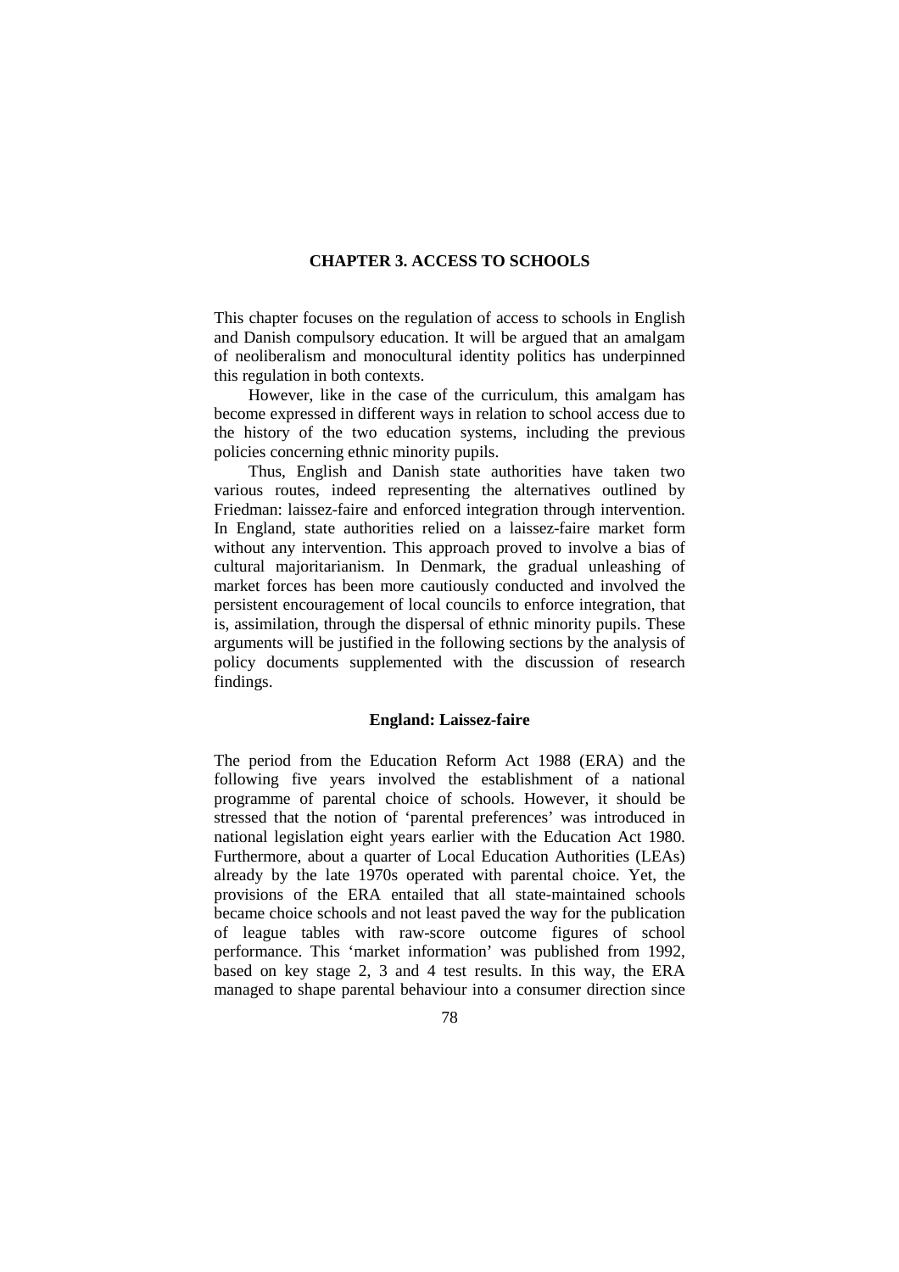# **CHAPTER 3. ACCESS TO SCHOOLS**

This chapter focuses on the regulation of access to schools in English and Danish compulsory education. It will be argued that an amalgam of neoliberalism and monocultural identity politics has underpinned this regulation in both contexts.

However, like in the case of the curriculum, this amalgam has become expressed in different ways in relation to school access due to the history of the two education systems, including the previous policies concerning ethnic minority pupils.

Thus, English and Danish state authorities have taken two various routes, indeed representing the alternatives outlined by Friedman: laissez-faire and enforced integration through intervention. In England, state authorities relied on a laissez-faire market form without any intervention. This approach proved to involve a bias of cultural majoritarianism. In Denmark, the gradual unleashing of market forces has been more cautiously conducted and involved the persistent encouragement of local councils to enforce integration, that is, assimilation, through the dispersal of ethnic minority pupils. These arguments will be justified in the following sections by the analysis of policy documents supplemented with the discussion of research findings.

#### **England: Laissez-faire**

The period from the Education Reform Act 1988 (ERA) and the following five years involved the establishment of a national programme of parental choice of schools. However, it should be stressed that the notion of 'parental preferences' was introduced in national legislation eight years earlier with the Education Act 1980. Furthermore, about a quarter of Local Education Authorities (LEAs) already by the late 1970s operated with parental choice. Yet, the provisions of the ERA entailed that all state-maintained schools became choice schools and not least paved the way for the publication of league tables with raw-score outcome figures of school performance. This 'market information' was published from 1992, based on key stage 2, 3 and 4 test results. In this way, the ERA managed to shape parental behaviour into a consumer direction since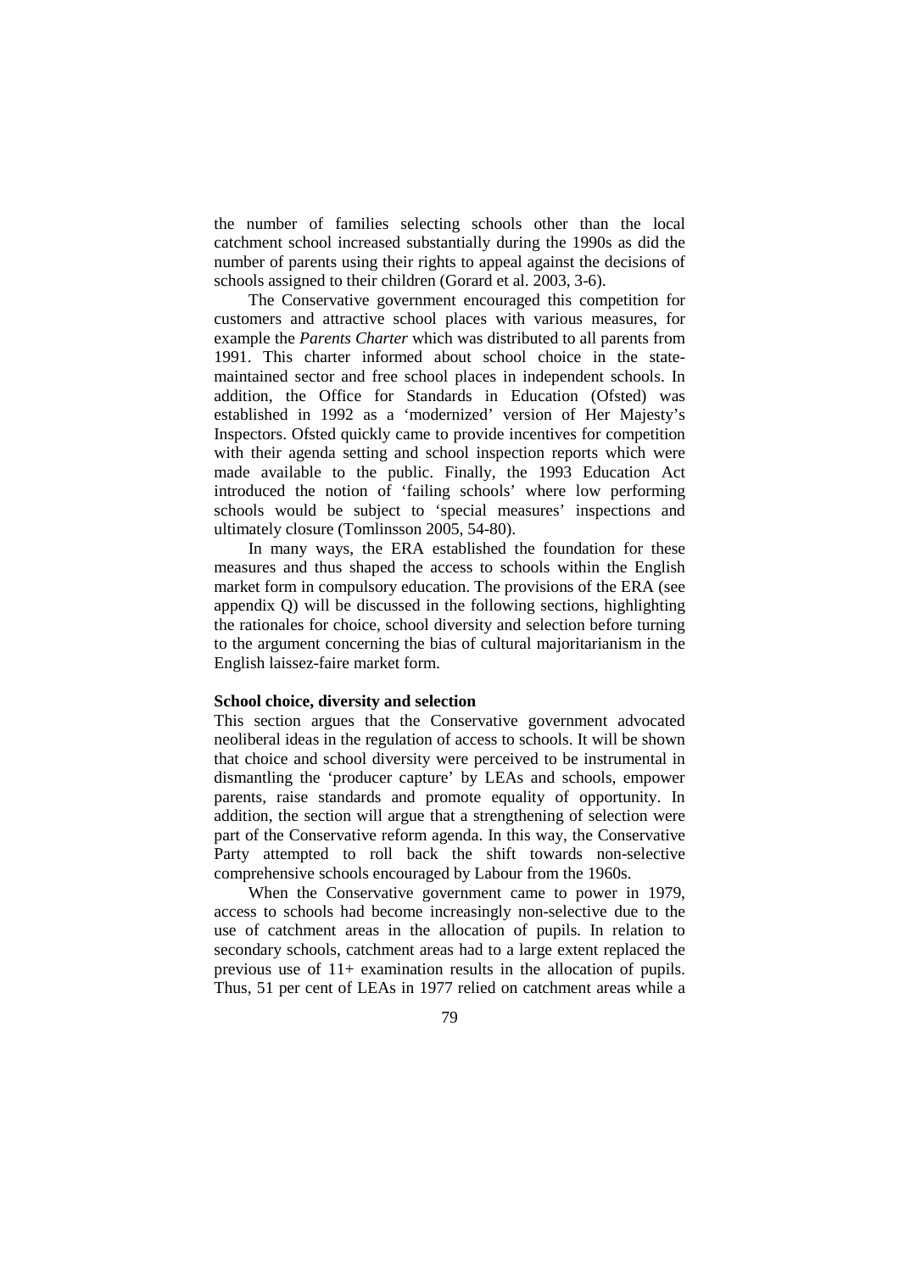the number of families selecting schools other than the local catchment school increased substantially during the 1990s as did the number of parents using their rights to appeal against the decisions of schools assigned to their children (Gorard et al. 2003, 3-6).

The Conservative government encouraged this competition for customers and attractive school places with various measures, for example the *Parents Charter* which was distributed to all parents from 1991. This charter informed about school choice in the statemaintained sector and free school places in independent schools. In addition, the Office for Standards in Education (Ofsted) was established in 1992 as a 'modernized' version of Her Majesty's Inspectors. Ofsted quickly came to provide incentives for competition with their agenda setting and school inspection reports which were made available to the public. Finally, the 1993 Education Act introduced the notion of 'failing schools' where low performing schools would be subject to 'special measures' inspections and ultimately closure (Tomlinsson 2005, 54-80).

In many ways, the ERA established the foundation for these measures and thus shaped the access to schools within the English market form in compulsory education. The provisions of the ERA (see appendix Q) will be discussed in the following sections, highlighting the rationales for choice, school diversity and selection before turning to the argument concerning the bias of cultural majoritarianism in the English laissez-faire market form.

### **School choice, diversity and selection**

This section argues that the Conservative government advocated neoliberal ideas in the regulation of access to schools. It will be shown that choice and school diversity were perceived to be instrumental in dismantling the 'producer capture' by LEAs and schools, empower parents, raise standards and promote equality of opportunity. In addition, the section will argue that a strengthening of selection were part of the Conservative reform agenda. In this way, the Conservative Party attempted to roll back the shift towards non-selective comprehensive schools encouraged by Labour from the 1960s.

When the Conservative government came to power in 1979, access to schools had become increasingly non-selective due to the use of catchment areas in the allocation of pupils. In relation to secondary schools, catchment areas had to a large extent replaced the previous use of 11+ examination results in the allocation of pupils. Thus, 51 per cent of LEAs in 1977 relied on catchment areas while a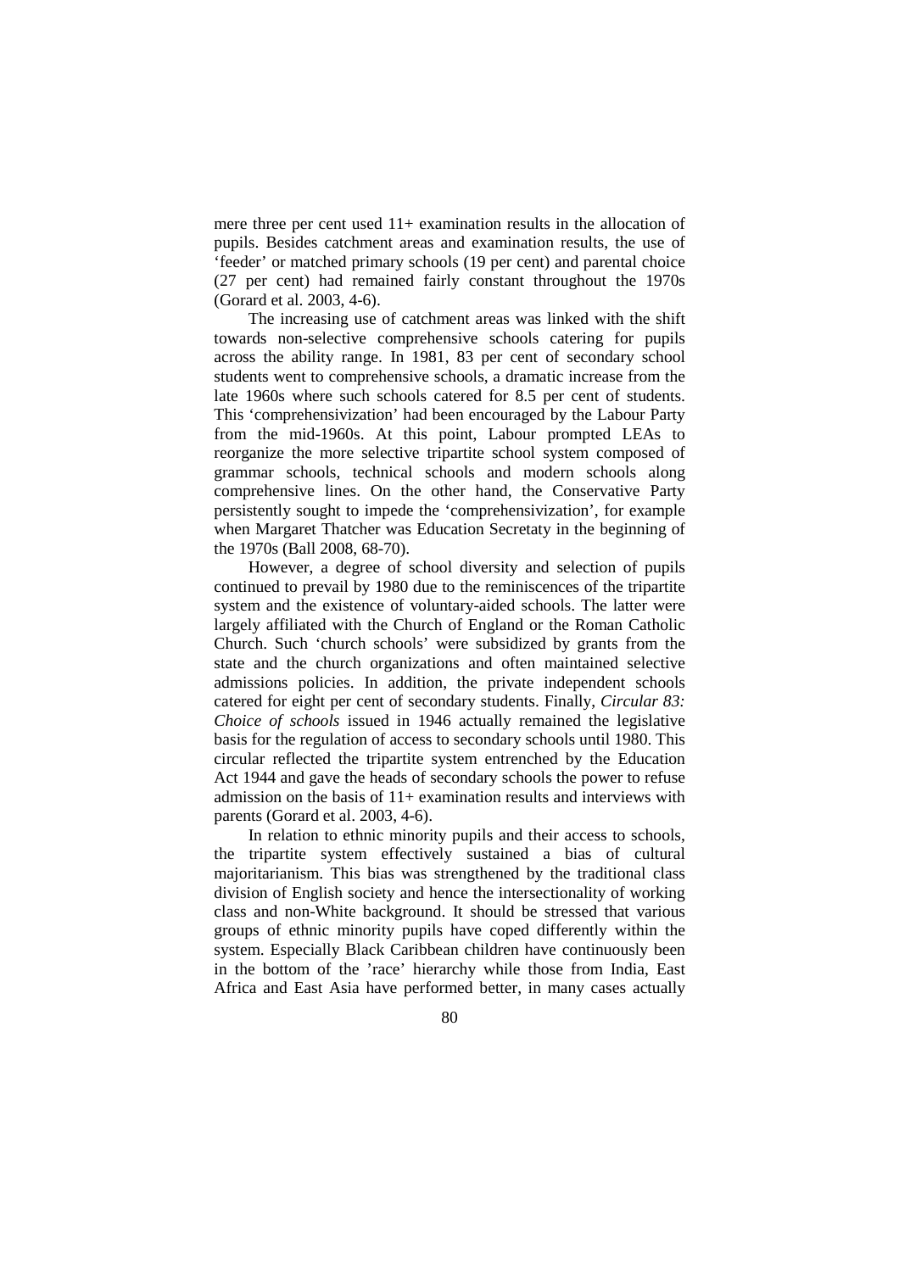mere three per cent used 11+ examination results in the allocation of pupils. Besides catchment areas and examination results, the use of 'feeder' or matched primary schools (19 per cent) and parental choice (27 per cent) had remained fairly constant throughout the 1970s (Gorard et al. 2003, 4-6).

The increasing use of catchment areas was linked with the shift towards non-selective comprehensive schools catering for pupils across the ability range. In 1981, 83 per cent of secondary school students went to comprehensive schools, a dramatic increase from the late 1960s where such schools catered for 8.5 per cent of students. This 'comprehensivization' had been encouraged by the Labour Party from the mid-1960s. At this point, Labour prompted LEAs to reorganize the more selective tripartite school system composed of grammar schools, technical schools and modern schools along comprehensive lines. On the other hand, the Conservative Party persistently sought to impede the 'comprehensivization', for example when Margaret Thatcher was Education Secretaty in the beginning of the 1970s (Ball 2008, 68-70).

However, a degree of school diversity and selection of pupils continued to prevail by 1980 due to the reminiscences of the tripartite system and the existence of voluntary-aided schools. The latter were largely affiliated with the Church of England or the Roman Catholic Church. Such 'church schools' were subsidized by grants from the state and the church organizations and often maintained selective admissions policies. In addition, the private independent schools catered for eight per cent of secondary students. Finally, *Circular 83: Choice of schools* issued in 1946 actually remained the legislative basis for the regulation of access to secondary schools until 1980. This circular reflected the tripartite system entrenched by the Education Act 1944 and gave the heads of secondary schools the power to refuse admission on the basis of  $11+$  examination results and interviews with parents (Gorard et al. 2003, 4-6).

In relation to ethnic minority pupils and their access to schools, the tripartite system effectively sustained a bias of cultural majoritarianism. This bias was strengthened by the traditional class division of English society and hence the intersectionality of working class and non-White background. It should be stressed that various groups of ethnic minority pupils have coped differently within the system. Especially Black Caribbean children have continuously been in the bottom of the 'race' hierarchy while those from India, East Africa and East Asia have performed better, in many cases actually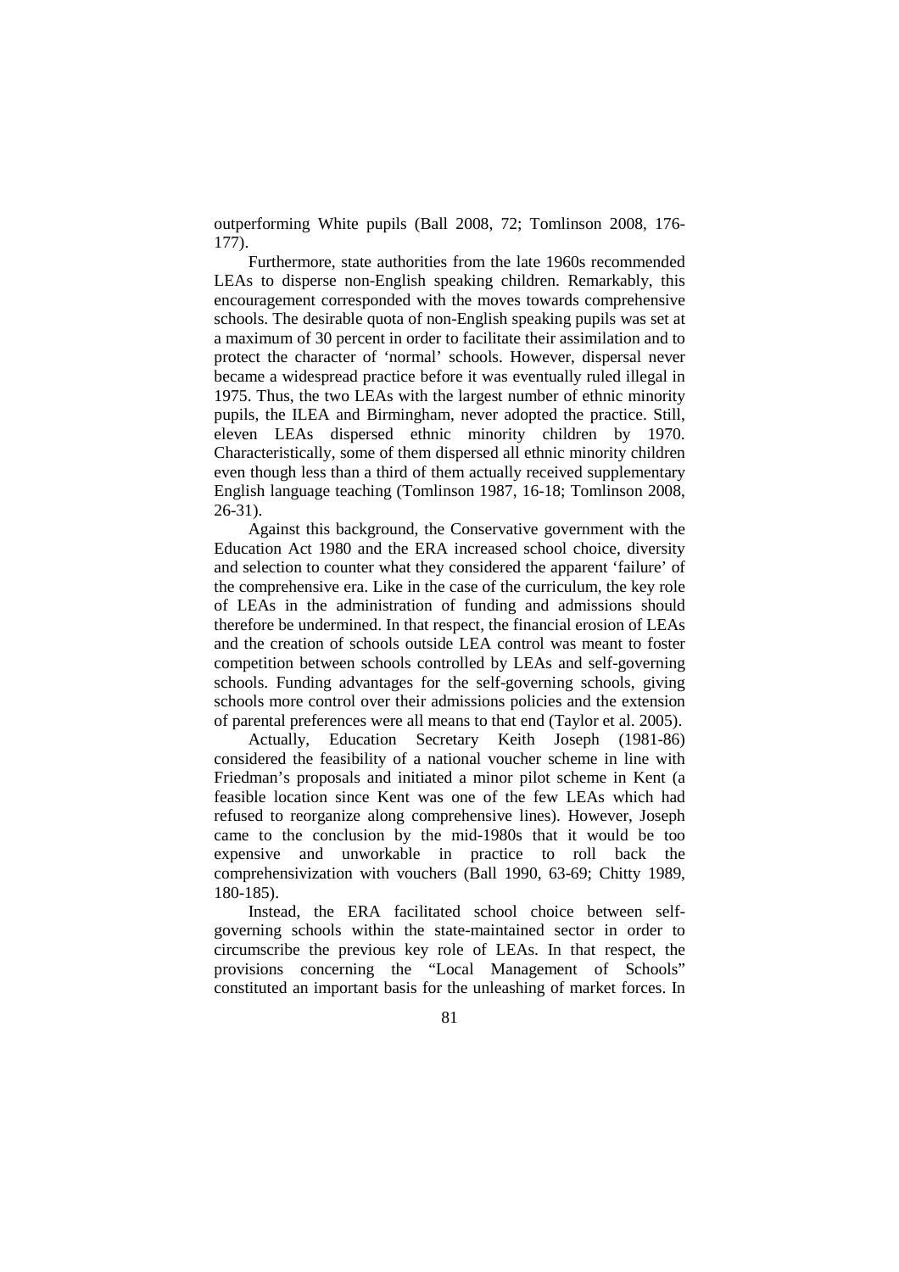outperforming White pupils (Ball 2008, 72; Tomlinson 2008, 176- 177).

Furthermore, state authorities from the late 1960s recommended LEAs to disperse non-English speaking children. Remarkably, this encouragement corresponded with the moves towards comprehensive schools. The desirable quota of non-English speaking pupils was set at a maximum of 30 percent in order to facilitate their assimilation and to protect the character of 'normal' schools. However, dispersal never became a widespread practice before it was eventually ruled illegal in 1975. Thus, the two LEAs with the largest number of ethnic minority pupils, the ILEA and Birmingham, never adopted the practice. Still, eleven LEAs dispersed ethnic minority children by 1970. Characteristically, some of them dispersed all ethnic minority children even though less than a third of them actually received supplementary English language teaching (Tomlinson 1987, 16-18; Tomlinson 2008, 26-31).

Against this background, the Conservative government with the Education Act 1980 and the ERA increased school choice, diversity and selection to counter what they considered the apparent 'failure' of the comprehensive era. Like in the case of the curriculum, the key role of LEAs in the administration of funding and admissions should therefore be undermined. In that respect, the financial erosion of LEAs and the creation of schools outside LEA control was meant to foster competition between schools controlled by LEAs and self-governing schools. Funding advantages for the self-governing schools, giving schools more control over their admissions policies and the extension of parental preferences were all means to that end (Taylor et al. 2005).

Actually, Education Secretary Keith Joseph (1981-86) considered the feasibility of a national voucher scheme in line with Friedman's proposals and initiated a minor pilot scheme in Kent (a feasible location since Kent was one of the few LEAs which had refused to reorganize along comprehensive lines). However, Joseph came to the conclusion by the mid-1980s that it would be too expensive and unworkable in practice to roll back the comprehensivization with vouchers (Ball 1990, 63-69; Chitty 1989, 180-185).

Instead, the ERA facilitated school choice between selfgoverning schools within the state-maintained sector in order to circumscribe the previous key role of LEAs. In that respect, the provisions concerning the "Local Management of Schools" constituted an important basis for the unleashing of market forces. In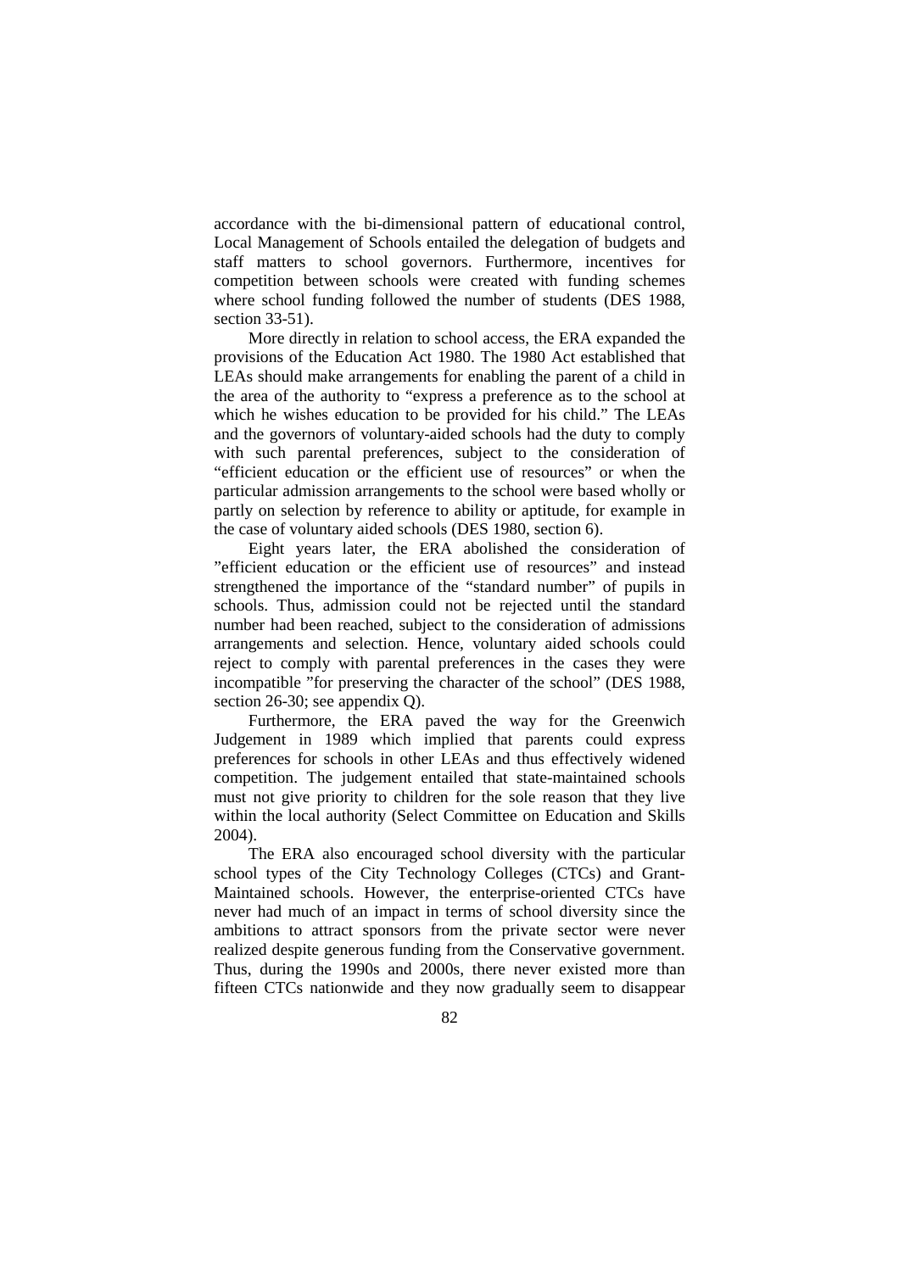accordance with the bi-dimensional pattern of educational control, Local Management of Schools entailed the delegation of budgets and staff matters to school governors. Furthermore, incentives for competition between schools were created with funding schemes where school funding followed the number of students (DES 1988, section 33-51).

More directly in relation to school access, the ERA expanded the provisions of the Education Act 1980. The 1980 Act established that LEAs should make arrangements for enabling the parent of a child in the area of the authority to "express a preference as to the school at which he wishes education to be provided for his child." The LEAs and the governors of voluntary-aided schools had the duty to comply with such parental preferences, subject to the consideration of "efficient education or the efficient use of resources" or when the particular admission arrangements to the school were based wholly or partly on selection by reference to ability or aptitude, for example in the case of voluntary aided schools (DES 1980, section 6).

Eight years later, the ERA abolished the consideration of "efficient education or the efficient use of resources" and instead strengthened the importance of the "standard number" of pupils in schools. Thus, admission could not be rejected until the standard number had been reached, subject to the consideration of admissions arrangements and selection. Hence, voluntary aided schools could reject to comply with parental preferences in the cases they were incompatible "for preserving the character of the school" (DES 1988, section 26-30; see appendix Q).

Furthermore, the ERA paved the way for the Greenwich Judgement in 1989 which implied that parents could express preferences for schools in other LEAs and thus effectively widened competition. The judgement entailed that state-maintained schools must not give priority to children for the sole reason that they live within the local authority (Select Committee on Education and Skills 2004).

The ERA also encouraged school diversity with the particular school types of the City Technology Colleges (CTCs) and Grant-Maintained schools. However, the enterprise-oriented CTCs have never had much of an impact in terms of school diversity since the ambitions to attract sponsors from the private sector were never realized despite generous funding from the Conservative government. Thus, during the 1990s and 2000s, there never existed more than fifteen CTCs nationwide and they now gradually seem to disappear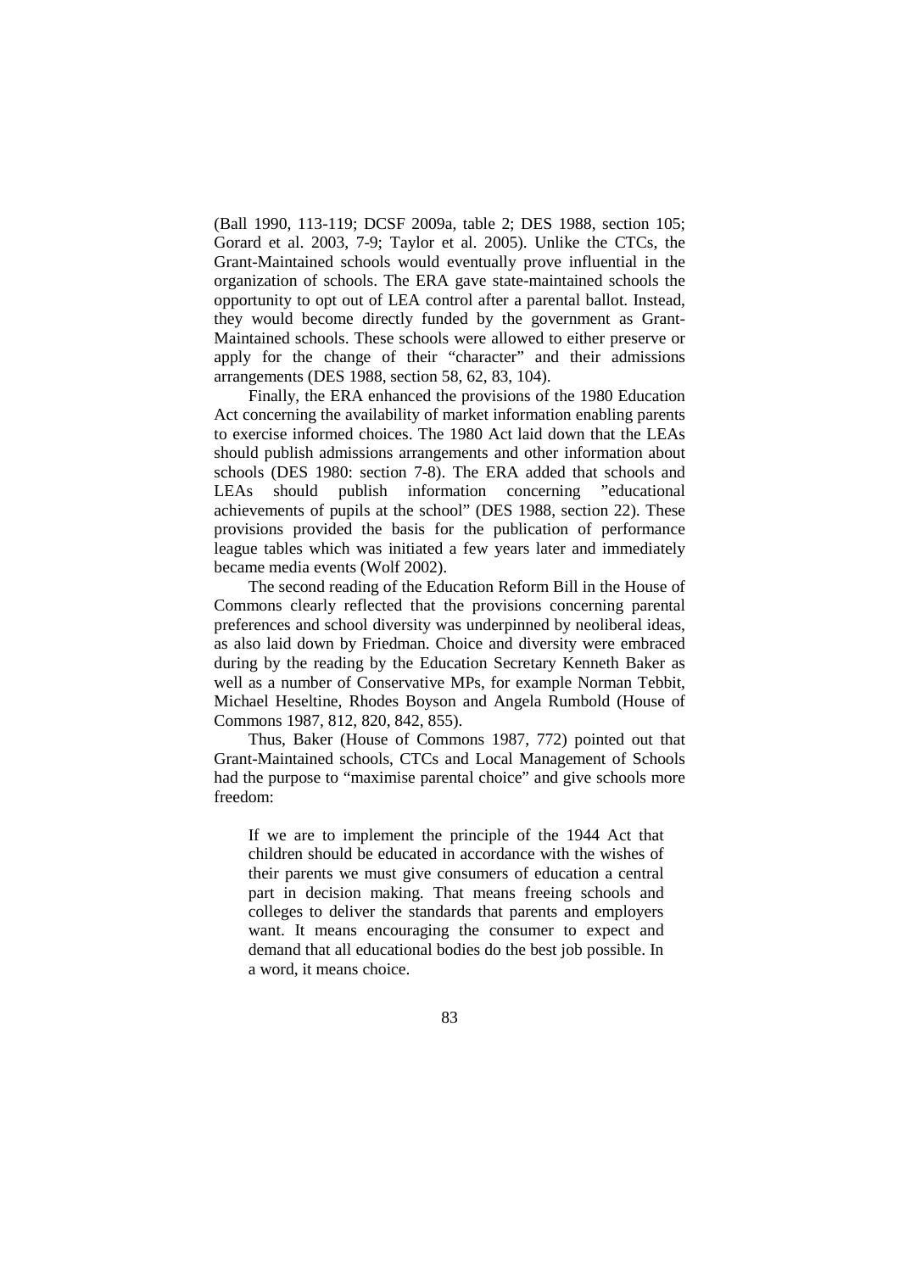(Ball 1990, 113-119; DCSF 2009a, table 2; DES 1988, section 105; Gorard et al. 2003, 7-9; Taylor et al. 2005). Unlike the CTCs, the Grant-Maintained schools would eventually prove influential in the organization of schools. The ERA gave state-maintained schools the opportunity to opt out of LEA control after a parental ballot. Instead, they would become directly funded by the government as Grant-Maintained schools. These schools were allowed to either preserve or apply for the change of their "character" and their admissions arrangements (DES 1988, section 58, 62, 83, 104).

Finally, the ERA enhanced the provisions of the 1980 Education Act concerning the availability of market information enabling parents to exercise informed choices. The 1980 Act laid down that the LEAs should publish admissions arrangements and other information about schools (DES 1980: section 7-8). The ERA added that schools and LEAs should publish information concerning "educational achievements of pupils at the school" (DES 1988, section 22). These provisions provided the basis for the publication of performance league tables which was initiated a few years later and immediately became media events (Wolf 2002).

The second reading of the Education Reform Bill in the House of Commons clearly reflected that the provisions concerning parental preferences and school diversity was underpinned by neoliberal ideas, as also laid down by Friedman. Choice and diversity were embraced during by the reading by the Education Secretary Kenneth Baker as well as a number of Conservative MPs, for example Norman Tebbit, Michael Heseltine, Rhodes Boyson and Angela Rumbold (House of Commons 1987, 812, 820, 842, 855).

Thus, Baker (House of Commons 1987, 772) pointed out that Grant-Maintained schools, CTCs and Local Management of Schools had the purpose to "maximise parental choice" and give schools more freedom:

If we are to implement the principle of the 1944 Act that children should be educated in accordance with the wishes of their parents we must give consumers of education a central part in decision making. That means freeing schools and colleges to deliver the standards that parents and employers want. It means encouraging the consumer to expect and demand that all educational bodies do the best job possible. In a word, it means choice.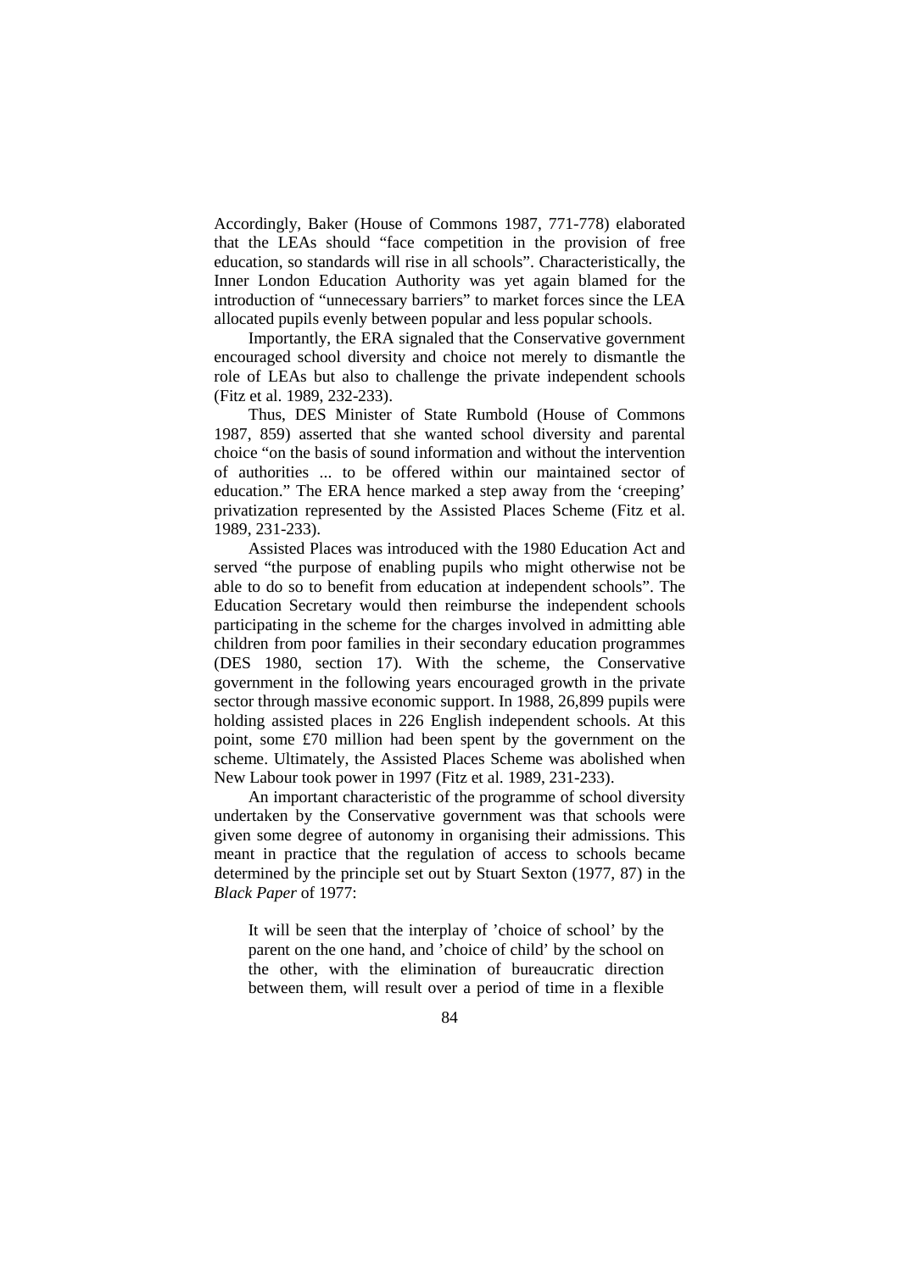Accordingly, Baker (House of Commons 1987, 771-778) elaborated that the LEAs should "face competition in the provision of free education, so standards will rise in all schools". Characteristically, the Inner London Education Authority was yet again blamed for the introduction of "unnecessary barriers" to market forces since the LEA allocated pupils evenly between popular and less popular schools.

Importantly, the ERA signaled that the Conservative government encouraged school diversity and choice not merely to dismantle the role of LEAs but also to challenge the private independent schools (Fitz et al. 1989, 232-233).

Thus, DES Minister of State Rumbold (House of Commons 1987, 859) asserted that she wanted school diversity and parental choice "on the basis of sound information and without the intervention of authorities ... to be offered within our maintained sector of education." The ERA hence marked a step away from the 'creeping' privatization represented by the Assisted Places Scheme (Fitz et al. 1989, 231-233).

Assisted Places was introduced with the 1980 Education Act and served "the purpose of enabling pupils who might otherwise not be able to do so to benefit from education at independent schools". The Education Secretary would then reimburse the independent schools participating in the scheme for the charges involved in admitting able children from poor families in their secondary education programmes (DES 1980, section 17). With the scheme, the Conservative government in the following years encouraged growth in the private sector through massive economic support. In 1988, 26,899 pupils were holding assisted places in 226 English independent schools. At this point, some £70 million had been spent by the government on the scheme. Ultimately, the Assisted Places Scheme was abolished when New Labour took power in 1997 (Fitz et al. 1989, 231-233).

An important characteristic of the programme of school diversity undertaken by the Conservative government was that schools were given some degree of autonomy in organising their admissions. This meant in practice that the regulation of access to schools became determined by the principle set out by Stuart Sexton (1977, 87) in the *Black Paper* of 1977:

It will be seen that the interplay of 'choice of school' by the parent on the one hand, and 'choice of child' by the school on the other, with the elimination of bureaucratic direction between them, will result over a period of time in a flexible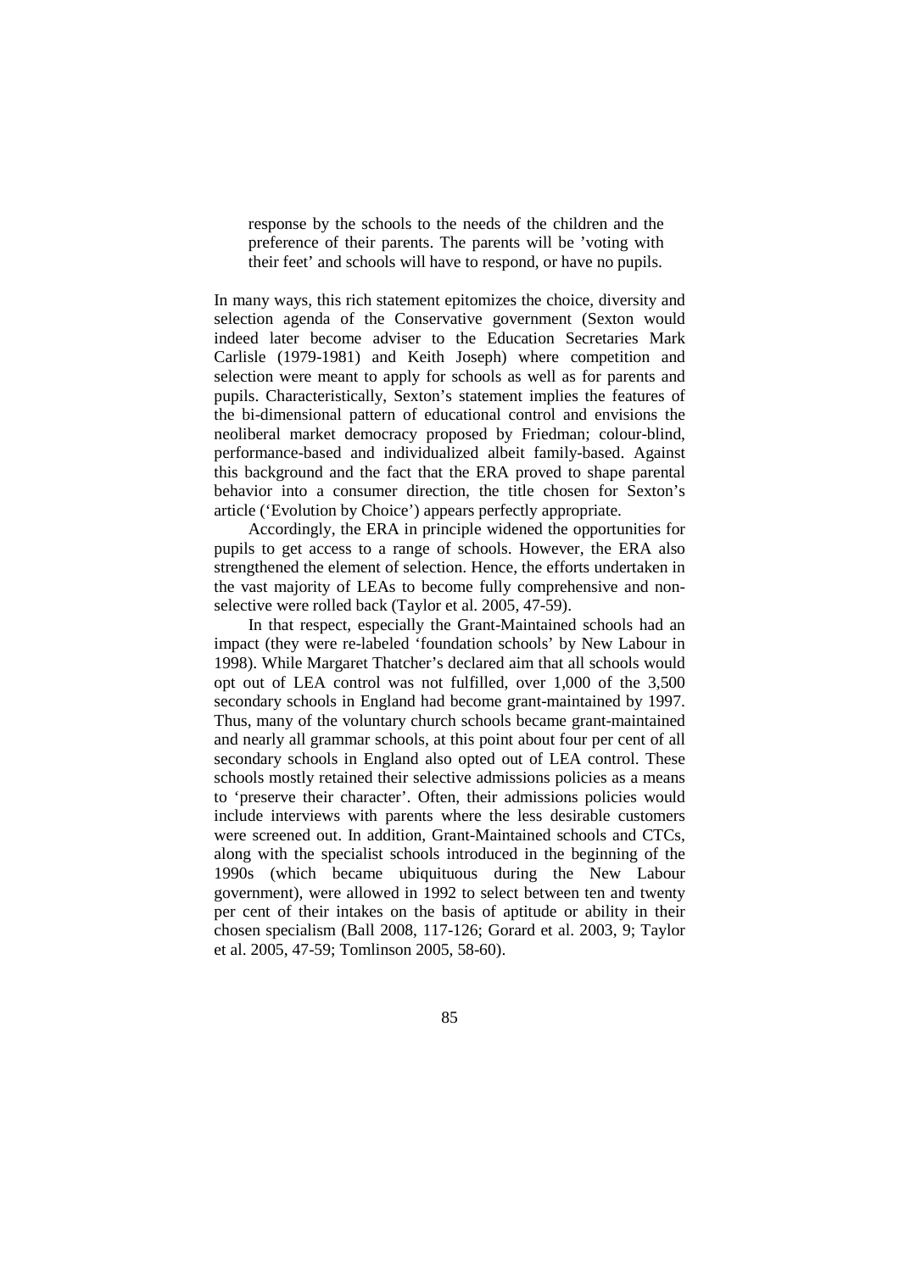response by the schools to the needs of the children and the preference of their parents. The parents will be 'voting with their feet' and schools will have to respond, or have no pupils.

In many ways, this rich statement epitomizes the choice, diversity and selection agenda of the Conservative government (Sexton would indeed later become adviser to the Education Secretaries Mark Carlisle (1979-1981) and Keith Joseph) where competition and selection were meant to apply for schools as well as for parents and pupils. Characteristically, Sexton's statement implies the features of the bi-dimensional pattern of educational control and envisions the neoliberal market democracy proposed by Friedman; colour-blind, performance-based and individualized albeit family-based. Against this background and the fact that the ERA proved to shape parental behavior into a consumer direction, the title chosen for Sexton's article ('Evolution by Choice') appears perfectly appropriate.

Accordingly, the ERA in principle widened the opportunities for pupils to get access to a range of schools. However, the ERA also strengthened the element of selection. Hence, the efforts undertaken in the vast majority of LEAs to become fully comprehensive and nonselective were rolled back (Taylor et al. 2005, 47-59).

In that respect, especially the Grant-Maintained schools had an impact (they were re-labeled 'foundation schools' by New Labour in 1998). While Margaret Thatcher's declared aim that all schools would opt out of LEA control was not fulfilled, over 1,000 of the 3,500 secondary schools in England had become grant-maintained by 1997. Thus, many of the voluntary church schools became grant-maintained and nearly all grammar schools, at this point about four per cent of all secondary schools in England also opted out of LEA control. These schools mostly retained their selective admissions policies as a means to 'preserve their character'. Often, their admissions policies would include interviews with parents where the less desirable customers were screened out. In addition, Grant-Maintained schools and CTCs, along with the specialist schools introduced in the beginning of the 1990s (which became ubiquituous during the New Labour government), were allowed in 1992 to select between ten and twenty per cent of their intakes on the basis of aptitude or ability in their chosen specialism (Ball 2008, 117-126; Gorard et al. 2003, 9; Taylor et al. 2005, 47-59; Tomlinson 2005, 58-60).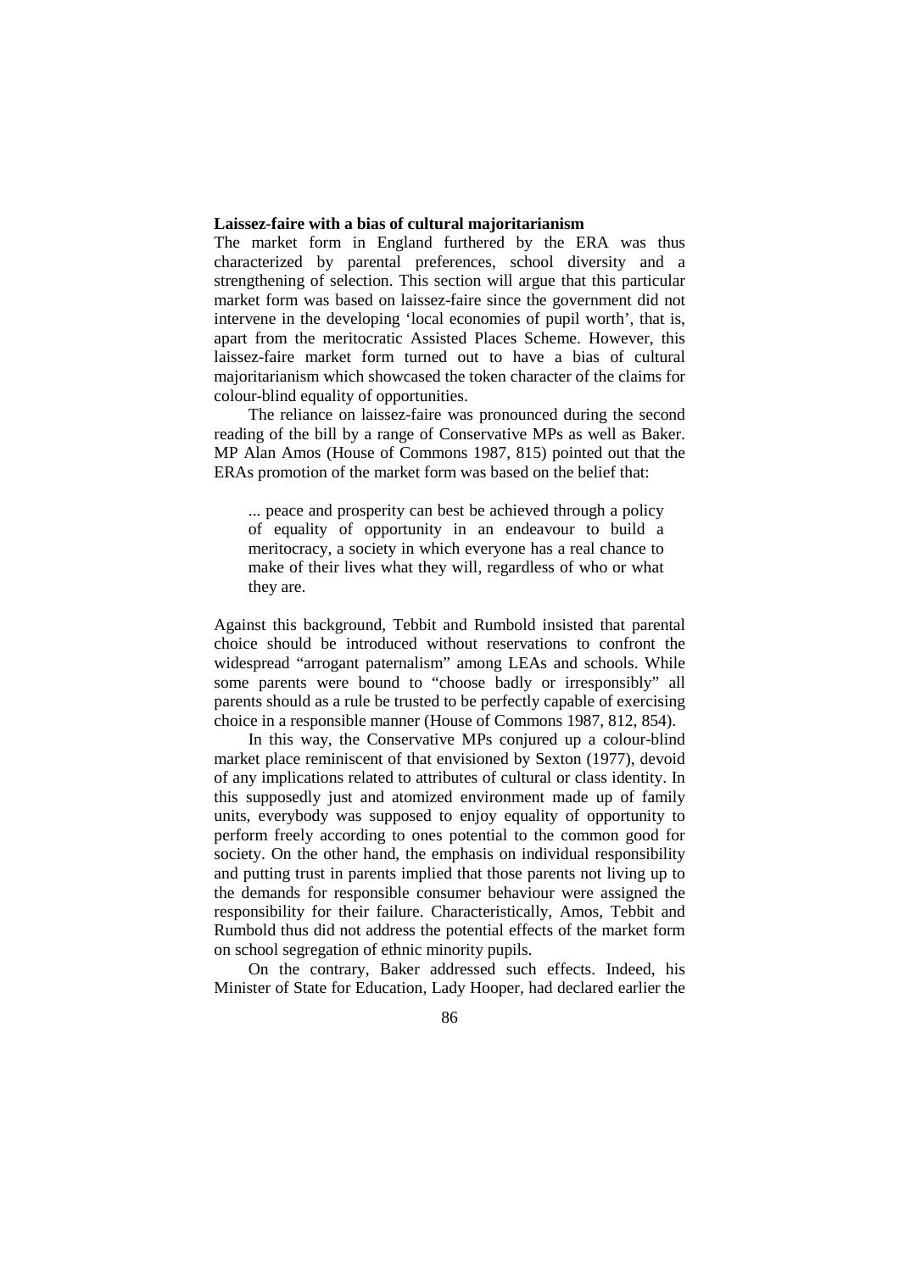# **Laissez-faire with a bias of cultural majoritarianism**

The market form in England furthered by the ERA was thus characterized by parental preferences, school diversity and a strengthening of selection. This section will argue that this particular market form was based on laissez-faire since the government did not intervene in the developing 'local economies of pupil worth', that is, apart from the meritocratic Assisted Places Scheme. However, this laissez-faire market form turned out to have a bias of cultural majoritarianism which showcased the token character of the claims for colour-blind equality of opportunities.

The reliance on laissez-faire was pronounced during the second reading of the bill by a range of Conservative MPs as well as Baker. MP Alan Amos (House of Commons 1987, 815) pointed out that the ERAs promotion of the market form was based on the belief that:

... peace and prosperity can best be achieved through a policy of equality of opportunity in an endeavour to build a meritocracy, a society in which everyone has a real chance to make of their lives what they will, regardless of who or what they are.

Against this background, Tebbit and Rumbold insisted that parental choice should be introduced without reservations to confront the widespread "arrogant paternalism" among LEAs and schools. While some parents were bound to "choose badly or irresponsibly" all parents should as a rule be trusted to be perfectly capable of exercising choice in a responsible manner (House of Commons 1987, 812, 854).

In this way, the Conservative MPs conjured up a colour-blind market place reminiscent of that envisioned by Sexton (1977), devoid of any implications related to attributes of cultural or class identity. In this supposedly just and atomized environment made up of family units, everybody was supposed to enjoy equality of opportunity to perform freely according to ones potential to the common good for society. On the other hand, the emphasis on individual responsibility and putting trust in parents implied that those parents not living up to the demands for responsible consumer behaviour were assigned the responsibility for their failure. Characteristically, Amos, Tebbit and Rumbold thus did not address the potential effects of the market form on school segregation of ethnic minority pupils.

On the contrary, Baker addressed such effects. Indeed, his Minister of State for Education, Lady Hooper, had declared earlier the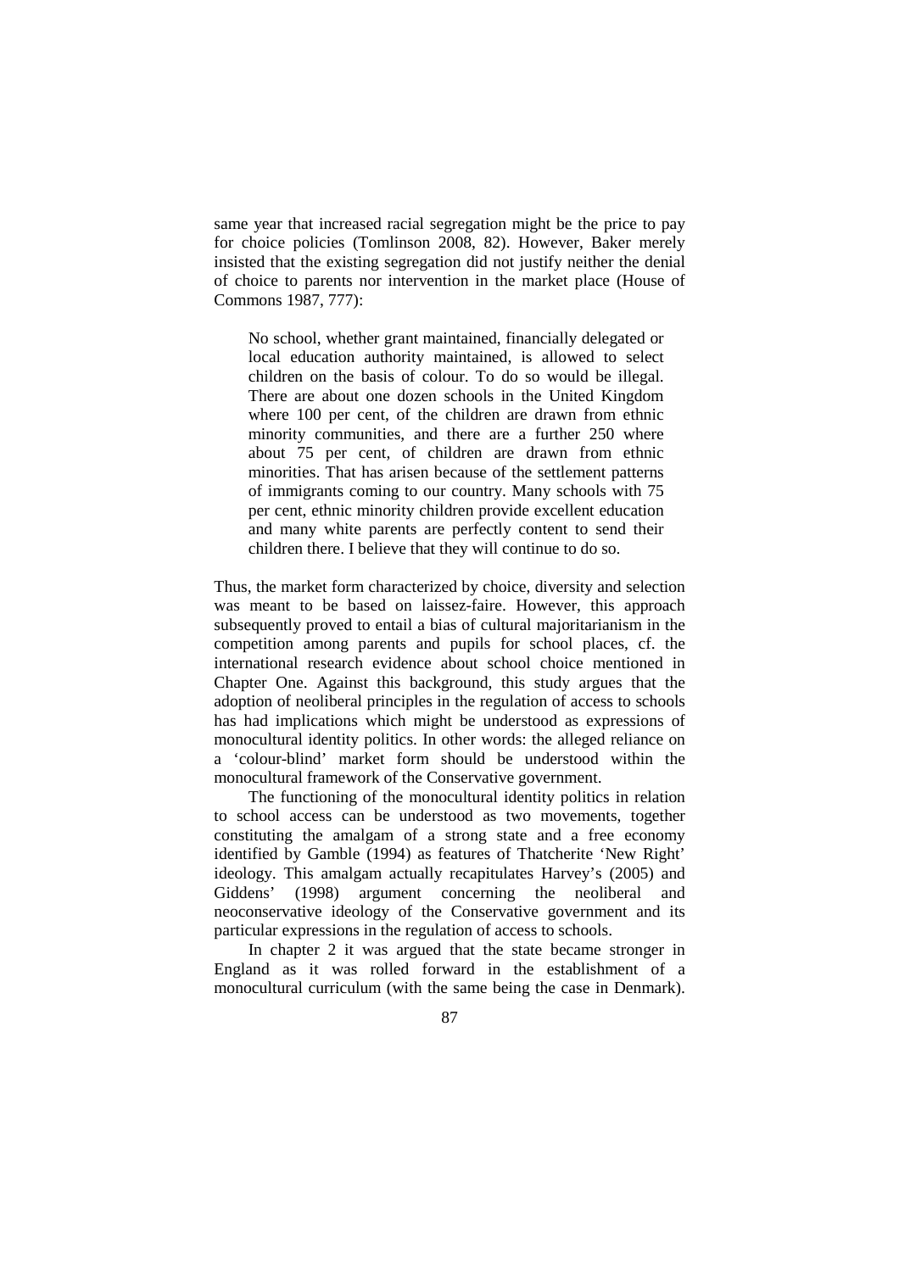same year that increased racial segregation might be the price to pay for choice policies (Tomlinson 2008, 82). However, Baker merely insisted that the existing segregation did not justify neither the denial of choice to parents nor intervention in the market place (House of Commons 1987, 777):

No school, whether grant maintained, financially delegated or local education authority maintained, is allowed to select children on the basis of colour. To do so would be illegal. There are about one dozen schools in the United Kingdom where 100 per cent, of the children are drawn from ethnic minority communities, and there are a further 250 where about 75 per cent, of children are drawn from ethnic minorities. That has arisen because of the settlement patterns of immigrants coming to our country. Many schools with 75 per cent, ethnic minority children provide excellent education and many white parents are perfectly content to send their children there. I believe that they will continue to do so.

Thus, the market form characterized by choice, diversity and selection was meant to be based on laissez-faire. However, this approach subsequently proved to entail a bias of cultural majoritarianism in the competition among parents and pupils for school places, cf. the international research evidence about school choice mentioned in Chapter One. Against this background, this study argues that the adoption of neoliberal principles in the regulation of access to schools has had implications which might be understood as expressions of monocultural identity politics. In other words: the alleged reliance on a 'colour-blind' market form should be understood within the monocultural framework of the Conservative government.

The functioning of the monocultural identity politics in relation to school access can be understood as two movements, together constituting the amalgam of a strong state and a free economy identified by Gamble (1994) as features of Thatcherite 'New Right' ideology. This amalgam actually recapitulates Harvey's (2005) and Giddens' (1998) argument concerning the neoliberal and neoconservative ideology of the Conservative government and its particular expressions in the regulation of access to schools.

In chapter 2 it was argued that the state became stronger in England as it was rolled forward in the establishment of a monocultural curriculum (with the same being the case in Denmark).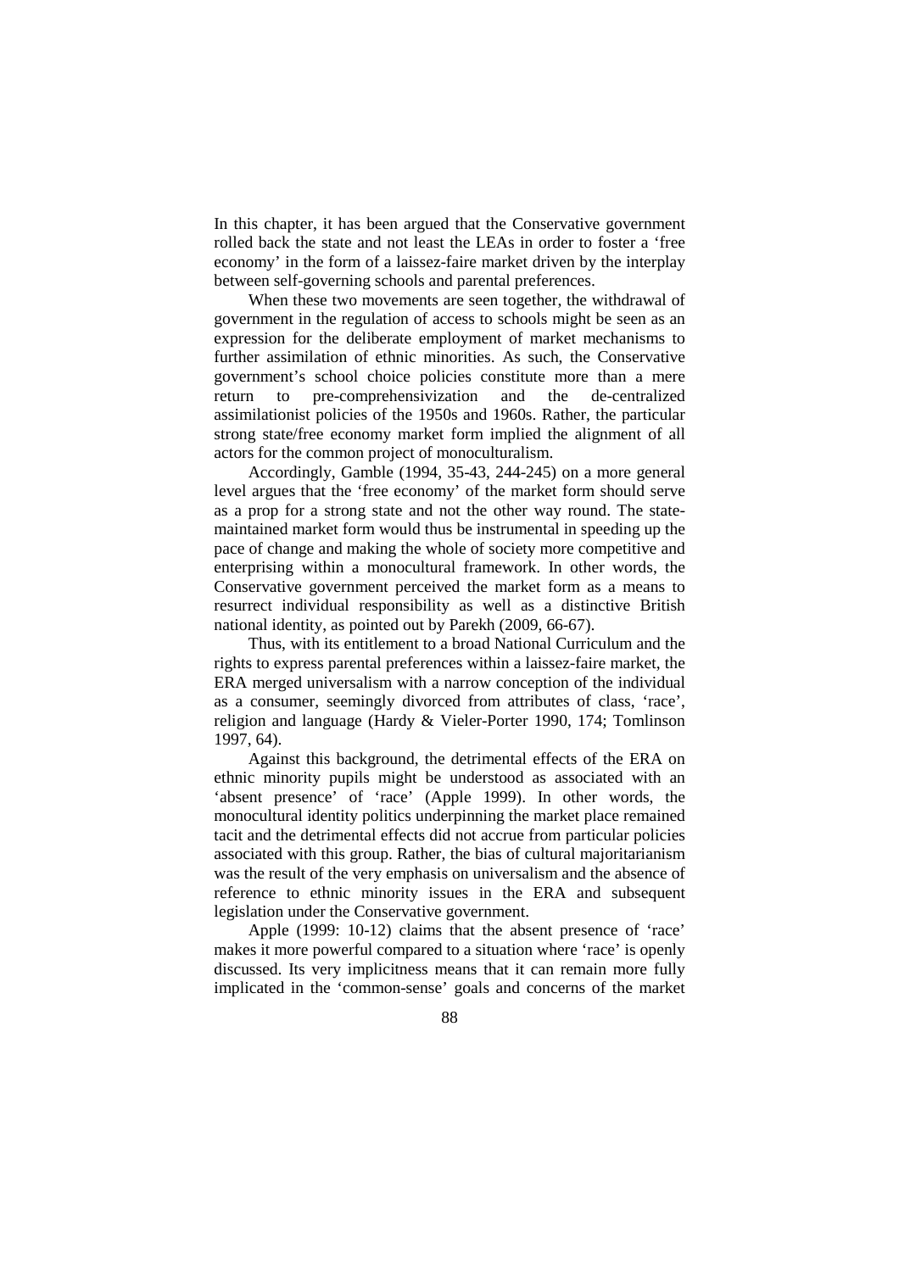In this chapter, it has been argued that the Conservative government rolled back the state and not least the LEAs in order to foster a 'free economy' in the form of a laissez-faire market driven by the interplay between self-governing schools and parental preferences.

When these two movements are seen together, the withdrawal of government in the regulation of access to schools might be seen as an expression for the deliberate employment of market mechanisms to further assimilation of ethnic minorities. As such, the Conservative government's school choice policies constitute more than a mere return to pre-comprehensivization and the de-centralized assimilationist policies of the 1950s and 1960s. Rather, the particular strong state/free economy market form implied the alignment of all actors for the common project of monoculturalism.

Accordingly, Gamble (1994, 35-43, 244-245) on a more general level argues that the 'free economy' of the market form should serve as a prop for a strong state and not the other way round. The statemaintained market form would thus be instrumental in speeding up the pace of change and making the whole of society more competitive and enterprising within a monocultural framework. In other words, the Conservative government perceived the market form as a means to resurrect individual responsibility as well as a distinctive British national identity, as pointed out by Parekh (2009, 66-67).

Thus, with its entitlement to a broad National Curriculum and the rights to express parental preferences within a laissez-faire market, the ERA merged universalism with a narrow conception of the individual as a consumer, seemingly divorced from attributes of class, 'race', religion and language (Hardy & Vieler-Porter 1990, 174; Tomlinson 1997, 64).

Against this background, the detrimental effects of the ERA on ethnic minority pupils might be understood as associated with an 'absent presence' of 'race' (Apple 1999). In other words, the monocultural identity politics underpinning the market place remained tacit and the detrimental effects did not accrue from particular policies associated with this group. Rather, the bias of cultural majoritarianism was the result of the very emphasis on universalism and the absence of reference to ethnic minority issues in the ERA and subsequent legislation under the Conservative government.

Apple (1999: 10-12) claims that the absent presence of 'race' makes it more powerful compared to a situation where 'race' is openly discussed. Its very implicitness means that it can remain more fully implicated in the 'common-sense' goals and concerns of the market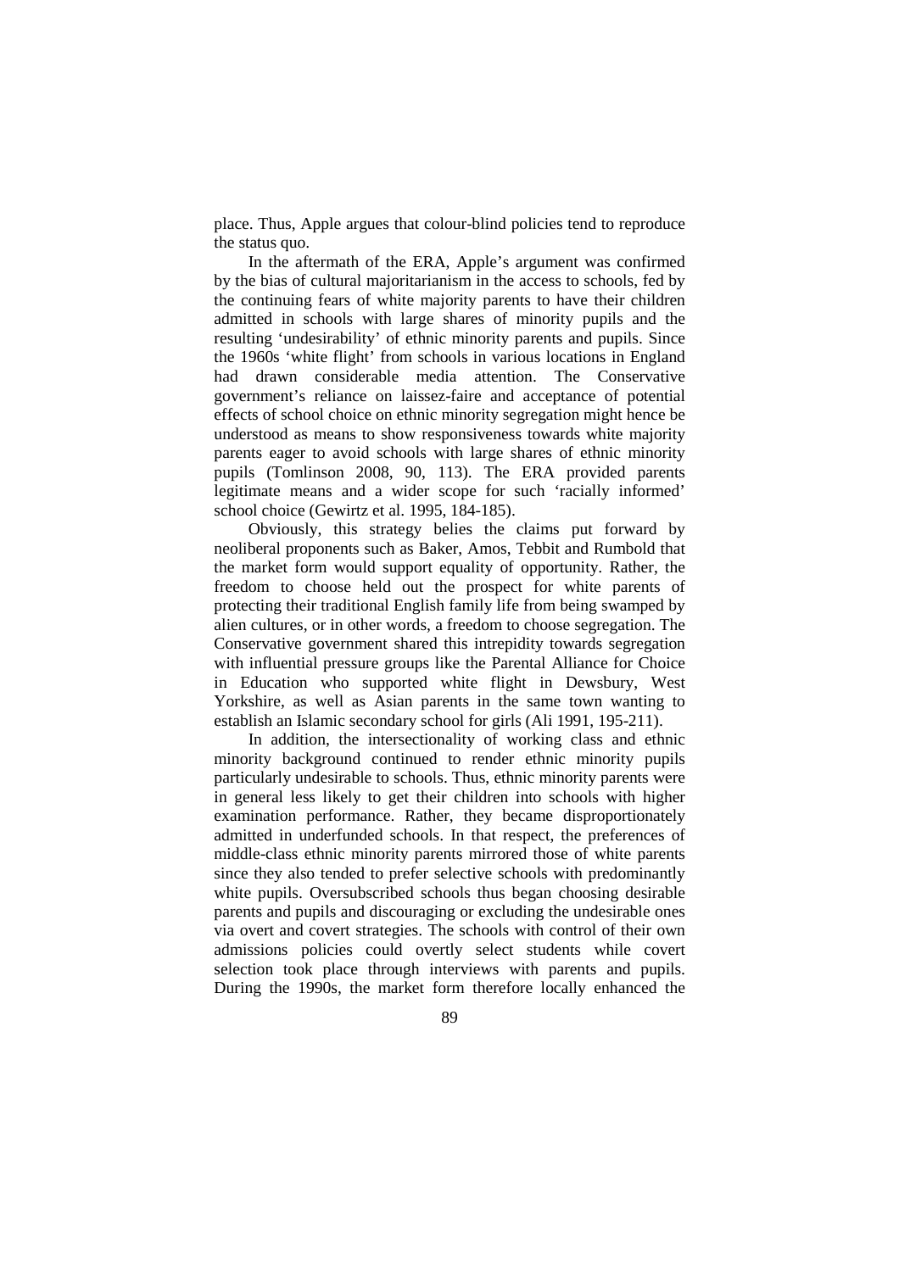place. Thus, Apple argues that colour-blind policies tend to reproduce the status quo.

In the aftermath of the ERA, Apple's argument was confirmed by the bias of cultural majoritarianism in the access to schools, fed by the continuing fears of white majority parents to have their children admitted in schools with large shares of minority pupils and the resulting 'undesirability' of ethnic minority parents and pupils. Since the 1960s 'white flight' from schools in various locations in England had drawn considerable media attention. The Conservative government's reliance on laissez-faire and acceptance of potential effects of school choice on ethnic minority segregation might hence be understood as means to show responsiveness towards white majority parents eager to avoid schools with large shares of ethnic minority pupils (Tomlinson 2008, 90, 113). The ERA provided parents legitimate means and a wider scope for such 'racially informed' school choice (Gewirtz et al. 1995, 184-185).

Obviously, this strategy belies the claims put forward by neoliberal proponents such as Baker, Amos, Tebbit and Rumbold that the market form would support equality of opportunity. Rather, the freedom to choose held out the prospect for white parents of protecting their traditional English family life from being swamped by alien cultures, or in other words, a freedom to choose segregation. The Conservative government shared this intrepidity towards segregation with influential pressure groups like the Parental Alliance for Choice in Education who supported white flight in Dewsbury, West Yorkshire, as well as Asian parents in the same town wanting to establish an Islamic secondary school for girls (Ali 1991, 195-211).

In addition, the intersectionality of working class and ethnic minority background continued to render ethnic minority pupils particularly undesirable to schools. Thus, ethnic minority parents were in general less likely to get their children into schools with higher examination performance. Rather, they became disproportionately admitted in underfunded schools. In that respect, the preferences of middle-class ethnic minority parents mirrored those of white parents since they also tended to prefer selective schools with predominantly white pupils. Oversubscribed schools thus began choosing desirable parents and pupils and discouraging or excluding the undesirable ones via overt and covert strategies. The schools with control of their own admissions policies could overtly select students while covert selection took place through interviews with parents and pupils. During the 1990s, the market form therefore locally enhanced the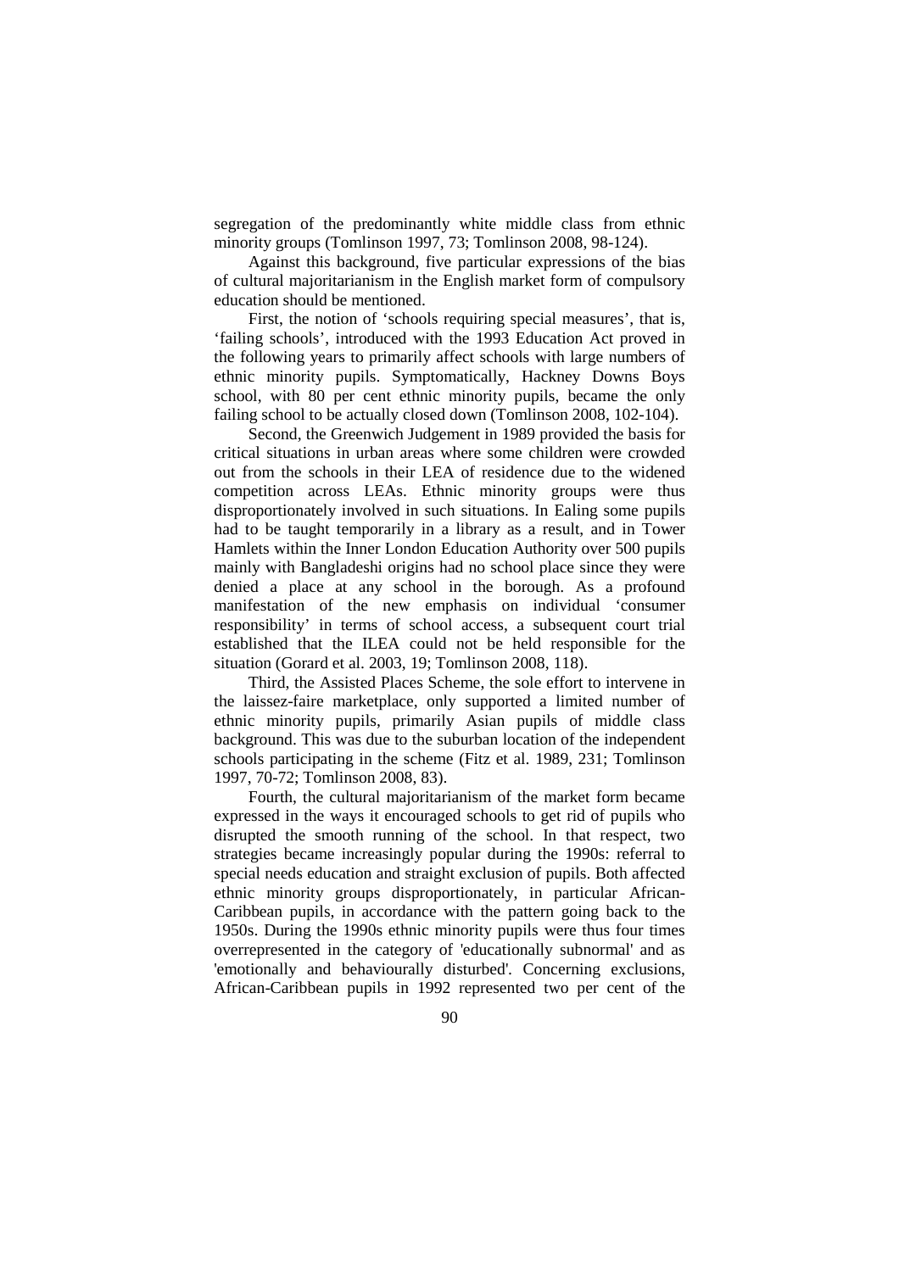segregation of the predominantly white middle class from ethnic minority groups (Tomlinson 1997, 73; Tomlinson 2008, 98-124).

Against this background, five particular expressions of the bias of cultural majoritarianism in the English market form of compulsory education should be mentioned.

First, the notion of 'schools requiring special measures', that is, 'failing schools', introduced with the 1993 Education Act proved in the following years to primarily affect schools with large numbers of ethnic minority pupils. Symptomatically, Hackney Downs Boys school, with 80 per cent ethnic minority pupils, became the only failing school to be actually closed down (Tomlinson 2008, 102-104).

Second, the Greenwich Judgement in 1989 provided the basis for critical situations in urban areas where some children were crowded out from the schools in their LEA of residence due to the widened competition across LEAs. Ethnic minority groups were thus disproportionately involved in such situations. In Ealing some pupils had to be taught temporarily in a library as a result, and in Tower Hamlets within the Inner London Education Authority over 500 pupils mainly with Bangladeshi origins had no school place since they were denied a place at any school in the borough. As a profound manifestation of the new emphasis on individual 'consumer responsibility' in terms of school access, a subsequent court trial established that the ILEA could not be held responsible for the situation (Gorard et al. 2003, 19; Tomlinson 2008, 118).

Third, the Assisted Places Scheme, the sole effort to intervene in the laissez-faire marketplace, only supported a limited number of ethnic minority pupils, primarily Asian pupils of middle class background. This was due to the suburban location of the independent schools participating in the scheme (Fitz et al. 1989, 231; Tomlinson 1997, 70-72; Tomlinson 2008, 83).

Fourth, the cultural majoritarianism of the market form became expressed in the ways it encouraged schools to get rid of pupils who disrupted the smooth running of the school. In that respect, two strategies became increasingly popular during the 1990s: referral to special needs education and straight exclusion of pupils. Both affected ethnic minority groups disproportionately, in particular African-Caribbean pupils, in accordance with the pattern going back to the 1950s. During the 1990s ethnic minority pupils were thus four times overrepresented in the category of 'educationally subnormal' and as 'emotionally and behaviourally disturbed'. Concerning exclusions, African-Caribbean pupils in 1992 represented two per cent of the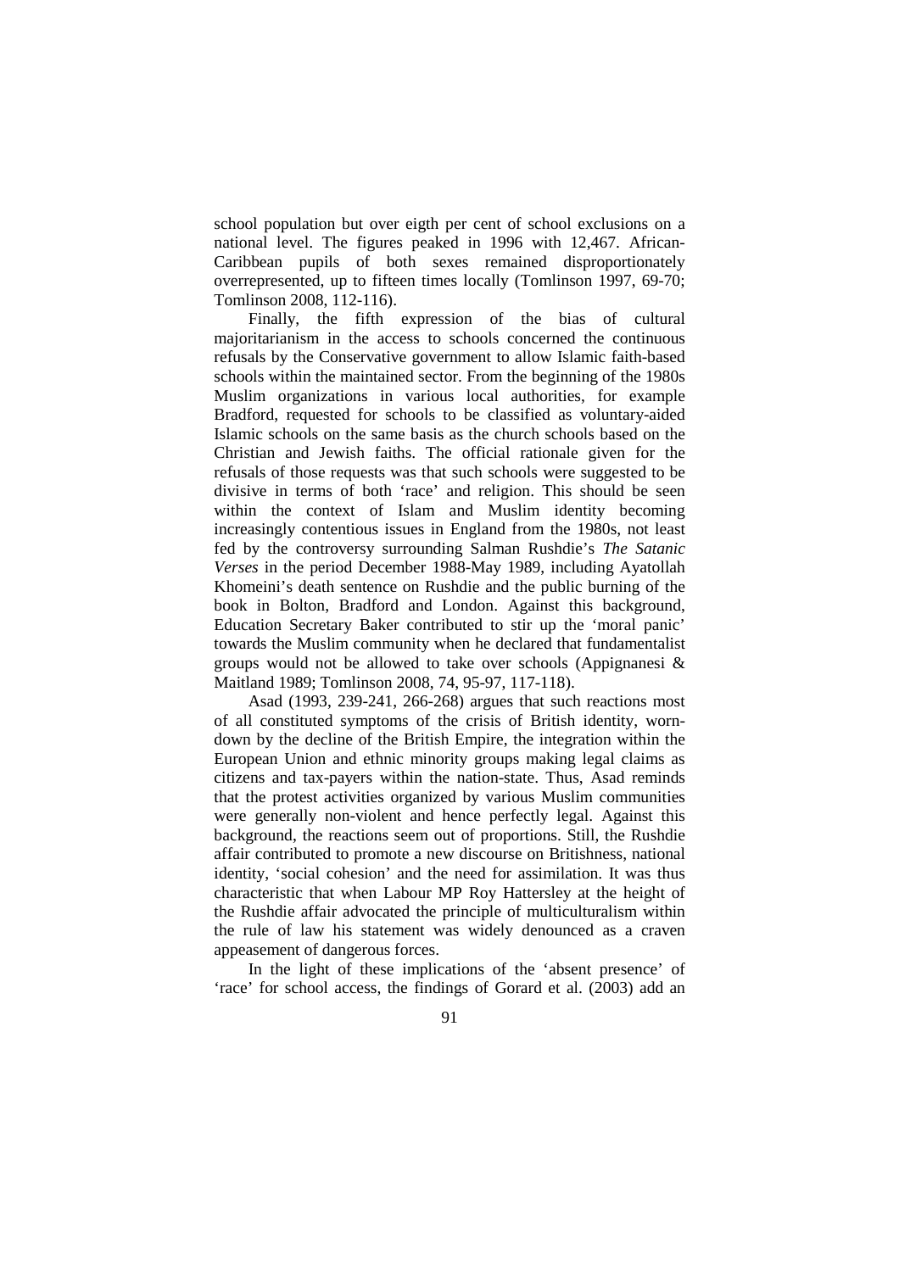school population but over eigth per cent of school exclusions on a national level. The figures peaked in 1996 with 12,467. African-Caribbean pupils of both sexes remained disproportionately overrepresented, up to fifteen times locally (Tomlinson 1997, 69-70; Tomlinson 2008, 112-116).

Finally, the fifth expression of the bias of cultural majoritarianism in the access to schools concerned the continuous refusals by the Conservative government to allow Islamic faith-based schools within the maintained sector. From the beginning of the 1980s Muslim organizations in various local authorities, for example Bradford, requested for schools to be classified as voluntary-aided Islamic schools on the same basis as the church schools based on the Christian and Jewish faiths. The official rationale given for the refusals of those requests was that such schools were suggested to be divisive in terms of both 'race' and religion. This should be seen within the context of Islam and Muslim identity becoming increasingly contentious issues in England from the 1980s, not least fed by the controversy surrounding Salman Rushdie's *The Satanic Verses* in the period December 1988-May 1989, including Ayatollah Khomeini's death sentence on Rushdie and the public burning of the book in Bolton, Bradford and London. Against this background, Education Secretary Baker contributed to stir up the 'moral panic' towards the Muslim community when he declared that fundamentalist groups would not be allowed to take over schools (Appignanesi & Maitland 1989; Tomlinson 2008, 74, 95-97, 117-118).

Asad (1993, 239-241, 266-268) argues that such reactions most of all constituted symptoms of the crisis of British identity, worndown by the decline of the British Empire, the integration within the European Union and ethnic minority groups making legal claims as citizens and tax-payers within the nation-state. Thus, Asad reminds that the protest activities organized by various Muslim communities were generally non-violent and hence perfectly legal. Against this background, the reactions seem out of proportions. Still, the Rushdie affair contributed to promote a new discourse on Britishness, national identity, 'social cohesion' and the need for assimilation. It was thus characteristic that when Labour MP Roy Hattersley at the height of the Rushdie affair advocated the principle of multiculturalism within the rule of law his statement was widely denounced as a craven appeasement of dangerous forces.

In the light of these implications of the 'absent presence' of 'race' for school access, the findings of Gorard et al. (2003) add an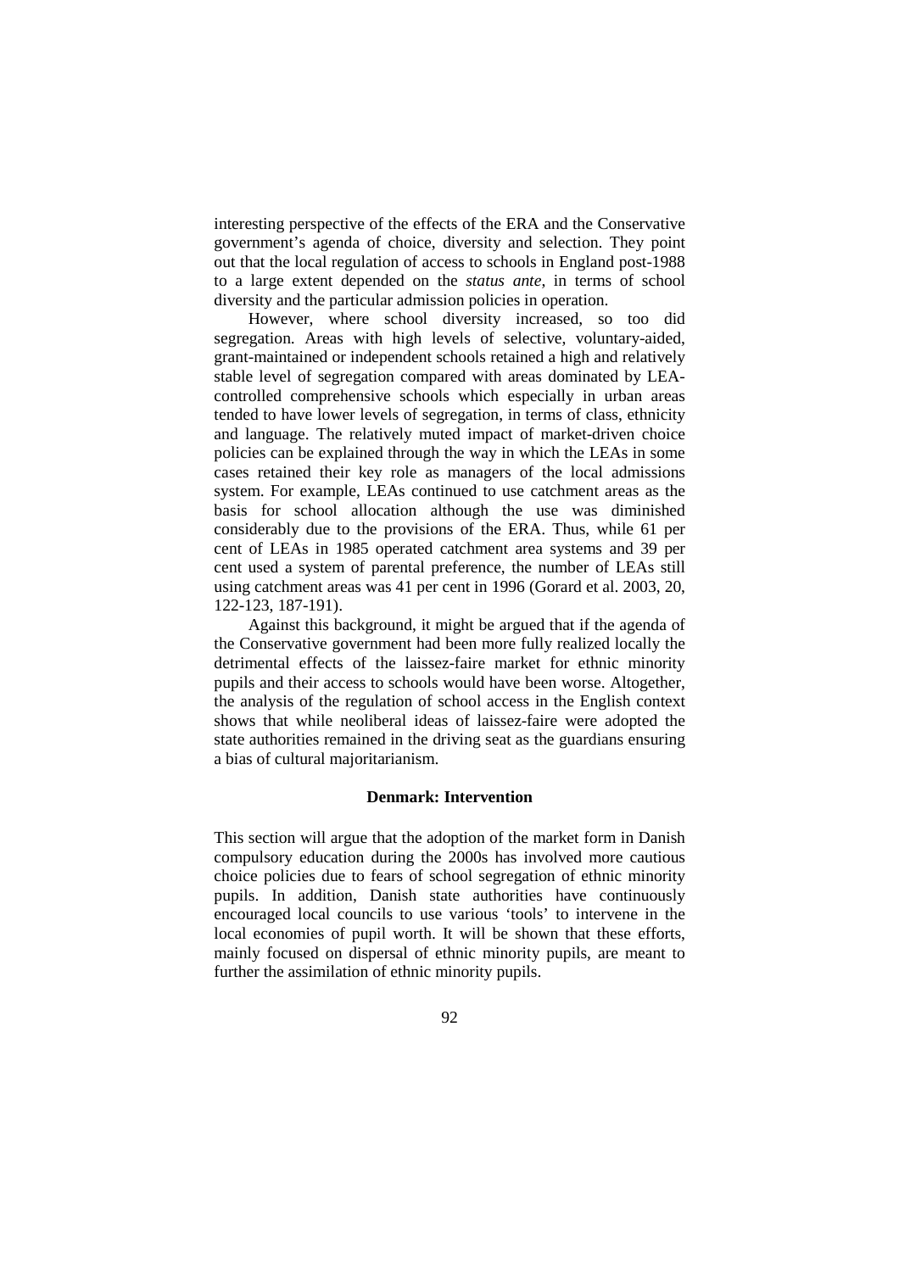interesting perspective of the effects of the ERA and the Conservative government's agenda of choice, diversity and selection. They point out that the local regulation of access to schools in England post-1988 to a large extent depended on the *status ante*, in terms of school diversity and the particular admission policies in operation.

However, where school diversity increased, so too did segregation. Areas with high levels of selective, voluntary-aided, grant-maintained or independent schools retained a high and relatively stable level of segregation compared with areas dominated by LEAcontrolled comprehensive schools which especially in urban areas tended to have lower levels of segregation, in terms of class, ethnicity and language. The relatively muted impact of market-driven choice policies can be explained through the way in which the LEAs in some cases retained their key role as managers of the local admissions system. For example, LEAs continued to use catchment areas as the basis for school allocation although the use was diminished considerably due to the provisions of the ERA. Thus, while 61 per cent of LEAs in 1985 operated catchment area systems and 39 per cent used a system of parental preference, the number of LEAs still using catchment areas was 41 per cent in 1996 (Gorard et al. 2003, 20, 122-123, 187-191).

Against this background, it might be argued that if the agenda of the Conservative government had been more fully realized locally the detrimental effects of the laissez-faire market for ethnic minority pupils and their access to schools would have been worse. Altogether, the analysis of the regulation of school access in the English context shows that while neoliberal ideas of laissez-faire were adopted the state authorities remained in the driving seat as the guardians ensuring a bias of cultural majoritarianism.

#### **Denmark: Intervention**

This section will argue that the adoption of the market form in Danish compulsory education during the 2000s has involved more cautious choice policies due to fears of school segregation of ethnic minority pupils. In addition, Danish state authorities have continuously encouraged local councils to use various 'tools' to intervene in the local economies of pupil worth. It will be shown that these efforts, mainly focused on dispersal of ethnic minority pupils, are meant to further the assimilation of ethnic minority pupils.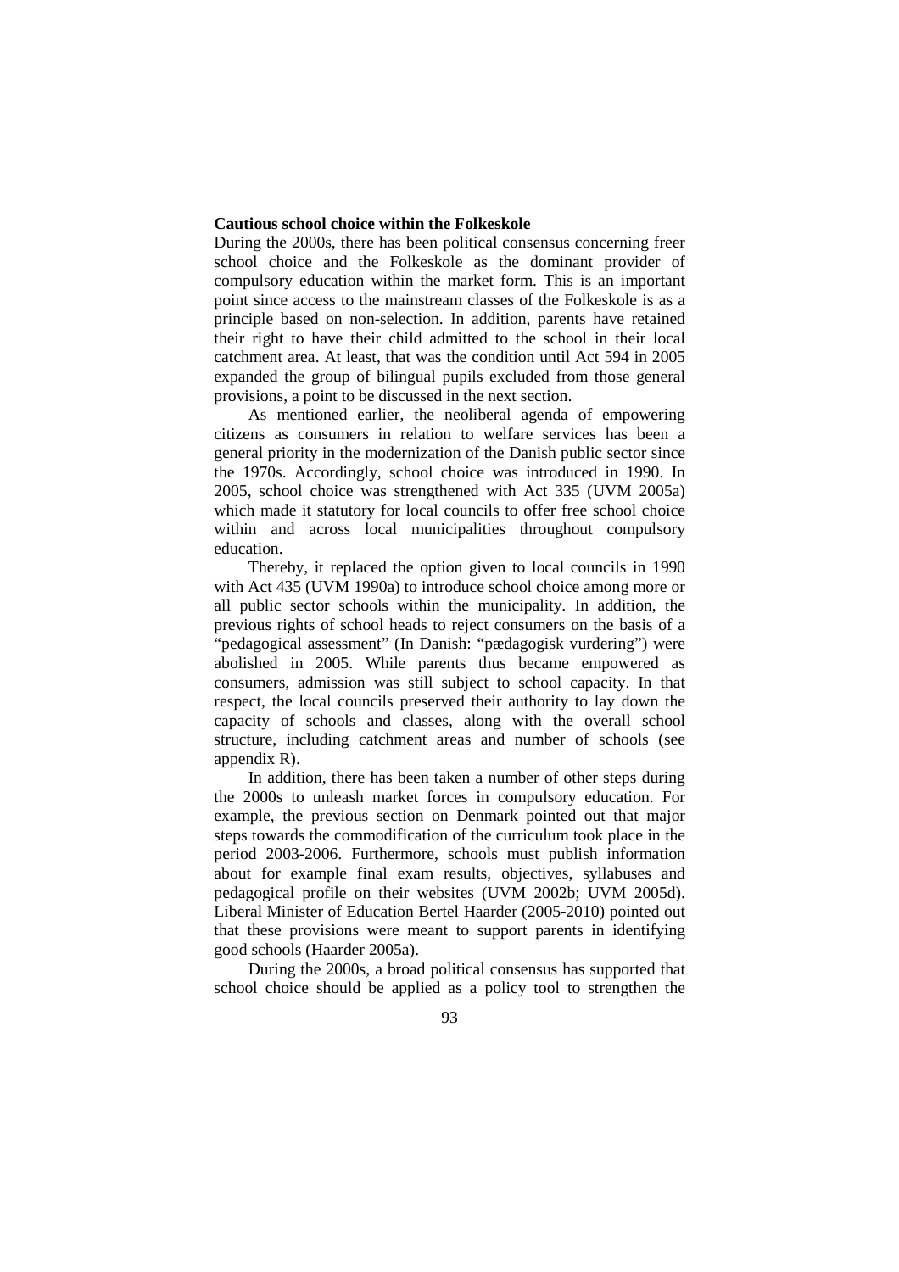### **Cautious school choice within the Folkeskole**

During the 2000s, there has been political consensus concerning freer school choice and the Folkeskole as the dominant provider of compulsory education within the market form. This is an important point since access to the mainstream classes of the Folkeskole is as a principle based on non-selection. In addition, parents have retained their right to have their child admitted to the school in their local catchment area. At least, that was the condition until Act 594 in 2005 expanded the group of bilingual pupils excluded from those general provisions, a point to be discussed in the next section.

As mentioned earlier, the neoliberal agenda of empowering citizens as consumers in relation to welfare services has been a general priority in the modernization of the Danish public sector since the 1970s. Accordingly, school choice was introduced in 1990. In 2005, school choice was strengthened with Act 335 (UVM 2005a) which made it statutory for local councils to offer free school choice within and across local municipalities throughout compulsory education.

Thereby, it replaced the option given to local councils in 1990 with Act 435 (UVM 1990a) to introduce school choice among more or all public sector schools within the municipality. In addition, the previous rights of school heads to reject consumers on the basis of a "pedagogical assessment" (In Danish: "pædagogisk vurdering") were abolished in 2005. While parents thus became empowered as consumers, admission was still subject to school capacity. In that respect, the local councils preserved their authority to lay down the capacity of schools and classes, along with the overall school structure, including catchment areas and number of schools (see appendix R).

In addition, there has been taken a number of other steps during the 2000s to unleash market forces in compulsory education. For example, the previous section on Denmark pointed out that major steps towards the commodification of the curriculum took place in the period 2003-2006. Furthermore, schools must publish information about for example final exam results, objectives, syllabuses and pedagogical profile on their websites (UVM 2002b; UVM 2005d). Liberal Minister of Education Bertel Haarder (2005-2010) pointed out that these provisions were meant to support parents in identifying good schools (Haarder 2005a).

During the 2000s, a broad political consensus has supported that school choice should be applied as a policy tool to strengthen the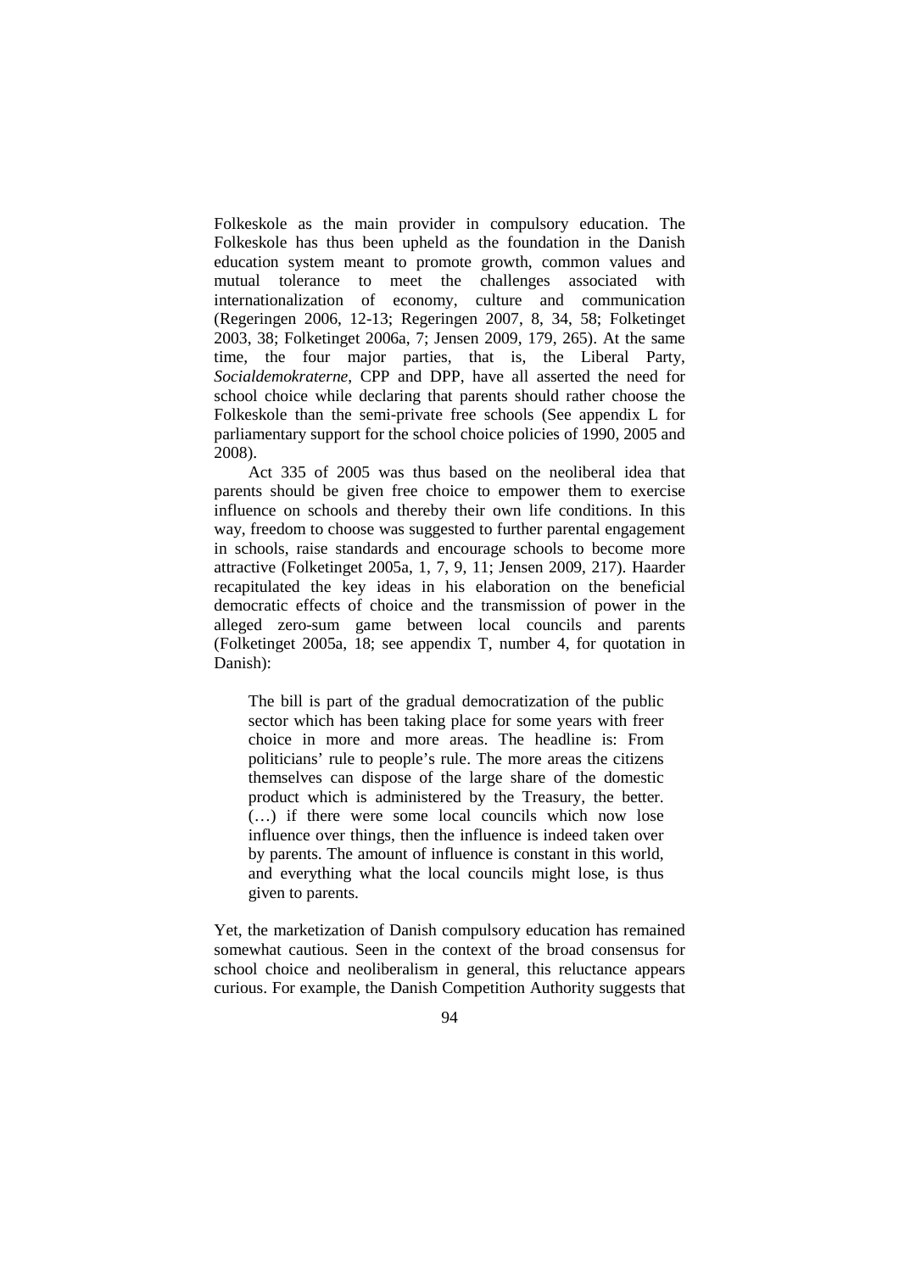Folkeskole as the main provider in compulsory education. The Folkeskole has thus been upheld as the foundation in the Danish education system meant to promote growth, common values and mutual tolerance to meet the challenges associated with internationalization of economy, culture and communication (Regeringen 2006, 12-13; Regeringen 2007, 8, 34, 58; Folketinget 2003, 38; Folketinget 2006a, 7; Jensen 2009, 179, 265). At the same time, the four major parties, that is, the Liberal Party, *Socialdemokraterne*, CPP and DPP, have all asserted the need for school choice while declaring that parents should rather choose the Folkeskole than the semi-private free schools (See appendix L for parliamentary support for the school choice policies of 1990, 2005 and 2008).

Act 335 of 2005 was thus based on the neoliberal idea that parents should be given free choice to empower them to exercise influence on schools and thereby their own life conditions. In this way, freedom to choose was suggested to further parental engagement in schools, raise standards and encourage schools to become more attractive (Folketinget 2005a, 1, 7, 9, 11; Jensen 2009, 217). Haarder recapitulated the key ideas in his elaboration on the beneficial democratic effects of choice and the transmission of power in the alleged zero-sum game between local councils and parents (Folketinget 2005a, 18; see appendix T, number 4, for quotation in Danish):

The bill is part of the gradual democratization of the public sector which has been taking place for some years with freer choice in more and more areas. The headline is: From politicians' rule to people's rule. The more areas the citizens themselves can dispose of the large share of the domestic product which is administered by the Treasury, the better. (…) if there were some local councils which now lose influence over things, then the influence is indeed taken over by parents. The amount of influence is constant in this world, and everything what the local councils might lose, is thus given to parents.

Yet, the marketization of Danish compulsory education has remained somewhat cautious. Seen in the context of the broad consensus for school choice and neoliberalism in general, this reluctance appears curious. For example, the Danish Competition Authority suggests that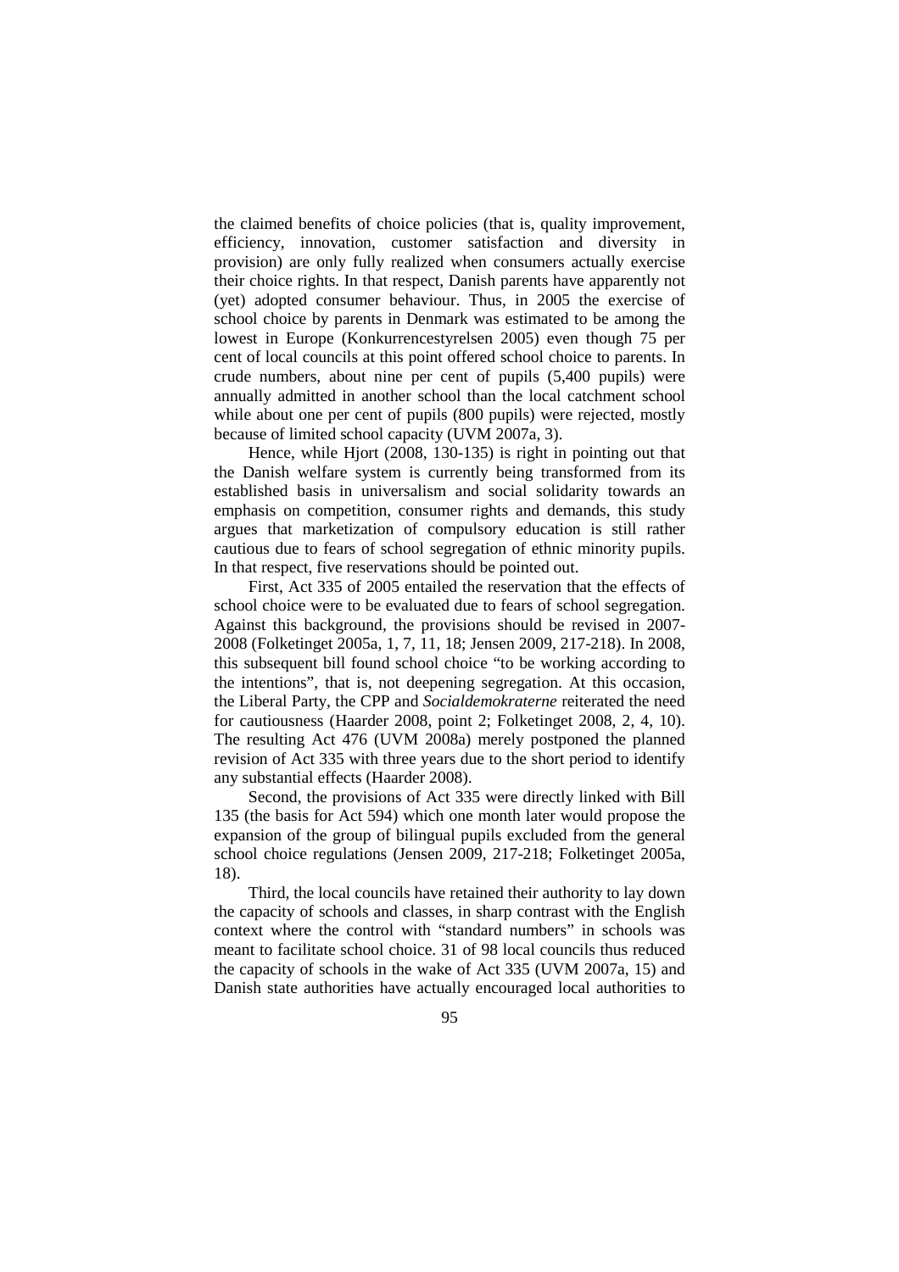the claimed benefits of choice policies (that is, quality improvement, efficiency, innovation, customer satisfaction and diversity in provision) are only fully realized when consumers actually exercise their choice rights. In that respect, Danish parents have apparently not (yet) adopted consumer behaviour. Thus, in 2005 the exercise of school choice by parents in Denmark was estimated to be among the lowest in Europe (Konkurrencestyrelsen 2005) even though 75 per cent of local councils at this point offered school choice to parents. In crude numbers, about nine per cent of pupils (5,400 pupils) were annually admitted in another school than the local catchment school while about one per cent of pupils (800 pupils) were rejected, mostly because of limited school capacity (UVM 2007a, 3).

Hence, while Hjort (2008, 130-135) is right in pointing out that the Danish welfare system is currently being transformed from its established basis in universalism and social solidarity towards an emphasis on competition, consumer rights and demands, this study argues that marketization of compulsory education is still rather cautious due to fears of school segregation of ethnic minority pupils. In that respect, five reservations should be pointed out.

First, Act 335 of 2005 entailed the reservation that the effects of school choice were to be evaluated due to fears of school segregation. Against this background, the provisions should be revised in 2007- 2008 (Folketinget 2005a, 1, 7, 11, 18; Jensen 2009, 217-218). In 2008, this subsequent bill found school choice "to be working according to the intentions", that is, not deepening segregation. At this occasion, the Liberal Party, the CPP and *Socialdemokraterne* reiterated the need for cautiousness (Haarder 2008, point 2; Folketinget 2008, 2, 4, 10). The resulting Act 476 (UVM 2008a) merely postponed the planned revision of Act 335 with three years due to the short period to identify any substantial effects (Haarder 2008).

Second, the provisions of Act 335 were directly linked with Bill 135 (the basis for Act 594) which one month later would propose the expansion of the group of bilingual pupils excluded from the general school choice regulations (Jensen 2009, 217-218; Folketinget 2005a, 18).

Third, the local councils have retained their authority to lay down the capacity of schools and classes, in sharp contrast with the English context where the control with "standard numbers" in schools was meant to facilitate school choice. 31 of 98 local councils thus reduced the capacity of schools in the wake of Act 335 (UVM 2007a, 15) and Danish state authorities have actually encouraged local authorities to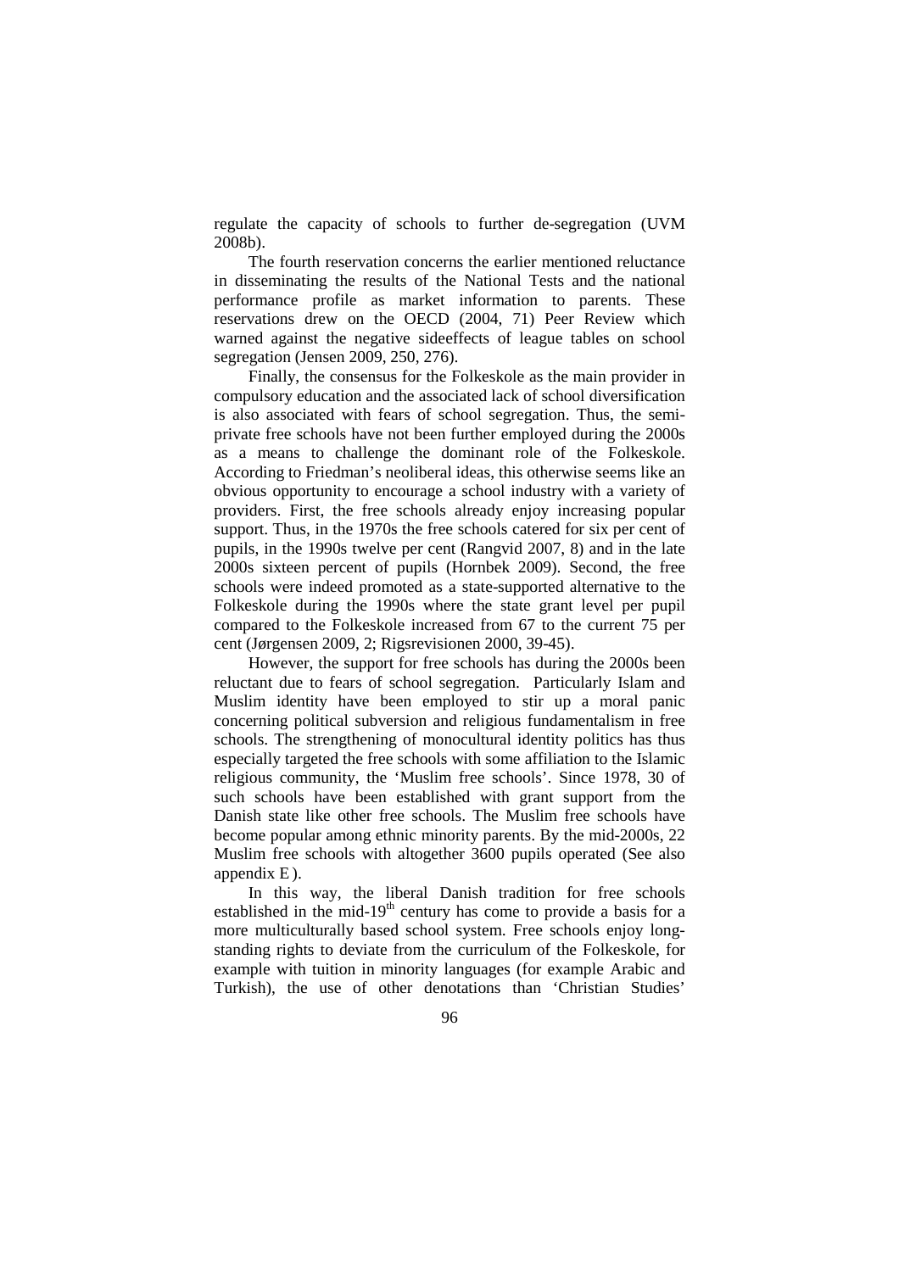regulate the capacity of schools to further de-segregation (UVM 2008b).

The fourth reservation concerns the earlier mentioned reluctance in disseminating the results of the National Tests and the national performance profile as market information to parents. These reservations drew on the OECD (2004, 71) Peer Review which warned against the negative sideeffects of league tables on school segregation (Jensen 2009, 250, 276).

Finally, the consensus for the Folkeskole as the main provider in compulsory education and the associated lack of school diversification is also associated with fears of school segregation. Thus, the semiprivate free schools have not been further employed during the 2000s as a means to challenge the dominant role of the Folkeskole. According to Friedman's neoliberal ideas, this otherwise seems like an obvious opportunity to encourage a school industry with a variety of providers. First, the free schools already enjoy increasing popular support. Thus, in the 1970s the free schools catered for six per cent of pupils, in the 1990s twelve per cent (Rangvid 2007, 8) and in the late 2000s sixteen percent of pupils (Hornbek 2009). Second, the free schools were indeed promoted as a state-supported alternative to the Folkeskole during the 1990s where the state grant level per pupil compared to the Folkeskole increased from 67 to the current 75 per cent (Jørgensen 2009, 2; Rigsrevisionen 2000, 39-45).

However, the support for free schools has during the 2000s been reluctant due to fears of school segregation. Particularly Islam and Muslim identity have been employed to stir up a moral panic concerning political subversion and religious fundamentalism in free schools. The strengthening of monocultural identity politics has thus especially targeted the free schools with some affiliation to the Islamic religious community, the 'Muslim free schools'. Since 1978, 30 of such schools have been established with grant support from the Danish state like other free schools. The Muslim free schools have become popular among ethnic minority parents. By the mid-2000s, 22 Muslim free schools with altogether 3600 pupils operated (See also appendix E).

In this way, the liberal Danish tradition for free schools established in the mid-19<sup>th</sup> century has come to provide a basis for a more multiculturally based school system. Free schools enjoy longstanding rights to deviate from the curriculum of the Folkeskole, for example with tuition in minority languages (for example Arabic and Turkish), the use of other denotations than 'Christian Studies'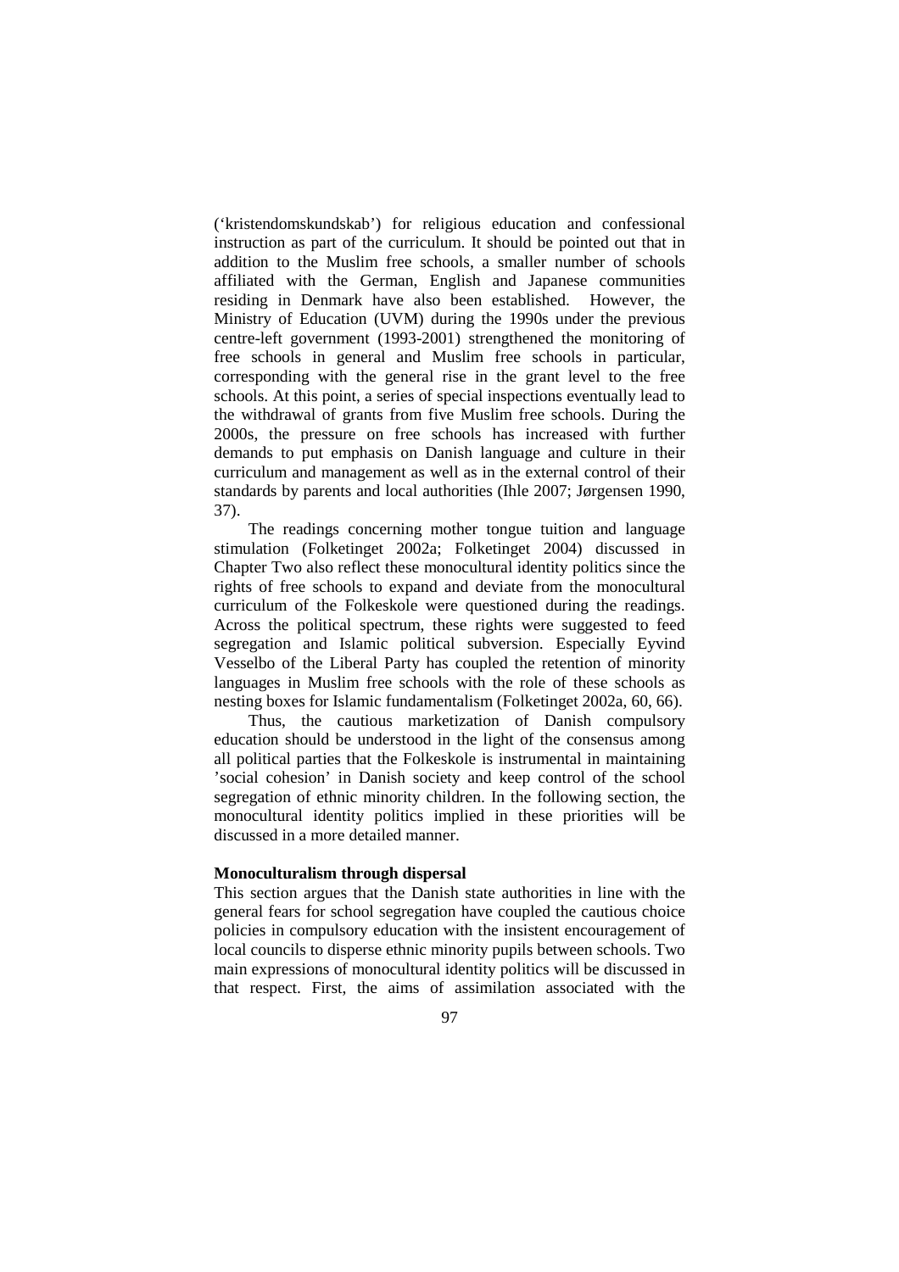('kristendomskundskab') for religious education and confessional instruction as part of the curriculum. It should be pointed out that in addition to the Muslim free schools, a smaller number of schools affiliated with the German, English and Japanese communities residing in Denmark have also been established. However, the Ministry of Education (UVM) during the 1990s under the previous centre-left government (1993-2001) strengthened the monitoring of free schools in general and Muslim free schools in particular, corresponding with the general rise in the grant level to the free schools. At this point, a series of special inspections eventually lead to the withdrawal of grants from five Muslim free schools. During the 2000s, the pressure on free schools has increased with further demands to put emphasis on Danish language and culture in their curriculum and management as well as in the external control of their standards by parents and local authorities (Ihle 2007; Jørgensen 1990, 37).

The readings concerning mother tongue tuition and language stimulation (Folketinget 2002a; Folketinget 2004) discussed in Chapter Two also reflect these monocultural identity politics since the rights of free schools to expand and deviate from the monocultural curriculum of the Folkeskole were questioned during the readings. Across the political spectrum, these rights were suggested to feed segregation and Islamic political subversion. Especially Eyvind Vesselbo of the Liberal Party has coupled the retention of minority languages in Muslim free schools with the role of these schools as nesting boxes for Islamic fundamentalism (Folketinget 2002a, 60, 66).

Thus, the cautious marketization of Danish compulsory education should be understood in the light of the consensus among all political parties that the Folkeskole is instrumental in maintaining 'social cohesion' in Danish society and keep control of the school segregation of ethnic minority children. In the following section, the monocultural identity politics implied in these priorities will be discussed in a more detailed manner.

#### **Monoculturalism through dispersal**

This section argues that the Danish state authorities in line with the general fears for school segregation have coupled the cautious choice policies in compulsory education with the insistent encouragement of local councils to disperse ethnic minority pupils between schools. Two main expressions of monocultural identity politics will be discussed in that respect. First, the aims of assimilation associated with the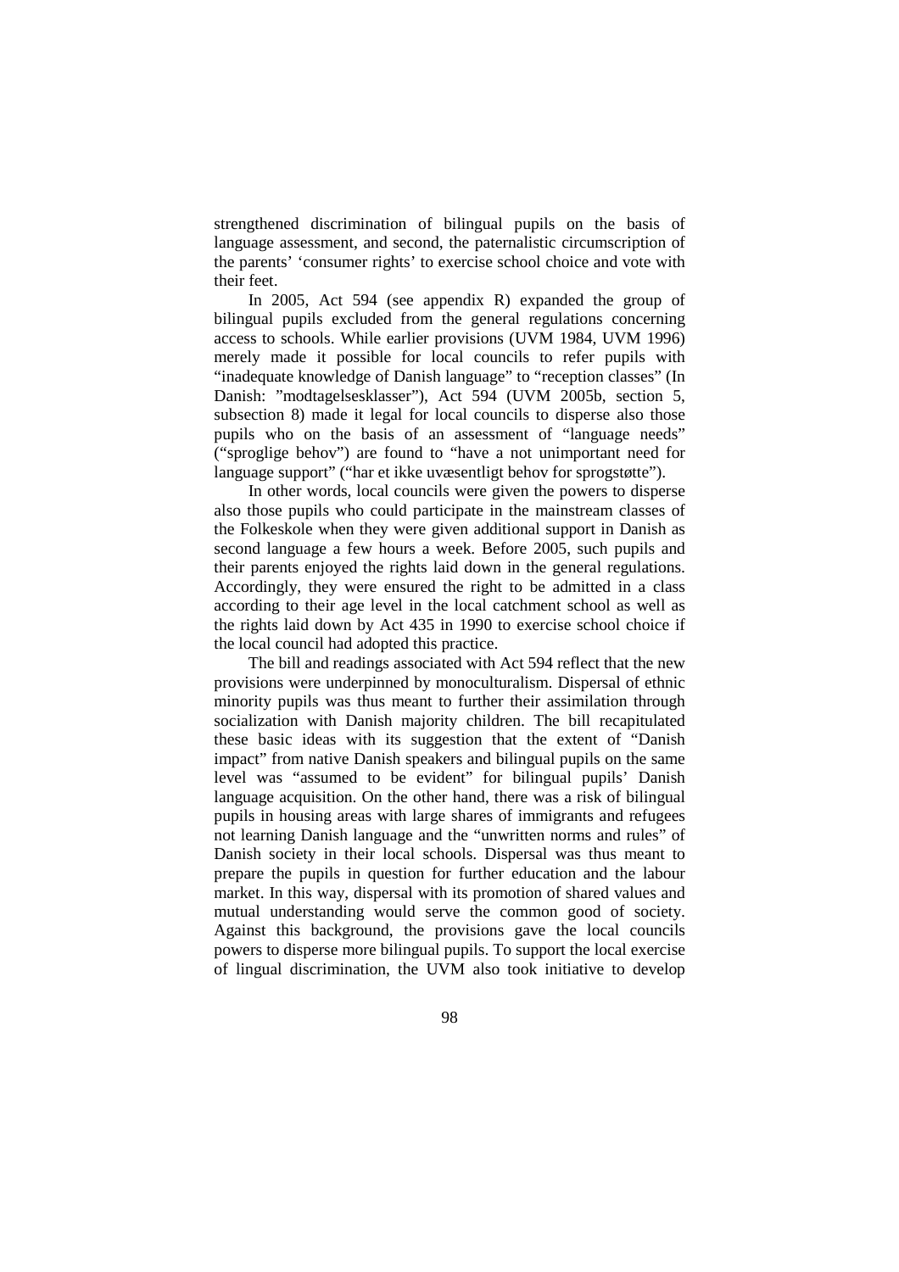strengthened discrimination of bilingual pupils on the basis of language assessment, and second, the paternalistic circumscription of the parents' 'consumer rights' to exercise school choice and vote with their feet.

In 2005, Act 594 (see appendix R) expanded the group of bilingual pupils excluded from the general regulations concerning access to schools. While earlier provisions (UVM 1984, UVM 1996) merely made it possible for local councils to refer pupils with "inadequate knowledge of Danish language" to "reception classes" (In Danish: "modtagelsesklasser"), Act 594 (UVM 2005b, section 5, subsection 8) made it legal for local councils to disperse also those pupils who on the basis of an assessment of "language needs" ("sproglige behov") are found to "have a not unimportant need for language support" ("har et ikke uvæsentligt behov for sprogstøtte").

In other words, local councils were given the powers to disperse also those pupils who could participate in the mainstream classes of the Folkeskole when they were given additional support in Danish as second language a few hours a week. Before 2005, such pupils and their parents enjoyed the rights laid down in the general regulations. Accordingly, they were ensured the right to be admitted in a class according to their age level in the local catchment school as well as the rights laid down by Act 435 in 1990 to exercise school choice if the local council had adopted this practice.

The bill and readings associated with Act 594 reflect that the new provisions were underpinned by monoculturalism. Dispersal of ethnic minority pupils was thus meant to further their assimilation through socialization with Danish majority children. The bill recapitulated these basic ideas with its suggestion that the extent of "Danish impact" from native Danish speakers and bilingual pupils on the same level was "assumed to be evident" for bilingual pupils' Danish language acquisition. On the other hand, there was a risk of bilingual pupils in housing areas with large shares of immigrants and refugees not learning Danish language and the "unwritten norms and rules" of Danish society in their local schools. Dispersal was thus meant to prepare the pupils in question for further education and the labour market. In this way, dispersal with its promotion of shared values and mutual understanding would serve the common good of society. Against this background, the provisions gave the local councils powers to disperse more bilingual pupils. To support the local exercise of lingual discrimination, the UVM also took initiative to develop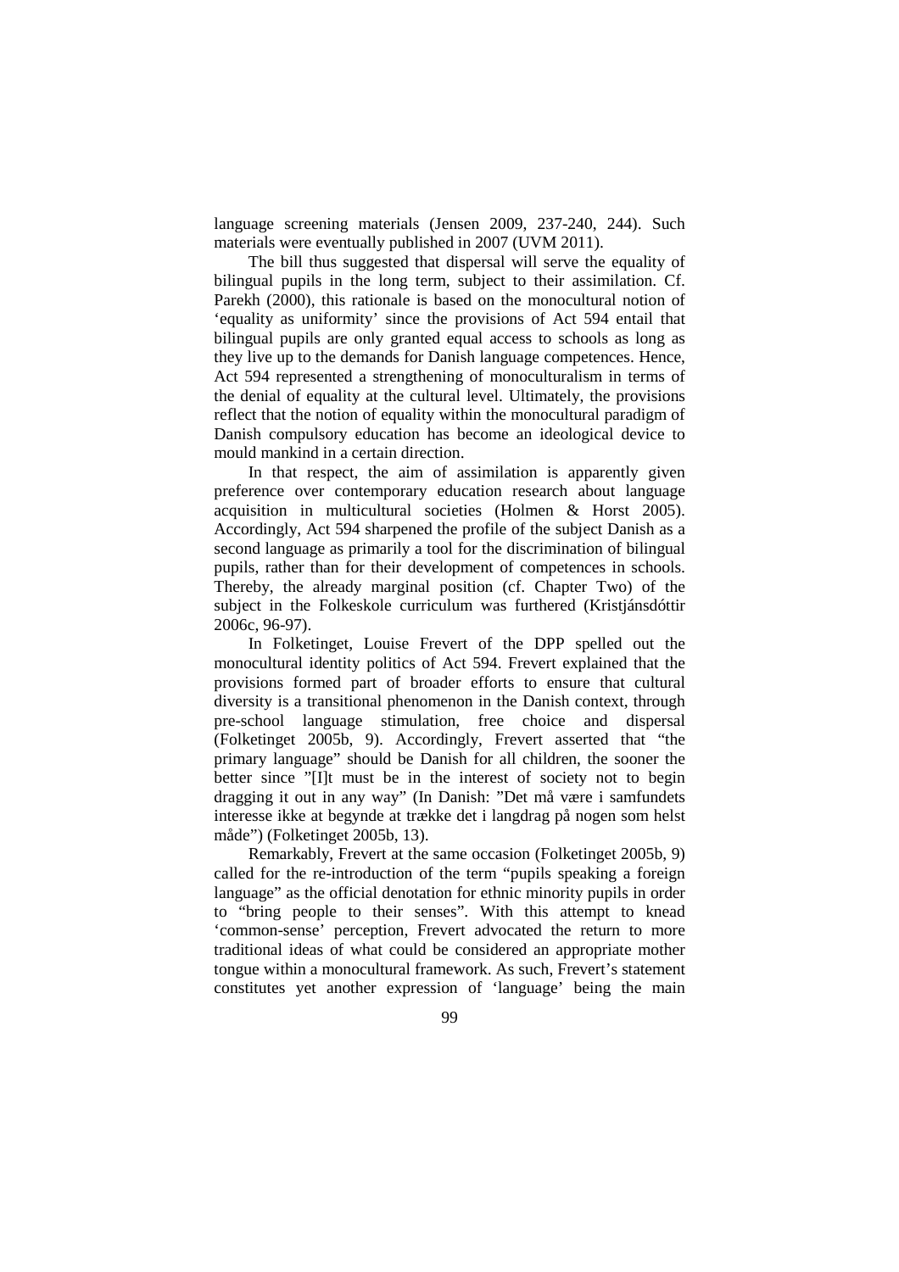language screening materials (Jensen 2009, 237-240, 244). Such materials were eventually published in 2007 (UVM 2011).

The bill thus suggested that dispersal will serve the equality of bilingual pupils in the long term, subject to their assimilation. Cf. Parekh (2000), this rationale is based on the monocultural notion of 'equality as uniformity' since the provisions of Act 594 entail that bilingual pupils are only granted equal access to schools as long as they live up to the demands for Danish language competences. Hence, Act 594 represented a strengthening of monoculturalism in terms of the denial of equality at the cultural level. Ultimately, the provisions reflect that the notion of equality within the monocultural paradigm of Danish compulsory education has become an ideological device to mould mankind in a certain direction.

In that respect, the aim of assimilation is apparently given preference over contemporary education research about language acquisition in multicultural societies (Holmen & Horst 2005). Accordingly, Act 594 sharpened the profile of the subject Danish as a second language as primarily a tool for the discrimination of bilingual pupils, rather than for their development of competences in schools. Thereby, the already marginal position (cf. Chapter Two) of the subject in the Folkeskole curriculum was furthered (Kristjánsdóttir 2006c, 96-97).

In Folketinget, Louise Frevert of the DPP spelled out the monocultural identity politics of Act 594. Frevert explained that the provisions formed part of broader efforts to ensure that cultural diversity is a transitional phenomenon in the Danish context, through pre-school language stimulation, free choice and dispersal (Folketinget 2005b, 9). Accordingly, Frevert asserted that "the primary language" should be Danish for all children, the sooner the better since "[I]t must be in the interest of society not to begin dragging it out in any way" (In Danish: "Det må være i samfundets interesse ikke at begynde at trække det i langdrag på nogen som helst måde") (Folketinget 2005b, 13).

Remarkably, Frevert at the same occasion (Folketinget 2005b, 9) called for the re-introduction of the term "pupils speaking a foreign language" as the official denotation for ethnic minority pupils in order to "bring people to their senses". With this attempt to knead 'common-sense' perception, Frevert advocated the return to more traditional ideas of what could be considered an appropriate mother tongue within a monocultural framework. As such, Frevert's statement constitutes yet another expression of 'language' being the main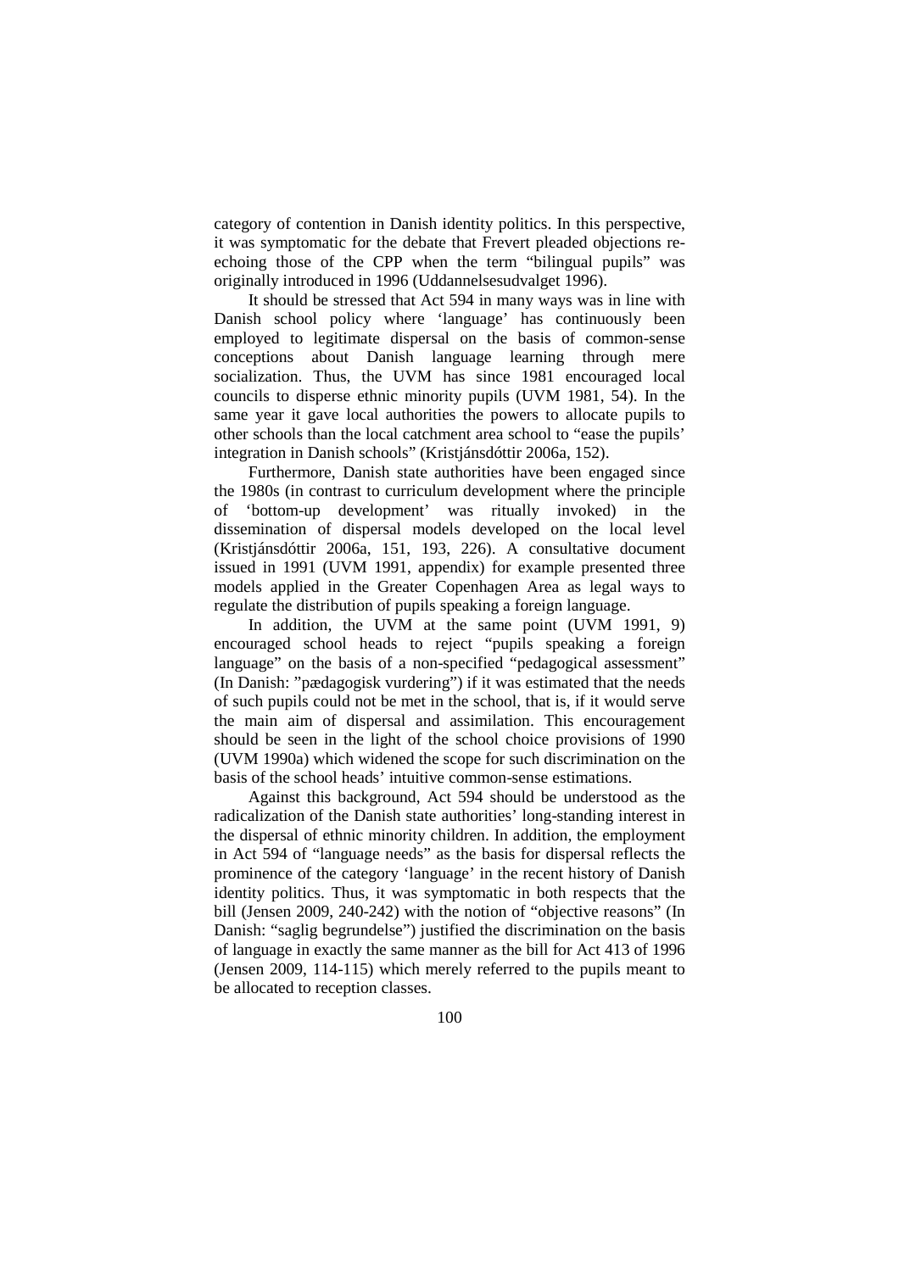category of contention in Danish identity politics. In this perspective, it was symptomatic for the debate that Frevert pleaded objections reechoing those of the CPP when the term "bilingual pupils" was originally introduced in 1996 (Uddannelsesudvalget 1996).

It should be stressed that Act 594 in many ways was in line with Danish school policy where 'language' has continuously been employed to legitimate dispersal on the basis of common-sense conceptions about Danish language learning through mere socialization. Thus, the UVM has since 1981 encouraged local councils to disperse ethnic minority pupils (UVM 1981, 54). In the same year it gave local authorities the powers to allocate pupils to other schools than the local catchment area school to "ease the pupils' integration in Danish schools" (Kristjánsdóttir 2006a, 152).

Furthermore, Danish state authorities have been engaged since the 1980s (in contrast to curriculum development where the principle of 'bottom-up development' was ritually invoked) in the dissemination of dispersal models developed on the local level (Kristjánsdóttir 2006a, 151, 193, 226). A consultative document issued in 1991 (UVM 1991, appendix) for example presented three models applied in the Greater Copenhagen Area as legal ways to regulate the distribution of pupils speaking a foreign language.

In addition, the UVM at the same point (UVM 1991, 9) encouraged school heads to reject "pupils speaking a foreign language" on the basis of a non-specified "pedagogical assessment" (In Danish: "pædagogisk vurdering") if it was estimated that the needs of such pupils could not be met in the school, that is, if it would serve the main aim of dispersal and assimilation. This encouragement should be seen in the light of the school choice provisions of 1990 (UVM 1990a) which widened the scope for such discrimination on the basis of the school heads' intuitive common-sense estimations.

Against this background, Act 594 should be understood as the radicalization of the Danish state authorities' long-standing interest in the dispersal of ethnic minority children. In addition, the employment in Act 594 of "language needs" as the basis for dispersal reflects the prominence of the category 'language' in the recent history of Danish identity politics. Thus, it was symptomatic in both respects that the bill (Jensen 2009, 240-242) with the notion of "objective reasons" (In Danish: "saglig begrundelse") justified the discrimination on the basis of language in exactly the same manner as the bill for Act 413 of 1996 (Jensen 2009, 114-115) which merely referred to the pupils meant to be allocated to reception classes.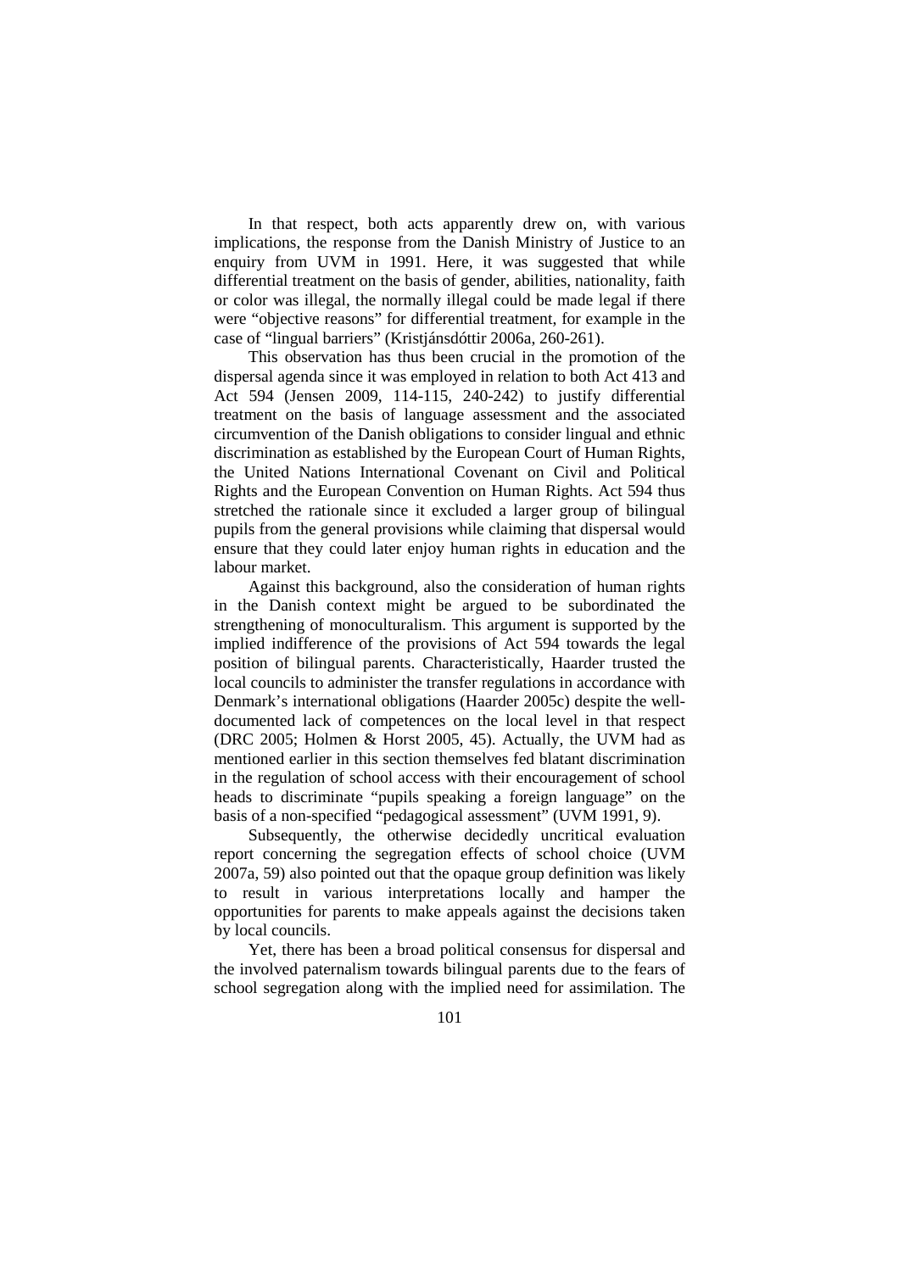In that respect, both acts apparently drew on, with various implications, the response from the Danish Ministry of Justice to an enquiry from UVM in 1991. Here, it was suggested that while differential treatment on the basis of gender, abilities, nationality, faith or color was illegal, the normally illegal could be made legal if there were "objective reasons" for differential treatment, for example in the case of "lingual barriers" (Kristjánsdóttir 2006a, 260-261).

This observation has thus been crucial in the promotion of the dispersal agenda since it was employed in relation to both Act 413 and Act 594 (Jensen 2009, 114-115, 240-242) to justify differential treatment on the basis of language assessment and the associated circumvention of the Danish obligations to consider lingual and ethnic discrimination as established by the European Court of Human Rights, the United Nations International Covenant on Civil and Political Rights and the European Convention on Human Rights. Act 594 thus stretched the rationale since it excluded a larger group of bilingual pupils from the general provisions while claiming that dispersal would ensure that they could later enjoy human rights in education and the labour market.

Against this background, also the consideration of human rights in the Danish context might be argued to be subordinated the strengthening of monoculturalism. This argument is supported by the implied indifference of the provisions of Act 594 towards the legal position of bilingual parents. Characteristically, Haarder trusted the local councils to administer the transfer regulations in accordance with Denmark's international obligations (Haarder 2005c) despite the welldocumented lack of competences on the local level in that respect (DRC 2005; Holmen & Horst 2005, 45). Actually, the UVM had as mentioned earlier in this section themselves fed blatant discrimination in the regulation of school access with their encouragement of school heads to discriminate "pupils speaking a foreign language" on the basis of a non-specified "pedagogical assessment" (UVM 1991, 9).

Subsequently, the otherwise decidedly uncritical evaluation report concerning the segregation effects of school choice (UVM 2007a, 59) also pointed out that the opaque group definition was likely to result in various interpretations locally and hamper the opportunities for parents to make appeals against the decisions taken by local councils.

Yet, there has been a broad political consensus for dispersal and the involved paternalism towards bilingual parents due to the fears of school segregation along with the implied need for assimilation. The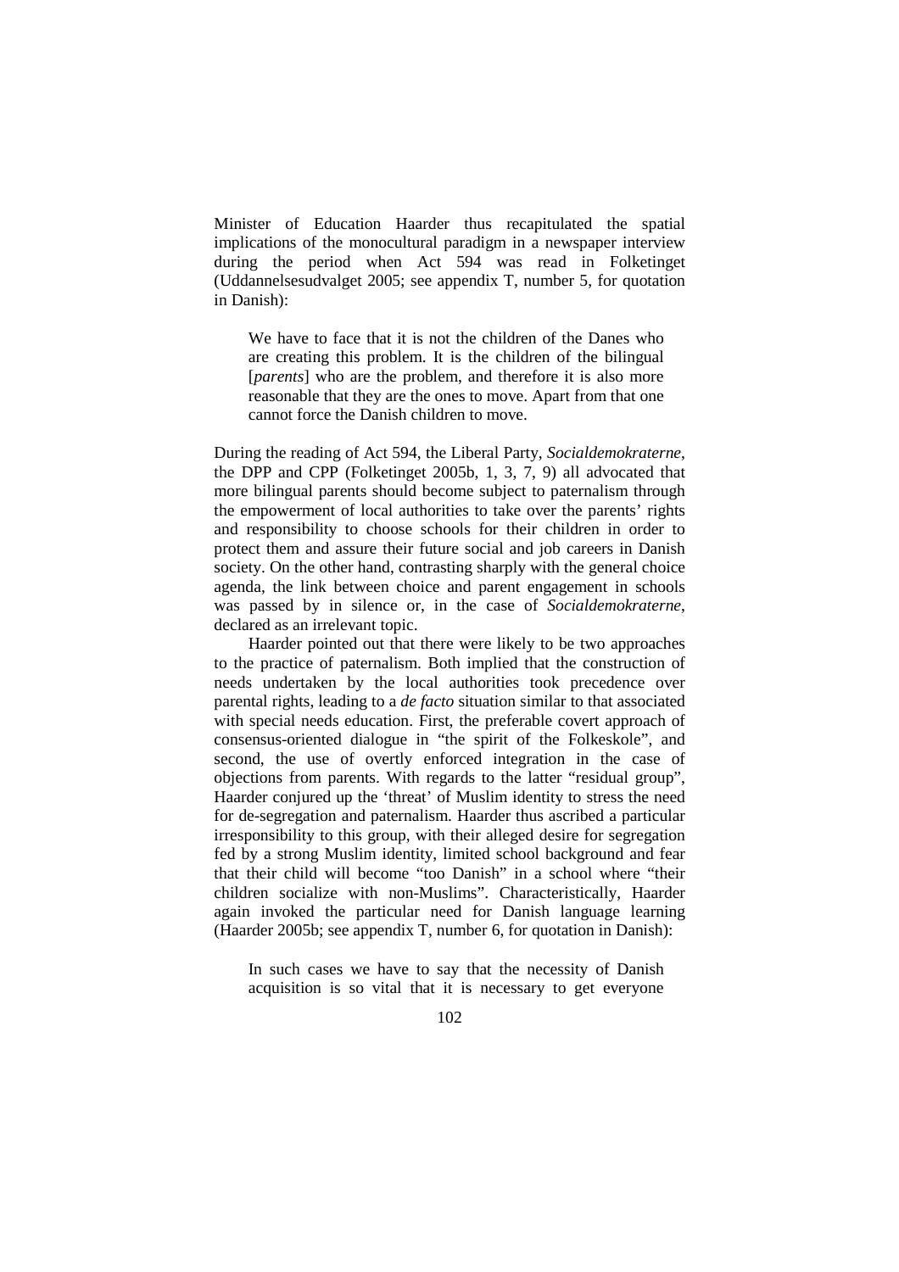Minister of Education Haarder thus recapitulated the spatial implications of the monocultural paradigm in a newspaper interview during the period when Act 594 was read in Folketinget (Uddannelsesudvalget 2005; see appendix T, number 5, for quotation in Danish):

We have to face that it is not the children of the Danes who are creating this problem. It is the children of the bilingual [*parents*] who are the problem, and therefore it is also more reasonable that they are the ones to move. Apart from that one cannot force the Danish children to move.

During the reading of Act 594, the Liberal Party, *Socialdemokraterne*, the DPP and CPP (Folketinget 2005b, 1, 3, 7, 9) all advocated that more bilingual parents should become subject to paternalism through the empowerment of local authorities to take over the parents' rights and responsibility to choose schools for their children in order to protect them and assure their future social and job careers in Danish society. On the other hand, contrasting sharply with the general choice agenda, the link between choice and parent engagement in schools was passed by in silence or, in the case of *Socialdemokraterne*, declared as an irrelevant topic.

Haarder pointed out that there were likely to be two approaches to the practice of paternalism. Both implied that the construction of needs undertaken by the local authorities took precedence over parental rights, leading to a *de facto* situation similar to that associated with special needs education. First, the preferable covert approach of consensus-oriented dialogue in "the spirit of the Folkeskole", and second, the use of overtly enforced integration in the case of objections from parents. With regards to the latter "residual group", Haarder conjured up the 'threat' of Muslim identity to stress the need for de-segregation and paternalism. Haarder thus ascribed a particular irresponsibility to this group, with their alleged desire for segregation fed by a strong Muslim identity, limited school background and fear that their child will become "too Danish" in a school where "their children socialize with non-Muslims". Characteristically, Haarder again invoked the particular need for Danish language learning (Haarder 2005b; see appendix T, number 6, for quotation in Danish):

In such cases we have to say that the necessity of Danish acquisition is so vital that it is necessary to get everyone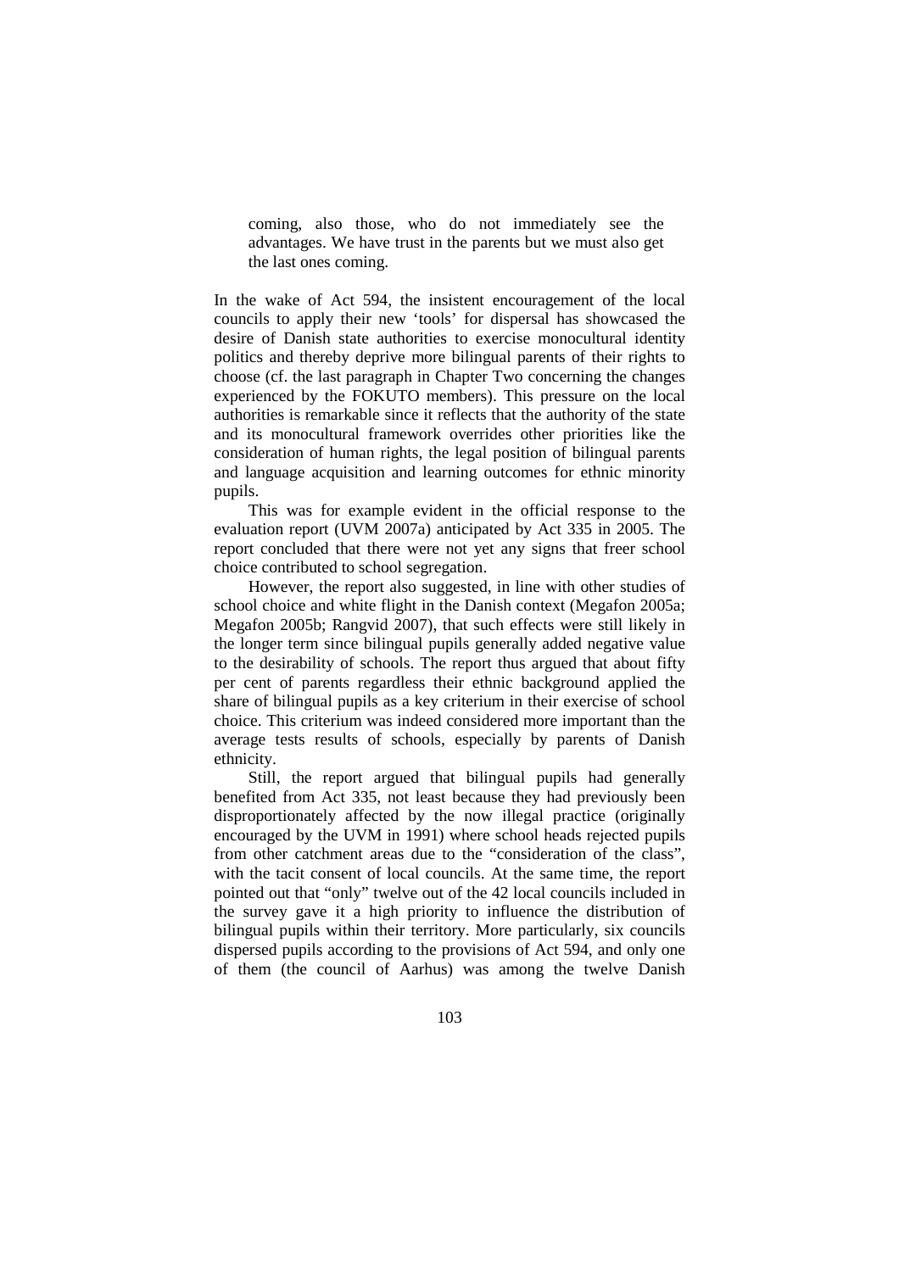coming, also those, who do not immediately see the advantages. We have trust in the parents but we must also get the last ones coming.

In the wake of Act 594, the insistent encouragement of the local councils to apply their new 'tools' for dispersal has showcased the desire of Danish state authorities to exercise monocultural identity politics and thereby deprive more bilingual parents of their rights to choose (cf. the last paragraph in Chapter Two concerning the changes experienced by the FOKUTO members). This pressure on the local authorities is remarkable since it reflects that the authority of the state and its monocultural framework overrides other priorities like the consideration of human rights, the legal position of bilingual parents and language acquisition and learning outcomes for ethnic minority pupils.

This was for example evident in the official response to the evaluation report (UVM 2007a) anticipated by Act 335 in 2005. The report concluded that there were not yet any signs that freer school choice contributed to school segregation.

However, the report also suggested, in line with other studies of school choice and white flight in the Danish context (Megafon 2005a; Megafon 2005b; Rangvid 2007), that such effects were still likely in the longer term since bilingual pupils generally added negative value to the desirability of schools. The report thus argued that about fifty per cent of parents regardless their ethnic background applied the share of bilingual pupils as a key criterium in their exercise of school choice. This criterium was indeed considered more important than the average tests results of schools, especially by parents of Danish ethnicity.

Still, the report argued that bilingual pupils had generally benefited from Act 335, not least because they had previously been disproportionately affected by the now illegal practice (originally encouraged by the UVM in 1991) where school heads rejected pupils from other catchment areas due to the "consideration of the class", with the tacit consent of local councils. At the same time, the report pointed out that "only" twelve out of the 42 local councils included in the survey gave it a high priority to influence the distribution of bilingual pupils within their territory. More particularly, six councils dispersed pupils according to the provisions of Act 594, and only one of them (the council of Aarhus) was among the twelve Danish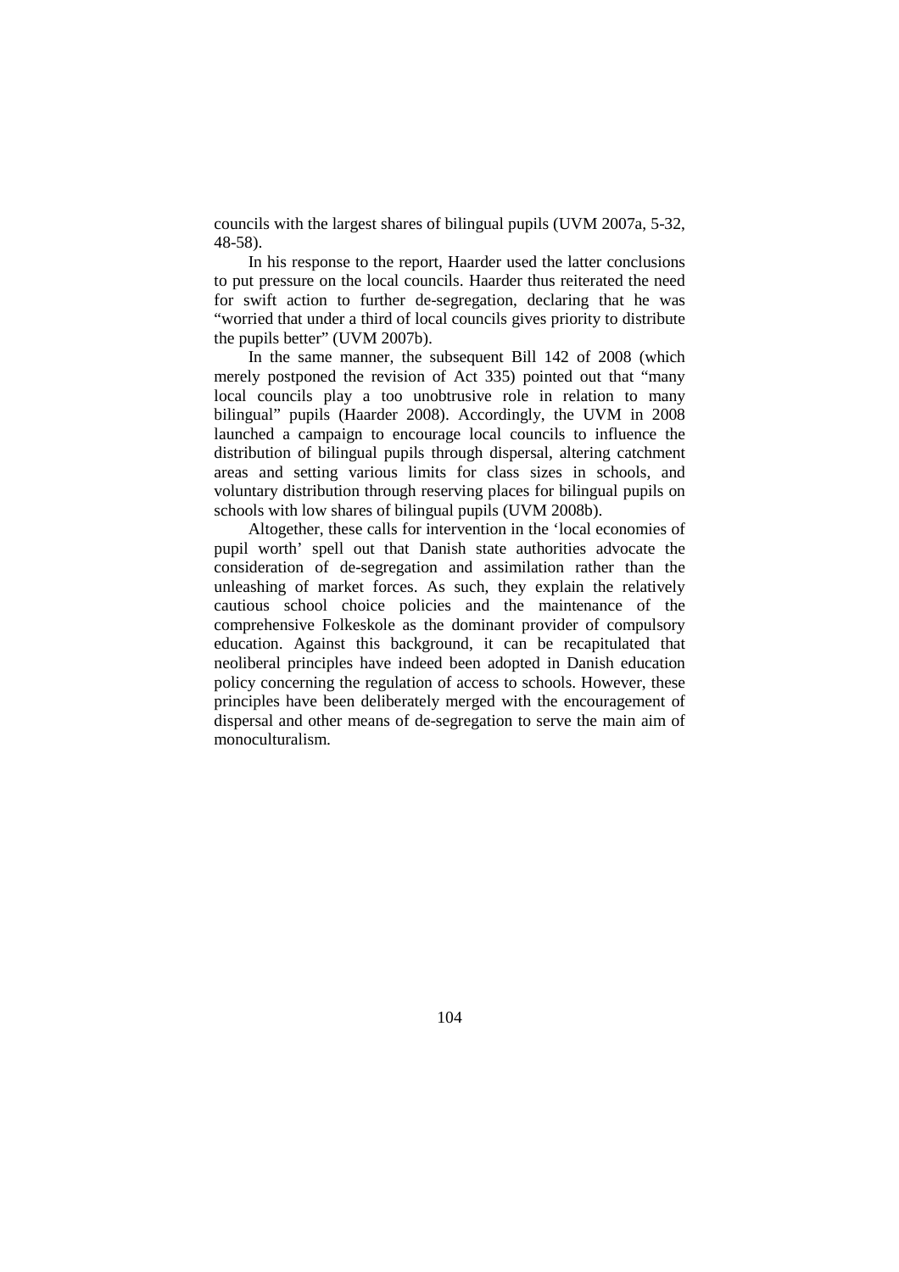councils with the largest shares of bilingual pupils (UVM 2007a, 5-32, 48-58).

In his response to the report, Haarder used the latter conclusions to put pressure on the local councils. Haarder thus reiterated the need for swift action to further de-segregation, declaring that he was "worried that under a third of local councils gives priority to distribute the pupils better" (UVM 2007b).

In the same manner, the subsequent Bill 142 of 2008 (which merely postponed the revision of Act 335) pointed out that "many local councils play a too unobtrusive role in relation to many bilingual" pupils (Haarder 2008). Accordingly, the UVM in 2008 launched a campaign to encourage local councils to influence the distribution of bilingual pupils through dispersal, altering catchment areas and setting various limits for class sizes in schools, and voluntary distribution through reserving places for bilingual pupils on schools with low shares of bilingual pupils (UVM 2008b).

Altogether, these calls for intervention in the 'local economies of pupil worth' spell out that Danish state authorities advocate the consideration of de-segregation and assimilation rather than the unleashing of market forces. As such, they explain the relatively cautious school choice policies and the maintenance of the comprehensive Folkeskole as the dominant provider of compulsory education. Against this background, it can be recapitulated that neoliberal principles have indeed been adopted in Danish education policy concerning the regulation of access to schools. However, these principles have been deliberately merged with the encouragement of dispersal and other means of de-segregation to serve the main aim of monoculturalism.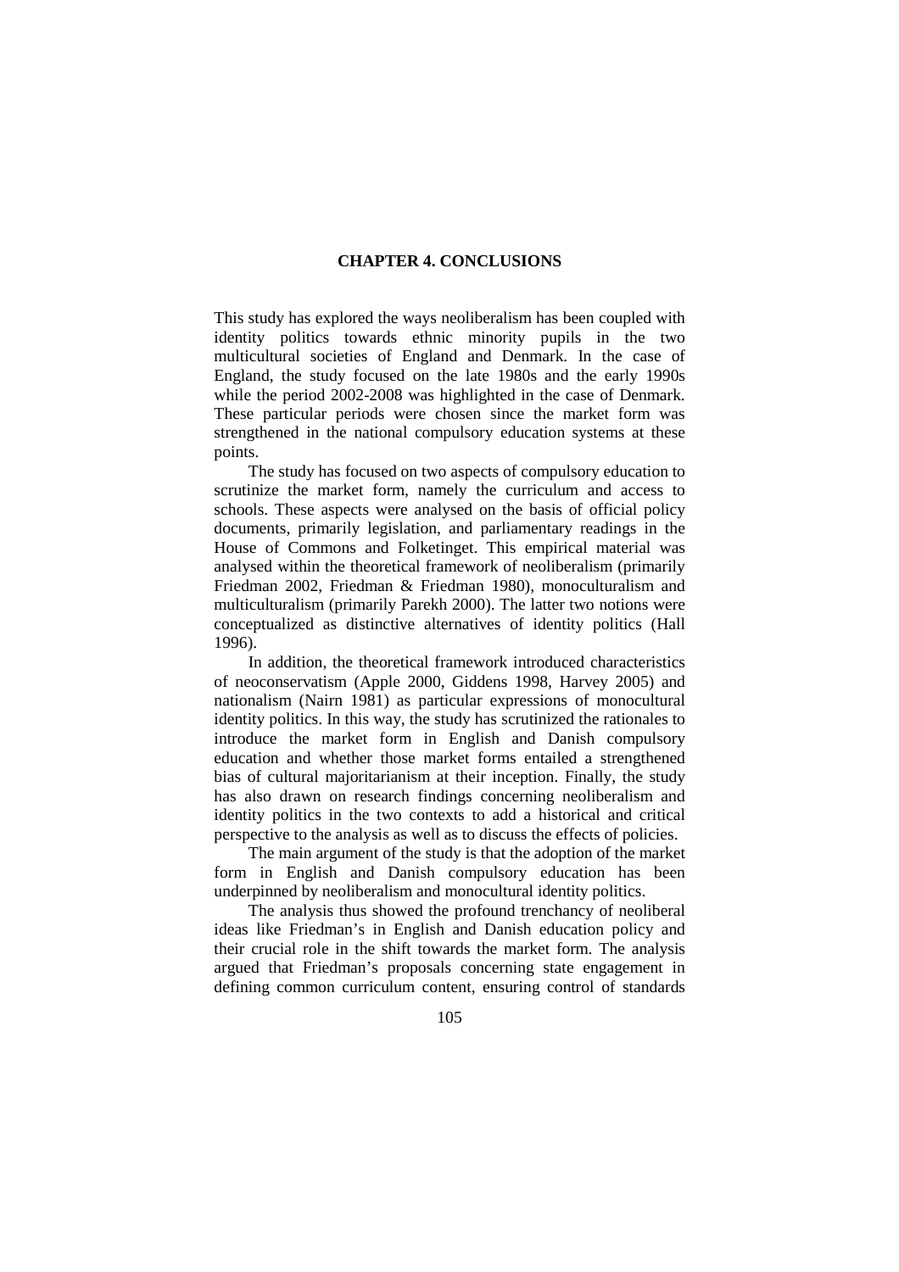# **CHAPTER 4. CONCLUSIONS**

This study has explored the ways neoliberalism has been coupled with identity politics towards ethnic minority pupils in the two multicultural societies of England and Denmark. In the case of England, the study focused on the late 1980s and the early 1990s while the period 2002-2008 was highlighted in the case of Denmark. These particular periods were chosen since the market form was strengthened in the national compulsory education systems at these points.

The study has focused on two aspects of compulsory education to scrutinize the market form, namely the curriculum and access to schools. These aspects were analysed on the basis of official policy documents, primarily legislation, and parliamentary readings in the House of Commons and Folketinget. This empirical material was analysed within the theoretical framework of neoliberalism (primarily Friedman 2002, Friedman & Friedman 1980), monoculturalism and multiculturalism (primarily Parekh 2000). The latter two notions were conceptualized as distinctive alternatives of identity politics (Hall 1996).

In addition, the theoretical framework introduced characteristics of neoconservatism (Apple 2000, Giddens 1998, Harvey 2005) and nationalism (Nairn 1981) as particular expressions of monocultural identity politics. In this way, the study has scrutinized the rationales to introduce the market form in English and Danish compulsory education and whether those market forms entailed a strengthened bias of cultural majoritarianism at their inception. Finally, the study has also drawn on research findings concerning neoliberalism and identity politics in the two contexts to add a historical and critical perspective to the analysis as well as to discuss the effects of policies.

The main argument of the study is that the adoption of the market form in English and Danish compulsory education has been underpinned by neoliberalism and monocultural identity politics.

The analysis thus showed the profound trenchancy of neoliberal ideas like Friedman's in English and Danish education policy and their crucial role in the shift towards the market form. The analysis argued that Friedman's proposals concerning state engagement in defining common curriculum content, ensuring control of standards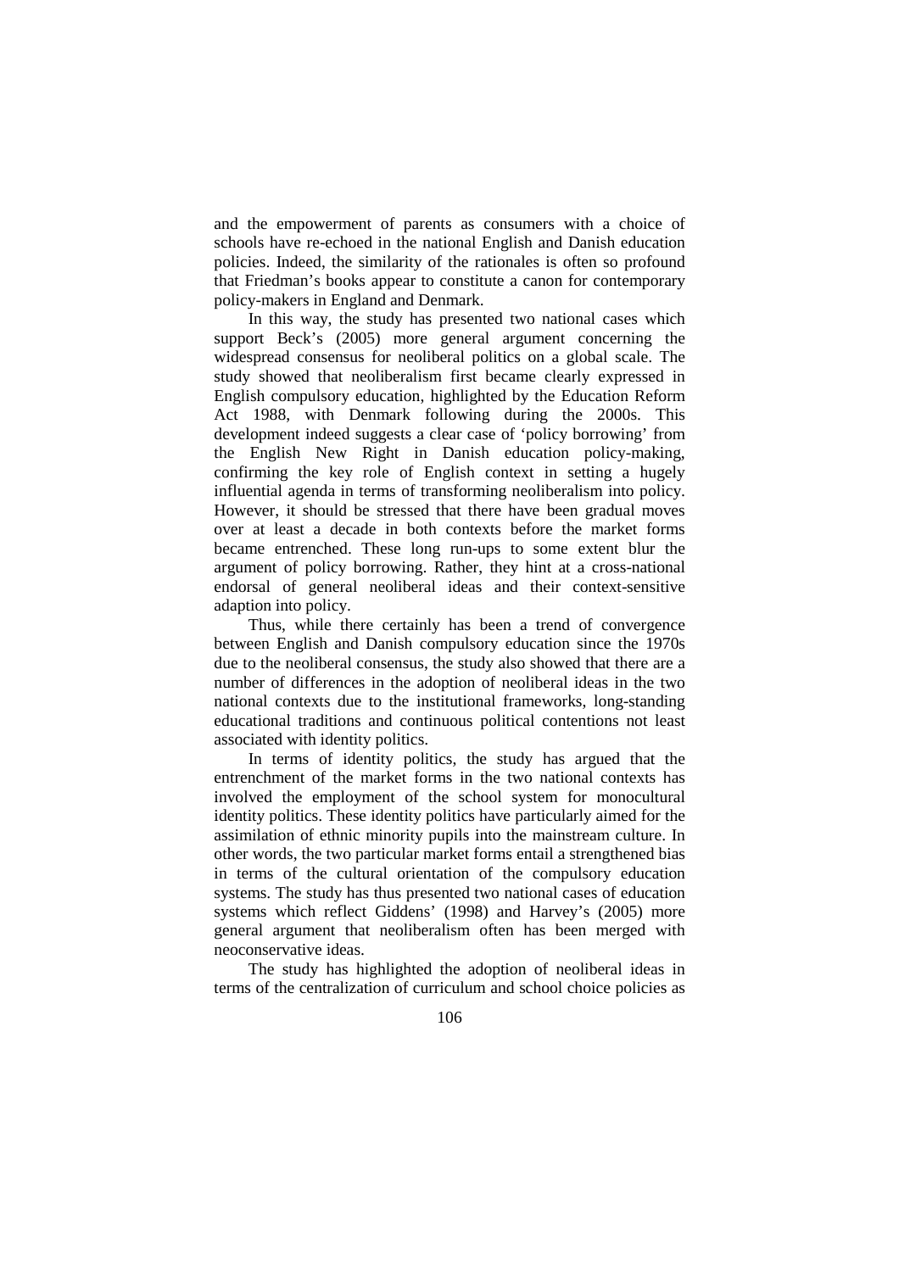and the empowerment of parents as consumers with a choice of schools have re-echoed in the national English and Danish education policies. Indeed, the similarity of the rationales is often so profound that Friedman's books appear to constitute a canon for contemporary policy-makers in England and Denmark.

In this way, the study has presented two national cases which support Beck's (2005) more general argument concerning the widespread consensus for neoliberal politics on a global scale. The study showed that neoliberalism first became clearly expressed in English compulsory education, highlighted by the Education Reform Act 1988, with Denmark following during the 2000s. This development indeed suggests a clear case of 'policy borrowing' from the English New Right in Danish education policy-making, confirming the key role of English context in setting a hugely influential agenda in terms of transforming neoliberalism into policy. However, it should be stressed that there have been gradual moves over at least a decade in both contexts before the market forms became entrenched. These long run-ups to some extent blur the argument of policy borrowing. Rather, they hint at a cross-national endorsal of general neoliberal ideas and their context-sensitive adaption into policy.

Thus, while there certainly has been a trend of convergence between English and Danish compulsory education since the 1970s due to the neoliberal consensus, the study also showed that there are a number of differences in the adoption of neoliberal ideas in the two national contexts due to the institutional frameworks, long-standing educational traditions and continuous political contentions not least associated with identity politics.

In terms of identity politics, the study has argued that the entrenchment of the market forms in the two national contexts has involved the employment of the school system for monocultural identity politics. These identity politics have particularly aimed for the assimilation of ethnic minority pupils into the mainstream culture. In other words, the two particular market forms entail a strengthened bias in terms of the cultural orientation of the compulsory education systems. The study has thus presented two national cases of education systems which reflect Giddens' (1998) and Harvey's (2005) more general argument that neoliberalism often has been merged with neoconservative ideas.

The study has highlighted the adoption of neoliberal ideas in terms of the centralization of curriculum and school choice policies as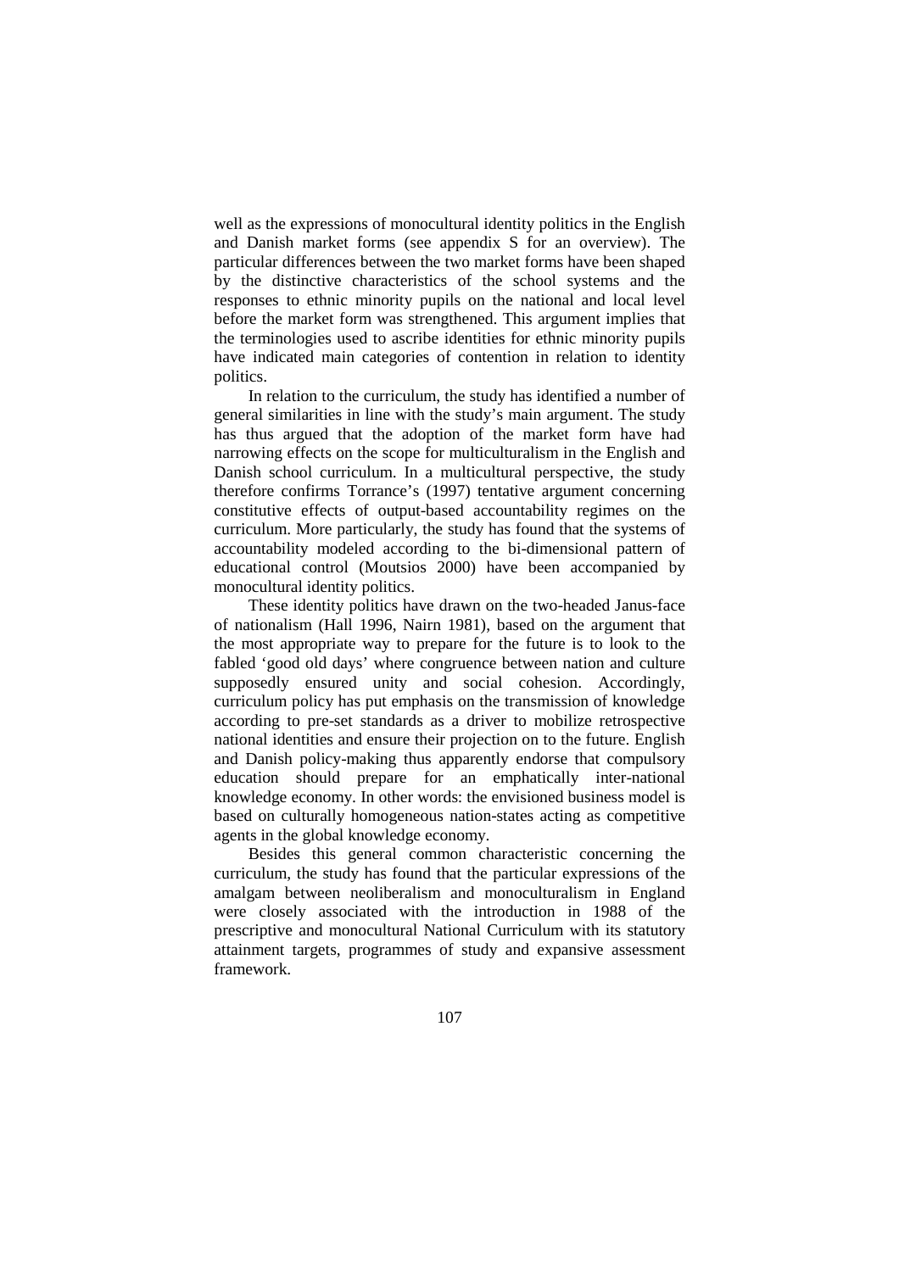well as the expressions of monocultural identity politics in the English and Danish market forms (see appendix S for an overview). The particular differences between the two market forms have been shaped by the distinctive characteristics of the school systems and the responses to ethnic minority pupils on the national and local level before the market form was strengthened. This argument implies that the terminologies used to ascribe identities for ethnic minority pupils have indicated main categories of contention in relation to identity politics.

In relation to the curriculum, the study has identified a number of general similarities in line with the study's main argument. The study has thus argued that the adoption of the market form have had narrowing effects on the scope for multiculturalism in the English and Danish school curriculum. In a multicultural perspective, the study therefore confirms Torrance's (1997) tentative argument concerning constitutive effects of output-based accountability regimes on the curriculum. More particularly, the study has found that the systems of accountability modeled according to the bi-dimensional pattern of educational control (Moutsios 2000) have been accompanied by monocultural identity politics.

These identity politics have drawn on the two-headed Janus-face of nationalism (Hall 1996, Nairn 1981), based on the argument that the most appropriate way to prepare for the future is to look to the fabled 'good old days' where congruence between nation and culture supposedly ensured unity and social cohesion. Accordingly, curriculum policy has put emphasis on the transmission of knowledge according to pre-set standards as a driver to mobilize retrospective national identities and ensure their projection on to the future. English and Danish policy-making thus apparently endorse that compulsory education should prepare for an emphatically inter-national knowledge economy. In other words: the envisioned business model is based on culturally homogeneous nation-states acting as competitive agents in the global knowledge economy.

Besides this general common characteristic concerning the curriculum, the study has found that the particular expressions of the amalgam between neoliberalism and monoculturalism in England were closely associated with the introduction in 1988 of the prescriptive and monocultural National Curriculum with its statutory attainment targets, programmes of study and expansive assessment framework.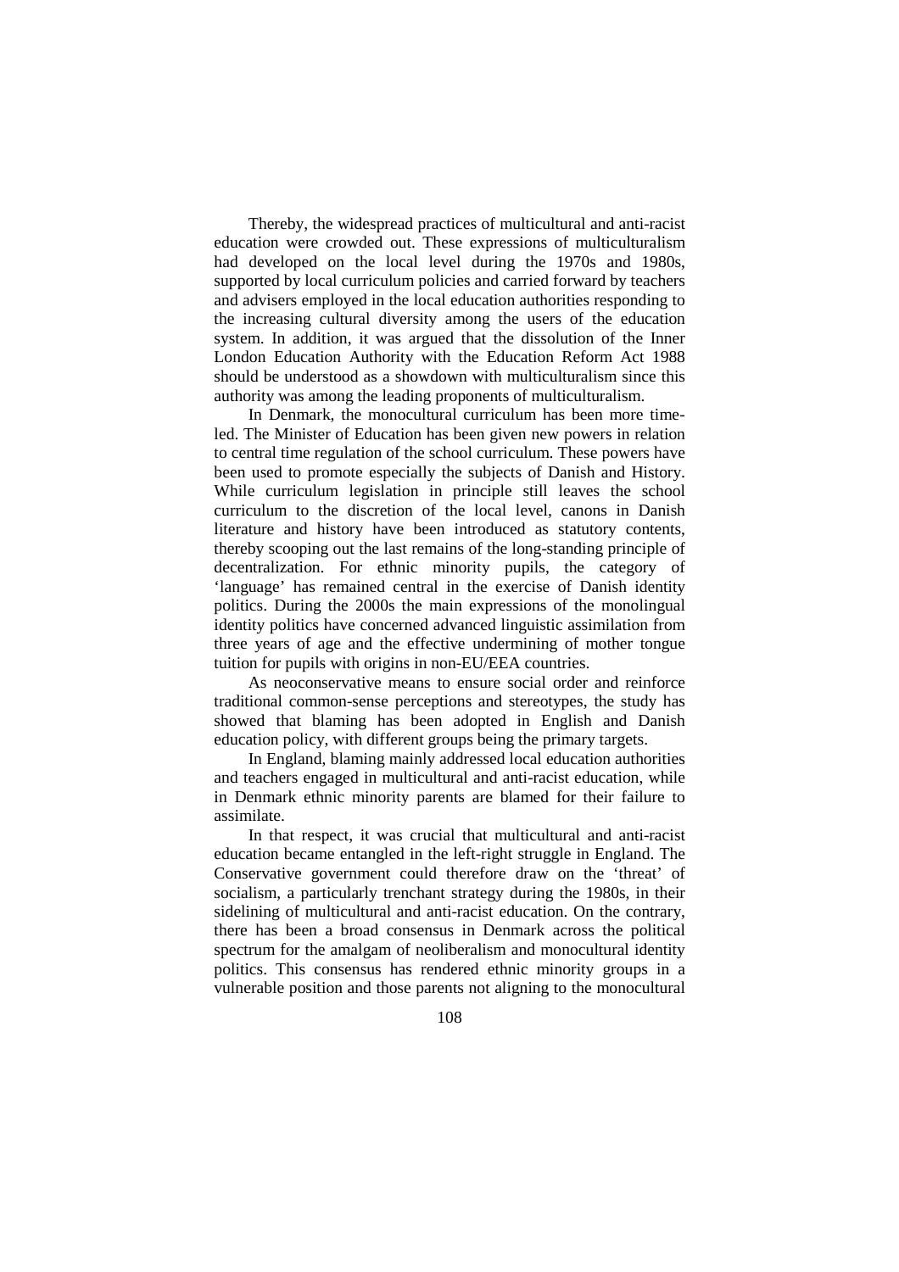Thereby, the widespread practices of multicultural and anti-racist education were crowded out. These expressions of multiculturalism had developed on the local level during the 1970s and 1980s, supported by local curriculum policies and carried forward by teachers and advisers employed in the local education authorities responding to the increasing cultural diversity among the users of the education system. In addition, it was argued that the dissolution of the Inner London Education Authority with the Education Reform Act 1988 should be understood as a showdown with multiculturalism since this authority was among the leading proponents of multiculturalism.

In Denmark, the monocultural curriculum has been more timeled. The Minister of Education has been given new powers in relation to central time regulation of the school curriculum. These powers have been used to promote especially the subjects of Danish and History. While curriculum legislation in principle still leaves the school curriculum to the discretion of the local level, canons in Danish literature and history have been introduced as statutory contents, thereby scooping out the last remains of the long-standing principle of decentralization. For ethnic minority pupils, the category of 'language' has remained central in the exercise of Danish identity politics. During the 2000s the main expressions of the monolingual identity politics have concerned advanced linguistic assimilation from three years of age and the effective undermining of mother tongue tuition for pupils with origins in non-EU/EEA countries.

As neoconservative means to ensure social order and reinforce traditional common-sense perceptions and stereotypes, the study has showed that blaming has been adopted in English and Danish education policy, with different groups being the primary targets.

In England, blaming mainly addressed local education authorities and teachers engaged in multicultural and anti-racist education, while in Denmark ethnic minority parents are blamed for their failure to assimilate.

In that respect, it was crucial that multicultural and anti-racist education became entangled in the left-right struggle in England. The Conservative government could therefore draw on the 'threat' of socialism, a particularly trenchant strategy during the 1980s, in their sidelining of multicultural and anti-racist education. On the contrary, there has been a broad consensus in Denmark across the political spectrum for the amalgam of neoliberalism and monocultural identity politics. This consensus has rendered ethnic minority groups in a vulnerable position and those parents not aligning to the monocultural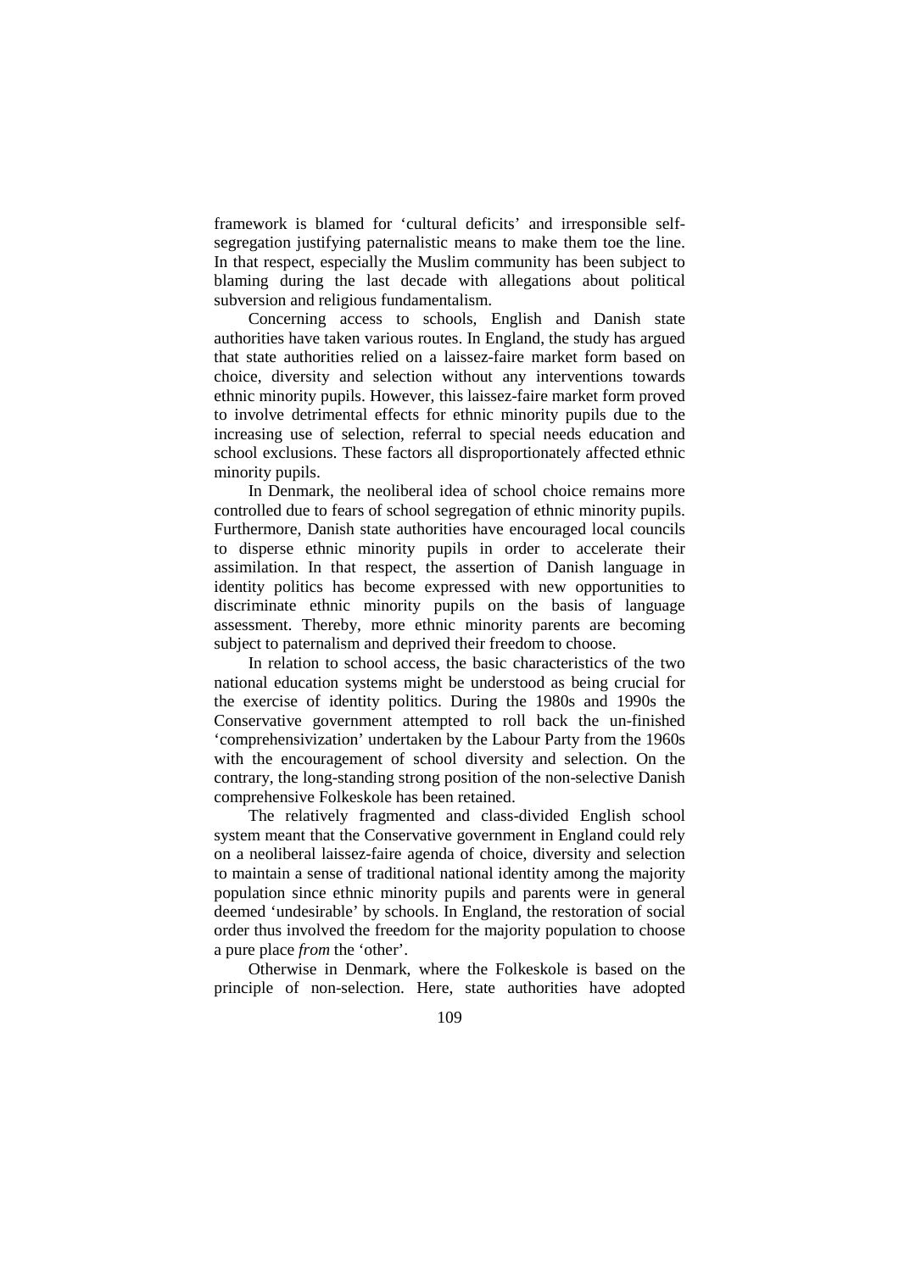framework is blamed for 'cultural deficits' and irresponsible selfsegregation justifying paternalistic means to make them toe the line. In that respect, especially the Muslim community has been subject to blaming during the last decade with allegations about political subversion and religious fundamentalism.

Concerning access to schools, English and Danish state authorities have taken various routes. In England, the study has argued that state authorities relied on a laissez-faire market form based on choice, diversity and selection without any interventions towards ethnic minority pupils. However, this laissez-faire market form proved to involve detrimental effects for ethnic minority pupils due to the increasing use of selection, referral to special needs education and school exclusions. These factors all disproportionately affected ethnic minority pupils.

In Denmark, the neoliberal idea of school choice remains more controlled due to fears of school segregation of ethnic minority pupils. Furthermore, Danish state authorities have encouraged local councils to disperse ethnic minority pupils in order to accelerate their assimilation. In that respect, the assertion of Danish language in identity politics has become expressed with new opportunities to discriminate ethnic minority pupils on the basis of language assessment. Thereby, more ethnic minority parents are becoming subject to paternalism and deprived their freedom to choose.

In relation to school access, the basic characteristics of the two national education systems might be understood as being crucial for the exercise of identity politics. During the 1980s and 1990s the Conservative government attempted to roll back the un-finished 'comprehensivization' undertaken by the Labour Party from the 1960s with the encouragement of school diversity and selection. On the contrary, the long-standing strong position of the non-selective Danish comprehensive Folkeskole has been retained.

The relatively fragmented and class-divided English school system meant that the Conservative government in England could rely on a neoliberal laissez-faire agenda of choice, diversity and selection to maintain a sense of traditional national identity among the majority population since ethnic minority pupils and parents were in general deemed 'undesirable' by schools. In England, the restoration of social order thus involved the freedom for the majority population to choose a pure place *from* the 'other'.

Otherwise in Denmark, where the Folkeskole is based on the principle of non-selection. Here, state authorities have adopted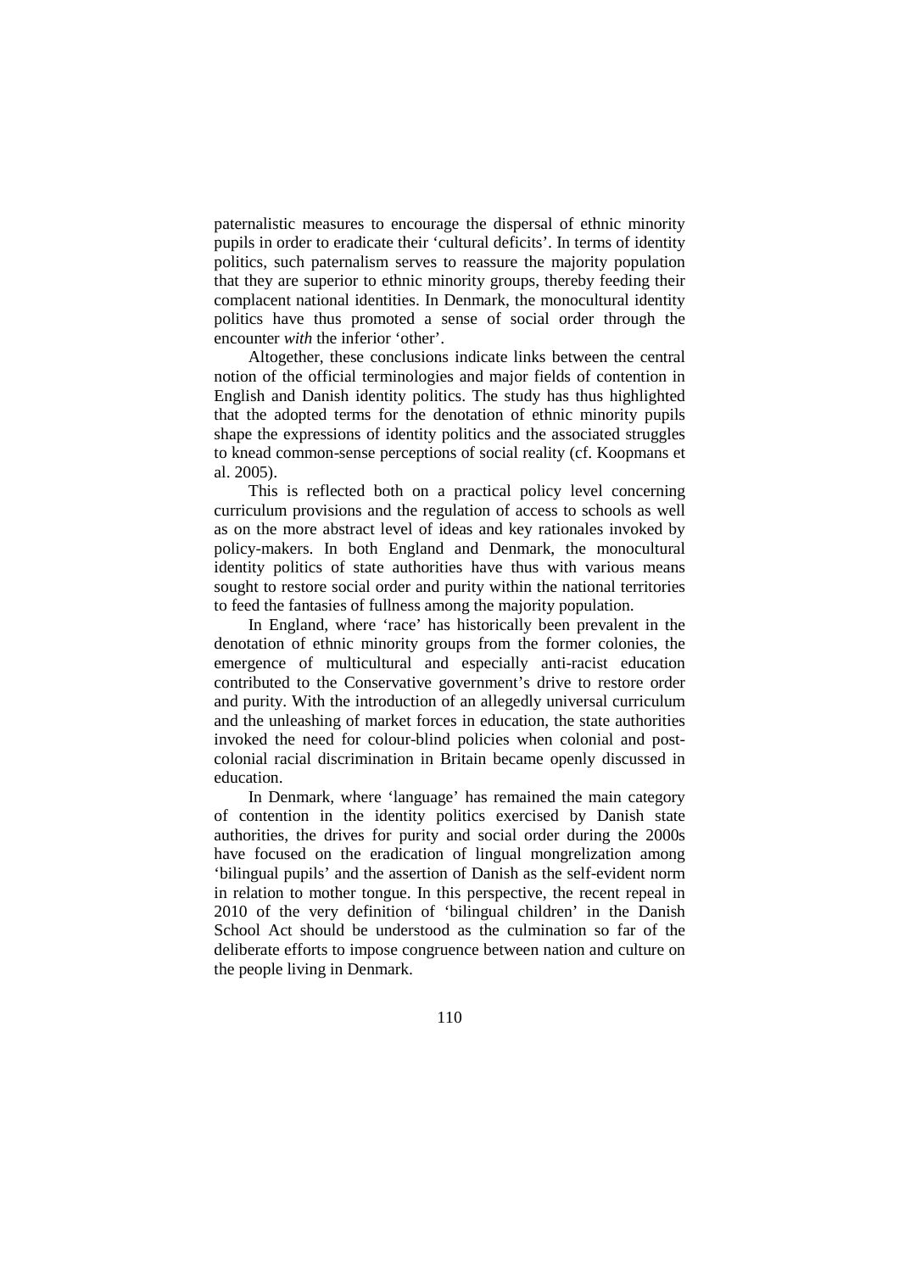paternalistic measures to encourage the dispersal of ethnic minority pupils in order to eradicate their 'cultural deficits'. In terms of identity politics, such paternalism serves to reassure the majority population that they are superior to ethnic minority groups, thereby feeding their complacent national identities. In Denmark, the monocultural identity politics have thus promoted a sense of social order through the encounter *with* the inferior 'other'.

Altogether, these conclusions indicate links between the central notion of the official terminologies and major fields of contention in English and Danish identity politics. The study has thus highlighted that the adopted terms for the denotation of ethnic minority pupils shape the expressions of identity politics and the associated struggles to knead common-sense perceptions of social reality (cf. Koopmans et al. 2005).

This is reflected both on a practical policy level concerning curriculum provisions and the regulation of access to schools as well as on the more abstract level of ideas and key rationales invoked by policy-makers. In both England and Denmark, the monocultural identity politics of state authorities have thus with various means sought to restore social order and purity within the national territories to feed the fantasies of fullness among the majority population.

In England, where 'race' has historically been prevalent in the denotation of ethnic minority groups from the former colonies, the emergence of multicultural and especially anti-racist education contributed to the Conservative government's drive to restore order and purity. With the introduction of an allegedly universal curriculum and the unleashing of market forces in education, the state authorities invoked the need for colour-blind policies when colonial and postcolonial racial discrimination in Britain became openly discussed in education.

In Denmark, where 'language' has remained the main category of contention in the identity politics exercised by Danish state authorities, the drives for purity and social order during the 2000s have focused on the eradication of lingual mongrelization among 'bilingual pupils' and the assertion of Danish as the self-evident norm in relation to mother tongue. In this perspective, the recent repeal in 2010 of the very definition of 'bilingual children' in the Danish School Act should be understood as the culmination so far of the deliberate efforts to impose congruence between nation and culture on the people living in Denmark.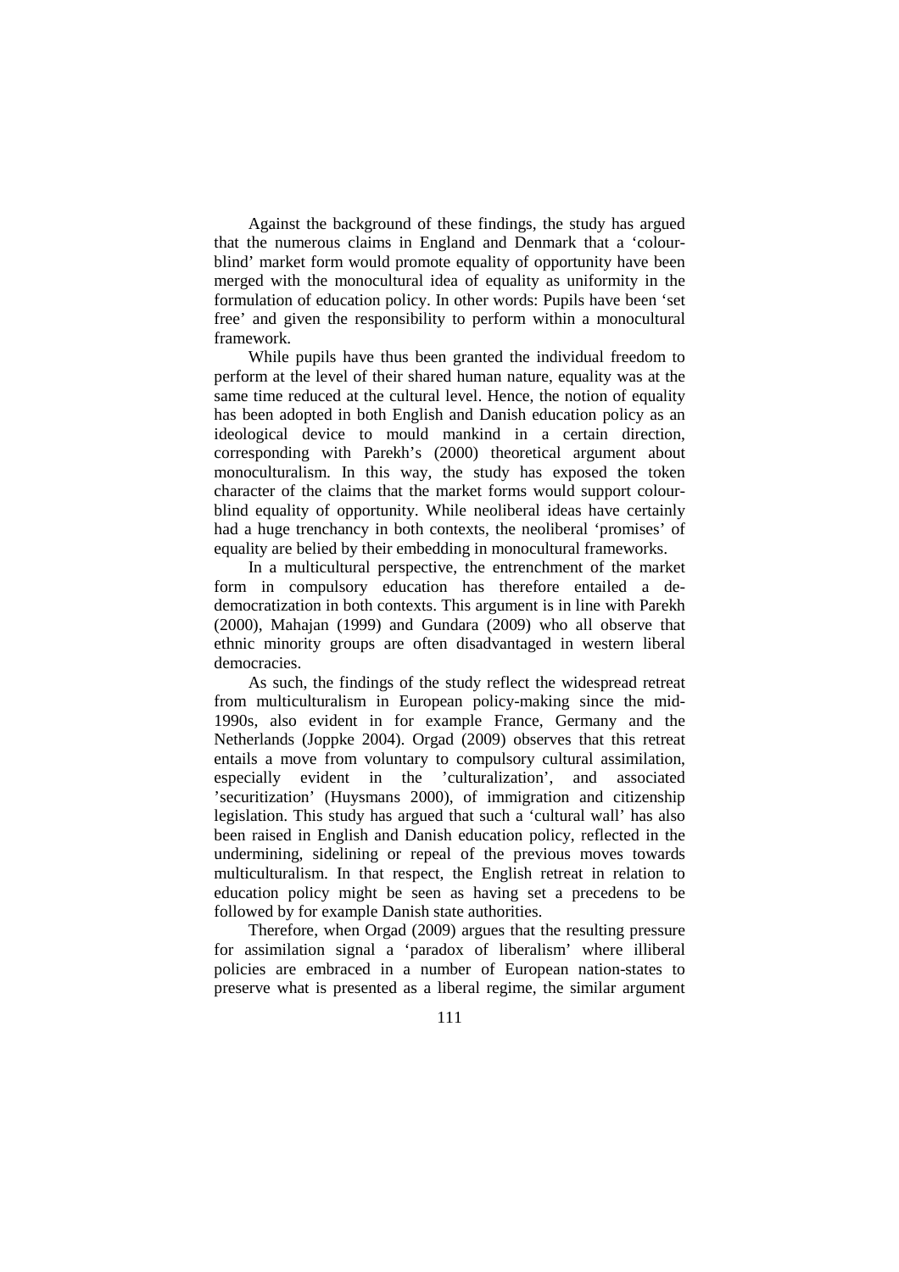Against the background of these findings, the study has argued that the numerous claims in England and Denmark that a 'colourblind' market form would promote equality of opportunity have been merged with the monocultural idea of equality as uniformity in the formulation of education policy. In other words: Pupils have been 'set free' and given the responsibility to perform within a monocultural framework.

While pupils have thus been granted the individual freedom to perform at the level of their shared human nature, equality was at the same time reduced at the cultural level. Hence, the notion of equality has been adopted in both English and Danish education policy as an ideological device to mould mankind in a certain direction, corresponding with Parekh's (2000) theoretical argument about monoculturalism. In this way, the study has exposed the token character of the claims that the market forms would support colourblind equality of opportunity. While neoliberal ideas have certainly had a huge trenchancy in both contexts, the neoliberal 'promises' of equality are belied by their embedding in monocultural frameworks.

In a multicultural perspective, the entrenchment of the market form in compulsory education has therefore entailed a dedemocratization in both contexts. This argument is in line with Parekh (2000), Mahajan (1999) and Gundara (2009) who all observe that ethnic minority groups are often disadvantaged in western liberal democracies.

As such, the findings of the study reflect the widespread retreat from multiculturalism in European policy-making since the mid-1990s, also evident in for example France, Germany and the Netherlands (Joppke 2004). Orgad (2009) observes that this retreat entails a move from voluntary to compulsory cultural assimilation, especially evident in the 'culturalization', and associated 'securitization' (Huysmans 2000), of immigration and citizenship legislation. This study has argued that such a 'cultural wall' has also been raised in English and Danish education policy, reflected in the undermining, sidelining or repeal of the previous moves towards multiculturalism. In that respect, the English retreat in relation to education policy might be seen as having set a precedens to be followed by for example Danish state authorities.

Therefore, when Orgad (2009) argues that the resulting pressure for assimilation signal a 'paradox of liberalism' where illiberal policies are embraced in a number of European nation-states to preserve what is presented as a liberal regime, the similar argument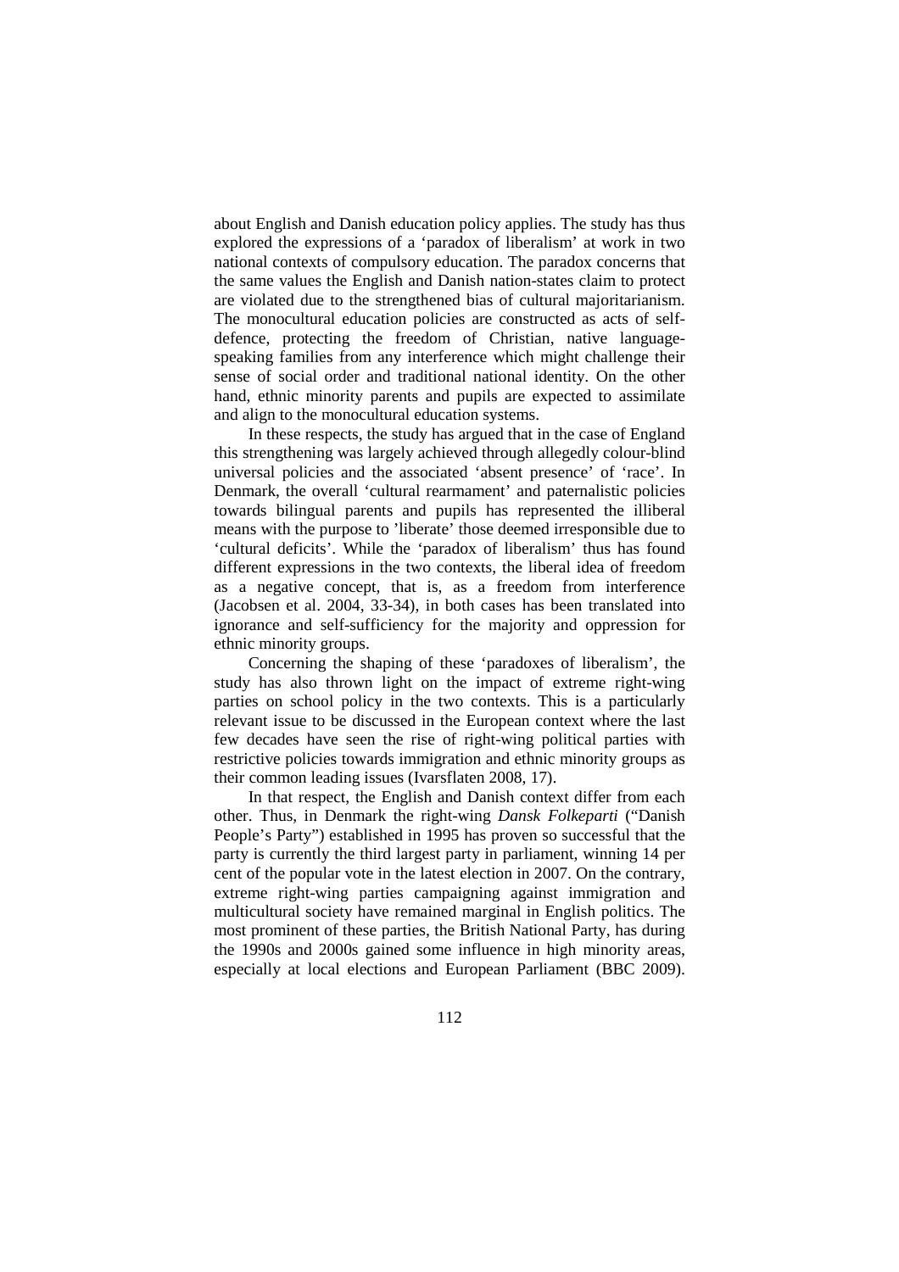about English and Danish education policy applies. The study has thus explored the expressions of a 'paradox of liberalism' at work in two national contexts of compulsory education. The paradox concerns that the same values the English and Danish nation-states claim to protect are violated due to the strengthened bias of cultural majoritarianism. The monocultural education policies are constructed as acts of selfdefence, protecting the freedom of Christian, native languagespeaking families from any interference which might challenge their sense of social order and traditional national identity. On the other hand, ethnic minority parents and pupils are expected to assimilate and align to the monocultural education systems.

In these respects, the study has argued that in the case of England this strengthening was largely achieved through allegedly colour-blind universal policies and the associated 'absent presence' of 'race'. In Denmark, the overall 'cultural rearmament' and paternalistic policies towards bilingual parents and pupils has represented the illiberal means with the purpose to 'liberate' those deemed irresponsible due to 'cultural deficits'. While the 'paradox of liberalism' thus has found different expressions in the two contexts, the liberal idea of freedom as a negative concept, that is, as a freedom from interference (Jacobsen et al. 2004, 33-34), in both cases has been translated into ignorance and self-sufficiency for the majority and oppression for ethnic minority groups.

Concerning the shaping of these 'paradoxes of liberalism', the study has also thrown light on the impact of extreme right-wing parties on school policy in the two contexts. This is a particularly relevant issue to be discussed in the European context where the last few decades have seen the rise of right-wing political parties with restrictive policies towards immigration and ethnic minority groups as their common leading issues (Ivarsflaten 2008, 17).

In that respect, the English and Danish context differ from each other. Thus, in Denmark the right-wing *Dansk Folkeparti* ("Danish People's Party") established in 1995 has proven so successful that the party is currently the third largest party in parliament, winning 14 per cent of the popular vote in the latest election in 2007. On the contrary, extreme right-wing parties campaigning against immigration and multicultural society have remained marginal in English politics. The most prominent of these parties, the British National Party, has during the 1990s and 2000s gained some influence in high minority areas, especially at local elections and European Parliament (BBC 2009).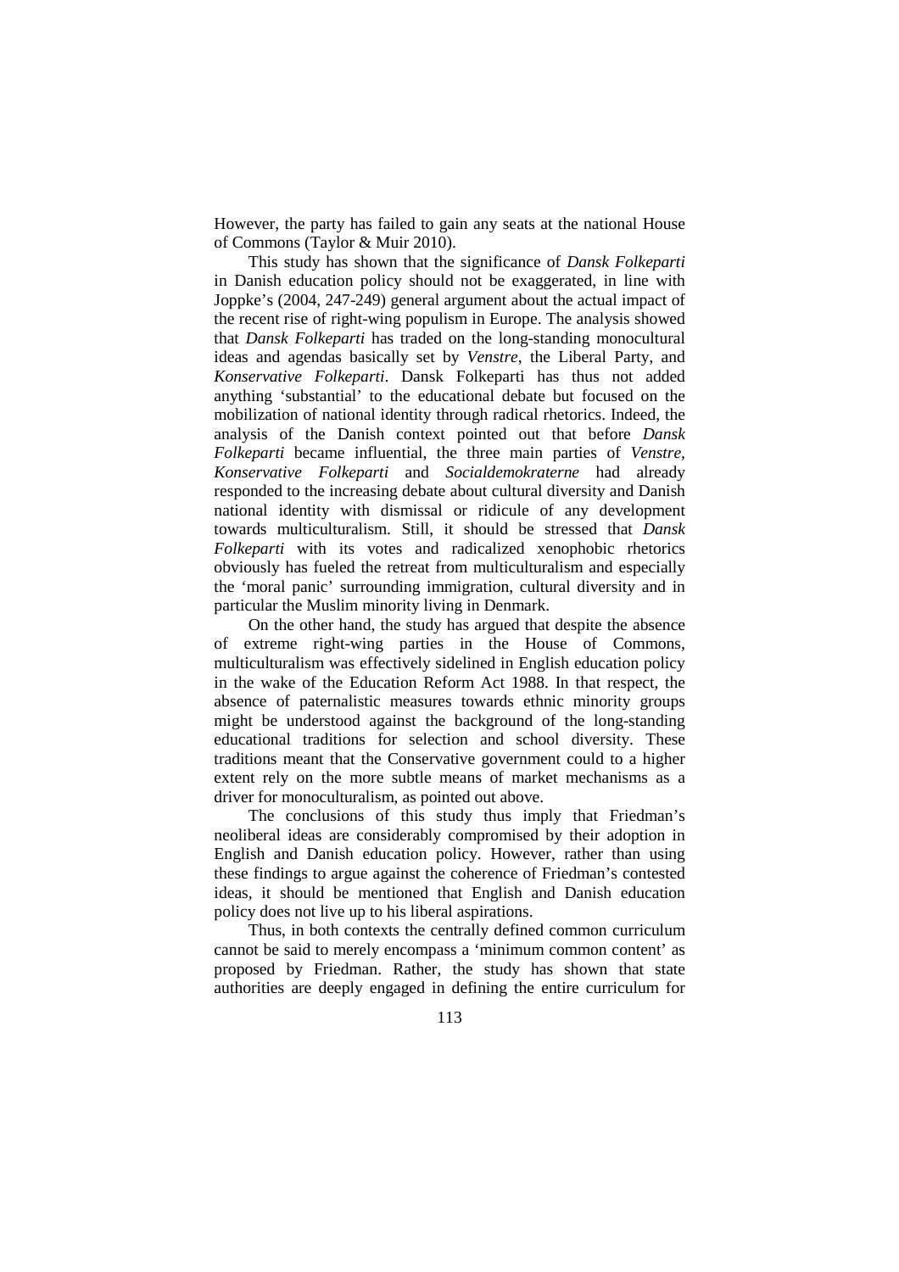However, the party has failed to gain any seats at the national House of Commons (Taylor & Muir 2010).

This study has shown that the significance of *Dansk Folkeparti* in Danish education policy should not be exaggerated, in line with Joppke's (2004, 247-249) general argument about the actual impact of the recent rise of right-wing populism in Europe. The analysis showed that *Dansk Folkeparti* has traded on the long-standing monocultural ideas and agendas basically set by *Venstre*, the Liberal Party, and *Konservative Folkeparti*. Dansk Folkeparti has thus not added anything 'substantial' to the educational debate but focused on the mobilization of national identity through radical rhetorics. Indeed, the analysis of the Danish context pointed out that before *Dansk Folkeparti* became influential, the three main parties of *Venstre, Konservative Folkeparti* and *Socialdemokraterne* had already responded to the increasing debate about cultural diversity and Danish national identity with dismissal or ridicule of any development towards multiculturalism. Still, it should be stressed that *Dansk Folkeparti* with its votes and radicalized xenophobic rhetorics obviously has fueled the retreat from multiculturalism and especially the 'moral panic' surrounding immigration, cultural diversity and in particular the Muslim minority living in Denmark.

On the other hand, the study has argued that despite the absence of extreme right-wing parties in the House of Commons, multiculturalism was effectively sidelined in English education policy in the wake of the Education Reform Act 1988. In that respect, the absence of paternalistic measures towards ethnic minority groups might be understood against the background of the long-standing educational traditions for selection and school diversity. These traditions meant that the Conservative government could to a higher extent rely on the more subtle means of market mechanisms as a driver for monoculturalism, as pointed out above.

The conclusions of this study thus imply that Friedman's neoliberal ideas are considerably compromised by their adoption in English and Danish education policy. However, rather than using these findings to argue against the coherence of Friedman's contested ideas, it should be mentioned that English and Danish education policy does not live up to his liberal aspirations.

Thus, in both contexts the centrally defined common curriculum cannot be said to merely encompass a 'minimum common content' as proposed by Friedman. Rather, the study has shown that state authorities are deeply engaged in defining the entire curriculum for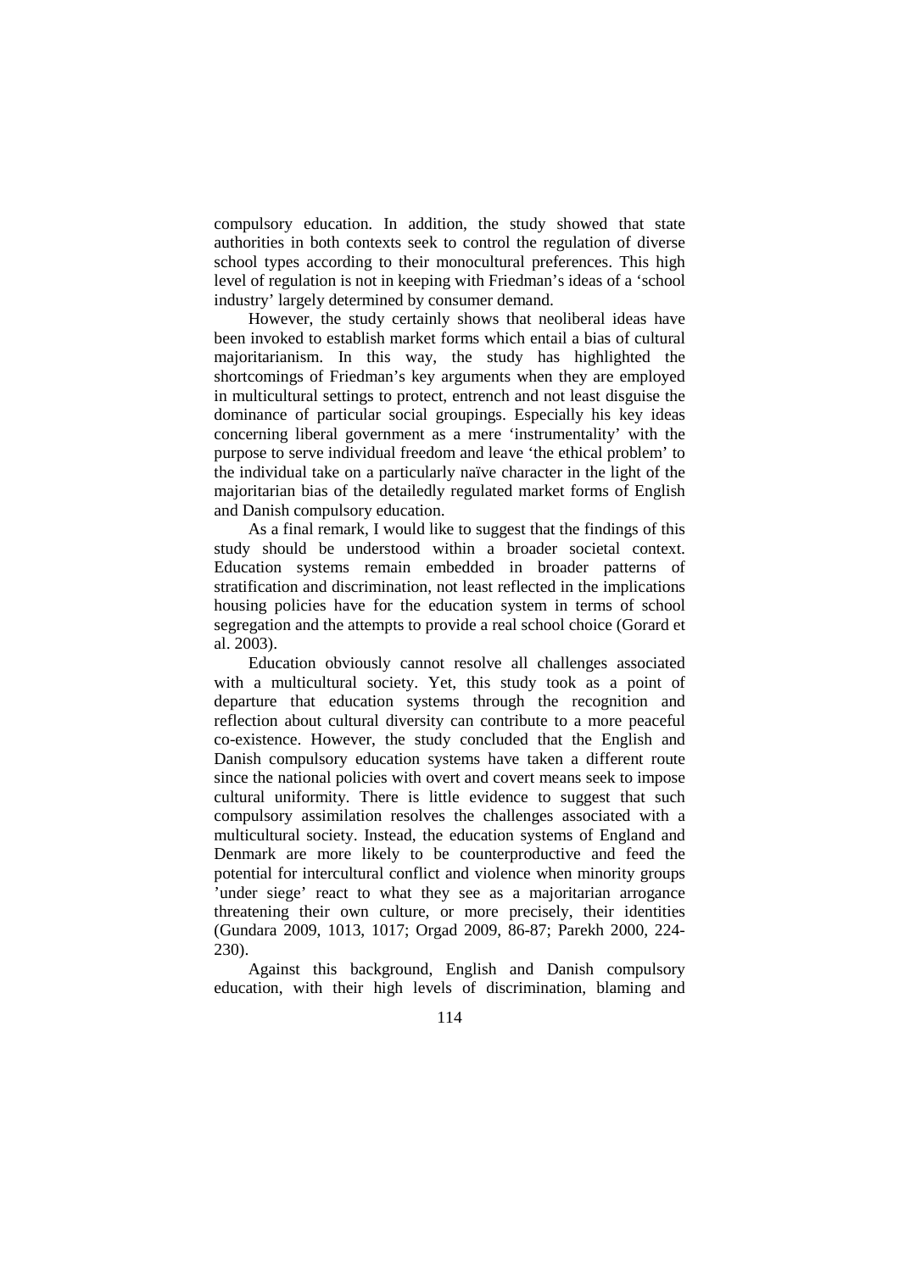compulsory education. In addition, the study showed that state authorities in both contexts seek to control the regulation of diverse school types according to their monocultural preferences. This high level of regulation is not in keeping with Friedman's ideas of a 'school industry' largely determined by consumer demand.

However, the study certainly shows that neoliberal ideas have been invoked to establish market forms which entail a bias of cultural majoritarianism. In this way, the study has highlighted the shortcomings of Friedman's key arguments when they are employed in multicultural settings to protect, entrench and not least disguise the dominance of particular social groupings. Especially his key ideas concerning liberal government as a mere 'instrumentality' with the purpose to serve individual freedom and leave 'the ethical problem' to the individual take on a particularly naïve character in the light of the majoritarian bias of the detailedly regulated market forms of English and Danish compulsory education.

As a final remark, I would like to suggest that the findings of this study should be understood within a broader societal context. Education systems remain embedded in broader patterns of stratification and discrimination, not least reflected in the implications housing policies have for the education system in terms of school segregation and the attempts to provide a real school choice (Gorard et al. 2003).

Education obviously cannot resolve all challenges associated with a multicultural society. Yet, this study took as a point of departure that education systems through the recognition and reflection about cultural diversity can contribute to a more peaceful co-existence. However, the study concluded that the English and Danish compulsory education systems have taken a different route since the national policies with overt and covert means seek to impose cultural uniformity. There is little evidence to suggest that such compulsory assimilation resolves the challenges associated with a multicultural society. Instead, the education systems of England and Denmark are more likely to be counterproductive and feed the potential for intercultural conflict and violence when minority groups 'under siege' react to what they see as a majoritarian arrogance threatening their own culture, or more precisely, their identities (Gundara 2009, 1013, 1017; Orgad 2009, 86-87; Parekh 2000, 224- 230).

Against this background, English and Danish compulsory education, with their high levels of discrimination, blaming and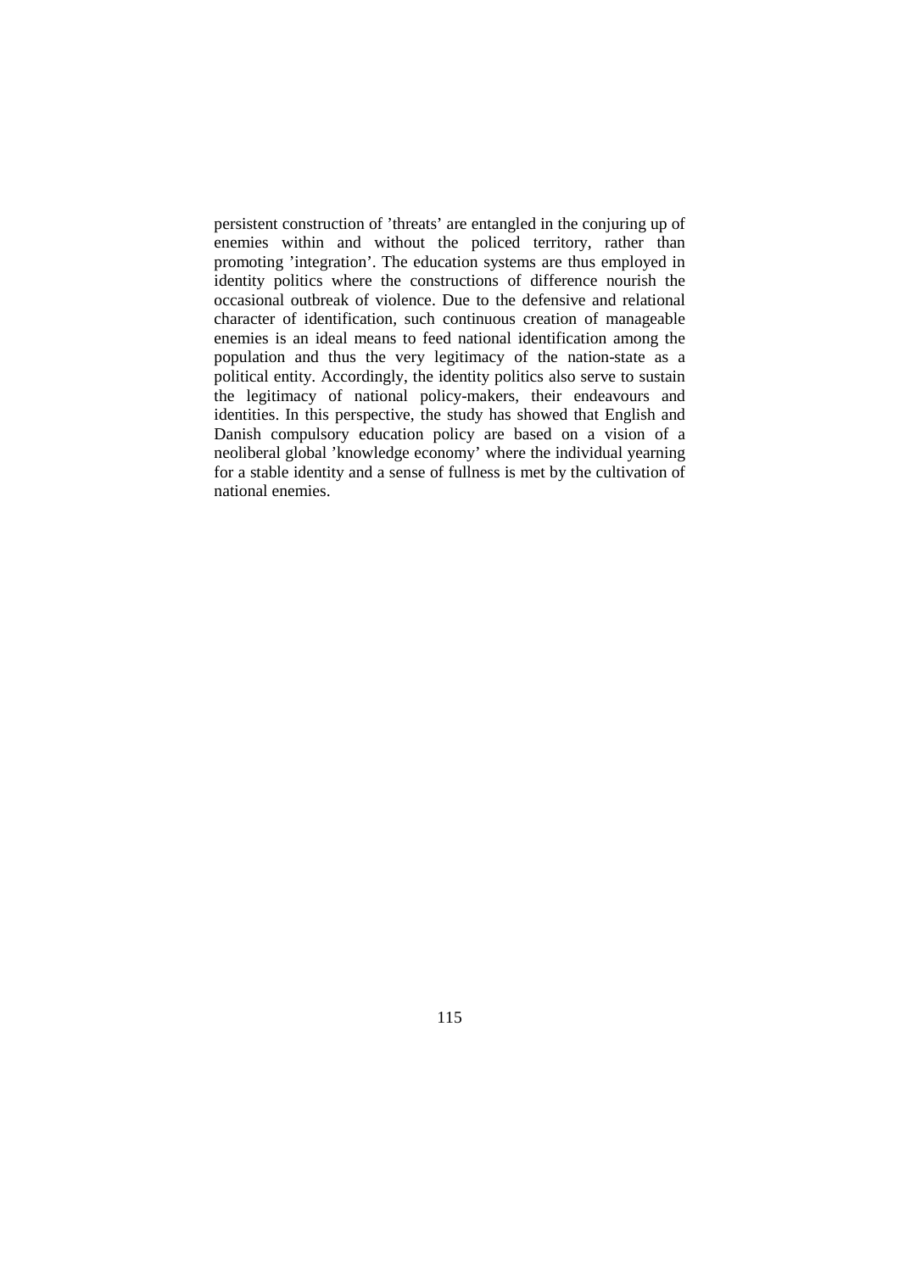persistent construction of 'threats' are entangled in the conjuring up of enemies within and without the policed territory, rather than promoting 'integration'. The education systems are thus employed in identity politics where the constructions of difference nourish the occasional outbreak of violence. Due to the defensive and relational character of identification, such continuous creation of manageable enemies is an ideal means to feed national identification among the population and thus the very legitimacy of the nation-state as a political entity. Accordingly, the identity politics also serve to sustain the legitimacy of national policy-makers, their endeavours and identities. In this perspective, the study has showed that English and Danish compulsory education policy are based on a vision of a neoliberal global 'knowledge economy' where the individual yearning for a stable identity and a sense of fullness is met by the cultivation of national enemies.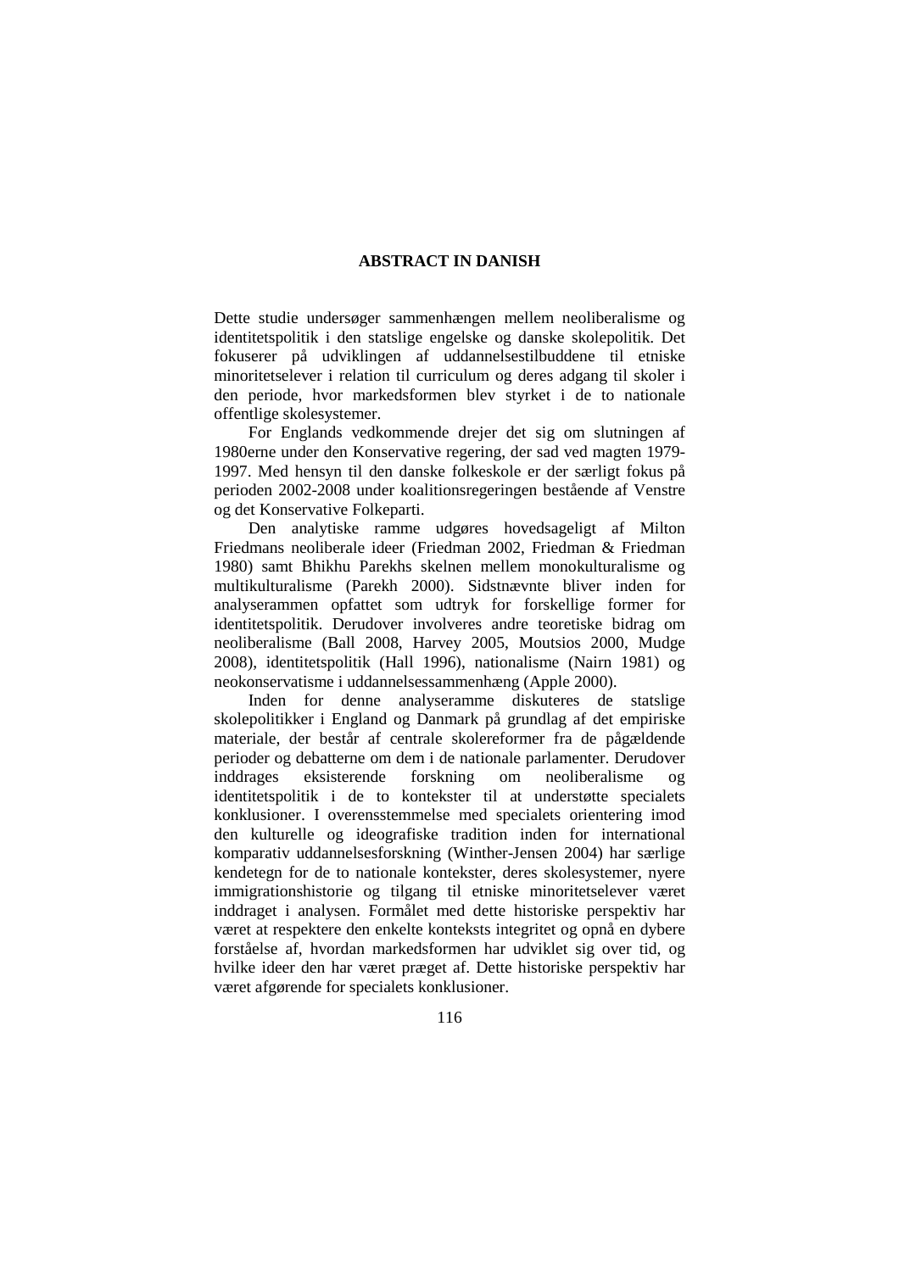### **ABSTRACT IN DANISH**

Dette studie undersøger sammenhængen mellem neoliberalisme og identitetspolitik i den statslige engelske og danske skolepolitik. Det fokuserer på udviklingen af uddannelsestilbuddene til etniske minoritetselever i relation til curriculum og deres adgang til skoler i den periode, hvor markedsformen blev styrket i de to nationale offentlige skolesystemer.

For Englands vedkommende drejer det sig om slutningen af 1980erne under den Konservative regering, der sad ved magten 1979- 1997. Med hensyn til den danske folkeskole er der særligt fokus på perioden 2002-2008 under koalitionsregeringen bestående af Venstre og det Konservative Folkeparti.

Den analytiske ramme udgøres hovedsageligt af Milton Friedmans neoliberale ideer (Friedman 2002, Friedman & Friedman 1980) samt Bhikhu Parekhs skelnen mellem monokulturalisme og multikulturalisme (Parekh 2000). Sidstnævnte bliver inden for analyserammen opfattet som udtryk for forskellige former for identitetspolitik. Derudover involveres andre teoretiske bidrag om neoliberalisme (Ball 2008, Harvey 2005, Moutsios 2000, Mudge 2008), identitetspolitik (Hall 1996), nationalisme (Nairn 1981) og neokonservatisme i uddannelsessammenhæng (Apple 2000).

Inden for denne analyseramme diskuteres de statslige skolepolitikker i England og Danmark på grundlag af det empiriske materiale, der består af centrale skolereformer fra de pågældende perioder og debatterne om dem i de nationale parlamenter. Derudover inddrages eksisterende forskning om neoliberalisme og identitetspolitik i de to kontekster til at understøtte specialets konklusioner. I overensstemmelse med specialets orientering imod den kulturelle og ideografiske tradition inden for international komparativ uddannelsesforskning (Winther-Jensen 2004) har særlige kendetegn for de to nationale kontekster, deres skolesystemer, nyere immigrationshistorie og tilgang til etniske minoritetselever været inddraget i analysen. Formålet med dette historiske perspektiv har været at respektere den enkelte konteksts integritet og opnå en dybere forståelse af, hvordan markedsformen har udviklet sig over tid, og hvilke ideer den har været præget af. Dette historiske perspektiv har været afgørende for specialets konklusioner.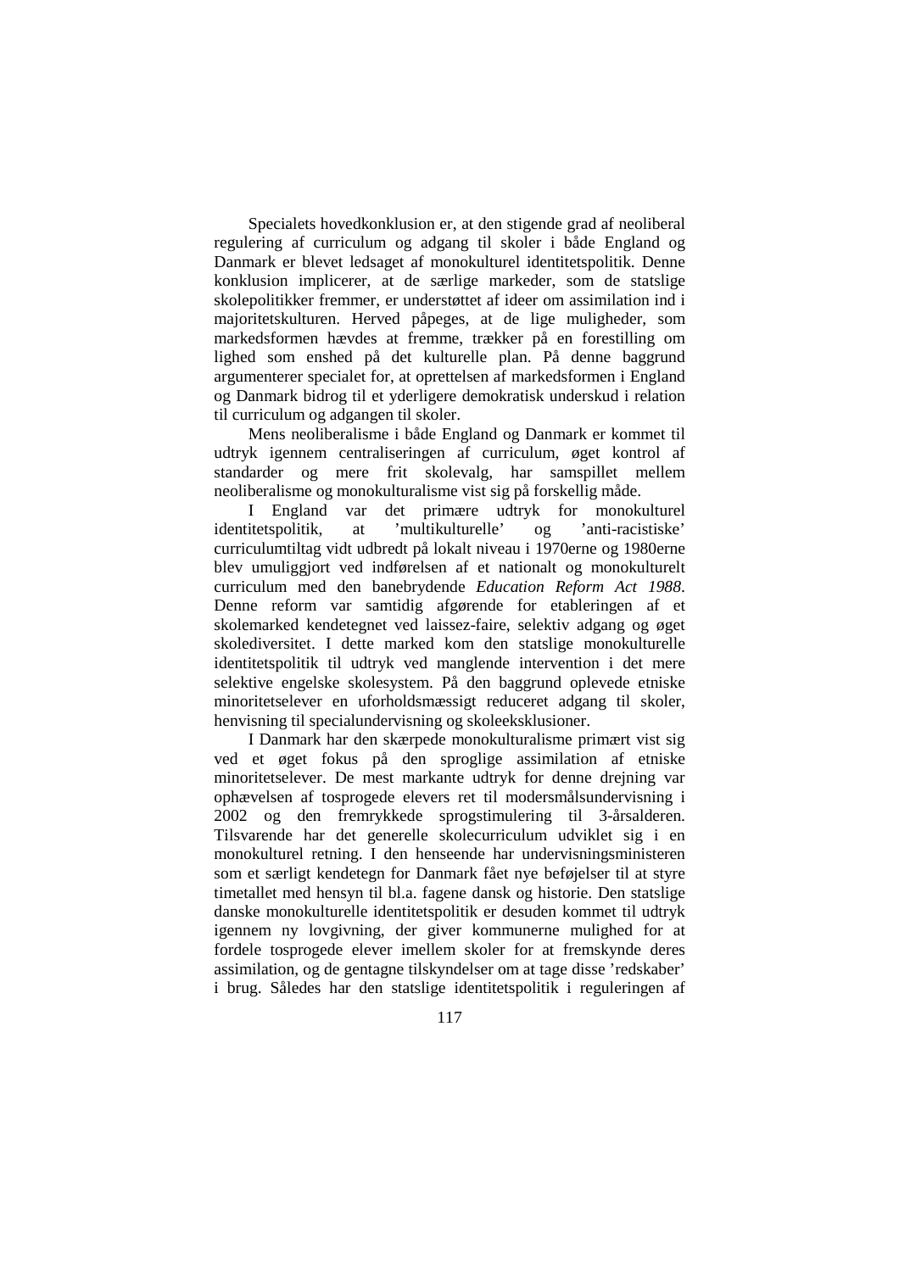Specialets hovedkonklusion er, at den stigende grad af neoliberal regulering af curriculum og adgang til skoler i både England og Danmark er blevet ledsaget af monokulturel identitetspolitik. Denne konklusion implicerer, at de særlige markeder, som de statslige skolepolitikker fremmer, er understøttet af ideer om assimilation ind i majoritetskulturen. Herved påpeges, at de lige muligheder, som markedsformen hævdes at fremme, trækker på en forestilling om lighed som enshed på det kulturelle plan. På denne baggrund argumenterer specialet for, at oprettelsen af markedsformen i England og Danmark bidrog til et yderligere demokratisk underskud i relation til curriculum og adgangen til skoler.

Mens neoliberalisme i både England og Danmark er kommet til udtryk igennem centraliseringen af curriculum, øget kontrol af standarder og mere frit skolevalg, har samspillet mellem neoliberalisme og monokulturalisme vist sig på forskellig måde.

I England var det primære udtryk for monokulturel identitetspolitik, at 'multikulturelle' og 'anti-racistiske' curriculumtiltag vidt udbredt på lokalt niveau i 1970erne og 1980erne blev umuliggjort ved indførelsen af et nationalt og monokulturelt curriculum med den banebrydende *Education Reform Act 1988*. Denne reform var samtidig afgørende for etableringen af et skolemarked kendetegnet ved laissez-faire, selektiv adgang og øget skolediversitet. I dette marked kom den statslige monokulturelle identitetspolitik til udtryk ved manglende intervention i det mere selektive engelske skolesystem. På den baggrund oplevede etniske minoritetselever en uforholdsmæssigt reduceret adgang til skoler, henvisning til specialundervisning og skoleeksklusioner.

I Danmark har den skærpede monokulturalisme primært vist sig ved et øget fokus på den sproglige assimilation af etniske minoritetselever. De mest markante udtryk for denne drejning var ophævelsen af tosprogede elevers ret til modersmålsundervisning i 2002 og den fremrykkede sprogstimulering til 3-årsalderen. Tilsvarende har det generelle skolecurriculum udviklet sig i en monokulturel retning. I den henseende har undervisningsministeren som et særligt kendetegn for Danmark fået nye beføjelser til at styre timetallet med hensyn til bl.a. fagene dansk og historie. Den statslige danske monokulturelle identitetspolitik er desuden kommet til udtryk igennem ny lovgivning, der giver kommunerne mulighed for at fordele tosprogede elever imellem skoler for at fremskynde deres assimilation, og de gentagne tilskyndelser om at tage disse 'redskaber' i brug. Således har den statslige identitetspolitik i reguleringen af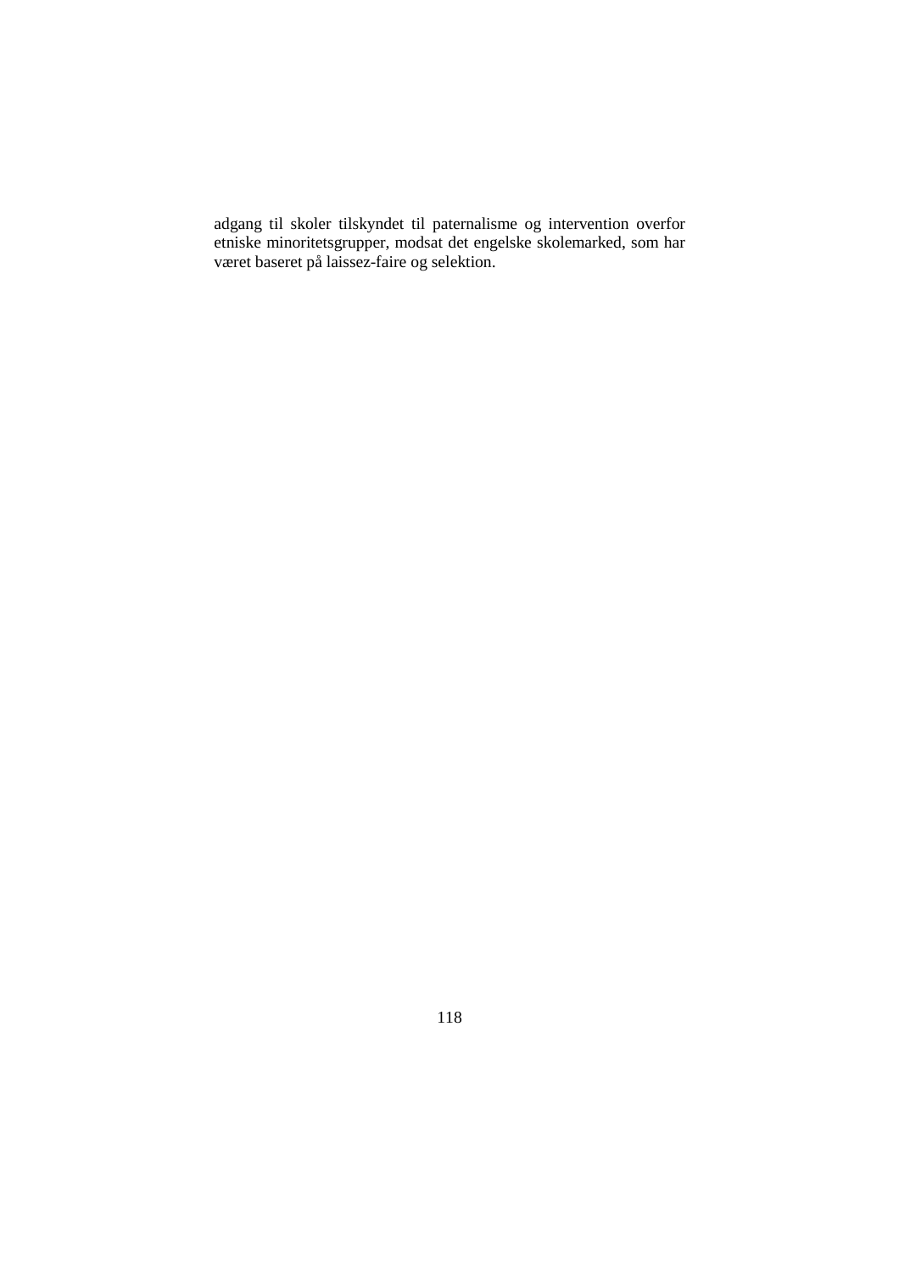adgang til skoler tilskyndet til paternalisme og intervention overfor etniske minoritetsgrupper, modsat det engelske skolemarked, som har været baseret på laissez-faire og selektion.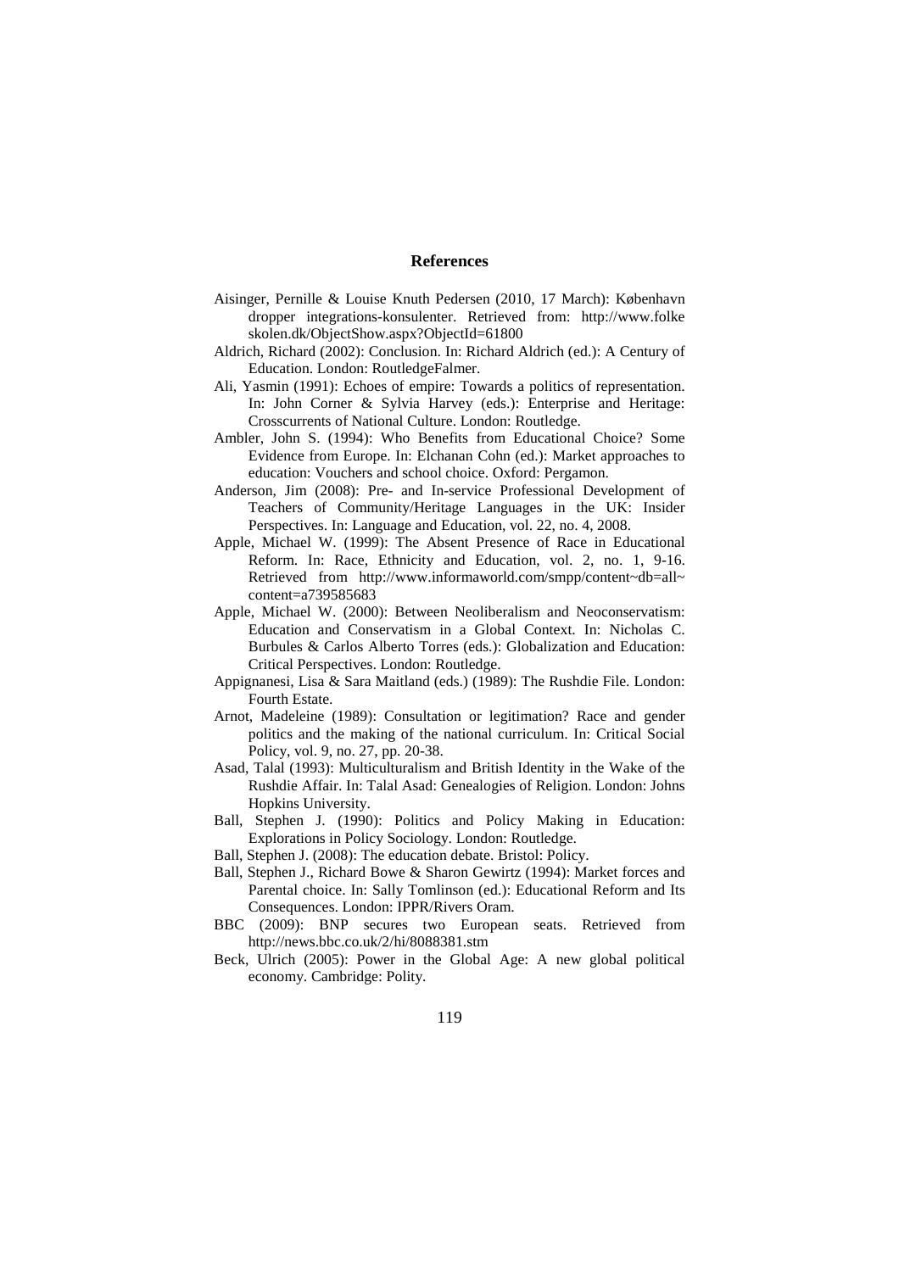### **References**

- Aisinger, Pernille & Louise Knuth Pedersen (2010, 17 March): København dropper integrations-konsulenter. Retrieved from: http://www.folke skolen.dk/ObjectShow.aspx?ObjectId=61800
- Aldrich, Richard (2002): Conclusion. In: Richard Aldrich (ed.): A Century of Education. London: RoutledgeFalmer.
- Ali, Yasmin (1991): Echoes of empire: Towards a politics of representation. In: John Corner & Sylvia Harvey (eds.): Enterprise and Heritage: Crosscurrents of National Culture. London: Routledge.
- Ambler, John S. (1994): Who Benefits from Educational Choice? Some Evidence from Europe. In: Elchanan Cohn (ed.): Market approaches to education: Vouchers and school choice. Oxford: Pergamon.
- Anderson, Jim (2008): Pre- and In-service Professional Development of Teachers of Community/Heritage Languages in the UK: Insider Perspectives. In: Language and Education, vol. 22, no. 4, 2008.
- Apple, Michael W. (1999): The Absent Presence of Race in Educational Reform. In: Race, Ethnicity and Education, vol. 2, no. 1, 9-16. Retrieved from http://www.informaworld.com/smpp/content~db=all~ content=a739585683
- Apple, Michael W. (2000): Between Neoliberalism and Neoconservatism: Education and Conservatism in a Global Context. In: Nicholas C. Burbules & Carlos Alberto Torres (eds.): Globalization and Education: Critical Perspectives. London: Routledge.
- Appignanesi, Lisa & Sara Maitland (eds.) (1989): The Rushdie File. London: Fourth Estate.
- Arnot, Madeleine (1989): Consultation or legitimation? Race and gender politics and the making of the national curriculum. In: Critical Social Policy, vol. 9, no. 27, pp. 20-38.
- Asad, Talal (1993): Multiculturalism and British Identity in the Wake of the Rushdie Affair. In: Talal Asad: Genealogies of Religion. London: Johns Hopkins University.
- Ball, Stephen J. (1990): Politics and Policy Making in Education: Explorations in Policy Sociology. London: Routledge.
- Ball, Stephen J. (2008): The education debate. Bristol: Policy.
- Ball, Stephen J., Richard Bowe & Sharon Gewirtz (1994): Market forces and Parental choice. In: Sally Tomlinson (ed.): Educational Reform and Its Consequences. London: IPPR/Rivers Oram.
- BBC (2009): BNP secures two European seats. Retrieved from http://news.bbc.co.uk/2/hi/8088381.stm
- Beck, Ulrich (2005): Power in the Global Age: A new global political economy. Cambridge: Polity.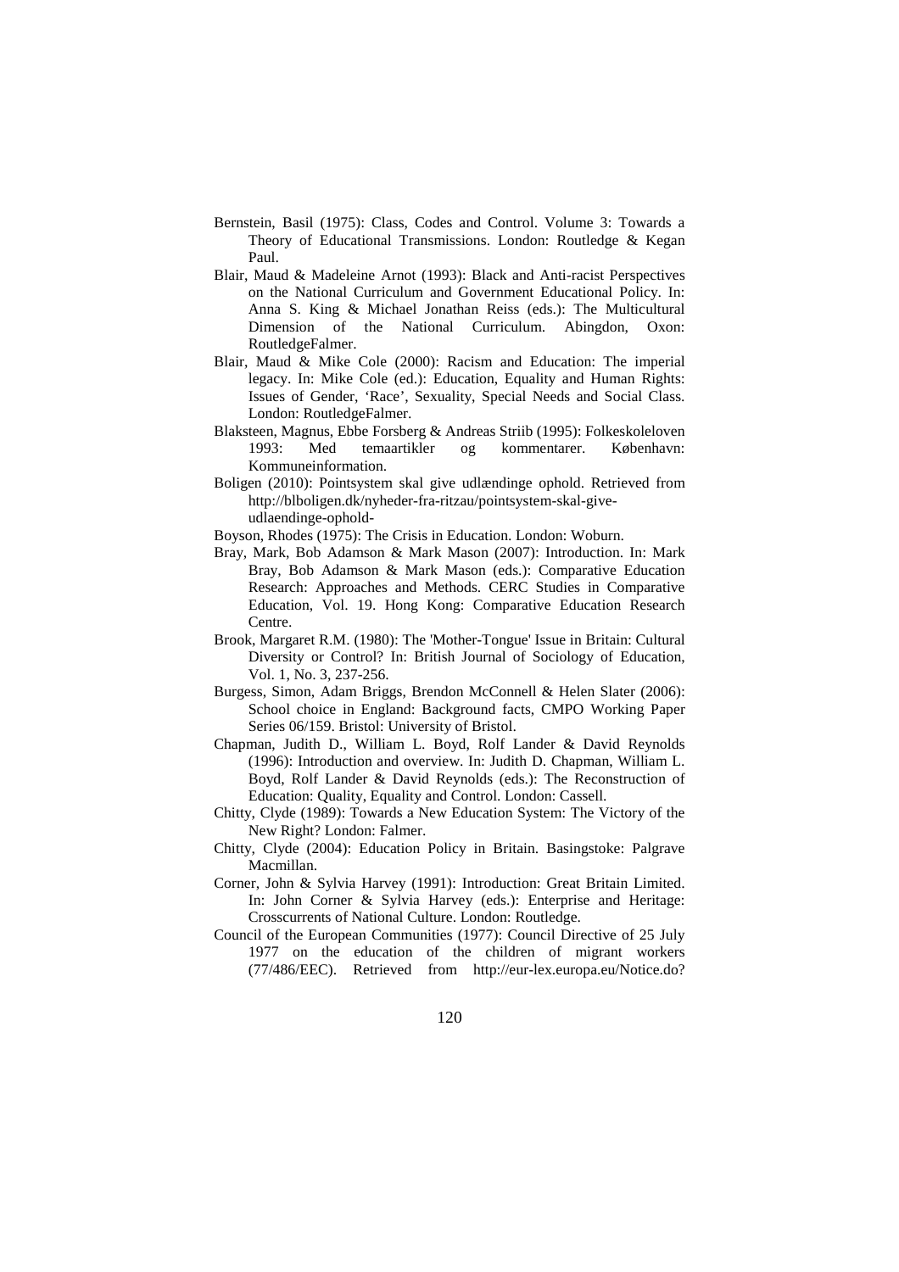- Bernstein, Basil (1975): Class, Codes and Control. Volume 3: Towards a Theory of Educational Transmissions. London: Routledge & Kegan Paul.
- Blair, Maud & Madeleine Arnot (1993): Black and Anti-racist Perspectives on the National Curriculum and Government Educational Policy. In: Anna S. King & Michael Jonathan Reiss (eds.): The Multicultural Dimension of the National Curriculum. Abingdon, Oxon: RoutledgeFalmer.
- Blair, Maud & Mike Cole (2000): Racism and Education: The imperial legacy. In: Mike Cole (ed.): Education, Equality and Human Rights: Issues of Gender, 'Race', Sexuality, Special Needs and Social Class. London: RoutledgeFalmer.
- Blaksteen, Magnus, Ebbe Forsberg & Andreas Striib (1995): Folkeskoleloven 1993: Med temaartikler og kommentarer. København: Kommuneinformation.
- Boligen (2010): Pointsystem skal give udlændinge ophold. Retrieved from http://blboligen.dk/nyheder-fra-ritzau/pointsystem-skal-giveudlaendinge-ophold-
- Boyson, Rhodes (1975): The Crisis in Education. London: Woburn.
- Bray, Mark, Bob Adamson & Mark Mason (2007): Introduction. In: Mark Bray, Bob Adamson & Mark Mason (eds.): Comparative Education Research: Approaches and Methods. CERC Studies in Comparative Education, Vol. 19. Hong Kong: Comparative Education Research Centre.
- Brook, Margaret R.M. (1980): The 'Mother-Tongue' Issue in Britain: Cultural Diversity or Control? In: British Journal of Sociology of Education, Vol. 1, No. 3, 237-256.
- Burgess, Simon, Adam Briggs, Brendon McConnell & Helen Slater (2006): School choice in England: Background facts, CMPO Working Paper Series 06/159. Bristol: University of Bristol.
- Chapman, Judith D., William L. Boyd, Rolf Lander & David Reynolds (1996): Introduction and overview. In: Judith D. Chapman, William L. Boyd, Rolf Lander & David Reynolds (eds.): The Reconstruction of Education: Quality, Equality and Control. London: Cassell.
- Chitty, Clyde (1989): Towards a New Education System: The Victory of the New Right? London: Falmer.
- Chitty, Clyde (2004): Education Policy in Britain. Basingstoke: Palgrave Macmillan.
- Corner, John & Sylvia Harvey (1991): Introduction: Great Britain Limited. In: John Corner & Sylvia Harvey (eds.): Enterprise and Heritage: Crosscurrents of National Culture. London: Routledge.
- Council of the European Communities (1977): Council Directive of 25 July 1977 on the education of the children of migrant workers (77/486/EEC). Retrieved from http://eur-lex.europa.eu/Notice.do?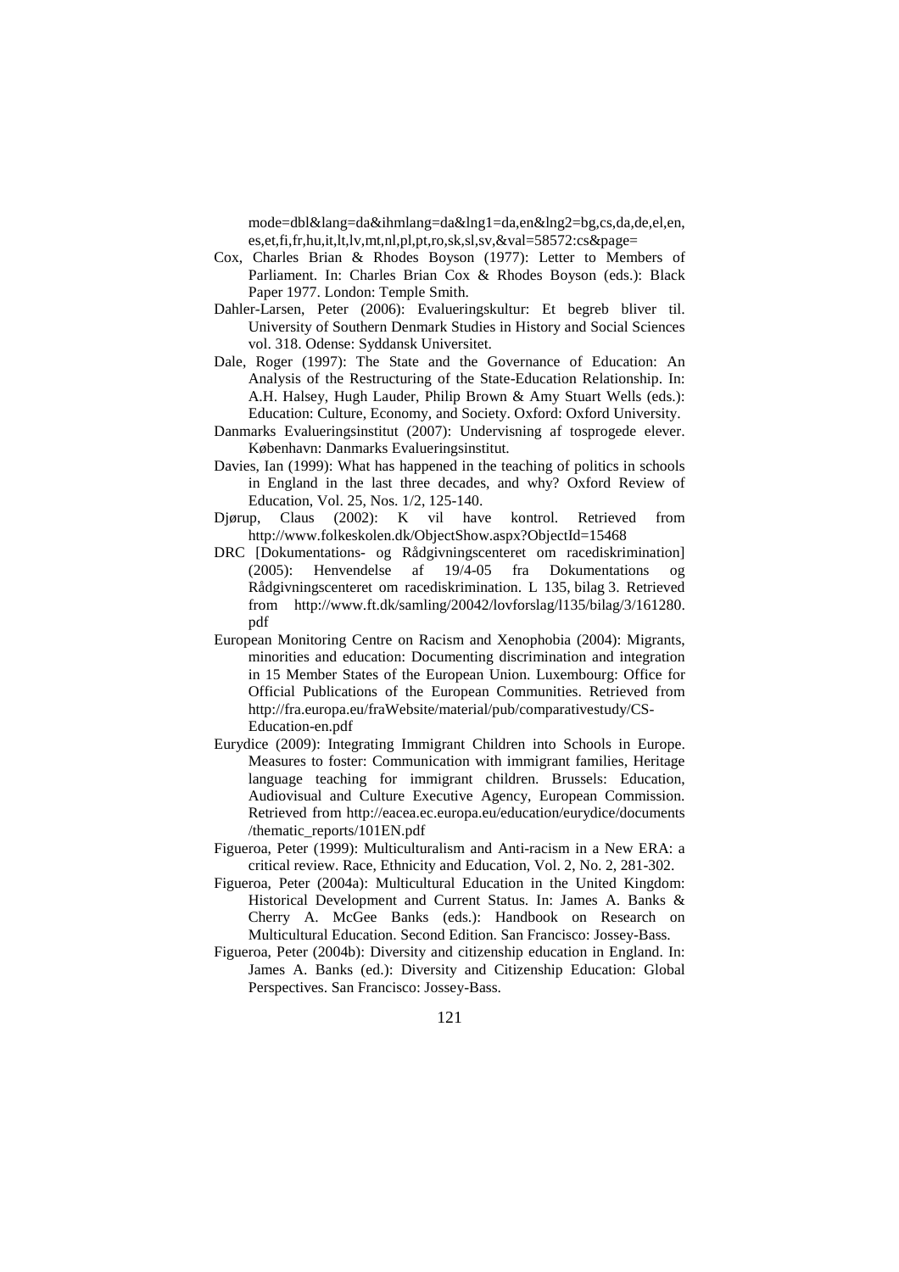mode=dbl&lang=da&ihmlang=da&lng1=da,en&lng2=bg,cs,da,de,el,en, es,et,fi,fr,hu,it,lt,lv,mt,nl,pl,pt,ro,sk,sl,sv,&val=58572:cs&page=

- Cox, Charles Brian & Rhodes Boyson (1977): Letter to Members of Parliament. In: Charles Brian Cox & Rhodes Boyson (eds.): Black Paper 1977. London: Temple Smith.
- Dahler-Larsen, Peter (2006): Evalueringskultur: Et begreb bliver til. University of Southern Denmark Studies in History and Social Sciences vol. 318. Odense: Syddansk Universitet.
- Dale, Roger (1997): The State and the Governance of Education: An Analysis of the Restructuring of the State-Education Relationship. In: A.H. Halsey, Hugh Lauder, Philip Brown & Amy Stuart Wells (eds.): Education: Culture, Economy, and Society. Oxford: Oxford University.
- Danmarks Evalueringsinstitut (2007): Undervisning af tosprogede elever. København: Danmarks Evalueringsinstitut.
- Davies, Ian (1999): What has happened in the teaching of politics in schools in England in the last three decades, and why? Oxford Review of Education, Vol. 25, Nos. 1/2, 125-140.
- Djørup, Claus (2002): K vil have kontrol. Retrieved from http://www.folkeskolen.dk/ObjectShow.aspx?ObjectId=15468
- DRC [Dokumentations- og Rådgivningscenteret om racediskrimination] (2005): Henvendelse af 19/4-05 fra Dokumentations og (2005): Henvendelse af 19/4-05 fra Dokumentations og Rådgivningscenteret om racediskrimination. L 135, bilag 3. Retrieved from http://www.ft.dk/samling/20042/lovforslag/l135/bilag/3/161280. pdf
- European Monitoring Centre on Racism and Xenophobia (2004): Migrants, minorities and education: Documenting discrimination and integration in 15 Member States of the European Union. Luxembourg: Office for Official Publications of the European Communities. Retrieved from http://fra.europa.eu/fraWebsite/material/pub/comparativestudy/CS-Education-en.pdf
- Eurydice (2009): Integrating Immigrant Children into Schools in Europe. Measures to foster: Communication with immigrant families, Heritage language teaching for immigrant children. Brussels: Education, Audiovisual and Culture Executive Agency, European Commission. Retrieved from http://eacea.ec.europa.eu/education/eurydice/documents /thematic\_reports/101EN.pdf
- Figueroa, Peter (1999): Multiculturalism and Anti-racism in a New ERA: a critical review. Race, Ethnicity and Education, Vol. 2, No. 2, 281-302.
- Figueroa, Peter (2004a): Multicultural Education in the United Kingdom: Historical Development and Current Status. In: James A. Banks & Cherry A. McGee Banks (eds.): Handbook on Research on Multicultural Education. Second Edition. San Francisco: Jossey-Bass.
- Figueroa, Peter (2004b): Diversity and citizenship education in England. In: James A. Banks (ed.): Diversity and Citizenship Education: Global Perspectives. San Francisco: Jossey-Bass.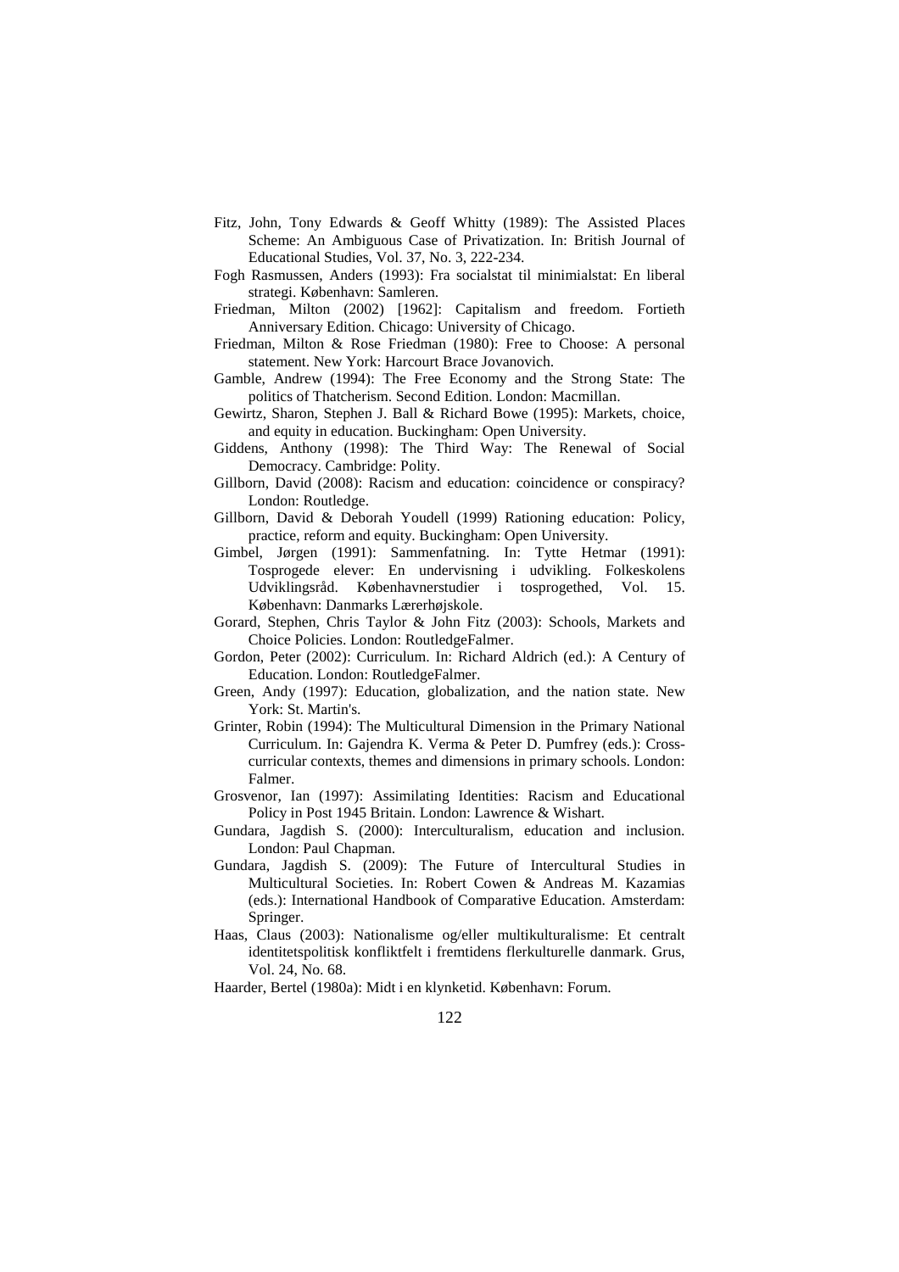- Fitz, John, Tony Edwards & Geoff Whitty (1989): The Assisted Places Scheme: An Ambiguous Case of Privatization. In: British Journal of Educational Studies, Vol. 37, No. 3, 222-234.
- Fogh Rasmussen, Anders (1993): Fra socialstat til minimialstat: En liberal strategi. København: Samleren.
- Friedman, Milton (2002) [1962]: Capitalism and freedom. Fortieth Anniversary Edition. Chicago: University of Chicago.
- Friedman, Milton & Rose Friedman (1980): Free to Choose: A personal statement. New York: Harcourt Brace Jovanovich.
- Gamble, Andrew (1994): The Free Economy and the Strong State: The politics of Thatcherism. Second Edition. London: Macmillan.
- Gewirtz, Sharon, Stephen J. Ball & Richard Bowe (1995): Markets, choice, and equity in education. Buckingham: Open University.
- Giddens, Anthony (1998): The Third Way: The Renewal of Social Democracy. Cambridge: Polity.
- Gillborn, David (2008): Racism and education: coincidence or conspiracy? London: Routledge.
- Gillborn, David & Deborah Youdell (1999) Rationing education: Policy, practice, reform and equity. Buckingham: Open University.
- Gimbel, Jørgen (1991): Sammenfatning. In: Tytte Hetmar (1991): Tosprogede elever: En undervisning i udvikling. Folkeskolens Udviklingsråd. Københavnerstudier i tosprogethed, Vol. 15. København: Danmarks Lærerhøjskole.
- Gorard, Stephen, Chris Taylor & John Fitz (2003): Schools, Markets and Choice Policies. London: RoutledgeFalmer.
- Gordon, Peter (2002): Curriculum. In: Richard Aldrich (ed.): A Century of Education. London: RoutledgeFalmer.
- Green, Andy (1997): Education, globalization, and the nation state. New York: St. Martin's.
- Grinter, Robin (1994): The Multicultural Dimension in the Primary National Curriculum. In: Gajendra K. Verma & Peter D. Pumfrey (eds.): Crosscurricular contexts, themes and dimensions in primary schools. London: Falmer.
- Grosvenor, Ian (1997): Assimilating Identities: Racism and Educational Policy in Post 1945 Britain. London: Lawrence & Wishart.
- Gundara, Jagdish S. (2000): Interculturalism, education and inclusion. London: Paul Chapman.
- Gundara, Jagdish S. (2009): The Future of Intercultural Studies in Multicultural Societies. In: Robert Cowen & Andreas M. Kazamias (eds.): International Handbook of Comparative Education. Amsterdam: Springer.
- Haas, Claus (2003): Nationalisme og/eller multikulturalisme: Et centralt identitetspolitisk konfliktfelt i fremtidens flerkulturelle danmark. Grus, Vol. 24, No. 68.
- Haarder, Bertel (1980a): Midt i en klynketid. København: Forum.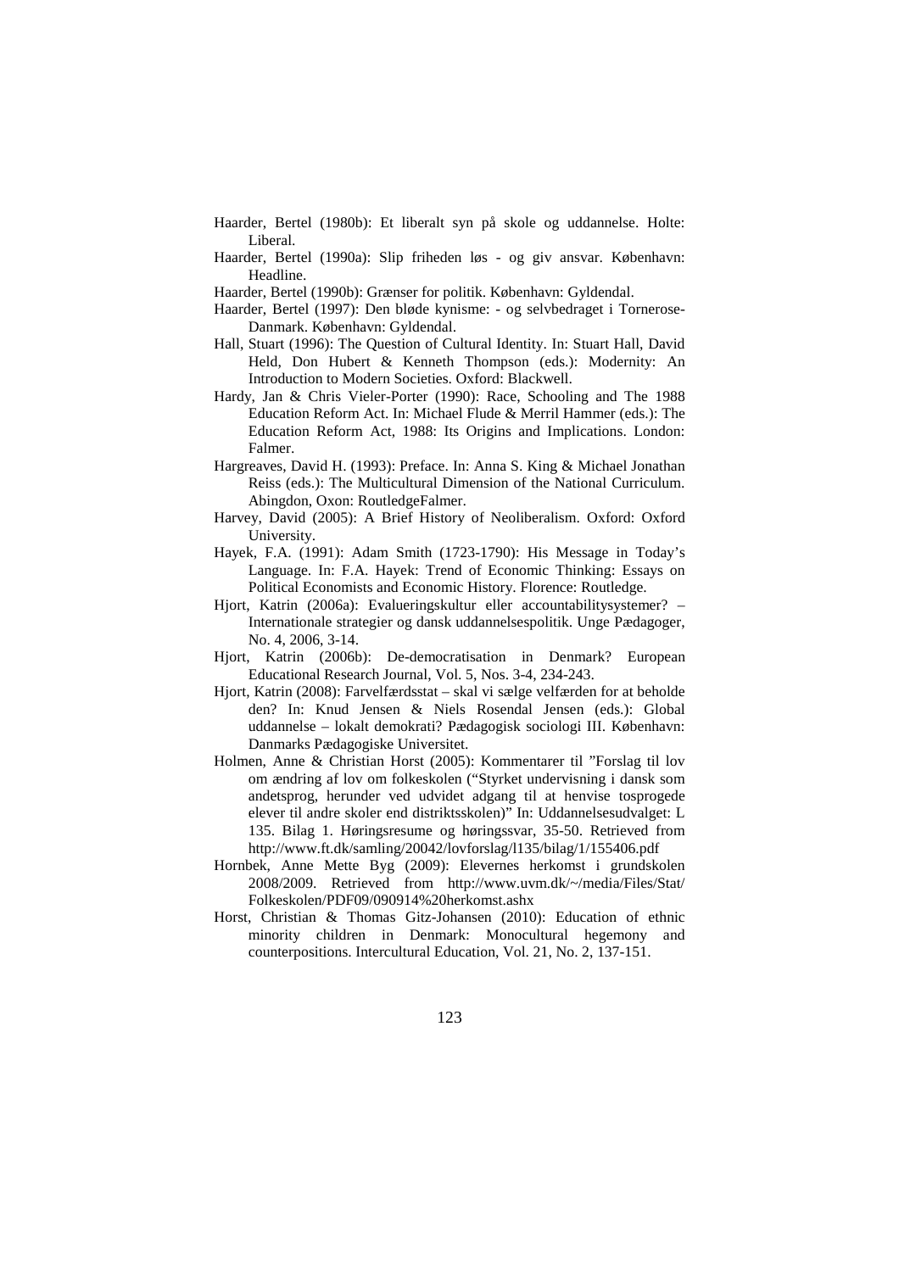- Haarder, Bertel (1980b): Et liberalt syn på skole og uddannelse. Holte: Liberal.
- Haarder, Bertel (1990a): Slip friheden løs og giv ansvar. København: Headline.
- Haarder, Bertel (1990b): Grænser for politik. København: Gyldendal.
- Haarder, Bertel (1997): Den bløde kynisme: og selvbedraget i Tornerose-Danmark. København: Gyldendal.
- Hall, Stuart (1996): The Question of Cultural Identity. In: Stuart Hall, David Held, Don Hubert & Kenneth Thompson (eds.): Modernity: An Introduction to Modern Societies. Oxford: Blackwell.
- Hardy, Jan & Chris Vieler-Porter (1990): Race, Schooling and The 1988 Education Reform Act. In: Michael Flude & Merril Hammer (eds.): The Education Reform Act, 1988: Its Origins and Implications. London: Falmer.
- Hargreaves, David H. (1993): Preface. In: Anna S. King & Michael Jonathan Reiss (eds.): The Multicultural Dimension of the National Curriculum. Abingdon, Oxon: RoutledgeFalmer.
- Harvey, David (2005): A Brief History of Neoliberalism. Oxford: Oxford University.
- Hayek, F.A. (1991): Adam Smith (1723-1790): His Message in Today's Language. In: F.A. Hayek: Trend of Economic Thinking: Essays on Political Economists and Economic History. Florence: Routledge.
- Hjort, Katrin (2006a): Evalueringskultur eller accountabilitysystemer? Internationale strategier og dansk uddannelsespolitik. Unge Pædagoger, No. 4, 2006, 3-14.
- Hjort, Katrin (2006b): De-democratisation in Denmark? European Educational Research Journal, Vol. 5, Nos. 3-4, 234-243.
- Hjort, Katrin (2008): Farvelfærdsstat skal vi sælge velfærden for at beholde den? In: Knud Jensen & Niels Rosendal Jensen (eds.): Global uddannelse – lokalt demokrati? Pædagogisk sociologi III. København: Danmarks Pædagogiske Universitet.
- Holmen, Anne & Christian Horst (2005): Kommentarer til "Forslag til lov om ændring af lov om folkeskolen ("Styrket undervisning i dansk som andetsprog, herunder ved udvidet adgang til at henvise tosprogede elever til andre skoler end distriktsskolen)" In: Uddannelsesudvalget: L 135. Bilag 1. Høringsresume og høringssvar, 35-50. Retrieved from http://www.ft.dk/samling/20042/lovforslag/l135/bilag/1/155406.pdf
- Hornbek, Anne Mette Byg (2009): Elevernes herkomst i grundskolen 2008/2009. Retrieved from http://www.uvm.dk/~/media/Files/Stat/ Folkeskolen/PDF09/090914%20herkomst.ashx
- Horst, Christian & Thomas Gitz-Johansen (2010): Education of ethnic minority children in Denmark: Monocultural hegemony and counterpositions. Intercultural Education, Vol. 21, No. 2, 137-151.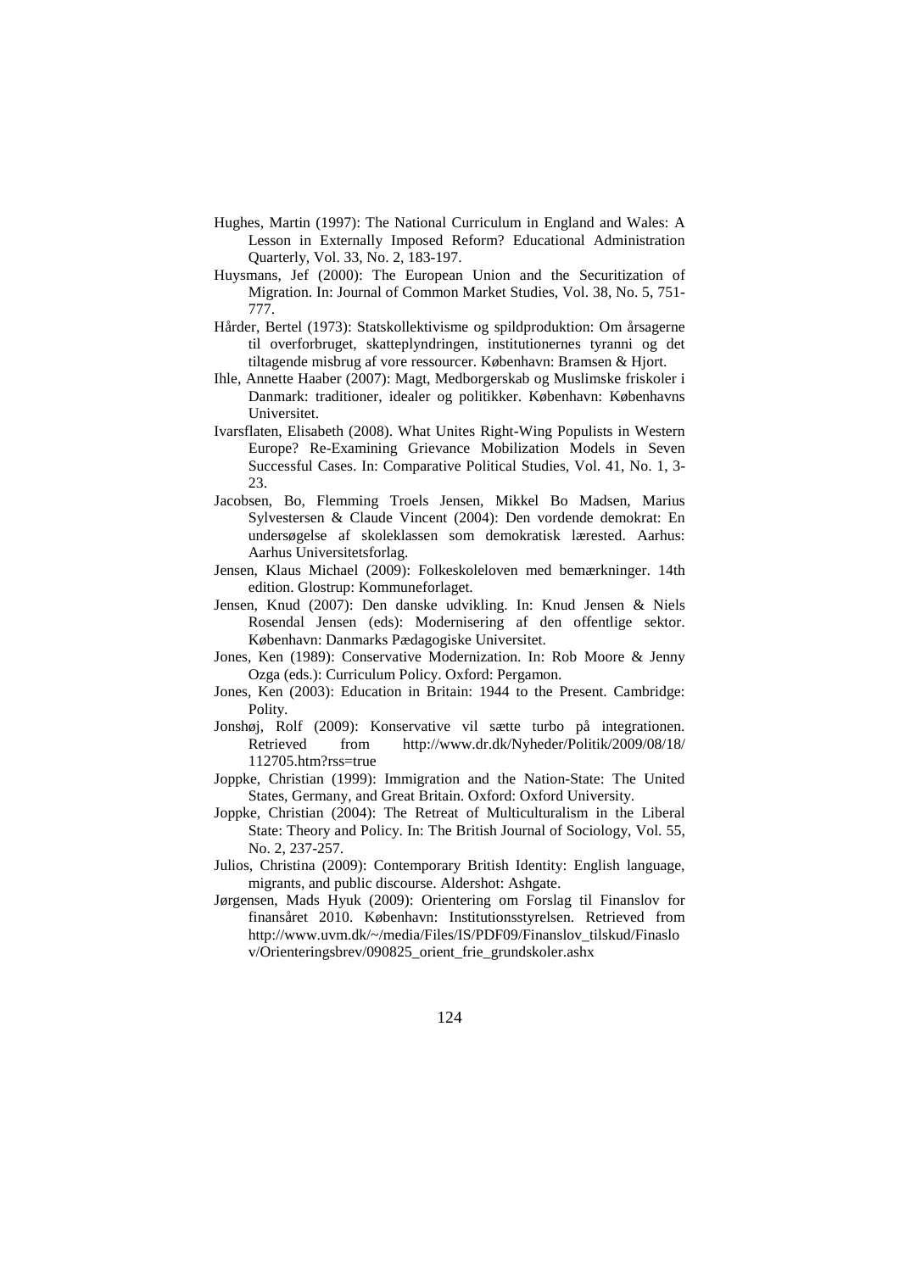- Hughes, Martin (1997): The National Curriculum in England and Wales: A Lesson in Externally Imposed Reform? Educational Administration Quarterly, Vol. 33, No. 2, 183-197.
- Huysmans, Jef (2000): The European Union and the Securitization of Migration. In: Journal of Common Market Studies, Vol. 38, No. 5, 751- 777.
- Hårder, Bertel (1973): Statskollektivisme og spildproduktion: Om årsagerne til overforbruget, skatteplyndringen, institutionernes tyranni og det tiltagende misbrug af vore ressourcer. København: Bramsen & Hjort.
- Ihle, Annette Haaber (2007): Magt, Medborgerskab og Muslimske friskoler i Danmark: traditioner, idealer og politikker. København: Københavns Universitet.
- Ivarsflaten, Elisabeth (2008). What Unites Right-Wing Populists in Western Europe? Re-Examining Grievance Mobilization Models in Seven Successful Cases. In: Comparative Political Studies, Vol. 41, No. 1, 3- 23.
- Jacobsen, Bo, Flemming Troels Jensen, Mikkel Bo Madsen, Marius Sylvestersen & Claude Vincent (2004): Den vordende demokrat: En undersøgelse af skoleklassen som demokratisk lærested. Aarhus: Aarhus Universitetsforlag.
- Jensen, Klaus Michael (2009): Folkeskoleloven med bemærkninger. 14th edition. Glostrup: Kommuneforlaget.
- Jensen, Knud (2007): Den danske udvikling. In: Knud Jensen & Niels Rosendal Jensen (eds): Modernisering af den offentlige sektor. København: Danmarks Pædagogiske Universitet.
- Jones, Ken (1989): Conservative Modernization. In: Rob Moore & Jenny Ozga (eds.): Curriculum Policy. Oxford: Pergamon.
- Jones, Ken (2003): Education in Britain: 1944 to the Present. Cambridge: Polity.
- Jonshøj, Rolf (2009): Konservative vil sætte turbo på integrationen. Retrieved from http://www.dr.dk/Nyheder/Politik/2009/08/18/ 112705.htm?rss=true
- Joppke, Christian (1999): Immigration and the Nation-State: The United States, Germany, and Great Britain. Oxford: Oxford University.
- Joppke, Christian (2004): The Retreat of Multiculturalism in the Liberal State: Theory and Policy. In: The British Journal of Sociology, Vol. 55, No. 2, 237-257.
- Julios, Christina (2009): Contemporary British Identity: English language, migrants, and public discourse. Aldershot: Ashgate.
- Jørgensen, Mads Hyuk (2009): Orientering om Forslag til Finanslov for finansåret 2010. København: Institutionsstyrelsen. Retrieved from http://www.uvm.dk/~/media/Files/IS/PDF09/Finanslov\_tilskud/Finaslo v/Orienteringsbrev/090825\_orient\_frie\_grundskoler.ashx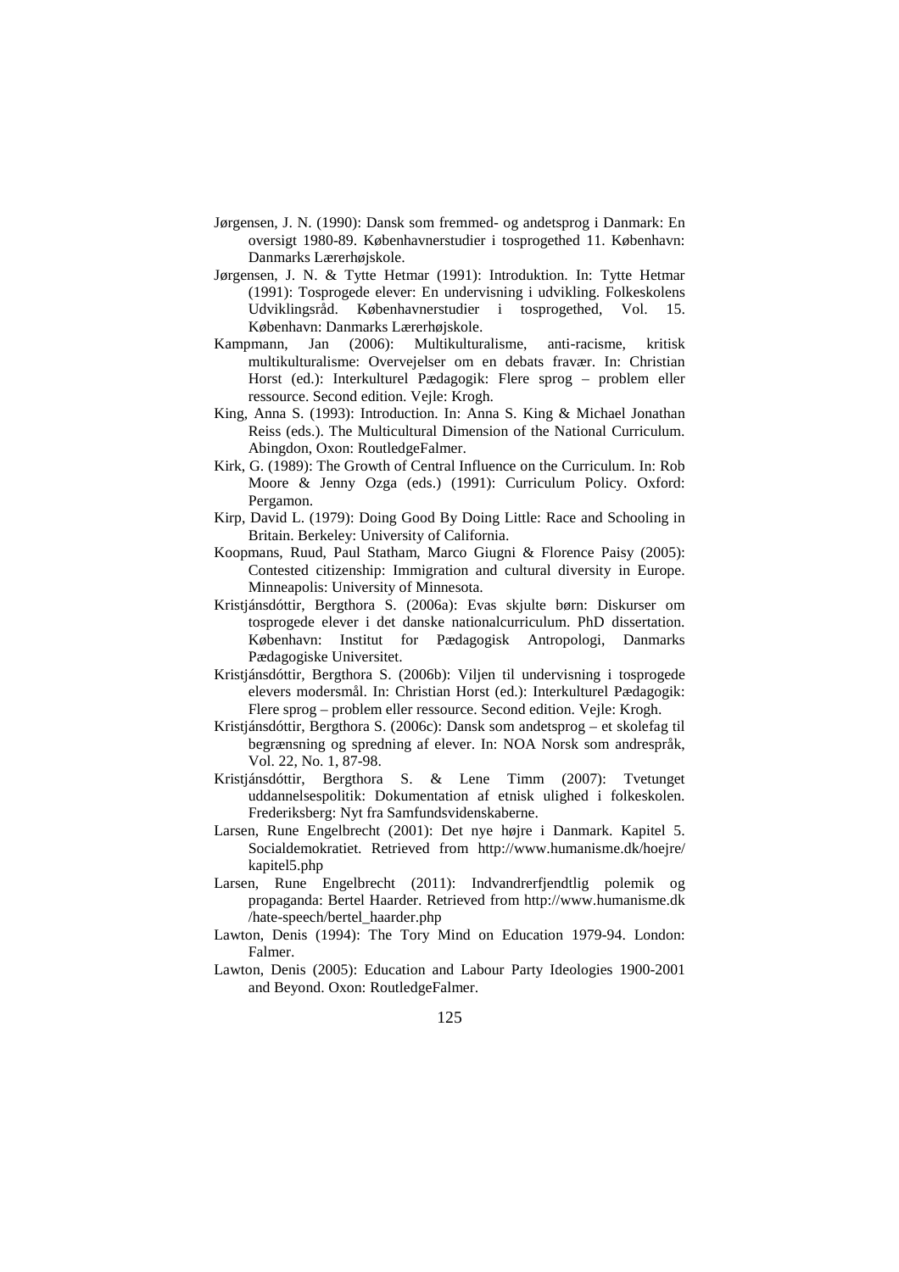- Jørgensen, J. N. (1990): Dansk som fremmed- og andetsprog i Danmark: En oversigt 1980-89. Københavnerstudier i tosprogethed 11. København: Danmarks Lærerhøjskole.
- Jørgensen, J. N. & Tytte Hetmar (1991): Introduktion. In: Tytte Hetmar (1991): Tosprogede elever: En undervisning i udvikling. Folkeskolens Udviklingsråd. Københavnerstudier i tosprogethed, Vol. 15. København: Danmarks Lærerhøjskole.
- Kampmann, Jan (2006): Multikulturalisme, anti-racisme, kritisk multikulturalisme: Overvejelser om en debats fravær. In: Christian Horst (ed.): Interkulturel Pædagogik: Flere sprog – problem eller ressource. Second edition. Vejle: Krogh.
- King, Anna S. (1993): Introduction. In: Anna S. King & Michael Jonathan Reiss (eds.). The Multicultural Dimension of the National Curriculum. Abingdon, Oxon: RoutledgeFalmer.
- Kirk, G. (1989): The Growth of Central Influence on the Curriculum. In: Rob Moore & Jenny Ozga (eds.) (1991): Curriculum Policy. Oxford: Pergamon.
- Kirp, David L. (1979): Doing Good By Doing Little: Race and Schooling in Britain. Berkeley: University of California.
- Koopmans, Ruud, Paul Statham, Marco Giugni & Florence Paisy (2005): Contested citizenship: Immigration and cultural diversity in Europe. Minneapolis: University of Minnesota.
- Kristjánsdóttir, Bergthora S. (2006a): Evas skjulte børn: Diskurser om tosprogede elever i det danske nationalcurriculum. PhD dissertation. København: Institut for Pædagogisk Antropologi, Danmarks Pædagogiske Universitet.
- Kristjánsdóttir, Bergthora S. (2006b): Viljen til undervisning i tosprogede elevers modersmål. In: Christian Horst (ed.): Interkulturel Pædagogik: Flere sprog – problem eller ressource. Second edition. Vejle: Krogh.
- Kristjánsdóttir, Bergthora S. (2006c): Dansk som andetsprog et skolefag til begrænsning og spredning af elever. In: NOA Norsk som andrespråk, Vol. 22, No. 1, 87-98.
- Kristjánsdóttir, Bergthora S. & Lene Timm (2007): Tvetunget uddannelsespolitik: Dokumentation af etnisk ulighed i folkeskolen. Frederiksberg: Nyt fra Samfundsvidenskaberne.
- Larsen, Rune Engelbrecht (2001): Det nye højre i Danmark. Kapitel 5. Socialdemokratiet. Retrieved from http://www.humanisme.dk/hoejre/ kapitel5.php
- Larsen, Rune Engelbrecht (2011): Indvandrerfjendtlig polemik og propaganda: Bertel Haarder. Retrieved from http://www.humanisme.dk /hate-speech/bertel\_haarder.php
- Lawton, Denis (1994): The Tory Mind on Education 1979-94. London: Falmer.
- Lawton, Denis (2005): Education and Labour Party Ideologies 1900-2001 and Beyond. Oxon: RoutledgeFalmer.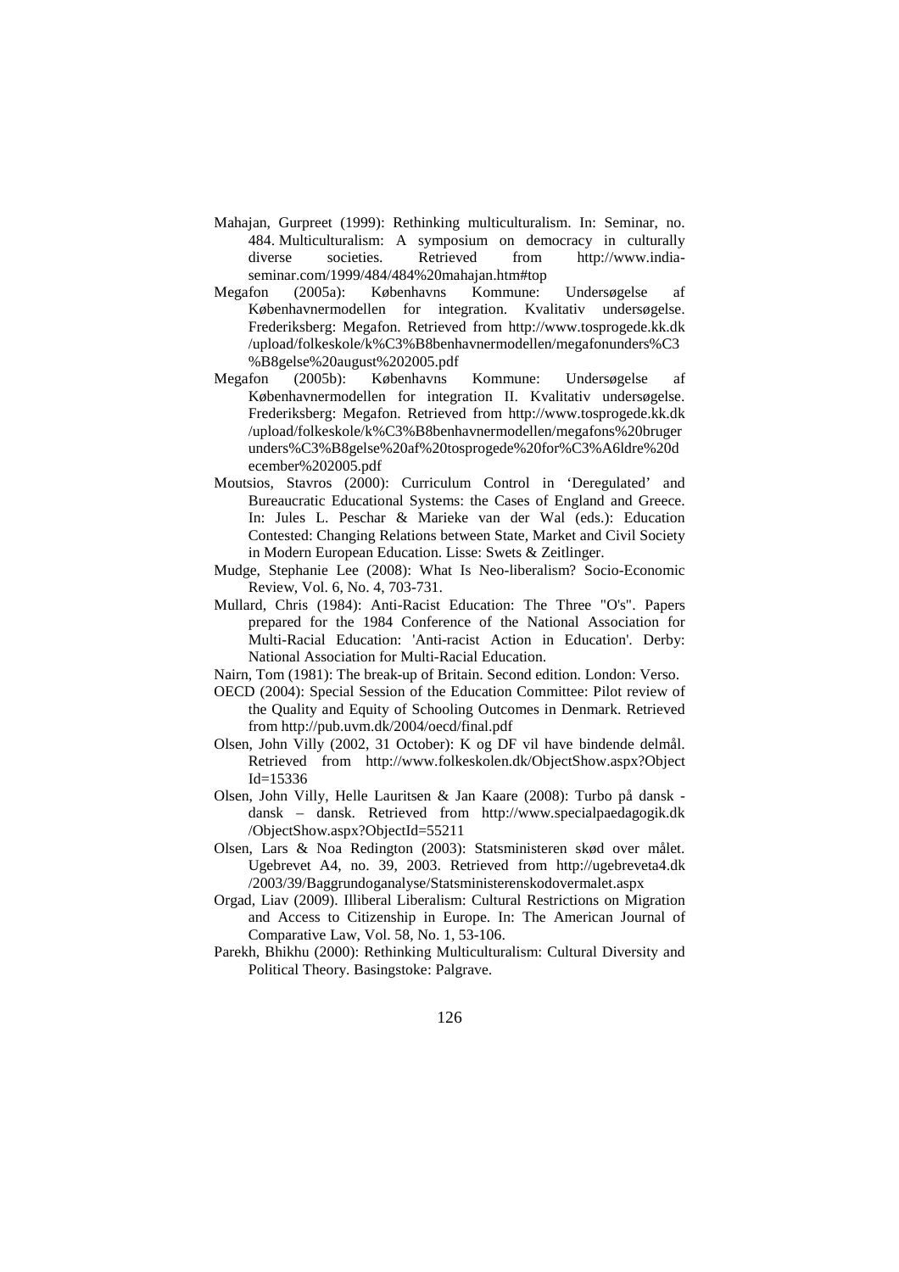- Mahajan, Gurpreet (1999): Rethinking multiculturalism. In: Seminar, no. 484. Multiculturalism: A symposium on democracy in culturally diverse societies. Retrieved from http://www.indiaseminar.com/1999/484/484%20mahajan.htm#top
- Megafon (2005a): Københavns Kommune: Undersøgelse af Københavnermodellen for integration. Kvalitativ undersøgelse. Frederiksberg: Megafon. Retrieved from http://www.tosprogede.kk.dk /upload/folkeskole/k%C3%B8benhavnermodellen/megafonunders%C3 %B8gelse%20august%202005.pdf
- Megafon (2005b): Københavns Kommune: Undersøgelse af Københavnermodellen for integration II. Kvalitativ undersøgelse. Frederiksberg: Megafon. Retrieved from http://www.tosprogede.kk.dk /upload/folkeskole/k%C3%B8benhavnermodellen/megafons%20bruger unders%C3%B8gelse%20af%20tosprogede%20for%C3%A6ldre%20d ecember%202005.pdf
- Moutsios, Stavros (2000): Curriculum Control in 'Deregulated' and Bureaucratic Educational Systems: the Cases of England and Greece. In: Jules L. Peschar & Marieke van der Wal (eds.): Education Contested: Changing Relations between State, Market and Civil Society in Modern European Education. Lisse: Swets & Zeitlinger.
- Mudge, Stephanie Lee (2008): What Is Neo-liberalism? Socio-Economic Review, Vol. 6, No. 4, 703-731.
- Mullard, Chris (1984): Anti-Racist Education: The Three "O's". Papers prepared for the 1984 Conference of the National Association for Multi-Racial Education: 'Anti-racist Action in Education'. Derby: National Association for Multi-Racial Education.
- Nairn, Tom (1981): The break-up of Britain. Second edition. London: Verso.
- OECD (2004): Special Session of the Education Committee: Pilot review of the Quality and Equity of Schooling Outcomes in Denmark. Retrieved from http://pub.uvm.dk/2004/oecd/final.pdf
- Olsen, John Villy (2002, 31 October): K og DF vil have bindende delmål. Retrieved from http://www.folkeskolen.dk/ObjectShow.aspx?Object Id=15336
- Olsen, John Villy, Helle Lauritsen & Jan Kaare (2008): Turbo på dansk dansk – dansk. Retrieved from http://www.specialpaedagogik.dk /ObjectShow.aspx?ObjectId=55211
- Olsen, Lars & Noa Redington (2003): Statsministeren skød over målet. Ugebrevet A4, no. 39, 2003. Retrieved from http://ugebreveta4.dk /2003/39/Baggrundoganalyse/Statsministerenskodovermalet.aspx
- Orgad, Liav (2009). Illiberal Liberalism: Cultural Restrictions on Migration and Access to Citizenship in Europe. In: The American Journal of Comparative Law, Vol. 58, No. 1, 53-106.
- Parekh, Bhikhu (2000): Rethinking Multiculturalism: Cultural Diversity and Political Theory. Basingstoke: Palgrave.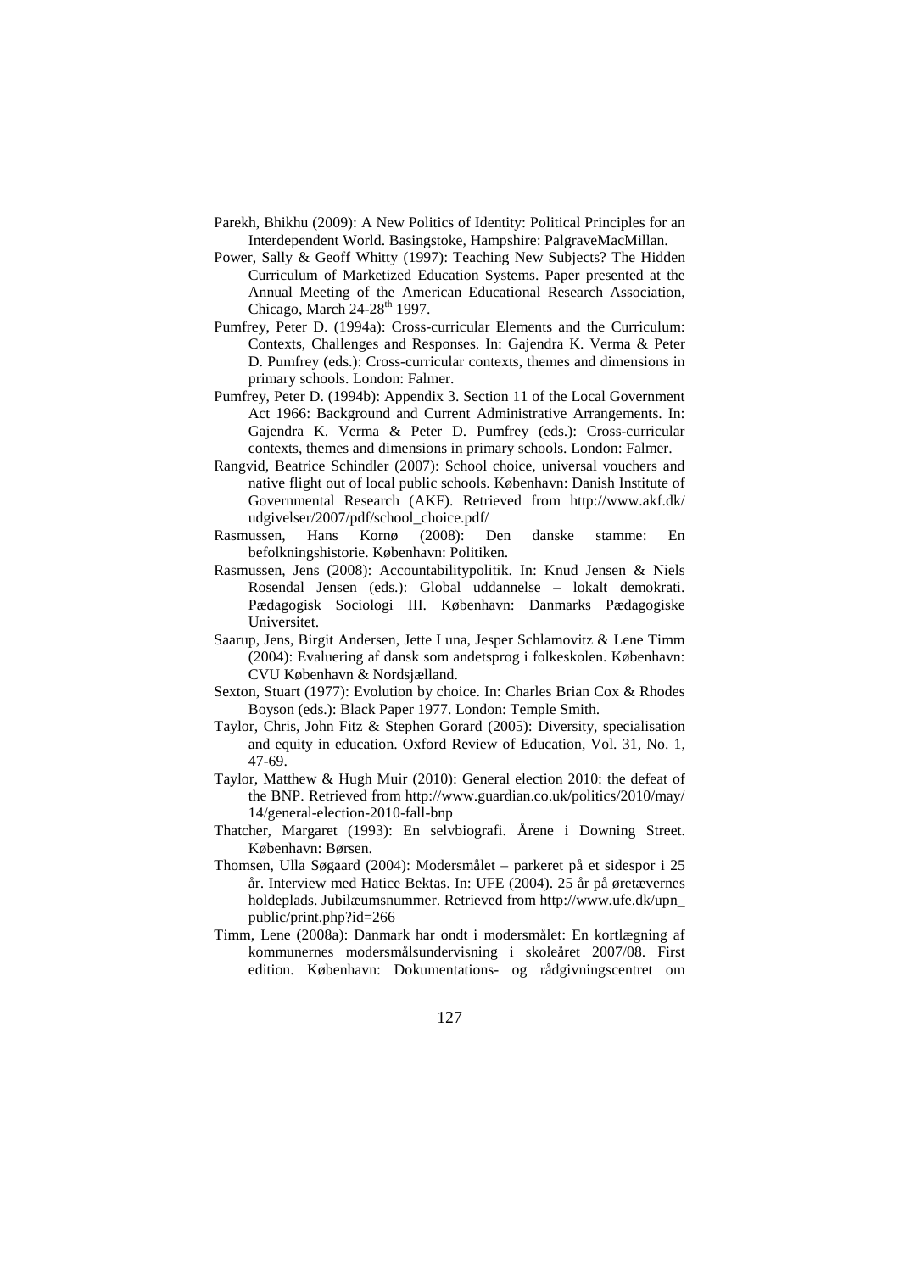- Parekh, Bhikhu (2009): A New Politics of Identity: Political Principles for an Interdependent World. Basingstoke, Hampshire: PalgraveMacMillan.
- Power, Sally & Geoff Whitty (1997): Teaching New Subjects? The Hidden Curriculum of Marketized Education Systems. Paper presented at the Annual Meeting of the American Educational Research Association, Chicago, March  $24-28$ <sup>th</sup> 1997.
- Pumfrey, Peter D. (1994a): Cross-curricular Elements and the Curriculum: Contexts, Challenges and Responses. In: Gajendra K. Verma & Peter D. Pumfrey (eds.): Cross-curricular contexts, themes and dimensions in primary schools. London: Falmer.
- Pumfrey, Peter D. (1994b): Appendix 3. Section 11 of the Local Government Act 1966: Background and Current Administrative Arrangements. In: Gajendra K. Verma & Peter D. Pumfrey (eds.): Cross-curricular contexts, themes and dimensions in primary schools. London: Falmer.
- Rangvid, Beatrice Schindler (2007): School choice, universal vouchers and native flight out of local public schools. København: Danish Institute of Governmental Research (AKF). Retrieved from http://www.akf.dk/ udgivelser/2007/pdf/school\_choice.pdf/
- Rasmussen, Hans Kornø (2008): Den danske stamme: En befolkningshistorie. København: Politiken.
- Rasmussen, Jens (2008): Accountabilitypolitik. In: Knud Jensen & Niels Rosendal Jensen (eds.): Global uddannelse – lokalt demokrati. Pædagogisk Sociologi III. København: Danmarks Pædagogiske Universitet.
- Saarup, Jens, Birgit Andersen, Jette Luna, Jesper Schlamovitz & Lene Timm (2004): Evaluering af dansk som andetsprog i folkeskolen. København: CVU København & Nordsjælland.
- Sexton, Stuart (1977): Evolution by choice. In: Charles Brian Cox & Rhodes Boyson (eds.): Black Paper 1977. London: Temple Smith.
- Taylor, Chris, John Fitz & Stephen Gorard (2005): Diversity, specialisation and equity in education. Oxford Review of Education, Vol. 31, No. 1, 47-69.
- Taylor, Matthew & Hugh Muir (2010): General election 2010: the defeat of the BNP. Retrieved from http://www.guardian.co.uk/politics/2010/may/ 14/general-election-2010-fall-bnp
- Thatcher, Margaret (1993): En selvbiografi. Årene i Downing Street. København: Børsen.
- Thomsen, Ulla Søgaard (2004): Modersmålet parkeret på et sidespor i 25 år. Interview med Hatice Bektas. In: UFE (2004). 25 år på øretævernes holdeplads. Jubilæumsnummer. Retrieved from http://www.ufe.dk/upn\_ public/print.php?id=266
- Timm, Lene (2008a): Danmark har ondt i modersmålet: En kortlægning af kommunernes modersmålsundervisning i skoleåret 2007/08. First edition. København: Dokumentations- og rådgivningscentret om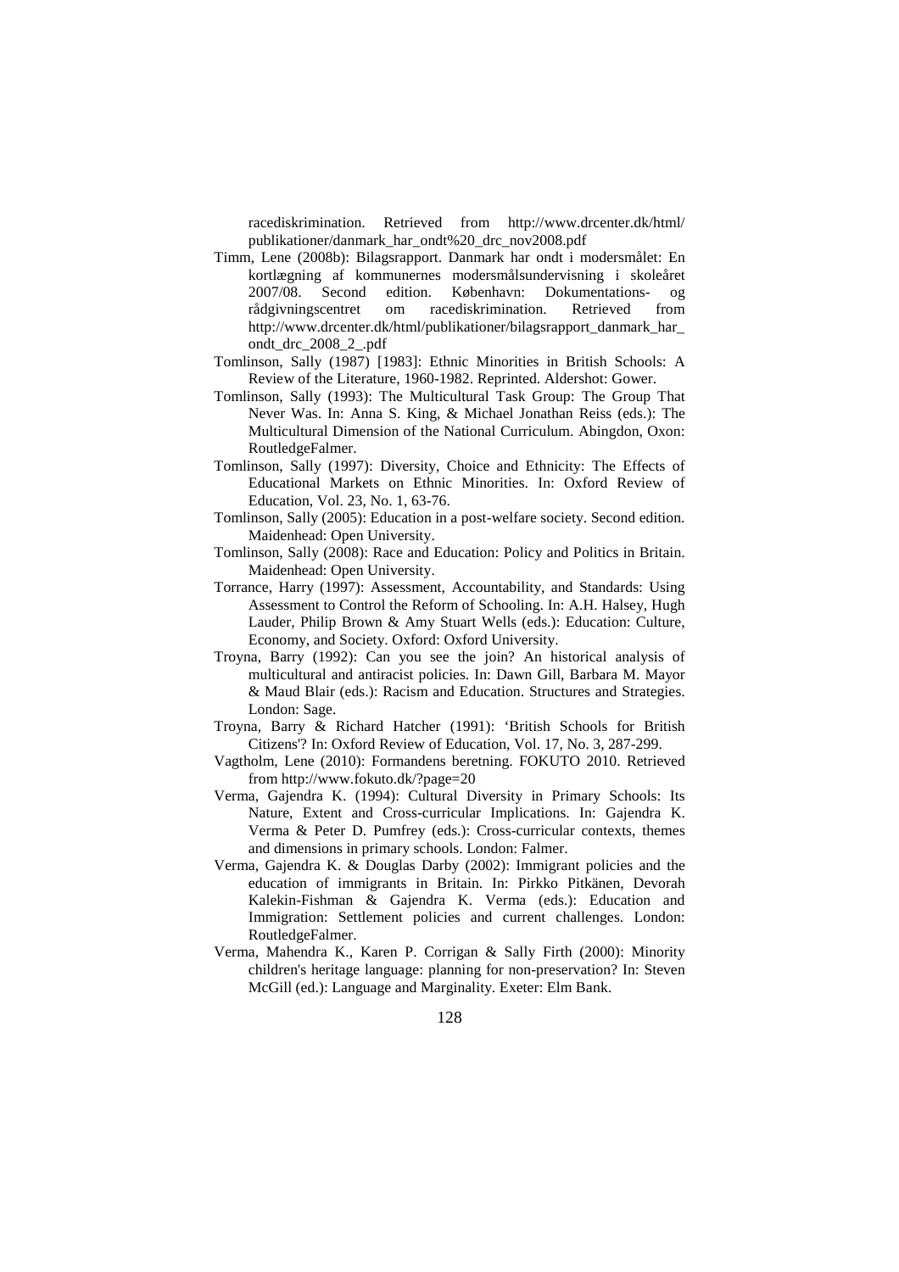racediskrimination. Retrieved from http://www.drcenter.dk/html/ publikationer/danmark\_har\_ondt%20\_drc\_nov2008.pdf

- Timm, Lene (2008b): Bilagsrapport. Danmark har ondt i modersmålet: En kortlægning af kommunernes modersmålsundervisning i skoleåret 2007/08. Second edition. København: Dokumentations- og rådgivningscentret om racediskrimination. Retrieved from http://www.drcenter.dk/html/publikationer/bilagsrapport\_danmark\_har\_ ondt\_drc\_2008\_2\_.pdf
- Tomlinson, Sally (1987) [1983]: Ethnic Minorities in British Schools: A Review of the Literature, 1960-1982. Reprinted. Aldershot: Gower.
- Tomlinson, Sally (1993): The Multicultural Task Group: The Group That Never Was. In: Anna S. King, & Michael Jonathan Reiss (eds.): The Multicultural Dimension of the National Curriculum. Abingdon, Oxon: RoutledgeFalmer.
- Tomlinson, Sally (1997): Diversity, Choice and Ethnicity: The Effects of Educational Markets on Ethnic Minorities. In: Oxford Review of Education, Vol. 23, No. 1, 63-76.
- Tomlinson, Sally (2005): Education in a post-welfare society. Second edition. Maidenhead: Open University.
- Tomlinson, Sally (2008): Race and Education: Policy and Politics in Britain. Maidenhead: Open University.
- Torrance, Harry (1997): Assessment, Accountability, and Standards: Using Assessment to Control the Reform of Schooling. In: A.H. Halsey, Hugh Lauder, Philip Brown & Amy Stuart Wells (eds.): Education: Culture, Economy, and Society. Oxford: Oxford University.
- Troyna, Barry (1992): Can you see the join? An historical analysis of multicultural and antiracist policies. In: Dawn Gill, Barbara M. Mayor & Maud Blair (eds.): Racism and Education. Structures and Strategies. London: Sage.
- Troyna, Barry & Richard Hatcher (1991): 'British Schools for British Citizens'? In: Oxford Review of Education, Vol. 17, No. 3, 287-299.
- Vagtholm, Lene (2010): Formandens beretning. FOKUTO 2010. Retrieved from http://www.fokuto.dk/?page=20
- Verma, Gajendra K. (1994): Cultural Diversity in Primary Schools: Its Nature, Extent and Cross-curricular Implications. In: Gajendra K. Verma & Peter D. Pumfrey (eds.): Cross-curricular contexts, themes and dimensions in primary schools. London: Falmer.
- Verma, Gajendra K. & Douglas Darby (2002): Immigrant policies and the education of immigrants in Britain. In: Pirkko Pitkänen, Devorah Kalekin-Fishman & Gajendra K. Verma (eds.): Education and Immigration: Settlement policies and current challenges. London: RoutledgeFalmer.
- Verma, Mahendra K., Karen P. Corrigan & Sally Firth (2000): Minority children's heritage language: planning for non-preservation? In: Steven McGill (ed.): Language and Marginality. Exeter: Elm Bank.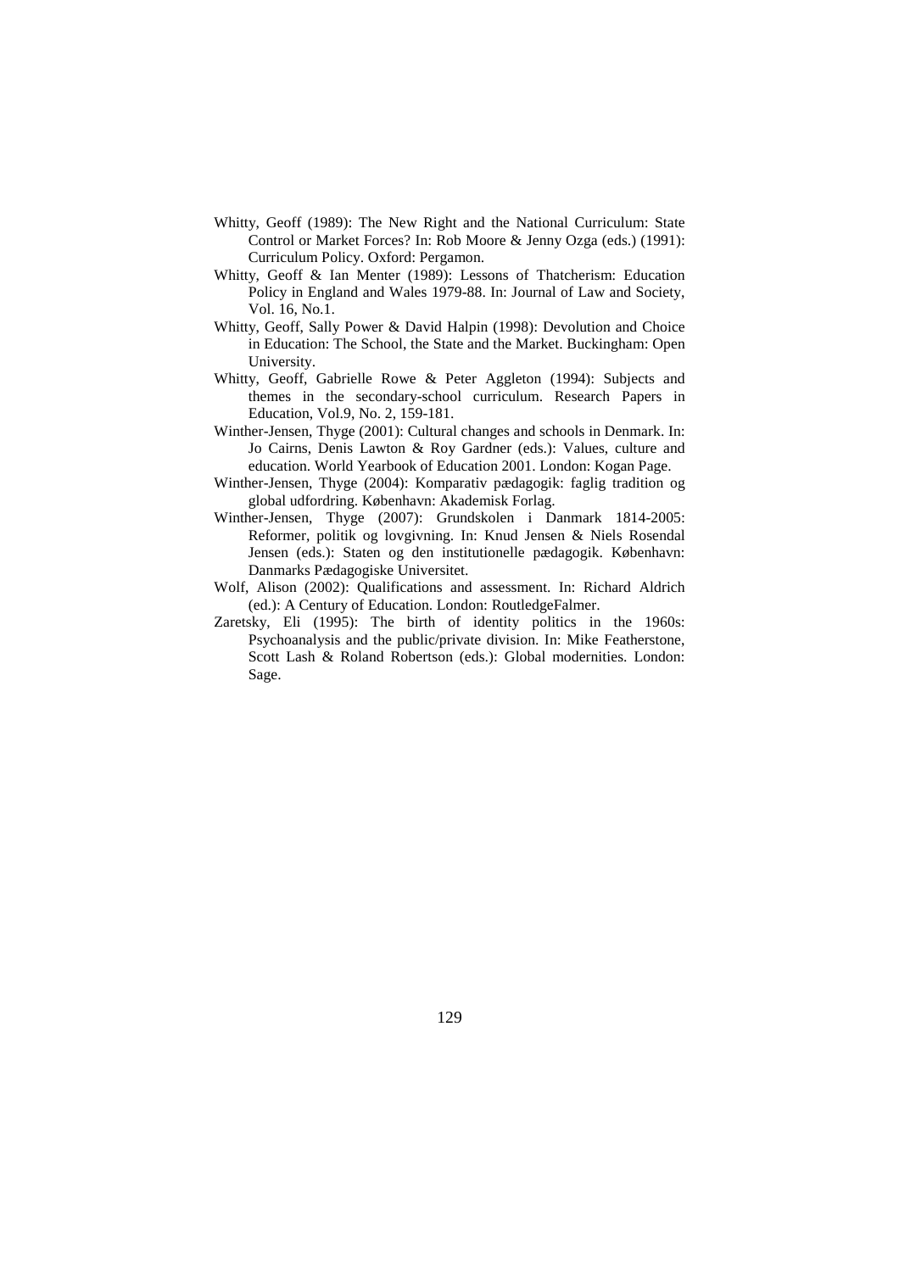- Whitty, Geoff (1989): The New Right and the National Curriculum: State Control or Market Forces? In: Rob Moore & Jenny Ozga (eds.) (1991): Curriculum Policy. Oxford: Pergamon.
- Whitty, Geoff & Ian Menter (1989): Lessons of Thatcherism: Education Policy in England and Wales 1979-88. In: Journal of Law and Society, Vol. 16, No.1.
- Whitty, Geoff, Sally Power & David Halpin (1998): Devolution and Choice in Education: The School, the State and the Market. Buckingham: Open University.
- Whitty, Geoff, Gabrielle Rowe & Peter Aggleton (1994): Subjects and themes in the secondary-school curriculum. Research Papers in Education, Vol.9, No. 2, 159-181.
- Winther-Jensen, Thyge (2001): Cultural changes and schools in Denmark. In: Jo Cairns, Denis Lawton & Roy Gardner (eds.): Values, culture and education. World Yearbook of Education 2001. London: Kogan Page.
- Winther-Jensen, Thyge (2004): Komparativ pædagogik: faglig tradition og global udfordring. København: Akademisk Forlag.
- Winther-Jensen, Thyge (2007): Grundskolen i Danmark 1814-2005: Reformer, politik og lovgivning. In: Knud Jensen & Niels Rosendal Jensen (eds.): Staten og den institutionelle pædagogik. København: Danmarks Pædagogiske Universitet.
- Wolf, Alison (2002): Qualifications and assessment. In: Richard Aldrich (ed.): A Century of Education. London: RoutledgeFalmer.
- Zaretsky, Eli (1995): The birth of identity politics in the 1960s: Psychoanalysis and the public/private division. In: Mike Featherstone, Scott Lash & Roland Robertson (eds.): Global modernities. London: Sage.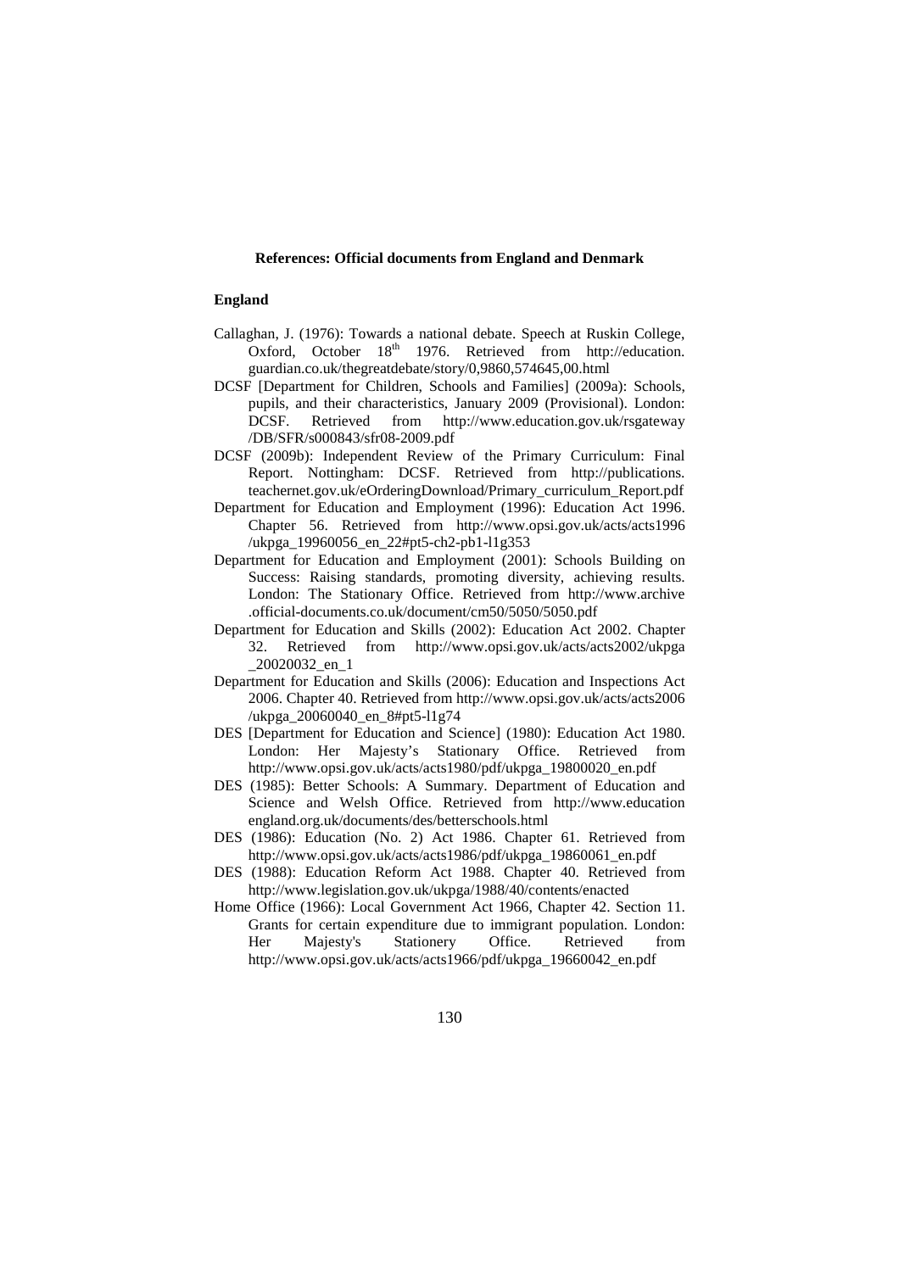#### **References: Official documents from England and Denmark**

### **England**

- Callaghan, J. (1976): Towards a national debate. Speech at Ruskin College, Oxford, October 18<sup>th</sup> 1976. Retrieved from http://education. guardian.co.uk/thegreatdebate/story/0,9860,574645,00.html
- DCSF [Department for Children, Schools and Families] (2009a): Schools, pupils, and their characteristics, January 2009 (Provisional). London: DCSF. Retrieved from http://www.education.gov.uk/rsgateway /DB/SFR/s000843/sfr08-2009.pdf
- DCSF (2009b): Independent Review of the Primary Curriculum: Final Report. Nottingham: DCSF. Retrieved from http://publications. teachernet.gov.uk/eOrderingDownload/Primary\_curriculum\_Report.pdf
- Department for Education and Employment (1996): Education Act 1996. Chapter 56. Retrieved from http://www.opsi.gov.uk/acts/acts1996 /ukpga\_19960056\_en\_22#pt5-ch2-pb1-l1g353
- Department for Education and Employment (2001): Schools Building on Success: Raising standards, promoting diversity, achieving results. London: The Stationary Office. Retrieved from http://www.archive .official-documents.co.uk/document/cm50/5050/5050.pdf
- Department for Education and Skills (2002): Education Act 2002. Chapter 32. Retrieved from http://www.opsi.gov.uk/acts/acts2002/ukpga \_20020032\_en\_1
- Department for Education and Skills (2006): Education and Inspections Act 2006. Chapter 40. Retrieved from http://www.opsi.gov.uk/acts/acts2006 /ukpga\_20060040\_en\_8#pt5-l1g74
- DES [Department for Education and Science] (1980): Education Act 1980. London: Her Majesty's Stationary Office. Retrieved from http://www.opsi.gov.uk/acts/acts1980/pdf/ukpga\_19800020\_en.pdf
- DES (1985): Better Schools: A Summary. Department of Education and Science and Welsh Office. Retrieved from http://www.education england.org.uk/documents/des/betterschools.html
- DES (1986): Education (No. 2) Act 1986. Chapter 61. Retrieved from http://www.opsi.gov.uk/acts/acts1986/pdf/ukpga\_19860061\_en.pdf
- DES (1988): Education Reform Act 1988. Chapter 40. Retrieved from http://www.legislation.gov.uk/ukpga/1988/40/contents/enacted
- Home Office (1966): Local Government Act 1966, Chapter 42. Section 11. Grants for certain expenditure due to immigrant population. London: Her Majesty's Stationery Office. Retrieved from http://www.opsi.gov.uk/acts/acts1966/pdf/ukpga\_19660042\_en.pdf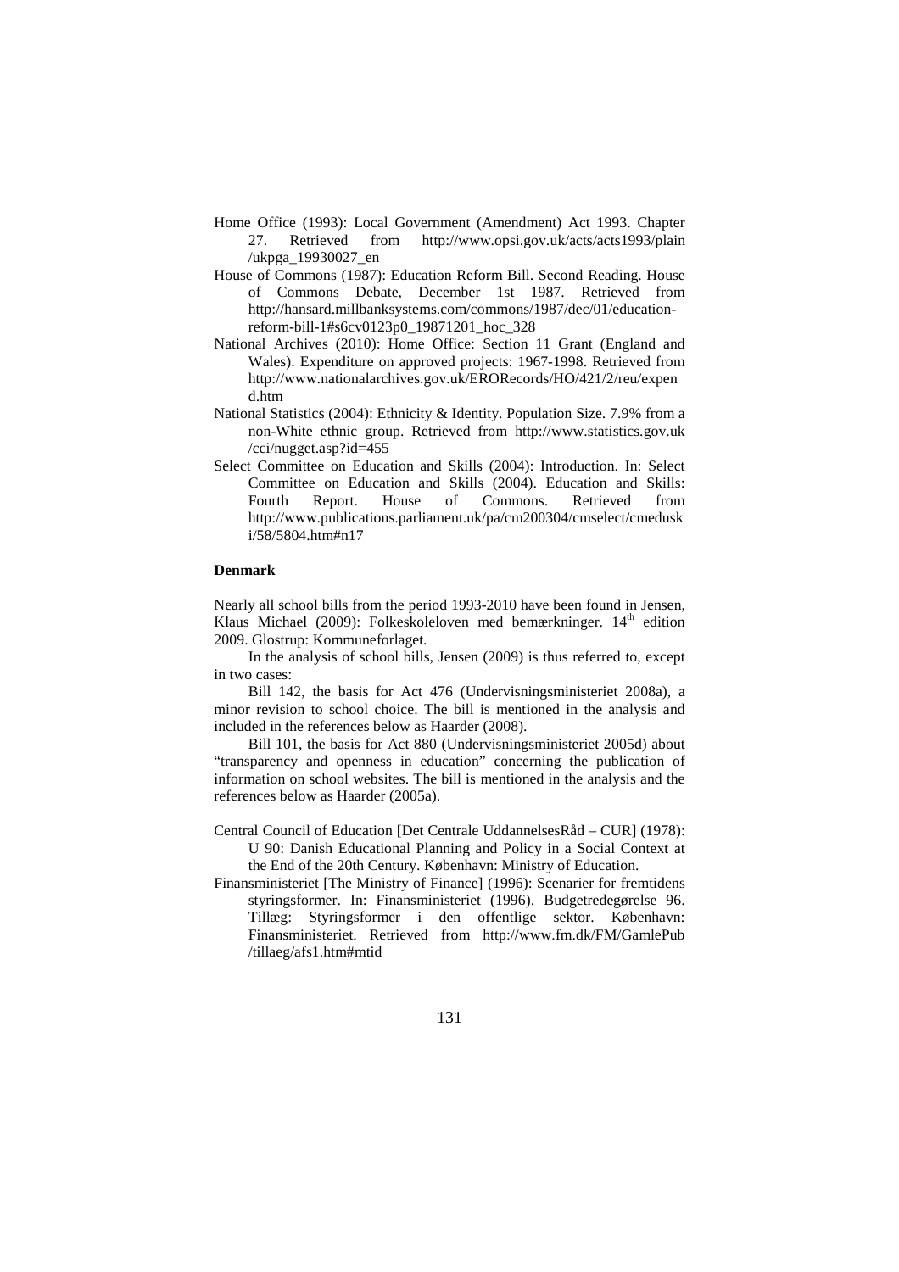- Home Office (1993): Local Government (Amendment) Act 1993. Chapter 27. Retrieved from http://www.opsi.gov.uk/acts/acts1993/plain /ukpga\_19930027\_en
- House of Commons (1987): Education Reform Bill. Second Reading. House of Commons Debate, December 1st 1987. Retrieved from http://hansard.millbanksystems.com/commons/1987/dec/01/educationreform-bill-1#s6cv0123p0\_19871201\_hoc\_328
- National Archives (2010): Home Office: Section 11 Grant (England and Wales). Expenditure on approved projects: 1967-1998. Retrieved from http://www.nationalarchives.gov.uk/ERORecords/HO/421/2/reu/expen d.htm
- National Statistics (2004): Ethnicity & Identity. Population Size. 7.9% from a non-White ethnic group. Retrieved from http://www.statistics.gov.uk /cci/nugget.asp?id=455
- Select Committee on Education and Skills (2004): Introduction. In: Select Committee on Education and Skills (2004). Education and Skills: Fourth Report. House of Commons. Retrieved from http://www.publications.parliament.uk/pa/cm200304/cmselect/cmedusk i/58/5804.htm#n17

#### **Denmark**

Nearly all school bills from the period 1993-2010 have been found in Jensen, Klaus Michael (2009): Folkeskoleloven med bemærkninger. 14<sup>th</sup> edition 2009. Glostrup: Kommuneforlaget.

In the analysis of school bills, Jensen (2009) is thus referred to, except in two cases:

Bill 142, the basis for Act 476 (Undervisningsministeriet 2008a), a minor revision to school choice. The bill is mentioned in the analysis and included in the references below as Haarder (2008).

Bill 101, the basis for Act 880 (Undervisningsministeriet 2005d) about "transparency and openness in education" concerning the publication of information on school websites. The bill is mentioned in the analysis and the references below as Haarder (2005a).

- Central Council of Education [Det Centrale UddannelsesRåd CUR] (1978): U 90: Danish Educational Planning and Policy in a Social Context at the End of the 20th Century. København: Ministry of Education.
- Finansministeriet [The Ministry of Finance] (1996): Scenarier for fremtidens styringsformer. In: Finansministeriet (1996). Budgetredegørelse 96. Tillæg: Styringsformer i den offentlige sektor. København: Finansministeriet. Retrieved from http://www.fm.dk/FM/GamlePub /tillaeg/afs1.htm#mtid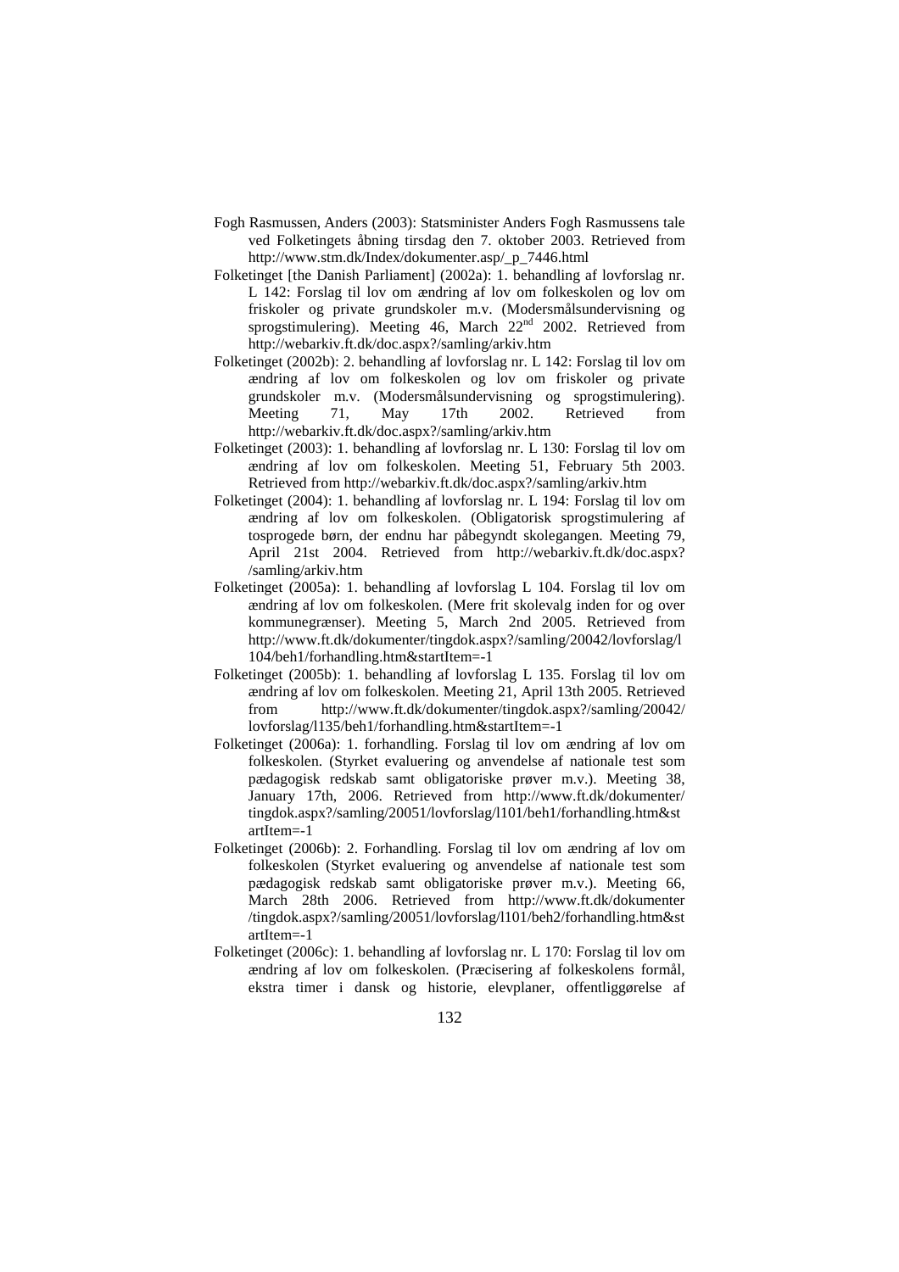- Fogh Rasmussen, Anders (2003): Statsminister Anders Fogh Rasmussens tale ved Folketingets åbning tirsdag den 7. oktober 2003. Retrieved from http://www.stm.dk/Index/dokumenter.asp/\_p\_7446.html
- Folketinget [the Danish Parliament] (2002a): 1. behandling af lovforslag nr. L 142: Forslag til lov om ændring af lov om folkeskolen og lov om friskoler og private grundskoler m.v. (Modersmålsundervisning og sprogstimulering). Meeting 46, March 22<sup>nd</sup> 2002. Retrieved from http://webarkiv.ft.dk/doc.aspx?/samling/arkiv.htm
- Folketinget (2002b): 2. behandling af lovforslag nr. L 142: Forslag til lov om ændring af lov om folkeskolen og lov om friskoler og private grundskoler m.v. (Modersmålsundervisning og sprogstimulering). Meeting 71, May 17th 2002. Retrieved from http://webarkiv.ft.dk/doc.aspx?/samling/arkiv.htm
- Folketinget (2003): 1. behandling af lovforslag nr. L 130: Forslag til lov om ændring af lov om folkeskolen. Meeting 51, February 5th 2003. Retrieved from http://webarkiv.ft.dk/doc.aspx?/samling/arkiv.htm
- Folketinget (2004): 1. behandling af lovforslag nr. L 194: Forslag til lov om ændring af lov om folkeskolen. (Obligatorisk sprogstimulering af tosprogede børn, der endnu har påbegyndt skolegangen. Meeting 79, April 21st 2004. Retrieved from http://webarkiv.ft.dk/doc.aspx? /samling/arkiv.htm
- Folketinget (2005a): 1. behandling af lovforslag L 104. Forslag til lov om ændring af lov om folkeskolen. (Mere frit skolevalg inden for og over kommunegrænser). Meeting 5, March 2nd 2005. Retrieved from http://www.ft.dk/dokumenter/tingdok.aspx?/samling/20042/lovforslag/l 104/beh1/forhandling.htm&startItem=-1
- Folketinget (2005b): 1. behandling af lovforslag L 135. Forslag til lov om ændring af lov om folkeskolen. Meeting 21, April 13th 2005. Retrieved from http://www.ft.dk/dokumenter/tingdok.aspx?/samling/20042/ lovforslag/l135/beh1/forhandling.htm&startItem=-1
- Folketinget (2006a): 1. forhandling. Forslag til lov om ændring af lov om folkeskolen. (Styrket evaluering og anvendelse af nationale test som pædagogisk redskab samt obligatoriske prøver m.v.). Meeting 38, January 17th, 2006. Retrieved from http://www.ft.dk/dokumenter/ tingdok.aspx?/samling/20051/lovforslag/l101/beh1/forhandling.htm&st artItem=-1
- Folketinget (2006b): 2. Forhandling. Forslag til lov om ændring af lov om folkeskolen (Styrket evaluering og anvendelse af nationale test som pædagogisk redskab samt obligatoriske prøver m.v.). Meeting 66, March 28th 2006. Retrieved from http://www.ft.dk/dokumenter /tingdok.aspx?/samling/20051/lovforslag/l101/beh2/forhandling.htm&st artItem=-1
- Folketinget (2006c): 1. behandling af lovforslag nr. L 170: Forslag til lov om ændring af lov om folkeskolen. (Præcisering af folkeskolens formål, ekstra timer i dansk og historie, elevplaner, offentliggørelse af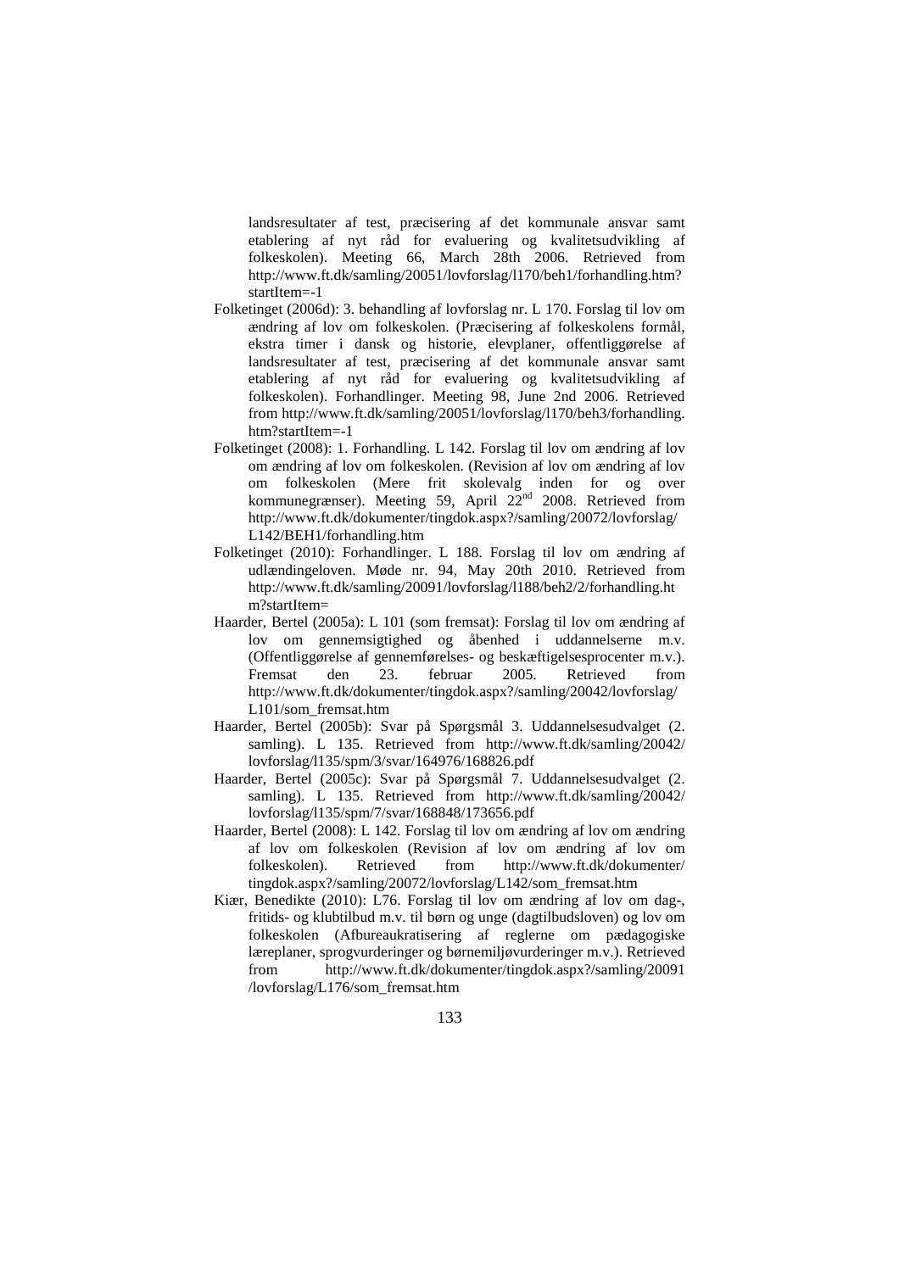landsresultater af test, præcisering af det kommunale ansvar samt etablering af nyt råd for evaluering og kvalitetsudvikling af folkeskolen). Meeting 66, March 28th 2006. Retrieved from http://www.ft.dk/samling/20051/lovforslag/l170/beh1/forhandling.htm? startItem=-1

- Folketinget (2006d): 3. behandling af lovforslag nr. L 170. Forslag til lov om ændring af lov om folkeskolen. (Præcisering af folkeskolens formål, ekstra timer i dansk og historie, elevplaner, offentliggørelse af landsresultater af test, præcisering af det kommunale ansvar samt etablering af nyt råd for evaluering og kvalitetsudvikling af folkeskolen). Forhandlinger. Meeting 98, June 2nd 2006. Retrieved from http://www.ft.dk/samling/20051/lovforslag/l170/beh3/forhandling. htm?startItem=-1
- Folketinget (2008): 1. Forhandling. L 142. Forslag til lov om ændring af lov om ændring af lov om folkeskolen. (Revision af lov om ændring af lov om folkeskolen (Mere frit skolevalg inden for og over kommunegrænser). Meeting 59, April  $22<sup>nd</sup>$  2008. Retrieved from http://www.ft.dk/dokumenter/tingdok.aspx?/samling/20072/lovforslag/ L142/BEH1/forhandling.htm
- Folketinget (2010): Forhandlinger. L 188. Forslag til lov om ændring af udlændingeloven. Møde nr. 94, May 20th 2010. Retrieved from http://www.ft.dk/samling/20091/lovforslag/l188/beh2/2/forhandling.ht m?startItem=
- Haarder, Bertel (2005a): L 101 (som fremsat): Forslag til lov om ændring af lov om gennemsigtighed og åbenhed i uddannelserne m.v. (Offentliggørelse af gennemførelses- og beskæftigelsesprocenter m.v.). Fremsat den 23. februar 2005. Retrieved from http://www.ft.dk/dokumenter/tingdok.aspx?/samling/20042/lovforslag/ L101/som\_fremsat.htm
- Haarder, Bertel (2005b): Svar på Spørgsmål 3. Uddannelsesudvalget (2. samling). L 135. Retrieved from http://www.ft.dk/samling/20042/ lovforslag/l135/spm/3/svar/164976/168826.pdf
- Haarder, Bertel (2005c): Svar på Spørgsmål 7. Uddannelsesudvalget (2. samling). L 135. Retrieved from http://www.ft.dk/samling/20042/ lovforslag/l135/spm/7/svar/168848/173656.pdf
- Haarder, Bertel (2008): L 142. Forslag til lov om ændring af lov om ændring af lov om folkeskolen (Revision af lov om ændring af lov om folkeskolen). Retrieved from http://www.ft.dk/dokumenter/ tingdok.aspx?/samling/20072/lovforslag/L142/som\_fremsat.htm
- Kiær, Benedikte (2010): L76. Forslag til lov om ændring af lov om dag-, fritids- og klubtilbud m.v. til børn og unge (dagtilbudsloven) og lov om folkeskolen (Afbureaukratisering af reglerne om pædagogiske læreplaner, sprogvurderinger og børnemiljøvurderinger m.v.). Retrieved from http://www.ft.dk/dokumenter/tingdok.aspx?/samling/20091 /lovforslag/L176/som\_fremsat.htm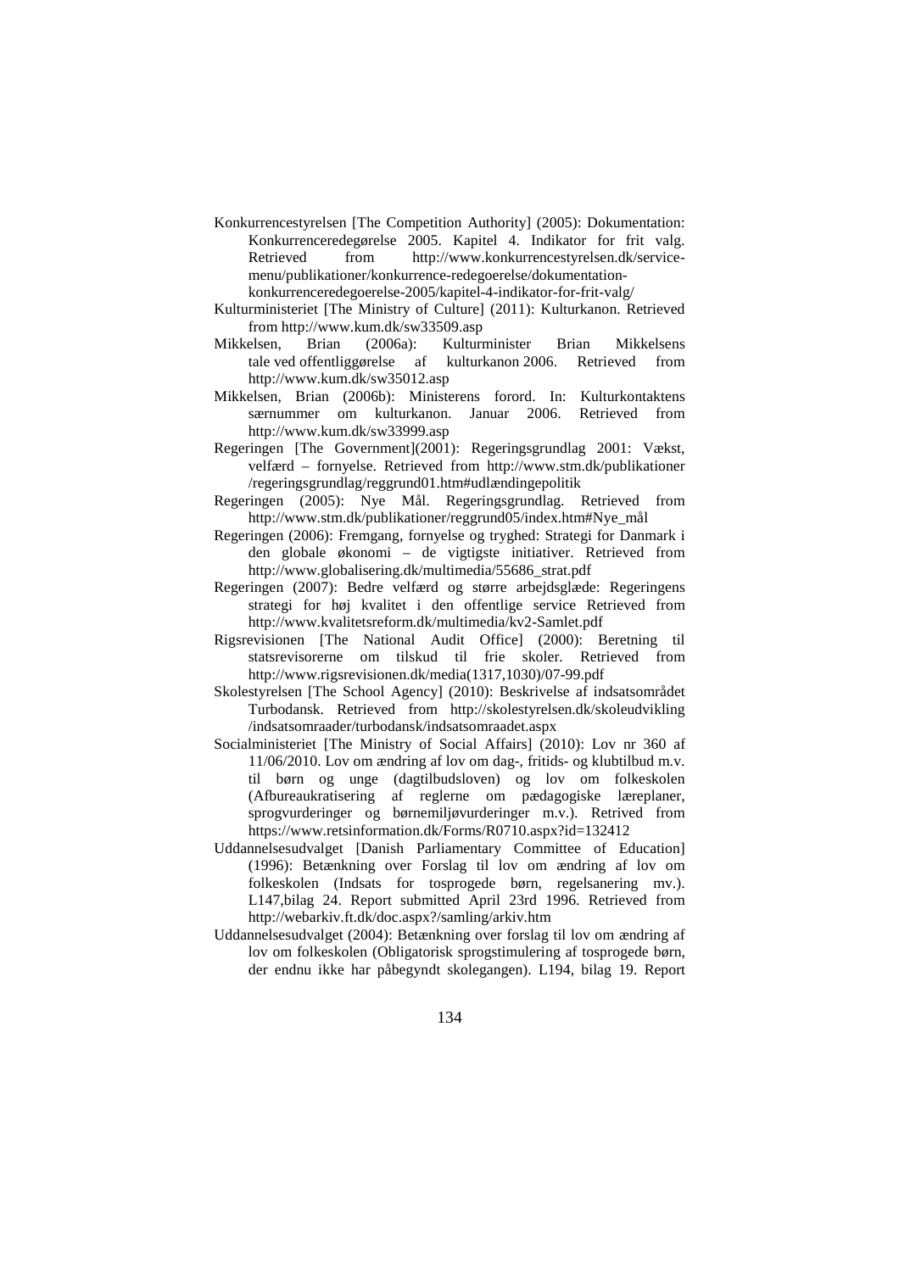- Konkurrencestyrelsen [The Competition Authority] (2005): Dokumentation: Konkurrenceredegørelse 2005. Kapitel 4. Indikator for frit valg. Retrieved from http://www.konkurrencestyrelsen.dk/servicemenu/publikationer/konkurrence-redegoerelse/dokumentationkonkurrenceredegoerelse-2005/kapitel-4-indikator-for-frit-valg/
- Kulturministeriet [The Ministry of Culture] (2011): Kulturkanon. Retrieved from http://www.kum.dk/sw33509.asp
- Mikkelsen, Brian (2006a): Kulturminister Brian Mikkelsens tale ved offentliggørelse af kulturkanon 2006. Retrieved from http://www.kum.dk/sw35012.asp
- Mikkelsen, Brian (2006b): Ministerens forord. In: Kulturkontaktens særnummer om kulturkanon. Januar 2006. Retrieved from http://www.kum.dk/sw33999.asp
- Regeringen [The Government](2001): Regeringsgrundlag 2001: Vækst, velfærd – fornyelse. Retrieved from http://www.stm.dk/publikationer /regeringsgrundlag/reggrund01.htm#udlændingepolitik
- Regeringen (2005): Nye Mål. Regeringsgrundlag. Retrieved from http://www.stm.dk/publikationer/reggrund05/index.htm#Nye\_mål
- Regeringen (2006): Fremgang, fornyelse og tryghed: Strategi for Danmark i den globale økonomi – de vigtigste initiativer. Retrieved from http://www.globalisering.dk/multimedia/55686\_strat.pdf
- Regeringen (2007): Bedre velfærd og større arbejdsglæde: Regeringens strategi for høj kvalitet i den offentlige service Retrieved from http://www.kvalitetsreform.dk/multimedia/kv2-Samlet.pdf
- Rigsrevisionen [The National Audit Office] (2000): Beretning til statsrevisorerne om tilskud til frie skoler. Retrieved from http://www.rigsrevisionen.dk/media(1317,1030)/07-99.pdf
- Skolestyrelsen [The School Agency] (2010): Beskrivelse af indsatsområdet Turbodansk. Retrieved from http://skolestyrelsen.dk/skoleudvikling /indsatsomraader/turbodansk/indsatsomraadet.aspx
- Socialministeriet [The Ministry of Social Affairs] (2010): Lov nr 360 af 11/06/2010. Lov om ændring af lov om dag-, fritids- og klubtilbud m.v. til børn og unge (dagtilbudsloven) og lov om folkeskolen (Afbureaukratisering af reglerne om pædagogiske læreplaner, sprogvurderinger og børnemiljøvurderinger m.v.). Retrived from https://www.retsinformation.dk/Forms/R0710.aspx?id=132412
- Uddannelsesudvalget [Danish Parliamentary Committee of Education] (1996): Betænkning over Forslag til lov om ændring af lov om folkeskolen (Indsats for tosprogede børn, regelsanering mv.). L147,bilag 24. Report submitted April 23rd 1996. Retrieved from http://webarkiv.ft.dk/doc.aspx?/samling/arkiv.htm
- Uddannelsesudvalget (2004): Betænkning over forslag til lov om ændring af lov om folkeskolen (Obligatorisk sprogstimulering af tosprogede børn, der endnu ikke har påbegyndt skolegangen). L194, bilag 19. Report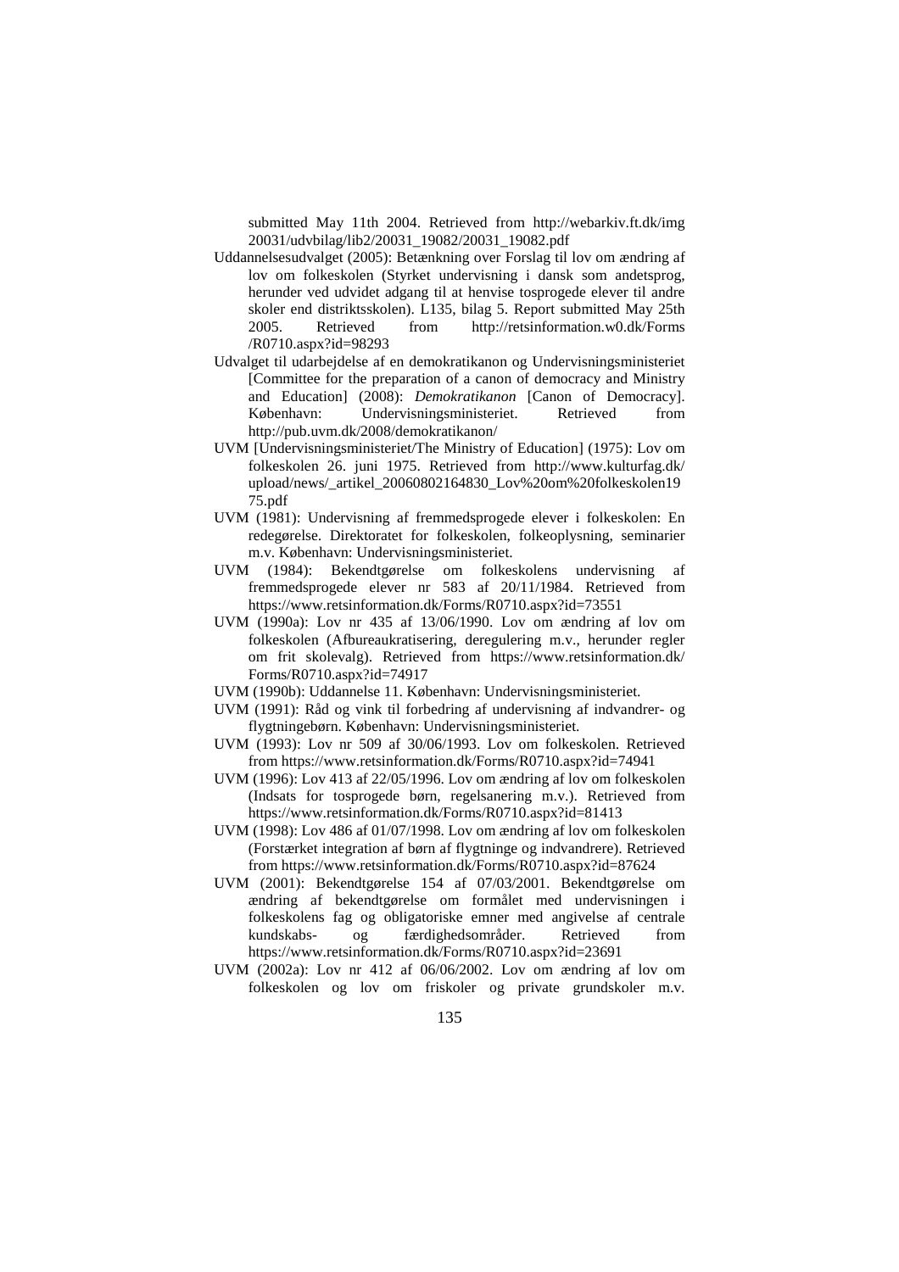submitted May 11th 2004. Retrieved from http://webarkiv.ft.dk/img 20031/udvbilag/lib2/20031\_19082/20031\_19082.pdf

- Uddannelsesudvalget (2005): Betænkning over Forslag til lov om ændring af lov om folkeskolen (Styrket undervisning i dansk som andetsprog, herunder ved udvidet adgang til at henvise tosprogede elever til andre skoler end distriktsskolen). L135, bilag 5. Report submitted May 25th 2005. Retrieved from http://retsinformation.w0.dk/Forms /R0710.aspx?id=98293
- Udvalget til udarbejdelse af en demokratikanon og Undervisningsministeriet [Committee for the preparation of a canon of democracy and Ministry and Education] (2008): *Demokratikanon* [Canon of Democracy]. København: Undervisningsministeriet. Retrieved from http://pub.uvm.dk/2008/demokratikanon/
- UVM [Undervisningsministeriet/The Ministry of Education] (1975): Lov om folkeskolen 26. juni 1975. Retrieved from http://www.kulturfag.dk/ upload/news/\_artikel\_20060802164830\_Lov%20om%20folkeskolen19 75.pdf
- UVM (1981): Undervisning af fremmedsprogede elever i folkeskolen: En redegørelse. Direktoratet for folkeskolen, folkeoplysning, seminarier m.v. København: Undervisningsministeriet.
- UVM (1984): Bekendtgørelse om folkeskolens undervisning af fremmedsprogede elever nr 583 af 20/11/1984. Retrieved from https://www.retsinformation.dk/Forms/R0710.aspx?id=73551
- UVM (1990a): Lov nr 435 af 13/06/1990. Lov om ændring af lov om folkeskolen (Afbureaukratisering, deregulering m.v., herunder regler om frit skolevalg). Retrieved from https://www.retsinformation.dk/ Forms/R0710.aspx?id=74917
- UVM (1990b): Uddannelse 11. København: Undervisningsministeriet.
- UVM (1991): Råd og vink til forbedring af undervisning af indvandrer- og flygtningebørn. København: Undervisningsministeriet.
- UVM (1993): Lov nr 509 af 30/06/1993. Lov om folkeskolen. Retrieved from https://www.retsinformation.dk/Forms/R0710.aspx?id=74941
- UVM (1996): Lov 413 af 22/05/1996. Lov om ændring af lov om folkeskolen (Indsats for tosprogede børn, regelsanering m.v.). Retrieved from https://www.retsinformation.dk/Forms/R0710.aspx?id=81413
- UVM (1998): Lov 486 af 01/07/1998. Lov om ændring af lov om folkeskolen (Forstærket integration af børn af flygtninge og indvandrere). Retrieved from https://www.retsinformation.dk/Forms/R0710.aspx?id=87624
- UVM (2001): Bekendtgørelse 154 af 07/03/2001. Bekendtgørelse om ændring af bekendtgørelse om formålet med undervisningen i folkeskolens fag og obligatoriske emner med angivelse af centrale kundskabs- og færdighedsområder. Retrieved from https://www.retsinformation.dk/Forms/R0710.aspx?id=23691
- UVM (2002a): Lov nr 412 af 06/06/2002. Lov om ændring af lov om folkeskolen og lov om friskoler og private grundskoler m.v.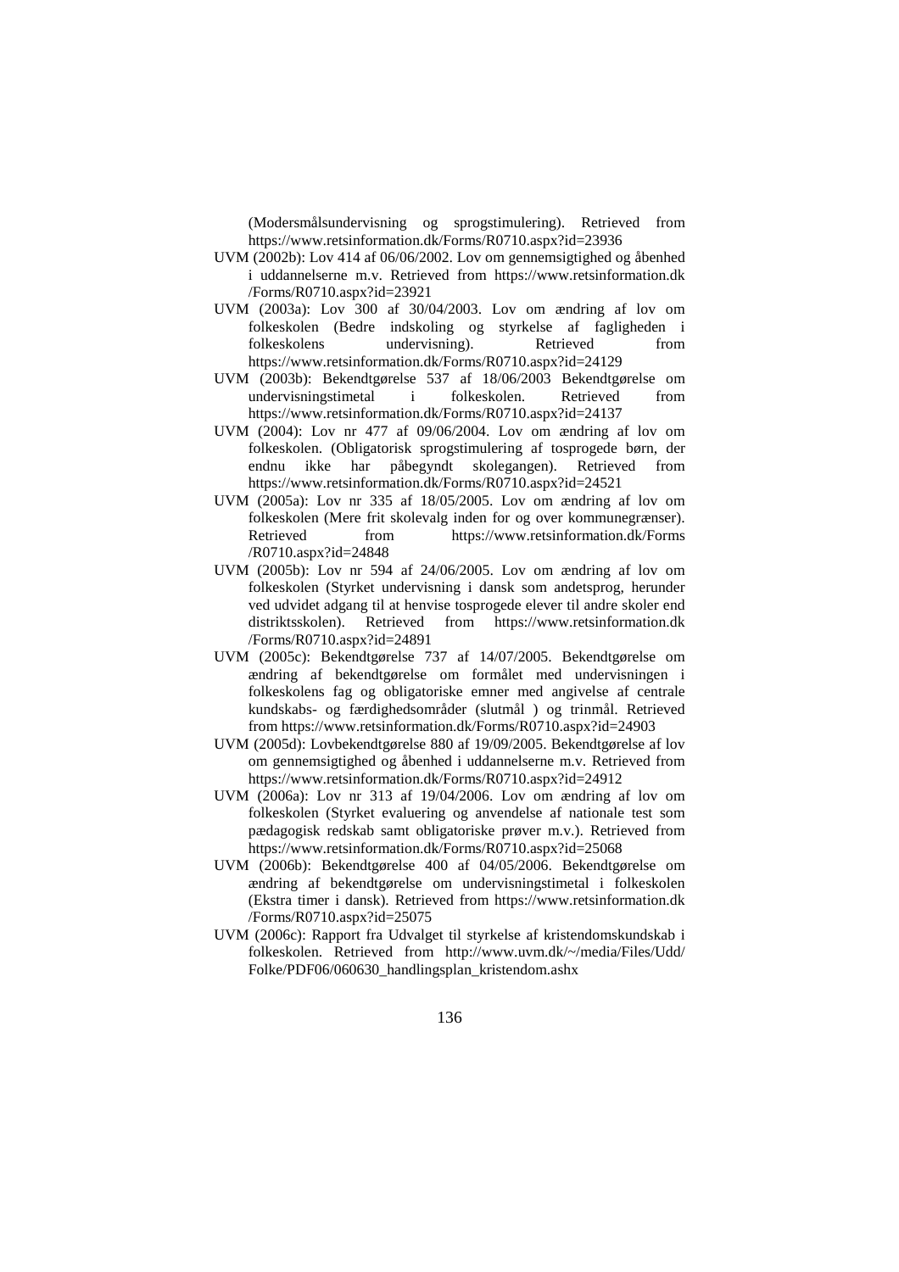(Modersmålsundervisning og sprogstimulering). Retrieved from https://www.retsinformation.dk/Forms/R0710.aspx?id=23936

- UVM (2002b): Lov 414 af 06/06/2002. Lov om gennemsigtighed og åbenhed i uddannelserne m.v. Retrieved from https://www.retsinformation.dk /Forms/R0710.aspx?id=23921
- UVM (2003a): Lov 300 af 30/04/2003. Lov om ændring af lov om folkeskolen (Bedre indskoling og styrkelse af fagligheden i folkeskolens undervisning). Retrieved from https://www.retsinformation.dk/Forms/R0710.aspx?id=24129
- UVM (2003b): Bekendtgørelse 537 af 18/06/2003 Bekendtgørelse om undervisningstimetal i folkeskolen. Retrieved from https://www.retsinformation.dk/Forms/R0710.aspx?id=24137
- UVM (2004): Lov nr 477 af 09/06/2004. Lov om ændring af lov om folkeskolen. (Obligatorisk sprogstimulering af tosprogede børn, der endnu ikke har påbegyndt skolegangen). Retrieved from https://www.retsinformation.dk/Forms/R0710.aspx?id=24521
- UVM (2005a): Lov nr 335 af 18/05/2005. Lov om ændring af lov om folkeskolen (Mere frit skolevalg inden for og over kommunegrænser). Retrieved from https://www.retsinformation.dk/Forms /R0710.aspx?id=24848
- UVM (2005b): Lov nr 594 af 24/06/2005. Lov om ændring af lov om folkeskolen (Styrket undervisning i dansk som andetsprog, herunder ved udvidet adgang til at henvise tosprogede elever til andre skoler end distriktsskolen). Retrieved from https://www.retsinformation.dk /Forms/R0710.aspx?id=24891
- UVM (2005c): Bekendtgørelse 737 af 14/07/2005. Bekendtgørelse om ændring af bekendtgørelse om formålet med undervisningen i folkeskolens fag og obligatoriske emner med angivelse af centrale kundskabs- og færdighedsområder (slutmål ) og trinmål. Retrieved from https://www.retsinformation.dk/Forms/R0710.aspx?id=24903
- UVM (2005d): Lovbekendtgørelse 880 af 19/09/2005. Bekendtgørelse af lov om gennemsigtighed og åbenhed i uddannelserne m.v. Retrieved from https://www.retsinformation.dk/Forms/R0710.aspx?id=24912
- UVM (2006a): Lov nr 313 af 19/04/2006. Lov om ændring af lov om folkeskolen (Styrket evaluering og anvendelse af nationale test som pædagogisk redskab samt obligatoriske prøver m.v.). Retrieved from https://www.retsinformation.dk/Forms/R0710.aspx?id=25068
- UVM (2006b): Bekendtgørelse 400 af 04/05/2006. Bekendtgørelse om ændring af bekendtgørelse om undervisningstimetal i folkeskolen (Ekstra timer i dansk). Retrieved from https://www.retsinformation.dk /Forms/R0710.aspx?id=25075
- UVM (2006c): Rapport fra Udvalget til styrkelse af kristendomskundskab i folkeskolen. Retrieved from http://www.uvm.dk/~/media/Files/Udd/ Folke/PDF06/060630\_handlingsplan\_kristendom.ashx
	- 136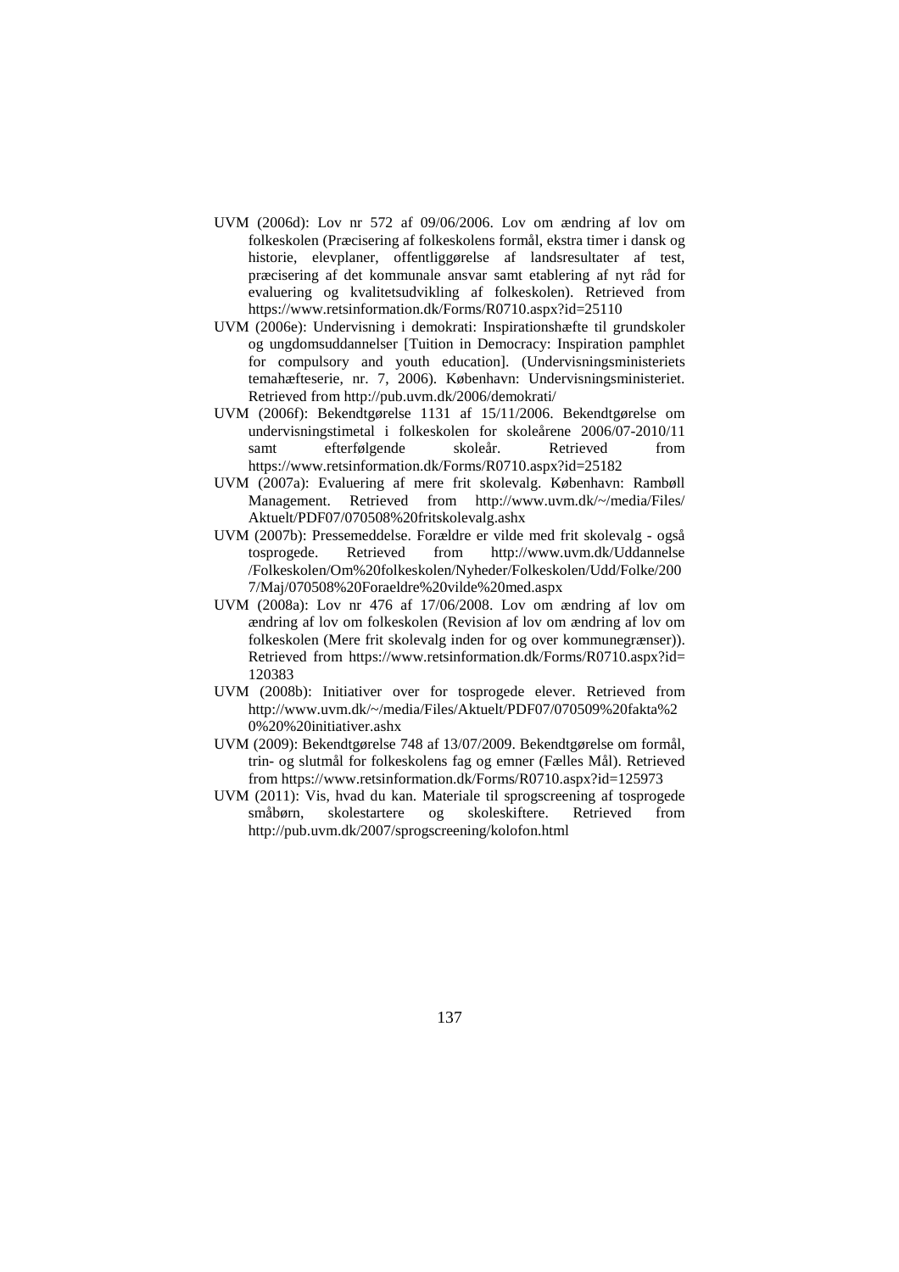- UVM (2006d): Lov nr 572 af 09/06/2006. Lov om ændring af lov om folkeskolen (Præcisering af folkeskolens formål, ekstra timer i dansk og historie, elevplaner, offentliggørelse af landsresultater af test, præcisering af det kommunale ansvar samt etablering af nyt råd for evaluering og kvalitetsudvikling af folkeskolen). Retrieved from https://www.retsinformation.dk/Forms/R0710.aspx?id=25110
- UVM (2006e): Undervisning i demokrati: Inspirationshæfte til grundskoler og ungdomsuddannelser [Tuition in Democracy: Inspiration pamphlet for compulsory and youth education]. (Undervisningsministeriets temahæfteserie, nr. 7, 2006). København: Undervisningsministeriet. Retrieved from http://pub.uvm.dk/2006/demokrati/
- UVM (2006f): Bekendtgørelse 1131 af 15/11/2006. Bekendtgørelse om undervisningstimetal i folkeskolen for skoleårene 2006/07-2010/11 samt efterfølgende skoleår. Retrieved from https://www.retsinformation.dk/Forms/R0710.aspx?id=25182
- UVM (2007a): Evaluering af mere frit skolevalg. København: Rambøll Management. Retrieved from http://www.uvm.dk/~/media/Files/ Aktuelt/PDF07/070508%20fritskolevalg.ashx
- UVM (2007b): Pressemeddelse. Forældre er vilde med frit skolevalg også http://www.uvm.dk/Uddannelse /Folkeskolen/Om%20folkeskolen/Nyheder/Folkeskolen/Udd/Folke/200 7/Maj/070508%20Foraeldre%20vilde%20med.aspx
- UVM (2008a): Lov nr 476 af 17/06/2008. Lov om ændring af lov om ændring af lov om folkeskolen (Revision af lov om ændring af lov om folkeskolen (Mere frit skolevalg inden for og over kommunegrænser)). Retrieved from https://www.retsinformation.dk/Forms/R0710.aspx?id= 120383
- UVM (2008b): Initiativer over for tosprogede elever. Retrieved from http://www.uvm.dk/~/media/Files/Aktuelt/PDF07/070509%20fakta%2 0%20%20initiativer.ashx
- UVM (2009): Bekendtgørelse 748 af 13/07/2009. Bekendtgørelse om formål, trin- og slutmål for folkeskolens fag og emner (Fælles Mål). Retrieved from https://www.retsinformation.dk/Forms/R0710.aspx?id=125973
- UVM (2011): Vis, hvad du kan. Materiale til sprogscreening af tosprogede småbørn, skolestartere og skoleskiftere. Retrieved from http://pub.uvm.dk/2007/sprogscreening/kolofon.html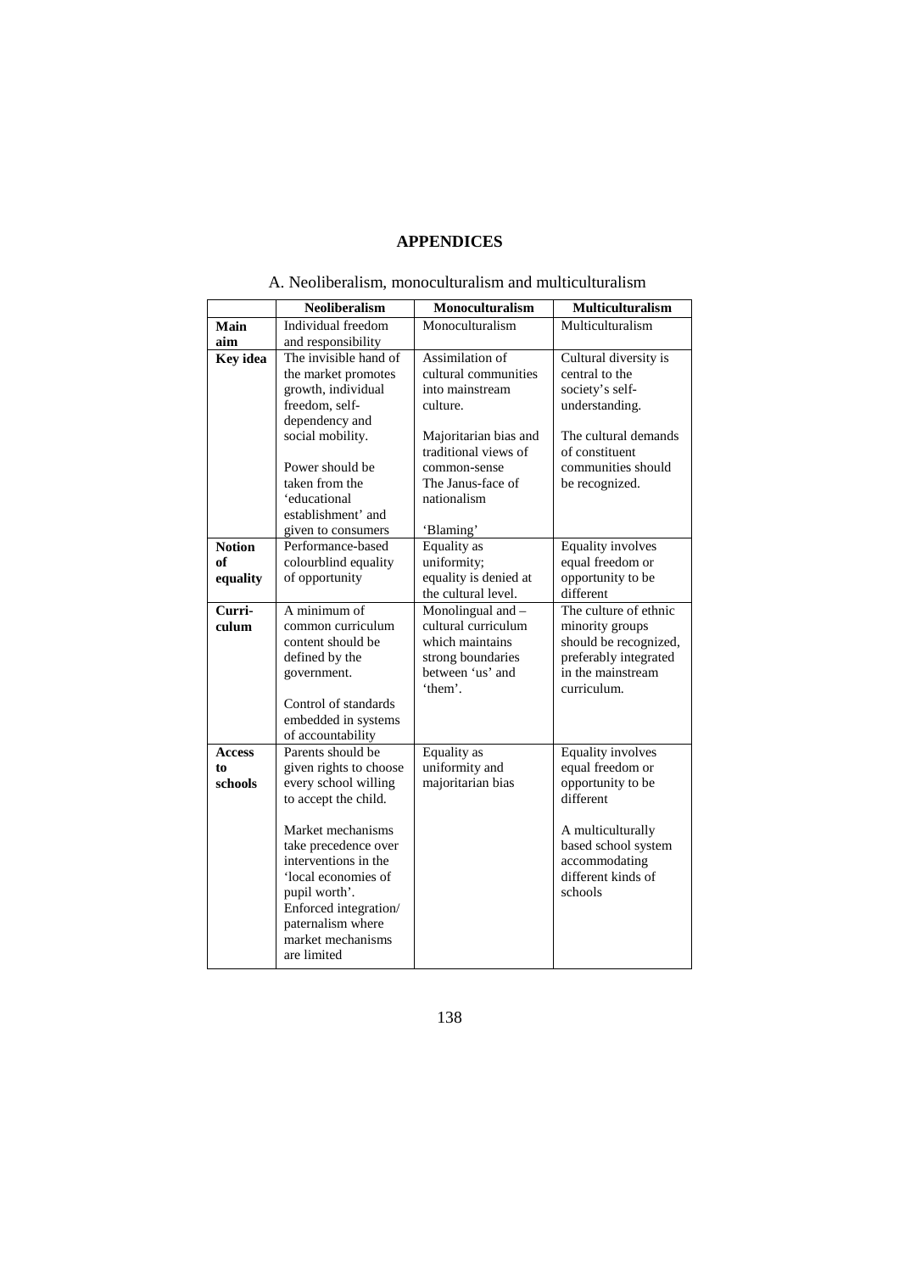## **APPENDICES**

|                 | <b>Neoliberalism</b>                                                                                                                                                                                                        | <b>Monoculturalism</b>                                                                                                                                                                   | <b>Multiculturalism</b>                                                                                                                                        |
|-----------------|-----------------------------------------------------------------------------------------------------------------------------------------------------------------------------------------------------------------------------|------------------------------------------------------------------------------------------------------------------------------------------------------------------------------------------|----------------------------------------------------------------------------------------------------------------------------------------------------------------|
| Main            | Individual freedom                                                                                                                                                                                                          | Monoculturalism                                                                                                                                                                          | Multiculturalism                                                                                                                                               |
| aim             | and responsibility                                                                                                                                                                                                          |                                                                                                                                                                                          |                                                                                                                                                                |
| <b>Key</b> idea | The invisible hand of<br>the market promotes<br>growth, individual<br>freedom, self-<br>dependency and<br>social mobility.<br>Power should be<br>taken from the<br>'educational<br>establishment' and<br>given to consumers | Assimilation of<br>cultural communities<br>into mainstream<br>culture.<br>Majoritarian bias and<br>traditional views of<br>common-sense<br>The Janus-face of<br>nationalism<br>'Blaming' | Cultural diversity is<br>central to the<br>society's self-<br>understanding.<br>The cultural demands<br>of constituent<br>communities should<br>be recognized. |
| <b>Notion</b>   | Performance-based                                                                                                                                                                                                           | Equality as                                                                                                                                                                              | <b>Equality involves</b>                                                                                                                                       |
| of              | colourblind equality                                                                                                                                                                                                        | uniformity;                                                                                                                                                                              | equal freedom or                                                                                                                                               |
| equality        | of opportunity                                                                                                                                                                                                              | equality is denied at<br>the cultural level.                                                                                                                                             | opportunity to be<br>different                                                                                                                                 |
| Curri-<br>culum | A minimum of<br>common curriculum                                                                                                                                                                                           | Monolingual and -<br>cultural curriculum                                                                                                                                                 | The culture of ethnic                                                                                                                                          |
|                 | content should be                                                                                                                                                                                                           | which maintains                                                                                                                                                                          | minority groups<br>should be recognized,                                                                                                                       |
|                 | defined by the<br>government.                                                                                                                                                                                               | strong boundaries<br>between 'us' and                                                                                                                                                    | preferably integrated<br>in the mainstream                                                                                                                     |
|                 |                                                                                                                                                                                                                             | 'them'.                                                                                                                                                                                  | curriculum.                                                                                                                                                    |
|                 | Control of standards<br>embedded in systems<br>of accountability                                                                                                                                                            |                                                                                                                                                                                          |                                                                                                                                                                |
| <b>Access</b>   | Parents should be                                                                                                                                                                                                           | <b>Equality</b> as                                                                                                                                                                       | Equality involves                                                                                                                                              |
| to              | given rights to choose                                                                                                                                                                                                      | uniformity and                                                                                                                                                                           | equal freedom or                                                                                                                                               |
| schools         | every school willing<br>to accept the child.                                                                                                                                                                                | majoritarian bias                                                                                                                                                                        | opportunity to be<br>different                                                                                                                                 |
|                 | Market mechanisms<br>take precedence over<br>interventions in the<br>'local economies of<br>pupil worth'.<br>Enforced integration/<br>paternalism where<br>market mechanisms<br>are limited                                 |                                                                                                                                                                                          | A multiculturally<br>based school system<br>accommodating<br>different kinds of<br>schools                                                                     |

## A. Neoliberalism, monoculturalism and multiculturalism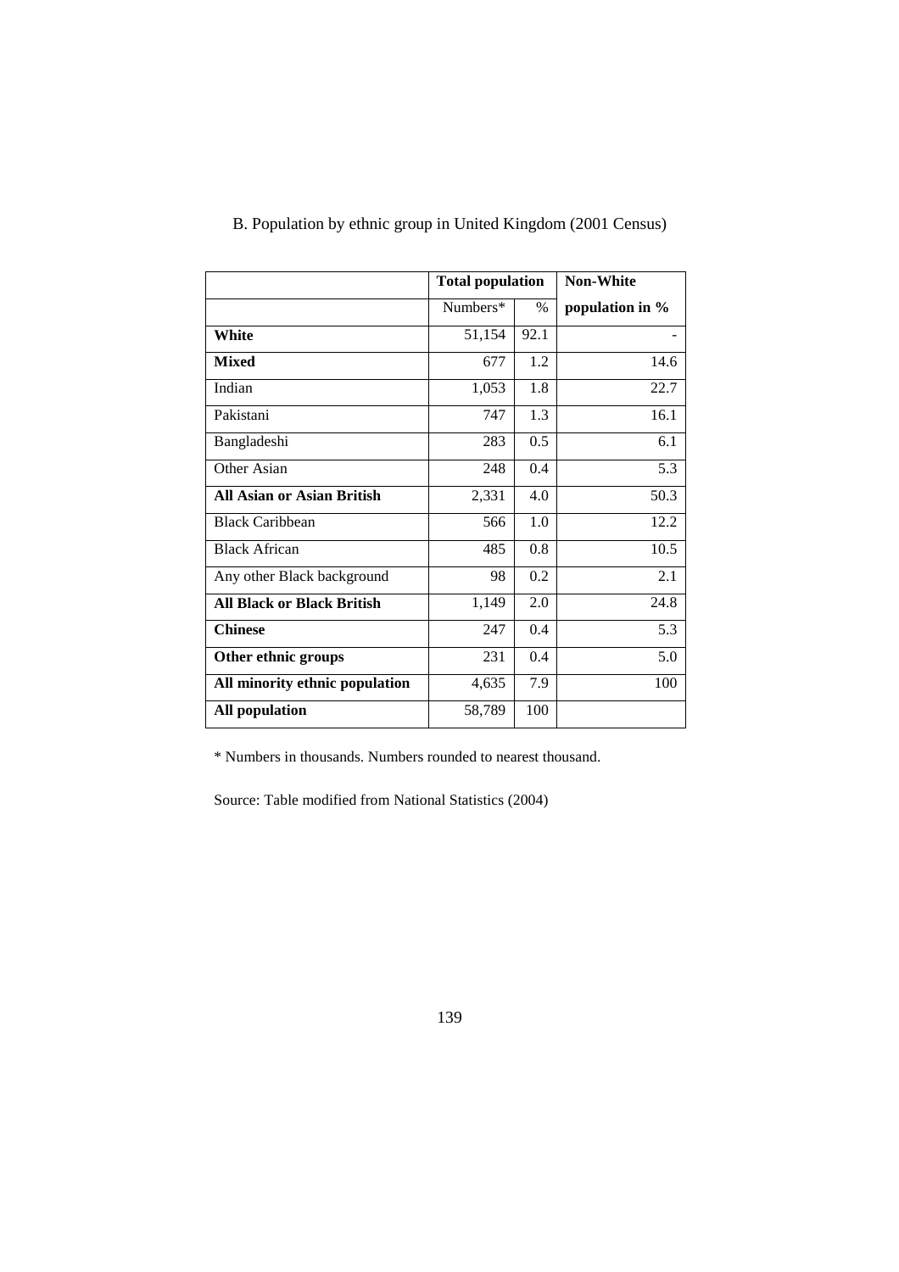|                                   | <b>Total population</b> |      | <b>Non-White</b> |
|-----------------------------------|-------------------------|------|------------------|
|                                   | Numbers*                | $\%$ | population in %  |
| White                             | 51,154                  | 92.1 |                  |
| <b>Mixed</b>                      | 677                     | 1.2  | 14.6             |
| Indian                            | 1,053                   | 1.8  | 22.7             |
| Pakistani                         | 747                     | 1.3  | 16.1             |
| Bangladeshi                       | 283                     | 0.5  | 6.1              |
| Other Asian                       | 248                     | 0.4  | 5.3              |
| <b>All Asian or Asian British</b> | 2,331                   | 4.0  | 50.3             |
| <b>Black Caribbean</b>            | 566                     | 1.0  | 12.2             |
| <b>Black African</b>              | 485                     | 0.8  | 10.5             |
| Any other Black background        | 98                      | 0.2  | 2.1              |
| <b>All Black or Black British</b> | 1,149                   | 2.0  | 24.8             |
| <b>Chinese</b>                    | 247                     | 0.4  | 5.3              |
| Other ethnic groups               | 231                     | 0.4  | 5.0              |
| All minority ethnic population    | 4,635                   | 7.9  | 100              |
| <b>All population</b>             | 58,789                  | 100  |                  |

# B. Population by ethnic group in United Kingdom (2001 Census)

\* Numbers in thousands. Numbers rounded to nearest thousand.

Source: Table modified from National Statistics (2004)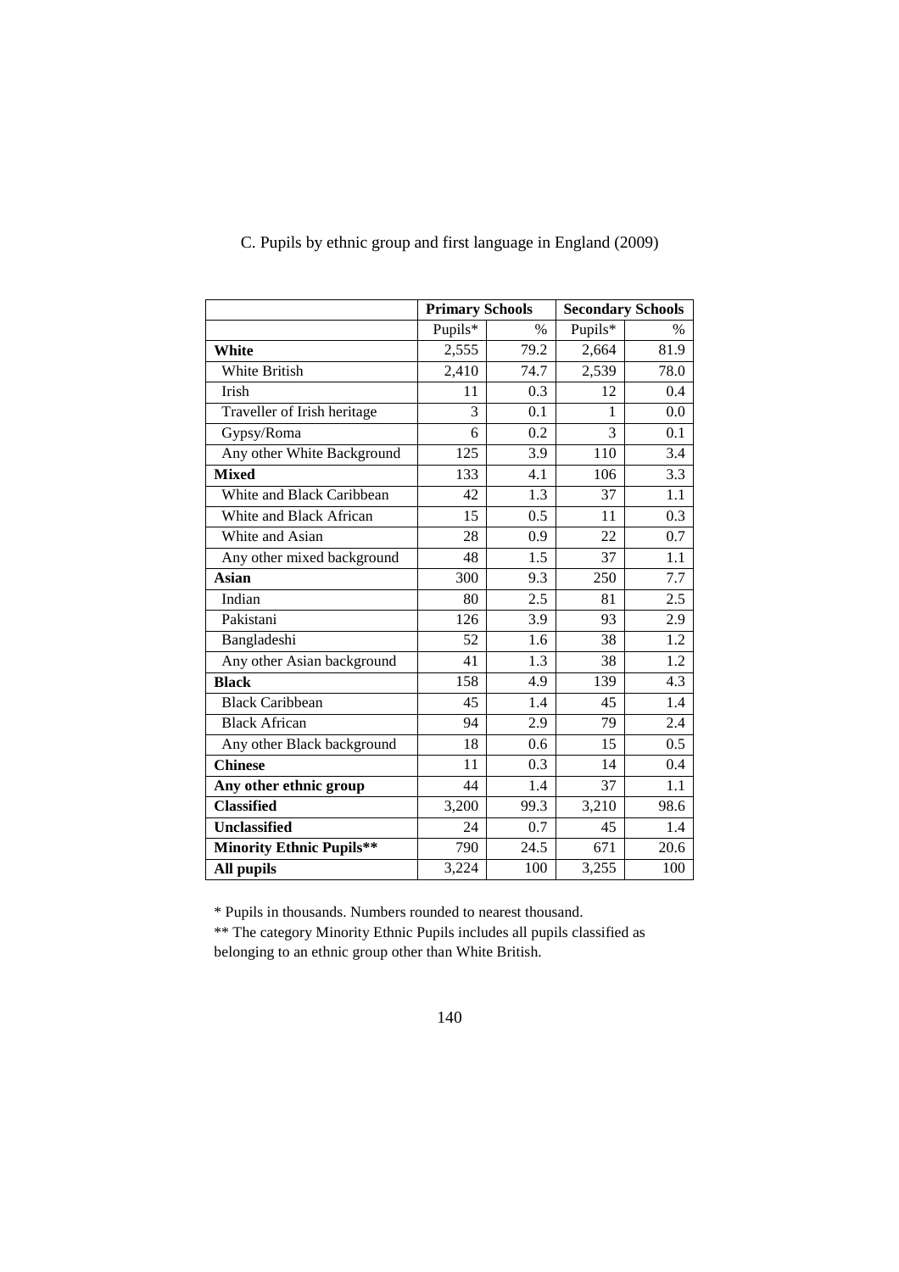|                                 | <b>Primary Schools</b> |               | <b>Secondary Schools</b> |               |
|---------------------------------|------------------------|---------------|--------------------------|---------------|
|                                 | Pupils*                | $\frac{0}{0}$ | Pupils*                  | $\frac{0}{0}$ |
| White                           | 2,555                  | 79.2          | 2,664                    | 81.9          |
| White British                   | 2,410                  | 74.7          | 2,539                    | 78.0          |
| Irish                           | 11                     | 0.3           | 12                       | 0.4           |
| Traveller of Irish heritage     | 3                      | 0.1           | 1                        | 0.0           |
| Gypsy/Roma                      | 6                      | 0.2           | 3                        | 0.1           |
| Any other White Background      | 125                    | 3.9           | 110                      | 3.4           |
| <b>Mixed</b>                    | 133                    | 4.1           | 106                      | 3.3           |
| White and Black Caribbean       | 42                     | 1.3           | 37                       | 1.1           |
| White and Black African         | 15                     | $0.5^{\circ}$ | 11                       | 0.3           |
| White and Asian                 | 28                     | 0.9           | 22                       | 0.7           |
| Any other mixed background      | 48                     | 1.5           | 37                       | 1.1           |
| Asian                           | 300                    | 9.3           | 250                      | 7.7           |
| Indian                          | 80                     | 2.5           | 81                       | 2.5           |
| Pakistani                       | 126                    | 3.9           | 93                       | 2.9           |
| Bangladeshi                     | 52                     | 1.6           | 38                       | 1.2           |
| Any other Asian background      | 41                     | 1.3           | 38                       | 1.2           |
| <b>Black</b>                    | 158                    | 4.9           | 139                      | 4.3           |
| <b>Black Caribbean</b>          | 45                     | 1.4           | 45                       | 1.4           |
| <b>Black African</b>            | 94                     | 2.9           | 79                       | 2.4           |
| Any other Black background      | 18                     | 0.6           | 15                       | 0.5           |
| <b>Chinese</b>                  | 11                     | 0.3           | 14                       | 0.4           |
| Any other ethnic group          | 44                     | 1.4           | 37                       | 1.1           |
| <b>Classified</b>               | 3,200                  | 99.3          | 3,210                    | 98.6          |
| <b>Unclassified</b>             | 24                     | 0.7           | 45                       | 1.4           |
| <b>Minority Ethnic Pupils**</b> | 790                    | 24.5          | 671                      | 20.6          |
| All pupils                      | 3,224                  | 100           | 3,255                    | 100           |

# C. Pupils by ethnic group and first language in England (2009)

\* Pupils in thousands. Numbers rounded to nearest thousand.

\*\* The category Minority Ethnic Pupils includes all pupils classified as belonging to an ethnic group other than White British.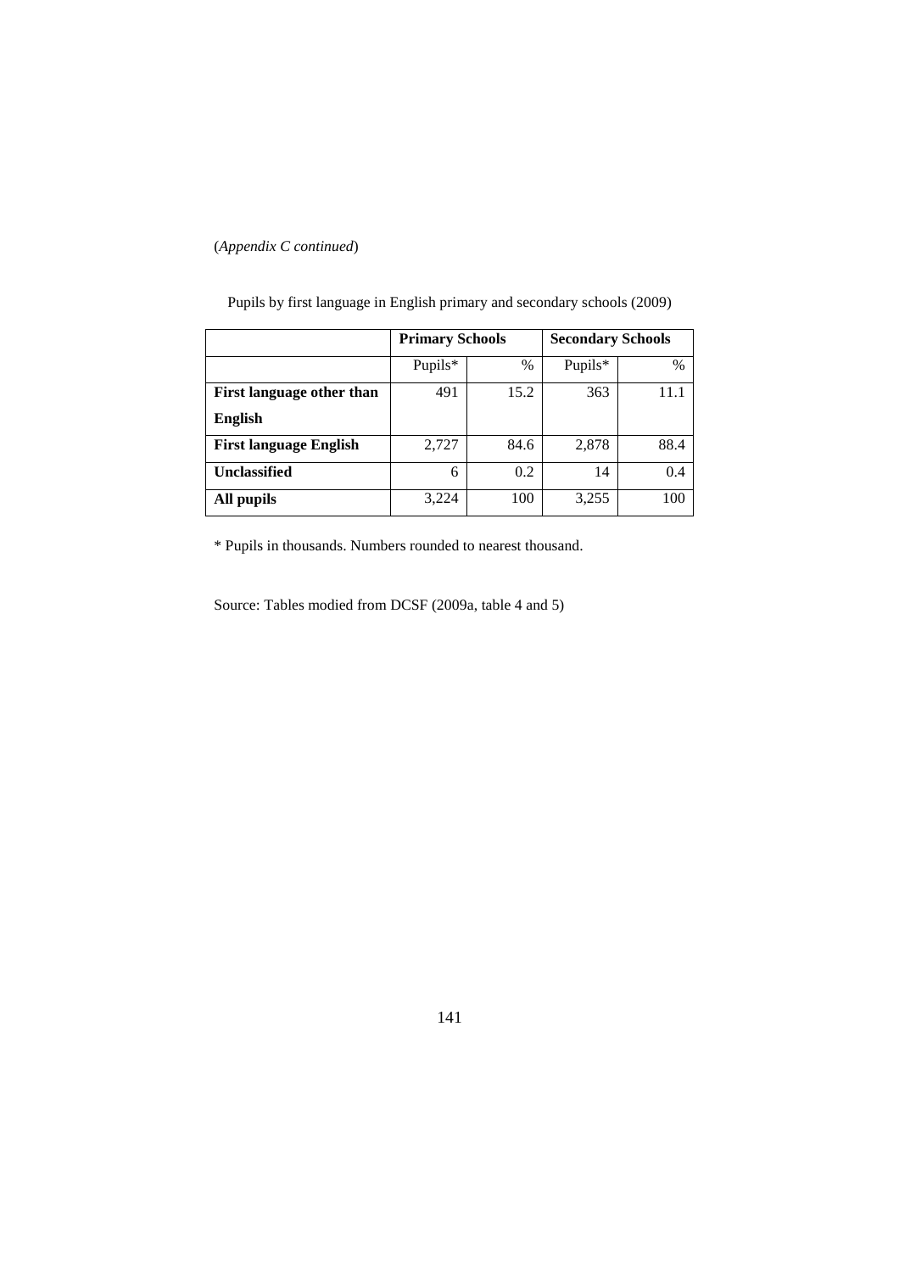## (*Appendix C continued*)

|                               | <b>Primary Schools</b> |      | <b>Secondary Schools</b> |      |
|-------------------------------|------------------------|------|--------------------------|------|
|                               | Pupils*                | $\%$ | Pupils*                  | %    |
| First language other than     | 491                    | 15.2 | 363                      | 11.1 |
| <b>English</b>                |                        |      |                          |      |
| <b>First language English</b> | 2,727                  | 84.6 | 2,878                    | 88.4 |
| Unclassified                  | 6                      | 0.2  | 14                       | 0.4  |
| All pupils                    | 3,224                  | 100  | 3,255                    | 100  |

Pupils by first language in English primary and secondary schools (2009)

\* Pupils in thousands. Numbers rounded to nearest thousand.

Source: Tables modied from DCSF (2009a, table 4 and 5)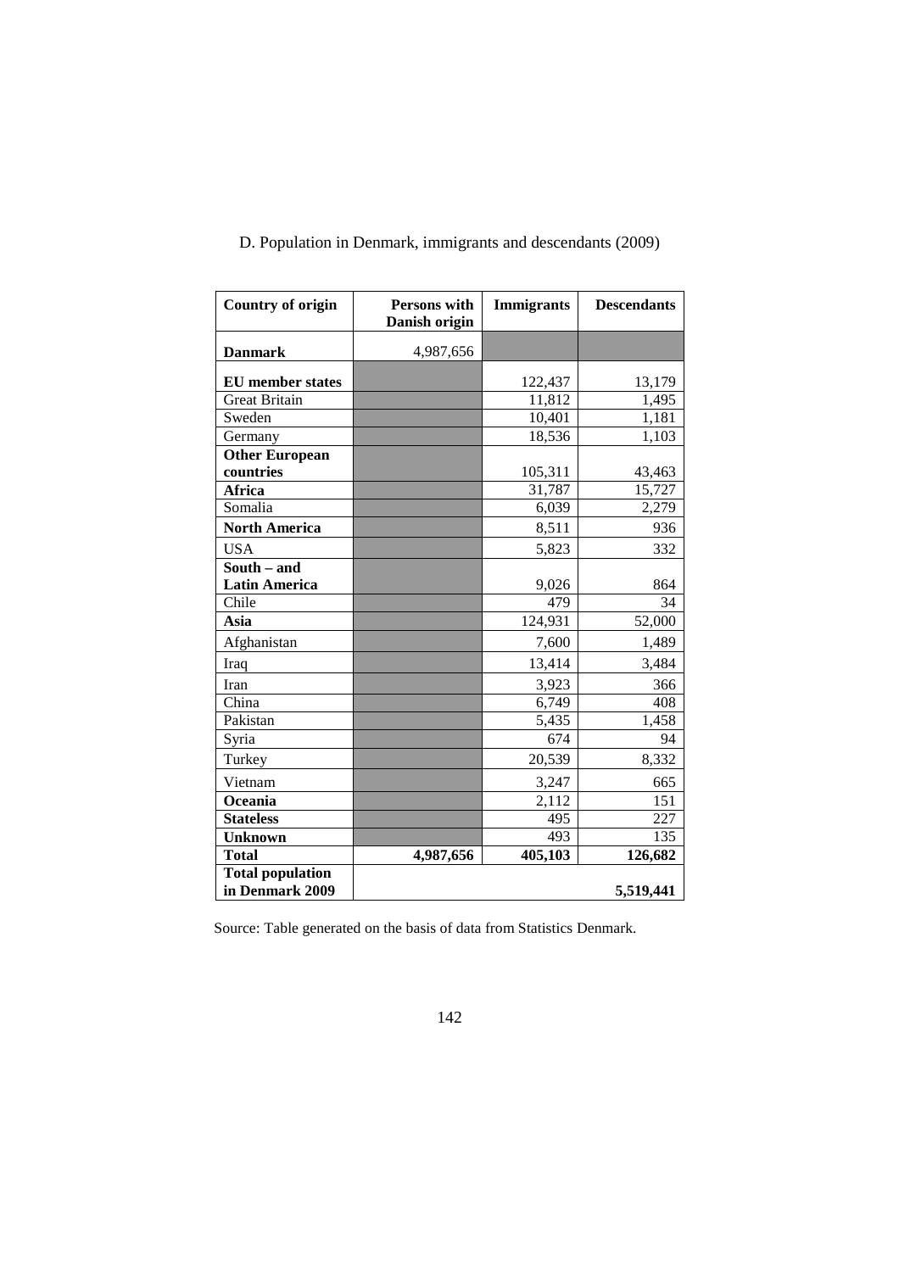| <b>Country of origin</b> | Persons with<br>Danish origin | <b>Immigrants</b> | <b>Descendants</b> |
|--------------------------|-------------------------------|-------------------|--------------------|
|                          |                               |                   |                    |
| <b>Danmark</b>           | 4,987,656                     |                   |                    |
| <b>EU</b> member states  |                               | 122,437           | 13,179             |
| <b>Great Britain</b>     |                               | 11,812            | 1,495              |
| Sweden                   |                               | 10,401            | 1,181              |
| Germany                  |                               | 18,536            | 1,103              |
| <b>Other European</b>    |                               |                   |                    |
| countries                |                               | 105,311           | 43,463             |
| <b>Africa</b>            |                               | 31,787            | 15,727             |
| Somalia                  |                               | 6,039             | 2,279              |
| <b>North America</b>     |                               | 8,511             | 936                |
| <b>USA</b>               |                               | 5,823             | 332                |
| South - and              |                               |                   |                    |
| <b>Latin America</b>     |                               | 9,026             | 864                |
| Chile                    |                               | 479               | 34                 |
| Asia                     |                               | 124,931           | 52,000             |
| Afghanistan              |                               | 7,600             | 1,489              |
| Iraq                     |                               | 13,414            | 3,484              |
| Iran                     |                               | 3,923             | 366                |
| China                    |                               | 6,749             | 408                |
| Pakistan                 |                               | 5,435             | 1,458              |
| Syria                    |                               | 674               | 94                 |
| Turkey                   |                               | 20,539            | 8,332              |
| Vietnam                  |                               | 3,247             | 665                |
| Oceania                  |                               | 2,112             | 151                |
| <b>Stateless</b>         |                               | 495               | 227                |
| <b>Unknown</b>           |                               | 493               | 135                |
| <b>Total</b>             | 4,987,656                     | 405,103           | 126,682            |
| <b>Total population</b>  |                               |                   |                    |
| in Denmark 2009          |                               |                   | 5,519,441          |

D. Population in Denmark, immigrants and descendants (2009)

Source: Table generated on the basis of data from Statistics Denmark.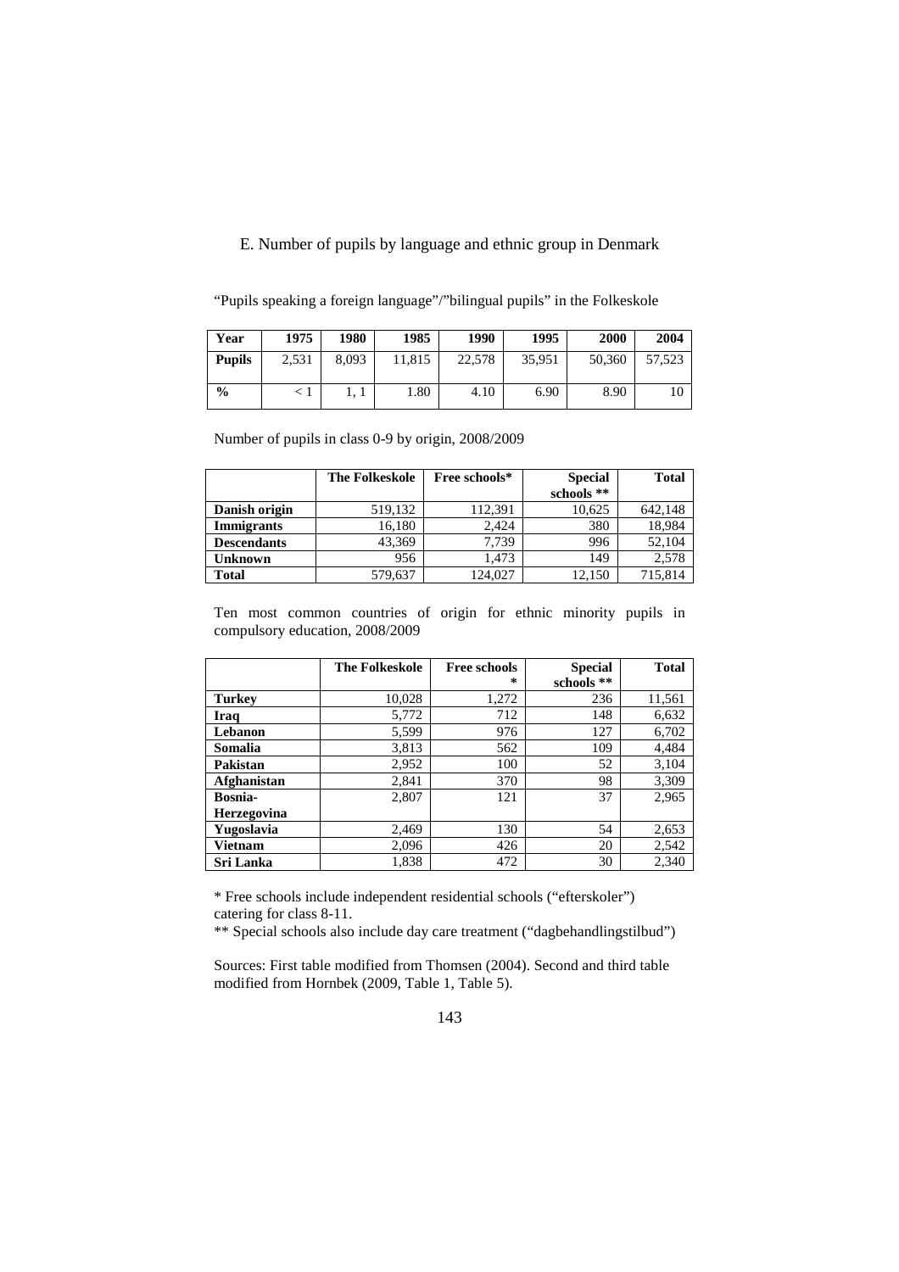## E. Number of pupils by language and ethnic group in Denmark

| Year          | 1975  | 1980  | 1985   | 1990   | 1995   | 2000   | 2004   |
|---------------|-------|-------|--------|--------|--------|--------|--------|
| <b>Pupils</b> | 2,531 | 8.093 | 11,815 | 22,578 | 35,951 | 50,360 | 57.523 |
| $\frac{6}{9}$ |       |       | 1.80   | 4.10   | 6.90   | 8.90   |        |

"Pupils speaking a foreign language"/"bilingual pupils" in the Folkeskole

Number of pupils in class 0-9 by origin, 2008/2009

|                    | <b>The Folkeskole</b> | Free schools* | <b>Special</b> | <b>Total</b> |
|--------------------|-----------------------|---------------|----------------|--------------|
|                    |                       |               | schools **     |              |
| Danish origin      | 519,132               | 112,391       | 10,625         | 642.148      |
| <b>Immigrants</b>  | 16,180                | 2.424         | 380            | 18,984       |
| <b>Descendants</b> | 43,369                | 7.739         | 996            | 52,104       |
| <b>Unknown</b>     | 956                   | 1.473         | 149            | 2.578        |
| <b>Total</b>       | 579,637               | 124.027       | 12.150         | 715,814      |

Ten most common countries of origin for ethnic minority pupils in compulsory education, 2008/2009

|                | <b>The Folkeskole</b> | <b>Free schools</b> | <b>Special</b> | <b>Total</b> |
|----------------|-----------------------|---------------------|----------------|--------------|
|                |                       | 尖                   | schools **     |              |
| <b>Turkey</b>  | 10,028                | 1,272               | 236            | 11,561       |
| Iraq           | 5,772                 | 712                 | 148            | 6,632        |
| Lebanon        | 5,599                 | 976                 | 127            | 6,702        |
| Somalia        | 3,813                 | 562                 | 109            | 4,484        |
| Pakistan       | 2,952                 | 100                 | 52             | 3,104        |
| Afghanistan    | 2,841                 | 370                 | 98             | 3,309        |
| <b>Bosnia-</b> | 2,807                 | 121                 | 37             | 2,965        |
| Herzegovina    |                       |                     |                |              |
| Yugoslavia     | 2,469                 | 130                 | 54             | 2,653        |
| Vietnam        | 2,096                 | 426                 | 20             | 2,542        |
| Sri Lanka      | 1,838                 | 472                 | 30             | 2,340        |

\* Free schools include independent residential schools ("efterskoler") catering for class 8-11.

\*\* Special schools also include day care treatment ("dagbehandlingstilbud")

Sources: First table modified from Thomsen (2004). Second and third table modified from Hornbek (2009, Table 1, Table 5).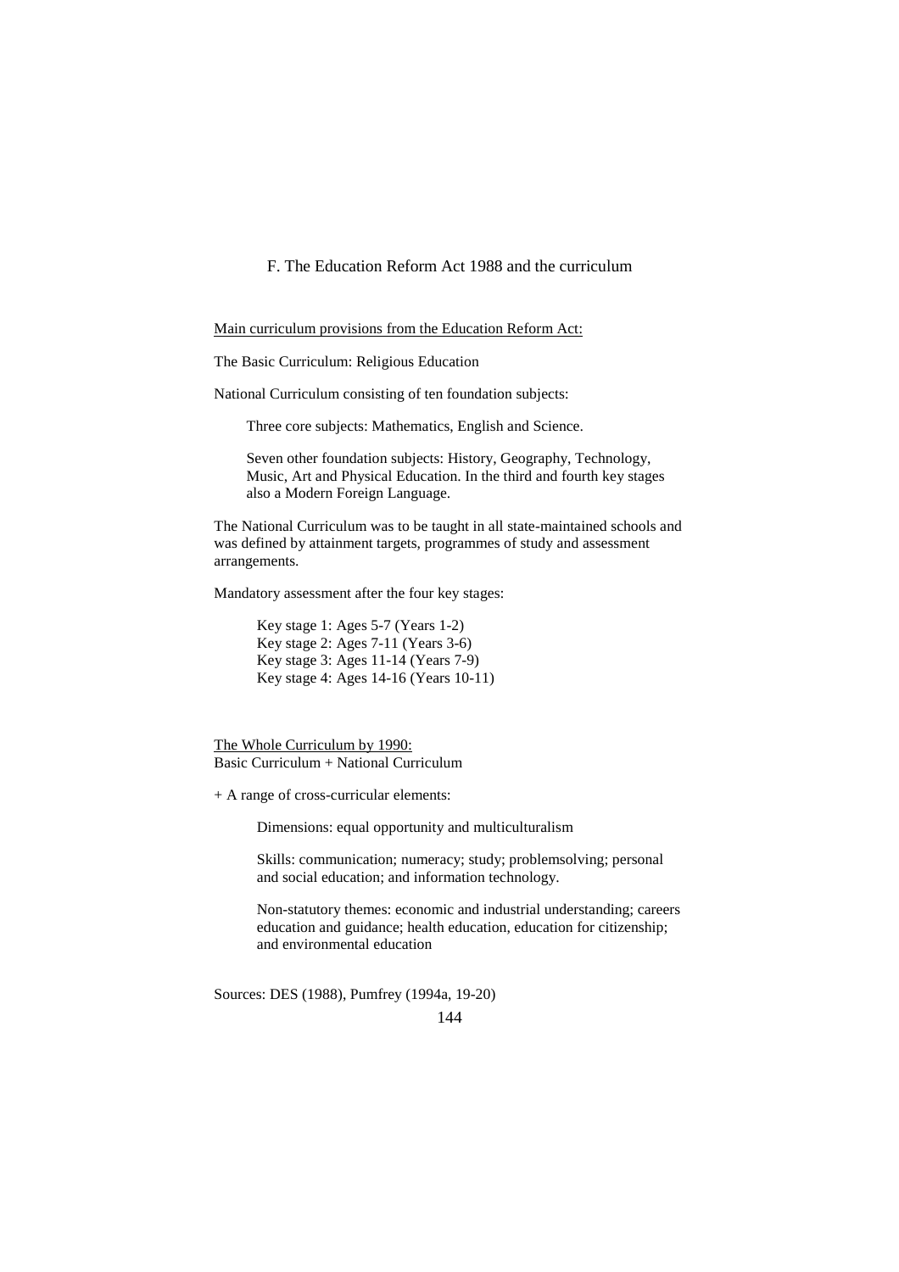F. The Education Reform Act 1988 and the curriculum

Main curriculum provisions from the Education Reform Act:

The Basic Curriculum: Religious Education

National Curriculum consisting of ten foundation subjects:

Three core subjects: Mathematics, English and Science.

Seven other foundation subjects: History, Geography, Technology, Music, Art and Physical Education. In the third and fourth key stages also a Modern Foreign Language.

The National Curriculum was to be taught in all state-maintained schools and was defined by attainment targets, programmes of study and assessment arrangements.

Mandatory assessment after the four key stages:

Key stage 1: Ages 5-7 (Years 1-2) Key stage 2: Ages 7-11 (Years 3-6) Key stage 3: Ages 11-14 (Years 7-9) Key stage 4: Ages 14-16 (Years 10-11)

The Whole Curriculum by 1990: Basic Curriculum + National Curriculum

+ A range of cross-curricular elements:

Dimensions: equal opportunity and multiculturalism

Skills: communication; numeracy; study; problemsolving; personal and social education; and information technology.

Non-statutory themes: economic and industrial understanding; careers education and guidance; health education, education for citizenship; and environmental education

Sources: DES (1988), Pumfrey (1994a, 19-20)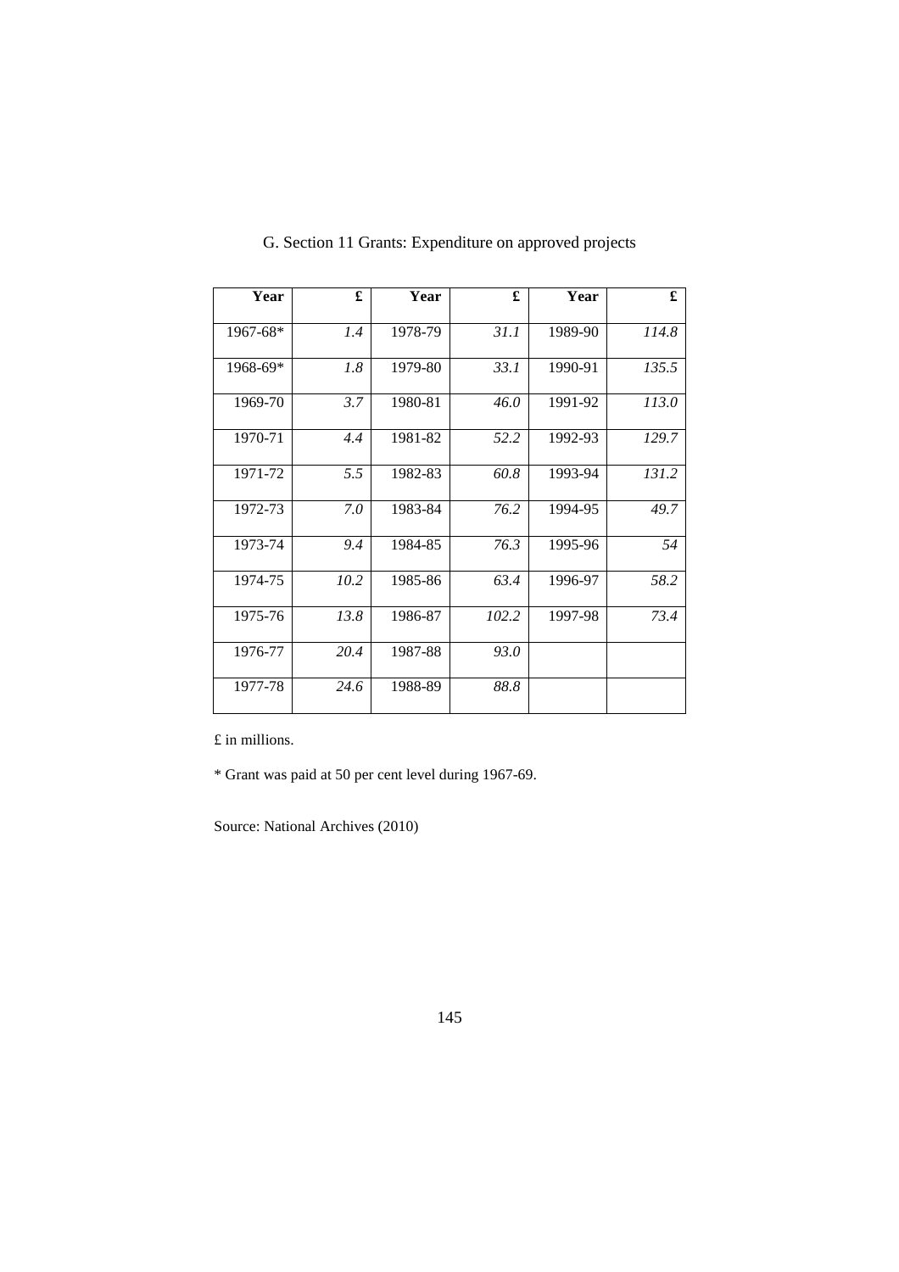| Year         | £    | Year    | £     | Year    | £     |
|--------------|------|---------|-------|---------|-------|
| $1967 - 68*$ | 1.4  | 1978-79 | 31.1  | 1989-90 | 114.8 |
| $1968-69*$   | 1.8  | 1979-80 | 33.1  | 1990-91 | 135.5 |
| 1969-70      | 3.7  | 1980-81 | 46.0  | 1991-92 | 113.0 |
| 1970-71      | 4.4  | 1981-82 | 52.2  | 1992-93 | 129.7 |
| 1971-72      | 5.5  | 1982-83 | 60.8  | 1993-94 | 131.2 |
| 1972-73      | 7.0  | 1983-84 | 76.2  | 1994-95 | 49.7  |
| 1973-74      | 9.4  | 1984-85 | 76.3  | 1995-96 | 54    |
| 1974-75      | 10.2 | 1985-86 | 63.4  | 1996-97 | 58.2  |
| 1975-76      | 13.8 | 1986-87 | 102.2 | 1997-98 | 73.4  |
| 1976-77      | 20.4 | 1987-88 | 93.0  |         |       |
| 1977-78      | 24.6 | 1988-89 | 88.8  |         |       |

G. Section 11 Grants: Expenditure on approved projects

£ in millions.

\* Grant was paid at 50 per cent level during 1967-69.

Source: National Archives (2010)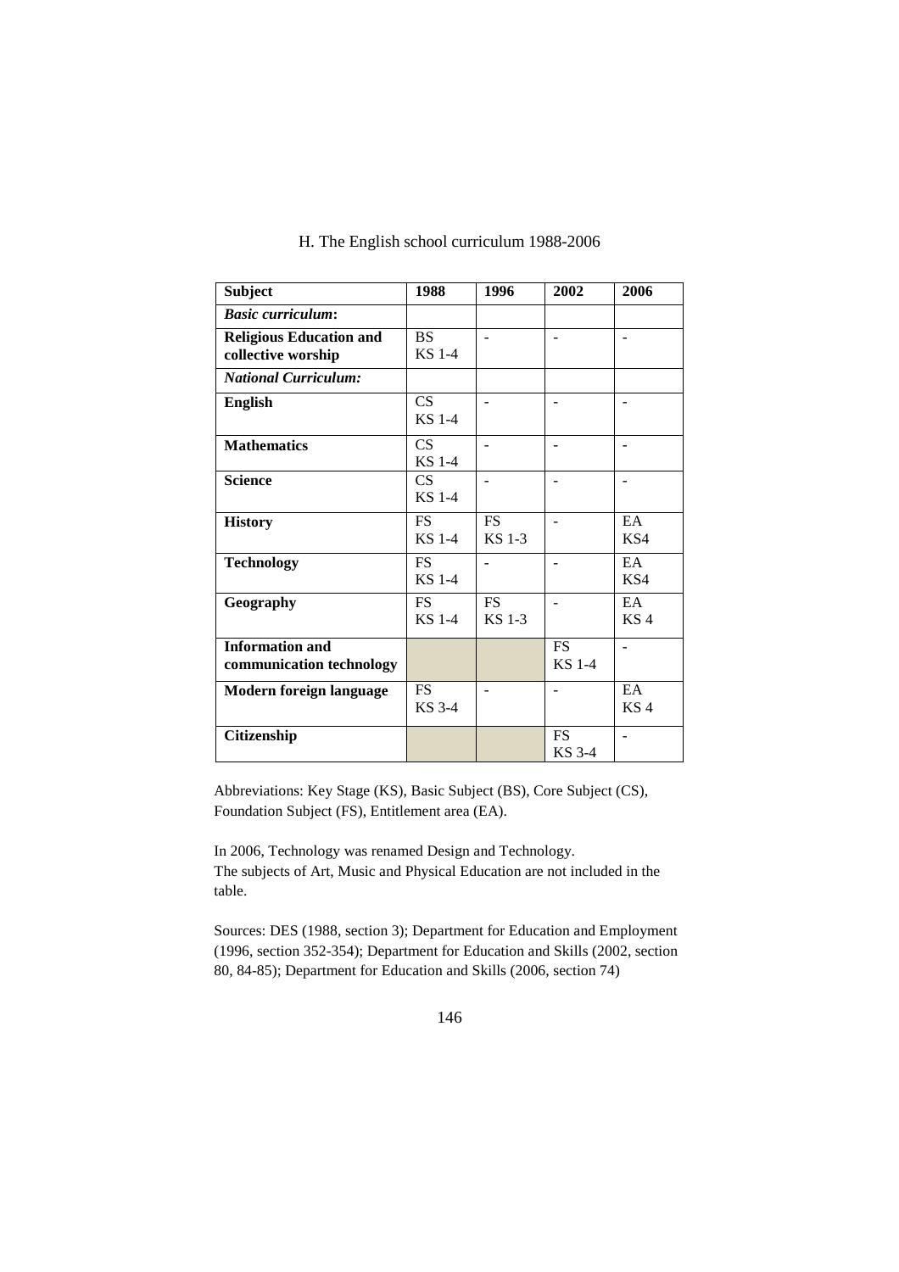| Subject                                              | 1988                       | 1996                       | 2002                       | 2006                  |
|------------------------------------------------------|----------------------------|----------------------------|----------------------------|-----------------------|
| <b>Basic curriculum:</b>                             |                            |                            |                            |                       |
| <b>Religious Education and</b><br>collective worship | <b>BS</b><br><b>KS</b> 1-4 | $\overline{\phantom{0}}$   |                            |                       |
| <b>National Curriculum:</b>                          |                            |                            |                            |                       |
| <b>English</b>                                       | CS<br><b>KS</b> 1-4        |                            |                            |                       |
| <b>Mathematics</b>                                   | CS<br><b>KS</b> 1-4        | ٠                          |                            |                       |
| <b>Science</b>                                       | CS<br><b>KS</b> 1-4        | ۰                          |                            |                       |
| <b>History</b>                                       | <b>FS</b><br><b>KS</b> 1-4 | <b>FS</b><br><b>KS</b> 1-3 |                            | EA<br>KS <sub>4</sub> |
| <b>Technology</b>                                    | <b>FS</b><br><b>KS</b> 1-4 |                            |                            | EA<br>KS <sub>4</sub> |
| Geography                                            | <b>FS</b><br><b>KS</b> 1-4 | <b>FS</b><br><b>KS</b> 1-3 |                            | EA<br>KS <sub>4</sub> |
| <b>Information and</b><br>communication technology   |                            |                            | <b>FS</b><br><b>KS</b> 1-4 |                       |
| Modern foreign language                              | <b>FS</b><br>KS 3-4        |                            |                            | EA<br>KS <sub>4</sub> |
| Citizenship                                          |                            |                            | <b>FS</b><br>KS 3-4        |                       |

# H. The English school curriculum 1988-2006

Abbreviations: Key Stage (KS), Basic Subject (BS), Core Subject (CS), Foundation Subject (FS), Entitlement area (EA).

In 2006, Technology was renamed Design and Technology. The subjects of Art, Music and Physical Education are not included in the table.

Sources: DES (1988, section 3); Department for Education and Employment (1996, section 352-354); Department for Education and Skills (2002, section 80, 84-85); Department for Education and Skills (2006, section 74)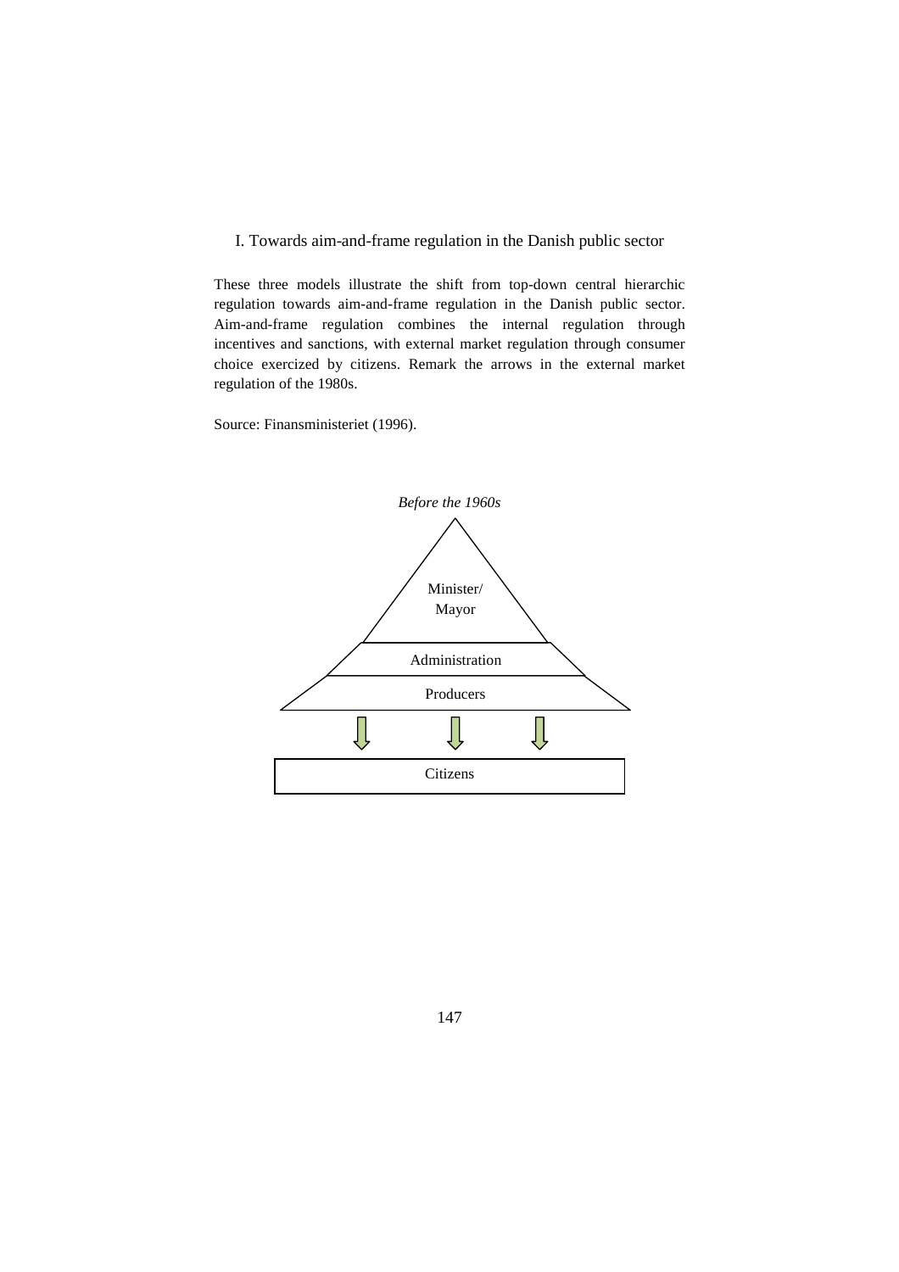I. Towards aim-and-frame regulation in the Danish public sector

These three models illustrate the shift from top-down central hierarchic regulation towards aim-and-frame regulation in the Danish public sector. Aim-and-frame regulation combines the internal regulation through incentives and sanctions, with external market regulation through consumer choice exercized by citizens. Remark the arrows in the external market regulation of the 1980s.

Source: Finansministeriet (1996).

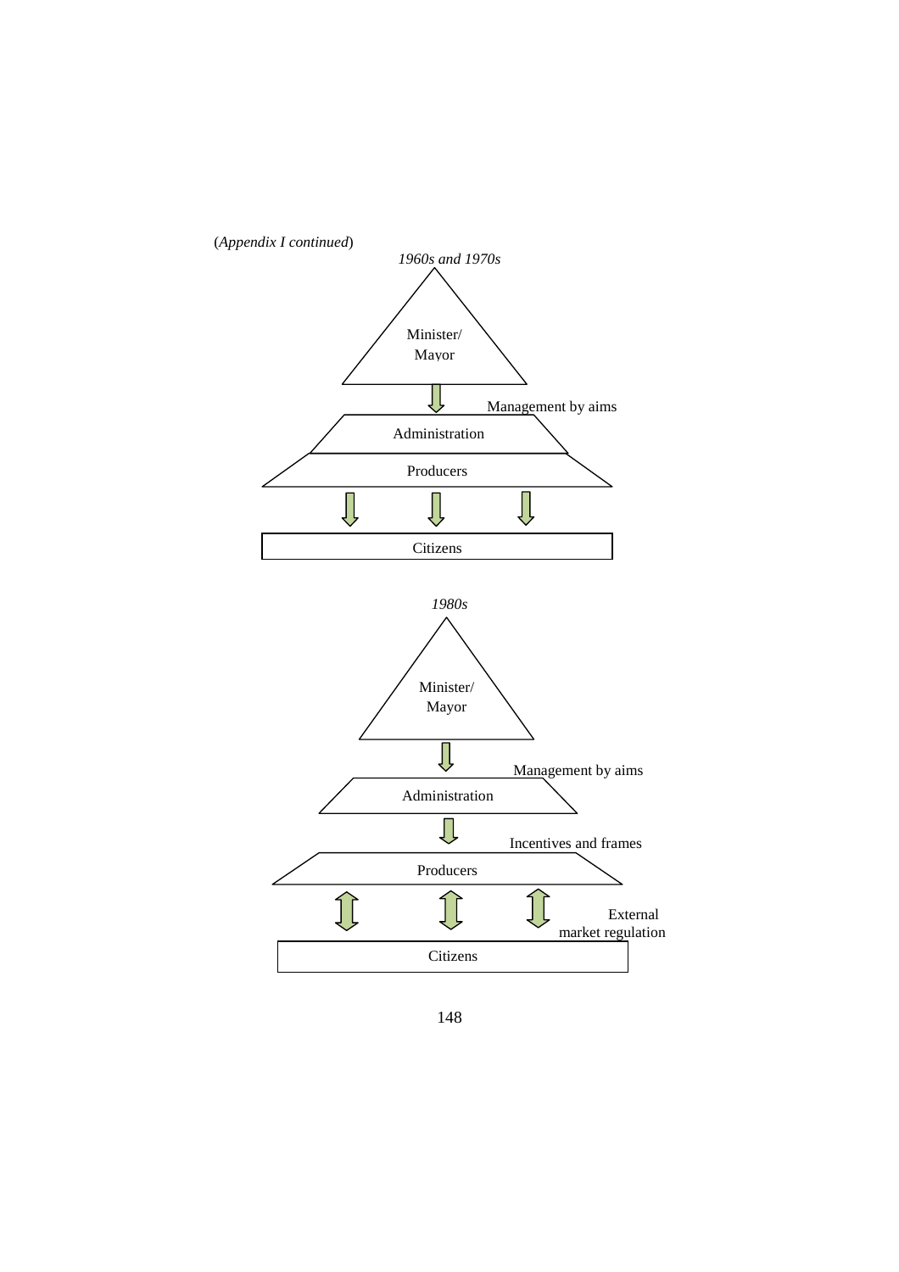

148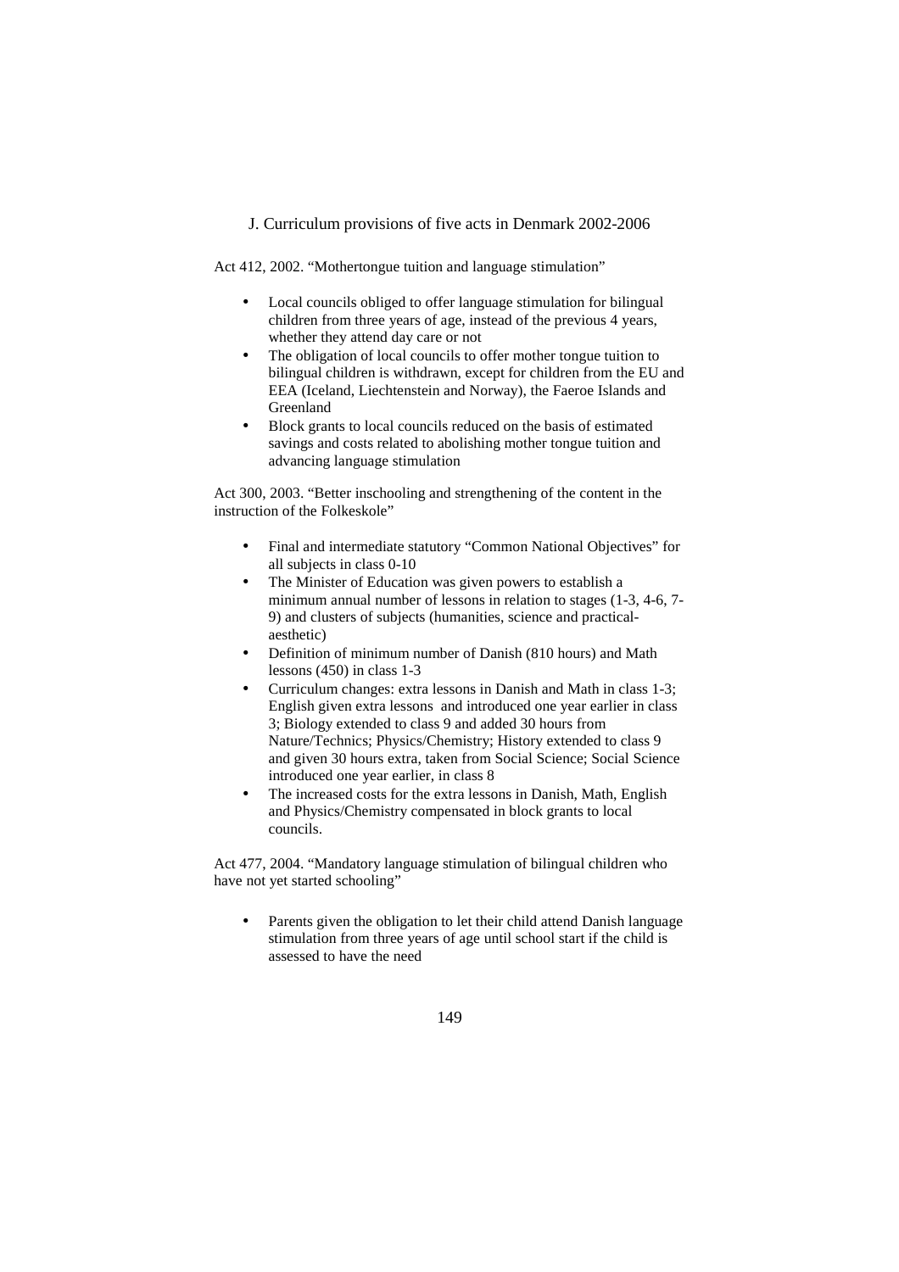## J. Curriculum provisions of five acts in Denmark 2002-2006

Act 412, 2002. "Mothertongue tuition and language stimulation"

- Local councils obliged to offer language stimulation for bilingual children from three years of age, instead of the previous 4 years, whether they attend day care or not
- The obligation of local councils to offer mother tongue tuition to bilingual children is withdrawn, except for children from the EU and EEA (Iceland, Liechtenstein and Norway), the Faeroe Islands and Greenland
- Block grants to local councils reduced on the basis of estimated savings and costs related to abolishing mother tongue tuition and advancing language stimulation

Act 300, 2003. "Better inschooling and strengthening of the content in the instruction of the Folkeskole"

- Final and intermediate statutory "Common National Objectives" for all subjects in class 0-10
- The Minister of Education was given powers to establish a minimum annual number of lessons in relation to stages (1-3, 4-6, 7- 9) and clusters of subjects (humanities, science and practicalaesthetic)
- Definition of minimum number of Danish (810 hours) and Math lessons (450) in class 1-3
- Curriculum changes: extra lessons in Danish and Math in class 1-3; English given extra lessons and introduced one year earlier in class 3; Biology extended to class 9 and added 30 hours from Nature/Technics; Physics/Chemistry; History extended to class 9 and given 30 hours extra, taken from Social Science; Social Science introduced one year earlier, in class 8
- The increased costs for the extra lessons in Danish, Math, English and Physics/Chemistry compensated in block grants to local councils.

Act 477, 2004. "Mandatory language stimulation of bilingual children who have not yet started schooling"

Parents given the obligation to let their child attend Danish language stimulation from three years of age until school start if the child is assessed to have the need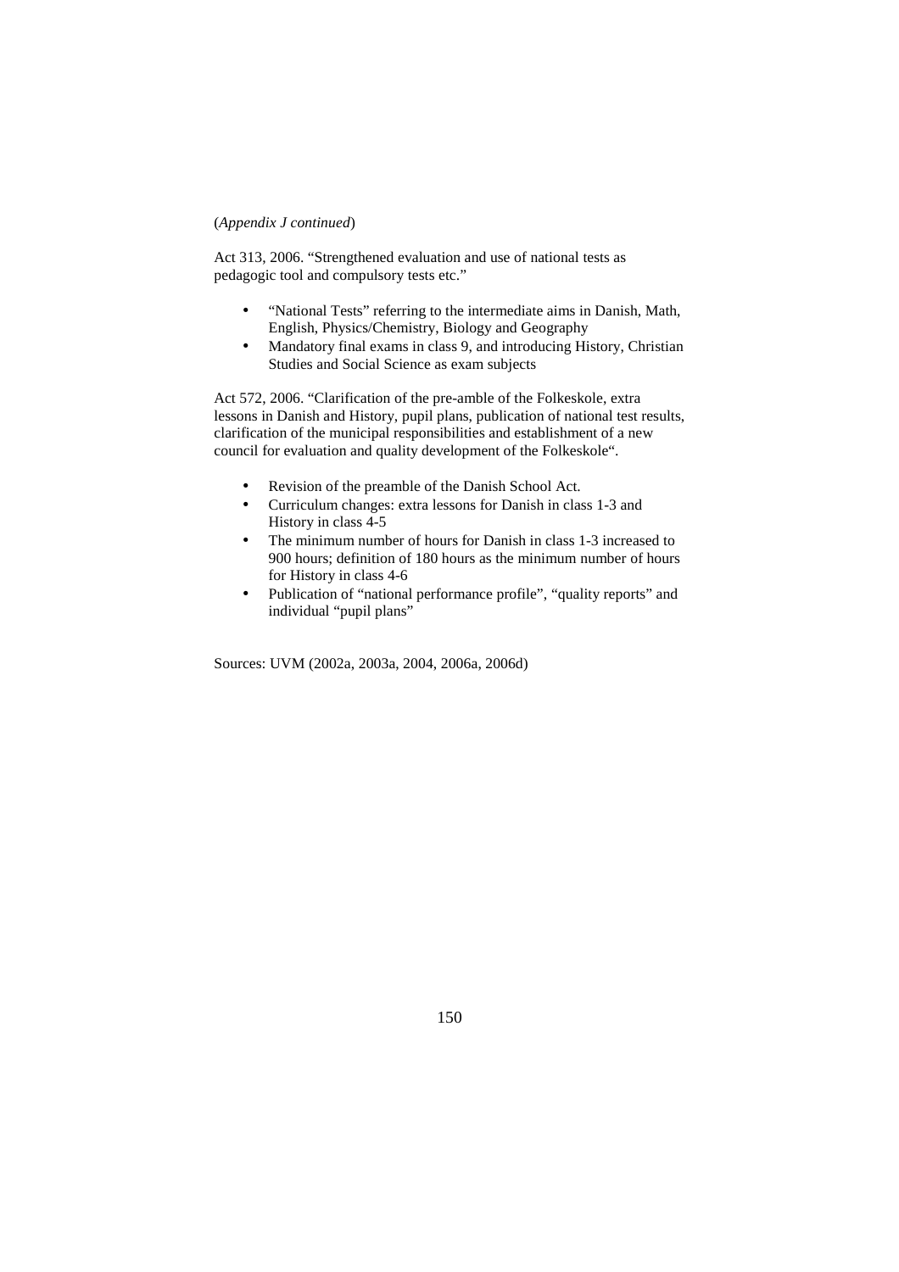## (*Appendix J continued*)

Act 313, 2006. "Strengthened evaluation and use of national tests as pedagogic tool and compulsory tests etc."

- "National Tests" referring to the intermediate aims in Danish, Math, English, Physics/Chemistry, Biology and Geography
- Mandatory final exams in class 9, and introducing History, Christian Studies and Social Science as exam subjects

Act 572, 2006. "Clarification of the pre-amble of the Folkeskole, extra lessons in Danish and History, pupil plans, publication of national test results, clarification of the municipal responsibilities and establishment of a new council for evaluation and quality development of the Folkeskole".

- Revision of the preamble of the Danish School Act.
- Curriculum changes: extra lessons for Danish in class 1-3 and History in class 4-5
- The minimum number of hours for Danish in class 1-3 increased to 900 hours; definition of 180 hours as the minimum number of hours for History in class 4-6
- Publication of "national performance profile", "quality reports" and individual "pupil plans"

Sources: UVM (2002a, 2003a, 2004, 2006a, 2006d)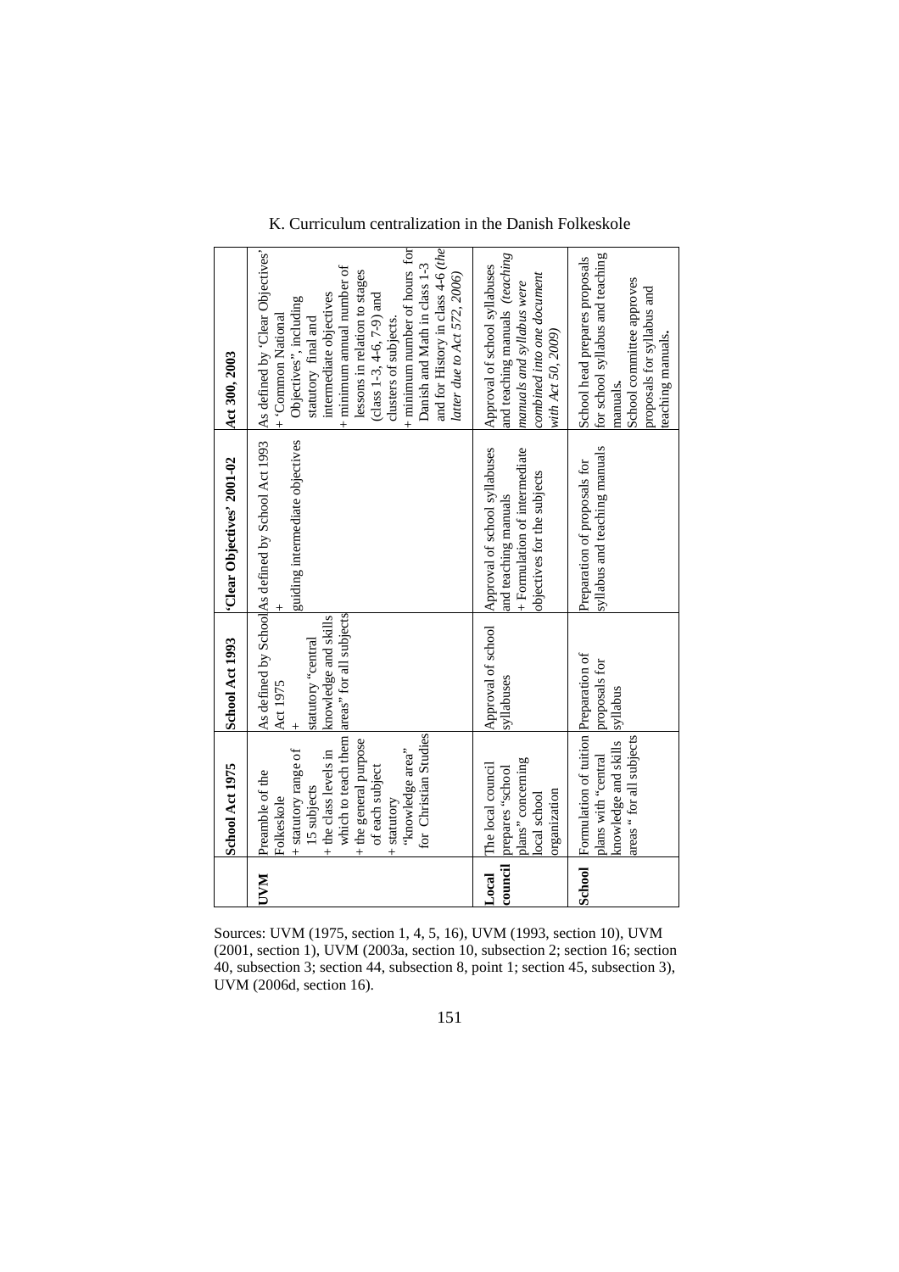|            | School Act 1975                                                                                                                                                                                       | School Act 1993                                                                                       | 'Clear Objectives' 2001-02                                                                                            | Act 300, 2003                                                                                                                                                                                                                                                                                                                                                                                      |
|------------|-------------------------------------------------------------------------------------------------------------------------------------------------------------------------------------------------------|-------------------------------------------------------------------------------------------------------|-----------------------------------------------------------------------------------------------------------------------|----------------------------------------------------------------------------------------------------------------------------------------------------------------------------------------------------------------------------------------------------------------------------------------------------------------------------------------------------------------------------------------------------|
| <b>NAA</b> | for Christian Studies<br>+ the general purpose<br>"knowledge area"<br>+ statutory range of<br>+ the class levels in<br>of each subject<br>Preamble of the<br>15 subjects<br>Folkeskole<br>+ statutory | which to teach them areas" for all subjects<br>knowledge and skills<br>statutory "central<br>Act 1975 | As defined by School As defined by School Act 1993<br>guiding intermediate objectives                                 | and for History in class 4-6 (the<br>$+$ minimum number of hours for<br>As defined by 'Clear Objectives'<br>Danish and Math in class 1-3<br>+ minimum annual number of<br>lessons in relation to stages<br>latter due to Act 572, 2006)<br>intermediate objectives<br>(class $1-3, 4-6, 7-9$ ) and<br>Objectives", including<br>+ 'Common National<br>clusters of subjects.<br>statutory final and |
| Local      | plans" concerning<br>The local council<br>council prepares "school<br>organization<br>local school                                                                                                    | Approval of school<br>syllabuses                                                                      | Approval of school syllabuses<br>+ Formulation of intermediate<br>objectives for the subjects<br>and teaching manuals | and teaching manuals (teaching<br>Approval of school syllabuses<br>combined into one document<br>manuals and syllabus were<br>with Act 50, 2009)                                                                                                                                                                                                                                                   |
| School     | Formulation of tuition Preparation of<br>areas "for all subjects<br>knowledge and skills<br>plans with "central                                                                                       | proposals for<br>syllabus                                                                             | syllabus and teaching manuals<br>Preparation of proposals for                                                         | for school syllabus and teaching<br>School head prepares proposals<br>School committee approves<br>proposals for syllabus and<br>teaching manuals.<br>manuals.                                                                                                                                                                                                                                     |

K. Curriculum centralization in the Danish Folkeskole

Sources: UVM (1975, section 1, 4, 5, 16), UVM (1993, section 10), UVM (2001, section 1), UVM (2003a, section 10, subsection 2; section 16; section 40, subsection 3; section 44, subsection 8, point 1; section 45, subsection 3), UVM (2006d, section 16).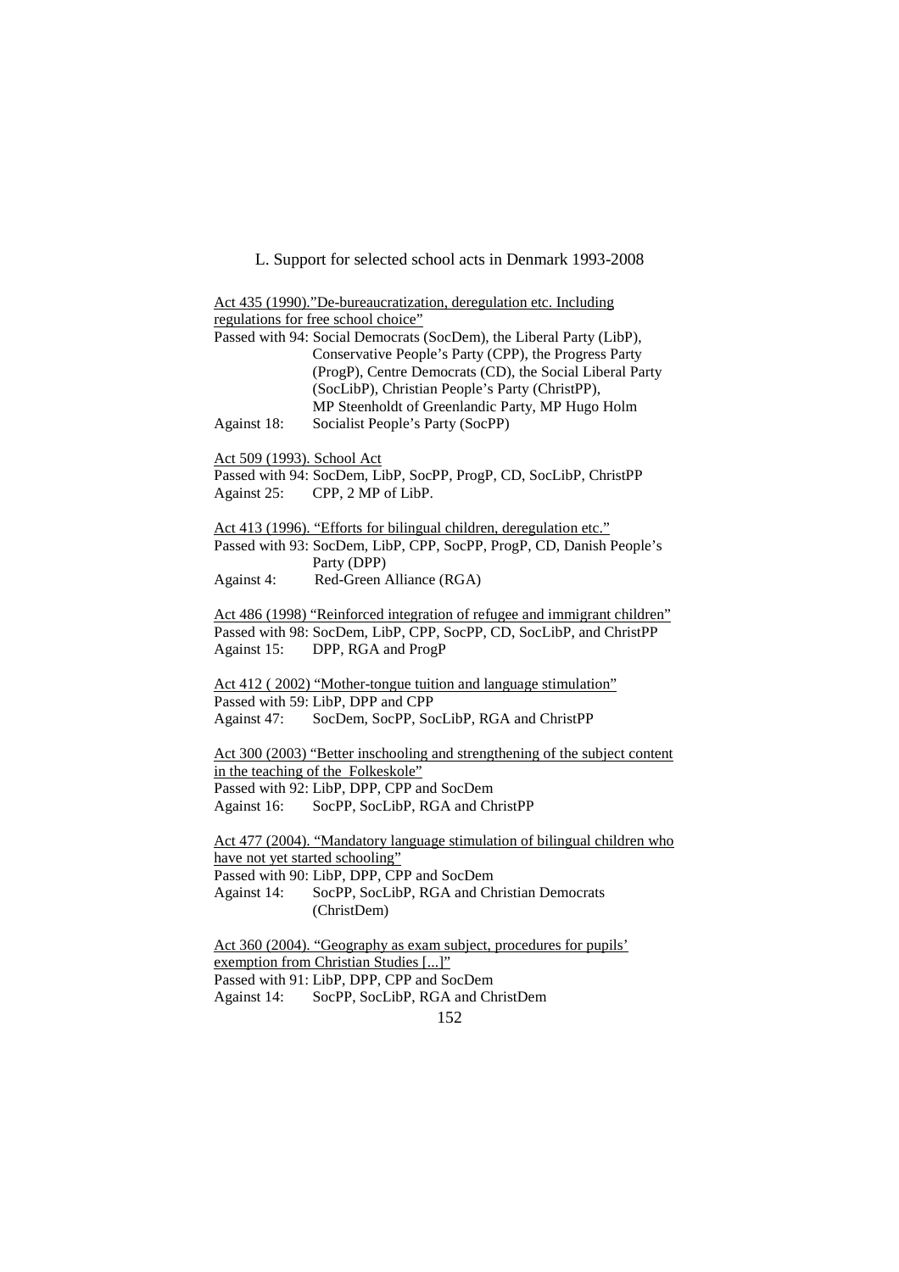L. Support for selected school acts in Denmark 1993-2008

|                                 | Act 435 (1990)."De-bureaucratization, deregulation etc. Including                                                                                                                                                                                                                                |
|---------------------------------|--------------------------------------------------------------------------------------------------------------------------------------------------------------------------------------------------------------------------------------------------------------------------------------------------|
|                                 | regulations for free school choice"                                                                                                                                                                                                                                                              |
|                                 | Passed with 94: Social Democrats (SocDem), the Liberal Party (LibP),<br>Conservative People's Party (CPP), the Progress Party<br>(ProgP), Centre Democrats (CD), the Social Liberal Party<br>(SocLibP), Christian People's Party (ChristPP),<br>MP Steenholdt of Greenlandic Party, MP Hugo Holm |
| Against 18:                     | Socialist People's Party (SocPP)                                                                                                                                                                                                                                                                 |
| Act 509 (1993). School Act      |                                                                                                                                                                                                                                                                                                  |
|                                 | Passed with 94: SocDem, LibP, SocPP, ProgP, CD, SocLibP, ChristPP                                                                                                                                                                                                                                |
| Against 25:                     | CPP, 2 MP of LibP.                                                                                                                                                                                                                                                                               |
|                                 | Act 413 (1996). "Efforts for bilingual children, deregulation etc."                                                                                                                                                                                                                              |
|                                 | Passed with 93: SocDem, LibP, CPP, SocPP, ProgP, CD, Danish People's<br>Party (DPP)                                                                                                                                                                                                              |
| Against 4:                      | Red-Green Alliance (RGA)                                                                                                                                                                                                                                                                         |
|                                 | Act 486 (1998) "Reinforced integration of refugee and immigrant children"                                                                                                                                                                                                                        |
|                                 | Passed with 98: SocDem, LibP, CPP, SocPP, CD, SocLibP, and ChristPP                                                                                                                                                                                                                              |
| Against 15:                     | DPP, RGA and ProgP                                                                                                                                                                                                                                                                               |
|                                 | Act 412 (2002) "Mother-tongue tuition and language stimulation"                                                                                                                                                                                                                                  |
|                                 | Passed with 59: LibP, DPP and CPP                                                                                                                                                                                                                                                                |
| Against 47:                     | SocDem, SocPP, SocLibP, RGA and ChristPP                                                                                                                                                                                                                                                         |
|                                 | Act 300 (2003) "Better inschooling and strengthening of the subject content                                                                                                                                                                                                                      |
|                                 | in the teaching of the Folkeskole"                                                                                                                                                                                                                                                               |
|                                 | Passed with 92: LibP, DPP, CPP and SocDem                                                                                                                                                                                                                                                        |
| Against 16:                     | SocPP, SocLibP, RGA and ChristPP                                                                                                                                                                                                                                                                 |
|                                 | Act 477 (2004). "Mandatory language stimulation of bilingual children who                                                                                                                                                                                                                        |
| have not yet started schooling" |                                                                                                                                                                                                                                                                                                  |
|                                 | Passed with 90: LibP, DPP, CPP and SocDem                                                                                                                                                                                                                                                        |
| Against 14:                     | SocPP, SocLibP, RGA and Christian Democrats                                                                                                                                                                                                                                                      |
|                                 | (ChristDem)                                                                                                                                                                                                                                                                                      |
|                                 | Act 360 (2004). "Geography as exam subject, procedures for pupils'                                                                                                                                                                                                                               |
|                                 | exemption from Christian Studies []"                                                                                                                                                                                                                                                             |

Passed with 91: LibP, DPP, CPP and SocDem

Against 14: SocPP, SocLibP, RGA and ChristDem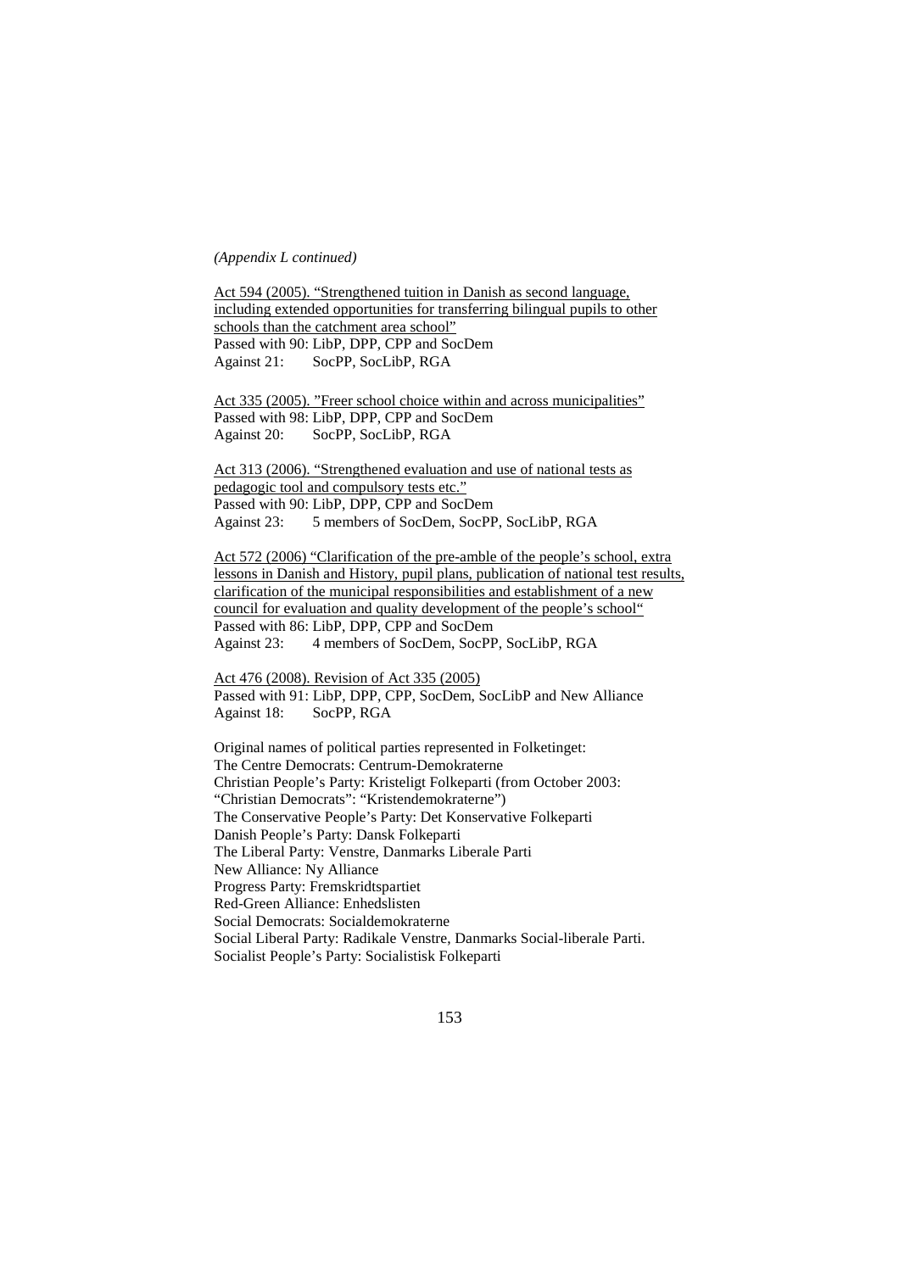#### *(Appendix L continued)*

Act 594 (2005). "Strengthened tuition in Danish as second language, including extended opportunities for transferring bilingual pupils to other schools than the catchment area school" Passed with 90: LibP, DPP, CPP and SocDem Against 21: SocPP, SocLibP, RGA

Act 335 (2005). "Freer school choice within and across municipalities" Passed with 98: LibP, DPP, CPP and SocDem Against 20: SocPP, SocLibP, RGA

Act 313 (2006). "Strengthened evaluation and use of national tests as pedagogic tool and compulsory tests etc." Passed with 90: LibP, DPP, CPP and SocDem Against 23: 5 members of SocDem, SocPP, SocLibP, RGA

Act 572 (2006) "Clarification of the pre-amble of the people's school, extra lessons in Danish and History, pupil plans, publication of national test results, clarification of the municipal responsibilities and establishment of a new council for evaluation and quality development of the people's school" Passed with 86: LibP, DPP, CPP and SocDem Against 23: 4 members of SocDem, SocPP, SocLibP, RGA

Act 476 (2008). Revision of Act 335 (2005) Passed with 91: LibP, DPP, CPP, SocDem, SocLibP and New Alliance Against 18: SocPP, RGA

Original names of political parties represented in Folketinget: The Centre Democrats: Centrum-Demokraterne Christian People's Party: Kristeligt Folkeparti (from October 2003: "Christian Democrats": "Kristendemokraterne") The Conservative People's Party: Det Konservative Folkeparti Danish People's Party: Dansk Folkeparti The Liberal Party: Venstre, Danmarks Liberale Parti New Alliance: Ny Alliance Progress Party: Fremskridtspartiet Red-Green Alliance: Enhedslisten Social Democrats: Socialdemokraterne Social Liberal Party: Radikale Venstre, Danmarks Social-liberale Parti. Socialist People's Party: Socialistisk Folkeparti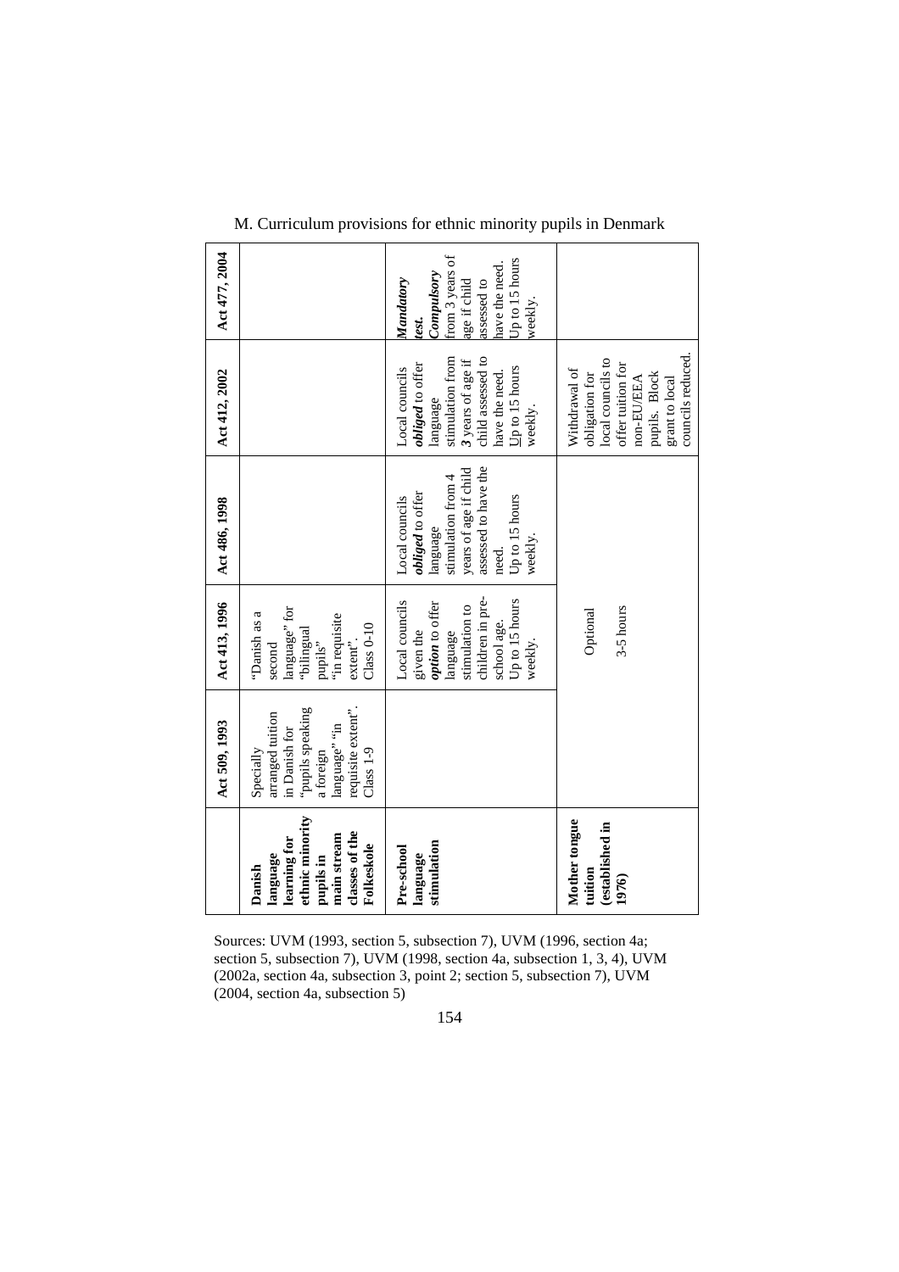|                                                                                                                                                                                                                               |                                                                                                                   | Act 509, 1993                                                                                                                         | Act 413, 1996                                                                                                                                | Act 486, 1998                                                                                                                                               | Act 412, 2002                                                                                                                                                 | Act 477, 2004                                                                                                                     |
|-------------------------------------------------------------------------------------------------------------------------------------------------------------------------------------------------------------------------------|-------------------------------------------------------------------------------------------------------------------|---------------------------------------------------------------------------------------------------------------------------------------|----------------------------------------------------------------------------------------------------------------------------------------------|-------------------------------------------------------------------------------------------------------------------------------------------------------------|---------------------------------------------------------------------------------------------------------------------------------------------------------------|-----------------------------------------------------------------------------------------------------------------------------------|
| (2004, section 4a, subsection 5)                                                                                                                                                                                              | ethnic minority<br>classes of the<br>main stream<br>learning for<br>Folkeskole<br>language<br>pupils in<br>Danish | requisite extent".<br>"pupils speaking<br>arranged tuition<br>language" "in<br>in Danish for<br>$Class 1-9$<br>Specially<br>a foreign | language' for<br>"Danish as a<br>"in requisite<br>$Class 0-10$<br>"bilingual<br>$extent$ .<br>pupils"<br>second                              |                                                                                                                                                             |                                                                                                                                                               |                                                                                                                                   |
| Sources: UVM (1993, section 5, subsection 7), UVM (1996, section 4a;<br>section 5, subsection 7), UVM (1998, section 4a, subsection 1, 3, 4), UVM<br>(2002a, section 4a, subsection 3, point 2; section 5, subsection 7), UVM | stimulation<br>Pre-school<br>language                                                                             |                                                                                                                                       | children in pre-<br>Local councils<br>Up to 15 hours<br>option to offer<br>stimulation to<br>school age.<br>given the<br>language<br>weekly. | assessed to have the<br>years of age if child<br>stimulation from 4<br>obliged to offer<br>Up to 15 hours<br>Local councils<br>language<br>weekly.<br>need. | child assessed to<br>stimulation from<br>3 years of age if<br>obliged to offer<br>Local councils<br>$Up to 15 hours$<br>have the need.<br>language<br>weekly. | from 3 years of<br>Up to 15 hours<br>have the need.<br>Compulsory<br>Mandatory<br>age if child<br>assessed to<br>weekly.<br>test. |
|                                                                                                                                                                                                                               | Mother tongue<br>(established in<br>tuition<br>1976)                                                              |                                                                                                                                       | 3-5 hours<br>Optional                                                                                                                        |                                                                                                                                                             | councils reduced.<br>local councils to<br>offer tuition for<br>Withdrawal of<br>pupils. Block<br>obligation for<br>non-EU/EEA<br>grant to local               |                                                                                                                                   |

M. Curriculum provisions for ethnic minority pupils in Denmark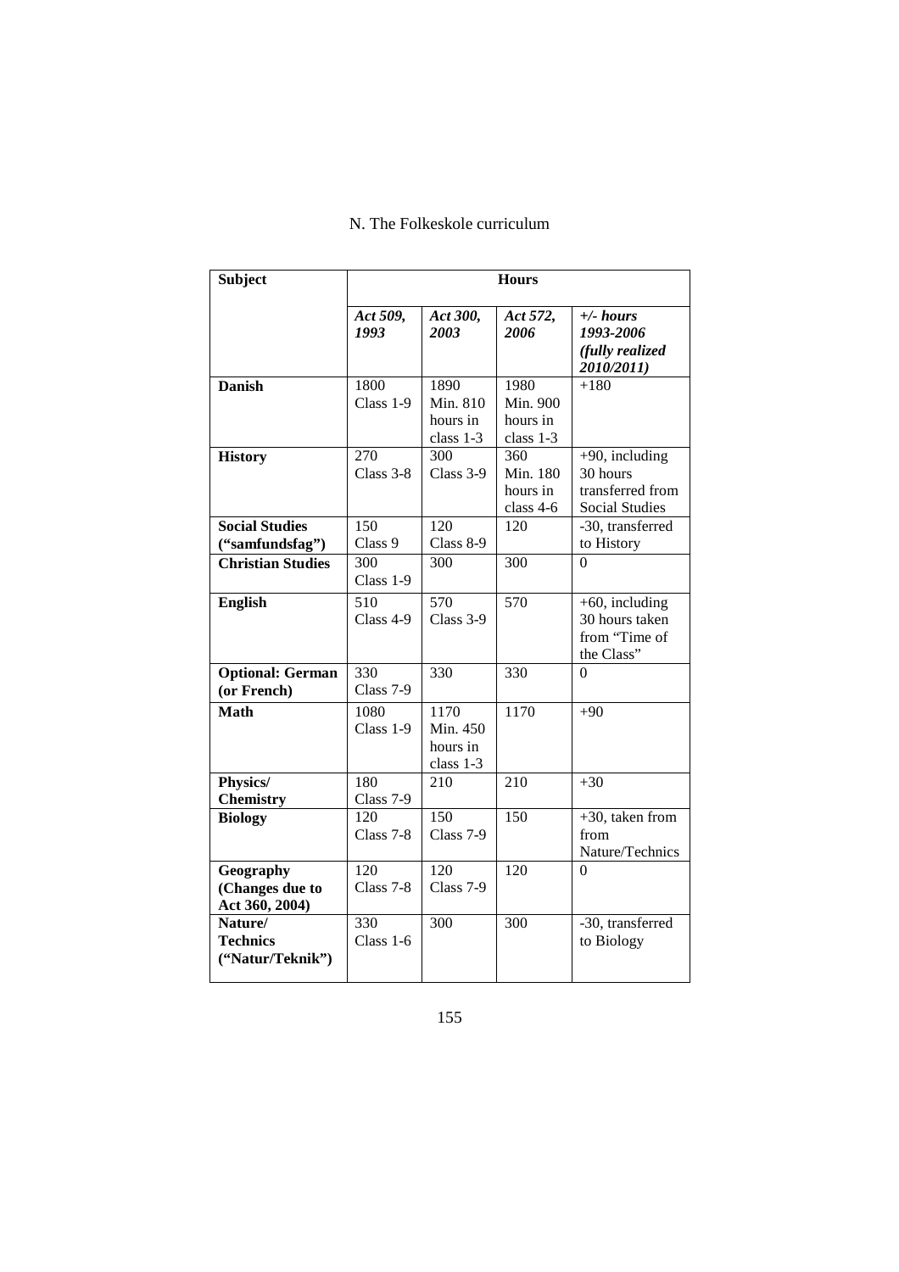# N. The Folkeskole curriculum

| <b>Subject</b>                                 |                               |                                           | <b>Hours</b>                              |                                                                            |
|------------------------------------------------|-------------------------------|-------------------------------------------|-------------------------------------------|----------------------------------------------------------------------------|
|                                                | Act 509,<br>1993              | Act 300,<br>2003                          | Act 572,<br>2006                          | $+\angle$ hours<br>1993-2006<br>(fully realized<br>2010/2011)              |
| <b>Danish</b>                                  | 1800<br>Class 1-9             | 1890<br>Min. 810<br>hours in<br>class 1-3 | 1980<br>Min. 900<br>hours in<br>class 1-3 | $+180$                                                                     |
| <b>History</b>                                 | 270<br>Class 3-8              | 300<br>Class 3-9                          | 360<br>Min. 180<br>hours in<br>class 4-6  | $+90$ , including<br>30 hours<br>transferred from<br><b>Social Studies</b> |
| <b>Social Studies</b><br>("samfundsfag")       | 150<br>Class 9                | 120<br>Class 8-9                          | 120                                       | -30, transferred<br>to History                                             |
| <b>Christian Studies</b>                       | 300<br>Class 1-9              | 300                                       | 300                                       | $\theta$                                                                   |
| <b>English</b>                                 | 510<br>Class 4-9              | 570<br>Class $3-9$                        | 570                                       | $+60$ , including<br>30 hours taken<br>from "Time of<br>the Class"         |
| <b>Optional: German</b><br>(or French)         | 330<br>Class 7-9              | 330                                       | 330                                       | $\theta$                                                                   |
| <b>Math</b>                                    | 1080<br>Class 1-9             | 1170<br>Min. 450<br>hours in<br>class 1-3 | 1170                                      | $+90$                                                                      |
| Physics/<br><b>Chemistry</b>                   | 180<br>Class 7-9              | 210                                       | 210                                       | $+30$                                                                      |
| <b>Biology</b>                                 | 120<br>Class 7-8              | 150<br>Class 7-9                          | 150                                       | $+30$ , taken from<br>from<br>Nature/Technics                              |
| Geography<br>(Changes due to<br>Act 360, 2004) | $\overline{120}$<br>Class 7-8 | $\overline{120}$<br>Class 7-9             | $\overline{120}$                          | $\Omega$                                                                   |
| Nature/<br><b>Technics</b><br>("Natur/Teknik") | 330<br>Class 1-6              | 300                                       | 300                                       | -30, transferred<br>to Biology                                             |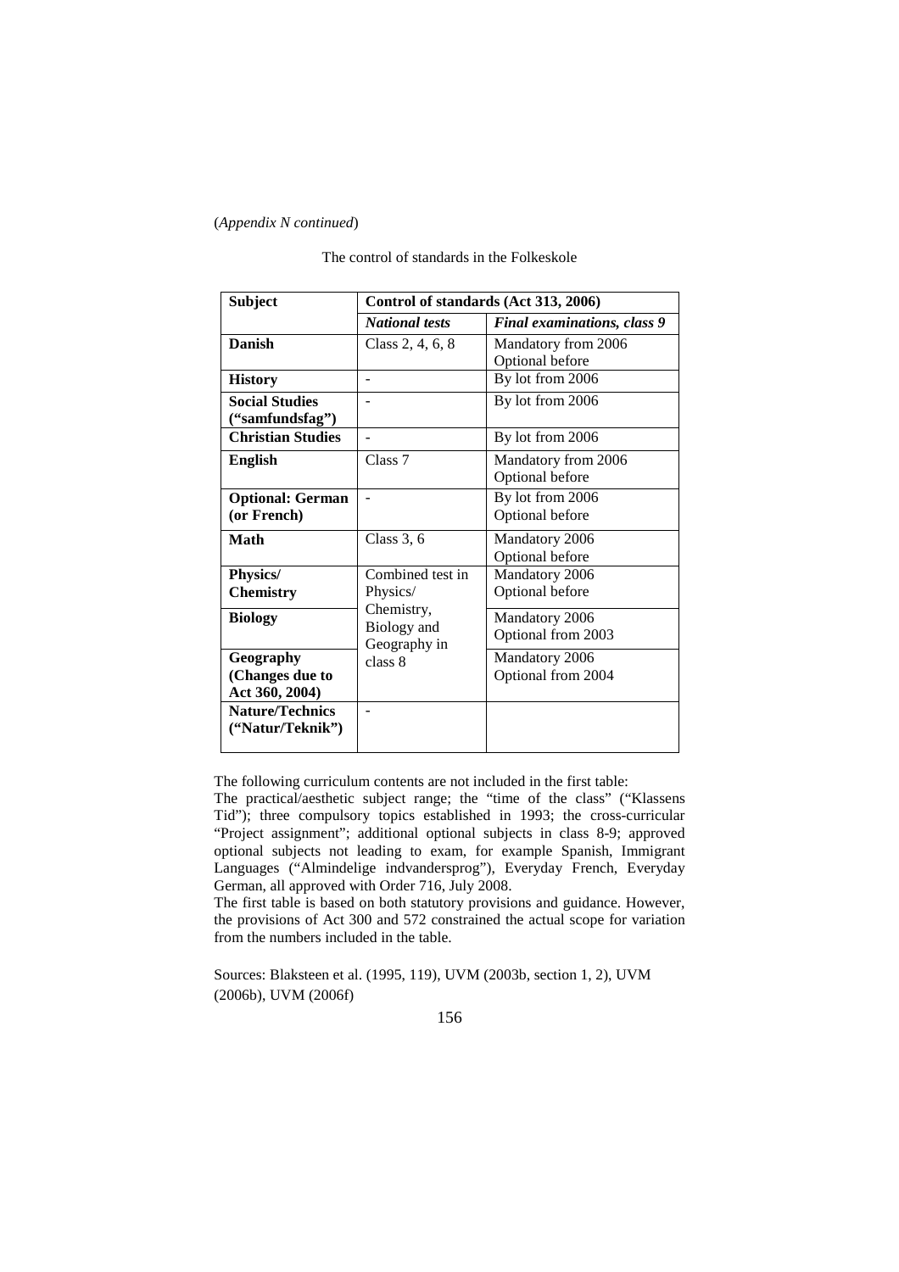## (*Appendix N continued*)

| <b>Subject</b>                                 | Control of standards (Act 313, 2006)       |                                        |  |  |
|------------------------------------------------|--------------------------------------------|----------------------------------------|--|--|
|                                                | <b>National tests</b>                      | <b>Final examinations, class 9</b>     |  |  |
| <b>Danish</b>                                  | Class 2, 4, 6, 8                           | Mandatory from 2006<br>Optional before |  |  |
| <b>History</b>                                 |                                            | By lot from 2006                       |  |  |
| <b>Social Studies</b><br>("samfundsfag")       |                                            | By lot from 2006                       |  |  |
| <b>Christian Studies</b>                       | $\overline{\phantom{a}}$                   | By lot from 2006                       |  |  |
| <b>English</b>                                 | Class 7                                    | Mandatory from 2006<br>Optional before |  |  |
| <b>Optional: German</b><br>(or French)         |                                            | By lot from 2006<br>Optional before    |  |  |
| Math                                           | Class $3, 6$                               | Mandatory 2006<br>Optional before      |  |  |
| Physics/<br><b>Chemistry</b>                   | Combined test in<br>Physics/<br>Chemistry, | Mandatory 2006<br>Optional before      |  |  |
| <b>Biology</b>                                 | Biology and<br>Geography in                | Mandatory 2006<br>Optional from 2003   |  |  |
| Geography<br>(Changes due to<br>Act 360, 2004) | class 8                                    | Mandatory 2006<br>Optional from 2004   |  |  |
| <b>Nature/Technics</b><br>("Natur/Teknik")     | ä,                                         |                                        |  |  |

The control of standards in the Folkeskole

The following curriculum contents are not included in the first table:

The practical/aesthetic subject range; the "time of the class" ("Klassens Tid"); three compulsory topics established in 1993; the cross-curricular "Project assignment"; additional optional subjects in class 8-9; approved optional subjects not leading to exam, for example Spanish, Immigrant Languages ("Almindelige indvandersprog"), Everyday French, Everyday German, all approved with Order 716, July 2008.

The first table is based on both statutory provisions and guidance. However, the provisions of Act 300 and 572 constrained the actual scope for variation from the numbers included in the table.

Sources: Blaksteen et al. (1995, 119), UVM (2003b, section 1, 2), UVM (2006b), UVM (2006f)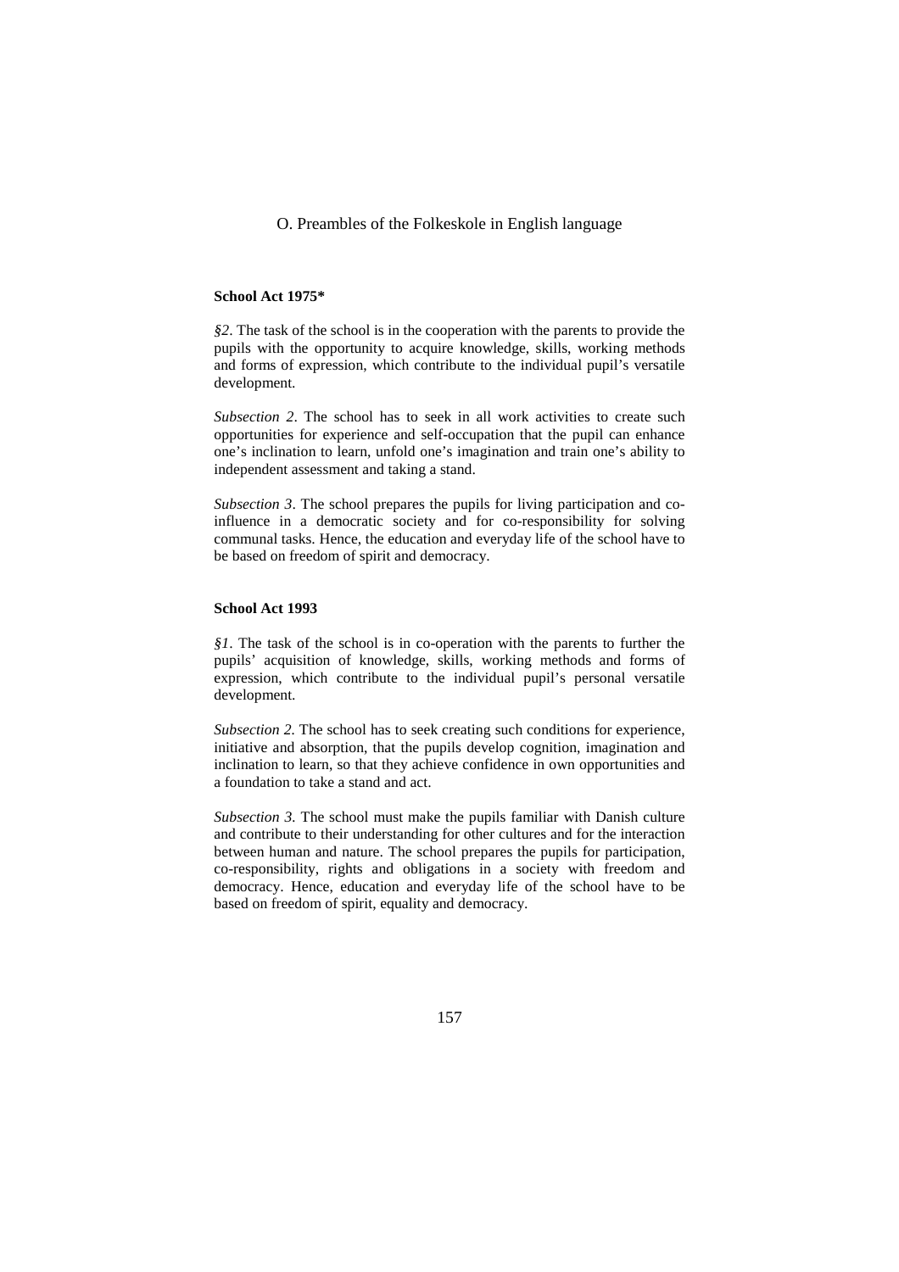## O. Preambles of the Folkeskole in English language

#### **School Act 1975\***

*§2*. The task of the school is in the cooperation with the parents to provide the pupils with the opportunity to acquire knowledge, skills, working methods and forms of expression, which contribute to the individual pupil's versatile development.

*Subsection 2*. The school has to seek in all work activities to create such opportunities for experience and self-occupation that the pupil can enhance one's inclination to learn, unfold one's imagination and train one's ability to independent assessment and taking a stand.

*Subsection 3*. The school prepares the pupils for living participation and coinfluence in a democratic society and for co-responsibility for solving communal tasks. Hence, the education and everyday life of the school have to be based on freedom of spirit and democracy.

## **School Act 1993**

*§1*. The task of the school is in co-operation with the parents to further the pupils' acquisition of knowledge, skills, working methods and forms of expression, which contribute to the individual pupil's personal versatile development.

*Subsection 2.* The school has to seek creating such conditions for experience, initiative and absorption, that the pupils develop cognition, imagination and inclination to learn, so that they achieve confidence in own opportunities and a foundation to take a stand and act.

*Subsection 3.* The school must make the pupils familiar with Danish culture and contribute to their understanding for other cultures and for the interaction between human and nature. The school prepares the pupils for participation, co-responsibility, rights and obligations in a society with freedom and democracy. Hence, education and everyday life of the school have to be based on freedom of spirit, equality and democracy.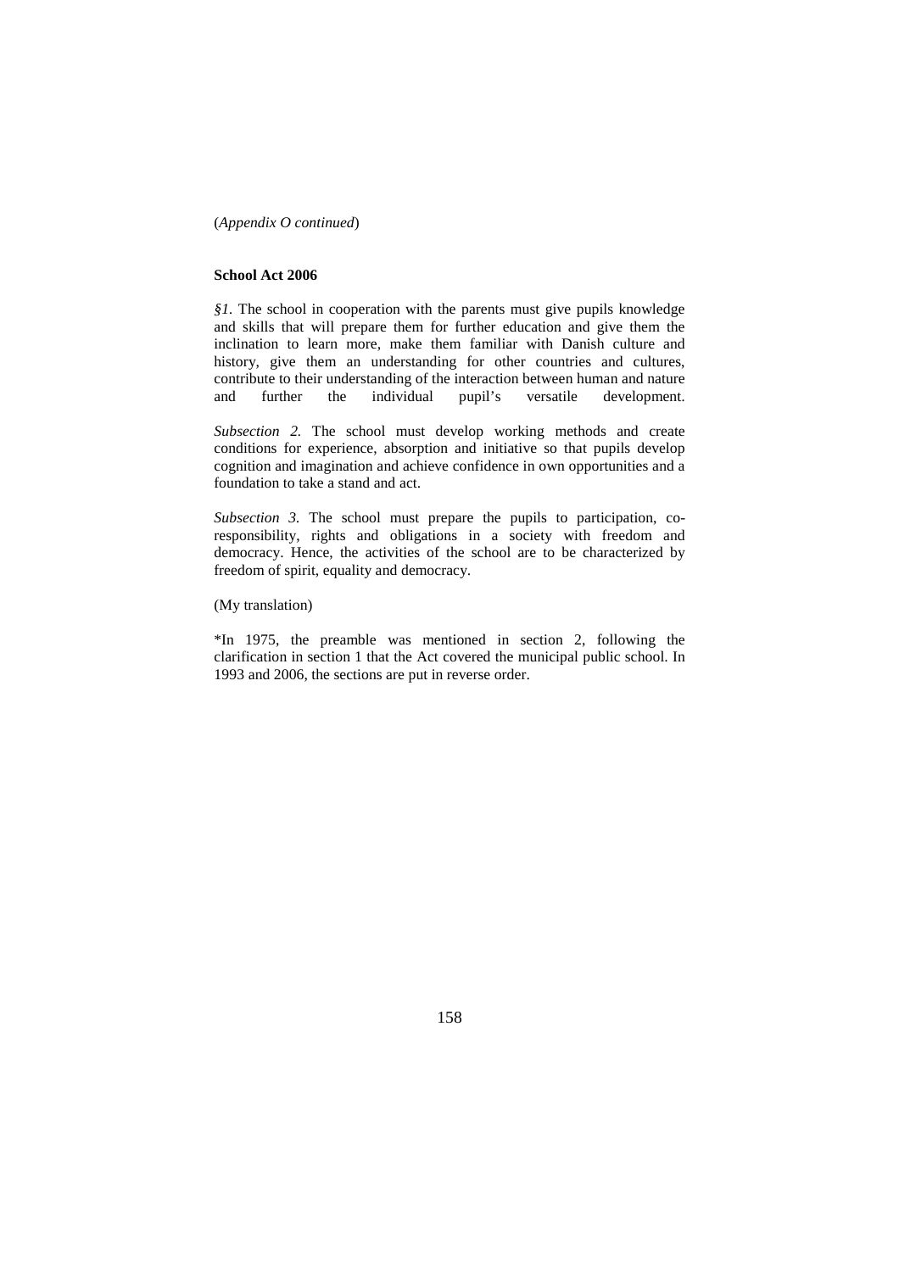(*Appendix O continued*)

#### **School Act 2006**

*§1.* The school in cooperation with the parents must give pupils knowledge and skills that will prepare them for further education and give them the inclination to learn more, make them familiar with Danish culture and history, give them an understanding for other countries and cultures, contribute to their understanding of the interaction between human and nature and further the individual pupil's versatile development.

*Subsection 2.* The school must develop working methods and create conditions for experience, absorption and initiative so that pupils develop cognition and imagination and achieve confidence in own opportunities and a foundation to take a stand and act.

*Subsection 3.* The school must prepare the pupils to participation, coresponsibility, rights and obligations in a society with freedom and democracy. Hence, the activities of the school are to be characterized by freedom of spirit, equality and democracy.

(My translation)

\*In 1975, the preamble was mentioned in section 2, following the clarification in section 1 that the Act covered the municipal public school. In 1993 and 2006, the sections are put in reverse order.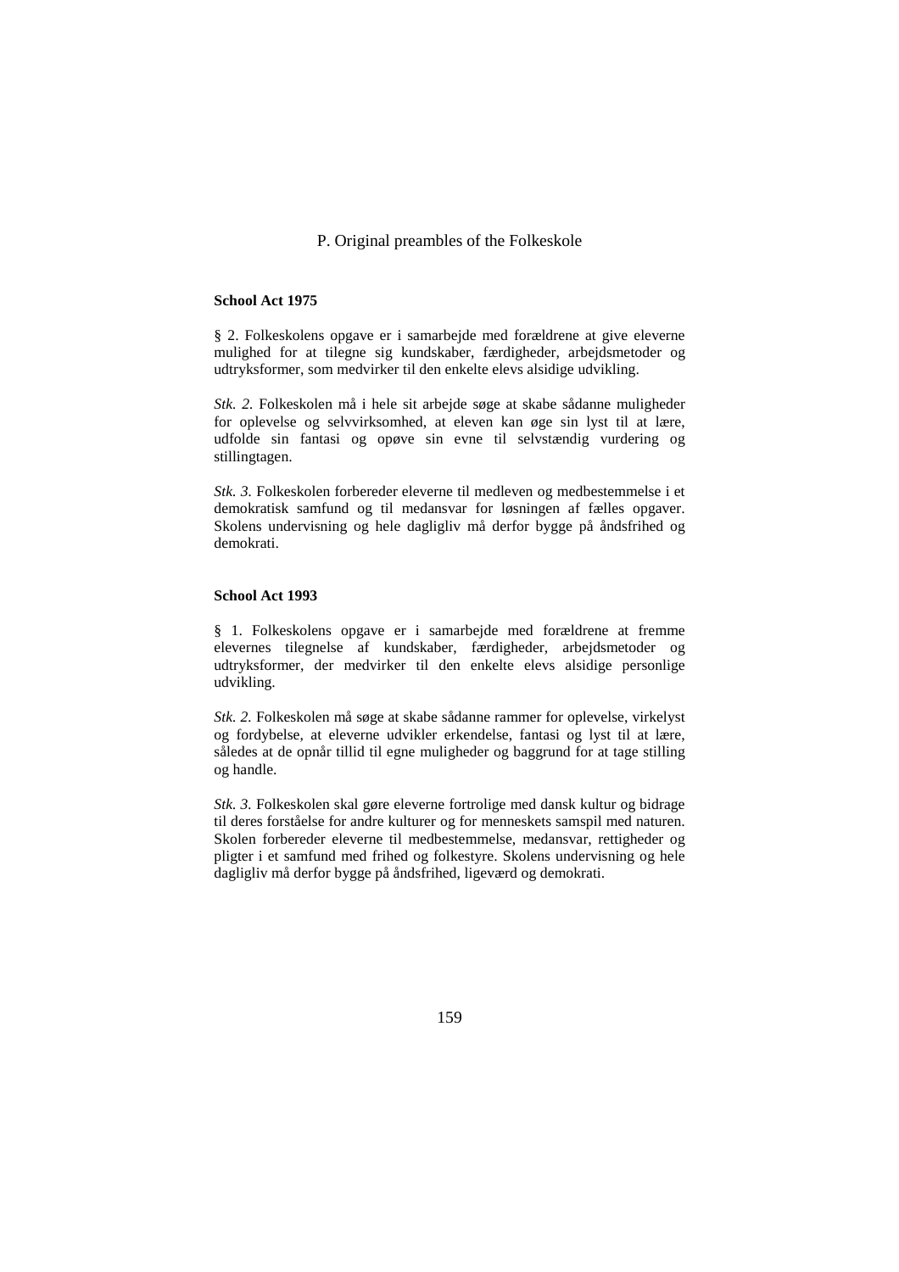## P. Original preambles of the Folkeskole

#### **School Act 1975**

§ 2. Folkeskolens opgave er i samarbejde med forældrene at give eleverne mulighed for at tilegne sig kundskaber, færdigheder, arbejdsmetoder og udtryksformer, som medvirker til den enkelte elevs alsidige udvikling.

*Stk. 2.* Folkeskolen må i hele sit arbejde søge at skabe sådanne muligheder for oplevelse og selvvirksomhed, at eleven kan øge sin lyst til at lære, udfolde sin fantasi og opøve sin evne til selvstændig vurdering og stillingtagen.

*Stk. 3.* Folkeskolen forbereder eleverne til medleven og medbestemmelse i et demokratisk samfund og til medansvar for løsningen af fælles opgaver. Skolens undervisning og hele dagligliv må derfor bygge på åndsfrihed og demokrati.

#### **School Act 1993**

§ 1. Folkeskolens opgave er i samarbejde med forældrene at fremme elevernes tilegnelse af kundskaber, færdigheder, arbejdsmetoder og udtryksformer, der medvirker til den enkelte elevs alsidige personlige udvikling.

*Stk. 2.* Folkeskolen må søge at skabe sådanne rammer for oplevelse, virkelyst og fordybelse, at eleverne udvikler erkendelse, fantasi og lyst til at lære, således at de opnår tillid til egne muligheder og baggrund for at tage stilling og handle.

*Stk. 3.* Folkeskolen skal gøre eleverne fortrolige med dansk kultur og bidrage til deres forståelse for andre kulturer og for menneskets samspil med naturen. Skolen forbereder eleverne til medbestemmelse, medansvar, rettigheder og pligter i et samfund med frihed og folkestyre. Skolens undervisning og hele dagligliv må derfor bygge på åndsfrihed, ligeværd og demokrati.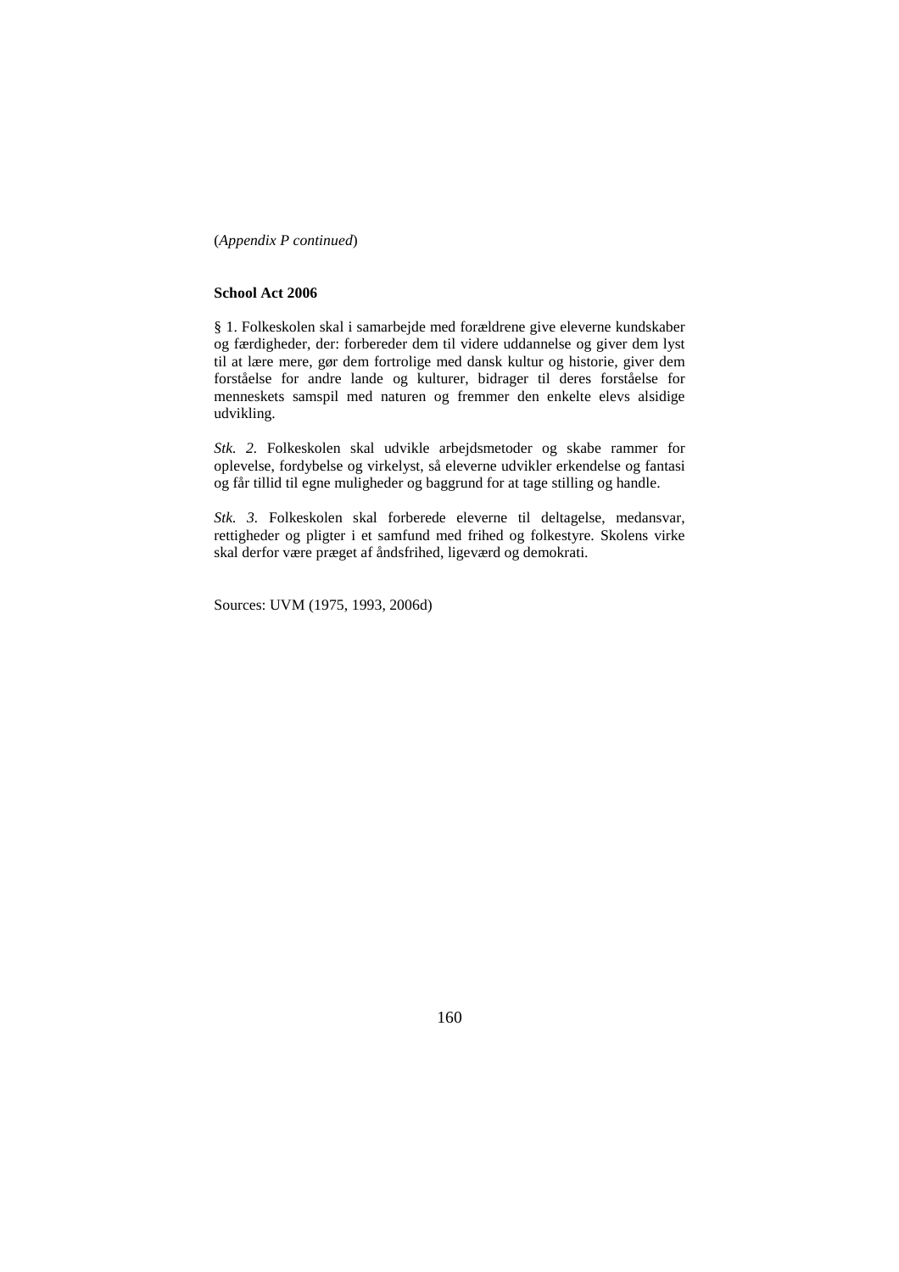(*Appendix P continued*)

#### **School Act 2006**

§ 1. Folkeskolen skal i samarbejde med forældrene give eleverne kundskaber og færdigheder, der: forbereder dem til videre uddannelse og giver dem lyst til at lære mere, gør dem fortrolige med dansk kultur og historie, giver dem forståelse for andre lande og kulturer, bidrager til deres forståelse for menneskets samspil med naturen og fremmer den enkelte elevs alsidige udvikling.

*Stk. 2.* Folkeskolen skal udvikle arbejdsmetoder og skabe rammer for oplevelse, fordybelse og virkelyst, så eleverne udvikler erkendelse og fantasi og får tillid til egne muligheder og baggrund for at tage stilling og handle.

*Stk. 3.* Folkeskolen skal forberede eleverne til deltagelse, medansvar, rettigheder og pligter i et samfund med frihed og folkestyre. Skolens virke skal derfor være præget af åndsfrihed, ligeværd og demokrati.

Sources: UVM (1975, 1993, 2006d)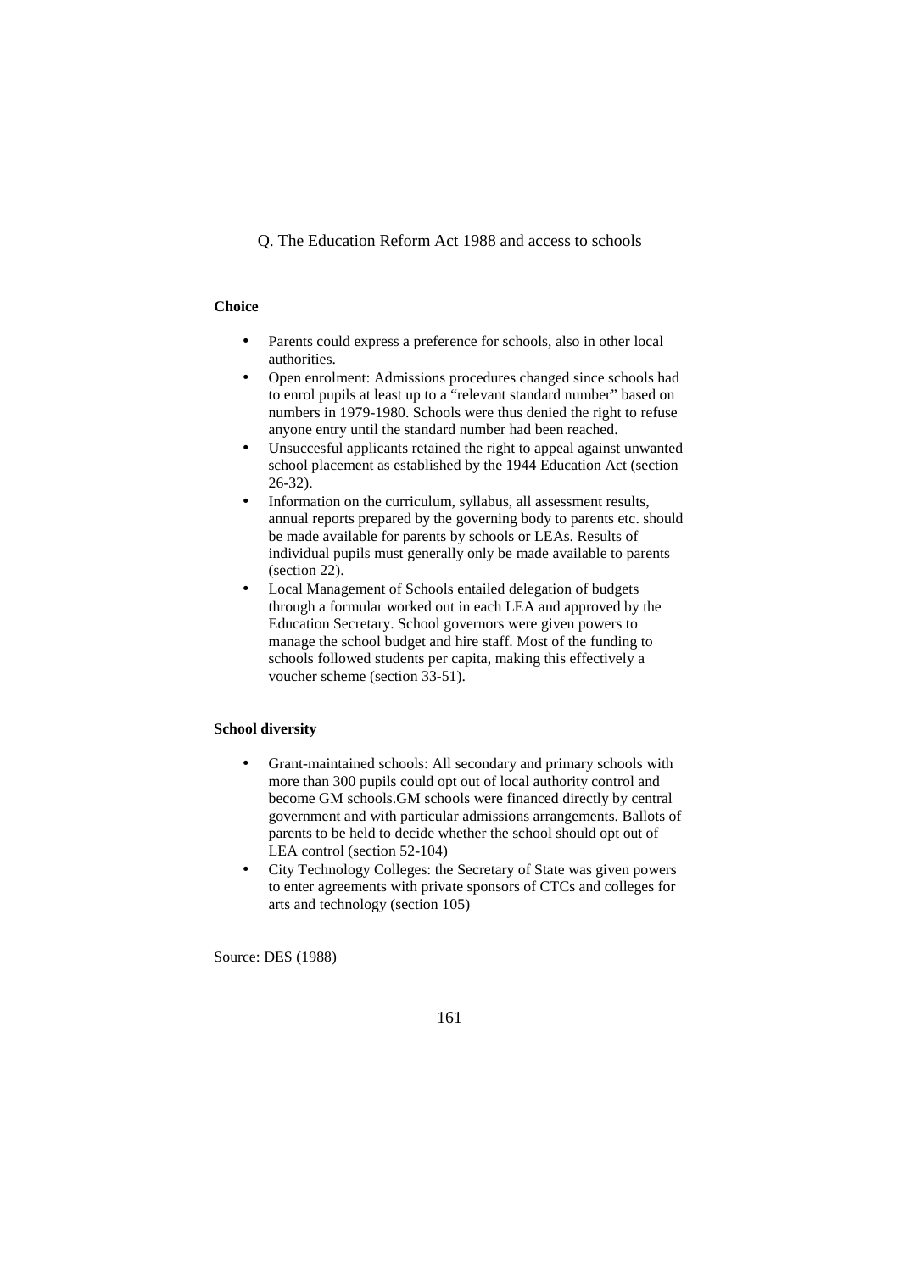Q. The Education Reform Act 1988 and access to schools

## **Choice**

- Parents could express a preference for schools, also in other local authorities.
- Open enrolment: Admissions procedures changed since schools had to enrol pupils at least up to a "relevant standard number" based on numbers in 1979-1980. Schools were thus denied the right to refuse anyone entry until the standard number had been reached.
- Unsuccesful applicants retained the right to appeal against unwanted school placement as established by the 1944 Education Act (section 26-32).
- Information on the curriculum, syllabus, all assessment results, annual reports prepared by the governing body to parents etc. should be made available for parents by schools or LEAs. Results of individual pupils must generally only be made available to parents (section 22).
- Local Management of Schools entailed delegation of budgets through a formular worked out in each LEA and approved by the Education Secretary. School governors were given powers to manage the school budget and hire staff. Most of the funding to schools followed students per capita, making this effectively a voucher scheme (section 33-51).

#### **School diversity**

- Grant-maintained schools: All secondary and primary schools with more than 300 pupils could opt out of local authority control and become GM schools.GM schools were financed directly by central government and with particular admissions arrangements. Ballots of parents to be held to decide whether the school should opt out of LEA control (section 52-104)
- City Technology Colleges: the Secretary of State was given powers to enter agreements with private sponsors of CTCs and colleges for arts and technology (section 105)

Source: DES (1988)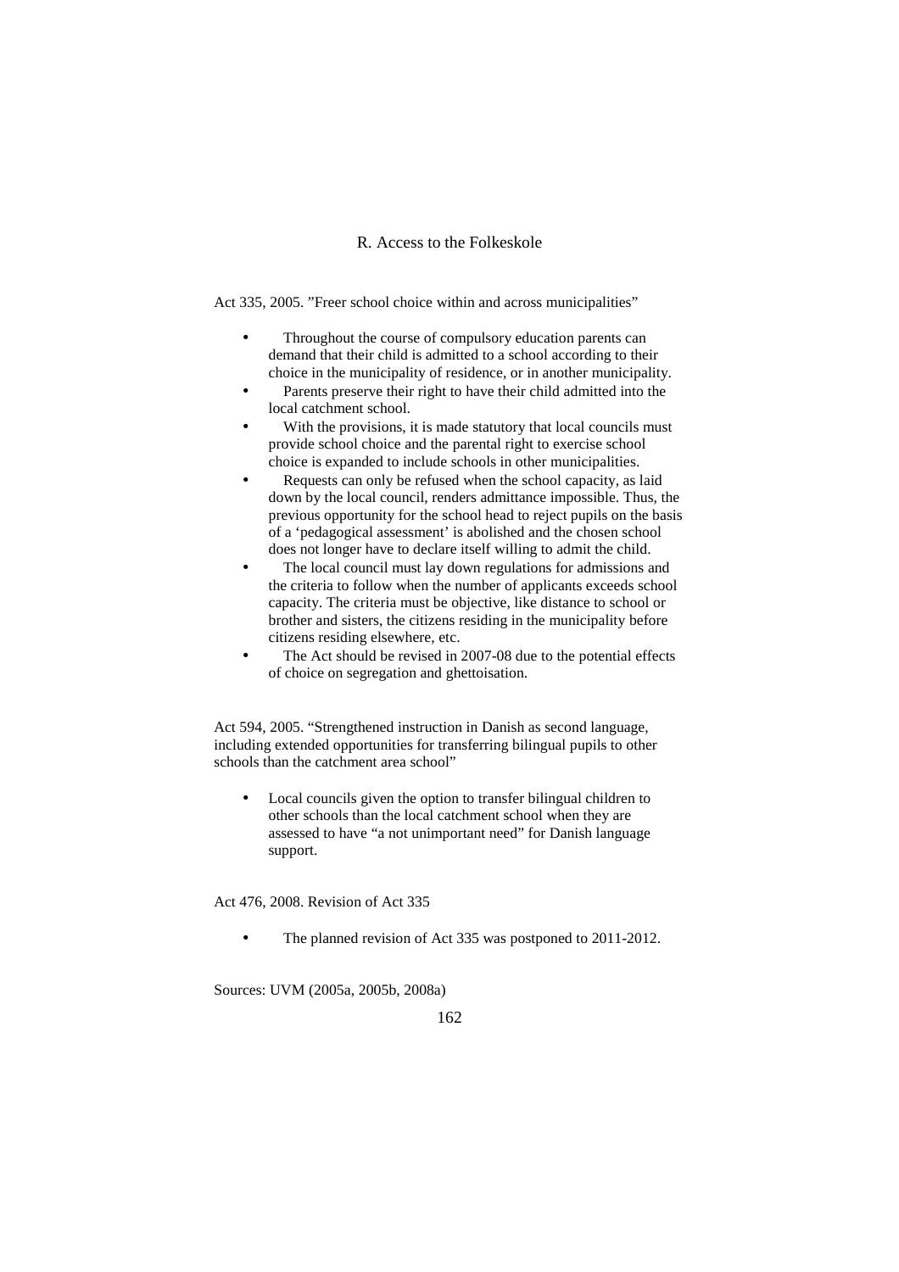# R. Access to the Folkeskole

Act 335, 2005. "Freer school choice within and across municipalities"

- Throughout the course of compulsory education parents can demand that their child is admitted to a school according to their choice in the municipality of residence, or in another municipality.
- Parents preserve their right to have their child admitted into the local catchment school.
- With the provisions, it is made statutory that local councils must provide school choice and the parental right to exercise school choice is expanded to include schools in other municipalities.
- Requests can only be refused when the school capacity, as laid down by the local council, renders admittance impossible. Thus, the previous opportunity for the school head to reject pupils on the basis of a 'pedagogical assessment' is abolished and the chosen school does not longer have to declare itself willing to admit the child.
- The local council must lay down regulations for admissions and the criteria to follow when the number of applicants exceeds school capacity. The criteria must be objective, like distance to school or brother and sisters, the citizens residing in the municipality before citizens residing elsewhere, etc.
- The Act should be revised in 2007-08 due to the potential effects of choice on segregation and ghettoisation.

Act 594, 2005. "Strengthened instruction in Danish as second language, including extended opportunities for transferring bilingual pupils to other schools than the catchment area school"

• Local councils given the option to transfer bilingual children to other schools than the local catchment school when they are assessed to have "a not unimportant need" for Danish language support.

Act 476, 2008. Revision of Act 335

The planned revision of Act 335 was postponed to 2011-2012.

Sources: UVM (2005a, 2005b, 2008a)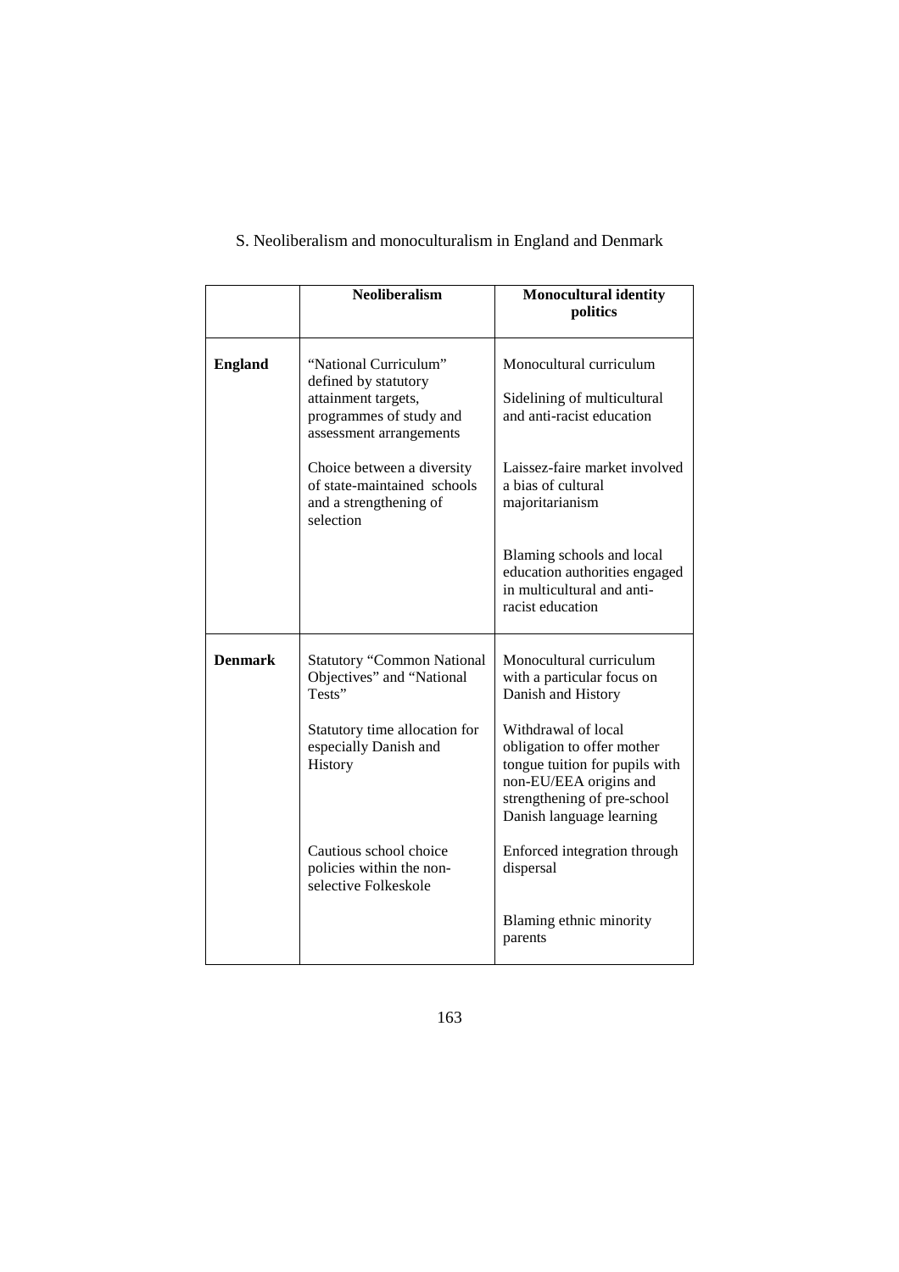|                | Neoliberalism                                                                                                              | <b>Monocultural identity</b><br>politics                                                                                                                                 |
|----------------|----------------------------------------------------------------------------------------------------------------------------|--------------------------------------------------------------------------------------------------------------------------------------------------------------------------|
| <b>England</b> | "National Curriculum"<br>defined by statutory<br>attainment targets,<br>programmes of study and<br>assessment arrangements | Monocultural curriculum<br>Sidelining of multicultural<br>and anti-racist education                                                                                      |
|                | Choice between a diversity<br>of state-maintained schools<br>and a strengthening of<br>selection                           | Laissez-faire market involved<br>a bias of cultural<br>majoritarianism                                                                                                   |
|                |                                                                                                                            | Blaming schools and local<br>education authorities engaged<br>in multicultural and anti-<br>racist education                                                             |
| <b>Denmark</b> | <b>Statutory "Common National</b><br>Objectives" and "National<br>Tests"                                                   | Monocultural curriculum<br>with a particular focus on<br>Danish and History                                                                                              |
|                | Statutory time allocation for<br>especially Danish and<br>History                                                          | Withdrawal of local<br>obligation to offer mother<br>tongue tuition for pupils with<br>non-EU/EEA origins and<br>strengthening of pre-school<br>Danish language learning |
|                | Cautious school choice<br>policies within the non-<br>selective Folkeskole                                                 | Enforced integration through<br>dispersal                                                                                                                                |
|                |                                                                                                                            | Blaming ethnic minority<br>parents                                                                                                                                       |

# S. Neoliberalism and monoculturalism in England and Denmark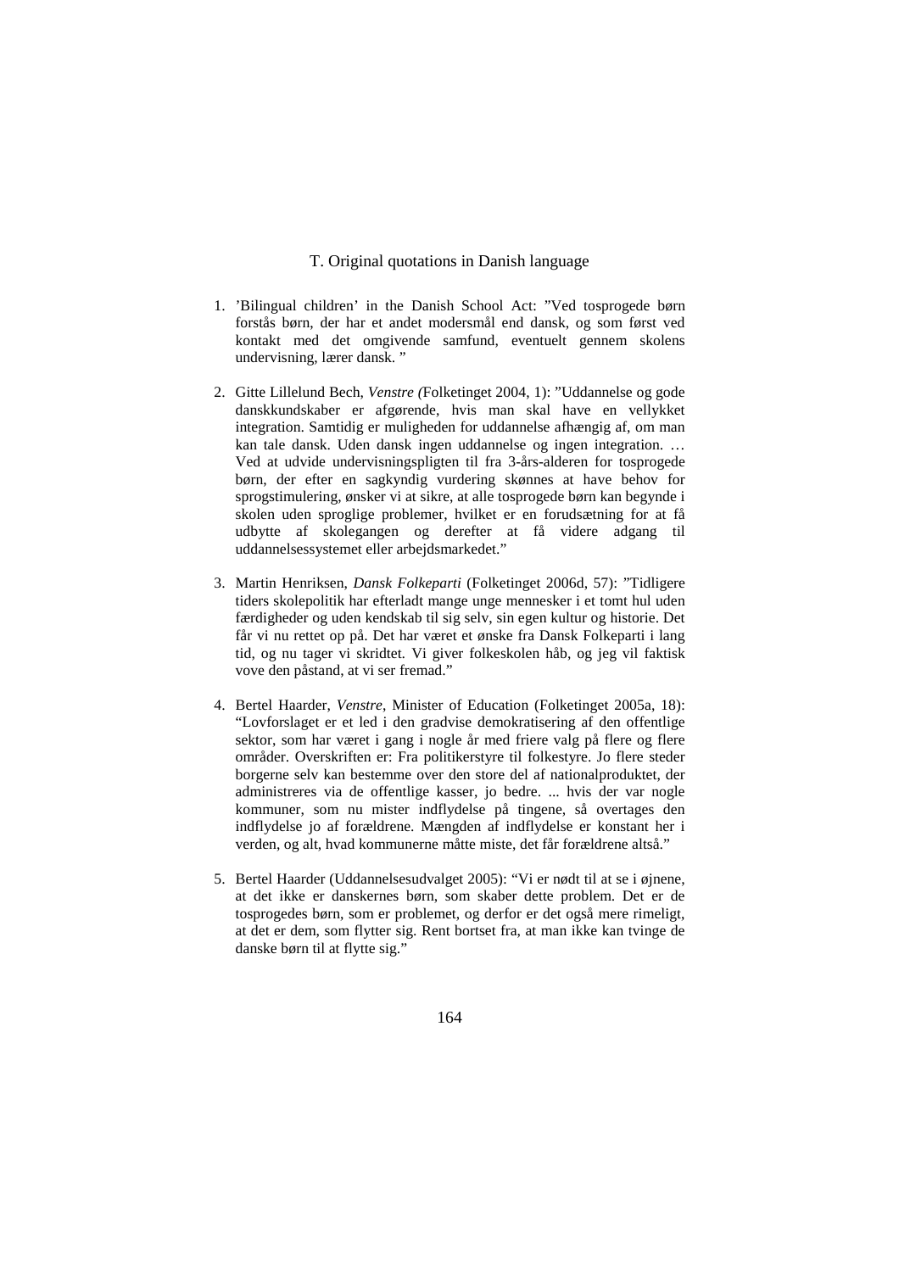## T. Original quotations in Danish language

- 1. 'Bilingual children' in the Danish School Act: "Ved tosprogede børn forstås børn, der har et andet modersmål end dansk, og som først ved kontakt med det omgivende samfund, eventuelt gennem skolens undervisning, lærer dansk. "
- 2. Gitte Lillelund Bech, *Venstre (*Folketinget 2004, 1): "Uddannelse og gode danskkundskaber er afgørende, hvis man skal have en vellykket integration. Samtidig er muligheden for uddannelse afhængig af, om man kan tale dansk. Uden dansk ingen uddannelse og ingen integration. … Ved at udvide undervisningspligten til fra 3-års-alderen for tosprogede børn, der efter en sagkyndig vurdering skønnes at have behov for sprogstimulering, ønsker vi at sikre, at alle tosprogede børn kan begynde i skolen uden sproglige problemer, hvilket er en forudsætning for at få udbytte af skolegangen og derefter at få videre adgang til uddannelsessystemet eller arbejdsmarkedet."
- 3. Martin Henriksen, *Dansk Folkeparti* (Folketinget 2006d, 57): "Tidligere tiders skolepolitik har efterladt mange unge mennesker i et tomt hul uden færdigheder og uden kendskab til sig selv, sin egen kultur og historie. Det får vi nu rettet op på. Det har været et ønske fra Dansk Folkeparti i lang tid, og nu tager vi skridtet. Vi giver folkeskolen håb, og jeg vil faktisk vove den påstand, at vi ser fremad."
- 4. Bertel Haarder, *Venstre*, Minister of Education (Folketinget 2005a, 18): "Lovforslaget er et led i den gradvise demokratisering af den offentlige sektor, som har været i gang i nogle år med friere valg på flere og flere områder. Overskriften er: Fra politikerstyre til folkestyre. Jo flere steder borgerne selv kan bestemme over den store del af nationalproduktet, der administreres via de offentlige kasser, jo bedre. ... hvis der var nogle kommuner, som nu mister indflydelse på tingene, så overtages den indflydelse jo af forældrene. Mængden af indflydelse er konstant her i verden, og alt, hvad kommunerne måtte miste, det får forældrene altså."
- 5. Bertel Haarder (Uddannelsesudvalget 2005): "Vi er nødt til at se i øjnene, at det ikke er danskernes børn, som skaber dette problem. Det er de tosprogedes børn, som er problemet, og derfor er det også mere rimeligt, at det er dem, som flytter sig. Rent bortset fra, at man ikke kan tvinge de danske børn til at flytte sig."